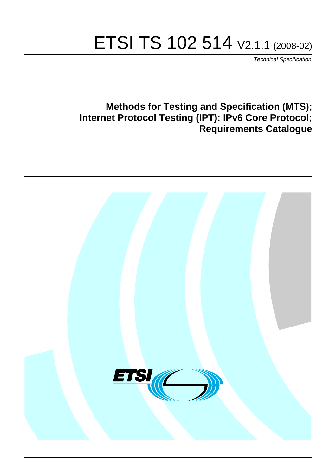# ETSI TS 102 514 V2.1.1 (2008-02)

*Technical Specification*

# **Methods for Testing and Specification (MTS); Internet Protocol Testing (IPT): IPv6 Core Protocol; Requirements Catalogue**

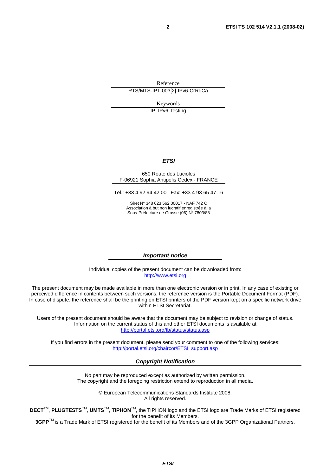Reference RTS/MTS-IPT-003[2]-IPv6-CrRqCa

Keywords

IP, IPv6, testing

# *ETSI*

#### 650 Route des Lucioles F-06921 Sophia Antipolis Cedex - FRANCE

Tel.: +33 4 92 94 42 00 Fax: +33 4 93 65 47 16

Siret N° 348 623 562 00017 - NAF 742 C Association à but non lucratif enregistrée à la Sous-Préfecture de Grasse (06) N° 7803/88

### *Important notice*

Individual copies of the present document can be downloaded from: [http://www.etsi.org](http://www.etsi.org/)

The present document may be made available in more than one electronic version or in print. In any case of existing or perceived difference in contents between such versions, the reference version is the Portable Document Format (PDF). In case of dispute, the reference shall be the printing on ETSI printers of the PDF version kept on a specific network drive within ETSI Secretariat.

Users of the present document should be aware that the document may be subject to revision or change of status. Information on the current status of this and other ETSI documents is available at <http://portal.etsi.org/tb/status/status.asp>

If you find errors in the present document, please send your comment to one of the following services: [http://portal.etsi.org/chaircor/ETSI\\_support.asp](http://portal.etsi.org/chaircor/ETSI_support.asp)

### *Copyright Notification*

No part may be reproduced except as authorized by written permission. The copyright and the foregoing restriction extend to reproduction in all media.

> © European Telecommunications Standards Institute 2008. All rights reserved.

**DECT**TM, **PLUGTESTS**TM, **UMTS**TM, **TIPHON**TM, the TIPHON logo and the ETSI logo are Trade Marks of ETSI registered for the benefit of its Members.

**3GPP**TM is a Trade Mark of ETSI registered for the benefit of its Members and of the 3GPP Organizational Partners.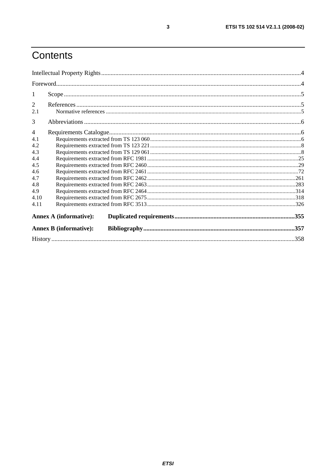# Contents

| $\overline{2}$<br>2.1 |                               |  |      |
|-----------------------|-------------------------------|--|------|
| 3                     |                               |  |      |
| $\overline{4}$        |                               |  |      |
| 4.1                   |                               |  |      |
| 4.2                   |                               |  |      |
| 4.3                   |                               |  |      |
| 4.4                   |                               |  |      |
| 4.5                   |                               |  |      |
| 4.6                   |                               |  |      |
| 4.7                   |                               |  |      |
| 4.8                   |                               |  |      |
| 4.9                   |                               |  |      |
| 4.10                  |                               |  |      |
| 4.11                  |                               |  |      |
|                       | <b>Annex A (informative):</b> |  |      |
|                       | <b>Annex B</b> (informative): |  |      |
|                       |                               |  | .358 |

 $\mathbf{3}$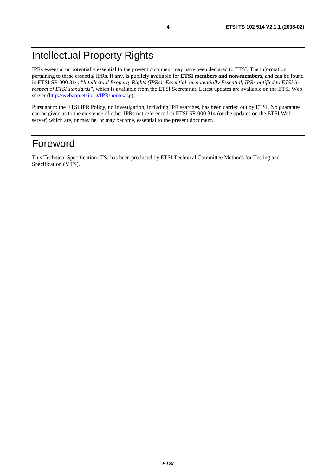IPRs essential or potentially essential to the present document may have been declared to ETSI. The information pertaining to these essential IPRs, if any, is publicly available for **ETSI members and non-members**, and can be found in ETSI SR 000 314: *"Intellectual Property Rights (IPRs); Essential, or potentially Essential, IPRs notified to ETSI in respect of ETSI standards"*, which is available from the ETSI Secretariat. Latest updates are available on the ETSI Web server ([http://webapp.etsi.org/IPR/home.asp\)](http://webapp.etsi.org/IPR/home.asp).

Pursuant to the ETSI IPR Policy, no investigation, including IPR searches, has been carried out by ETSI. No guarantee can be given as to the existence of other IPRs not referenced in ETSI SR 000 314 (or the updates on the ETSI Web server) which are, or may be, or may become, essential to the present document.

# Foreword

This Technical Specification (TS) has been produced by ETSI Technical Committee Methods for Testing and Specification (MTS).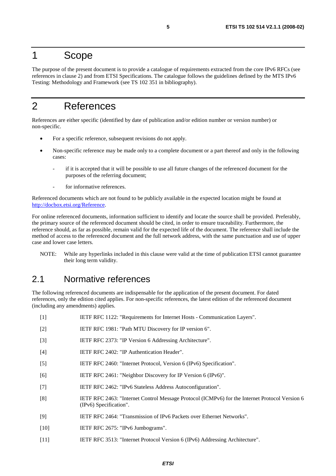# 1 Scope

The purpose of the present document is to provide a catalogue of requirements extracted from the core IPv6 RFCs (see references in clause 2) and from ETSI Specifications. The catalogue follows the guidelines defined by the MTS IPv6 Testing: Methodology and Framework (see TS 102 351 in bibliography).

# 2 References

References are either specific (identified by date of publication and/or edition number or version number) or non-specific.

- For a specific reference, subsequent revisions do not apply.
- Non-specific reference may be made only to a complete document or a part thereof and only in the following cases:
	- if it is accepted that it will be possible to use all future changes of the referenced document for the purposes of the referring document;
	- for informative references.

Referenced documents which are not found to be publicly available in the expected location might be found at <http://docbox.etsi.org/Reference>.

For online referenced documents, information sufficient to identify and locate the source shall be provided. Preferably, the primary source of the referenced document should be cited, in order to ensure traceability. Furthermore, the reference should, as far as possible, remain valid for the expected life of the document. The reference shall include the method of access to the referenced document and the full network address, with the same punctuation and use of upper case and lower case letters.

NOTE: While any hyperlinks included in this clause were valid at the time of publication ETSI cannot guarantee their long term validity.

# 2.1 Normative references

The following referenced documents are indispensable for the application of the present document. For dated references, only the edition cited applies. For non-specific references, the latest edition of the referenced document (including any amendments) applies.

[1] IETF RFC 1122: "Requirements for Internet Hosts - Communication Layers". [2] IETF RFC 1981: "Path MTU Discovery for IP version 6". [3] IETF RFC 2373: "IP Version 6 Addressing Architecture". [4] IETF RFC 2402: "IP Authentication Header". [5] IETF RFC 2460: "Internet Protocol, Version 6 (IPv6) Specification". [6] IETF RFC 2461: "Neighbor Discovery for IP Version 6 (IPv6)". [7] IETF RFC 2462: "IPv6 Stateless Address Autoconfiguration". [8] IETF RFC 2463: "Internet Control Message Protocol (ICMPv6) for the Internet Protocol Version 6 (IPv6) Specification". [9] IETF RFC 2464: "Transmission of IPv6 Packets over Ethernet Networks". [10] **IETF RFC 2675: "IPv6 Jumbograms".** [11] IETF RFC 3513: "Internet Protocol Version 6 (IPv6) Addressing Architecture".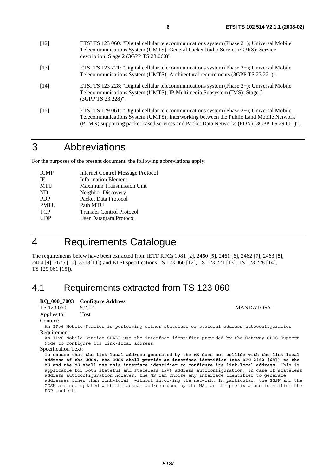- [12] ETSI TS 123 060: "Digital cellular telecommunications system (Phase 2+); Universal Mobile Telecommunications System (UMTS); General Packet Radio Service (GPRS); Service description; Stage 2 (3GPP TS 23.060)".
- [13] ETSI TS 123 221: "Digital cellular telecommunications system (Phase 2+); Universal Mobile Telecommunications System (UMTS); Architectural requirements (3GPP TS 23.221)".
- [14] ETSI TS 123 228: "Digital cellular telecommunications system (Phase 2+); Universal Mobile Telecommunications System (UMTS); IP Multimedia Subsystem (IMS); Stage 2 (3GPP TS 23.228)".
- [15] ETSI TS 129 061: "Digital cellular telecommunications system (Phase 2+); Universal Mobile Telecommunications System (UMTS); Interworking between the Public Land Mobile Network (PLMN) supporting packet based services and Packet Data Networks (PDN) (3GPP TS 29.061)".

# 3 Abbreviations

For the purposes of the present document, the following abbreviations apply:

| <b>ICMP</b> | <b>Internet Control Message Protocol</b> |
|-------------|------------------------------------------|
| IE          | <b>Information Element</b>               |
| <b>MTU</b>  | <b>Maximum Transmission Unit</b>         |
| ND          | Neighbor Discovery                       |
| <b>PDP</b>  | Packet Data Protocol                     |
| <b>PMTU</b> | Path MTU                                 |
| <b>TCP</b>  | <b>Transfer Control Protocol</b>         |
| <b>UDP</b>  | <b>User Datagram Protocol</b>            |
|             |                                          |

# 4 Requirements Catalogue

The requirements below have been extracted from IETF RFCs 1981 [2], 2460 [5], 2461 [6], 2462 [7], 2463 [8], 2464 [9], 2675 [10], 3513[11]) and ETSI specifications TS 123 060 [12], TS 123 221 [13], TS 123 228 [14], TS 129 061 [15]).

# 4.1 Requirements extracted from TS 123 060

# **RQ\_000\_7003 Configure Address**

TS 123 060 9.2.1.1 MANDATORY Applies to: Host

Context:

An IPv6 Mobile Station is performing either stateless or stateful address autoconfiguration Requirement:

An IPv6 Mobile Station SHALL use the interface identifier provided by the Gateway GPRS Support Node to configure its link-local address

### Specification Text:

**To ensure that the link-local address generated by the MS does not collide with the link-local address of the GGSN, the GGSN shall provide an interface identifier (see RFC 2462 [69]) to the MS and the MS shall use this interface identifier to configure its link-local address.** This is applicable for both stateful and stateless IPv6 address autoconfiguration. In case of stateless address autoconfiguration however, the MS can choose any interface identifier to generate addresses other than link-local, without involving the network. In particular, the SGSN and the GGSN are not updated with the actual address used by the MS, as the prefix alone identifies the PDP context.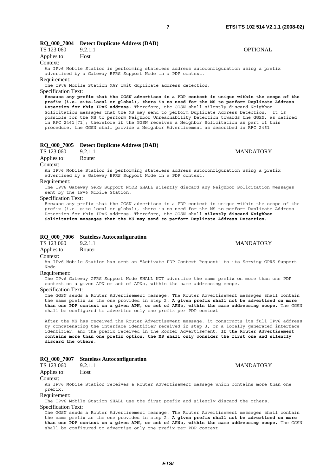# **RQ\_000\_7004 Detect Duplicate Address (DAD)**

| TS 123 060  | 9.2.1.1                                                     |  |                                                                                         | <b>OPTIONAL</b> |  |
|-------------|-------------------------------------------------------------|--|-----------------------------------------------------------------------------------------|-----------------|--|
| Applies to: | <b>Host</b>                                                 |  |                                                                                         |                 |  |
| Context:    |                                                             |  |                                                                                         |                 |  |
|             |                                                             |  | An IPv6 Mobile Station is performing stateless address autoconfiguration using a prefix |                 |  |
|             | advertised by a Gateway BPRS Support Node in a PDP context. |  |                                                                                         |                 |  |

#### Requirement:

The IPv6 Mobile Station MAY omit duplicate address detection.

Specification Text:

**Because any prefix that the GGSN advertises in a PDP context is unique within the scope of the prefix (i.e. site-local or global), there is no need for the MS to perform Duplicate Address Detection for this IPv6 address.** Therefore, the GGSN shall silently discard Neighbor Solicitation messages that the MS may send to perform Duplicate Address Detection. It is possible for the MS to perform Neighbor Unreachability Detection towards the GGSN, as defined in RFC 2461[71]; therefore if the GGSN receives a Neighbor Solicitation as part of this procedure, the GGSN shall provide a Neighbor Advertisement as described in RFC 2461.

#### **RQ\_000\_7005 Detect Duplicate Address (DAD)**

| TS 123 060  | 9.2.1.1 |
|-------------|---------|
| Applies to: | Router  |

#### Context:

An IPv6 Mobile Station is performing stateless address autoconfiguration using a prefix advertised by a Gateway BPRS Support Node in a PDP context.

#### Requirement:

The IPv6 Gateway GPRS Support NODE SHALL silently discard any Neighbor Solicitation messages sent by the IPv6 Mobile Station.

#### Specification Text:

Because any prefix that the GGSN advertises in a PDP context is unique within the scope of the prefix (i.e. site-local or global), there is no need for the MS to perform Duplicate Address Detection for this IPv6 address. Therefore, the GGSN shall **silently discard Neighbor Solicitation messages that the MS may send to perform Duplicate Address Detection.** .

#### **RQ\_000\_7006 Stateless Autoconfiguration**

TS 123 060 9.2.1.1 MANDATORY

### Applies to: Router

Context:

An IPv6 Mobile Station has sent an "Activate PDP Context Request" to its Serving GPRS Support Node

# Requirement:

The IPv6 Gateway GPRS Support Node SHALL NOT advertise the same prefix on more than one PDP context on a given APN or set of APNs, within the same addressing scope.

#### Specification Text:

The GGSN sends a Router Advertisement message. The Router Advertisement messages shall contain the same prefix as the one provided in step 2. **A given prefix shall not be advertised on more than one PDP context on a given APN, or set of APNs, within the same addressing scope.** The GGSN shall be configured to advertise only one prefix per PDP context

After the MS has received the Router Advertisement message, it constructs its full IPv6 address by concatenating the interface identifier received in step 3, or a locally generated interface identifier, and the prefix received in the Router Advertisement. **If the Router Advertisement contains more than one prefix option, the MS shall only consider the first one and silently discard the others**.

### **RQ\_000\_7007 Stateless Autoconfiguration**

| TS 123 060  | 9.2.1.1     |
|-------------|-------------|
| Applies to: | <b>Host</b> |
| Context:    |             |

An IPv6 Mobile Station receives a Router Advertisement message which contains more than one prefix.

#### Requirement:

The IPv6 Mobile Station SHALL use the first prefix and silently discard the others.

#### Specification Text:

The GGSN sends a Router Advertisement message. The Router Advertisement messages shall contain the same prefix as the one provided in step 2. **A given prefix shall not be advertised on more than one PDP context on a given APN, or set of APNs, within the same addressing scope.** The GGSN shall be configured to advertise only one prefix per PDP context

**MANDATORY** 

**MANDATORY**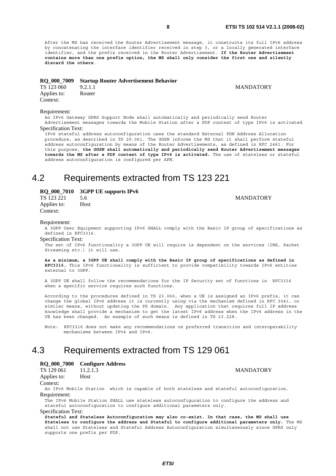After the MS has received the Router Advertisement message, it constructs its full IPv6 address by concatenating the interface identifier received in step 3, or a locally generated interface identifier, and the prefix received in the Router Advertisement. **If the Router Advertisement contains more than one prefix option, the MS shall only consider the first one and silently discard the others**.

#### **RQ\_000\_7009 Startup Router Advertisement Behavior**

**MANDATORY** 

| TS 123 060  | 9.2.1.1 |
|-------------|---------|
| Applies to: | Router  |
| Context:    |         |

#### Requirement:

An IPv6 Gateway GPRS Support Node shall automatically and periodically send Router Advertisement messages towards the Mobile Station after a PDP context of type IPv6 is activated

#### Specification Text:

IPv6 stateful address autoconfiguration uses the standard External PDN Address Allocation procedure, as described in TS 29.061. The GGSN informs the MS that it shall perform stateful address autoconfiguration by means of the Router Advertisements, as defined in RFC 2461. For this purpose, **the GGSN shall automatically and periodically send Router Advertisement messages towards the MS after a PDP context of type IPv6 is activated.** The use of stateless or stateful address autoconfiguration is configured per APN.

# 4.2 Requirements extracted from TS 123 221

### **RQ\_000\_7010 3GPP UE supports IPv6**

TS 123 221 5.6 MANDATORY Applies to: Host Context:

#### Requirement:

A 3GPP User Equipment supporting IPv6 SHALL comply with the Basic IP group of specifications as defined in RFC3316.

Specification Text:

The set of IPv6 functionality a 3GPP UE will require is dependent on the services (IMS, Packet Streaming etc.) it will use.

**As a minimum, a 3GPP UE shall comply with the Basic IP group of specifications as defined in RFC3316.** This IPv6 functionality is sufficient to provide compatibility towards IPv6 entities external to 3GPP.

A 3GPP UE shall follow the recommendations for the IP Security set of functions in RFC3316 when a specific service requires such functions.

According to the procedures defined in TS 23.060, when a UE is assigned an IPv6 prefix, it can change the global IPv6 address it is currently using via the mechanism defined in RFC 3041, or similar means, without updating the PS domain. Any application that requires full IP address knowledge shall provide a mechanism to get the latest IPv6 address when the IPv6 address in the UE has been changed. An example of such means is defined in TS 23.228.

Note: RFC3316 does not make any recommendations on preferred transition and interoperability mechanisms between IPv4 and IPv6.

# 4.3 Requirements extracted from TS 129 061

## **RQ\_000\_7000 Configure Address**

TS 129 061 11.2.1.3 MANDATORY Applies to: Host Context:

An IPv6 Mobile Station which is capable of both stateless and stateful autoconfiguration. Requirement:

The IPv6 Mobile Station SHALL use stateless autoconfiguration to configure the address and stateful autoconfiguration to configure additional parameters only.

Specification Text:

**Stateful and Stateless Autoconfiguration may also co-exist. In that case, the MS shall use Stateless to configure the address and Stateful to configure additional parameters only.** The MS shall not use Stateless and Stateful Address Autoconfiguration simultaneously since GPRS only supports one prefix per PDP.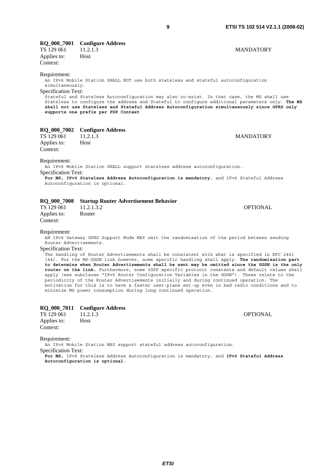| <b>RQ_000_7001</b><br>TS 129 061<br>Applies to:<br>Context:                                                                                                                                                                                                                                                                                                                                                                                                                                                                                                                                                                                                                                                                                                                                                                                                                                                                             | <b>Configure Address</b><br>11.2.1.3<br>Host                                                                                                                                                                                                                                                                                                                                                                                | <b>MANDATORY</b> |  |  |
|-----------------------------------------------------------------------------------------------------------------------------------------------------------------------------------------------------------------------------------------------------------------------------------------------------------------------------------------------------------------------------------------------------------------------------------------------------------------------------------------------------------------------------------------------------------------------------------------------------------------------------------------------------------------------------------------------------------------------------------------------------------------------------------------------------------------------------------------------------------------------------------------------------------------------------------------|-----------------------------------------------------------------------------------------------------------------------------------------------------------------------------------------------------------------------------------------------------------------------------------------------------------------------------------------------------------------------------------------------------------------------------|------------------|--|--|
| Requirement:<br>simultaneously.<br>Specification Text:                                                                                                                                                                                                                                                                                                                                                                                                                                                                                                                                                                                                                                                                                                                                                                                                                                                                                  | An IPv6 Mobile Station SHALL NOT use both stateless and stateful autoconfiguration<br>Stateful and Stateless Autoconfiguration may also co-exist. In that case, the MS shall use<br>Stateless to configure the address and Stateful to configure additional parameters only. The MS<br>shall not use Stateless and Stateful Address Autoconfiguration simultaneously since GPRS only<br>supports one prefix per PDP Context |                  |  |  |
| <b>RQ_000_7002</b><br>TS 129 061<br>Applies to:<br>Context:                                                                                                                                                                                                                                                                                                                                                                                                                                                                                                                                                                                                                                                                                                                                                                                                                                                                             | <b>Configure Address</b><br>11.2.1.3<br>Host                                                                                                                                                                                                                                                                                                                                                                                | <b>MANDATORY</b> |  |  |
| Requirement:<br>An IPv6 Mobile Station SHALL support stateless address autoconfiquration.<br>Specification Text:<br>For MS, IPv6 Stateless Address Autoconfiguration is mandatory, and IPv6 Stateful Address<br>Autoconfiguration is optional.                                                                                                                                                                                                                                                                                                                                                                                                                                                                                                                                                                                                                                                                                          |                                                                                                                                                                                                                                                                                                                                                                                                                             |                  |  |  |
| <b>RQ_000_7008</b><br>TS 129 061<br>Applies to:<br>Context:                                                                                                                                                                                                                                                                                                                                                                                                                                                                                                                                                                                                                                                                                                                                                                                                                                                                             | <b>Startup Router Advertisement Behavior</b><br>11.2.1.3.2<br>Router                                                                                                                                                                                                                                                                                                                                                        | <b>OPTIONAL</b>  |  |  |
| Requirement:<br>AN IPv6 Gateway GPRS Support Node MAY omit the randomisation of the period between sending<br>Router Advertisements.<br><b>Specification Text:</b><br>The handling of Router Advertisements shall be consistent with what is specified in RFC 2461<br>[44]. For the MS-GGSN link however, some specific handling shall apply. The randomisation part<br>to determine when Router Advertisements shall be sent may be omitted since the GGSN is the only<br>router on the link. Furthermore, some 3GPP specific protocol constants and default values shall<br>apply (see subclause "IPv6 Router Configuration Variables in the GGSN"). These relate to the<br>periodicity of the Router Advertisements initially and during continued operation. The<br>motivation for this is to have a faster user-plane set-up even in bad radio conditions and to<br>minimize MS power consumption during long continued operation. |                                                                                                                                                                                                                                                                                                                                                                                                                             |                  |  |  |
| RQ_000_7011<br>TS 129 061<br>Applies to:<br>Context:                                                                                                                                                                                                                                                                                                                                                                                                                                                                                                                                                                                                                                                                                                                                                                                                                                                                                    | <b>Configure Address</b><br>11.2.1.3<br>Host                                                                                                                                                                                                                                                                                                                                                                                | <b>OPTIONAL</b>  |  |  |

Requirement:

An IPv6 Mobile Station MAY support stateful address autoconfiguration.

Specification Text:

**For MS,** IPv6 Stateless Address Autoconfiguration is mandatory, and **IPv6 Stateful Address Autoconfiguration is optional**.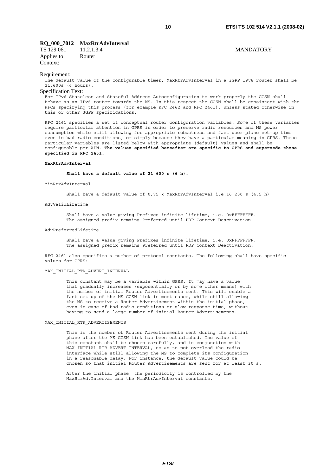### **RQ\_000\_7012 MaxRtrAdvInterval**

TS 129 061 11.2.1.3.4 MANDATORY Applies to: Router Context:

#### Requirement:

The default value of the configurable timer, MaxRtrAdvInterval in a 3GPP IPv6 router shall be 21,600s (6 hours).

### Specification Text:

For IPv6 Stateless and Stateful Address Autoconfiguration to work properly the GGSN shall behave as an IPv6 router towards the MS. In this respect the GGSN shall be consistent with the RFCs specifying this process (for example RFC 2462 and RFC 2461), unless stated otherwise in this or other 3GPP specifications.

RFC 2461 specifies a set of conceptual router configuration variables. Some of these variables require particular attention in GPRS in order to preserve radio resources and MS power consumption while still allowing for appropriate robustness and fast user-plane set-up time even in bad radio conditions, or simply because they have a particular meaning in GPRS. These particular variables are listed below with appropriate (default) values and shall be configurable per APN. **The values specified hereafter are specific to GPRS and supersede those specified in RFC 2461.**

#### **MaxRtrAdvInterval**

 **Shall have a default value of 21 600 s (6 h).**

MinRtrAdvInterval

Shall have a default value of 0,75 × MaxRtrAdvInterval i.e.16 200 s (4,5 h).

AdvValidLifetime

 Shall have a value giving Prefixes infinite lifetime, i.e. 0xFFFFFFFF. The assigned prefix remains Preferred until PDP Context Deactivation.

#### AdvPreferredLifetime

 Shall have a value giving Prefixes infinite lifetime, i.e. 0xFFFFFFFF. The assigned prefix remains Preferred until PDP Context Deactivation.

RFC 2461 also specifies a number of protocol constants. The following shall have specific values for GPRS:

#### MAX\_INITIAL\_RTR\_ADVERT\_INTERVAL

 This constant may be a variable within GPRS. It may have a value that gradually increases (exponentially or by some other means) with the number of initial Router Advertisements sent. This will enable a fast set-up of the MS-GGSN link in most cases, while still allowing the MS to receive a Router Advertisement within the initial phase, even in case of bad radio conditions or slow response time, without having to send a large number of initial Router Advertisements.

#### MAX\_INITIAL\_RTR\_ADVERTISEMENTS

 This is the number of Router Advertisements sent during the initial phase after the MS-GGSN link has been established. The value of this constant shall be chosen carefully, and in conjunction with MAX INITIAL RTR ADVERT INTERVAL, so as to not overload the radio interface while still allowing the MS to complete its configuration in a reasonable delay. For instance, the default value could be chosen so that initial Router Advertisements are sent for at least 30 s.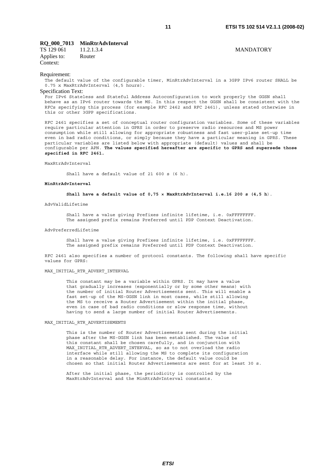### **RQ\_000\_7013 MinRtrAdvInterval**

TS 129 061 11.2.1.3.4 MANDATORY Applies to: Router Context:

#### Requirement:

The default value of the configurable timer, MinRtrAdvInterval in a 3GPP IPv6 router SHALL be 0.75 x MaxRtrAdvInterval (4,5 hours).

### Specification Text:

For IPv6 Stateless and Stateful Address Autoconfiguration to work properly the GGSN shall behave as an IPv6 router towards the MS. In this respect the GGSN shall be consistent with the RFCs specifying this process (for example RFC 2462 and RFC 2461), unless stated otherwise in this or other 3GPP specifications.

RFC 2461 specifies a set of conceptual router configuration variables. Some of these variables require particular attention in GPRS in order to preserve radio resources and MS power consumption while still allowing for appropriate robustness and fast user-plane set-up time even in bad radio conditions, or simply because they have a particular meaning in GPRS. These particular variables are listed below with appropriate (default) values and shall be configurable per APN. **The values specified hereafter are specific to GPRS and supersede those specified in RFC 2461.**

#### MaxRtrAdvInterval

Shall have a default value of 21 600 s (6 h).

#### **MinRtrAdvInterval**

 **Shall have a default value of 0,75 × MaxRtrAdvInterval i.e.16 200 s (4,5 h**).

#### AdvValidLifetime

 Shall have a value giving Prefixes infinite lifetime, i.e. 0xFFFFFFFF. The assigned prefix remains Preferred until PDP Context Deactivation.

#### AdvPreferredLifetime

 Shall have a value giving Prefixes infinite lifetime, i.e. 0xFFFFFFFF. The assigned prefix remains Preferred until PDP Context Deactivation.

RFC 2461 also specifies a number of protocol constants. The following shall have specific values for GPRS:

#### MAX\_INITIAL\_RTR\_ADVERT\_INTERVAL

 This constant may be a variable within GPRS. It may have a value that gradually increases (exponentially or by some other means) with the number of initial Router Advertisements sent. This will enable a fast set-up of the MS-GGSN link in most cases, while still allowing the MS to receive a Router Advertisement within the initial phase, even in case of bad radio conditions or slow response time, without having to send a large number of initial Router Advertisements.

#### MAX\_INITIAL\_RTR\_ADVERTISEMENTS

 This is the number of Router Advertisements sent during the initial phase after the MS-GGSN link has been established. The value of this constant shall be chosen carefully, and in conjunction with MAX INITIAL RTR ADVERT INTERVAL, so as to not overload the radio interface while still allowing the MS to complete its configuration in a reasonable delay. For instance, the default value could be chosen so that initial Router Advertisements are sent for at least 30 s.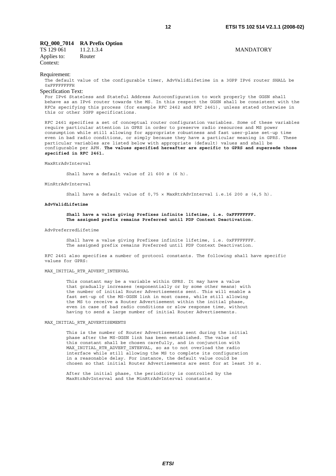### **RQ\_000\_7014 RA Prefix Option**

TS 129 061 11.2.1.3.4 MANDATORY Applies to: Router Context:

#### Requirement:

The default value of the configurable timer, AdvValidLifetime in a 3GPP IPv6 router SHALL be 0xFFFFFFFFH

#### Specification Text:

For IPv6 Stateless and Stateful Address Autoconfiguration to work properly the GGSN shall behave as an IPv6 router towards the MS. In this respect the GGSN shall be consistent with the RFCs specifying this process (for example RFC 2462 and RFC 2461), unless stated otherwise in this or other 3GPP specifications.

RFC 2461 specifies a set of conceptual router configuration variables. Some of these variables require particular attention in GPRS in order to preserve radio resources and MS power consumption while still allowing for appropriate robustness and fast user-plane set-up time even in bad radio conditions, or simply because they have a particular meaning in GPRS. These particular variables are listed below with appropriate (default) values and shall be configurable per APN. **The values specified hereafter are specific to GPRS and supersede those specified in RFC 2461.**

#### MaxRtrAdvInterval

Shall have a default value of 21 600 s (6 h).

#### MinRtrAdvInterval

Shall have a default value of 0,75 × MaxRtrAdvInterval i.e.16 200 s (4,5 h).

#### **AdvValidLifetime**

#### **Shall have a value giving Prefixes infinite lifetime, i.e. 0xFFFFFFFF. The assigned prefix remains Preferred until PDP Context Deactivation**.

#### AdvPreferredLifetime

 Shall have a value giving Prefixes infinite lifetime, i.e. 0xFFFFFFFF. The assigned prefix remains Preferred until PDP Context Deactivation.

RFC 2461 also specifies a number of protocol constants. The following shall have specific values for GPRS:

#### MAX\_INITIAL\_RTR\_ADVERT\_INTERVAL

 This constant may be a variable within GPRS. It may have a value that gradually increases (exponentially or by some other means) with the number of initial Router Advertisements sent. This will enable a fast set-up of the MS-GGSN link in most cases, while still allowing the MS to receive a Router Advertisement within the initial phase, even in case of bad radio conditions or slow response time, without having to send a large number of initial Router Advertisements.

#### MAX\_INITIAL\_RTR\_ADVERTISEMENTS

 This is the number of Router Advertisements sent during the initial phase after the MS-GGSN link has been established. The value of this constant shall be chosen carefully, and in conjunction with MAX INITIAL RTR ADVERT INTERVAL, so as to not overload the radio interface while still allowing the MS to complete its configuration in a reasonable delay. For instance, the default value could be chosen so that initial Router Advertisements are sent for at least 30 s.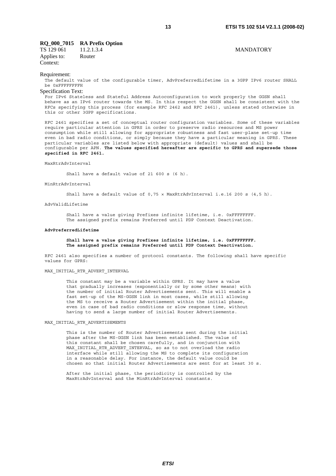### **RQ\_000\_7015 RA Prefix Option**

TS 129 061 11.2.1.3.4 MANDATORY Applies to: Router Context:

#### Requirement:

The default value of the configurable timer, AdvPreferredLifetime in a 3GPP IPv6 router SHALL be 0xFFFFFFFFH

#### Specification Text:

For IPv6 Stateless and Stateful Address Autoconfiguration to work properly the GGSN shall behave as an IPv6 router towards the MS. In this respect the GGSN shall be consistent with the RFCs specifying this process (for example RFC 2462 and RFC 2461), unless stated otherwise in this or other 3GPP specifications.

RFC 2461 specifies a set of conceptual router configuration variables. Some of these variables require particular attention in GPRS in order to preserve radio resources and MS power consumption while still allowing for appropriate robustness and fast user-plane set-up time even in bad radio conditions, or simply because they have a particular meaning in GPRS. These particular variables are listed below with appropriate (default) values and shall be configurable per APN. **The values specified hereafter are specific to GPRS and supersede those specified in RFC 2461.**

#### MaxRtrAdvInterval

Shall have a default value of 21 600 s (6 h).

#### MinRtrAdvInterval

Shall have a default value of 0,75 × MaxRtrAdvInterval i.e.16 200 s (4,5 h).

#### AdvValidLifetime

 Shall have a value giving Prefixes infinite lifetime, i.e. 0xFFFFFFFF. The assigned prefix remains Preferred until PDP Context Deactivation.

#### **AdvPreferredLifetime**

#### **Shall have a value giving Prefixes infinite lifetime, i.e. 0xFFFFFFFF. The assigned prefix remains Preferred until PDP Context Deactivation.**

RFC 2461 also specifies a number of protocol constants. The following shall have specific values for GPRS:

#### MAX\_INITIAL\_RTR\_ADVERT\_INTERVAL

 This constant may be a variable within GPRS. It may have a value that gradually increases (exponentially or by some other means) with the number of initial Router Advertisements sent. This will enable a fast set-up of the MS-GGSN link in most cases, while still allowing the MS to receive a Router Advertisement within the initial phase, even in case of bad radio conditions or slow response time, without having to send a large number of initial Router Advertisements.

#### MAX\_INITIAL\_RTR\_ADVERTISEMENTS

 This is the number of Router Advertisements sent during the initial phase after the MS-GGSN link has been established. The value of this constant shall be chosen carefully, and in conjunction with MAX INITIAL RTR ADVERT INTERVAL, so as to not overload the radio interface while still allowing the MS to complete its configuration in a reasonable delay. For instance, the default value could be chosen so that initial Router Advertisements are sent for at least 30 s.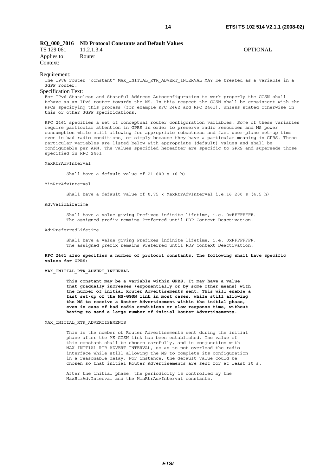#### **RQ\_000\_7016 ND Protocol Constants and Default Values**

| TS 129 061  | 11.2.1.3.4 | OPTIONAL |
|-------------|------------|----------|
| Applies to: | Router     |          |
| Context:    |            |          |

Requirement:

The IPv6 router "constant" MAX INITIAL RTR ADVERT INTERVAL MAY be treated as a variable in a 3GPP router.

#### Specification Text:

For IPv6 Stateless and Stateful Address Autoconfiguration to work properly the GGSN shall behave as an IPv6 router towards the MS. In this respect the GGSN shall be consistent with the RFCs specifying this process (for example RFC 2462 and RFC 2461), unless stated otherwise in this or other 3GPP specifications.

RFC 2461 specifies a set of conceptual router configuration variables. Some of these variables require particular attention in GPRS in order to preserve radio resources and MS power consumption while still allowing for appropriate robustness and fast user-plane set-up time even in bad radio conditions, or simply because they have a particular meaning in GPRS. These particular variables are listed below with appropriate (default) values and shall be configurable per APN. The values specified hereafter are specific to GPRS and supersede those specified in RFC 2461.

#### MaxRtrAdvInterval

Shall have a default value of 21 600 s (6 h).

MinRtrAdvInterval

Shall have a default value of 0,75 × MaxRtrAdvInterval i.e.16 200 s (4,5 h).

AdvValidLifetime

 Shall have a value giving Prefixes infinite lifetime, i.e. 0xFFFFFFFF. The assigned prefix remains Preferred until PDP Context Deactivation.

#### AdvPreferredLifetime

 Shall have a value giving Prefixes infinite lifetime, i.e. 0xFFFFFFFF. The assigned prefix remains Preferred until PDP Context Deactivation.

**RFC 2461 also specifies a number of protocol constants. The following shall have specific values for GPRS:** 

#### **MAX\_INITIAL\_RTR\_ADVERT\_INTERVAL**

 **This constant may be a variable within GPRS. It may have a value that gradually increases (exponentially or by some other means) with the number of initial Router Advertisements sent. This will enable a fast set-up of the MS-GGSN link in most cases, while still allowing the MS to receive a Router Advertisement within the initial phase, even in case of bad radio conditions or slow response time, without having to send a large number of initial Router Advertisements.**

#### MAX\_INITIAL\_RTR\_ADVERTISEMENTS

 This is the number of Router Advertisements sent during the initial phase after the MS-GGSN link has been established. The value of this constant shall be chosen carefully, and in conjunction with MAX INITIAL RTR ADVERT INTERVAL, so as to not overload the radio interface while still allowing the MS to complete its configuration in a reasonable delay. For instance, the default value could be chosen so that initial Router Advertisements are sent for at least 30 s.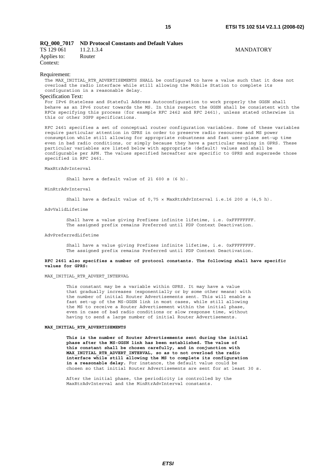#### **RQ\_000\_7017 ND Protocol Constants and Default Values**

| TS 129 061              | 11.2.1.3.4 | <b>MANDATORY</b> |
|-------------------------|------------|------------------|
| Applies to:<br>Context: | Router     |                  |

#### Requirement:

The MAX\_INITIAL\_RTR\_ADVERTISEMENTS SHALL be configured to have a value such that it does not overload the radio interface while still allowing the Mobile Station to complete its configuration in a reasonable delay.

#### Specification Text:

For IPv6 Stateless and Stateful Address Autoconfiguration to work properly the GGSN shall behave as an IPv6 router towards the MS. In this respect the GGSN shall be consistent with the RFCs specifying this process (for example RFC 2462 and RFC 2461), unless stated otherwise in this or other 3GPP specifications.

RFC 2461 specifies a set of conceptual router configuration variables. Some of these variables require particular attention in GPRS in order to preserve radio resources and MS power consumption while still allowing for appropriate robustness and fast user-plane set-up time even in bad radio conditions, or simply because they have a particular meaning in GPRS. These particular variables are listed below with appropriate (default) values and shall be configurable per APN. The values specified hereafter are specific to GPRS and supersede those specified in RFC 2461.

#### MaxRtrAdvInterval

Shall have a default value of 21 600 s (6 h).

#### MinRtrAdvInterval

Shall have a default value of 0,75 × MaxRtrAdvInterval i.e.16 200 s (4,5 h).

#### AdvValidLifetime

 Shall have a value giving Prefixes infinite lifetime, i.e. 0xFFFFFFFF. The assigned prefix remains Preferred until PDP Context Deactivation.

#### AdvPreferredLifetime

 Shall have a value giving Prefixes infinite lifetime, i.e. 0xFFFFFFFF. The assigned prefix remains Preferred until PDP Context Deactivation.

#### **RFC 2461 also specifies a number of protocol constants. The following shall have specific values for GPRS:**

#### MAX\_INITIAL\_RTR\_ADVERT\_INTERVAL

 This constant may be a variable within GPRS. It may have a value that gradually increases (exponentially or by some other means) with the number of initial Router Advertisements sent. This will enable a fast set-up of the MS-GGSN link in most cases, while still allowing the MS to receive a Router Advertisement within the initial phase, even in case of bad radio conditions or slow response time, without having to send a large number of initial Router Advertisements.

#### **MAX\_INITIAL\_RTR\_ADVERTISEMENTS**

 **This is the number of Router Advertisements sent during the initial phase after the MS-GGSN link has been established. The value of this constant shall be chosen carefully, and in conjunction with MAX\_INITIAL\_RTR\_ADVERT\_INTERVAL, so as to not overload the radio interface while still allowing the MS to complete its configuration in a reasonable delay.** For instance, the default value could be chosen so that initial Router Advertisements are sent for at least 30 s.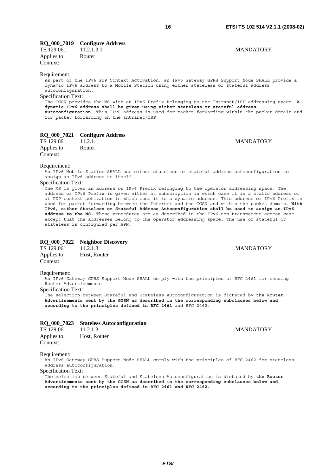# **RQ\_000\_7019 Configure Address**

TS 129 061 11.2.1.3.1 MANDATORY Applies to: Router Context:

#### Requirement:

As part of the IPv6 PDP Context Activation, an IPv6 Gateway GPRS Support Node SHALL provide a dynamic IPv6 address to a Mobile Station using either stateless or stateful address autoconfiguration.

### Specification Text:

The GGSN provides the MS with an IPv6 Prefix belonging to the Intranet/ISP addressing space. **A dynamic IPv6 address shall be given using either stateless or stateful address autoconfiguration.** This IPv6 address is used for packet forwarding within the packet domain and for packet forwarding on the Intranet/ISP

### **RQ\_000\_7021 Configure Address**

TS 129 061 11.2.1.1 MANDATORY Applies to: Router Context:

#### Requirement:

An IPv6 Mobile Station SHALL use either stateless or stateful address autoconfiguration to assign an IPv6 address to itself.

### Specification Text:

The MS is given an address or IPv6 Prefix belonging to the operator addressing space. The address or IPv6 Prefix is given either at subscription in which case it is a static address or at PDP context activation in which case it is a dynamic address. This address or IPv6 Prefix is used for packet forwarding between the Internet and the GGSN and within the packet domain. **With IPv6, either Stateless or Stateful Address Autoconfiguration shall be used to assign an IPv6 address to the MS.** These procedures are as described in the IPv6 non-transparent access case except that the addresses belong to the operator addressing space. The use of stateful or stateless is configured per APN.

# **RQ\_000\_7022 Neighbor Discovery**<br> **TS** 129 061 11.2.1.3

TS 11.2.1.3 MANDATORY Applies to: Host, Router Context:

#### Requirement:

An IPv6 Gateway GPRS Support Node SHALL comply with the principles of RFC 2461 for sending Router Advertisements.

Specification Text:

The selection between Stateful and Stateless Autoconfiguration is dictated by **the Router Advertisements sent by the GGSN as described in the corresponding subclauses below and according to the principles defined in RFC 2461** and RFC 2462.

### **RQ\_000\_7023 Stateless Autoconfiguration**

TS 129 061 11.2.1.3 MANDATORY Applies to: Host, Router Context:

#### Requirement:

An IPv6 Gateway GPRS Support Node SHALL comply with the principles of RFC 2462 for stateless address autoconfiguration.

#### Specification Text:

The selection between Stateful and Stateless Autoconfiguration is dictated by **the Router Advertisements sent by the GGSN as described in the corresponding subclauses below and according to the principles defined in RFC 2461 and RFC 2462.**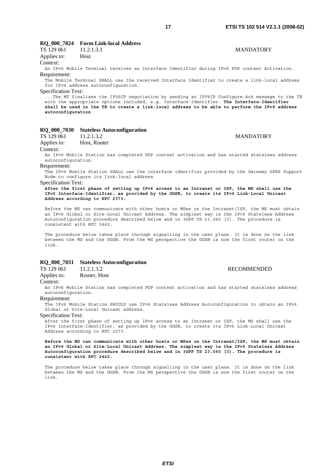### **RQ\_000\_7024 Form Link-local Address**

| TS 129 061  | 11.2.1.3.1 |
|-------------|------------|
| Applies to: | Host       |

Context:

An IPv6 Mobile Terminal receives an Interface Identifier during IPv6 PDP context Activation. Requirement:

The Mobile Terminal SHALL use the received Interface Identifier to create a link-local address for IPv6 address autoconfiguration.

Specification Text:

...The MT finalises the IPV6CP negotiation by sending an IPV6CP Configure-Ack message to the TE with the appropriate options included, e.g. Interface-Identifier. **The Interface-Identifier shall be used in the TE to create a link-local address to be able to perform the IPv6 address autoconfiguration** 

### **RQ\_000\_7030 Stateless Autoconfiguration**

### TS 129 061 11.2.1.3.2 MANDATORY

Applies to: Host, Router Context:

An IPv6 Mobile Station has completed PDP context activation and has started stateless address autoconfiguration.

Requirement:

The IPv6 Mobile Station SHALL use the interface identifier provided by the Gateway GPRS Support Node to configure its link-local address.

#### Specification Text:

**After the first phase of setting up IPv6 access to an Intranet or ISP, the MS shall use the IPv6 Interface-Identifier, as provided by the GGSN, to create its IPv6 Link-Local Unicast Address according to RFC 2373.**

Before the MS can communicate with other hosts or MSes on the Intranet/ISP, the MS must obtain an IPv6 Global or Site-Local Unicast Address. The simplest way is the IPv6 Stateless Address Autoconfiguration procedure described below and in 3GPP TS 23.060 [3]. The procedure is consistent with RFC 2462.

The procedure below takes place through signalling in the user plane. It is done on the link between the MS and the GGSN. From the MS perspective the GGSN is now the first router on the link.

### **RQ\_000\_7031 Stateless Autoconfiguration**

| TS 129 061  | 11.2.1.3.2   |
|-------------|--------------|
| Applies to: | Router, Host |

Context:

An IPv6 Mobile Station has completed PDP context activation and has started stateless address autoconfiguration.

#### Requirement:

The IPv6 Mobile Station SHOULD use IPv6 Stateless Address Autoconfiguration to obtain an IPv6 Global or Site-Local Unicast address.

Specification Text:

After the first phase of setting up IPv6 access to an Intranet or ISP, the MS shall use the IPv6 Interface-Identifier, as provided by the GGSN, to create its IPv6 Link-Local Unicast Address according to RFC 2373.

**Before the MS can communicate with other hosts or MSes on the Intranet/ISP, the MS must obtain an IPv6 Global or Site-Local Unicast Address. The simplest way is the IPv6 Stateless Address Autoconfiguration procedure described below and in 3GPP TS 23.060 [3]. The procedure is consistent with RFC 2462.**

The procedure below takes place through signalling in the user plane. It is done on the link between the MS and the GGSN. From the MS perspective the GGSN is now the first router on the link.

# **MANDATORY**

**RECOMMENDED**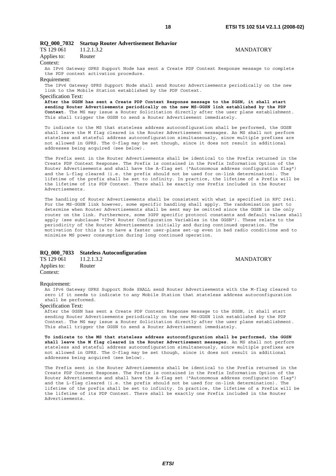### **RQ\_000\_7032 Startup Router Advertisement Behavior**

| TS 129 061  | 11.2.1.3.2 |
|-------------|------------|
| Applies to: | Router     |

## Context:

An IPv6 Gateway GPRS Support Node has sent a Create PDP Context Response message to complete the PDP context activation procedure.

#### Requirement:

The IPv6 Gateway GPRS Support Node shall send Router Advertisements periodically on the new link to the Mobile Station established by the PDP Context.

#### Specification Text:

**After the GGSN has sent a Create PDP Context Response message to the SGSN, it shall start sending Router Advertisements periodically on the new MS-GGSN link established by the PDP Context**. The MS may issue a Router Solicitation directly after the user plane establishment. This shall trigger the GGSN to send a Router Advertisement immediately.

To indicate to the MS that stateless address autoconfiguration shall be performed, the GGSN shall leave the M flag cleared in the Router Advertisement messages. An MS shall not perform stateless and stateful address autoconfiguration simultaneously, since multiple prefixes are not allowed in GPRS. The O-flag may be set though, since it does not result in additional addresses being acquired (see below).

The Prefix sent in the Router Advertisements shall be identical to the Prefix returned in the Create PDP Context Response. The Prefix is contained in the Prefix Information Option of the Router Advertisements and shall have the A-flag set ("Autonomous address configuration flag") and the L-flag cleared (i.e. the prefix should not be used for on-link determination). The lifetime of the prefix shall be set to infinity. In practice, the lifetime of a Prefix will be the lifetime of its PDP Context. There shall be exactly one Prefix included in the Router Advertisements.

The handling of Router Advertisements shall be consistent with what is specified in RFC 2461. For the MS-GGSN link however, some specific handling shall apply. The randomisation part to determine when Router Advertisements shall be sent may be omitted since the GGSN is the only router on the link. Furthermore, some 3GPP specific protocol constants and default values shall apply (see subclause "IPv6 Router Configuration Variables in the GGSN"). These relate to the periodicity of the Router Advertisements initially and during continued operation. The motivation for this is to have a faster user-plane set-up even in bad radio conditions and to minimize MS power consumption during long continued operation.

#### **RQ\_000\_7033 Stateless Autoconfiguration**

| TS 129 061  | 11.2.1.3.2 |
|-------------|------------|
| Applies to: | Router     |
| Context:    |            |

**MANDATORY** 

#### Requirement:

An IPv6 Gateway GPRS Support Node SHALL send Router Advertisements with the M-flag cleared to zero if it needs to indicate to any Mobile Station that stateless address autoconfiguration shall be performed.

#### Specification Text:

After the GGSN has sent a Create PDP Context Response message to the SGSN, it shall start sending Router Advertisements periodically on the new MS-GGSN link established by the PDP Context. The MS may issue a Router Solicitation directly after the user plane establishment. This shall trigger the GGSN to send a Router Advertisement immediately.

**To indicate to the MS that stateless address autoconfiguration shall be performed, the GGSN shall leave the M flag cleared in the Router Advertisement messages**. An MS shall not perform stateless and stateful address autoconfiguration simultaneously, since multiple prefixes are not allowed in GPRS. The O-flag may be set though, since it does not result in additional addresses being acquired (see below).

The Prefix sent in the Router Advertisements shall be identical to the Prefix returned in the Create PDP Context Response. The Prefix is contained in the Prefix Information Option of the Router Advertisements and shall have the A-flag set ("Autonomous address configuration flag") and the L-flag cleared (i.e. the prefix should not be used for on-link determination). The lifetime of the prefix shall be set to infinity. In practice, the lifetime of a Prefix will be the lifetime of its PDP Context. There shall be exactly one Prefix included in the Router Advertisements.

**MANDATORY**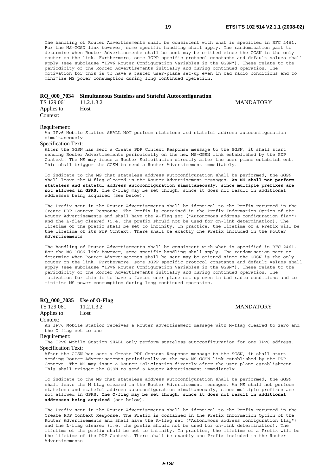The handling of Router Advertisements shall be consistent with what is specified in RFC 2461. For the MS-GGSN link however, some specific handling shall apply. The randomisation part to determine when Router Advertisements shall be sent may be omitted since the GGSN is the only router on the link. Furthermore, some 3GPP specific protocol constants and default values shall apply (see subclause "IPv6 Router Configuration Variables in the GGSN"). These relate to the periodicity of the Router Advertisements initially and during continued operation. The motivation for this is to have a faster user-plane set-up even in bad radio conditions and to minimize MS power consumption during long continued operation.

### **RQ\_000\_7034 Simultaneous Stateless and Stateful Autoconfiguration**

TS 129 061 11.2.1.3.2 MANDATORY<br>Applies to: Host Applies to: Context:

# Requirement:

An IPv6 Mobile Station SHALL NOT perform stateless and stateful address autoconfiguration simultaneously.

#### Specification Text:

After the GGSN has sent a Create PDP Context Response message to the SGSN, it shall start sending Router Advertisements periodically on the new MS-GGSN link established by the PDP Context. The MS may issue a Router Solicitation directly after the user plane establishment. This shall trigger the GGSN to send a Router Advertisement immediately.

To indicate to the MS that stateless address autoconfiguration shall be performed, the GGSN shall leave the M flag cleared in the Router Advertisement messages. **An MS shall not perform stateless and stateful address autoconfiguration simultaneously, since multiple prefixes are not allowed in GPRS.** The O-flag may be set though, since it does not result in additional addresses being acquired (see below).

The Prefix sent in the Router Advertisements shall be identical to the Prefix returned in the Create PDP Context Response. The Prefix is contained in the Prefix Information Option of the Router Advertisements and shall have the A-flag set ("Autonomous address configuration flag") and the L-flag cleared (i.e. the prefix should not be used for on-link determination). The lifetime of the prefix shall be set to infinity. In practice, the lifetime of a Prefix will be the lifetime of its PDP Context. There shall be exactly one Prefix included in the Router Advertisements.

The handling of Router Advertisements shall be consistent with what is specified in RFC 2461. For the MS-GGSN link however, some specific handling shall apply. The randomisation part to determine when Router Advertisements shall be sent may be omitted since the GGSN is the only router on the link. Furthermore, some 3GPP specific protocol constants and default values shall apply (see subclause "IPv6 Router Configuration Variables in the GGSN"). These relate to the periodicity of the Router Advertisements initially and during continued operation. The motivation for this is to have a faster user-plane set-up even in bad radio conditions and to minimize MS power consumption during long continued operation.

#### **RQ\_000\_7035 Use of O-Flag**

TS 129 061 11.2.1.3.2 MANDATORY Applies to: Host

#### Context:

An IPv6 Mobile Station receives a Router advertisement message with M-flag cleared to zero and the O-flag set to one.

#### Requirement:

The IPv6 Mobile Station SHALL only perform stateless autoconfiguration for one IPv6 address. Specification Text:

After the GGSN has sent a Create PDP Context Response message to the SGSN, it shall start sending Router Advertisements periodically on the new MS-GGSN link established by the PDP Context. The MS may issue a Router Solicitation directly after the user plane establishment. This shall trigger the GGSN to send a Router Advertisement immediately.

To indicate to the MS that stateless address autoconfiguration shall be performed, the GGSN shall leave the M flag cleared in the Router Advertisement messages. An MS shall not perform stateless and stateful address autoconfiguration simultaneously, since multiple prefixes are not allowed in GPRS. **The O-flag may be set though, since it does not result in additional addresses being acquired** (see below).

The Prefix sent in the Router Advertisements shall be identical to the Prefix returned in the Create PDP Context Response. The Prefix is contained in the Prefix Information Option of the Router Advertisements and shall have the A-flag set ("Autonomous address configuration flag") and the L-flag cleared (i.e. the prefix should not be used for on-link determination). The lifetime of the prefix shall be set to infinity. In practice, the lifetime of a Prefix will be the lifetime of its PDP Context. There shall be exactly one Prefix included in the Router Advertisements.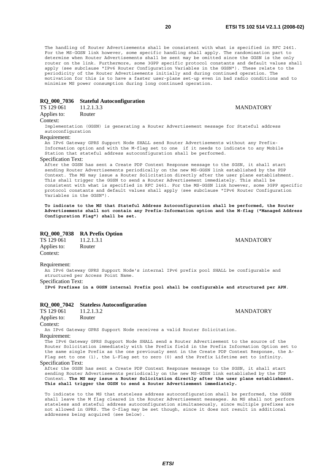The handling of Router Advertisements shall be consistent with what is specified in RFC 2461. For the MS-GGSN link however, some specific handling shall apply. The randomisation part to determine when Router Advertisements shall be sent may be omitted since the GGSN is the only router on the link. Furthermore, some 3GPP specific protocol constants and default values shall apply (see subclause "IPv6 Router Configuration Variables in the GGSN"). These relate to the periodicity of the Router Advertisements initially and during continued operation. The motivation for this is to have a faster user-plane set-up even in bad radio conditions and to minimize MS power consumption during long continued operation.

#### **RQ\_000\_7036 Stateful Autoconfiguration**

| TS 129 061  | 11.2.1.3.3 |
|-------------|------------|
| Applies to: | Router     |

#### Context:

Implementation (GGSN) is generating a Router Advertisement message for Stateful address autoconfiguration

#### Requirement:

An IPv6 Gateway GPRS Support Node SHALL send Router Advertisements without any Prefix-Information option and with the M-flag set to one if it needs to indicate to any Mobile Station that stateful address autoconfiguration shall be performed.

#### Specification Text:

After the GGSN has sent a Create PDP Context Response message to the SGSN, it shall start sending Router Advertisements periodically on the new MS-GGSN link established by the PDP Context. The MS may issue a Router Solicitation directly after the user plane establishment. This shall trigger the GGSN to send a Router Advertisement immediately. This shall be consistent with what is specified in RFC 2461. For the MS-GGSN link however, some 3GPP specific protocol constants and default values shall apply (see subclause "IPv6 Router Configuration Variables in the GGSN").

**To indicate to the MS that Stateful Address Autoconfiguration shall be performed, the Router Advertisements shall not contain any Prefix-Information option and the M-flag ("Managed Address Configuration Flag") shall be set.**

#### **RQ\_000\_7038 RA Prefix Option**

TS 129 061 11.2.1.3.1 MANDATORY Applies to: Router Context:

#### Requirement:

An IPv6 Gateway GPRS Support Node's internal IPv6 prefix pool SHALL be configurable and structured per Access Point Name.

#### Specification Text:

**IPv6 Prefixes in a GGSN internal Prefix pool shall be configurable and structured per APN**.

#### **RQ\_000\_7042 Stateless Autoconfiguration**

| TS 129 061  | 11.2.1.3.2 |
|-------------|------------|
| Applies to: | Router     |

#### Context:

An IPv6 Gateway GPRS Support Node receives a valid Router Solicitation. Requirement:

The IPv6 Gateway GPRS Support Node SHALL send a Router Advertisement to the source of the Router Solicitation immediately with the Prefix field in the Prefix Information Option set to the same single Prefix as the one previously sent in the Create PDP Context Response, the A-Flag set to one (1), the L-Flag set to zero (0) and the Prefix Lifetime set to infinity.

#### Specification Text:

After the GGSN has sent a Create PDP Context Response message to the SGSN, it shall start sending Router Advertisements periodically on the new MS-GGSN link established by the PDP Context. **The MS may issue a Router Solicitation directly after the user plane establishment. This shall trigger the GGSN to send a Router Advertisement immediately.**

To indicate to the MS that stateless address autoconfiguration shall be performed, the GGSN shall leave the M flag cleared in the Router Advertisement messages. An MS shall not perform stateless and stateful address autoconfiguration simultaneously, since multiple prefixes are not allowed in GPRS. The O-flag may be set though, since it does not result in additional addresses being acquired (see below).

**MANDATORY** 

**MANDATORY**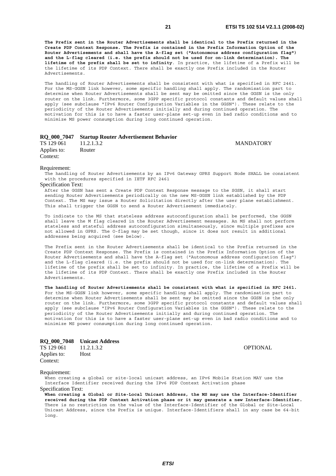**The Prefix sent in the Router Advertisements shall be identical to the Prefix returned in the Create PDP Context Response. The Prefix is contained in the Prefix Information Option of the Router Advertisements and shall have the A-flag set ("Autonomous address configuration flag") and the L-flag cleared (i.e. the prefix should not be used for on-link determination). The lifetime of the prefix shall be set to infinity**. In practice, the lifetime of a Prefix will be the lifetime of its PDP Context. There shall be exactly one Prefix included in the Router Advertisements.

The handling of Router Advertisements shall be consistent with what is specified in RFC 2461. For the MS-GGSN link however, some specific handling shall apply. The randomisation part to determine when Router Advertisements shall be sent may be omitted since the GGSN is the only router on the link. Furthermore, some 3GPP specific protocol constants and default values shall apply (see subclause "IPv6 Router Configuration Variables in the GGSN"). These relate to the periodicity of the Router Advertisements initially and during continued operation. The motivation for this is to have a faster user-plane set-up even in bad radio conditions and to minimize MS power consumption during long continued operation.

#### **RQ\_000\_7047 Startup Router Advertisement Behavior**

TS 129 061 11.2.1.3.2 MANDATORY Applies to: Router Context:

#### Requirement:

The handling of Router Advertisements by an IPv6 Gateway GPRS Support Node SHALL be consistent with the procedures specified in IETF RFC 2461

### Specification Text:

After the GGSN has sent a Create PDP Context Response message to the SGSN, it shall start sending Router Advertisements periodically on the new MS-GGSN link established by the PDP Context. The MS may issue a Router Solicitation directly after the user plane establishment. This shall trigger the GGSN to send a Router Advertisement immediately.

To indicate to the MS that stateless address autoconfiguration shall be performed, the GGSN shall leave the M flag cleared in the Router Advertisement messages. An MS shall not perform stateless and stateful address autoconfiguration simultaneously, since multiple prefixes are not allowed in GPRS. The O-flag may be set though, since it does not result in additional addresses being acquired (see below).

The Prefix sent in the Router Advertisements shall be identical to the Prefix returned in the Create PDP Context Response. The Prefix is contained in the Prefix Information Option of the Router Advertisements and shall have the A-flag set ("Autonomous address configuration flag") and the L-flag cleared (i.e. the prefix should not be used for on-link determination). The lifetime of the prefix shall be set to infinity. In practice, the lifetime of a Prefix will be the lifetime of its PDP Context. There shall be exactly one Prefix included in the Router Advertisements.

**The handling of Router Advertisements shall be consistent with what is specified in RFC 2461.**  For the MS-GGSN link however, some specific handling shall apply. The randomisation part to determine when Router Advertisements shall be sent may be omitted since the GGSN is the only router on the link. Furthermore, some 3GPP specific protocol constants and default values shall apply (see subclause "IPv6 Router Configuration Variables in the GGSN"). These relate to the periodicity of the Router Advertisements initially and during continued operation. The motivation for this is to have a faster user-plane set-up even in bad radio conditions and to minimize MS power consumption during long continued operation.

#### **RQ\_000\_7048 Unicast Address**

TS 129 061 11.2.1.3.2 OPTIONAL Applies to: Host Context:

#### Requirement:

When creating a global or site-local unicast address, an IPv6 Mobile Station MAY use the Interface Identifier received during the IPv6 PDP Context Activation phase Specification Text:

**When creating a Global or Site-Local Unicast Address, the MS may use the Interface-Identifier received during the PDP Context Activation phase or it may generate a new Interface-Identifier.**  There is no restriction on the value of the Interface-Identifier of the Global or Site-Local Unicast Address, since the Prefix is unique. Interface-Identifiers shall in any case be 64-bit long.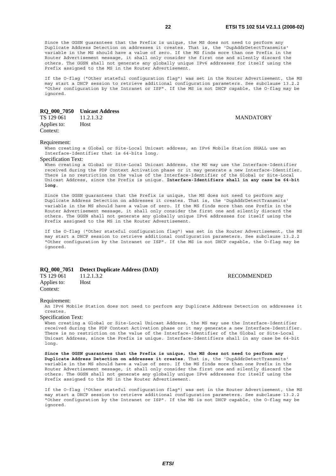Since the GGSN guarantees that the Prefix is unique, the MS does not need to perform any Duplicate Address Detection on addresses it creates. That is, the 'DupAddrDetectTransmits' variable in the MS should have a value of zero. If the MS finds more than one Prefix in the Router Advertisement message, it shall only consider the first one and silently discard the others. The GGSN shall not generate any globally unique IPv6 addresses for itself using the Prefix assigned to the MS in the Router Advertisement.

If the O-flag ("Other stateful configuration flag") was set in the Router Advertisement, the MS may start a DHCP session to retrieve additional configuration parameters. See subclause 13.2.2 "Other configuration by the Intranet or ISP". If the MS is not DHCP capable, the O-flag may be ignored.

|             | RO 000 7050 Unicast Address |
|-------------|-----------------------------|
| TS 129 061  | 11.2.1.3.2                  |
| Applies to: | <b>Host</b>                 |

**MANDATORY** 

#### Requirement:

Context:

When creating a Global or Site-Local Unicast address, an IPv6 Mobile Station SHALL use an Interface-Identifier that is 64-bits long.

#### Specification Text:

When creating a Global or Site-Local Unicast Address, the MS may use the Interface-Identifier received during the PDP Context Activation phase or it may generate a new Interface-Identifier. There is no restriction on the value of the Interface-Identifier of the Global or Site-Local Unicast Address, since the Prefix is unique. **Interface-Identifiers shall in any case be 64-bit long**.

Since the GGSN guarantees that the Prefix is unique, the MS does not need to perform any Duplicate Address Detection on addresses it creates. That is, the 'DupAddrDetectTransmits' variable in the MS should have a value of zero. If the MS finds more than one Prefix in the Router Advertisement message, it shall only consider the first one and silently discard the others. The GGSN shall not generate any globally unique IPv6 addresses for itself using the Prefix assigned to the MS in the Router Advertisement.

If the O-flag ("Other stateful configuration flag") was set in the Router Advertisement, the MS may start a DHCP session to retrieve additional configuration parameters. See subclause 13.2.2 "Other configuration by the Intranet or ISP". If the MS is not DHCP capable, the O-flag may be ignored.

#### **RQ\_000\_7051 Detect Duplicate Address (DAD)**

Applies to: Host Context:

TS 129 061 11.2.1.3.2 RECOMMENDED

#### Requirement:

An IPv6 Mobile Station does not need to perform any Duplicate Address Detection on addresses it creates.

Specification Text:

When creating a Global or Site-Local Unicast Address, the MS may use the Interface-Identifier received during the PDP Context Activation phase or it may generate a new Interface-Identifier. There is no restriction on the value of the Interface-Identifier of the Global or Site-Local Unicast Address, since the Prefix is unique. Interface-Identifiers shall in any case be 64-bit long.

**Since the GGSN guarantees that the Prefix is unique, the MS does not need to perform any Duplicate Address Detection on addresses it creates**. That is, the 'DupAddrDetectTransmits' variable in the MS should have a value of zero. If the MS finds more than one Prefix in the Router Advertisement message, it shall only consider the first one and silently discard the others. The GGSN shall not generate any globally unique IPv6 addresses for itself using the Prefix assigned to the MS in the Router Advertisement.

If the O-flag ("Other stateful configuration flag") was set in the Router Advertisement, the MS may start a DHCP session to retrieve additional configuration parameters. See subclause 13.2.2 "Other configuration by the Intranet or ISP". If the MS is not DHCP capable, the O-flag may be ignored.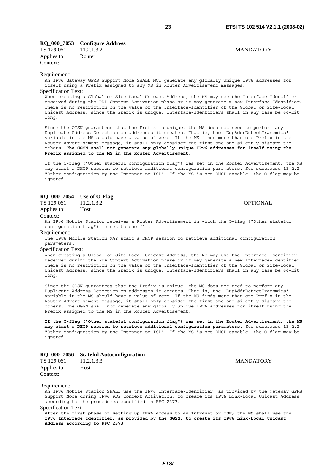### **RQ\_000\_7053 Configure Address**

TS 129 061 11.2.1.3.2 MANDATORY Applies to: Router Context:

#### Requirement:

An IPv6 Gateway GPRS Support Node SHALL NOT generate any globally unique IPv6 addresses for itself using a Prefix assigned to any MS in Router Advertisement messages. Specification Text:

When creating a Global or Site-Local Unicast Address, the MS may use the Interface-Identifier received during the PDP Context Activation phase or it may generate a new Interface-Identifier. There is no restriction on the value of the Interface-Identifier of the Global or Site-Local Unicast Address, since the Prefix is unique. Interface-Identifiers shall in any case be 64-bit long.

Since the GGSN guarantees that the Prefix is unique, the MS does not need to perform any Duplicate Address Detection on addresses it creates. That is, the 'DupAddrDetectTransmits' variable in the MS should have a value of zero. If the MS finds more than one Prefix in the Router Advertisement message, it shall only consider the first one and silently discard the others. **The GGSN shall not generate any globally unique IPv6 addresses for itself using the Prefix assigned to the MS in the Router Advertisement.**

If the O-flag ("Other stateful configuration flag") was set in the Router Advertisement, the MS may start a DHCP session to retrieve additional configuration parameters. See subclause 13.2.2 "Other configuration by the Intranet or ISP". If the MS is not DHCP capable, the O-flag may be ignored.

# **RQ\_000\_7054** Use of O-Flag<br>TS 129 061 11.2.1.3.2

TS 129 061 11.2.1.3.2 OPTIONAL

Applies to: Host Context:

An IPv6 Mobile Station receives a Router Advertisement in which the O-flag ("Other stateful configuration flag") is set to one (1).

Requirement:

The IPv6 Mobile Station MAY start a DHCP session to retrieve additional configuration parameters.

Specification Text:

When creating a Global or Site-Local Unicast Address, the MS may use the Interface-Identifier received during the PDP Context Activation phase or it may generate a new Interface-Identifier. There is no restriction on the value of the Interface-Identifier of the Global or Site-Local Unicast Address, since the Prefix is unique. Interface-Identifiers shall in any case be 64-bit long.

Since the GGSN guarantees that the Prefix is unique, the MS does not need to perform any Duplicate Address Detection on addresses it creates. That is, the 'DupAddrDetectTransmits' variable in the MS should have a value of zero. If the MS finds more than one Prefix in the Router Advertisement message, it shall only consider the first one and silently discard the others. The GGSN shall not generate any globally unique IPv6 addresses for itself using the Prefix assigned to the MS in the Router Advertisement.

**If the O-flag ("Other stateful configuration flag") was set in the Router Advertisement, the MS may start a DHCP session to retrieve additional configuration parameters.** See subclause 13.2.2 "Other configuration by the Intranet or ISP". If the MS is not DHCP capable, the O-flag may be ignored.

#### **RQ\_000\_7056 Stateful Autoconfiguration**

| TS 129 061  | 11.2.1.3.3  |
|-------------|-------------|
| Applies to: | <b>Host</b> |
| Context:    |             |

**MANDATORY** 

#### Requirement:

An IPv6 Mobile Station SHALL use the IPv6 Interface-Identifier, as provided by the gateway GPRS Support Node during IPv6 PDP Context Activation, to create its IPv6 Link-Local Unicast Address according to the procedures specified in RFC 2373.

Specification Text:

**After the first phase of setting up IPv6 access to an Intranet or ISP, the MS shall use the IPv6 Interface Identifier, as provided by the GGSN, to create its IPv6 Link-Local Unicast Address according to RFC 2373**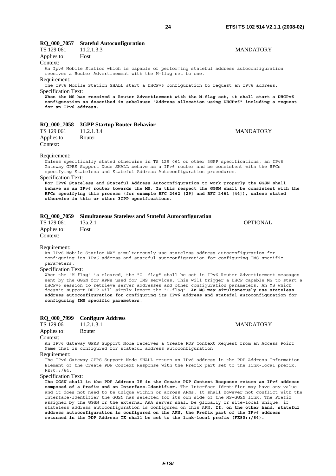**MANDATORY** 

# **RQ\_000\_7057 Stateful Autoconfiguration**

| $\sim$ $\sim$ $\sim$ $\sim$ $\sim$ $\sim$ $\sim$<br>TS 129 061 | 11.2.1.3.3                                                   | <b>MANDATORY</b>                                                                                                                                                                                                                                                                                                                                                                                                                                                                                                                                           |
|----------------------------------------------------------------|--------------------------------------------------------------|------------------------------------------------------------------------------------------------------------------------------------------------------------------------------------------------------------------------------------------------------------------------------------------------------------------------------------------------------------------------------------------------------------------------------------------------------------------------------------------------------------------------------------------------------------|
| Applies to:                                                    | Host                                                         |                                                                                                                                                                                                                                                                                                                                                                                                                                                                                                                                                            |
| Context:                                                       | receives a Router Advertisement with the M-flaq set to one.  | An Ipv6 Mobile Station which is capable of performing stateful address autoconfiguration                                                                                                                                                                                                                                                                                                                                                                                                                                                                   |
| Requirement:                                                   |                                                              |                                                                                                                                                                                                                                                                                                                                                                                                                                                                                                                                                            |
|                                                                |                                                              | The IPv6 Mobile Station SHALL start a DHCPv6 configuration to request an IPv6 address.                                                                                                                                                                                                                                                                                                                                                                                                                                                                     |
| <b>Specification Text:</b><br>for an IPv6 address.             |                                                              | When the MS has received a Router Advertisement with the M-flag set, it shall start a DHCPv6<br>configuration as described in subclause "Address allocation using DHCPv6" including a request                                                                                                                                                                                                                                                                                                                                                              |
|                                                                | RQ_000_7058 3GPP Startup Router Behavior                     |                                                                                                                                                                                                                                                                                                                                                                                                                                                                                                                                                            |
| TS 129 061                                                     | 11.2.1.3.4                                                   | <b>MANDATORY</b>                                                                                                                                                                                                                                                                                                                                                                                                                                                                                                                                           |
| Applies to:                                                    | Router                                                       |                                                                                                                                                                                                                                                                                                                                                                                                                                                                                                                                                            |
| Context:                                                       |                                                              |                                                                                                                                                                                                                                                                                                                                                                                                                                                                                                                                                            |
| Requirement:<br><b>Specification Text:</b>                     |                                                              | Unless specifically stated otherwise in TS 129 061 or other 3GPP specifications, an IPv6<br>Gateway GPRS Support Node SHALL behave as a IPv6 router and be consistent with the RFCs<br>specifying Stateless and Stateful Address Autoconfiguration procedures.<br>For IPv6 Stateless and Stateful Address Autoconfiguration to work properly the GGSN shall<br>behave as an IPv6 router towards the MS. In this respect the GGSN shall be consistent with the<br>RFCs specifying this process (for example RFC 2462 [29] and RFC 2461 [44]), unless stated |
|                                                                | otherwise in this or other 3GPP specifications.              |                                                                                                                                                                                                                                                                                                                                                                                                                                                                                                                                                            |
| RQ 000 7059                                                    | <b>Simultaneous Stateless and Stateful Autoconfiguration</b> |                                                                                                                                                                                                                                                                                                                                                                                                                                                                                                                                                            |
| TS 129 061                                                     | 13a.2.1                                                      | <b>OPTIONAL</b>                                                                                                                                                                                                                                                                                                                                                                                                                                                                                                                                            |
| Applies to:                                                    | Host                                                         |                                                                                                                                                                                                                                                                                                                                                                                                                                                                                                                                                            |
| Context:                                                       |                                                              |                                                                                                                                                                                                                                                                                                                                                                                                                                                                                                                                                            |
| Requirement:<br>parameters.                                    |                                                              | An IPv6 Mobile Station MAY simultaneously use stateless address autoconfiguration for<br>configuring its IPv6 address and stateful autoconfiguration for configuring IMS specific                                                                                                                                                                                                                                                                                                                                                                          |

# Specification Text:

When the "M-flag" is cleared, the "O- flag" shall be set in IPv6 Router Advertisement messages sent by the GGSN for APNs used for IMS services. This will trigger a DHCP capable MS to start a DHCPv6 session to retrieve server addresses and other configuration parameters. An MS which doesn't support DHCP will simply ignore the "O-flag". **An MS may simultaneously use stateless address autoconfiguration for configuring its IPv6 address and stateful autoconfiguration for configuring IMS specific parameters**.

# **RQ\_000\_7999 Configure Address**<br>TS 129 061 11.2.1.3.1

Applies to: Router

Context:

An IPv6 Gateway GPRS Support Node receives a Create PDP Context Request from an Access Point Name that is configured for stateful address autoconfiguration

Requirement:

The IPv6 Gateway GPRS Support Node SHALL return an IPv6 address in the PDP Address Information Element of the Create PDP Context Response with the Prefix part set to the link-local prefix, FE80::/64.

Specification Text:

**The GGSN shall in the PDP Address IE in the Create PDP Context Response return an IPv6 address composed of a Prefix and an Interface-Identifier.** The Interface-Identifier may have any value and it does not need to be unique within or across APNs. It shall however not conflict with the Interface-Identifier the GGSN has selected for its own side of the MS-GGSN link. The Prefix assigned by the GGSN or the external AAA server shall be globally or site-local unique, if stateless address autoconfiguration is configured on this APN. **If, on the other hand, stateful address autoconfiguration is configured on the APN, the Prefix part of the IPv6 address returned in the PDP Address IE shall be set to the link-local prefix (FE80::/64).**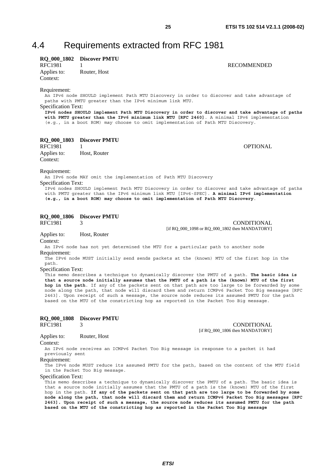# 4.4 Requirements extracted from RFC 1981

### **RQ\_000\_1802 Discover PMTU**  1 **RECOMMENDED**

Applies to: Router, Host Context:

Requirement:

An IPv6 node SHOULD implement Path MTU Discovery in order to discover and take advantage of paths with PMTU greater than the IPv6 minimum link MTU.

Specification Text:

**IPv6 nodes SHOULD implement Path MTU Discovery in order to discover and take advantage of paths with PMTU greater than the IPv6 minimum link MTU [RFC 2460]**. A minimal IPv6 implementation (e.g., in a boot ROM) may choose to omit implementation of Path MTU Discovery.

# **RQ\_000\_1803 Discover PMTU**<br>RFC1981 1

RFC1981 1 OPTIONAL

Applies to: Host, Router Context:

#### Requirement:

An IPv6 node MAY omit the implementation of Path MTU Discovery

Specification Text:

IPv6 nodes SHOULD implement Path MTU Discovery in order to discover and take advantage of paths with PMTU greater than the IPv6 minimum link MTU [IPv6-SPEC]. **A minimal IPv6 implementation (e.g., in a boot ROM) may choose to omit implementation of Path MTU Discovery**.

# **RQ\_000\_1806 Discover PMTU**<br>RFC1981 3

3 CONDITIONAL

[if RQ\_000\_1098 or RQ\_000\_1802 then MANDATORY]

Applies to: Host, Router

Context:

An IPv6 node has not yet determined the MTU for a particular path to another node Requirement:

The IPv6 node MUST initially send sends packets at the (known) MTU of the first hop in the path.

Specification Text:

This memo describes a technique to dynamically discover the PMTU of a path. **The basic idea is that a source node initially assumes that the PMTU of a path is the (known) MTU of the first hop in the path**. If any of the packets sent on that path are too large to be forwarded by some node along the path, that node will discard them and return ICMPv6 Packet Too Big messages [RFC 2463]. Upon receipt of such a message, the source node reduces its assumed PMTU for the path based on the MTU of the constricting hop as reported in the Packet Too Big message.

### **RQ\_000\_1808 Discover PMTU**

RFC1981 3 CONDITIONAL [if RQ\_000\_1806 then MANDATORY]

#### Applies to: Router, Host Context:

An IPv6 node receives an ICMPv6 Packet Too Big message in response to a packet it had previously sent

#### Requirement:

The IPv6 node MUST reduce its assumed PMTU for the path, based on the content of the MTU field in the Packet Too Big message.

#### Specification Text:

This memo describes a technique to dynamically discover the PMTU of a path. The basic idea is that a source node initially assumes that the PMTU of a path is the (known) MTU of the first hop in the path. **If any of the packets sent on that path are too large to be forwarded by some node along the path, that node will discard them and return ICMPv6 Packet Too Big messages [RFC 2463]. Upon receipt of such a message, the source node reduces its assumed PMTU for the path based on the MTU of the constricting hop as reported in the Packet Too Big message**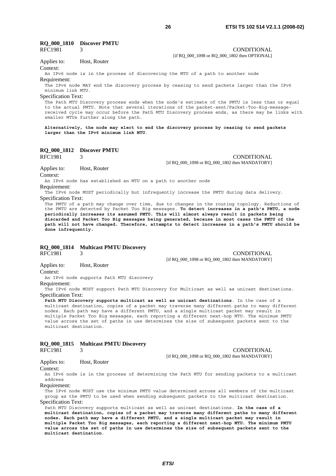# **RQ\_000\_1810 Discover PMTU**

RFC1981 3 CONDITIONAL

#### Applies to: Host, Router

Context:

An IPv6 node is in the process of discovering the MTU of a path to another node Requirement:

The IPv6 node MAY end the discovery process by ceasing to send packets larger than the IPv6 minimum link MTU.

Specification Text:

The Path MTU Discovery process ends when the node's estimate of the PMTU is less than or equal to the actual PMTU. Note that several iterations of the packet-sent/Packet-Too-Big-messagereceived cycle may occur before the Path MTU Discovery process ends, as there may be links with smaller MTUs further along the path.

**Alternatively, the node may elect to end the discovery process by ceasing to send packets larger than the IPv6 minimum link MTU**.

# **RQ\_000\_1812 Discover PMTU**<br>RFC1981 3

3 CONDITIONAL [if RQ\_000\_1098 or RQ\_000\_1802 then MANDATORY]

Applies to: Host, Router Context:

An IPv6 node has established an MTU on a path to another node

Requirement:

The IPv6 node MUST periodically but infrequently increase the PMTU during data delivery. Specification Text:

The PMTU of a path may change over time, due to changes in the routing topology. Reductions of the PMTU are detected by Packet Too Big messages. **To detect increases in a path's PMTU, a node periodically increases its assumed PMTU. This will almost always result in packets being discarded and Packet Too Big messages being generated, because in most cases the PMTU of the path will not have changed. Therefore, attempts to detect increases in a path's PMTU should be done infrequently.**

#### **RQ\_000\_1814 Multicast PMTU Discovery**

RFC1981 3 CONDITIONAL

Applies to: Host, Router

Context:

An IPv6 node supports Path MTU discovery

#### Requirement:

The IPv6 node MUST support Path MTU Discovery for Multicast as well as unicast destinations. Specification Text:

**Path MTU Discovery supports multicast as well as unicast destinations**. In the case of a multicast destination, copies of a packet may traverse many different paths to many different nodes. Each path may have a different PMTU, and a single multicast packet may result in multiple Packet Too Big messages, each reporting a different next-hop MTU. The minimum PMTU value across the set of paths in use determines the size of subsequent packets sent to the multicast destination.

#### **RQ\_000\_1815 Multicast PMTU Discovery**

RFC1981 3 CONDITIONAL [if RQ\_000\_1098 or RQ\_000\_1802 then MANDATORY]

[if RQ\_000\_1098 or RQ\_000\_1802 then MANDATORY]

#### Applies to: Host, Router

Context:

An IPv6 node is in the process of determining the Path MTU for sending packets to a multicast address

Requirement:

The IPv6 node MUST use the minimum PMTU value determined across all members of the multicast group as the PMTU to be used when sending subsequent packets to the multicast destination. Specification Text:

Path MTU Discovery supports multicast as well as unicast destinations. **In the case of a multicast destination, copies of a packet may traverse many different paths to many different nodes. Each path may have a different PMTU, and a single multicast packet may result in multiple Packet Too Big messages, each reporting a different next-hop MTU. The minimum PMTU value across the set of paths in use determines the size of subsequent packets sent to the multicast destination**.

[if RQ\_000\_1098 or RQ\_000\_1802 then OPTIONAL]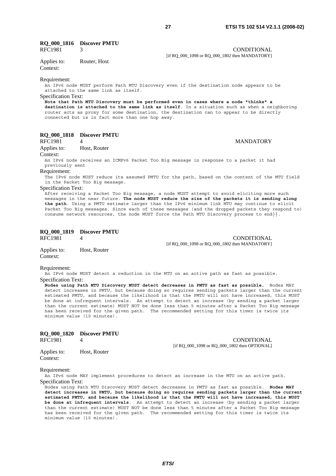# **RQ\_000\_1816 Discover PMTU**

RFC1981 3 CONDITIONAL

[if RQ\_000\_1098 or RQ\_000\_1802 then MANDATORY]

Applies to: Router, Host

Context:

Requirement:

An IPv6 node MUST perform Path MTU Discovery even if the destination node appears to be attached to the same link as itself.

Specification Text:

**Note that Path MTU Discovery must be performed even in cases where a node "thinks" a destination is attached to the same link as itself**. In a situation such as when a neighboring router acts as proxy for some destination, the destination can to appear to be directly connected but is in fact more than one hop away.

# **RQ\_000\_1818 Discover PMTU**

#### 4 MANDATORY

Applies to: Host, Router

Context:

An IPv6 node receives an ICMPv6 Packet Too Big message in response to a packet it had previously sent

Requirement:

The IPv6 node MUST reduce its assumed PMTU for the path, based on the content of the MTU field in the Packet Too Big message.

#### Specification Text:

After receiving a Packet Too Big message, a node MUST attempt to avoid eliciting more such messages in the near future. **The node MUST reduce the size of the packets it is sending along the path**. Using a PMTU estimate larger than the IPv6 minimum link MTU may continue to elicit Packet Too Big messages. Since each of these messages (and the dropped packets they respond to) consume network resources, the node MUST force the Path MTU Discovery process to end}}.

|             | RQ 000 1819 Discover PMTU |                                                |
|-------------|---------------------------|------------------------------------------------|
| RFC1981     |                           | CONDITIONAL                                    |
|             |                           | [if RQ 000 1098 or RQ 000 1802 then MANDATORY] |
| Applies to: | Host, Router              |                                                |

Context:

Requirement:

An IPv6 node MUST detect a reduction in the MTU on an active path as fast as possible. Specification Text:

**Nodes using Path MTU Discovery MUST detect decreases in PMTU as fast as possible.** Nodes MAY detect increases in PMTU, but because doing so requires sending packets larger than the current estimated PMTU, and because the likelihood is that the PMTU will not have increased, this MUST be done at infrequent intervals. An attempt to detect an increase (by sending a packet larger than the current estimate) MUST NOT be done less than 5 minutes after a Packet Too Big message has been received for the given path. The recommended setting for this timer is twice its minimum value (10 minutes).

|             | RQ 000 1820 Discover PMTU |                                               |
|-------------|---------------------------|-----------------------------------------------|
| RFC1981     |                           | CONDITIONAL                                   |
|             |                           | [if RO 000 1098 or RO 000 1802 then OPTIONAL] |
| Applies to: | Host, Router              |                                               |

Requirement:

Context:

An IPv6 node MAY implement procedures to detect an increase in the MTU on an active path. Specification Text:

Nodes using Path MTU Discovery MUST detect decreases in PMTU as fast as possible. **Nodes MAY detect increases in PMTU, but because doing so requires sending packets larger than the current estimated PMTU, and because the likelihood is that the PMTU will not have increased, this MUST be done at infrequent intervals**. An attempt to detect an increase (by sending a packet larger than the current estimate) MUST NOT be done less than 5 minutes after a Packet Too Big message has been received for the given path. The recommended setting for this timer is twice its minimum value (10 minutes).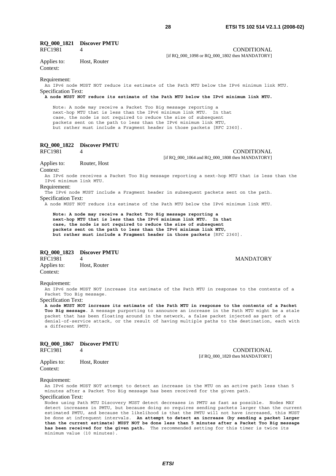# **RQ\_000\_1821 Discover PMTU**

#### RFC1981 4 CONDITIONAL

[if RQ\_000\_1098 or RQ\_000\_1802 then MANDATORY]

#### Applies to: Host, Router Context:

#### Requirement:

An IPv6 node MUST NOT reduce its estimate of the Path MTU below the IPv6 minimum link MTU. Specification Text:

# **A node MUST NOT reduce its estimate of the Path MTU below the IPv6 minimum link MTU.**

 Note: A node may receive a Packet Too Big message reporting a next-hop MTU that is less than the IPv6 minimum link MTU. In that case, the node is not required to reduce the size of subsequent packets sent on the path to less than the IPv6 minimum link MTU, but rather must include a Fragment header in those packets [RFC 2360].

# **RQ\_000\_1822 Discover PMTU**

#### 4 CONDITIONAL [if RQ\_000\_1064 and RQ\_000\_1808 then MANDATORY]

Applies to: Router, Host

Context:

An IPv6 node receives a Packet Too Big message reporting a next-hop MTU that is less than the IPv6 minimum link MTU.

Requirement:

The IPv6 node MUST include a Fragment header in subsequent packets sent on the path. Specification Text:

A node MUST NOT reduce its estimate of the Path MTU below the IPv6 minimum link MTU.

 **Note: A node may receive a Packet Too Big message reporting a next-hop MTU that is less than the IPv6 minimum link MTU. In that case, the node is not required to reduce the size of subsequent packets sent on the path to less than the IPv6 minimum link MTU, but rather must include a Fragment header in those packets** [RFC 2360].

#### **RQ\_000\_1823 Discover PMTU**

RFC1981 4 MANDATORY Applies to: Host, Router Context:

Requirement:

An IPv6 node MUST NOT increase its estimate of the Path MTU in response to the contents of a Packet Too Big message.

Specification Text:

**A node MUST NOT increase its estimate of the Path MTU in response to the contents of a Packet Too Big message**. A message purporting to announce an increase in the Path MTU might be a stale packet that has been floating around in the network, a false packet injected as part of a denial-of-service attack, or the result of having multiple paths to the destination, each with a different PMTU.

| RQ_000_1867 | <b>Discover PMTU</b> |
|-------------|----------------------|
|-------------|----------------------|

#### RFC1981 4 CONDITIONAL [if RQ\_000\_1820 then MANDATORY]

Applies to: Host, Router Context:

#### Requirement:

An IPv6 node MUST NOT attempt to detect an increase in the MTU on an active path less than 5 minutes after a Packet Too Big message has been received for the given path. Specification Text:

Nodes using Path MTU Discovery MUST detect decreases in PMTU as fast as possible. Nodes MAY detect increases in PMTU, but because doing so requires sending packets larger than the current estimated PMTU, and because the likelihood is that the PMTU will not have increased, this MUST be done at infrequent intervals. **An attempt to detect an increase (by sending a packet larger than the current estimate) MUST NOT be done less than 5 minutes after a Packet Too Big message has been received for the given path.** The recommended setting for this timer is twice its minimum value (10 minutes).

*ETSI*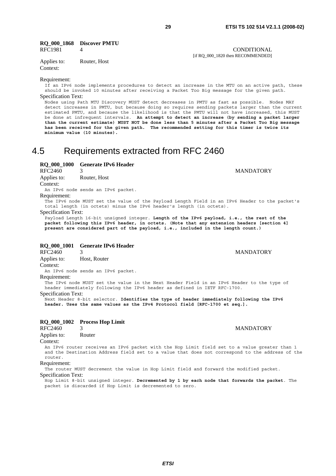[if RQ\_000\_1820 then RECOMMENDED]

#### **RQ\_000\_1868 Discover PMTU**  RFC1981 4 CONDITIONAL

Applies to: Router, Host

Context:

#### Requirement:

If an IPv6 node implements procedures to detect an increase in the MTU on an active path, these should be invoked 10 minutes after receiving a Packet Too Big message for the given path. Specification Text:

Nodes using Path MTU Discovery MUST detect decreases in PMTU as fast as possible. Nodes MAY detect increases in PMTU, but because doing so requires sending packets larger than the current estimated PMTU, and because the likelihood is that the PMTU will not have increased, this MUST be done at infrequent intervals. **An attempt to detect an increase (by sending a packet larger than the current estimate) MUST NOT be done less than 5 minutes after a Packet Too Big message has been received for the given path. The recommended setting for this timer is twice its minimum value (10 minutes).**

# 4.5 Requirements extracted from RFC 2460

**RQ\_000\_1000 Generate IPv6 Header** 

RFC2460 3 MANDATORY Applies to: Router, Host Context:

An IPv6 node sends an IPv6 packet.

Requirement:

The IPv6 node MUST set the value of the Payload Length Field in an IPv6 Header to the packet's total length (in octets) minus the IPv6 header's length (in octets).

Specification Text:

Payload Length 16-bit unsigned integer. **Length of the IPv6 payload, i.e., the rest of the packet following this IPv6 header, in octets. (Note that any extension headers [section 4] present are considered part of the payload, i.e., included in the length count.)**

### **RQ\_000\_1001 Generate IPv6 Header**

RFC2460 3 MANDATORY Applies to: Host, Router Context:

An IPv6 node sends an IPv6 packet.

Requirement:

The IPv6 node MUST set the value in the Next Header Field in an IPv6 Header to the type of header immediately following the IPv6 header as defined in IETF RFC-1700.

Specification Text:

Next Header 8-bit selector. **Identifies the type of header immediately following the IPv6 header. Uses the same values as the IPv4 Protocol field [RFC-1700 et seq.].**

### **RQ\_000\_1002 Process Hop Limit**

Applies to: Router

Context:

An IPv6 router receives an IPv6 packet with the Hop Limit field set to a value greater than 1 and the Destination Address field set to a value that does not correspond to the address of the router.

Requirement:

The router MUST decrement the value in Hop Limit field and forward the modified packet. Specification Text:

Hop Limit 8-bit unsigned integer. **Decremented by 1 by each node that forwards the packet**. The packet is discarded if Hop Limit is decremented to zero.

RFC2460 3 MANDATORY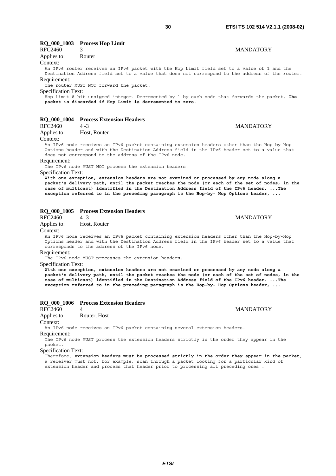# RFC2460 3 MANDATORY

# Applies to: Router

Context:

An IPv6 router receives an IPv6 packet with the Hop Limit field set to a value of 1 and the Destination Address field set to a value that does not correspond to the address of the router.

Requirement:

The router MUST NOT forward the packet.

Specification Text:

Hop Limit 8-bit unsigned integer. Decremented by 1 by each node that forwards the packet. **The packet is discarded if Hop Limit is decremented to zero**.

### **RQ\_000\_1004 Process Extension Headers**

| RFC2460     | $4 - 3$      | <b>MANDATORY</b> |
|-------------|--------------|------------------|
| Applies to: | Host, Router |                  |

Context:

An IPv6 node receives an IPv6 packet containing extension headers other than the Hop-by-Hop Options header and with the Destination Address field in the IPv6 header set to a value that does not correspond to the address of the IPv6 node.

Requirement:

The IPv6 node MUST NOT process the extension headers.

Specification Text:

**With one exception, extension headers are not examined or processed by any node along a packet's delivery path, until the packet reaches the node (or each of the set of nodes, in the case of multicast) identified in the Destination Address field of the IPv6 header. ...The exception referred to in the preceding paragraph is the Hop-by- Hop Options header, ...**

## **RQ\_000\_1005 Process Extension Headers**

Applies to: Host, Router

Context:

An IPv6 node receives an IPv6 packet containing extension headers other than the Hop-by-Hop Options header and with the Destination Address field in the IPv6 header set to a value that corresponds to the address of the IPv6 node.

Requirement:

The IPv6 node MUST processes the extension headers.

Specification Text:

**With one exception, extension headers are not examined or processed by any node along a packet's delivery path, until the packet reaches the node (or each of the set of nodes, in the case of multicast) identified in the Destination Address field of the IPv6 header. ...The exception referred to in the preceding paragraph is the Hop-by- Hop Options header, ...**

#### **RQ\_000\_1006 Process Extension Headers**

RFC2460 4 MANDATORY Applies to: Router, Host

Context:

An IPv6 node receives an IPv6 packet containing several extension headers.

Requirement:

The IPv6 node MUST process the extension headers strictly in the order they appear in the packet.

Specification Text:

Therefore, **extension headers must be processed strictly in the order they appear in the packet**; a receiver must not, for example, scan through a packet looking for a particular kind of extension header and process that header prior to processing all preceding ones .

RFC2460 4 -3 MANDATORY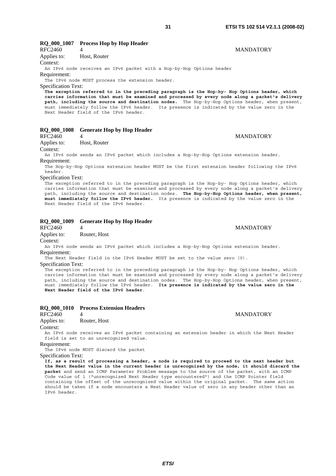# **RQ\_000\_1007 Process Hop by Hop Header**

RFC2460 4 MANDATORY Applies to: Host, Router Context: An IPv6 node receives an IPv6 packet with a Hop-by-Hop Options header Requirement: The IPv6 node MUST process the extension header. Specification Text: **The exception referred to in the preceding paragraph is the Hop-by- Hop Options header, which carries information that must be examined and processed by every node along a packet's delivery path, including the source and destination nodes.** The Hop-by-Hop Options header, when present, must immediately follow the IPv6 header. Its presence is indicated by the value zero in the Next Header field of the IPv6 header.

### **RQ\_000\_1008 Generate Hop by Hop Header**

RFC2460 4 MANDATORY

Applies to: Host, Router

Context:

An IPv6 node sends an IPv6 packet which includes a Hop-by-Hop Options extension header. Requirement:

The Hop-by-Hop Options extension header MUST be the first extension header following the IPv6 header.

Specification Text:

The exception referred to in the preceding paragraph is the Hop-by- Hop Options header, which carries information that must be examined and processed by every node along a packet's delivery path, including the source and destination nodes. **The Hop-by-Hop Options header, when present, must immediately follow the IPv6 header.** Its presence is indicated by the value zero in the Next Header field of the IPv6 header.

### **RQ\_000\_1009 Generate Hop by Hop Header**

RFC2460 4 MANDATORY

Applies to: Router, Host

Context:

An IPv6 node sends an IPv6 packet which includes a Hop-by-Hop Options extension header. Requirement:

The Next Header field in the IPv6 Header MUST be set to the value zero (0).

Specification Text:

The exception referred to in the preceding paragraph is the Hop-by- Hop Options header, which carries information that must be examined and processed by every node along a packet's delivery path, including the source and destination nodes. The Hop-by-Hop Options header, when present, must immediately follow the IPv6 header. **Its presence is indicated by the value zero in the Next Header field of the IPv6 header**.

## **RQ\_000\_1010 Process Extension Headers**

RFC2460 4 MANDATORY

Applies to: Router, Host

Context:

An IPv6 node receives an IPv6 packet containing an extension header in which the Next Header field is set to an unrecognized value.

Requirement:

The IPv6 node MUST discard the packet

Specification Text:

**If, as a result of processing a header, a node is required to proceed to the next header but the Next Header value in the current header is unrecognized by the node, it should discard the packet** and send an ICMP Parameter Problem message to the source of the packet, with an ICMP Code value of 1 ("unrecognized Next Header type encountered") and the ICMP Pointer field containing the offset of the unrecognized value within the original packet. The same action should be taken if a node encounters a Next Header value of zero in any header other than an IPv6 header.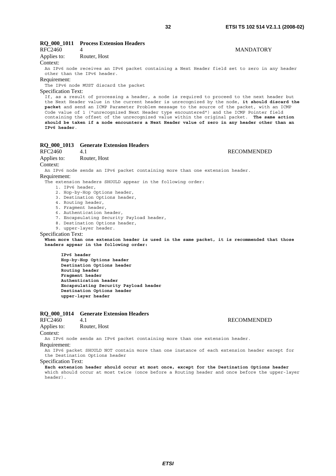## **RQ\_000\_1011 Process Extension Headers**

| RFC2460     |              | <b>MANDATORY</b> |
|-------------|--------------|------------------|
| Applies to: | Router, Host |                  |

Context:

An IPv6 node receives an IPv6 packet containing a Next Header field set to zero in any header other than the IPv6 header.

#### Requirement:

The IPv6 node MUST discard the packet

#### Specification Text:

If, as a result of processing a header, a node is required to proceed to the next header but the Next Header value in the current header is unrecognized by the node, **it should discard the packet** and send an ICMP Parameter Problem message to the source of the packet, with an ICMP Code value of 1 ("unrecognized Next Header type encountered") and the ICMP Pointer field containing the offset of the unrecognized value within the original packet. **The same action should be taken if a node encounters a Next Header value of zero in any header other than an IPv6 header**.

# **RQ\_000\_1013 Generate Extension Headers**

RFC2460 4.1 RECOMMENDED Applies to: Router, Host

Context:

An IPv6 node sends an IPv6 packet containing more than one extension header.

Requirement:

The extension headers SHOULD appear in the following order:

- 1. IPv6 header,
- 2. Hop-by-Hop Options header,
- 3. Destination Options header,
- 4. Routing header,
- 5. Fragment header,
- 6. Authentication header,
- 7. Encapsulating Security Payload header,
- 8. Destination Options header,
- 9. upper-layer header.

#### Specification Text:

**When more than one extension header is used in the same packet, it is recommended that those headers appear in the following order:** 

 **IPv6 header Hop-by-Hop Options header Destination Options header Routing header Fragment header Authentication header Encapsulating Security Payload header Destination Options header upper-layer header** 

# **RQ\_000\_1014 Generate Extension Headers**

Applies to: Router, Host

Context: An IPv6 node sends an IPv6 packet containing more than one extension header.

Requirement:

An IPv6 packet SHOULD NOT contain more than one instance of each extension header except for the Destination Options header

#### Specification Text:

**Each extension header should occur at most once, except for the Destination Options header** which should occur at most twice (once before a Routing header and once before the upper-layer header).

*ETSI* 

#### RFC2460 4.1 RECOMMENDED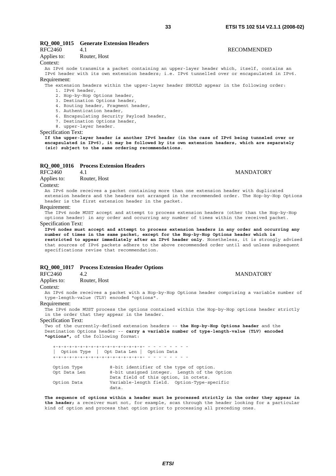## **RQ\_000\_1015 Generate Extension Headers**

# RFC2460 4.1 RECOMMENDED

# Applies to: Router, Host

Context:

An IPv6 node transmits a packet containing an upper-layer header which, itself, contains an IPv6 header with its own extension headers; i.e. IPv6 tunnelled over or encapsulated in IPv6.

## Requirement:

The extension headers within the upper-layer header SHOULD appear in the following order:

- 1. IPv6 header, 2. Hop-by-Hop Options header,
- 
- 3. Destination Options header,
- 4. Routing header, Fragment header,
- 5. Authentication header,
- 6. Encapsulating Security Payload header,
- 7. Destination Options header,
- 8. upper-layer header.

### Specification Text:

**If the upper-layer header is another IPv6 header (in the case of IPv6 being tunneled over or encapsulated in IPv6), it may be followed by its own extension headers, which are separately (sic) subject to the same ordering recommendations**.

# **RQ\_000\_1016** Process Extension Headers<br>RFC2460 4.1

Applies to: Router, Host

Context:

An IPv6 node receives a packet containing more than one extension header with duplicated extension headers and the headers not arranged in the recommended order. The Hop-by-Hop Options header is the first extension header in the packet.

#### Requirement:

The IPv6 node MUST accept and attempt to process extension headers (other than the Hop-by-Hop options header) in any order and occurring any number of times within the received packet.

#### Specification Text:

**IPv6 nodes must accept and attempt to process extension headers in any order and occurring any number of times in the same packet, except for the Hop-by-Hop Options header which is restricted to appear immediately after an IPv6 header only**. Nonetheless, it is strongly advised that sources of IPv6 packets adhere to the above recommended order until and unless subsequent specifications revise that recommendation.

### **RQ\_000\_1017 Process Extension Header Options**

#### RFC2460 4.2 MANDATORY

Applies to: Router, Host

#### Context:

An IPv6 node receives a packet with a Hop-by-Hop Options header comprising a variable number of type-length-value (TLV) encoded "options".

#### Requirement:

The IPv6 node MUST process the options contained within the Hop-by-Hop options header strictly in the order that they appear in the header.

Specification Text:

Two of the currently-defined extension headers -- **the Hop-by-Hop Options header** and the Destination Options header -- **carry a variable number of type-length-value (TLV) encoded "options",** of the following format:

 +-+-+-+-+-+-+-+-+-+-+-+-+-+-+-+-+- - - - - - - - - | Option Type | Opt Data Len | Option Data +-+-+-+-+-+-+-+-+-+-+-+-+-+-+-+-+- - - - - - - - - Option Type 8-bit identifier of the type of option. Opt Data Len 8-bit unsigned integer. Length of the Option Data field of this option, in octets. Option Data Variable-length field. Option-Type-specific data.

**The sequence of options within a header must be processed strictly in the order they appear in the header;** a receiver must not, for example, scan through the header looking for a particular kind of option and process that option prior to processing all preceding ones.

#### A 1 MANDATORY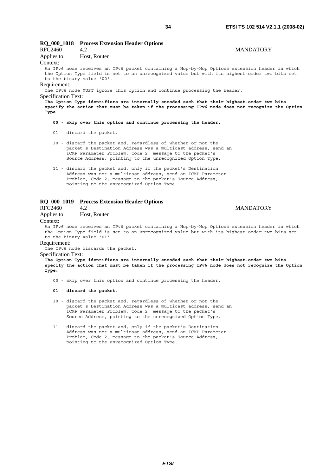#### **RQ\_000\_1018 Process Extension Header Options**  RFC2460 4.2 MANDATORY Applies to: Host, Router Context: An IPv6 node receives an IPv6 packet containing a Hop-by-Hop Options extension header in which the Option Type field is set to an unrecognized value but with its highest-order two bits set to the binary value '00'. Requirement: The IPv6 node MUST ignore this option and continue processing the header. Specification Text: **The Option Type identifiers are internally encoded such that their highest-order two bits specify the action that must be taken if the processing IPv6 node does not recognize the Option Type.**

#### **00 - skip over this option and continue processing the header.**

01 - discard the packet.

- 10 discard the packet and, regardless of whether or not the packet's Destination Address was a multicast address, send an ICMP Parameter Problem, Code 2, message to the packet's Source Address, pointing to the unrecognized Option Type.
- 11 discard the packet and, only if the packet's Destination Address was not a multicast address, send an ICMP Parameter Problem, Code 2, message to the packet's Source Address, pointing to the unrecognized Option Type.

## **RQ\_000\_1019 Process Extension Header Options**

| RFC2460<br>4.2 |
|----------------|
|----------------|

Applies to: Host, Router

# **MANDATORY**

#### Context:

An IPv6 node receives an IPv6 packet containing a Hop-by-Hop Options extension header in which the Option Type field is set to an unrecognized value but with its highest-order two bits set to the binary value '01'.

#### Requirement:

The IPv6 node discards the packet.

#### Specification Text:

**The Option Type identifiers are internally encoded such that their highest-order two bits specify the action that must be taken if the processing IPv6 node does not recognize the Option Type:**

00 - skip over this option and continue processing the header.

#### **01 - discard the packet**.

- 10 discard the packet and, regardless of whether or not the packet's Destination Address was a multicast address, send an ICMP Parameter Problem, Code 2, message to the packet's Source Address, pointing to the unrecognized Option Type.
- 11 discard the packet and, only if the packet's Destination Address was not a multicast address, send an ICMP Parameter Problem, Code 2, message to the packet's Source Address, pointing to the unrecognized Option Type.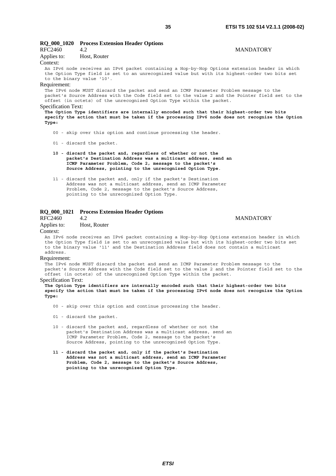| <b>RO 000 1020</b>                                                                                                                                                                                                                                                  | <b>Process Extension Header Options</b>                                                                                                                                                         |                  |
|---------------------------------------------------------------------------------------------------------------------------------------------------------------------------------------------------------------------------------------------------------------------|-------------------------------------------------------------------------------------------------------------------------------------------------------------------------------------------------|------------------|
| RFC2460                                                                                                                                                                                                                                                             | 4.2                                                                                                                                                                                             | <b>MANDATORY</b> |
| Applies to:                                                                                                                                                                                                                                                         | Host, Router                                                                                                                                                                                    |                  |
| Context:                                                                                                                                                                                                                                                            |                                                                                                                                                                                                 |                  |
| to the binary value '10'.                                                                                                                                                                                                                                           | An IPv6 node receives an IPv6 packet containing a Hop-by-Hop Options extension header in which<br>the Option Type field is set to an unrecognized value but with its highest-order two bits set |                  |
| Requirement:                                                                                                                                                                                                                                                        |                                                                                                                                                                                                 |                  |
| The IPv6 node MUST discard the packet and send an ICMP Parameter Problem message to the<br>packet's Source Address with the Code field set to the value 2 and the Pointer field set to the<br>offset (in octets) of the unrecognized Option Type within the packet. |                                                                                                                                                                                                 |                  |
| <b>Specification Text:</b>                                                                                                                                                                                                                                          |                                                                                                                                                                                                 |                  |
| Mba Awadaw Muma ddiwadddine ane dwainwello cwysdid wesh ahaa ahidu hishiyaa cedin ace his hig                                                                                                                                                                       |                                                                                                                                                                                                 |                  |

**The Option Type identifiers are internally encoded such that their highest-order two bits specify the action that must be taken if the processing IPv6 node does not recognize the Option Type:**

00 - skip over this option and continue processing the header.

01 - discard the packet.

- **10 discard the packet and, regardless of whether or not the packet's Destination Address was a multicast address, send an ICMP Parameter Problem, Code 2, message to the packet's Source Address, pointing to the unrecognized Option Type**.
- 11 discard the packet and, only if the packet's Destination Address was not a multicast address, send an ICMP Parameter Problem, Code 2, message to the packet's Source Address, pointing to the unrecognized Option Type.

### **RQ\_000\_1021 Process Extension Header Options**

RFC2460 4.2 MANDATORY

Applies to: Host, Router

#### Context:

An IPv6 node receives an IPv6 packet containing a Hop-by-Hop Options extension header in which the Option Type field is set to an unrecognized value but with its highest-order two bits set to the binary value '11' and the Destination Address field does not contain a multicast address.

#### Requirement:

The IPv6 node MUST discard the packet and send an ICMP Parameter Problem message to the packet's Source Address with the Code field set to the value 2 and the Pointer field set to the offset (in octets) of the unrecognized Option Type within the packet.

#### Specification Text:

**The Option Type identifiers are internally encoded such that their highest-order two bits specify the action that must be taken if the processing IPv6 node does not recognize the Option Type:**

- 00 skip over this option and continue processing the header.
- 01 discard the packet.
- 10 discard the packet and, regardless of whether or not the packet's Destination Address was a multicast address, send an ICMP Parameter Problem, Code 2, message to the packet's Source Address, pointing to the unrecognized Option Type.
- **11 discard the packet and, only if the packet's Destination Address was not a multicast address, send an ICMP Parameter Problem, Code 2, message to the packet's Source Address, pointing to the unrecognized Option Type**.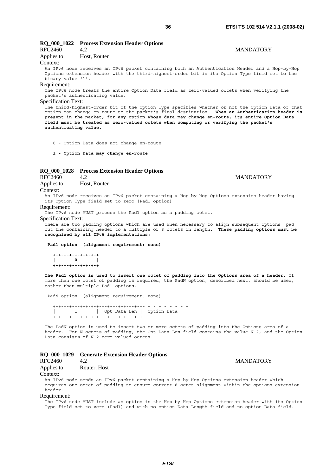# **RQ\_000\_1022 Process Extension Header Options**  RFC2460 4.2 MANDATORY

#### Applies to: Host, Router Context:

An IPv6 node receives an IPv6 packet containing both an Authentication Header and a Hop-by-Hop Options extension header with the third-highest-order bit in its Option Type field set to the binary value '1'.

#### Requirement:

The IPv6 node treats the entire Option Data field as zero-valued octets when verifying the packet's authenticating value.

#### Specification Text:

The third-highest-order bit of the Option Type specifies whether or not the Option Data of that option can change en-route to the packet's final destination. **When an Authentication header is present in the packet, for any option whose data may change en-route, its entire Option Data field must be treated as zero-valued octets when computing or verifying the packet's authenticating value.** 

0 - Option Data does not change en-route

**1 - Option Data may change en-route**

#### **RQ\_000\_1028 Process Extension Header Options**

RFC2460 4.2 MANDATORY Applies to: Host, Router

Context:

An IPv6 node receives an IPv6 packet containing a Hop-by-Hop Options extension header having its Option Type field set to zero (Pad1 option)

Requirement:

The IPv6 node MUST process the Pad1 option as a padding octet.

Specification Text:

There are two padding options which are used when necessary to align subsequent options pad out the containing header to a multiple of 8 octets in length. **These padding options must be recognized by all IPv6 implementations:** 

 **Pad1 option (alignment requirement: none)** 

 **+-+-+-+-+-+-+-+-+ | 0 | +-+-+-+-+-+-+-+-+** 

**The Pad1 option is used to insert one octet of padding into the Options area of a header.** If more than one octet of padding is required, the PadN option, described next, should be used, rather than multiple Pad1 options.

PadN option (alignment requirement: none)

 +-+-+-+-+-+-+-+-+-+-+-+-+-+-+-+-+- - - - - - - - - | 1 | Opt Data Len | Option Data +-+-+-+-+-+-+-+-+-+-+-+-+-+-+-+-+- - - - - - - - -

The PadN option is used to insert two or more octets of padding into the Options area of a header. For N octets of padding, the Opt Data Len field contains the value N-2, and the Option Data consists of N-2 zero-valued octets.

### **RQ\_000\_1029 Generate Extension Header Options**

RFC2460 4.2 MANDATORY

Applies to: Router, Host

Context:

An IPv6 node sends an IPv6 packet containing a Hop-by-Hop Options extension header which requires one octet of padding to ensure correct 8-octet alignment within the options extension header.

Requirement:

The IPv6 node MUST include an option in the Hop-by-Hop Options extension header with its Option Type field set to zero (Pad1) and with no option Data Length field and no option Data field.

*ETSI*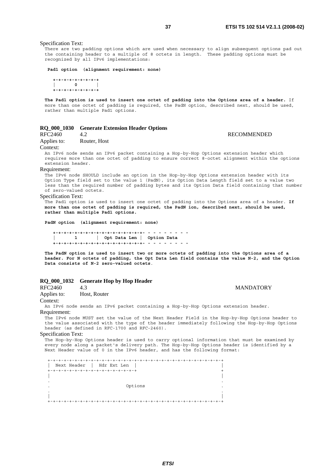Specification Text:

There are two padding options which are used when necessary to align subsequent options pad out the containing header to a multiple of 8 octets in length. These padding options must be recognized by all IPv6 implementations:

 **Pad1 option (alignment requirement: none)** 

 **+-+-+-+-+-+-+-+-+ | 0 | +-+-+-+-+-+-+-+-+** 

**The Pad1 option is used to insert one octet of padding into the Options area of a header.** If more than one octet of padding is required, the PadN option, described next, should be used, rather than multiple Pad1 options.

### **RQ\_000\_1030 Generate Extension Header Options**

RFC2460 4.2 RECOMMENDED

Applies to: Router, Host

Context:

An IPv6 node sends an IPv6 packet containing a Hop-by-Hop Options extension header which requires more than one octet of padding to ensure correct 8-octet alignment within the options extension header.

Requirement:

The IPv6 node SHOULD include an option in the Hop-by-Hop Options extension header with its Option Type field set to the value 1 (PadN), its Option Data Length field set to a value two less than the required number of padding bytes and its Option Data field containing that number of zero-valued octets.

Specification Text:

The Pad1 option is used to insert one octet of padding into the Options area of a header. **If more than one octet of padding is required, the PadN ion, described next, should be used, rather than multiple Pad1 options.** 

**PadN option (alignment requirement: none)** 

 **+-+-+-+-+-+-+-+-+-+-+-+-+-+-+-+-+- - - - - - - - - | 1 | Opt Data Len | Option Data +-+-+-+-+-+-+-+-+-+-+-+-+-+-+-+-+- - - - - - - - -** 

**The PadN option is used to insert two or more octets of padding into the Options area of a header. For N octets of padding, the Opt Data Len field contains the value N-2, and the Option Data consists of N-2 zero-valued octets**.

# **RQ\_000\_1032 Generate Hop by Hop Header**

RFC2460 4.3 MANDATORY Applies to: Host, Router

Context:

An IPv6 node sends an IPv6 packet containing a Hop-by-Hop Options extension header.

Requirement:

The IPv6 node MUST set the value of the Next Header Field in the Hop-by-Hop Options header to the value associated with the type of the header immediately following the Hop-by-Hop Options header (as defined in RFC-1700 and RFC-2460).

Specification Text:

The Hop-by-Hop Options header is used to carry optional information that must be examined by every node along a packet's delivery path. The Hop-by-Hop Options header is identified by a Next Header value of 0 in the IPv6 header, and has the following format:

 +-+-+-+-+-+-+-+-+-+-+-+-+-+-+-+-+-+-+-+-+-+-+-+-+-+-+-+-+-+-+-+-+ | Next Header | Hdr Ext Len | | .<br>+-+-+-+-+-+-+-+-+-+-+-+-+-+-+-+-+-+ | | . . . Options . . . | | +-+-+-+-+-+-+-+-+-+-+-+-+-+-+-+-+-+-+-+-+-+-+-+-+-+-+-+-+-+-+-+-+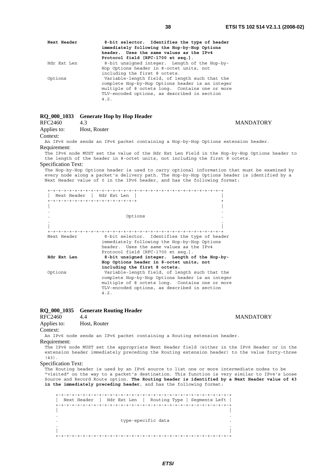**MANDATORY** 

| Next Header | 8-bit selector. Identifies the type of header<br>immediately following the Hop-by-Hop Options<br>header. Uses the same values as the IPv4<br>Protocol field [RFC-1700 et seq.].                               |
|-------------|---------------------------------------------------------------------------------------------------------------------------------------------------------------------------------------------------------------|
| Hdr Ext Len | 8-bit unsigned integer. Length of the Hop-by-<br>Hop Options header in 8-octet units, not<br>including the first 8 octets.                                                                                    |
| Options     | Variable-length field, of length such that the<br>complete Hop-by-Hop Options header is an integer<br>multiple of 8 octets long. Contains one or more<br>TLV-encoded options, as described in section<br>4.2. |

# **RQ\_000\_1033 Generate Hop by Hop Header**

| RFC2460             | 4.3                                        |  |
|---------------------|--------------------------------------------|--|
| $A = -1$ : $A = -1$ | $\mathbf{H}_{\text{out}}$ D <sub>rit</sub> |  |

| Applies to: | Host, Router |
|-------------|--------------|
| Context:    |              |

An IPv6 node sends an IPv6 packet containing a Hop-by-Hop Options extension header. Requirement:

The IPv6 node MUST set the value of the Hdr Ext Len Field in the Hop-by-Hop Options header to the length of the header in 8-octet units, not including the first 8 octets.

Specification Text:

The Hop-by-Hop Options header is used to carry optional information that must be examined by every node along a packet's delivery path. The Hop-by-Hop Options header is identified by a Next Header value of 0 in the IPv6 header, and has the following format:

| Next Header   Hdr Ext Len           |                                                  |
|-------------------------------------|--------------------------------------------------|
| +-+-+-+-+-+-+-+-+-+-+-+-+-+-+-+-+-+ |                                                  |
|                                     |                                                  |
|                                     |                                                  |
|                                     | Options                                          |
|                                     |                                                  |
|                                     |                                                  |
|                                     |                                                  |
| Next Header                         | 8-bit selector. Identifies the type of header    |
|                                     | immediately following the Hop-by-Hop Options     |
|                                     | header. Uses the same values as the IPv4         |
|                                     | Protocol field [RFC-1700 et seq.].               |
| Hdr Ext Len                         | 8-bit unsigned integer. Length of the Hop-by-    |
|                                     |                                                  |
|                                     | Hop Options header in 8-octet units, not         |
|                                     | including the first 8 octets.                    |
| Options                             | Variable-length field, of length such that the   |
|                                     | complete Hop-by-Hop Options header is an integer |
|                                     | multiple of 8 octets long. Contains one or more  |
|                                     | TLV-encoded options, as described in section     |
|                                     | 4.2.                                             |
|                                     |                                                  |

### **RQ\_000\_1035 Generate Routing Header**

RFC2460 4.4 MANDATORY

```
Applies to: Host, Router
```
Context:

An IPv6 node sends an IPv6 packet containing a Routing extension header.

Requirement:

The IPv6 node MUST set the appropriate Next Header field (either in the IPv6 Header or in the extension header immediately preceding the Routing extension header) to the value forty-three  $(43)$ 

Specification Text:

The Routing header is used by an IPv6 source to list one or more intermediate nodes to be "visited" on the way to a packet's destination. This function is very similar to IPv4's Loose Source and Record Route option. **The Routing header is identified by a Next Header value of 43 in the immediately preceding header**, and has the following format:

 +-+-+-+-+-+-+-+-+-+-+-+-+-+-+-+-+-+-+-+-+-+-+-+-+-+-+-+-+-+-+-+-+ | Next Header | Hdr Ext Len | Routing Type | Segments Left | +-+-+-+-+-+-+-+-+-+-+-+-+-+-+-+-+-+-+-+-+-+-+-+-+-+-+-+-+-+-+-+-+ | | . . . type-specific data . . . | | +-+-+-+-+-+-+-+-+-+-+-+-+-+-+-+-+-+-+-+-+-+-+-+-+-+-+-+-+-+-+-+-+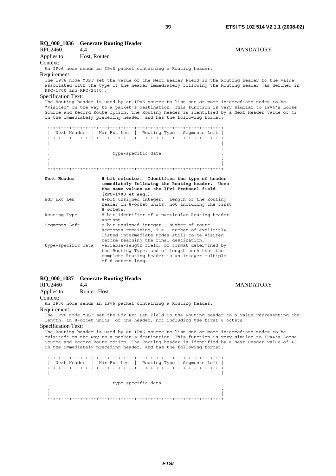**MANDATORY** 

| RQ_000_1036                | <b>Generate Routing Header</b>                                                                                                                                                                                                                                                                                                                                    |
|----------------------------|-------------------------------------------------------------------------------------------------------------------------------------------------------------------------------------------------------------------------------------------------------------------------------------------------------------------------------------------------------------------|
| RFC2460                    | 4.4<br><b>MANDATORY</b>                                                                                                                                                                                                                                                                                                                                           |
| Applies to:                | Host, Router                                                                                                                                                                                                                                                                                                                                                      |
| Context:                   |                                                                                                                                                                                                                                                                                                                                                                   |
|                            | An IPv6 node sends an IPv6 packet containing a Routing header.                                                                                                                                                                                                                                                                                                    |
| Requirement:               |                                                                                                                                                                                                                                                                                                                                                                   |
| RFC-1700 and RFC-2460).    | The IPv6 node MUST set the value of the Next Header Field in the Routing header to the value<br>associated with the type of the header immediately following the Routing header (as defined in                                                                                                                                                                    |
| <b>Specification Text:</b> |                                                                                                                                                                                                                                                                                                                                                                   |
|                            | The Routing header is used by an IPv6 source to list one or more intermediate nodes to be<br>"visited" on the way to a packet's destination. This function is very similar to IPv4's Loose<br>Source and Record Route option. The Routing header is identified by a Next Header value of 43<br>in the immediately preceding header, and has the following format: |
|                            | Next Header   Hdr Ext Len   Routing Type   Seqments Left                                                                                                                                                                                                                                                                                                          |
|                            |                                                                                                                                                                                                                                                                                                                                                                   |
|                            | type-specific data                                                                                                                                                                                                                                                                                                                                                |
|                            |                                                                                                                                                                                                                                                                                                                                                                   |
|                            |                                                                                                                                                                                                                                                                                                                                                                   |
| Next Header                | 8-bit selector. Identifies the type of header<br>immediately following the Routing header. Uses<br>the same values as the IPv4 Protocol field<br>$[RFC-1700 et seq.].$                                                                                                                                                                                            |
| Hdr Ext Len                | 8-bit unsigned integer. Length of the Routing<br>header in 8-octet units, not including the first<br>8 octets.                                                                                                                                                                                                                                                    |
| Routing Type               | 8-bit identifier of a particular Routing header<br>variant.                                                                                                                                                                                                                                                                                                       |
| Segments Left              | 8-bit unsigned integer. Number of route<br>segments remaining, i.e., number of explicitly<br>listed intermediate nodes still to be visited<br>before reaching the final destination.                                                                                                                                                                              |
| type-specific data         | Variable-length field, of format determined by<br>the Routing Type, and of length such that the<br>complete Routing header is an integer multiple<br>of 8 octets long.                                                                                                                                                                                            |

# **RQ\_000\_1037 Generate Routing Header**

| RFC2460 | 4.4 |
|---------|-----|

| Applies to: | Router, Host |
|-------------|--------------|
|-------------|--------------|

Context:

An IPv6 node sends an IPv6 packet containing a Routing header. Requirement:

The IPv6 node MUST set the Hdr Ext Len Field in the Routing header to a value representing the length, in 8-octet units, of the header, not including the first 8 octets.

Specification Text:

The Routing header is used by an IPv6 source to list one or more intermediate nodes to be "visited" on the way to a packet's destination. This function is very similar to IPv4's Loose Source and Record Route option. The Routing header is identified by a Next Header value of 43 in the immediately preceding header, and has the following format:

 +-+-+-+-+-+-+-+-+-+-+-+-+-+-+-+-+-+-+-+-+-+-+-+-+-+-+-+-+-+-+-+-+ | Next Header | Hdr Ext Len | Routing Type | Segments Left | +-+-+-+-+-+-+-+-+-+-+-+-+-+-+-+-+-+-+-+-+-+-+-+-+-+-+-+-+-+-+-+-+ | | . . . type-specific data . . . | | +-+-+-+-+-+-+-+-+-+-+-+-+-+-+-+-+-+-+-+-+-+-+-+-+-+-+-+-+-+-+-+-+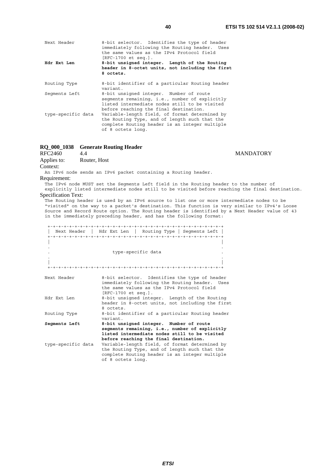| Next Header        | 8-bit selector. Identifies the type of header<br>immediately following the Routing header. Uses<br>the same values as the IPv4 Protocol field<br>$[RFC-1700 et seq.].$               |  |
|--------------------|--------------------------------------------------------------------------------------------------------------------------------------------------------------------------------------|--|
| Hdr Ext Len        | 8-bit unsigned integer. Length of the Routing<br>header in 8-octet units, not including the first<br>8 octets.                                                                       |  |
| Routing Type       | 8-bit identifier of a particular Routing header<br>variant.                                                                                                                          |  |
| Seqments Left      | 8-bit unsigned integer. Number of route<br>segments remaining, i.e., number of explicitly<br>listed intermediate nodes still to be visited<br>before reaching the final destination. |  |
| type-specific data | Variable-length field, of format determined by<br>the Routing Type, and of length such that the<br>complete Routing header is an integer multiple<br>of 8 octets long.               |  |

# **RQ\_000\_1038 Generate Routing Header**

RFC2460 4.4 MANDATORY Applies to: Router, Host

Context:

An IPv6 node sends an IPv6 packet containing a Routing header. Requirement:

The IPv6 node MUST set the Segments Left field in the Routing header to the number of explicitly listed intermediate nodes still to be visited before reaching the final destination.

Specification Text:

The Routing header is used by an IPv6 source to list one or more intermediate nodes to be "visited" on the way to a packet's destination. This function is very similar to IPv4's Loose Source and Record Route option. The Routing header is identified by a Next Header value of 43 in the immediately preceding header, and has the following format:

|                                     | Next Header   Hdr Ext Len   Routing Type   Seqments Left                                                                                                                                                                               |
|-------------------------------------|----------------------------------------------------------------------------------------------------------------------------------------------------------------------------------------------------------------------------------------|
|                                     | type-specific data                                                                                                                                                                                                                     |
|                                     |                                                                                                                                                                                                                                        |
| Next Header                         | 8-bit selector. Identifies the type of header<br>immediately following the Routing header. Uses<br>the same values as the IPv4 Protocol field<br>$[RFC-1700 et seq.].$                                                                 |
| Hdr Ext Len                         | 8-bit unsigned integer. Length of the Routing<br>header in 8-octet units, not including the first<br>8 octets.                                                                                                                         |
| Routing Type                        | 8-bit identifier of a particular Routing header<br>variant                                                                                                                                                                             |
| Segments Left<br>type-specific data | 8-bit unsigned integer. Number of route<br>segments remaining, i.e., number of explicitly<br>listed intermediate nodes still to be visited<br>before reaching the final destination.<br>Variable-length field, of format determined by |
|                                     | the Routing Type, and of length such that the<br>complete Routing header is an integer multiple<br>of 8 octets long.                                                                                                                   |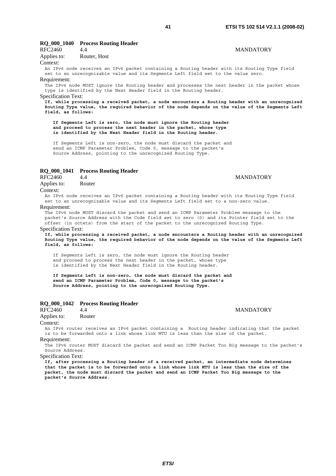# **RQ\_000\_1040 Process Routing Header**

| RFC2460     | 44           | <b>MANDATORY</b> |
|-------------|--------------|------------------|
| Applies to: | Router, Host |                  |

# Context:

An IPv6 node receives an IPv6 packet containing a Routing header with its Routing Type field set to an unrecognizable value and its Segments Left field set to the value zero. Requirement:

The IPv6 node MUST ignore the Routing header and processes the next header in the packet whose type is identified by the Next Header field in the Routing header.

Specification Text:

**If, while processing a received packet, a node encounters a Routing header with an unrecognized Routing Type value, the required behavior of the node depends on the value of the Segments Left field, as follows:** 

 **If Segments Left is zero, the node must ignore the Routing header and proceed to process the next header in the packet, whose type is identified by the Next Header field in the Routing header.**

 If Segments Left is non-zero, the node must discard the packet and send an ICMP Parameter Problem, Code 0, message to the packet's Source Address, pointing to the unrecognized Routing Type.

### **RQ\_000\_1041 Process Routing Header**

RFC2460 4.4 MANDATORY Applies to: Router

Context:

An IPv6 node receives an IPv6 packet containing a Routing header with its Routing Type field set to an unrecognizable value and its Segments Left field set to a non-zero value.

#### Requirement:

The IPv6 node MUST discard the packet and send an ICMP Parameter Problem message to the packet's Source Address with the Code field set to zero (0) and its Pointer field set to the offset (in octets) from the start of the packet to the unrecognized Routing Type.

### Specification Text:

**If, while processing a received packet, a node encounters a Routing header with an unrecognized Routing Type value, the required behavior of the node depends on the value of the Segments Left field, as follows:**

 If Segments Left is zero, the node must ignore the Routing header and proceed to process the next header in the packet, whose type is identified by the Next Header field in the Routing header.

 **If Segments Left is non-zero, the node must discard the packet and send an ICMP Parameter Problem, Code 0, message to the packet's Source Address, pointing to the unrecognized Routing Type.**

# **RQ\_000\_1042 Process Routing Header**

# RFC2460 4.4 MANDATORY Applies to: Router

# Context:

An IPv6 router receives an IPv6 packet containing a Routing header indicating that the packet is to be forwarded onto a link whose link MTU is less than the size of the packet. Requirement:

The IPv6 router MUST discard the packet and send an ICMP Packet Too Big message to the packet's Source Address.

Specification Text:

**If, after processing a Routing header of a received packet, an intermediate node determines that the packet is to be forwarded onto a link whose link MTU is less than the size of the packet, the node must discard the packet and send an ICMP Packet Too Big message to the packet's Source Address**.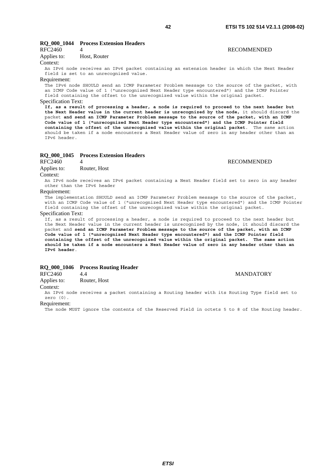# **RQ\_000\_1044 Process Extension Headers**

| RFC2460     |              | <b>RECOMMENDED</b> |
|-------------|--------------|--------------------|
| Applies to: | Host, Router |                    |

### Context:

An IPv6 node receives an IPv6 packet containing an extension header in which the Next Header field is set to an unrecognized value.

#### Requirement:

The IPv6 node SHOULD send an ICMP Parameter Problem message to the source of the packet, with an ICMP Code value of 1 ("unrecognized Next Header type encountered") and the ICMP Pointer field containing the offset to the unrecognized value within the original packet. Specification Text:

**If, as a result of processing a header, a node is required to proceed to the next header but the Next Header value in the current header is unrecognized by the node,** it should discard the packet **and send an ICMP Parameter Problem message to the source of the packet, with an ICMP Code value of 1 ("unrecognized Next Header type encountered") and the ICMP Pointer field containing the offset of the unrecognized value within the original packet**. The same action should be taken if a node encounters a Next Header value of zero in any header other than an IPv6 header.

### **RQ\_000\_1045 Process Extension Headers**

# RFC2460 4 RECOMMENDED

Applies to: Router, Host

#### Context:

An IPv6 node receives an IPv6 packet containing a Next Header field set to zero in any header other than the IPv6 header

#### Requirement:

The implementation SHOULD send an ICMP Parameter Problem message to the source of the packet with an ICMP Code value of 1 ("unrecognized Next Header type encountered") and the ICMP Pointer field containing the offset of the unrecognized value within the original packet.

#### Specification Text:

If, as a result of processing a header, a node is required to proceed to the next header but the Next Header value in the current header is unrecognized by the node, it should discard the packet and **send an ICMP Parameter Problem message to the source of the packet, with an ICMP Code value of 1 ("unrecognized Next Header type encountered") and the ICMP Pointer field containing the offset of the unrecognized value within the original packet. The same action should be taken if a node encounters a Next Header value of zero in any header other than an IPv6 header**.

# **RQ\_000\_1046 Process Routing Header**

RFC2460 4.4 MANDATORY

Applies to: Router, Host

# Context:

An IPv6 node receives a packet containing a Routing header with its Routing Type field set to zero (0).

#### Requirement:

The node MUST ignore the contents of the Reserved Field in octets 5 to 8 of the Routing header.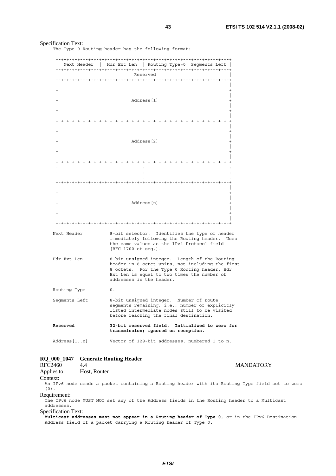# Specification Text:

The Type 0 Routing header has the following format:

| Next Header   |    |                                                                                                                                                                                                                              | $Hdr$ Ext Len   Routing Type=0 Segments Left   |  |
|---------------|----|------------------------------------------------------------------------------------------------------------------------------------------------------------------------------------------------------------------------------|------------------------------------------------|--|
|               |    | Reserved                                                                                                                                                                                                                     |                                                |  |
| $\ddot{}$     |    |                                                                                                                                                                                                                              |                                                |  |
|               |    | Address [1]                                                                                                                                                                                                                  |                                                |  |
|               |    |                                                                                                                                                                                                                              |                                                |  |
|               |    | Address [2]                                                                                                                                                                                                                  |                                                |  |
|               |    |                                                                                                                                                                                                                              |                                                |  |
|               |    |                                                                                                                                                                                                                              |                                                |  |
|               |    |                                                                                                                                                                                                                              |                                                |  |
|               |    | Address [n]                                                                                                                                                                                                                  |                                                |  |
|               |    |                                                                                                                                                                                                                              |                                                |  |
| Next Header   |    | 8-bit selector. Identifies the type of header<br>immediately following the Routing header. Uses<br>the same values as the IPv4 Protocol field<br>[RFC-1700 et seq.].                                                         |                                                |  |
| Hdr Ext Len   |    | 8-bit unsigned integer. Length of the Routing<br>header in 8-octet units, not including the first<br>8 octets. For the Type 0 Routing header, Hdr<br>Ext Len is equal to two times the number of<br>addresses in the header. |                                                |  |
| Routing Type  | 0. |                                                                                                                                                                                                                              |                                                |  |
| Seqments Left |    | 8-bit unsigned integer. Number of route<br>segments remaining, i.e., number of explicitly<br>listed intermediate nodes still to be visited<br>before reaching the final destination.                                         |                                                |  |
| Reserved      |    | transmission; ignored on reception.                                                                                                                                                                                          | 32-bit reserved field. Initialized to zero for |  |
| Address[1n]   |    |                                                                                                                                                                                                                              | Vector of 128-bit addresses, numbered 1 to n.  |  |

# **RQ\_000\_1047 Generate Routing Header**

RFC2460 4.4 MANDATORY Applies to: Host, Router Context: An IPv6 node sends a packet containing a Routing header with its Routing Type field set to zero (0). Requirement: The IPv6 node MUST NOT set any of the Address fields in the Routing header to a Multicast addresses. Specification Text: **Multicast addresses must not appear in a Routing header of Type 0**, or in the IPv6 Destination Address field of a packet carrying a Routing header of Type 0.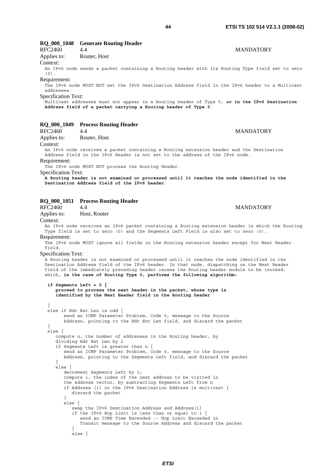# **RQ\_000\_1048 Generate Routing Header**

RFC2460 4.4 MANDATORY Applies to: Router, Host

Context:

An IPv6 node sends a packet containing a Routing header with its Routing Type field set to zero  $(0)$ 

### Requirement:

The IPv6 node MUST NOT set the IPv6 Destination Address field in the IPv6 header to a Multicast addresses.

Specification Text:

Multicast addresses must not appear in a Routing header of Type 0, **or in the IPv6 Destination Address field of a packet carrying a Routing header of Type 0**.

### **RQ\_000\_1049 Process Routing Header**

RFC2460 4.4 MANDATORY Applies to: Router, Host

Context:

An IPv6 node receives a packet containing a Routing extension header and the Destination Address field in the IPv6 Header is not set to the address of the IPv6 node. Requirement:

The IPv6 node MUST NOT process the Routing Header.

Specification Text:

**A Routing header is not examined or processed until it reaches the node identified in the Destination Address field of the IPv6 header**.

# **RQ\_000\_1051 Process Routing Header**  RFC2460 4.4 MANDATORY Applies to: Host, Router Context: An IPv6 node receives an IPv6 packet containing a Routing extension header in which the Routing Type field is set to zero (0) and the Segments Left Field is also set to zero (0). Requirement: The IPv6 node MUST ignore all fields in the Routing extension header except for Next Header field. Specification Text: A Routing header is not examined or processed until it reaches the node identified in the Destination Address field of the IPv6 header. In that node, dispatching on the Next Header field of the immediately preceding header causes the Routing header module to be invoked, which, **in the case of Routing Type 0, performs the following algorithm: if Segments Left = 0 { proceed to process the next header in the packet, whose type is identified by the Next Header field in the Routing header** } else if Hdr Ext Len is odd { send an ICMP Parameter Problem, Code 0, message to the Source Address, pointing to the Hdr Ext Len field, and discard the packet } else { compute n, the number of addresses in the Routing header, by dividing Hdr Ext Len by 2 if Segments Left is greater than n { send an ICMP Parameter Problem, Code 0, message to the Source Address, pointing to the Segments Left field, and discard the packet  $\}$  } else { decrement Segments Left by 1; compute i, the index of the next address to be visited in the address vector, by subtracting Segments Left from n if Address [i] or the IPv6 Destination Address is multicast { discard the packet } else { swap the IPv6 Destination Address and Address[i] if the IPv6 Hop Limit is less than or equal to 1  $\{$  send an ICMP Time Exceeded -- Hop Limit Exceeded in Transit message to the Source Address and discard the packet } else {

*ETSI*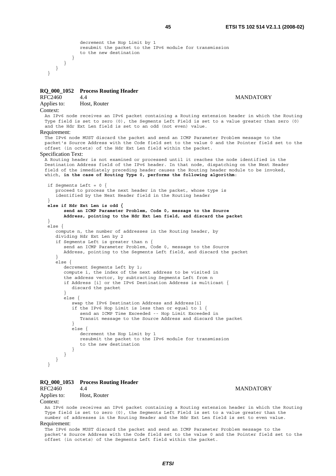```
 decrement the Hop Limit by 1 
              resubmit the packet to the IPv6 module for transmission 
              to the new destination 
          } 
       } 
   } 
 }
```
# **RQ\_000\_1052 Process Routing Header**

RFC2460 4.4 MANDATORY Applies to: Host, Router

#### Context:

An IPv6 node receives an IPv6 packet containing a Routing extension header in which the Routing Type field is set to zero (0), the Segments Left Field is set to a value greater than zero (0) and the Hdr Ext Len field is set to an odd (not even) value.

### Requirement:

The IPv6 node MUST discard the packet and send an ICMP Parameter Problem message to the packet's Source Address with the Code field set to the value 0 and the Pointer field set to the offset (in octets) of the Hdr Ext Len field within the packet.

### Specification Text:

A Routing header is not examined or processed until it reaches the node identified in the Destination Address field of the IPv6 header. In that node, dispatching on the Next Header field of the immediately preceding header causes the Routing header module to be invoked, which, **in the case of Routing Type 0, performs the following algorithm**:

```
 if Segments Left = 0 { 
    proceed to process the next header in the packet, whose type is 
    identified by the Next Header field in the Routing header 
 } 
 else if Hdr Ext Len is odd { 
       send an ICMP Parameter Problem, Code 0, message to the Source 
       Address, pointing to the Hdr Ext Len field, and discard the packet
 } 
\sim 1se {
    compute n, the number of addresses in the Routing header, by 
    dividing Hdr Ext Len by 2 
    if Segments Left is greater than n { 
        send an ICMP Parameter Problem, Code 0, message to the Source 
       Address, pointing to the Segments Left field, and discard the packet 
 } 
    else { 
       decrement Segments Left by 1; 
        compute i, the index of the next address to be visited in 
        the address vector, by subtracting Segments Left from n 
        if Address [i] or the IPv6 Destination Address is multicast { 
           discard the packet 
 } 
        else { 
           swap the IPv6 Destination Address and Address[i] 
           if the IPv6 Hop Limit is less than or equal to 1 { 
              send an ICMP Time Exceeded -- Hop Limit Exceeded in 
              Transit message to the Source Address and discard the packet 
 } 
           else { 
              decrement the Hop Limit by 1 
              resubmit the packet to the IPv6 module for transmission 
          to the new destination }
 } 
       } 
    } 
 }
```
#### **RQ\_000\_1053 Process Routing Header**

# RFC2460 4.4 MANDATORY Applies to: Host, Router

Context:

An IPv6 node receives an IPv6 packet containing a Routing extension header in which the Routing Type field is set to zero (0), the Segments Left Field is set to a value greater than the number of addresses in the Routing Header and the Hdr Ext Len field is set to even value. Requirement:

The IPv6 node MUST discard the packet and send an ICMP Parameter Problem message to the packet's Source Address with the Code field set to the value 0 and the Pointer field set to the offset (in octets) of the Segments Left field within the packet.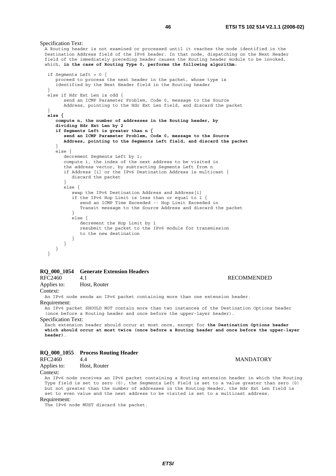A Routing header is not examined or processed until it reaches the node identified in the Destination Address field of the IPv6 header. In that node, dispatching on the Next Header field of the immediately preceding header causes the Routing header module to be invoked, which, **in the case of Routing Type 0, performs the following algorithm**: if Segments Left = 0 { proceed to process the next header in the packet, whose type is identified by the Next Header field in the Routing header } else if Hdr Ext Len is odd { send an ICMP Parameter Problem, Code 0, message to the Source Address, pointing to the Hdr Ext Len field, and discard the packet }  **else { compute n, the number of addresses in the Routing header, by dividing Hdr Ext Len by 2 if Segments Left is greater than n { send an ICMP Parameter Problem, Code 0, message to the Source Address, pointing to the Segments Left field, and discard the packet** } else { decrement Segments Left by 1; compute i, the index of the next address to be visited in the address vector, by subtracting Segments Left from n if Address [i] or the IPv6 Destination Address is multicast { discard the packet } else { swap the IPv6 Destination Address and Address[i] if the IPv6 Hop Limit is less than or equal to 1 { send an ICMP Time Exceeded -- Hop Limit Exceeded in Transit message to the Source Address and discard the packet } else { decrement the Hop Limit by 1 resubmit the packet to the IPv6 module for transmission to the new destination } } } }

# **RQ\_000\_1054 Generate Extension Headers**

RFC2460 4.1 RECOMMENDED Applies to: Host, Router

Context:

An IPv6 node sends an IPv6 packet containing more than one extension header.

#### Requirement:

An IPv6 packet SHOULD NOT contain more than two instances of the Destination Options header (once before a Routing header and once before the upper-layer header).

Specification Text:

Specification Text:

Each extension header should occur at most once, except for **the Destination Options header which should occur at most twice (once before a Routing header and once before the upper-layer header)**.

# **RQ\_000\_1055 Process Routing Header**

RFC2460 4.4 MANDATORY Applies to: Host, Router

# Context:

An IPv6 node receives an IPv6 packet containing a Routing extension header in which the Routing Type field is set to zero (0), the Segments Left Field is set to a value greater than zero (0) but not greater than the number of addresses in the Routing Header, the Hdr Ext Len field is set to even value and the next address to be visited is set to a multicast address.

Requirement:

The IPv6 node MUST discard the packet.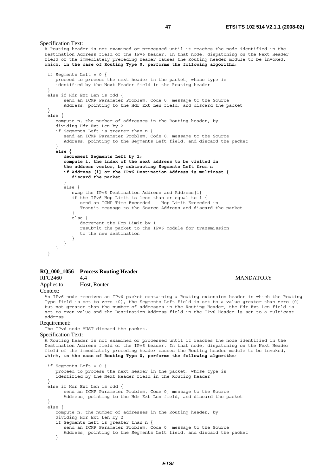A Routing header is not examined or processed until it reaches the node identified in the Destination Address field of the IPv6 header. In that node, dispatching on the Next Header field of the immediately preceding header causes the Routing header module to be invoked, which**, in the case of Routing Type 0, performs the following algorithm**: if Segments Left = 0 { proceed to process the next header in the packet, whose type is identified by the Next Header field in the Routing header } else if Hdr Ext Len is odd { send an ICMP Parameter Problem, Code 0, message to the Source Address, pointing to the Hdr Ext Len field, and discard the packet } else { compute n, the number of addresses in the Routing header, by dividing Hdr Ext Len by 2 if Segments Left is greater than n { send an ICMP Parameter Problem, Code 0, message to the Source Address, pointing to the Segments Left field, and discard the packet } **else { decrement Segments Left by 1; compute i, the index of the next address to be visited in the address vector, by subtracting Segments Left from n if Address [i] or the IPv6 Destination Address is multicast { discard the packet** } else { swap the IPv6 Destination Address and Address[i] if the IPv6 Hop Limit is less than or equal to 1 { send an ICMP Time Exceeded -- Hop Limit Exceeded in Transit message to the Source Address and discard the packet } else { decrement the Hop Limit by 1 resubmit the packet to the IPv6 module for transmission to the new destination } } } }

# **RQ\_000\_1056 Process Routing Header**

A.4 MANDATORY

Applies to: Host, Router

Specification Text:

Context:

An IPv6 node receives an IPv6 packet containing a Routing extension header in which the Routing Type field is set to zero (0), the Segments Left Field is set to a value greater than zero (0) but not greater than the number of addresses in the Routing Header, the Hdr Ext Len field is set to even value and the Destination Address field in the IPv6 Header is set to a multicast address.

#### Requirement:

The IPv6 node MUST discard the packet.

```
Specification Text:
```
A Routing header is not examined or processed until it reaches the node identified in the Destination Address field of the IPv6 header. In that node, dispatching on the Next Header field of the immediately preceding header causes the Routing header module to be invoked, which**, in the case of Routing Type 0, performs the following algorithm**:

```
 if Segments Left = 0 { 
    proceed to process the next header in the packet, whose type is 
     identified by the Next Header field in the Routing header 
 } 
 else if Hdr Ext Len is odd { 
        send an ICMP Parameter Problem, Code 0, message to the Source 
       Address, pointing to the Hdr Ext Len field, and discard the packet 
 } 
 else { 
     compute n, the number of addresses in the Routing header, by 
    dividing Hdr Ext Len by 2 
    if Segments Left is greater than n { 
        send an ICMP Parameter Problem, Code 0, message to the Source 
       Address, pointing to the Segments Left field, and discard the packet 
     }
```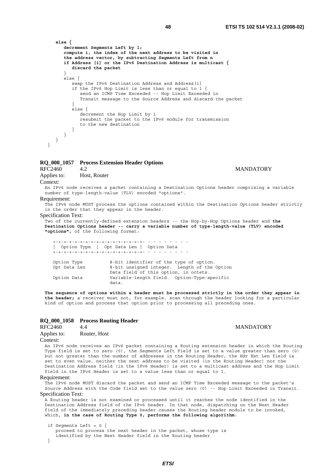```
 else { 
       decrement Segments Left by 1; 
       compute i, the index of the next address to be visited in 
       the address vector, by subtracting Segments Left from n 
       if Address [i] or the IPv6 Destination Address is multicast { 
          discard the packet
 } 
      \text{else}swap the IPv6 Destination Address and Address[i]
          if the IPv6 Hop Limit is less than or equal to 1 { 
              send an ICMP Time Exceeded -- Hop Limit Exceeded in 
              Transit message to the Source Address and discard the packet 
 } 
          else { 
             decrement the Hop Limit by 1 
             resubmit the packet to the IPv6 module for transmission 
         to the new destination<br>}
 } 
      }
```

```
RQ_000_1057 Process Extension Header Options
```
RFC2460 4.2 MANDATORY

Applies to: Host, Router

### Context:

An IPv6 node receives a packet containing a Destination Options header comprising a variable number of type-length-value (TLV) encoded "options".

Requirement:

 } }

The IPv6 node MUST process the options contained within the Destination Options header strictly in the order that they appear in the header.

Specification Text:

Two of the currently-defined extension headers -- the Hop-by-Hop Options header and **the Destination Options header -- carry a variable number of type-length-value (TLV) encoded "options",** of the following format:

 +-+-+-+-+-+-+-+-+-+-+-+-+-+-+-+-+- - - - - - - - - | Option Type | Opt Data Len | Option Data +-+-+-+-+-+-+-+-+-+-+-+-+-+-+-+-+- - - - - - - - - Option Type 8-bit identifier of the type of option.

| Opt Data Len | 8-bit unsigned integer. Length of the Option |
|--------------|----------------------------------------------|
|              | Data field of this option, in octets.        |
| Option Data  | Variable-length field. Option-Type-specific  |
|              | data.                                        |

**The sequence of options within a header must be processed strictly in the order they appear in the header;** a receiver must not, for example, scan through the header looking for a particular kind of option and process that option prior to processing all preceding ones.

# **RQ\_000\_1058 Process Routing Header**

| RFC2460            | 4.4          |  |  |
|--------------------|--------------|--|--|
| Applies to:        | Router, Host |  |  |
| Contr <sub>1</sub> |              |  |  |

### Context:

An IPv6 node receives an IPv6 packet containing a Routing extension header in which the Routing Type field is set to zero (0), the Segments Left Field is set to a value greater than zero (0) but not greater than the number of addresses in the Routing Header, the Hdr Ext Len field is set to even value, neither the next address to be visited (in the Routing Header) nor the Destination Address field (in the IPv6 Header) is set to a multicast address and the Hop Limit field in the IPv6 Header is set to a value less than or equal to 1.

#### Requirement:

The IPv6 node MUST discard the packet and send an ICMP Time Exceeded message to the packet's Source Address with the Code field set to the value zero (0) -- Hop Limit Exceeded in Transit. Specification Text:

A Routing header is not examined or processed until it reaches the node identified in the Destination Address field of the IPv6 header. In that node, dispatching on the Next Header field of the immediately preceding header causes the Routing header module to be invoked, which, **in the case of Routing Type 0, performs the following algorithm**:

```
 if Segments Left = 0 { 
    proceed to process the next header in the packet, whose type is 
    identified by the Next Header field in the Routing header 
 }
```
**MANDATORY**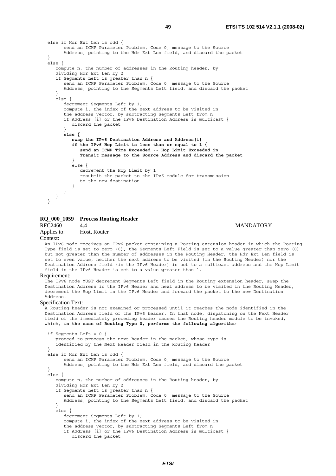```
 else if Hdr Ext Len is odd { 
        send an ICMP Parameter Problem, Code 0, message to the Source 
       Address, pointing to the Hdr Ext Len field, and discard the packet 
 } 
 else { 
    compute n, the number of addresses in the Routing header, by 
    dividing Hdr Ext Len by 2 
    if Segments Left is greater than n { 
       send an ICMP Parameter Problem, Code 0, message to the Source
       Address, pointing to the Segments Left field, and discard the packet 
     } 
    else { 
       decrement Segments Left by 1; 
        compute i, the index of the next address to be visited in 
        the address vector, by subtracting Segments Left from n 
        if Address [i] or the IPv6 Destination Address is multicast { 
           discard the packet 
 } 
        else { 
           swap the IPv6 Destination Address and Address[i] 
           if the IPv6 Hop Limit is less than or equal to 1 { 
              send an ICMP Time Exceeded -- Hop Limit Exceeded in 
              Transit message to the Source Address and discard the packet
 } 
           else { 
              decrement the Hop Limit by 1 
              resubmit the packet to the IPv6 module for transmission 
              to the new destination 
 } 
       } 
    } 
 }
```
# **RQ\_000\_1059 Process Routing Header**  A.4 MANDATORY

Applies to: Host, Router

#### Context:

An IPv6 node receives an IPv6 packet containing a Routing extension header in which the Routing Type field is set to zero (0), the Segments Left Field is set to a value greater than zero (0) but not greater than the number of addresses in the Routing Header, the Hdr Ext Len field is set to even value, neither the next address to be visited (in the Routing Header) nor the Destination Address field (in the IPv6 Header) is set to a multicast address and the Hop Limit field in the IPv6 Header is set to a value greater than 1.

#### Requirement:

The IPv6 node MUST decrement Segments Left field in the Routing extension header, swap the Destination Address in the IPv6 Header and next address to be visited in the Routing Header, decrement the Hop Limit in the IPv6 Header and forward the packet to the new Destination Address.

#### Specification Text:

A Routing header is not examined or processed until it reaches the node identified in the Destination Address field of the IPv6 header. In that node, dispatching on the Next Header field of the immediately preceding header causes the Routing header module to be invoked, which, **in the case of Routing Type 0, performs the following algorithm**:

```
 if Segments Left = 0 { 
 proceed to process the next header in the packet, whose type is 
    identified by the Next Header field in the Routing header 
 } 
 else if Hdr Ext Len is odd { 
       send an ICMP Parameter Problem, Code 0, message to the Source 
       Address, pointing to the Hdr Ext Len field, and discard the packet 
 } 
 else { 
    compute n, the number of addresses in the Routing header, by 
    dividing Hdr Ext Len by 2 
     if Segments Left is greater than n { 
       send an ICMP Parameter Problem, Code 0, message to the Source 
       Address, pointing to the Segments Left field, and discard the packet 
 } 
    else { 
      decrement Segments Left by 1;
       compute i, the index of the next address to be visited in 
        the address vector, by subtracting Segments Left from n 
        if Address [i] or the IPv6 Destination Address is multicast { 
           discard the packet
```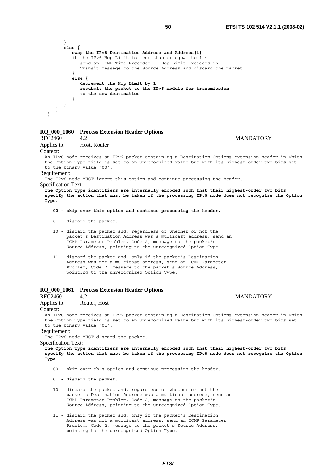```
 } 
 else { 
          swap the IPv6 Destination Address and Address[i]
          if the IPv6 Hop Limit is less than or equal to 1 { 
             send an ICMP Time Exceeded -- Hop Limit Exceeded in 
             Transit message to the Source Address and discard the packet 
 } 
          else { 
             decrement the Hop Limit by 1 
             resubmit the packet to the IPv6 module for transmission 
             to the new destination
 } 
      } 
   } 
 }
```
# **RQ\_000\_1060 Process Extension Header Options**

## RFC2460 4.2 MANDATORY

Applies to: Host, Router

# Context:

An IPv6 node receives an IPv6 packet containing a Destination Options extension header in which the Option Type field is set to an unrecognized value but with its highest-order two bits set to the binary value '00'.

#### Requirement:

The IPv6 node MUST ignore this option and continue processing the header.

# Specification Text:

**The Option Type identifiers are internally encoded such that their highest-order two bits specify the action that must be taken if the processing IPv6 node does not recognize the Option Type.** 

- **00 skip over this option and continue processing the header.**
- 01 discard the packet.
- 10 discard the packet and, regardless of whether or not the packet's Destination Address was a multicast address, send an ICMP Parameter Problem, Code 2, message to the packet's Source Address, pointing to the unrecognized Option Type.
- 11 discard the packet and, only if the packet's Destination Address was not a multicast address, send an ICMP Parameter Problem, Code 2, message to the packet's Source Address, pointing to the unrecognized Option Type.

# **RQ\_000\_1061 Process Extension Header Options**

# RFC2460 4.2 MANDATORY

Applies to: Router, Host

#### Context:

An IPv6 node receives an IPv6 packet containing a Destination Options extension header in which the Option Type field is set to an unrecognized value but with its highest-order two bits set to the binary value '01'.

# Requirement:

The IPv6 node MUST discard the packet.

#### Specification Text:

**The Option Type identifiers are internally encoded such that their highest-order two bits specify the action that must be taken if the processing IPv6 node does not recognize the Option Type**:

00 - skip over this option and continue processing the header.

### **01 - discard the packet**.

- 10 discard the packet and, regardless of whether or not the packet's Destination Address was a multicast address, send an ICMP Parameter Problem, Code 2, message to the packet's Source Address, pointing to the unrecognized Option Type.
- 11 discard the packet and, only if the packet's Destination Address was not a multicast address, send an ICMP Parameter Problem, Code 2, message to the packet's Source Address, pointing to the unrecognized Option Type.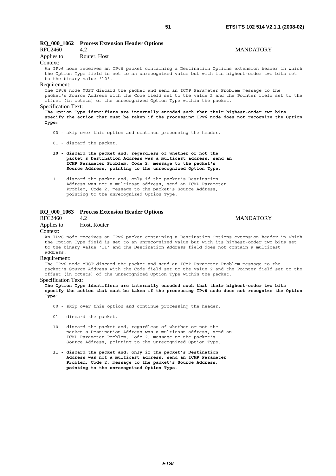|                            | RQ_000_1062 Process Extension Header Options                                                                                                                                                                                                                        |                  |
|----------------------------|---------------------------------------------------------------------------------------------------------------------------------------------------------------------------------------------------------------------------------------------------------------------|------------------|
| <b>RFC2460</b>             | 4.2                                                                                                                                                                                                                                                                 | <b>MANDATORY</b> |
| Applies to:                | Router, Host                                                                                                                                                                                                                                                        |                  |
| Context:                   |                                                                                                                                                                                                                                                                     |                  |
| to the binary value '10'.  | An IPv6 node receives an IPv6 packet containing a Destination Options extension header in which<br>the Option Type field is set to an unrecognized value but with its highest-order two bits set                                                                    |                  |
| Requirement:               |                                                                                                                                                                                                                                                                     |                  |
|                            | The IPv6 node MUST discard the packet and send an ICMP Parameter Problem message to the<br>packet's Source Address with the Code field set to the value 2 and the Pointer field set to the<br>offset (in octets) of the unrecognized Option Type within the packet. |                  |
| <b>Specification Text:</b> |                                                                                                                                                                                                                                                                     |                  |
| Type:                      | The Option Type identifiers are internally encoded such that their highest-order two bits<br>specify the action that must be taken if the processing IPv6 node does not recognize the Option                                                                        |                  |

00 - skip over this option and continue processing the header.

01 - discard the packet.

- **10 discard the packet and, regardless of whether or not the packet's Destination Address was a multicast address, send an ICMP Parameter Problem, Code 2, message to the packet's Source Address, pointing to the unrecognized Option Type**.
- 11 discard the packet and, only if the packet's Destination Address was not a multicast address, send an ICMP Parameter Problem, Code 2, message to the packet's Source Address, pointing to the unrecognized Option Type.

# **RQ\_000\_1063 Process Extension Header Options**

#### A.2 MANDATORY

Applies to: Host, Router

#### Context:

An IPv6 node receives an IPv6 packet containing a Destination Options extension header in which the Option Type field is set to an unrecognized value but with its highest-order two bits set to the binary value '11' and the Destination Address field does not contain a multicast address.

#### Requirement:

The IPv6 node MUST discard the packet and send an ICMP Parameter Problem message to the packet's Source Address with the Code field set to the value 2 and the Pointer field set to the offset (in octets) of the unrecognized Option Type within the packet.

#### Specification Text:

**The Option Type identifiers are internally encoded such that their highest-order two bits specify the action that must be taken if the processing IPv6 node does not recognize the Option Type:**

- 00 skip over this option and continue processing the header.
- 01 discard the packet.
- 10 discard the packet and, regardless of whether or not the packet's Destination Address was a multicast address, send an ICMP Parameter Problem, Code 2, message to the packet's Source Address, pointing to the unrecognized Option Type.
- **11 discard the packet and, only if the packet's Destination Address was not a multicast address, send an ICMP Parameter Problem, Code 2, message to the packet's Source Address, pointing to the unrecognized Option Type**.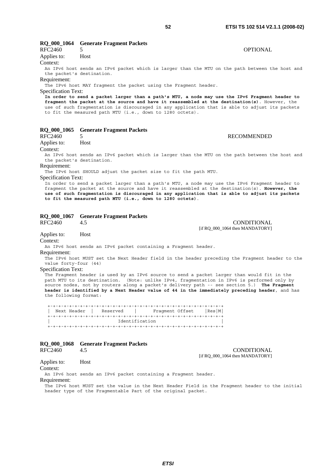# **RQ\_000\_1064 Generate Fragment Packets**

# RFC2460 5 OPTIONAL Applies to: Host

Context:

An IPv6 host sends an IPv6 packet which is larger than the MTU on the path between the host and the packet's destination.

#### Requirement:

The IPv6 host MAY fragment the packet using the Fragment header.

#### Specification Text:

**In order to send a packet larger than a path's MTU, a node may use the IPv6 Fragment header to fragment the packet at the source and have it reassembled at the destination(s)**. However, the use of such fragmentation is discouraged in any application that is able to adjust its packets to fit the measured path MTU (i.e., down to 1280 octets).

### **RQ\_000\_1065 Generate Fragment Packets**

#### RFC2460 5 RECOMMENDED

Applies to: Host

#### Context:

An IPv6 host sends an IPv6 packet which is larger than the MTU on the path between the host and the packet's destination.

Requirement:

The IPv6 host SHOULD adjust the packet size to fit the path MTU.

Specification Text:

In order to send a packet larger than a path's MTU, a node may use the IPv6 Fragment header to fragment the packet at the source and have it reassembled at the destination(s). **However, the use of such fragmentation is discouraged in any application that is able to adjust its packets to fit the measured path MTU (i.e., down to 1280 octets)**.

# **RQ\_000\_1067 Generate Fragment Packets**

RFC2460 4.5 CONDITIONAL [if RQ\_000\_1064 then MANDATORY]

### Applies to: Host

Context:

An IPv6 host sends an IPv6 packet containing a Fragment header.

#### Requirement:

The IPv6 host MUST set the Next Header field in the header preceding the Fragment header to the value forty-four (44)

### Specification Text:

The Fragment header is used by an IPv6 source to send a packet larger than would fit in the path MTU to its destination. (Note: unlike IPv4, fragmentation in IPv6 is performed only by source nodes, not by routers along a packet's delivery path -- see section 5.) **The Fragment header is identified by a Next Header value of 44 in the immediately preceding header**, and has the following format:

 +-+-+-+-+-+-+-+-+-+-+-+-+-+-+-+-+-+-+-+-+-+-+-+-+-+-+-+-+-+-+-+-+ | Next Header | Reserved | Fragment Offset |Res|M| +-+-+-+-+-+-+-+-+-+-+-+-+-+-+-+-+-+-+-+-+-+-+-+-+-+-+-+-+-+-+-+-+ | Identification | +-+-+-+-+-+-+-+-+-+-+-+-+-+-+-+-+-+-+-+-+-+-+-+-+-+-+-+-+-+-+-+-+

### **RQ\_000\_1068 Generate Fragment Packets**

RFC2460 4.5 CONDITIONAL [if RQ\_000\_1064 then MANDATORY]

#### Applies to: Host

Context:

An IPv6 host sends an IPv6 packet containing a Fragment header.

Requirement:

The IPv6 host MUST set the value in the Next Header Field in the Fragment header to the initial header type of the Fragmentable Part of the original packet.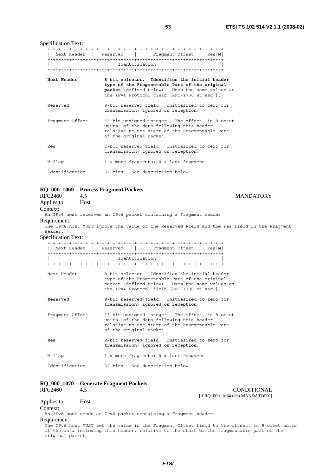Specification Text:

|                 |                                 | Next Header   Reserved   Fragment Offset   Res   M                                                                                                                                               |  |
|-----------------|---------------------------------|--------------------------------------------------------------------------------------------------------------------------------------------------------------------------------------------------|--|
|                 |                                 |                                                                                                                                                                                                  |  |
|                 | Identification                  |                                                                                                                                                                                                  |  |
|                 |                                 |                                                                                                                                                                                                  |  |
| Next Header     |                                 | 8-bit selector. Identifies the initial header<br>type of the Fragmentable Part of the original<br>packet (defined below). Uses the same values as<br>the IPv4 Protocol field [RFC-1700 et seq.]. |  |
| Reserved        |                                 | 8-bit reserved field. Initialized to zero for<br>transmission; ignored on reception.                                                                                                             |  |
| Fragment Offset | of the original packet.         | 13-bit unsigned integer. The offset, in 8-octet<br>units, of the data following this header,<br>relative to the start of the Fraqmentable Part                                                   |  |
| Res             |                                 | 2-bit reserved field. Initialized to zero for<br>transmission; ignored on reception.                                                                                                             |  |
| M flag          |                                 | $1$ = more fraqments; $0$ = last fraqment.                                                                                                                                                       |  |
| Identification  | 32 bits. See description below. |                                                                                                                                                                                                  |  |

# **RQ\_000\_1069 Process Fragment Packets**

| RFC2460                    | 4.5  |                                                                                              | <b>MANDATORY</b>                |
|----------------------------|------|----------------------------------------------------------------------------------------------|---------------------------------|
| Applies to:                | Host |                                                                                              |                                 |
| Context:                   |      |                                                                                              |                                 |
|                            |      | An IPv6 host receives an IPv6 packet containing a Fragment header                            |                                 |
| Requirement:               |      |                                                                                              |                                 |
|                            |      | The IPv6 host MUST ignore the value of the Reserved Field and the Res field in the Fragment  |                                 |
| Header.                    |      |                                                                                              |                                 |
| <b>Specification Text:</b> |      |                                                                                              |                                 |
|                            |      | Next Header   Reserved   Fragment Offset   Res   M                                           |                                 |
|                            |      |                                                                                              |                                 |
|                            |      | Identification                                                                               |                                 |
|                            |      |                                                                                              |                                 |
| Next Header                |      | 8-bit selector. Identifies the initial header                                                |                                 |
|                            |      | type of the Fragmentable Part of the original                                                |                                 |
|                            |      | packet (defined below). Uses the same values as                                              |                                 |
|                            |      | the IPv4 Protocol field [RFC-1700 et seq.].                                                  |                                 |
| Reserved                   |      | 8-bit reserved field. Initialized to zero for                                                |                                 |
|                            |      | transmission; ignored on reception.                                                          |                                 |
|                            |      |                                                                                              |                                 |
| Fraqment Offset            |      | 13-bit unsigned integer. The offset, in 8-octet<br>units, of the data following this header, |                                 |
|                            |      | relative to the start of the Fragmentable Part                                               |                                 |
|                            |      | of the original packet.                                                                      |                                 |
|                            |      | 2-bit reserved field. Initialized to zero for                                                |                                 |
| Res                        |      | transmission; ignored on reception.                                                          |                                 |
|                            |      |                                                                                              |                                 |
| M flag                     |      | $1$ = more fraqments; $0$ = last fraqment.                                                   |                                 |
|                            |      |                                                                                              |                                 |
| Identification             |      | 32 bits. See description below.                                                              |                                 |
|                            |      |                                                                                              |                                 |
|                            |      | RQ_000_1070 Generate Fragment Packets                                                        |                                 |
| RFC2460                    | 4.5  |                                                                                              | <b>CONDITIONAL</b>              |
|                            |      |                                                                                              | [if RO 000 1064 then MANDATORY] |

Applies to: Host Context: An IPv6 host sends an IPv6 packet containing a Fragment header. Requirement: The IPv6 host MUST set the value in the Fragment Offset field to the offset, in 8-octet units, of the data following this header, relative to the start of the fragmentable part of the original packet.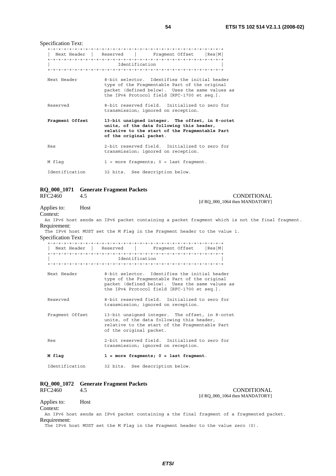[if RQ\_000\_1064 then MANDATORY]

|                 | Next Header   Reserved   Fraqment Offset   Res   M                                                                                                                                               |
|-----------------|--------------------------------------------------------------------------------------------------------------------------------------------------------------------------------------------------|
|                 | Identification                                                                                                                                                                                   |
| Next Header     | 8-bit selector. Identifies the initial header<br>type of the Fragmentable Part of the original<br>packet (defined below). Uses the same values as<br>the IPv4 Protocol field [RFC-1700 et seq.]. |
| Reserved        | 8-bit reserved field. Initialized to zero for<br>transmission; ignored on reception.                                                                                                             |
| Fragment Offset | 13-bit unsigned integer. The offset, in 8-octet<br>units, of the data following this header,<br>relative to the start of the Fragmentable Part<br>of the original packet.                        |
| Res             | 2-bit reserved field. Initialized to zero for<br>transmission; ignored on reception.                                                                                                             |
| M flag          | $1$ = more fraqments; $0$ = last fraqment.                                                                                                                                                       |
| Identification  | 32 bits. See description below.                                                                                                                                                                  |

# **RQ\_000\_1071 Generate Fragment Packets**

A.5 CONDITIONAL

Applies to: Host

Context:

An IPv6 host sends an IPv6 packet containing a packet fragment which is not the final fragment. Requirement:

The IPv6 host MUST set the M Flag in the Fragment header to the value 1.

Specification Text:

| Next Header<br>Reserved | Res M <br>Fraqment Offset |  |  |  |
|-------------------------|---------------------------|--|--|--|
|                         |                           |  |  |  |
| Identification          |                           |  |  |  |
|                         |                           |  |  |  |

| Next Header | 8-bit selector. Identifies the initial header   |
|-------------|-------------------------------------------------|
|             | type of the Fragmentable Part of the original   |
|             | packet (defined below). Uses the same values as |
|             | the IPv4 Protocol field [RFC-1700 et seq.].     |

 Reserved 8-bit reserved field. Initialized to zero for transmission; ignored on reception.

 Fragment Offset 13-bit unsigned integer. The offset, in 8-octet units, of the data following this header, relative to the start of the Fragmentable Part of the original packet.

 Res 2-bit reserved field. Initialized to zero for transmission; ignored on reception.

 **M flag 1 = more fragments; 0 = last fragment**.

Identification 32 bits. See description below.

# **RQ\_000\_1072 Generate Fragment Packets**  RFC2460 4.5 CONDITIONAL [if RQ\_000\_1064 then MANDATORY] Applies to: Host

Context:

An IPv6 host sends an IPv6 packet containing a the final fragment of a fragmented packet. Requirement:

The IPv6 host MUST set the M Flag in the Fragment header to the value zero (0).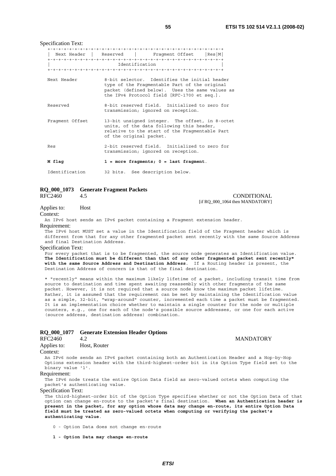Specification Text:

|                 | Next Header   Reserved   Fragment Offset   Res   M                                                                                                                                               |
|-----------------|--------------------------------------------------------------------------------------------------------------------------------------------------------------------------------------------------|
|                 |                                                                                                                                                                                                  |
|                 | Identification                                                                                                                                                                                   |
|                 |                                                                                                                                                                                                  |
| Next Header     | 8-bit selector. Identifies the initial header<br>type of the Fragmentable Part of the original<br>packet (defined below). Uses the same values as<br>the IPv4 Protocol field [RFC-1700 et seq.]. |
| Reserved        | 8-bit reserved field. Initialized to zero for<br>transmission; ignored on reception.                                                                                                             |
| Fraqment Offset | 13-bit unsigned integer. The offset, in 8-octet<br>units, of the data following this header,<br>relative to the start of the Fragmentable Part<br>of the original packet.                        |
| Res             | 2-bit reserved field. Initialized to zero for<br>transmission; ignored on reception.                                                                                                             |
| M flag          | $1$ = more fragments; $0$ = last fragment.                                                                                                                                                       |
| Identification  | 32 bits. See description below.                                                                                                                                                                  |

# **RQ\_000\_1073 Generate Fragment Packets**

RFC2460 4.5 CONDITIONAL [if RQ\_000\_1064 then MANDATORY]

Applies to: Host

Context:

An IPv6 host sends an IPv6 packet containing a Fragment extension header.

Requirement:

The IPv6 host MUST set a value in the Identification field of the Fragment header which is different from that for any other fragmented packet sent recently with the same Source Address and final Destination Address.

#### Specification Text:

For every packet that is to be fragmented, the source node generates an Identification value. **The Identification must be different than that of any other fragmented packet sent recently\* with the same Source Address and Destination Address**. If a Routing header is present, the Destination Address of concern is that of the final destination.

\* "recently" means within the maximum likely lifetime of a packet, including transit time from source to destination and time spent awaiting reassembly with other fragments of the same packet. However, it is not required that a source node know the maximum packet lifetime. Rather, it is assumed that the requirement can be met by maintaining the Identification value as a simple, 32-bit, "wrap-around" counter, incremented each time a packet must be fragmented. It is an implementation choice whether to maintain a single counter for the node or multiple counters, e.g., one for each of the node's possible source addresses, or one for each active (source address, destination address) combination.

# **RQ\_000\_1077 Generate Extension Header Options**

RFC2460 4.2 MANDATORY

Applies to: Host, Router

#### Context:

An IPv6 node sends an IPv6 packet containing both an Authentication Header and a Hop-by-Hop Options extension header with the third-highest-order bit in its Option Type field set to the binary value '1'.

#### Requirement:

The IPv6 node treats the entire Option Data field as zero-valued octets when computing the packet's authenticating value.

#### Specification Text:

The third-highest-order bit of the Option Type specifies whether or not the Option Data of that option can change en-route to the packet's final destination. **When an Authentication header is present in the packet, for any option whose data may change en-route, its entire Option Data field must be treated as zero-valued octets when computing or verifying the packet's authenticating value**.

0 - Option Data does not change en-route

 **1 - Option Data may change en-route**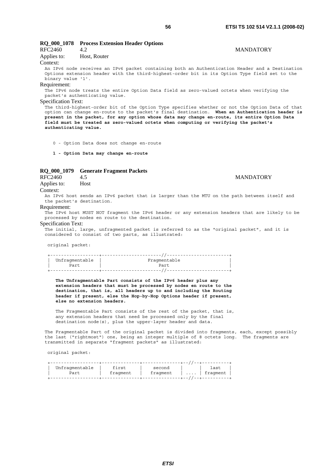| RFC2460                                                                                                                                                                                                                                                                                                                                                                                                                                                                                               | RQ_000_1078 Process Extension Header Options<br>4.2                                                                                                                                              | <b>MANDATORY</b> |  |
|-------------------------------------------------------------------------------------------------------------------------------------------------------------------------------------------------------------------------------------------------------------------------------------------------------------------------------------------------------------------------------------------------------------------------------------------------------------------------------------------------------|--------------------------------------------------------------------------------------------------------------------------------------------------------------------------------------------------|------------------|--|
| Applies to:                                                                                                                                                                                                                                                                                                                                                                                                                                                                                           | Host, Router                                                                                                                                                                                     |                  |  |
| Context:                                                                                                                                                                                                                                                                                                                                                                                                                                                                                              |                                                                                                                                                                                                  |                  |  |
| binary value '1'.                                                                                                                                                                                                                                                                                                                                                                                                                                                                                     | An IPv6 node receives an IPv6 packet containing both an Authentication Header and a Destination<br>Options extension header with the third-highest-order bit in its Option Type field set to the |                  |  |
| Requirement:                                                                                                                                                                                                                                                                                                                                                                                                                                                                                          |                                                                                                                                                                                                  |                  |  |
|                                                                                                                                                                                                                                                                                                                                                                                                                                                                                                       | The IPv6 node treats the entire Option Data field as zero-valued octets when verifying the                                                                                                       |                  |  |
|                                                                                                                                                                                                                                                                                                                                                                                                                                                                                                       | packet's authenticating value.                                                                                                                                                                   |                  |  |
| <b>Specification Text:</b>                                                                                                                                                                                                                                                                                                                                                                                                                                                                            |                                                                                                                                                                                                  |                  |  |
| The third-highest-order bit of the Option Type specifies whether or not the Option Data of that<br>option can change en-route to the packet's final destination. When an Authentication header is<br>present in the packet, for any option whose data may change en-route, its entire Option Data<br>field must be treated as zero-valued octets when computing or verifying the packet's<br>authenticating value.<br>0 - Option Data does not change en-route<br>1 - Option Data may change en-route |                                                                                                                                                                                                  |                  |  |
|                                                                                                                                                                                                                                                                                                                                                                                                                                                                                                       |                                                                                                                                                                                                  |                  |  |
| RQ_000_1079                                                                                                                                                                                                                                                                                                                                                                                                                                                                                           | <b>Generate Fragment Packets</b>                                                                                                                                                                 |                  |  |
| RFC2460                                                                                                                                                                                                                                                                                                                                                                                                                                                                                               | 4.5                                                                                                                                                                                              | <b>MANDATORY</b> |  |
| Applies to:                                                                                                                                                                                                                                                                                                                                                                                                                                                                                           | Host                                                                                                                                                                                             |                  |  |
| Context:                                                                                                                                                                                                                                                                                                                                                                                                                                                                                              |                                                                                                                                                                                                  |                  |  |
|                                                                                                                                                                                                                                                                                                                                                                                                                                                                                                       | An IPv6 host sends an IPv6 packet that is larger than the MTU on the path between itself and                                                                                                     |                  |  |
| the packet's destination.                                                                                                                                                                                                                                                                                                                                                                                                                                                                             |                                                                                                                                                                                                  |                  |  |
| Requirement:                                                                                                                                                                                                                                                                                                                                                                                                                                                                                          | The IPv6 host MUST NOT fragment the IPv6 header or any extension headers that are likely to be<br>progossed by podes on route to the destination                                                 |                  |  |

processed by nodes en route to the destination.

# Specification Text:

The initial, large, unfragmented packet is referred to as the "original packet", and it is considered to consist of two parts, as illustrated:

original packet:

| Unfragmentable | Fraqmentable |
|----------------|--------------|
|                |              |
| Part           | Part         |
|                |              |
|                |              |

 **The Unfragmentable Part consists of the IPv6 header plus any extension headers that must be processed by nodes en route to the destination, that is, all headers up to and including the Routing header if present, else the Hop-by-Hop Options header if present, else no extension headers.**

 The Fragmentable Part consists of the rest of the packet, that is, any extension headers that need be processed only by the final destination node(s), plus the upper-layer header and data.

The Fragmentable Part of the original packet is divided into fragments, each, except possibly the last ("rightmost") one, being an integer multiple of 8 octets long. The fragments are transmitted in separate "fragment packets" as illustrated:

*ETSI* 

original packet:

| Unfragmentable | first    | second   | last               |
|----------------|----------|----------|--------------------|
| Part           | fragment | fraqment | $\dots$   fraqment |
|                |          |          |                    |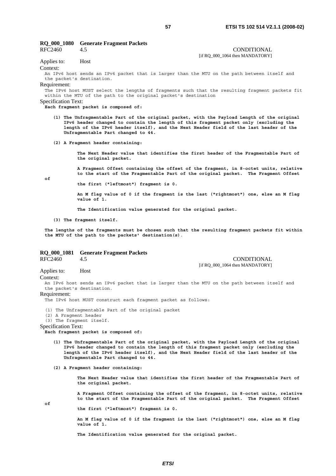# **RQ\_000\_1080 Generate Fragment Packets**

RFC2460 4.5 CONDITIONAL [if RQ 000 1064 then MANDATORY] Applies to: Host

Context:

An IPv6 host sends an IPv6 packet that is larger than the MTU on the path between itself and the packet's destination.

Requirement:

The IPv6 host MUST select the lengths of fragments such that the resulting fragment packets fit within the MTU of the path to the original packet's destination

Specification Text:

**Each fragment packet is composed of:** 

- **(1) The Unfragmentable Part of the original packet, with the Payload Length of the original IPv6 header changed to contain the length of this fragment packet only (excluding the**  length of the IPv6 header itself), and the Next Header field of the last header of the  **Unfragmentable Part changed to 44.**
- **(2) A Fragment header containing:**

 **The Next Header value that identifies the first header of the Fragmentable Part of the original packet.** 

 **A Fragment Offset containing the offset of the fragment, in 8-octet units, relative to the start of the Fragmentable Part of the original packet. The Fragment Offset** 

 $\theta$ 

 **the first ("leftmost") fragment is 0.** 

 **An M flag value of 0 if the fragment is the last ("rightmost") one, else an M flag value of 1.** 

 **The Identification value generated for the original packet.** 

 **(3) The fragment itself.**

**The lengths of the fragments must be chosen such that the resulting fragment packets fit within the MTU of the path to the packets' destination(s)**.

# **RQ\_000\_1081 Generate Fragment Packets**

4.5 CONDITIONAL [if RQ\_000\_1064 then MANDATORY]

Applies to: Host

Context:

An IPv6 host sends an IPv6 packet that is larger than the MTU on the path between itself and the packet's destination.

Requirement:

The IPv6 host MUST construct each fragment packet as follows:

(1) The Unfragmentable Part of the original packet

(2) A Fragment header

(3) The fragment itself.

#### Specification Text:

**Each fragment packet is composed of:** 

- **(1) The Unfragmentable Part of the original packet, with the Payload Length of the original IPv6 header changed to contain the length of this fragment packet only (excluding the length of the IPv6 header itself), and the Next Header field of the last header of the Unfragmentable Part changed to 44.**
- **(2) A Fragment header containing:**

 **The Next Header value that identifies the first header of the Fragmentable Part of the original packet.** 

 **A Fragment Offset containing the offset of the fragment, in 8-octet units, relative to the start of the Fragmentable Part of the original packet. The Fragment Offset** 

**of** 

 **the first ("leftmost") fragment is 0.** 

 **An M flag value of 0 if the fragment is the last ("rightmost") one, else an M flag value of 1.** 

 **The Identification value generated for the original packet.**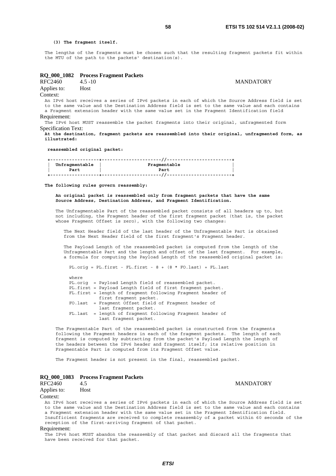#### **(3) The fragment itself.**

The lengths of the fragments must be chosen such that the resulting fragment packets fit within the MTU of the path to the packets' destination(s).

#### **RQ\_000\_1082 Process Fragment Packets**

RFC2460 4.5 -10 MANDATORY

Applies to: Host Context:

An IPv6 host receives a series of IPv6 packets in each of which the Source Address field is set to the same value and the Destination Address field is set to the same value and each contains a Fragment extension header with the same value set in the Fragment Identification field Requirement:

The IPv6 host MUST reassemble the packet fragments into their original, unfragmented form Specification Text:

**At the destination, fragment packets are reassembled into their original, unfragmented form, as illustrated:** 

 **reassembled original packet:** 

| Unfragmentable | Fragmentable |
|----------------|--------------|
|                |              |
| Part           | Part         |
|                |              |
|                |              |

#### **The following rules govern reassembly:**

 **An original packet is reassembled only from fragment packets that have the same Source Address, Destination Address, and Fragment Identification.**

 The Unfragmentable Part of the reassembled packet consists of all headers up to, but not including, the Fragment header of the first fragment packet (that is, the packet whose Fragment Offset is zero), with the following two changes:

 The Next Header field of the last header of the Unfragmentable Part is obtained from the Next Header field of the first fragment's Fragment header.

 The Payload Length of the reassembled packet is computed from the length of the Unfragmentable Part and the length and offset of the last fragment. For example, a formula for computing the Payload Length of the reassembled original packet is:

 PL.orig = PL.first - FL.first - 8 + (8 \* FO.last) + FL.last where PL.orig = Payload Length field of reassembled packet. PL.first = Payload Length field of first fragment packet. FL.first = length of fragment following Fragment header of first fragment packet. FO.last = Fragment Offset field of Fragment header of last fragment packet. FL.last = length of fragment following Fragment header of last fragment packet.

 The Fragmentable Part of the reassembled packet is constructed from the fragments following the Fragment headers in each of the fragment packets. The length of each fragment is computed by subtracting from the packet's Payload Length the length of the headers between the IPv6 header and fragment itself; its relative position in Fragmentable Part is computed from its Fragment Offset value.

The Fragment header is not present in the final, reassembled packet.

#### **RQ\_000\_1083 Process Fragment Packets**

RFC2460 4.5 MANDATORY Applies to: Host

Context:

An IPv6 host receives a series of IPv6 packets in each of which the Source Address field is set to the same value and the Destination Address field is set to the same value and each contains a Fragment extension header with the same value set in the Fragment Identification field. Insufficient fragments are received to complete reassembly of a packet within 60 seconds of the reception of the first-arriving fragment of that packet.

#### Requirement:

The IPv6 host MUST abandon the reassembly of that packet and discard all the fragments that have been received for that packet.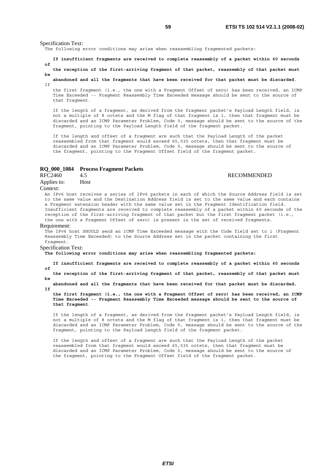Specification Text:

The following error conditions may arise when reassembling fragmented packets:

 **If insufficient fragments are received to complete reassembly of a packet within 60 seconds of** 

 **the reception of the first-arriving fragment of that packet, reassembly of that packet must be** 

 **abandoned and all the fragments that have been received for that packet must be discarded**. T<sub>f</sub>

 the first fragment (i.e., the one with a Fragment Offset of zero) has been received, an ICMP Time Exceeded -- Fragment Reassembly Time Exceeded message should be sent to the source of that fragment.

 If the length of a fragment, as derived from the fragment packet's Payload Length field, is not a multiple of 8 octets and the M flag of that fragment is 1, then that fragment must be discarded and an ICMP Parameter Problem, Code 0, message should be sent to the source of the fragment, pointing to the Payload Length field of the fragment packet.

 If the length and offset of a fragment are such that the Payload Length of the packet reassembled from that fragment would exceed 65,535 octets, then that fragment must be discarded and an ICMP Parameter Problem, Code 0, message should be sent to the source of the fragment, pointing to the Fragment Offset field of the fragment packet.

# **RQ\_000\_1084 Process Fragment Packets**

RFC2460 4.5 RECOMMENDED

Applies to: Host

### Context:

An IPv6 host receives a series of IPv6 packets in each of which the Source Address field is set to the same value and the Destination Address field is set to the same value and each contains a Fragment extension header with the same value set in the Fragment Identification field. Insufficient fragments are received to complete reassembly of a packet within 60 seconds of the reception of the first-arriving fragment of that packet but the first fragment packet (i.e., the one with a Fragment Offset of zero) is present in the set of received fragments.

#### Requirement:

The IPv6 host SHOULD send an ICMP Time Exceeded message with the Code field set to 1 (Fragment Reassembly Time Exceeded) to the Source Address set in the packet containing the first fragment.

### Specification Text:

**The following error conditions may arise when reassembling fragmented packets:** 

 **If insufficient fragments are received to complete reassembly of a packet within 60 seconds**   $\alpha$ **f** 

 **the reception of the first-arriving fragment of that packet, reassembly of that packet must be** 

 **abandoned and all the fragments that have been received for that packet must be discarded. If** 

 **the first fragment (i.e., the one with a Fragment Offset of zero) has been received, an ICMP Time Exceeded -- Fragment Reassembly Time Exceeded message should be sent to the source of that fragment**.

 If the length of a fragment, as derived from the fragment packet's Payload Length field, is not a multiple of 8 octets and the M flag of that fragment is 1, then that fragment must be discarded and an ICMP Parameter Problem, Code 0, message should be sent to the source of the fragment, pointing to the Payload Length field of the fragment packet.

 If the length and offset of a fragment are such that the Payload Length of the packet reassembled from that fragment would exceed 65,535 octets, then that fragment must be discarded and an ICMP Parameter Problem, Code 0, message should be sent to the source of the fragment, pointing to the Fragment Offset field of the fragment packet.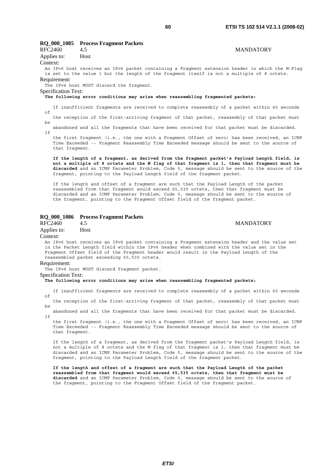# **RQ\_000\_1085 Process Fragment Packets**  RFC2460 4.5 MANDATORY

# Applies to: Host Context: An IPv6 host receives an IPv6 packet containing a Fragment extension header in which the M-Flag is set to the value 1 but the length of the fragment itself is not a multiple of 8 octets. Requirement: The IPv6 host MUST discard the fragment.

Specification Text:

#### **The following error conditions may arise when reassembling fragmented packets:**

 If insufficient fragments are received to complete reassembly of a packet within 60 seconds of

 the reception of the first-arriving fragment of that packet, reassembly of that packet must  $ha$ 

 abandoned and all the fragments that have been received for that packet must be discarded. If

 the first fragment (i.e., the one with a Fragment Offset of zero) has been received, an ICMP Time Exceeded -- Fragment Reassembly Time Exceeded message should be sent to the source of that fragment.

 **If the length of a fragment, as derived from the fragment packet's Payload Length field, is not a multiple of 8 octets and the M flag of that fragment is 1, then that fragment must be discarded** and an ICMP Parameter Problem, Code 0, message should be sent to the source of the fragment, pointing to the Payload Length field of the fragment packet.

 If the length and offset of a fragment are such that the Payload Length of the packet reassembled from that fragment would exceed 65,535 octets, then that fragment must be discarded and an ICMP Parameter Problem, Code 0, message should be sent to the source of the fragment, pointing to the Fragment Offset field of the fragment packet.

#### **RQ\_000\_1086 Process Fragment Packets**

#### RFC2460 4.5 MANDATORY

Applies to: Host

#### Context:

An IPv6 host receives an IPv6 packet containing a Fragment extension header and the value set in the Packet Length field within the IPv6 header when combined with the value set in the Fragment Offset field of the Fragment header would result in the Payload Length of the reassembled packet exceeding 65,535 octets.

#### Requirement:

The IPv6 host MUST discard fragment packet.

### Specification Text:

#### **The following error conditions may arise when reassembling fragmented packets:**

 If insufficient fragments are received to complete reassembly of a packet within 60 seconds of

 the reception of the first-arriving fragment of that packet, reassembly of that packet must be

 abandoned and all the fragments that have been received for that packet must be discarded.  $Tf$ 

 the first fragment (i.e., the one with a Fragment Offset of zero) has been received, an ICMP Time Exceeded -- Fragment Reassembly Time Exceeded message should be sent to the source of that fragment.

 If the length of a fragment, as derived from the fragment packet's Payload Length field, is not a multiple of 8 octets and the M flag of that fragment is 1, then that fragment must be discarded and an ICMP Parameter Problem, Code 0, message should be sent to the source of the fragment, pointing to the Payload Length field of the fragment packet.

 **If the length and offset of a fragment are such that the Payload Length of the packet reassembled from that fragment would exceed 65,535 octets, then that fragment must be discarded** and an ICMP Parameter Problem, Code 0, message should be sent to the source of the fragment, pointing to the Fragment Offset field of the fragment packet.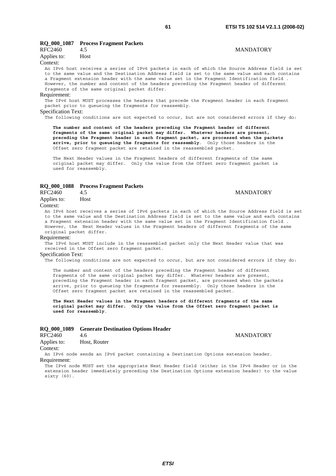# **RQ\_000\_1087 Process Fragment Packets**

| .           |      |
|-------------|------|
| RFC2460     | 4.5  |
| Applies to: | Host |

#### Context:

An IPv6 host receives a series of IPv6 packets in each of which the Source Address field is set to the same value and the Destination Address field is set to the same value and each contains a Fragment extension header with the same value set in the Fragment Identification field . However, the number and content of the headers preceding the Fragment header of different fragments of the same original packet differ.

#### Requirement:

The IPv6 host MUST processes the headers that precede the Fragment header in each fragment packet prior to queueing the fragments for reassembly.

#### Specification Text:

The following conditions are not expected to occur, but are not considered errors if they do:

 **The number and content of the headers preceding the Fragment header of different fragments of the same original packet may differ. Whatever headers are present, preceding the Fragment header in each fragment packet, are processed when the packets arrive, prior to queueing the fragments for reassembly**. Only those headers in the Offset zero fragment packet are retained in the reassembled packet.

 The Next Header values in the Fragment headers of different fragments of the same original packet may differ. Only the value from the Offset zero fragment packet is used for reassembly.

# **RQ\_000\_1088 Process Fragment Packets**

### RFC2460 4.5 MANDATORY Applies to: Host Context:

An IPv6 host receives a series of IPv6 packets in each of which the Source Address field is set to the same value and the Destination Address field is set to the same value and each contains a Fragment extension header with the same value set in the Fragment Identification field . However, the Next Header values in the Fragment headers of different fragments of the same original packet differ.

#### Requirement:

The IPv6 host MUST include in the reassembled packet only the Next Header value that was received in the Offset zero fragment packet.

# Specification Text:

The following conditions are not expected to occur, but are not considered errors if they do:

 The number and content of the headers preceding the Fragment header of different fragments of the same original packet may differ. Whatever headers are present, preceding the Fragment header in each fragment packet, are processed when the packets arrive, prior to queueing the fragments for reassembly. Only those headers in the Offset zero fragment packet are retained in the reassembled packet.

 **The Next Header values in the Fragment headers of different fragments of the same original packet may differ. Only the value from the Offset zero fragment packet is used for reassembly**.

#### **RQ\_000\_1089 Generate Destination Options Header**

| RFC2460     | 4.6          |
|-------------|--------------|
| Applies to: | Host, Router |
|             |              |

#### Context:

An IPv6 node sends an IPv6 packet containing a Destination Options extension header. Requirement:

The IPv6 node MUST set the appropriate Next Header field (either in the IPv6 Header or in the extension header immediately preceding the Destination Options extension header) to the value sixty (60).

# **MANDATORY**

# **MANDATORY**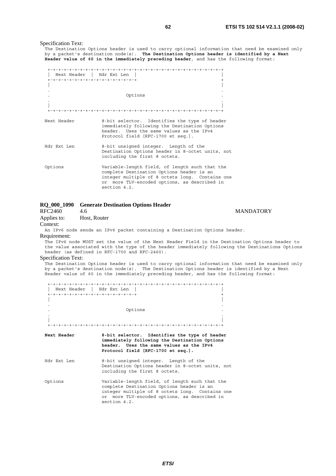**MANDATORY** 

#### Specification Text:

The Destination Options header is used to carry optional information that need be examined only by a packet's destination node(s). **The Destination Options header is identified by a Next Header value of 60 in the immediately preceding header**, and has the following format:

| Next Header   Hdr Ext Len         |                                                                                                                                                                                                                |
|-----------------------------------|----------------------------------------------------------------------------------------------------------------------------------------------------------------------------------------------------------------|
| +-+-+-+-+-+-+-+-+-+-+-+-+-+-+-+-+ |                                                                                                                                                                                                                |
|                                   |                                                                                                                                                                                                                |
|                                   | Options                                                                                                                                                                                                        |
|                                   |                                                                                                                                                                                                                |
| Next Header                       | 8-bit selector. Identifies the type of header<br>immediately following the Destination Options<br>header. Uses the same values as the IPv4<br>Protocol field [RFC-1700 et seq.].                               |
| Hdr Ext Len                       | 8-bit unsigned integer. Length of the<br>Destination Options header in 8-octet units, not<br>including the first 8 octets.                                                                                     |
| Options                           | Variable-length field, of length such that the<br>complete Destination Options header is an<br>integer multiple of 8 octets long. Contains one<br>or more TLV-encoded options, as described in<br>section 4.2. |

# **RQ\_000\_1090 Generate Destination Options Header**

| RFC2460     | 4.6          |
|-------------|--------------|
| Applies to: | Host, Router |

#### Context:

An IPv6 node sends an IPv6 packet containing a Destination Options header. Requirement:

The IPv6 node MUST set the value of the Next Header Field in the Destination Options header to the value associated with the type of the header immediately following the Destinations Options header (as defined in RFC-1700 and RFC-2460).

# Specification Text:

.<br>The Destination Options header is used to carry optional information that need be examined only by a packet's destination node(s). The Destination Options header is identified by a Next Header value of 60 in the immediately preceding header, and has the following format:

| Next Header   Hdr Ext Len         |                                                                                                                                                                                                                |
|-----------------------------------|----------------------------------------------------------------------------------------------------------------------------------------------------------------------------------------------------------------|
| +-+-+-+-+-+-+-+-+-+-+-+-+-+-+-+-+ |                                                                                                                                                                                                                |
|                                   |                                                                                                                                                                                                                |
|                                   | Options                                                                                                                                                                                                        |
|                                   |                                                                                                                                                                                                                |
| Next Header                       | 8-bit selector. Identifies the type of header<br>immediately following the Destination Options<br>header. Uses the same values as the IPv4<br>Protocol field [RFC-1700 et seq.].                               |
| Hdr Ext Len                       | 8-bit unsigned integer. Length of the<br>Destination Options header in 8-octet units, not<br>including the first 8 octets.                                                                                     |
| Options                           | Variable-length field, of length such that the<br>complete Destination Options header is an<br>integer multiple of 8 octets long. Contains one<br>or more TLV-encoded options, as described in<br>section 4.2. |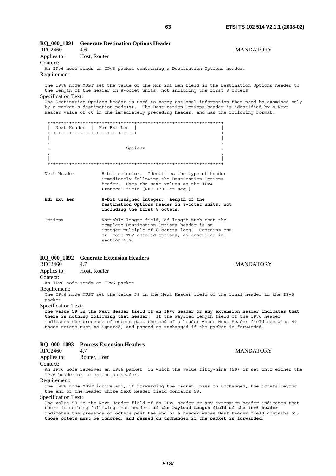| <b>RQ_000_1091</b>         | <b>Generate Destination Options Header</b>                                                                                                                                                                                                                                                                                                                                                                                                                             |  |
|----------------------------|------------------------------------------------------------------------------------------------------------------------------------------------------------------------------------------------------------------------------------------------------------------------------------------------------------------------------------------------------------------------------------------------------------------------------------------------------------------------|--|
| RFC2460                    | <b>MANDATORY</b><br>4.6                                                                                                                                                                                                                                                                                                                                                                                                                                                |  |
| Applies to:                | Host, Router                                                                                                                                                                                                                                                                                                                                                                                                                                                           |  |
| Context:                   |                                                                                                                                                                                                                                                                                                                                                                                                                                                                        |  |
|                            | An IPv6 node sends an IPv6 packet containing a Destination Options header.                                                                                                                                                                                                                                                                                                                                                                                             |  |
| Requirement:               |                                                                                                                                                                                                                                                                                                                                                                                                                                                                        |  |
| <b>Specification Text:</b> | The IPv6 node MUST set the value of the Hdr Ext Len field in the Destination Options header to<br>the length of the header in 8-octet units, not including the first 8 octets<br>The Destination Options header is used to carry optional information that need be examined only<br>by a packet's destination node(s). The Destination Options header is identified by a Next<br>Header value of 60 in the immediately preceding header, and has the following format: |  |
|                            |                                                                                                                                                                                                                                                                                                                                                                                                                                                                        |  |
|                            | Next Header   Hdr Ext Len                                                                                                                                                                                                                                                                                                                                                                                                                                              |  |
|                            | +-+-+-+-+-+-+-+-+-+-+-+-+-+-+-+-+                                                                                                                                                                                                                                                                                                                                                                                                                                      |  |
|                            |                                                                                                                                                                                                                                                                                                                                                                                                                                                                        |  |
|                            | Options                                                                                                                                                                                                                                                                                                                                                                                                                                                                |  |
|                            |                                                                                                                                                                                                                                                                                                                                                                                                                                                                        |  |
| Next Header                | 8-bit selector. Identifies the type of header<br>immediately following the Destination Options<br>header. Uses the same values as the IPv4                                                                                                                                                                                                                                                                                                                             |  |

### **Hdr Ext Len 8-bit unsigned integer. Length of the Destination Options header in 8-octet units, not including the first 8 octets**.

Protocol field [RFC-1700 et seq.].

Options Variable-length field, of length such that the complete Destination Options header is an integer multiple of 8 octets long. Contains one or more TLV-encoded options, as described in section 4.2.

# **RQ\_000\_1092 Generate Extension Headers**

| RFC2460     | 4.7          |
|-------------|--------------|
| Applies to: | Host, Router |

# Context:

An IPv6 node sends an IPv6 packet

### Requirement:

The IPv6 node MUST set the value 59 in the Next Header field of the final header in the IPv6 packet

Specification Text:

**The value 59 in the Next Header field of an IPv6 header or any extension header indicates that there is nothing following that header**. If the Payload Length field of the IPv6 header indicates the presence of octets past the end of a header whose Next Header field contains 59, those octets must be ignored, and passed on unchanged if the packet is forwarded.

# **RQ\_000\_1093 Process Extension Headers**

# RFC2460 4.7 MANDATORY

Applies to: Router, Host

# Context:

An IPv6 node receives an IPv6 packet in which the value fifty-nine (59) is set into either the IPv6 header or an extension header.

### Requirement:

The IPv6 node MUST ignore and, if forwarding the packet, pass on unchanged, the octets beyond the end of the header whose Next Header field contains 59.

### Specification Text:

The value 59 in the Next Header field of an IPv6 header or any extension header indicates that there is nothing following that header. **If the Payload Length field of the IPv6 header indicates the presence of octets past the end of a header whose Next Header field contains 59, those octets must be ignored, and passed on unchanged if the packet is forwarded**.

**MANDATORY**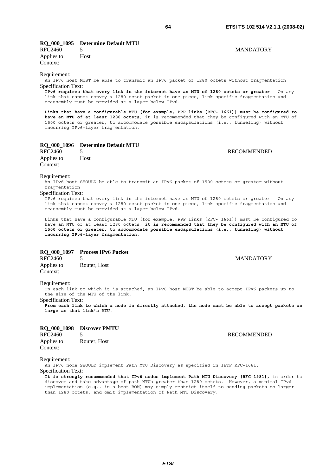# **RQ\_000\_1095 Determine Default MTU**

RFC2460 5 MANDATORY Applies to: Host Context:

Requirement:

An IPv6 host MUST be able to transmit an IPv6 packet of 1280 octets without fragmentation Specification Text:

**IPv6 requires that every link in the internet have an MTU of 1280 octets or greater**. On any link that cannot convey a 1280-octet packet in one piece, link-specific fragmentation and reassembly must be provided at a layer below IPv6.

**Links that have a configurable MTU (for example, PPP links [RFC- 1661]) must be configured to have an MTU of at least 1280 octets**; it is recommended that they be configured with an MTU of 1500 octets or greater, to accommodate possible encapsulations (i.e., tunneling) without incurring IPv6-layer fragmentation.

# **RQ\_000\_1096 Determine Default MTU**

Applies to: Host Context:

Requirement:

An IPv6 host SHOULD be able to transmit an IPv6 packet of 1500 octets or greater without fragmentation

#### Specification Text:

IPv6 requires that every link in the internet have an MTU of 1280 octets or greater. On any link that cannot convey a 1280-octet packet in one piece, link-specific fragmentation and reassembly must be provided at a layer below IPv6.

Links that have a configurable MTU (for example, PPP links [RFC- 1661]) must be configured to have an MTU of at least 1280 octets; **it is recommended that they be configured with an MTU of 1500 octets or greater, to accommodate possible encapsulations (i.e., tunneling) without incurring IPv6-layer fragmentation**.

### **RQ\_000\_1097 Process IPv6 Packet**

RFC2460 5 MANDATORY Applies to: Router, Host Context:

#### Requirement:

On each link to which it is attached, an IPv6 host MUST be able to accept IPv6 packets up to the size of the MTU of the link.

Specification Text:

**From each link to which a node is directly attached, the node must be able to accept packets as large as that link's MTU**.

# **RQ\_000\_1098 Discover PMTU**  RFC2460 5 RECOMMENDED Applies to: Router, Host Context:

Requirement:

An IPv6 node SHOULD implement Path MTU Discovery as specified in IETF RFC-1661.

Specification Text:

**It is strongly recommended that IPv6 nodes implement Path MTU Discovery [RFC-1981],** in order to discover and take advantage of path MTUs greater than 1280 octets. However, a minimal IPv6 implementation (e.g., in a boot ROM) may simply restrict itself to sending packets no larger than 1280 octets, and omit implementation of Path MTU Discovery.

5 RECOMMENDED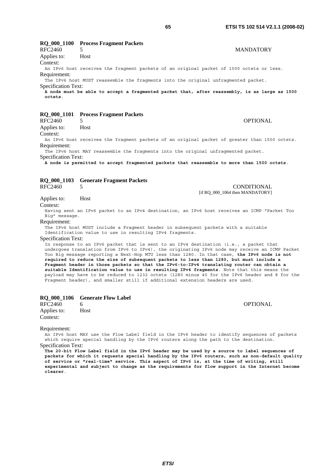# **RQ\_000\_1100 Process Fragment Packets**  RFC2460 5 MANDATORY

Applies to: Host

Context:

An IPv6 host receives the fragment packets of an original packet of 1500 octets or less. Requirement:

The IPv6 host MUST reassemble the fragments into the original unfragmented packet.

Specification Text:

**A node must be able to accept a fragmented packet that, after reassembly, is as large as 1500 octets**.

# **RQ\_000\_1101 Process Fragment Packets**

RFC2460 5 OPTIONAL Applies to: Host

Context:

An IPv6 host receives the fragment packets of an original packet of greater than 1500 octets. Requirement:

The IPv6 host MAY reassemble the fragments into the original unfragmented packet.

Specification Text:

**A node is permitted to accept fragmented packets that reassemble to more than 1500 octets**.

# **RQ\_000\_1103 Generate Fragment Packets**

RFC2460 5 CONDITIONAL [if RQ\_000\_1064 then MANDATORY]

# Applies to: Host

Context:

Having sent an IPv6 packet to an IPv4 destination, an IPv6 host receives an ICMP "Packet Too Big" message.

### Requirement:

The IPv6 host MUST include a Fragment header in subsequent packets with a suitable Identification value to use in resulting IPv4 fragments.

#### Specification Text:

In response to an IPv6 packet that is sent to an IPv4 destination (i.e., a packet that undergoes translation from IPv6 to IPv4), the originating IPv6 node may receive an ICMP Packet Too Big message reporting a Next-Hop MTU less than 1280. In that case, **the IPv6 node is not required to reduce the size of subsequent packets to less than 1280, but must include a Fragment header in those packets so that the IPv6-to-IPv4 translating router can obtain a suitable Identification value to use in resulting IPv4 fragments**. Note that this means the payload may have to be reduced to 1232 octets (1280 minus 40 for the IPv6 header and 8 for the Fragment header), and smaller still if additional extension headers are used.

### **RQ\_000\_1106 Generate Flow Label**

RFC2460 6 OPTIONAL Applies to: Host Context:

Requirement:

An IPv6 host MAY use the Flow Label field in the IPv6 header to identify sequences of packets which require special handling by the IPv6 routers along the path to the destination.

Specification Text:

**The 20-bit Flow Label field in the IPv6 header may be used by a source to label sequences of packets for which it requests special handling by the IPv6 routers, such as non-default quality of service or "real-time" service. This aspect of IPv6 is, at the time of writing, still experimental and subject to change as the requirements for flow support in the Internet become clearer**.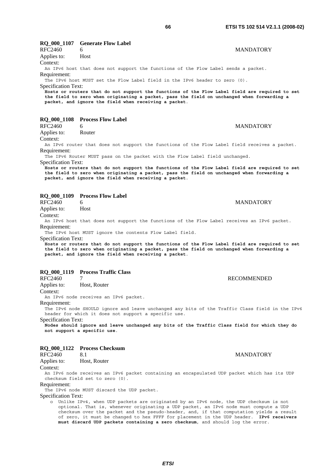### **RQ\_000\_1107 Generate Flow Label**  RFC2460 6 MANDATORY

Applies to: Host

Context:

An IPv6 host that does not support the functions of the Flow Label sends a packet. Requirement:

The IPv6 host MUST set the Flow Label field in the IPv6 header to zero (0). Specification Text:

**Hosts or routers that do not support the functions of the Flow Label field are required to set the field to zero when originating a packet, pass the field on unchanged when forwarding a packet, and ignore the field when receiving a packet**.

# **RQ\_000\_1108 Process Flow Label**

| RFC2460     |        | <b>MANDATORY</b> |
|-------------|--------|------------------|
| Applies to: | Router |                  |

Context:

An IPv6 router that does not support the functions of the Flow Label field receives a packet. Requirement:

The IPv6 Router MUST pass on the packet with the Flow Label field unchanged. Specification Text:

**Hosts or routers that do not support the functions of the Flow Label field are required to set the field to zero when originating a packet, pass the field on unchanged when forwarding a packet, and ignore the field when receiving a packet**.

# **RQ\_000\_1109 Process Flow Label**<br>RFC2460 6

Applies to: Host

Context:

An IPv6 host that does not support the functions of the Flow Label receives an IPv6 packet. Requirement:

The IPv6 host MUST ignore the contents Flow Label field.

Specification Text:

**Hosts or routers that do not support the functions of the Flow Label field are required to set the field to zero when originating a packet, pass the field on unchanged when forwarding a packet, and ignore the field when receiving a packet**.

# **RQ\_000\_1119 Process Traffic Class**

RFC2460 7 RECOMMENDED

Applies to: Host, Router

Context: An IPv6 node receives an IPv6 packet.

Requirement:

The IPv6 node SHOULD ignore and leave unchanged any bits of the Traffic Class field in the IPv6 header for which it does not support a specific use.

Specification Text:

**Nodes should ignore and leave unchanged any bits of the Traffic Class field for which they do not support a specific use**.

# **RQ\_000\_1122 Process Checksum**

Applies to: Host, Router

Context:

An IPv6 node receives an IPv6 packet containing an encapsulated UDP packet which has its UDP checksum field set to zero (0).

Requirement:

The IPv6 node MUST discard the UDP packet.

Specification Text:

 o Unlike IPv4, when UDP packets are originated by an IPv6 node, the UDP checksum is not optional. That is, whenever originating a UDP packet, an IPv6 node must compute a UDP checksum over the packet and the pseudo-header, and, if that computation yields a result of zero, it must be changed to hex FFFF for placement in the UDP header. **IPv6 receivers must discard UDP packets containing a zero checksum**, and should log the error.

RFC2460 8.1 MANDATORY

6 MANDATORY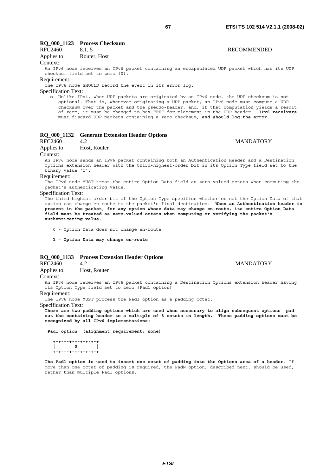# **RQ\_000\_1123 Process Checksum**

| RFC2460     | 8.1.5        | <b>RECOMMENDED</b> |
|-------------|--------------|--------------------|
| Applies to: | Router, Host |                    |

### Context:

An IPv6 node receives an IPv6 packet containing an encapsulated UDP packet which has its UDP checksum field set to zero (0).

#### Requirement:

The IPv6 node SHOULD record the event in its error log.

#### Specification Text:

 o Unlike IPv4, when UDP packets are originated by an IPv6 node, the UDP checksum is not optional. That is, whenever originating a UDP packet, an IPv6 node must compute a UDP checksum over the packet and the pseudo-header, and, if that computation yields a result of zero, it must be changed to hex FFFF for placement in the UDP header. **IPv6 receivers** must discard UDP packets containing a zero checksum, **and should log the error**.

| RQ_000_1132 Generate Extension Header Options |  |  |  |  |
|-----------------------------------------------|--|--|--|--|
|-----------------------------------------------|--|--|--|--|

RFC2460 4.2 MANDATORY

# Applies to: Host, Router

Context:

An IPv6 node sends an IPv6 packet containing both an Authentication Header and a Destination Options extension header with the third-highest-order bit in its Option Type field set to the binary value '1'.

#### Requirement:

The IPv6 node MUST treat the entire Option Data field as zero-valued octets when computing the packet's authenticating value.

#### Specification Text:

The third-highest-order bit of the Option Type specifies whether or not the Option Data of that option can change en-route to the packet's final destination. **When an Authentication header is present in the packet, for any option whose data may change en-route, its entire Option Data field must be treated as zero-valued octets when computing or verifying the packet's authenticating value.**

0 - Option Data does not change en-route

 **1 - Option Data may change en-route**

# **RQ\_000\_1133 Process Extension Header Options**

Applies to: Host, Router

Context:

An IPv6 node receives an IPv6 packet containing a Destination Options extension header having its Option Type field set to zero (Pad1 option)

Requirement:

The IPv6 node MUST process the Pad1 option as a padding octet.

Specification Text:

**There are two padding options which are used when necessary to align subsequent options pad out the containing header to a multiple of 8 octets in length. These padding options must be recognized by all IPv6 implementations:** 

 **Pad1 option (alignment requirement: none)** 

```
 +-+-+-+-+-+-+-+-+ 
 | 0 | 
   +-+-+-+-+-+-+-+-+
```
**The Pad1 option is used to insert one octet of padding into the Options area of a header**. If more than one octet of padding is required, the PadN option, described next, should be used, rather than multiple Pad1 options.

### RFC2460 4.2 MANDATORY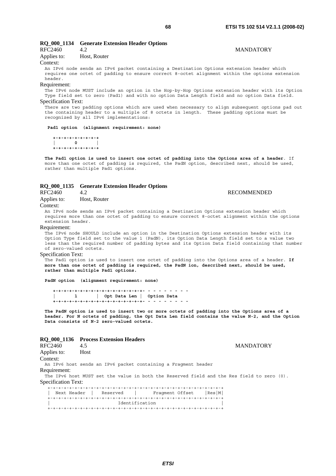# **RQ\_000\_1134 Generate Extension Header Options**  RFC2460 4.2 MANDATORY Applies to: Host, Router

# Context:

An IPv6 node sends an IPv6 packet containing a Destination Options extension header which requires one octet of padding to ensure correct 8-octet alignment within the options extension header.

#### Requirement:

The IPv6 node MUST include an option in the Hop-by-Hop Options extension header with its Option Type field set to zero (Pad1) and with no option Data Length field and no option Data field. Specification Text:

There are two padding options which are used when necessary to align subsequent options pad out the containing header to a multiple of 8 octets in length. These padding options must be recognized by all IPv6 implementations:

### **Pad1 option (alignment requirement: none)**

 **+-+-+-+-+-+-+-+-+**   $\overline{0}$  **+-+-+-+-+-+-+-+-+** 

**The Pad1 option is used to insert one octet of padding into the Options area of a header**. If more than one octet of padding is required, the PadN option, described next, should be used, rather than multiple Pad1 options.

# **RQ\_000\_1135 Generate Extension Header Options**

# RFC2460 4.2 RECOMMENDED Applies to: Host, Router

Context:

An IPv6 node sends an IPv6 packet containing a Destination Options extension header which requires more than one octet of padding to ensure correct 8-octet alignment within the options extension header.

#### Requirement:

The IPv6 node SHOULD include an option in the Destination Options extension header with its Option Type field set to the value 1 (PadN), its Option Data Length field set to a value two less than the required number of padding bytes and its Option Data field containing that number of zero-valued octets.

### Specification Text:

The Pad1 option is used to insert one octet of padding into the Options area of a header. **If more than one octet of padding is required, the PadN ion, described next, should be used, rather than multiple Pad1 options.** 

**PadN option (alignment requirement: none)** 

 **+-+-+-+-+-+-+-+-+-+-+-+-+-+-+-+-+- - - - - - - - - | 1 | Opt Data Len | Option Data +-+-+-+-+-+-+-+-+-+-+-+-+-+-+-+-+- - - - - - - - -** 

**The PadN option is used to insert two or more octets of padding into the Options area of a header. For N octets of padding, the Opt Data Len field contains the value N-2, and the Option Data consists of N-2 zero-valued octets.**

#### **RQ\_000\_1136 Process Extension Headers**

| RFC2460                             | 4.5         |  |
|-------------------------------------|-------------|--|
| Applies to:                         | <b>Host</b> |  |
| $C_{\alpha n\ell\alpha\nu\ell\ell}$ |             |  |

Context:

An IPv6 host sends an IPv6 packet containing a Fragment header Requirement:

The IPv6 host MUST set the value in both the Reserved field and the Res field to zero (0). Specification Text:

| Next Header<br>Reserved | Res M <br>Fraqment Offset |  |  |
|-------------------------|---------------------------|--|--|
|                         |                           |  |  |
| Identification          |                           |  |  |
|                         |                           |  |  |

**MANDATORY**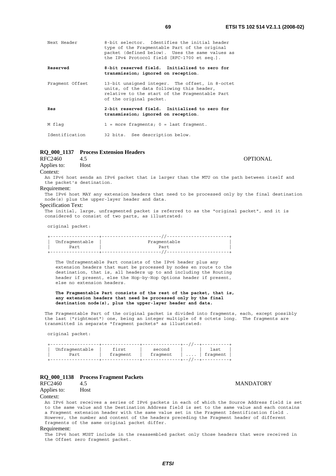| vv<br>÷ |  |  |
|---------|--|--|
|         |  |  |
|         |  |  |
|         |  |  |
|         |  |  |

| Next Header     | 8-bit selector. Identifies the initial header<br>type of the Fragmentable Part of the original<br>packet (defined below). Uses the same values as<br>the IPv4 Protocol field [RFC-1700 et seq.]. |
|-----------------|--------------------------------------------------------------------------------------------------------------------------------------------------------------------------------------------------|
| Reserved        | 8-bit reserved field. Initialized to zero for<br>transmission; ignored on reception.                                                                                                             |
| Fraqment Offset | 13-bit unsigned integer. The offset, in 8-octet<br>units, of the data following this header,<br>relative to the start of the Fragmentable Part<br>of the original packet.                        |
| Res             | 2-bit reserved field. Initialized to zero for<br>transmission; ignored on reception.                                                                                                             |
| M flag          | $1$ = more fraqments; $0$ = last fraqment.                                                                                                                                                       |
| Identification  | 32 bits. See description below.                                                                                                                                                                  |

# **RQ\_000\_1137 Process Extension Headers**

| RFC2460     |      | <b>OPTIONAL</b> |
|-------------|------|-----------------|
| Applies to: | Host |                 |

# Context:

An IPv6 host sends an IPv6 packet that is larger than the MTU on the path between itself and the packet's destination.

#### Requirement:

The IPv6 host MAY any extension headers that need to be processed only by the final destination node(s) plus the upper-layer header and data.

#### Specification Text:

The initial, large, unfragmented packet is referred to as the "original packet", and it is considered to consist of two parts, as illustrated:

original packet:

| Unfragmentable | Fragmentable |
|----------------|--------------|
| Part           | Part         |
|                |              |

 The Unfragmentable Part consists of the IPv6 header plus any extension headers that must be processed by nodes en route to the destination, that is, all headers up to and including the Routing header if present, else the Hop-by-Hop Options header if present, else no extension headers.

#### **The Fragmentable Part consists of the rest of the packet, that is, any extension headers that need be processed only by the final destination node(s), plus the upper-layer header and data.**

The Fragmentable Part of the original packet is divided into fragments, each, except possibly the last ("rightmost") one, being an integer multiple of 8 octets long. The fragments are transmitted in separate "fragment packets" as illustrated:

original packet:

| Unfragmentable | first    | second   | last               |  |
|----------------|----------|----------|--------------------|--|
| Part           | fragment | fraqment | $\dots$   fragment |  |
|                |          |          |                    |  |

# **RQ\_000\_1138 Process Fragment Packets**

Applies to: Host

#### Context:

An IPv6 host receives a series of IPv6 packets in each of which the Source Address field is set to the same value and the Destination Address field is set to the same value and each contains a Fragment extension header with the same value set in the Fragment Identification field . However, the number and content of the headers preceding the Fragment header of different fragments of the same original packet differ.

#### Requirement:

The IPv6 host MUST include in the reassembled packet only those headers that were received in the Offset zero fragment packet.

**MANDATORY**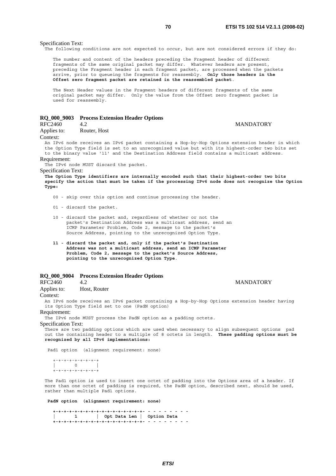**MANDATORY** 

#### Specification Text:

The following conditions are not expected to occur, but are not considered errors if they do:

 The number and content of the headers preceding the Fragment header of different fragments of the same original packet may differ. Whatever headers are present, preceding the Fragment header in each fragment packet, are processed when the packets arrive, prior to queueing the fragments for reassembly. **Only those headers in the Offset zero fragment packet are retained in the reassembled packet**.

 The Next Header values in the Fragment headers of different fragments of the same original packet may differ. Only the value from the Offset zero fragment packet is used for reassembly.

# **RQ\_000\_9003 Process Extension Header Options**

Applies to: Router, Host

Context:

An IPv6 node receives an IPv6 packet containing a Hop-by-Hop Options extension header in which the Option Type field is set to an unrecognized value but with its highest-order two bits set to the binary value '11' and the Destination Address field contains a multicast address.

### Requirement:

The IPv6 node MUST discard the packet.

Specification Text: **The Option Type identifiers are internally encoded such that their highest-order two bits specify the action that must be taken if the processing IPv6 node does not recognize the Option Type:**

- 00 skip over this option and continue processing the header.
- 01 discard the packet.
- 10 discard the packet and, regardless of whether or not the packet's Destination Address was a multicast address, send an ICMP Parameter Problem, Code 2, message to the packet's Source Address, pointing to the unrecognized Option Type.
- **11 discard the packet and, only if the packet's Destination Address was not a multicast address, send an ICMP Parameter Problem, Code 2, message to the packet's Source Address, pointing to the unrecognized Option Type**.

# **RQ\_000\_9004 Process Extension Header Options**

RFC2460 4.2 MANDATORY

Applies to: Host, Router Context:

An IPv6 node receives an IPv6 packet containing a Hop-by-Hop Options extension header having its Option Type field set to one (PadN option)

Requirement:

The IPv6 node MUST process the PadN option as a padding octets.

Specification Text:

There are two padding options which are used when necessary to align subsequent options pad out the containing header to a multiple of 8 octets in length. **These padding options must be recognized by all IPv6 implementations:**

Pad1 option (alignment requirement: none)

 +-+-+-+-+-+-+-+-+  $| 0 \rangle$ +-+-+-+-+-+-+-+-+

The Pad1 option is used to insert one octet of padding into the Options area of a header. If more than one octet of padding is required, the PadN option, described next, should be used, rather than multiple Pad1 options.

 **PadN option (alignment requirement: none)** 

 **+-+-+-+-+-+-+-+-+-+-+-+-+-+-+-+-+- - - - - - - - - | 1 | Opt Data Len | Option Data +-+-+-+-+-+-+-+-+-+-+-+-+-+-+-+-+- - - - - - - - -**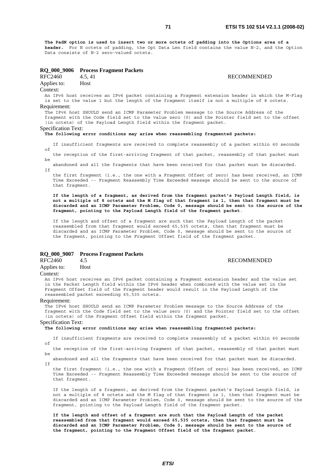**The PadN option is used to insert two or more octets of padding into the Options area of a header.** For N octets of padding, the Opt Data Len field contains the value N-2, and the Option Data consists of N-2 zero-valued octets.

# **RQ\_000\_9006 Process Fragment Packets**

RFC2460 4.5, 41 RECOMMENDED Applies to: Host

# Context:

An IPv6 host receives an IPv6 packet containing a Fragment extension header in which the M-Flag is set to the value 1 but the length of the fragment itself is not a multiple of 8 octets.

#### Requirement:

The IPv6 host SHOULD send an ICMP Parameter Problem message to the Source Address of the fragment with the Code field set to the value zero (0) and the Pointer field set to the offset (in octets) of the Payload Length field within the fragment packet.

### Specification Text:

#### **The following error conditions may arise when reassembling fragmented packets:**

 If insufficient fragments are received to complete reassembly of a packet within 60 seconds  $\bigcap_{i=1}^n$ the reception of the first-arriving fragment of that packet, reassembly of that packet must

be abandoned and all the fragments that have been received for that packet must be discarded. If

 the first fragment (i.e., the one with a Fragment Offset of zero) has been received, an ICMP Time Exceeded -- Fragment Reassembly Time Exceeded message should be sent to the source of that fragment.

 **If the length of a fragment, as derived from the fragment packet's Payload Length field, is not a multiple of 8 octets and the M flag of that fragment is 1, then that fragment must be discarded and an ICMP Parameter Problem, Code 0, message should be sent to the source of the fragment, pointing to the Payload Length field of the fragment packet**.

 If the length and offset of a fragment are such that the Payload Length of the packet reassembled from that fragment would exceed 65,535 octets, then that fragment must be discarded and an ICMP Parameter Problem, Code 0, message should be sent to the source of the fragment, pointing to the Fragment Offset field of the fragment packet.

# **RQ\_000\_9007 Process Fragment Packets**

RFC2460 4.5 RECOMMENDED

# Applies to: Host

#### Context:

An IPv6 host receives an IPv6 packet containing a Fragment extension header and the value set in the Packet Length field within the IPv6 header when combined with the value set in the Fragment Offset field of the Fragment header would result in the Payload Length of the reassembled packet exceeding 65,535 octets.

#### Requirement:

The IPv6 host SHOULD send an ICMP Parameter Problem message to the Source Address of the fragment with the Code field set to the value zero (0) and the Pointer field set to the offset (in octets) of the Fragment Offset field within the fragment packet.

# Specification Text:

**The following error conditions may arise when reassembling fragmented packets:**

 If insufficient fragments are received to complete reassembly of a packet within 60 seconds of

 the reception of the first-arriving fragment of that packet, reassembly of that packet must be

 abandoned and all the fragments that have been received for that packet must be discarded.  $Tf$ 

 the first fragment (i.e., the one with a Fragment Offset of zero) has been received, an ICMP Time Exceeded -- Fragment Reassembly Time Exceeded message should be sent to the source of that fragment.

 If the length of a fragment, as derived from the fragment packet's Payload Length field, is not a multiple of 8 octets and the M flag of that fragment is 1, then that fragment must be discarded and an ICMP Parameter Problem, Code 0, message should be sent to the source of the fragment, pointing to the Payload Length field of the fragment packet.

 **If the length and offset of a fragment are such that the Payload Length of the packet reassembled from that fragment would exceed 65,535 octets, then that fragment must be discarded and an ICMP Parameter Problem, Code 0, message should be sent to the source of the fragment, pointing to the Fragment Offset field of the fragment packet**.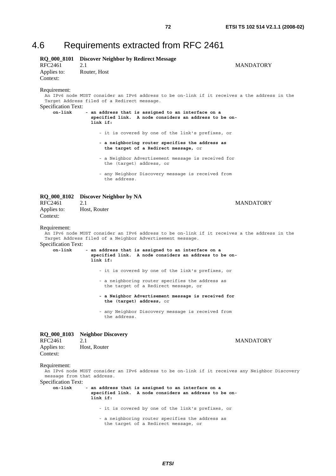# 4.6 Requirements extracted from RFC 2461

| RFC2461<br>Applies to:<br>Context:                              | RQ_000_8101 Discover Neighbor by Redirect Message<br>2.1<br>Router, Host                                                                                                                                                                                                                                                                                                                                                                                                                                                                                                                    | MANDATORY        |
|-----------------------------------------------------------------|---------------------------------------------------------------------------------------------------------------------------------------------------------------------------------------------------------------------------------------------------------------------------------------------------------------------------------------------------------------------------------------------------------------------------------------------------------------------------------------------------------------------------------------------------------------------------------------------|------------------|
| Requirement:<br>Specification Text:<br>$on$ -link               | An IPv6 node MUST consider an IPv6 address to be on-link if it receives a the address in the<br>Target Address filed of a Redirect message.<br>- an address that is assigned to an interface on a<br>specified link. A node considers an address to be on-<br>link if:<br>- it is covered by one of the link's prefixes, or<br>- a neighboring router specifies the address as<br>the target of a Redirect message, or                                                                                                                                                                      |                  |
|                                                                 | - a Neighbor Advertisement message is received for<br>the (target) address, or                                                                                                                                                                                                                                                                                                                                                                                                                                                                                                              |                  |
|                                                                 | - any Neighbor Discovery message is received from<br>the address.                                                                                                                                                                                                                                                                                                                                                                                                                                                                                                                           |                  |
| <b>RQ_000_8102</b><br><b>RFC2461</b><br>Applies to:<br>Context: | Discover Neighbor by NA<br>2.1<br>Host, Router                                                                                                                                                                                                                                                                                                                                                                                                                                                                                                                                              | <b>MANDATORY</b> |
| Requirement:<br><b>Specification Text:</b><br>on-link           | An IPv6 node MUST consider an IPv6 address to be on-link if it receives a the address in the<br>Target Address filed of a Neighbor Advertisement message.<br>- an address that is assigned to an interface on a<br>specified link. A node considers an address to be on-<br>link if:<br>- it is covered by one of the link's prefixes, or<br>- a neighboring router specifies the address as<br>the target of a Redirect message, or<br>- a Neighbor Advertisement message is received for<br>the (target) address, or<br>- any Neighbor Discovery message is received from<br>the address. |                  |
| <b>RQ_000_8103</b><br>RFC2461<br>Applies to:<br>Context:        | <b>Neighbor Discovery</b><br>2.1<br>Host, Router                                                                                                                                                                                                                                                                                                                                                                                                                                                                                                                                            | <b>MANDATORY</b> |
| Requirement:<br>Specification Text:<br>on-link                  | An IPv6 node MUST consider an IPv6 address to be on-link if it receives any Neighbor Discovery<br>message from that address.<br>- an address that is assigned to an interface on a<br>specified link. A node considers an address to be on-<br>link if:<br>- it is covered by one of the link's prefixes, or<br>- a neighboring router specifies the address as<br>the target of a Redirect message, or                                                                                                                                                                                     |                  |

*ETSI*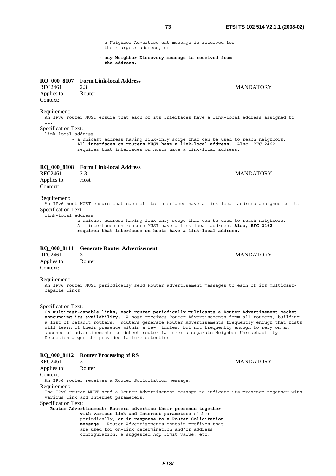- a Neighbor Advertisement message is received for the (target) address, or
- **any Neighbor Discovery message is received from the address.**

# **RQ\_000\_8107 Form Link-local Address**

| RFC2461     | 2.3    |
|-------------|--------|
| Applies to: | Router |
| Context:    |        |

# Requirement:

An IPv6 router MUST ensure that each of its interfaces have a link-local address assigned to i<sup>t</sup>

# Specification Text:

link-local address

 - a unicast address having link-only scope that can be used to reach neighbors. **All interfaces on routers MUST have a link-local address.** Also, RFC 2462 requires that interfaces on hosts have a link-local address.

# **RQ\_000\_8108 Form Link-local Address**

RFC2461 2.3 MANDATORY Applies to: Host Context:

#### Requirement:

An IPv6 host MUST ensure that each of its interfaces have a link-local address assigned to it. Specification Text:

link-local address

 - a unicast address having link-only scope that can be used to reach neighbors. All interfaces on routers MUST have a link-local address. **Also, RFC 2462 requires that interfaces on hosts have a link-local address.**

# **RQ\_000\_8111 Generate Router Advertisement**

| RFC2461     |        |
|-------------|--------|
| Applies to: | Router |
| Context:    |        |

#### **MANDATORY**

#### Requirement:

An IPv6 router MUST periodically send Router advertisement messages to each of its multicastcapable links

#### Specification Text:

**On multicast-capable links, each router periodically multicasts a Router Advertisement packet announcing its availability.** A host receives Router Advertisements from all routers, building a list of default routers. Routers generate Router Advertisements frequently enough that hosts will learn of their presence within a few minutes, but not frequently enough to rely on an absence of advertisements to detect router failure; a separate Neighbor Unreachability Detection algorithm provides failure detection.

# **RQ\_000\_8112 Router Processing of RS**

| RFC2461                    | <b>MANDATORY</b>                                                                                                                         |  |
|----------------------------|------------------------------------------------------------------------------------------------------------------------------------------|--|
| Applies to:                | Router                                                                                                                                   |  |
| Context:                   |                                                                                                                                          |  |
|                            | An IPv6 router receives a Router Solicitation message.                                                                                   |  |
| Requirement:               |                                                                                                                                          |  |
|                            | The IPv6 router MUST send a Router Advertisement message to indicate its presence together with<br>various link and Internet parameters. |  |
| <b>Specification Text:</b> |                                                                                                                                          |  |
|                            | Router Advertisement: Routers advertise their presence together                                                                          |  |
|                            | with various link and Internet parameters either                                                                                         |  |
|                            | periodically, or in response to a Router Solicitation                                                                                    |  |
|                            | message. Router Advertisements contain prefixes that                                                                                     |  |
|                            | are used for on-link determination and/or address                                                                                        |  |
|                            | configuration, a suggested hop limit value, etc.                                                                                         |  |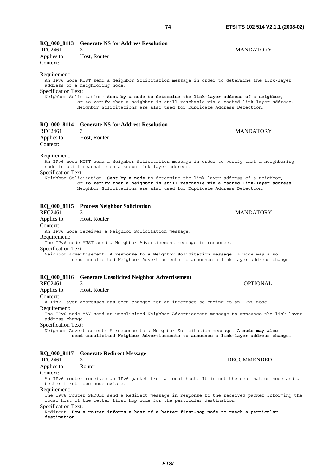| RQ 000 8113                                   | <b>Generate NS for Address Resolution</b>                                                                                                                 |                    |
|-----------------------------------------------|-----------------------------------------------------------------------------------------------------------------------------------------------------------|--------------------|
| RFC2461                                       | 3                                                                                                                                                         | <b>MANDATORY</b>   |
| Applies to:                                   | Host, Router                                                                                                                                              |                    |
| Context:                                      |                                                                                                                                                           |                    |
|                                               |                                                                                                                                                           |                    |
| Requirement:                                  |                                                                                                                                                           |                    |
|                                               | An IPv6 node MUST send a Neighbor Solicitation message in order to determine the link-layer                                                               |                    |
| Specification Text:                           | address of a neighboring node.                                                                                                                            |                    |
|                                               | Neighbor Solicitation: Sent by a node to determine the link-layer address of a neighbor,                                                                  |                    |
|                                               | or to verify that a neighbor is still reachable via a cached link-layer address.                                                                          |                    |
|                                               | Neighbor Solicitations are also used for Duplicate Address Detection.                                                                                     |                    |
|                                               |                                                                                                                                                           |                    |
|                                               | <b>Generate NS for Address Resolution</b>                                                                                                                 |                    |
| <b>RQ_000_8114</b><br><b>RFC2461</b>          | 3                                                                                                                                                         | <b>MANDATORY</b>   |
|                                               |                                                                                                                                                           |                    |
| Applies to:<br>Context:                       | Host, Router                                                                                                                                              |                    |
|                                               |                                                                                                                                                           |                    |
| Requirement:                                  |                                                                                                                                                           |                    |
|                                               | An IPv6 node MUST send a Neighbor Solicitation message in order to verify that a neighboring                                                              |                    |
|                                               | node is still reachable on a known link-layer address.                                                                                                    |                    |
| Specification Text:                           |                                                                                                                                                           |                    |
|                                               | Neighbor Solicitation: Sent by a node to determine the link-layer address of a neighbor,                                                                  |                    |
|                                               | or to verify that a neighbor is still reachable via a cached link-layer address.<br>Neighbor Solicitations are also used for Duplicate Address Detection. |                    |
|                                               |                                                                                                                                                           |                    |
|                                               |                                                                                                                                                           |                    |
|                                               | RQ_000_8115 Process Neighbor Solicitation                                                                                                                 |                    |
| <b>RFC2461</b>                                | 3                                                                                                                                                         | <b>MANDATORY</b>   |
| Applies to:                                   | Host, Router                                                                                                                                              |                    |
| Context:                                      |                                                                                                                                                           |                    |
|                                               | An IPv6 node receives a Neighbor Solicitation message.                                                                                                    |                    |
| Requirement:                                  |                                                                                                                                                           |                    |
|                                               | The IPv6 node MUST send a Neighbor Advertisement message in response.                                                                                     |                    |
| Specification Text:                           | Neighbor Advertisement: A response to a Neighbor Solicitation message. A node may also                                                                    |                    |
|                                               | send unsolicited Neighbor Advertisements to announce a link-layer address change.                                                                         |                    |
|                                               |                                                                                                                                                           |                    |
|                                               |                                                                                                                                                           |                    |
| <b>RQ 000 8116</b>                            | <b>Generate Unsolicited Neighbor Advertisement</b>                                                                                                        |                    |
| RFC2461                                       | 3                                                                                                                                                         | <b>OPTIONAL</b>    |
| Applies to:                                   | Host, Router                                                                                                                                              |                    |
| Context:                                      |                                                                                                                                                           |                    |
|                                               | A link-layer addresses has been changed for an interface belonging to an IPv6 node                                                                        |                    |
| Requirement:                                  |                                                                                                                                                           |                    |
|                                               | The IPv6 node MAY send an unsolicited Neighbor Advertisement message to announce the link-layer                                                           |                    |
| address change.<br><b>Specification Text:</b> |                                                                                                                                                           |                    |
|                                               | Neighbor Advertisement: A response to a Neighbor Solicitation message. A node may also                                                                    |                    |
|                                               | send unsolicited Neighbor Advertisements to announce a link-layer address change.                                                                         |                    |
|                                               |                                                                                                                                                           |                    |
|                                               |                                                                                                                                                           |                    |
| <b>RQ_000_8117</b>                            | <b>Generate Redirect Message</b>                                                                                                                          |                    |
| RFC2461                                       | 3                                                                                                                                                         | <b>RECOMMENDED</b> |
| Applies to:                                   | Router                                                                                                                                                    |                    |
| Context:                                      |                                                                                                                                                           |                    |
|                                               | An IPv6 router receives an IPv6 packet from a local host. It is not the destination node and a<br>better first hope node exists.                          |                    |
| Requirement:                                  |                                                                                                                                                           |                    |
|                                               | The IPv6 router SHOULD send a Redirect message in response to the received packet informing the                                                           |                    |
|                                               | local host of the better first hop node for the particular destination.                                                                                   |                    |

*ETSI* 

Redirect: **How a router informs a host of a better first-hop node to reach a particular** 

Specification Text:

**destination.**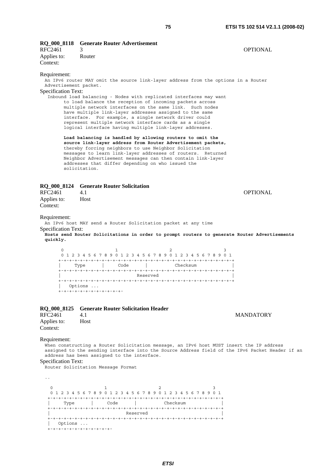| RFC2461<br>Applies to:<br>Context:                                 | RQ_000_8118 Generate Router Advertisement<br>3<br>Router                                                                                                                                                                                                                                                                                                                                                                                                                                                                  | OPTIONAL         |
|--------------------------------------------------------------------|---------------------------------------------------------------------------------------------------------------------------------------------------------------------------------------------------------------------------------------------------------------------------------------------------------------------------------------------------------------------------------------------------------------------------------------------------------------------------------------------------------------------------|------------------|
| Requirement:<br>Advertisement packet.<br>Specification Text:       | An IPv6 router MAY omit the source link-layer address from the options in a Router<br>Inbound load balancing - Nodes with replicated interfaces may want<br>to load balance the reception of incoming packets across<br>multiple network interfaces on the same link. Such nodes<br>have multiple link-layer addresses assigned to the same<br>interface. For example, a single network driver could<br>represent multiple network interface cards as a single<br>logical interface having multiple link-layer addresses. |                  |
|                                                                    | Load balancing is handled by allowing routers to omit the<br>source link-layer address from Router Advertisement packets,<br>thereby forcing neighbors to use Neighbor Solicitation<br>messages to learn link-layer addresses of routers. Returned<br>Neighbor Advertisement messages can then contain link-layer<br>addresses that differ depending on who issued the<br>solicitation.                                                                                                                                   |                  |
| RFC2461                                                            | RQ_000_8124 Generate Router Solicitation<br>4.1                                                                                                                                                                                                                                                                                                                                                                                                                                                                           | OPTIONAL         |
| Applies to:<br>Context:                                            | Host                                                                                                                                                                                                                                                                                                                                                                                                                                                                                                                      |                  |
| Requirement:<br><b>Specification Text:</b><br>quickly.<br>$\Omega$ | An IPv6 host MAY send a Router Solicitation packet at any time<br>Hosts send Router Solicitations in order to prompt routers to generate Router Advertisements<br>1<br>2<br>3<br>0 1 2 3 4 5 6 7 8 9 0 1 2 3 4 5 6 7 8 9 0 1 2 3 4 5 6 7 8 9 0 1<br>  Code<br><b>Example 2</b> Checksum<br>Type<br>Reserved<br>Options<br>+-+-+-+-+-+-+-+-+-+-+-+-                                                                                                                                                                        |                  |
| RQ_000_8125<br><b>RFC2461</b><br>Applies to:<br>Context:           | <b>Generate Router Solicitation Header</b><br>4.1<br>Host                                                                                                                                                                                                                                                                                                                                                                                                                                                                 | <b>MANDATORY</b> |
| Requirement:<br><b>Specification Text:</b>                         | When constructing a Router Solicitation message, an IPv6 host MUST insert the IP address<br>assigned to the sending interface into the Source Address field of the IPv6 Packet Header if an<br>address has been assigned to the interface.<br>Router Solicitation Message Format                                                                                                                                                                                                                                          |                  |
| $\ddotsc$<br>0<br>Type                                             | 1<br>2<br>3<br>0 1 2 3 4 5 6 7 8 9 0 1 2 3 4 5 6 7 8 9 0 1 2 3 4 5 6 7 8 9 0 1<br>and the Code the Checksum<br>Reserved                                                                                                                                                                                                                                                                                                                                                                                                   |                  |

+-+-+-+-+-+-+-+-+-+-+-+-+-+-+-+-+-+-+-+-+-+-+-+-+-+-+-+-+-+-+-+-+

| Options ...

+-+-+-+-+-+-+-+-+-+-+-+-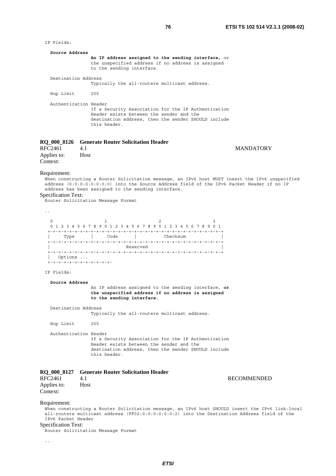| IP Fields:                                                       |                                                                                                                                                                                                                                                                                             |
|------------------------------------------------------------------|---------------------------------------------------------------------------------------------------------------------------------------------------------------------------------------------------------------------------------------------------------------------------------------------|
| Source Address                                                   | An IP address assigned to the sending interface, $or$<br>the unspecified address if no address is assigned<br>to the sending interface.                                                                                                                                                     |
| Destination Address                                              | Typically the all-routers multicast address.                                                                                                                                                                                                                                                |
| Hop Limit                                                        | 255                                                                                                                                                                                                                                                                                         |
|                                                                  | Authentication Header<br>If a Security Association for the IP Authentication<br>Header exists between the sender and the<br>destination address, then the sender SHOULD include<br>this header.                                                                                             |
|                                                                  | RQ_000_8126 Generate Router Solicitation Header                                                                                                                                                                                                                                             |
| <b>RFC2461</b><br>Applies to:<br>Context:                        | 4.1<br><b>MANDATORY</b><br>Host                                                                                                                                                                                                                                                             |
| Requirement:<br><b>Specification Text:</b>                       | When constructing a Router Solicitation message, an IPv6 host MUST insert the IPv6 unspecified<br>address (0:0:0:0:0:0:0:0:0) into the Source Address field of the IPv6 Packet Header if no IP<br>address has been assigned to the sending interface.<br>Router Solicitation Message Format |
| $\ddotsc$                                                        |                                                                                                                                                                                                                                                                                             |
| $\mathbf 0$<br>Options                                           | 1<br>2<br>3<br>0 1 2 3 4 5 6 7 8 9 0 1 2 3 4 5 6 7 8 9 0 1 2 3 4 5 6 7 8 9 0 1<br>Type   Code   Checksum<br>+-+-+-+-+-+-+-+-+-+-+-+                                                                                                                                                         |
| IP Fields:                                                       |                                                                                                                                                                                                                                                                                             |
| Source Address                                                   | An IP address assigned to the sending interface, or<br>the unspecified address if no address is assigned<br>to the sending interface.                                                                                                                                                       |
| Destination Address                                              | Typically the all-routers multicast address.                                                                                                                                                                                                                                                |
| Hop Limit                                                        | 255                                                                                                                                                                                                                                                                                         |
|                                                                  | Authentication Header<br>If a Security Association for the IP Authentication<br>Header exists between the sender and the<br>destination address, then the sender SHOULD include<br>this header.                                                                                             |
|                                                                  | RQ_000_8127 Generate Router Solicitation Header                                                                                                                                                                                                                                             |
| RFC2461<br>Applies to:<br>Context:                               | 4.1<br><b>RECOMMENDED</b><br>Host                                                                                                                                                                                                                                                           |
| Requirement:<br>IPv6 Packet Header<br><b>Specification Text:</b> | When constructing a Router Solicitation message, an IPv6 host SHOULD insert the IPv6 link-local<br>all-routers multicast address (FF02:0:0:0:0:0:0:0:2) into the Destination Address field of the<br>Router Solicitation Message Format                                                     |

..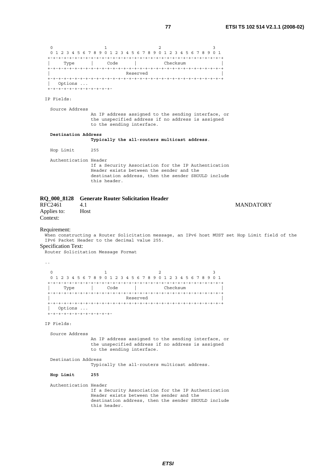0  $1$  2 3 0 1 2 3 4 5 6 7 8 9 0 1 2 3 4 5 6 7 8 9 0 1 2 3 4 5 6 7 8 9 0 1 +-+-+-+-+-+-+-+-+-+-+-+-+-+-+-+-+-+-+-+-+-+-+-+-+-+-+-+-+-+-+-+-+ | Type | Code | Checksum | +-+-+-+-+-+-+-+-+-+-+-+-+-+-+-+-+-+-+-+-+-+-+-+-+-+-+-+-+-+-+-+-+ | Reserved | +-+-+-+-+-+-+-+-+-+-+-+-+-+-+-+-+-+-+-+-+-+-+-+-+-+-+-+-+-+-+-+-+ | Options ... +-+-+-+-+-+-+-+-+-+-+-+- IP Fields: Source Address An IP address assigned to the sending interface, or the unspecified address if no address is assigned to the sending interface.  **Destination Address Typically the all-routers multicast address**. Hop Limit 255 Authentication Header If a Security Association for the IP Authentication Header exists between the sender and the destination address, then the sender SHOULD include this header. **RQ\_000\_8128 Generate Router Solicitation Header**  RFC2461 4.1 MANDATORY Applies to: Host Context: Requirement: When constructing a Router Solicitation message, an IPv6 host MUST set Hop Limit field of the IPv6 Packet Header to the decimal value 255. Specification Text: Router Solicitation Message Format .. 0  $1$  2 3 0 1 2 3 4 5 6 7 8 9 0 1 2 3 4 5 6 7 8 9 0 1 2 3 4 5 6 7 8 9 0 1 +-+-+-+-+-+-+-+-+-+-+-+-+-+-+-+-+-+-+-+-+-+-+-+-+-+-+-+-+-+-+-+-+ | Type | Code | Checksum | +-+-+-+-+-+-+-+-+-+-+-+-+-+-+-+-+-+-+-+-+-+-+-+-+-+-+-+-+-+-+-+-+ | Reserved | +-+-+-+-+-+-+-+-+-+-+-+-+-+-+-+-+-+-+-+-+-+-+-+-+-+-+-+-+-+-+-+-+ | Options ... +-+-+-+-+-+-+-+-+-+-+-+- IP Fields: Source Address An IP address assigned to the sending interface, or the unspecified address if no address is assigned to the sending interface. Destination Address Typically the all-routers multicast address.  **Hop Limit 255** Authentication Header If a Security Association for the IP Authentication Header exists between the sender and the destination address, then the sender SHOULD include

this header.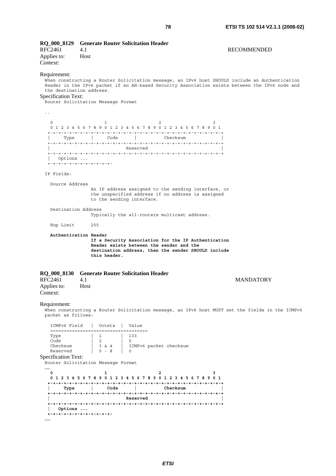| <b>RQ_000_8129</b><br>RFC2461<br>Applies to:<br>Context:                                                     | 4.1<br>Host                                                                                          | <b>Generate Router Solicitation Header</b>      |                                                                                                            | <b>RECOMMENDED</b>                                                                                                                                                                               |
|--------------------------------------------------------------------------------------------------------------|------------------------------------------------------------------------------------------------------|-------------------------------------------------|------------------------------------------------------------------------------------------------------------|--------------------------------------------------------------------------------------------------------------------------------------------------------------------------------------------------|
| Requirement:<br>the destination address.<br><b>Specification Text:</b><br>Router Solicitation Message Format |                                                                                                      |                                                 |                                                                                                            | When constructing a Router Solicitation message, an IPv6 host SHOULD include an Authentication<br>Header in the IPv6 packet if an AH-based Security Association exists between the IPv6 node and |
| $\ddot{\phantom{0}}$                                                                                         |                                                                                                      |                                                 |                                                                                                            |                                                                                                                                                                                                  |
| $\mathbf 0$                                                                                                  | 1                                                                                                    |                                                 | $\overline{c}$<br>3<br>0 1 2 3 4 5 6 7 8 9 0 1 2 3 4 5 6 7 8 9 0 1 2 3 4 5 6 7 8 9 0 1                     |                                                                                                                                                                                                  |
| Type                                                                                                         | de l'alternation de la code de la partie de la partie de la partie de la partie de la partie de la p | Checksum                                        |                                                                                                            |                                                                                                                                                                                                  |
| Options<br>+-+-+-+-+-+-+-+-+-+-+-+<br>IP Fields:                                                             |                                                                                                      | Reserved                                        |                                                                                                            |                                                                                                                                                                                                  |
|                                                                                                              |                                                                                                      |                                                 |                                                                                                            |                                                                                                                                                                                                  |
| Source Address                                                                                               |                                                                                                      | to the sending interface.                       | An IP address assigned to the sending interface, or<br>the unspecified address if no address is assigned   |                                                                                                                                                                                                  |
| Destination Address                                                                                          |                                                                                                      |                                                 | Typically the all-routers multicast address.                                                               |                                                                                                                                                                                                  |
| Hop Limit                                                                                                    | 255                                                                                                  |                                                 |                                                                                                            |                                                                                                                                                                                                  |
|                                                                                                              | Authentication Header<br>this header.                                                                | Header exists between the sender and the        | If a Security Association for the IP Authentication<br>destination address, then the sender SHOULD include |                                                                                                                                                                                                  |
| RQ_000_8130                                                                                                  |                                                                                                      | <b>Generate Router Solicitation Header</b>      |                                                                                                            |                                                                                                                                                                                                  |
| RFC2461<br>Applies to:<br>Context:                                                                           | 4.1<br>Host                                                                                          |                                                 |                                                                                                            | <b>MANDATORY</b>                                                                                                                                                                                 |
| Requirement:<br>packet as follows:                                                                           |                                                                                                      |                                                 |                                                                                                            | When constructing a Router Solicitation message, an IPv6 host MUST set the fields in the ICMPv6                                                                                                  |
| ICMPv6 Field                                                                                                 | Octets                                                                                               | Value<br>================+===========+========= |                                                                                                            |                                                                                                                                                                                                  |
| Type                                                                                                         | 1                                                                                                    | 133                                             |                                                                                                            |                                                                                                                                                                                                  |
| Code<br>Checksum                                                                                             | 2<br>3 & 4                                                                                           | 0<br>ICMPv6 packet checksum                     |                                                                                                            |                                                                                                                                                                                                  |
| Reserved                                                                                                     | $5 - 8$                                                                                              | $\Omega$                                        |                                                                                                            |                                                                                                                                                                                                  |
| <b>Specification Text:</b><br>Router Solicitation Message Format                                             |                                                                                                      |                                                 |                                                                                                            |                                                                                                                                                                                                  |
| <br>0                                                                                                        | 1                                                                                                    |                                                 | 2<br>з<br>0 1 2 3 4 5 6 7 8 9 0 1 2 3 4 5 6 7 8 9 0 1 2 3 4 5 6 7 8 9 0 1                                  |                                                                                                                                                                                                  |
| Type                                                                                                         |                                                                                                      | Code                                            | Checksum                                                                                                   |                                                                                                                                                                                                  |
|                                                                                                              |                                                                                                      |                                                 |                                                                                                            |                                                                                                                                                                                                  |
| Options                                                                                                      | +-+-+-+-+-+-+-+-+-+-+-+                                                                              | Reserved                                        |                                                                                                            |                                                                                                                                                                                                  |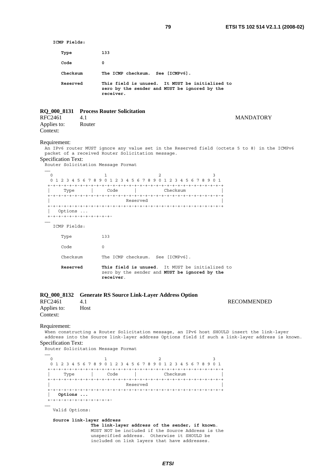**ICMP Fields: Type 133 Code 0 Checksum The ICMP checksum. See [ICMPv6]. Reserved This field is unused. It MUST be initialized to zero by the sender and MUST be ignored by the receiver. RQ\_000\_8131 Process Router Solicitation**  RFC2461 4.1 MANDATORY Applies to: Router Context: Requirement: An IPv6 router MUST ignore any value set in the Reserved field (octets 5 to 8) in the ICMPv6 packet of a received Router Solicitation message. Specification Text: Router Solicitation Message Format …… 0  $1$  2 3 0 1 2 3 4 5 6 7 8 9 0 1 2 3 4 5 6 7 8 9 0 1 2 3 4 5 6 7 8 9 0 1 +-+-+-+-+-+-+-+-+-+-+-+-+-+-+-+-+-+-+-+-+-+-+-+-+-+-+-+-+-+-+-+-+ | Type | Code | Checksum | +-+-+-+-+-+-+-+-+-+-+-+-+-+-+-+-+-+-+-+-+-+-+-+-+-+-+-+-+-+-+-+-+ | Reserved | +-+-+-+-+-+-+-+-+-+-+-+-+-+-+-+-+-+-+-+-+-+-+-+-+-+-+-+-+-+-+-+-+ | Options ... +-+-+-+-+-+-+-+-+-+-+-+- …… ICMP Fields: Type 133 Code 0 Checksum The ICMP checksum. See [ICMPv6]. **Reserved This field is unused**. It MUST be initialized to zero by the sender and **MUST be ignored by the receiver**. **RQ\_000\_8132 Generate RS Source Link-Layer Address Option**  RFC2461 4.1 **RECOMMENDED** Applies to: Host Context: Requirement: When constructing a Router Solicitation message, an IPv6 host SHOULD insert the link-layer address into the Source link-layer address Options field if such a link-layer address is known. Specification Text: Router Solicitation Message Format …… 0  $1$  2 3 0 1 2 3 4 5 6 7 8 9 0 1 2 3 4 5 6 7 8 9 0 1 2 3 4 5 6 7 8 9 0 1 +-+-+-+-+-+-+-+-+-+-+-+-+-+-+-+-+-+-+-+-+-+-+-+-+-+-+-+-+-+-+-+-+ | Type | Code | Checksum | +-+-+-+-+-+-+-+-+-+-+-+-+-+-+-+-+-+-+-+-+-+-+-+-+-+-+-+-+-+-+-+-+ | Reserved | +-+-+-+-+-+-+-+-+-+-+-+-+-+-+-+-+-+-+-+-+-+-+-+-+-+-+-+-+-+-+-+-+ | **Options ...** +-+-+-+-+-+-+-+-+-+-+-+- …… Valid Options:

 **Source link-layer address The link-layer address of the sender, if known**. MUST NOT be included if the Source Address is the unspecified address. Otherwise it SHOULD be included on link layers that have addresses.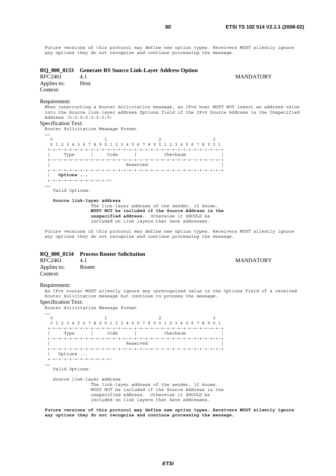Future versions of this protocol may define new option types. Receivers MUST silently ignore any options they do not recognize and continue processing the message.

| <b>RQ_000_8133</b><br>RFC2461<br>Applies to:<br>Context: | <b>Generate RS Source Link-Layer Address Option</b><br>4.1<br>Host                                                                                                                                                                                                  | <b>MANDATORY</b> |
|----------------------------------------------------------|---------------------------------------------------------------------------------------------------------------------------------------------------------------------------------------------------------------------------------------------------------------------|------------------|
| Requirement:<br><b>Specification Text:</b>               | When constructing a Router Solicitation message, an IPv6 host MUST NOT insert an address value<br>into the Source link-layer address Options field if the IPv6 Source Address is the Unspecified<br>Address (0:0:0:0:0:0:0:0)<br>Router Solicitation Message Format |                  |
| $\Omega$<br>Options<br><br>Valid Options:                | 0 1 2 3 4 5 6 7 8 9 0 1 2 3 4 5 6 7 8 9 0 1 2 3 4 5 6 7 8 9 0 1<br>Code l'announce de l'announce de l'announce de l'announce de l'announce de l'announce de l'announce de l'annou<br>Checksum<br>Type I<br>Reserved<br>+-+-+-+-+-+-+-+-+-+-+-+                      |                  |
|                                                          | Source link-layer address<br>The link-layer address of the sender, if known.<br>MUST NOT be included if the Source Address is the<br>unspecified address. Otherwise it SHOULD be<br>included on link layers that have addresses.                                    |                  |
|                                                          | Future versions of this protocol may define new option types. Receivers MUST silently ignore<br>any options they do not recognize and continue processing the message.                                                                                              |                  |

### **RQ\_000\_8134 Process Router Solicitation**

| RFC2461                 | 4.1    | <b>MANDATORY</b> |  |
|-------------------------|--------|------------------|--|
| Applies to:<br>Context: | Router |                  |  |

#### Requirement:

An IPv6 router MUST silently ignore any unrecognized value in the Options field of a received Router Solicitation message but continue to process the message.

# Specification Text:

Router Solicitation Message Format

…… 0  $1$  2 3 0 1 2 3 4 5 6 7 8 9 0 1 2 3 4 5 6 7 8 9 0 1 2 3 4 5 6 7 8 9 0 1 +-+-+-+-+-+-+-+-+-+-+-+-+-+-+-+-+-+-+-+-+-+-+-+-+-+-+-+-+-+-+-+-+ | Type | Code | Checksum | +-+-+-+-+-+-+-+-+-+-+-+-+-+-+-+-+-+-+-+-+-+-+-+-+-+-+-+-+-+-+-+-+ | Reserved | +-+-+-+-+-+-+-+-+-+-+-+-+-+-+-+-+-+-+-+-+-+-+-+-+-+-+-+-+-+-+-+-+ | Options ... +-+-+-+-+-+-+-+-+-+-+-+- …… Valid Options: Source link-layer address .<br>The link-layer address of the sender, if known. MUST NOT be included if the Source Address is the unspecified address. Otherwise it SHOULD be included on link layers that have addresses.

**Future versions of this protocol may define new option types. Receivers MUST silently ignore any options they do not recognize and continue processing the message.**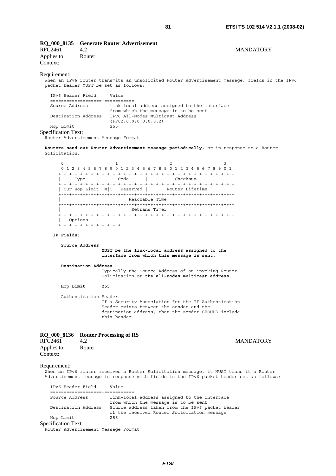# **RQ\_000\_8135 Generate Router Advertisement**

RFC2461 4.2 MANDATORY Applies to: Router Context:

#### Requirement:

When an IPv6 router transmits an unsolicited Router Advertisement message, fields in the IPv6 packet header MUST be set as follows:

 IPv6 Header Field | Value ===================+=========== Source Address | link-local address assigned to the interface from which the message is to be sent Destination Address| IPv6 All-Nodes Multicast Address  $\begin{array}{|c|c|} \hline & (FF02:0:0:0:0:0:0:0:2) \ \hline & 255 \hline \end{array}$ Hop Limit Specification Text:

Router Advertisement Message Format

**Routers send out Router Advertisement message periodically,** or in response to a Router Solicitation.

0  $1$   $2$   $3$  0 1 2 3 4 5 6 7 8 9 0 1 2 3 4 5 6 7 8 9 0 1 2 3 4 5 6 7 8 9 0 1 +-+-+-+-+-+-+-+-+-+-+-+-+-+-+-+-+-+-+-+-+-+-+-+-+-+-+-+-+-+-+-+-+ | Type | Code | Checksum | +-+-+-+-+-+-+-+-+-+-+-+-+-+-+-+-+-+-+-+-+-+-+-+-+-+-+-+-+-+-+-+-+ | Cur Hop Limit | M| 0| Reserved | Router Lifetime +-+-+-+-+-+-+-+-+-+-+-+-+-+-+-+-+-+-+-+-+-+-+-+-+-+-+-+-+-+-+-+-+ Reachable Time +-+-+-+-+-+-+-+-+-+-+-+-+-+-+-+-+-+-+-+-+-+-+-+-+-+-+-+-+-+-+-+-+ Retrans Timer +-+-+-+-+-+-+-+-+-+-+-+-+-+-+-+-+-+-+-+-+-+-+-+-+-+-+-+-+-+-+-+-+ | Options ... +-+-+-+-+-+-+-+-+-+-+-+-

#### **IP Fields:**

```
 Source Address
```
 **MUST be the link-local address assigned to the interface from which this message is sent.** 

 **Destination Address**

 Typically the Source Address of an invoking Router Solicitation or **the all-nodes multicast address.** 

 **Hop Limit 255** 

 Authentication Header If a Security Association for the IP Authentication Header exists between the sender and the destination address, then the sender SHOULD include this header.

#### **RQ\_000\_8136 Router Processing of RS**

RFC2461 4.2 MANDATORY Applies to: Router Context:

#### Requirement:

When an IPv6 router receives a Router Solicitation message, it MUST transmit a Router Advertisement message in response with fields in the IPv6 packet header set as follows:

| IPv6 Header Field          | Value                                            |
|----------------------------|--------------------------------------------------|
|                            |                                                  |
| Source Address             | link-local address assigned to the interface     |
|                            | from which the message is to be sent             |
| Destination Address        | Source address taken from the IPv6 packet header |
|                            | of the received Router Solicitation message      |
| Hop Limit                  | 255                                              |
| <b>Specification Text:</b> |                                                  |

Router Advertisement Message Format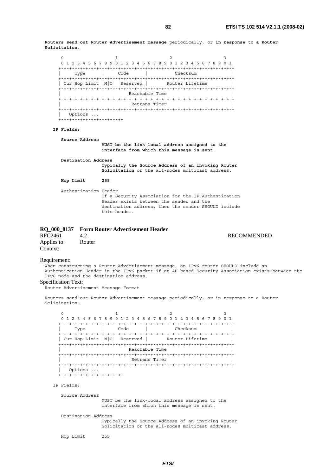**Routers send out Router Advertisement message** periodically, or **in response to a Router Solicitation**.

```
0 1 2 3
 0 1 2 3 4 5 6 7 8 9 0 1 2 3 4 5 6 7 8 9 0 1 2 3 4 5 6 7 8 9 0 1 
 +-+-+-+-+-+-+-+-+-+-+-+-+-+-+-+-+-+-+-+-+-+-+-+-+-+-+-+-+-+-+-+-+ 
 | Type | Code | Checksum | 
 +-+-+-+-+-+-+-+-+-+-+-+-+-+-+-+-+-+-+-+-+-+-+-+-+-+-+-+-+-+-+-+-+ 
| Cur Hop Limit |M|0| Reserved | Router Lifetime
 +-+-+-+-+-+-+-+-+-+-+-+-+-+-+-+-+-+-+-+-+-+-+-+-+-+-+-+-+-+-+-+-+ 
                      Reachable Time
 +-+-+-+-+-+-+-+-+-+-+-+-+-+-+-+-+-+-+-+-+-+-+-+-+-+-+-+-+-+-+-+-+ 
                      Retrans Timer
 +-+-+-+-+-+-+-+-+-+-+-+-+-+-+-+-+-+-+-+-+-+-+-+-+-+-+-+-+-+-+-+-+ 
 | Options ... 
 +-+-+-+-+-+-+-+-+-+-+-+-
```
#### **IP Fields:**

 **Source Address MUST be the link-local address assigned to the interface from which this message is sent.** 

 **Destination Address** 

 **Typically the Source Address of an invoking Router Solicitation** or the all-nodes multicast address.

**Hop Limit 255**

```
 Authentication Header 
            If a Security Association for the IP Authentication 
            Header exists between the sender and the 
            destination address, then the sender SHOULD include 
            this header.
```

|                         | RQ 000 8137 Form Router Advertisement Header |                    |
|-------------------------|----------------------------------------------|--------------------|
| RFC2461                 | 42                                           | <b>RECOMMENDED</b> |
| Applies to:<br>Context: | Router                                       |                    |

Requirement:

When constructing a Router Advertisement message, an IPv6 router SHOULD include an Authentication Header in the IPv6 packet if an AH-based Security Association exists between the IPv6 node and the destination address.

## Specification Text:

Router Advertisement Message Format

Routers send out Router Advertisement message periodically, or in response to a Router Solicitation.

|                          |                  | 0 1 2 3 4 5 6 7 8 9 0 1 2 3 4 5 6 7 8 9 0 1 2 3 4 5 6 7 8 9 0 1 |
|--------------------------|------------------|-----------------------------------------------------------------|
|                          |                  |                                                                 |
| Type                     | Code             | Checksum                                                        |
|                          |                  |                                                                 |
| Cur Hop Limit   M  0     | Reserved         | Router Lifetime                                                 |
|                          |                  |                                                                 |
|                          | Reachable Time   |                                                                 |
| $+ - + - + - + - +$      | -+-+-+-+-+-+-+-+ |                                                                 |
|                          | Retrans Timer    |                                                                 |
|                          | +-+-+-+-+-+-+-+  | -+-+-+-+-+-+-+-+-+-+-+                                          |
| Options                  |                  |                                                                 |
| +-+-+-+-+-+-+-+-+-+-+-+- |                  |                                                                 |

IP Fields:

Source Address

 MUST be the link-local address assigned to the interface from which this message is sent.

Destination Address

 Typically the Source Address of an invoking Router Solicitation or the all-nodes multicast address.

Hop Limit 255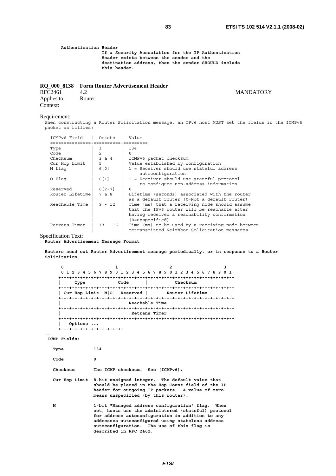**Authentication Header If a Security Association for the IP Authentication Header exists between the sender and the destination address, then the sender SHOULD include this header.**

# **RQ\_000\_8138 Form Router Advertisement Header**

RFC2461 4.2 MANDATORY Applies to: Router Context:

#### Requirement:

When constructing a Router Solicitation message, an IPv6 host MUST set the fields in the ICMPv6 men conscruceing a<br>packet as follows:

| ICMPv6 Field     | Octets         | Value                                                                                                                                                               |
|------------------|----------------|---------------------------------------------------------------------------------------------------------------------------------------------------------------------|
| ---------------- | =========      |                                                                                                                                                                     |
| Type             |                | 134                                                                                                                                                                 |
| Code             | $\overline{a}$ | 0                                                                                                                                                                   |
| Checksum         | 3 & 4          | ICMPv6 packet checksum                                                                                                                                              |
| Cur Hop Limit    | 5              | Value established by configuration                                                                                                                                  |
| M flag           | 6[0]           | 1 = Receiver should use stateful address<br>autoconfiquration                                                                                                       |
| O Flag           | 6 [ 1 ]        | 1 = Receiver should use stateful protocol<br>to configure non-address information                                                                                   |
| Reserved         | $6[2-7]$       | $\Omega$                                                                                                                                                            |
| Router Lifetime  | 7 & 8          | Lifetime (seconds) associated with the router<br>as a default router (0=Not a default router)                                                                       |
| Reachable Time   | $9 - 12$       | Time (ms) that a receiving node should assume<br>that the IPv6 router will be reachable after<br>having received a reachability confirmation<br>$(0 =$ unspecified) |
| Retrans Timer    | $13 - 16$      | Time (ms) to be used by a receiving node between<br>retransmitted Neighbor Solicitation messages                                                                    |

Specification Text:

#### **Router Advertisement Message Format**

**Routers send out Router Advertisement message periodically, or in response to a Router Solicitation.** 

| o                      |                                |                                                             |     |
|------------------------|--------------------------------|-------------------------------------------------------------|-----|
|                        |                                | 0 1 2 3 4 5 6 7 8 9 0 1 2 3 4 5 6 7 8 9 0 1 2 3 4 5 6 7 8 9 | 0 1 |
|                        |                                |                                                             |     |
| Type                   | Code                           | Checksum                                                    |     |
|                        |                                |                                                             |     |
|                        | Cur Hop Limit $ M 0 $ Reserved | Router Lifetime                                             |     |
|                        |                                | -+-+-+-+-+-+-+-+-+-+-+-+-+                                  |     |
|                        |                                | Reachable Time                                              |     |
|                        |                                | +-+-+-+-+-+-+-+-+-+-+                                       |     |
|                        |                                | Retrans Timer                                               |     |
|                        |                                |                                                             |     |
| Options                |                                |                                                             |     |
| +-+-+-+-+-+-+-+-+-+-+- |                                |                                                             |     |

 **ICMP Fields:** 

**……** 

| Type     | 134                                                                                                                                                                                                                                                                                     |
|----------|-----------------------------------------------------------------------------------------------------------------------------------------------------------------------------------------------------------------------------------------------------------------------------------------|
| Code     | 0                                                                                                                                                                                                                                                                                       |
| Checksum | The ICMP checksum. See [ICMPv6].                                                                                                                                                                                                                                                        |
|          | Cur Hop Limit 8-bit unsigned integer. The default value that<br>should be placed in the Hop Count field of the IP<br>header for outgoing IP packets. A value of zero<br>means unspecified (by this router).                                                                             |
| M        | 1-bit "Managed address configuration" flag. When<br>set, hosts use the administered (stateful) protocol<br>for address autoconfiguration in addition to any<br>addresses autoconfiqured using stateless address<br>autoconfiguration. The use of this flag is<br>described in RFC 2462. |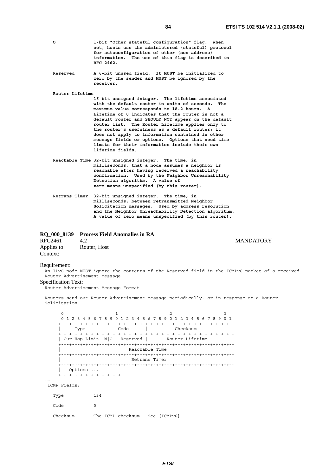| I<br>I<br>×<br>۰. |  |
|-------------------|--|

| $\circ$  | 1-bit "Other stateful configuration" flag. When<br>set, hosts use the administered (stateful) protocol<br>for autoconfiguration of other (non-address)<br>information. The use of this flag is described in<br>RFC 2462. |
|----------|--------------------------------------------------------------------------------------------------------------------------------------------------------------------------------------------------------------------------|
| Reserved | A 6-bit unused field. It MUST be initialized to                                                                                                                                                                          |

 **zero by the sender and MUST be ignored by the receiver.** 

 **Router Lifetime** 

 **16-bit unsigned integer. The lifetime associated with the default router in units of seconds. The maximum value corresponds to 18.2 hours. A Lifetime of 0 indicates that the router is not a default router and SHOULD NOT appear on the default router list. The Router Lifetime applies only to the router's usefulness as a default router; it does not apply to information contained in other message fields or options. Options that need time limits for their information include their own lifetime fields.** 

- **Reachable Time 32-bit unsigned integer. The time, in milliseconds, that a node assumes a neighbor is reachable after having received a reachability confirmation. Used by the Neighbor Unreachability Detection algorithm. A value of zero means unspecified (by this router).**
- **Retrans Timer 32-bit unsigned integer. The time, in milliseconds, between retransmitted Neighbor Solicitation messages. Used by address resolution and the Neighbor Unreachability Detection algorithm. A value of zero means unspecified (by this router).**

|                         | RQ 000 8139 Process Field Anomalies in RA |                  |
|-------------------------|-------------------------------------------|------------------|
| RFC2461                 | 4.2                                       | <b>MANDATORY</b> |
| Applies to:<br>Context: | Router, Host                              |                  |

#### Requirement:

An IPv6 node MUST ignore the contents of the Reserved field in the ICMPv6 packet of a received Router Advertisement message.

#### Specification Text:

.<br>Router Advertisement Message Format

Routers send out Router Advertisement message periodically, or in response to a Router Solicitation.

| 0                              | 1 2 3 4 5 6 7 8 9 0 1 2 3 4 5 6 7 8 9 0 |                 | 1 2 3 4 5 6 7 8 9<br>0 <sub>1</sub> |
|--------------------------------|-----------------------------------------|-----------------|-------------------------------------|
|                                |                                         |                 |                                     |
| Type                           | Code                                    | Checksum        |                                     |
|                                |                                         |                 |                                     |
| Cur Hop Limit   M  0  Reserved |                                         | Router Lifetime |                                     |
| +-+-+-+-+-+-+-+-               |                                         |                 |                                     |
|                                | Reachable Time                          |                 |                                     |
|                                |                                         |                 |                                     |
|                                | Retrans Timer                           |                 |                                     |
| +-+-+-+-+-+-+-                 |                                         |                 |                                     |
| Options                        |                                         |                 |                                     |
| -+-+-+-                        |                                         |                 |                                     |
|                                |                                         |                 |                                     |

ICMP Fields:

……

| Type     | 134                              |  |
|----------|----------------------------------|--|
| Code     | $^{(1)}$                         |  |
| Checksum | The ICMP checksum. See [ICMPv6]. |  |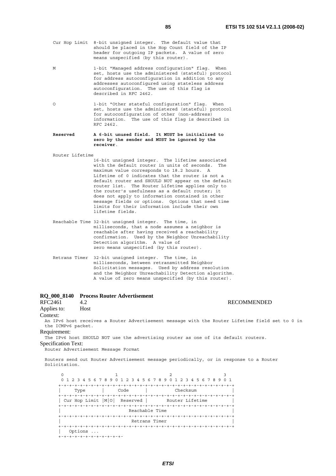**RECOMMENDED** 

- Cur Hop Limit 8-bit unsigned integer. The default value that should be placed in the Hop Count field of the IP header for outgoing IP packets. A value of zero means unspecified (by this router).
- M 1-bit "Managed address configuration" flag. When set, hosts use the administered (stateful) protocol for address autoconfiguration in addition to any addresses autoconfigured using stateless address autoconfiguration. The use of this flag is described in RFC 2462.
- O 1-bit "Other stateful configuration" flag. When set, hosts use the administered (stateful) protocol for autoconfiguration of other (non-address) information. The use of this flag is described in RFC 2462.

#### **Reserved A 6-bit unused field. It MUST be initialized to zero by the sender and MUST be ignored by the receiver**.

Router Lifetime

- 16-bit unsigned integer. The lifetime associated with the default router in units of seconds. The maximum value corresponds to 18.2 hours. A Lifetime of 0 indicates that the router is not a default router and SHOULD NOT appear on the default router list. The Router Lifetime applies only to the router's usefulness as a default router; it does not apply to information contained in other message fields or options. Options that need time limits for their information include their own lifetime fields.
- Reachable Time 32-bit unsigned integer. The time, in milliseconds, that a node assumes a neighbor is reachable after having received a reachability confirmation. Used by the Neighbor Unreachability Detection algorithm. A value of zero means unspecified (by this router).
- Retrans Timer 32-bit unsigned integer. The time, in milliseconds, between retransmitted Neighbor Solicitation messages. Used by address resolution and the Neighbor Unreachability Detection algorithm. A value of zero means unspecified (by this router).

# **RQ\_000\_8140 Process Router Advertisement**

# Applies to: Host

Context:

An IPv6 host receives a Router Advertisement message with the Router Lifetime field set to 0 in the ICMPv6 packet.

#### Requirement:

The IPv6 host SHOULD NOT use the advertising router as one of its default routers.

### Specification Text:

Router Advertisement Message Format

Routers send out Router Advertisement message periodically, or in response to a Router Solicitation.

 $0$  1 2 3 0 1 2 3 4 5 6 7 8 9 0 1 2 3 4 5 6 7 8 9 0 1 2 3 4 5 6 7 8 9 0 1 +-+-+-+-+-+-+-+-+-+-+-+-+-+-+-+-+-+-+-+-+-+-+-+-+-+-+-+-+-+-+-+-+ | Type | Code | Checksum | +-+-+-+-+-+-+-+-+-+-+-+-+-+-+-+-+-+-+-+-+-+-+-+-+-+-+-+-+-+-+-+-+ | Cur Hop Limit | M| 0| Reserved | Router Lifetime +-+-+-+-+-+-+-+-+-+-+-+-+-+-+-+-+-+-+-+-+-+-+-+-+-+-+-+-+-+-+-+-+ Reachable Time +-+-+-+-+-+-+-+-+-+-+-+-+-+-+-+-+-+-+-+-+-+-+-+-+-+-+-+-+-+-+-+-+ Retrans Timer +-+-+-+-+-+-+-+-+-+-+-+-+-+-+-+-+-+-+-+-+-+-+-+-+-+-+-+-+-+-+-+-+ | Options ...

.<br>+-+-+-+-+-+-+-+-+-+-+-+-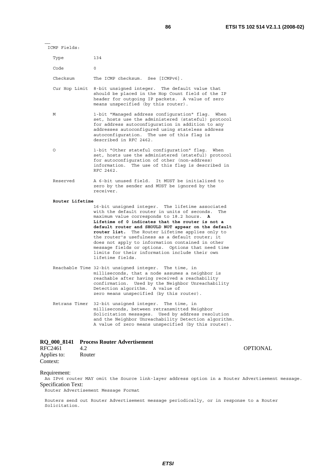……

| Type            | 134                                                                                                                                                                                                                                                                                                                                                                                                                                                                                                                                                       |
|-----------------|-----------------------------------------------------------------------------------------------------------------------------------------------------------------------------------------------------------------------------------------------------------------------------------------------------------------------------------------------------------------------------------------------------------------------------------------------------------------------------------------------------------------------------------------------------------|
| Code            | $\circ$                                                                                                                                                                                                                                                                                                                                                                                                                                                                                                                                                   |
| Checksum        | The ICMP checksum. See [ICMPv6].                                                                                                                                                                                                                                                                                                                                                                                                                                                                                                                          |
| Cur Hop Limit   | 8-bit unsigned integer. The default value that<br>should be placed in the Hop Count field of the IP<br>header for outgoing IP packets. A value of zero<br>means unspecified (by this router).                                                                                                                                                                                                                                                                                                                                                             |
| М               | 1-bit "Managed address configuration" flag. When<br>set, hosts use the administered (stateful) protocol<br>for address autoconfiguration in addition to any<br>addresses autoconfiqured using stateless address<br>autoconfiguration. The use of this flag is<br>described in RFC 2462.                                                                                                                                                                                                                                                                   |
| $\circ$         | 1-bit "Other stateful configuration" flag. When<br>set, hosts use the administered (stateful) protocol<br>for autoconfiguration of other (non-address)<br>information. The use of this flag is described in<br>RFC 2462.                                                                                                                                                                                                                                                                                                                                  |
| Reserved        | A 6-bit unused field.<br>It MUST be initialized to<br>zero by the sender and MUST be ignored by the<br>receiver.                                                                                                                                                                                                                                                                                                                                                                                                                                          |
| Router Lifetime |                                                                                                                                                                                                                                                                                                                                                                                                                                                                                                                                                           |
|                 | 16-bit unsigned integer. The lifetime associated<br>with the default router in units of seconds.<br>The<br>maximum value corresponds to 18.2 hours.<br>A<br>Lifetime of 0 indicates that the router is not a<br>default router and SHOULD NOT appear on the default<br>router list. The Router Lifetime applies only to<br>the router's usefulness as a default router; it<br>does not apply to information contained in other<br>message fields or options. Options that need time<br>limits for their information include their own<br>lifetime fields. |
|                 | Reachable Time 32-bit unsigned integer. The time, in<br>milliseconds, that a node assumes a neighbor is<br>reachable after having received a reachability<br>confirmation. Used by the Neighbor Unreachability<br>Detection algorithm. A value of<br>zero means unspecified (by this router).                                                                                                                                                                                                                                                             |
|                 | Retrans Timer 32-bit unsigned integer. The time, in<br>milliseconds, between retransmitted Neighbor<br>Solicitation messages. Used by address resolution<br>and the Neighbor Unreachability Detection algorithm.<br>A value of zero means unspecified (by this router).                                                                                                                                                                                                                                                                                   |

# **RQ\_000\_8141 Process Router Advertisement**

| RFC2461     | 4.2    |
|-------------|--------|
| Applies to: | Router |
| Context:    |        |

# OPTIONAL

# Requirement:

An IPv6 router MAY omit the Source link-layer address option in a Router Advertisement message. Specification Text:

Router Advertisement Message Format

Routers send out Router Advertisement message periodically, or in response to a Router Solicitation.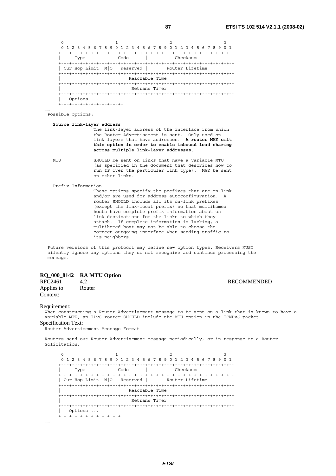| 0                              |                      |                   |                                     |
|--------------------------------|----------------------|-------------------|-------------------------------------|
| 5 6 7 8 9<br>0<br>2<br>4<br>-3 | 2 3<br>$\Omega$<br>4 | 56789<br>$^{(1)}$ | 2 3 4 5 6 7 8<br>9<br>-1<br>$\circ$ |
|                                |                      |                   |                                     |
| Type                           | Code                 | Checksum          |                                     |
|                                |                      |                   |                                     |
| Cur Hop Limit $ M 0 $          | Reserved             | Router Lifetime   |                                     |
| $+ - + - + - + - + - + -$      |                      |                   |                                     |
|                                |                      | Reachable Time    |                                     |
|                                |                      |                   |                                     |
|                                |                      | Retrans Timer     |                                     |
| $+ - + - + - +$                |                      |                   |                                     |
| Options                        |                      |                   |                                     |
|                                |                      |                   |                                     |

#### Possible options:

#### **Source link-layer address**

 The link-layer address of the interface from which the Router Advertisement is sent. Only used on link layers that have addresses. **A router MAY omit this option in order to enable inbound load sharing across multiple link-layer addresses.**

……

 MTU SHOULD be sent on links that have a variable MTU (as specified in the document that describes how to run IP over the particular link type). MAY be sent on other links.

#### Prefix Information

 These options specify the prefixes that are on-link and/or are used for address autoconfiguration. A router SHOULD include all its on-link prefixes (except the link-local prefix) so that multihomed hosts have complete prefix information about on link destinations for the links to which they attach. If complete information is lacking, a multihomed host may not be able to choose the correct outgoing interface when sending traffic to its neighbors.

 Future versions of this protocol may define new option types. Receivers MUST silently ignore any options they do not recognize and continue processing the message.

# **RQ\_000\_8142 RA MTU Option**

Applies to: Context:

4.2 RECOMMENDED<br>Router

#### Requirement:

When constructing a Router Advertisement message to be sent on a link that is known to have a variable MTU, an IPv6 router SHOULD include the MTU option in the ICMPv6 packet. Specification Text:

Router Advertisement Message Format

Routers send out Router Advertisement message periodically, or in response to a Router Solicitation.

 $0$  1 2 3 0 1 2 3 4 5 6 7 8 9 0 1 2 3 4 5 6 7 8 9 0 1 2 3 4 5 6 7 8 9 0 1 +-+-+-+-+-+-+-+-+-+-+-+-+-+-+-+-+-+-+-+-+-+-+-+-+-+-+-+-+-+-+-+-+ | Type | Code | Checksum | +-+-+-+-+-+-+-+-+-+-+-+-+-+-+-+-+-+-+-+-+-+-+-+-+-+-+-+-+-+-+-+-+ | Cur Hop Limit  $|M|0|$  Reserved | Router Lifetime +-+-+-+-+-+-+-+-+-+-+-+-+-+-+-+-+-+-+-+-+-+-+-+-+-+-+-+-+-+-+-+-+ Reachable Time +-+-+-+-+-+-+-+-+-+-+-+-+-+-+-+-+-+-+-+-+-+-+-+-+-+-+-+-+-+-+-+-+ Retrans Timer +-+-+-+-+-+-+-+-+-+-+-+-+-+-+-+-+-+-+-+-+-+-+-+-+-+-+-+-+-+-+-+-+ | Options ... +-+-+-+-+-+-+-+-+-+-+-+-

……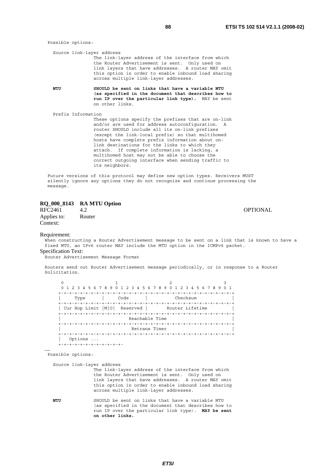| Possible options:  |                                                                                                                                                                                                                                                                                                                                                                      |
|--------------------|----------------------------------------------------------------------------------------------------------------------------------------------------------------------------------------------------------------------------------------------------------------------------------------------------------------------------------------------------------------------|
|                    | Source link-layer address<br>The link-layer address of the interface from which<br>the Router Advertisement is sent. Only used on<br>link layers that have addresses. A router MAY omit<br>this option in order to enable inbound load sharing<br>across multiple link-layer addresses.                                                                              |
| MTU                | SHOULD be sent on links that have a variable MTU<br>(as specified in the document that describes how to<br>run IP over the particular link type). MAY be sent<br>on other links.                                                                                                                                                                                     |
| Prefix Information | These options specify the prefixes that are on-link<br>and/or are used for address autoconfiguration. A<br>router SHOULD include all its on-link prefixes<br>(except the link-local prefix) so that multihomed<br>hosts have complete prefix information about on-<br>link destinations for the links to which they<br>attach. If complete information is lacking, a |

 Future versions of this protocol may define new option types. Receivers MUST silently ignore any options they do not recognize and continue processing the message.

 multihomed host may not be able to choose the correct outgoing interface when sending traffic to

# **RQ\_000\_8143 RA MTU Option**

RFC2461 4.2 **OPTIONAL** Applies to: Router Context:

Requirement:

When constructing a Router Advertisement message to be sent on a link that is known to have a fixed MTU, an IPv6 router MAY include the MTU option in the ICMPv6 packet.

Specification Text:

Router Advertisement Message Format

its neighbors.

Routers send out Router Advertisement message periodically, or in response to a Router Solicitation.

0  $1$   $2$   $3$  0 1 2 3 4 5 6 7 8 9 0 1 2 3 4 5 6 7 8 9 0 1 2 3 4 5 6 7 8 9 0 1 +-+-+-+-+-+-+-+-+-+-+-+-+-+-+-+-+-+-+-+-+-+-+-+-+-+-+-+-+-+-+-+-+ | Type | Code | Checksum | +-+-+-+-+-+-+-+-+-+-+-+-+-+-+-+-+-+-+-+-+-+-+-+-+-+-+-+-+-+-+-+-+ | Cur Hop Limit | M| 0| Reserved | Router Lifetime +-+-+-+-+-+-+-+-+-+-+-+-+-+-+-+-+-+-+-+-+-+-+-+-+-+-+-+-+-+-+-+-+ Reachable Time +-+-+-+-+-+-+-+-+-+-+-+-+-+-+-+-+-+-+-+-+-+-+-+-+-+-+-+-+-+-+-+-+ Retrans Timer +-+-+-+-+-+-+-+-+-+-+-+-+-+-+-+-+-+-+-+-+-+-+-+-+-+-+-+-+-+-+-+-+ | Options ... .<br>+-+-+-+-+-+-+-+-+-+-+-+-

Possible options:

……

Source link-layer address

 The link-layer address of the interface from which the Router Advertisement is sent. Only used on link layers that have addresses. A router MAY omit this option in order to enable inbound load sharing across multiple link-layer addresses.

 **MTU** SHOULD be sent on links that have a variable MTU (as specified in the document that describes how to run IP over the particular link type). **MAY be sent on other links.**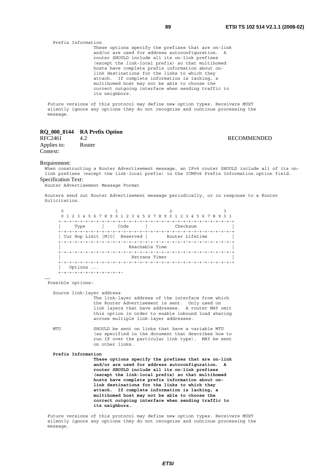Prefix Information These options specify the prefixes that are on-link and/or are used for address autoconfiguration. A router SHOULD include all its on-link prefixes (except the link-local prefix) so that multihomed hosts have complete prefix information about on link destinations for the links to which they attach. If complete information is lacking, a multihomed host may not be able to choose the correct outgoing interface when sending traffic to its neighbors.

 Future versions of this protocol may define new option types. Receivers MUST silently ignore any options they do not recognize and continue processing the message.

## **RQ\_000\_8144 RA Prefix Option**

Applies to: Router Context:

## RFC2461 4.2 RECOMMENDED

#### Requirement:

When constructing a Router Advertisement message, an IPv6 router SHOULD include all of its onlink prefixes (except the link-local prefix) in the ICMPv6 Prefix Information option field. Specification Text:

Router Advertisement Message Format

Routers send out Router Advertisement message periodically, or in response to a Router Solicitation.

 $0$  1 2 3 0 1 2 3 4 5 6 7 8 9 0 1 2 3 4 5 6 7 8 9 0 1 2 3 4 5 6 7 8 9 0 1 +-+-+-+-+-+-+-+-+-+-+-+-+-+-+-+-+-+-+-+-+-+-+-+-+-+-+-+-+-+-+-+-+ | Type | Code | Checksum | +-+-+-+-+-+-+-+-+-+-+-+-+-+-+-+-+-+-+-+-+-+-+-+-+-+-+-+-+-+-+-+-+ | Cur Hop Limit | M| 0| Reserved | Router Lifetime +-+-+-+-+-+-+-+-+-+-+-+-+-+-+-+-+-+-+-+-+-+-+-+-+-+-+-+-+-+-+-+-+ Reachable Time +-+-+-+-+-+-+-+-+-+-+-+-+-+-+-+-+-+-+-+-+-+-+-+-+-+-+-+-+-+-+-+-+ Retrans Timer +-+-+-+-+-+-+-+-+-+-+-+-+-+-+-+-+-+-+-+-+-+-+-+-+-+-+-+-+-+-+-+-+ | Options ... +-+-+-+-+-+-+-+-+-+-+-+-

Possible options:

……

Source link-layer address

 The link-layer address of the interface from which the Router Advertisement is sent. Only used on link layers that have addresses. A router MAY omit this option in order to enable inbound load sharing across multiple link-layer addresses.

 MTU SHOULD be sent on links that have a variable MTU (as specified in the document that describes how to run IP over the particular link type). MAY be sent on other links.

#### **Prefix Information**

 **These options specify the prefixes that are on-link and/or are used for address autoconfiguration. A router SHOULD include all its on-link prefixes (except the link-local prefix) so that multihomed hosts have complete prefix information about on link destinations for the links to which they attach. If complete information is lacking, a multihomed host may not be able to choose the correct outgoing interface when sending traffic to its neighbors.**

 Future versions of this protocol may define new option types. Receivers MUST silently ignore any options they do not recognize and continue processing the message.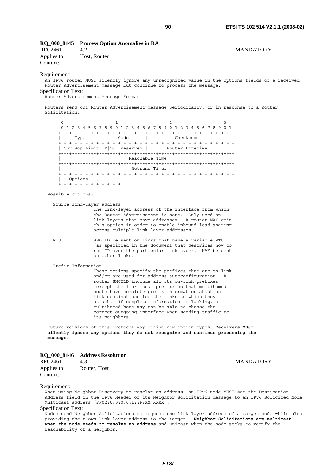# **RQ\_000\_8145 Process Option Anomalies in RA**  RFC2461 4.2 MANDATORY

Applies to: Host, Router Context:

#### Requirement:

An IPv6 router MUST silently ignore any unrecognized value in the Options fields of a received Router Advertisement message but continue to process the message. Specification Text:

Router Advertisement Message Format

Routers send out Router Advertisement message periodically, or in response to a Router Solicitation.

 $0$  1 2 3 0 1 2 3 4 5 6 7 8 9 0 1 2 3 4 5 6 7 8 9 0 1 2 3 4 5 6 7 8 9 0 1 +-+-+-+-+-+-+-+-+-+-+-+-+-+-+-+-+-+-+-+-+-+-+-+-+-+-+-+-+-+-+-+-+ | Type | Code | Checksum | +-+-+-+-+-+-+-+-+-+-+-+-+-+-+-+-+-+-+-+-+-+-+-+-+-+-+-+-+-+-+-+-+ | Cur Hop Limit | M| 0| Reserved | Router Lifetime +-+-+-+-+-+-+-+-+-+-+-+-+-+-+-+-+-+-+-+-+-+-+-+-+-+-+-+-+-+-+-+-+ Reachable Time +-+-+-+-+-+-+-+-+-+-+-+-+-+-+-+-+-+-+-+-+-+-+-+-+-+-+-+-+-+-+-+-+ Retrans Timer +-+-+-+-+-+-+-+-+-+-+-+-+-+-+-+-+-+-+-+-+-+-+-+-+-+-+-+-+-+-+-+-+ | Options ... .<br>+-+-+-+-+-+-+-+-+-+-+-+-

Possible options:

Source link-layer address

 The link-layer address of the interface from which the Router Advertisement is sent. Only used on link layers that have addresses. A router MAY omit this option in order to enable inbound load sharing across multiple link-layer addresses.

……

MTU SHOULD be sent on links that have a variable MTU (as specified in the document that describes how to run IP over the particular link type). MAY be sent on other links.

Prefix Information

 These options specify the prefixes that are on-link and/or are used for address autoconfiguration. A router SHOULD include all its on-link prefixes (except the link-local prefix) so that multihomed hosts have complete prefix information about on link destinations for the links to which they attach. If complete information is lacking, a multihomed host may not be able to choose the correct outgoing interface when sending traffic to its neighbors.

 Future versions of this protocol may define new option types. **Receivers MUST silently ignore any options they do not recognize and continue processing the message.**

# **RQ\_000\_8146 Address Resolution**

RFC2461 4.3 MANDATORY Applies to: Router, Host Context:

#### Requirement:

When using Neighbor Discovery to resolve an address, an IPv6 node MUST set the Destination Address field in the IPv6 Header of its Neighbor Solicitation message to an IPv6 Solicited Node Multicast address (FF02:0:0:0:0:1::FFXX:XXXX).

### Specification Text:

Nodes send Neighbor Solicitations to request the link-layer address of a target node while also providing their own link-layer address to the target. **Neighbor Solicitations are multicast when the node needs to resolve an address** and unicast when the node seeks to verify the reachability of a neighbor.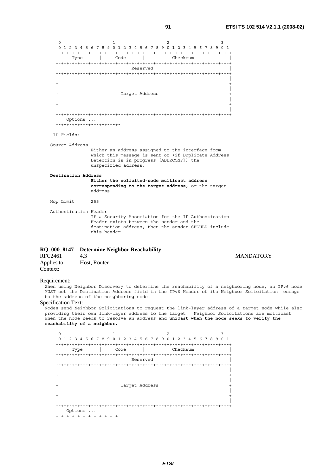0  $1$   $2$   $3$  0 1 2 3 4 5 6 7 8 9 0 1 2 3 4 5 6 7 8 9 0 1 2 3 4 5 6 7 8 9 0 1 +-+-+-+-+-+-+-+-+-+-+-+-+-+-+-+-+-+-+-+-+-+-+-+-+-+-+-+-+-+-+-+-+ | Type | Code | Checksum | +-+-+-+-+-+-+-+-+-+-+-+-+-+-+-+-+-+-+-+-+-+-+-+-+-+-+-+-+-+-+-+-+ | Reserved | +-+-+-+-+-+-+-+-+-+-+-+-+-+-+-+-+-+-+-+-+-+-+-+-+-+-+-+-+-+-+-+-+ | | + + | | Target Address | | + + | | +-+-+-+-+-+-+-+-+-+-+-+-+-+-+-+-+-+-+-+-+-+-+-+-+-+-+-+-+-+-+-+-+ | Options ... +-+-+-+-+-+-+-+-+-+-+-+- IP Fields: Source Address Either an address assigned to the interface from which this message is sent or (if Duplicate Address Detection is in progress [ADDRCONF]) the unspecified address.  **Destination Address Either the solicited-node multicast address corresponding to the target address,** or the target address. Hop Limit 255 Authentication Header If a Security Association for the IP Authentication Header exists between the sender and the destination address, then the sender SHOULD include this header. **RQ\_000\_8147 Determine Neighbor Reachability**  RFC2461 4.3 MANDATORY Applies to: Host, Router Context:

### Requirement:

When using Neighbor Discovery to determine the reachability of a neighboring node, an IPv6 node MUST set the Destination Address field in the IPv6 Header of its Neighbor Solicitation message to the address of the neighboring node.

### Specification Text:

Nodes send Neighbor Solicitations to request the link-layer address of a target node while also providing their own link-layer address to the target. Neighbor Solicitations are multicast when the node needs to resolve an address and **unicast when the node seeks to verify the reachability of a neighbor.**

| Type<br>$+ - + - + - + -$ |  | Code |                |          |  | Checksum | -+-+-+ | $+ - + - + - + - +$ |
|---------------------------|--|------|----------------|----------|--|----------|--------|---------------------|
|                           |  |      |                | Reserved |  |          |        |                     |
|                           |  |      |                |          |  |          |        |                     |
|                           |  |      |                |          |  |          |        |                     |
|                           |  |      |                |          |  |          |        |                     |
|                           |  |      |                |          |  |          |        |                     |
|                           |  |      | Target Address |          |  |          |        |                     |
|                           |  |      |                |          |  |          |        |                     |
|                           |  |      |                |          |  |          |        |                     |
|                           |  |      |                |          |  |          |        |                     |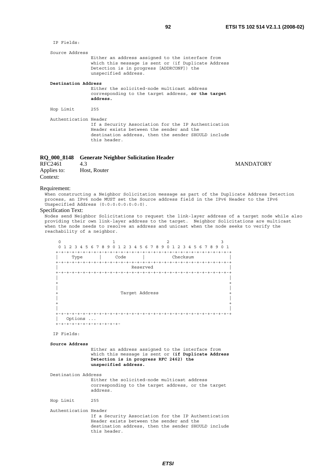IP Fields: Source Address Either an address assigned to the interface from which this message is sent or (if Duplicate Address Detection is in progress [ADDRCONF]) the unspecified address.  **Destination Address** Either the solicited-node multicast address corresponding to the target address, **or the target address.** Hop Limit 255 Authentication Header If a Security Association for the IP Authentication Header exists between the sender and the destination address, then the sender SHOULD include this header.

# **RQ\_000\_8148 Generate Neighbor Solicitation Header**

| RFC2461     | 4.3          |
|-------------|--------------|
| Applies to: | Host, Router |
| Context:    |              |

#### Requirement:

When constructing a Neighbor Solicitation message as part of the Duplicate Address Detection process, an IPv6 node MUST set the Source address field in the IPv6 Header to the IPv6 Unspecified Address (0:0:0:0:0:0:0:0).

#### Specification Text:

Nodes send Neighbor Solicitations to request the link-layer address of a target node while also providing their own link-layer address to the target. Neighbor Solicitations are multicast when the node needs to resolve an address and unicast when the node seeks to verify the reachability of a neighbor.

| +-+-+-+-+- | Type | Code<br>$+ - + - +$ |          | Checksum<br>$- + - +$ | $+ - + - + - + - +$ |
|------------|------|---------------------|----------|-----------------------|---------------------|
|            |      |                     | Reserved |                       |                     |
|            |      |                     |          |                       |                     |
|            |      | Target Address      |          |                       |                     |
|            |      |                     |          |                       |                     |

# IP Fields:

 **Source Address**

 Either an address assigned to the interface from which this message is sent or **(if Duplicate Address Detection is in progress RFC 2462) the unspecified address.**

Destination Address

 Either the solicited-node multicast address corresponding to the target address, or the target address.

Hop Limit 255

Authentication Header

 If a Security Association for the IP Authentication Header exists between the sender and the destination address, then the sender SHOULD include this header.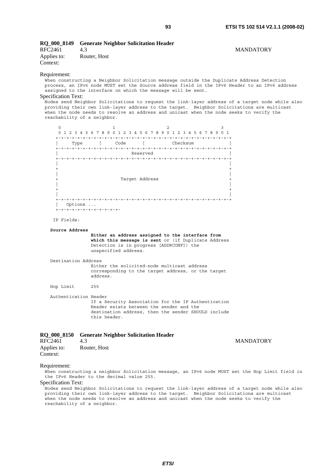|                              | RQ 000 8149 Generate Neighbor Solicitation Header |                  |
|------------------------------|---------------------------------------------------|------------------|
| RFC2461                      | 4.3                                               | <b>MANDATORY</b> |
| Applies to:<br>$\sim$ $\sim$ | Router, Host                                      |                  |

# Context:

#### Requirement:

When constructing a Neighbor Solicitation message outside the Duplicate Address Detection process, an IPv6 node MUST set the Source address field in the IPv6 Header to an IPv6 address assigned to the interface on which the message will be sent.

# Specification Text:

Nodes send Neighbor Solicitations to request the link-layer address of a target node while also providing their own link-layer address to the target. Neighbor Solicitations are multicast when the node needs to resolve an address and unicast when the node seeks to verify the reachability of a neighbor.



#### IP Fields:

 **Source Address** 

 **Either an address assigned to the interface from which this message is sent** or (if Duplicate Address Detection is in progress [ADDRCONF]) the unspecified address.

Destination Address

 Either the solicited-node multicast address corresponding to the target address, or the target address.

Hop Limit 255

 Authentication Header If a Security Association for the IP Authentication Header exists between the sender and the destination address, then the sender SHOULD include this header.

|  |  | RQ_000_8150 Generate Neighbor Solicitation Header |  |
|--|--|---------------------------------------------------|--|
|  |  |                                                   |  |

| RFC2461     | 4.3          | <b>MANDATORY</b> |
|-------------|--------------|------------------|
| Applies to: | Router, Host |                  |
| Context:    |              |                  |

#### Requirement:

When constructing a neighbor Solicitation message, an IPv6 node MUST set the Hop Limit field in the IPv6 Header to the decimal value 255.

#### Specification Text:

Nodes send Neighbor Solicitations to request the link-layer address of a target node while also providing their own link-layer address to the target. Neighbor Solicitations are multicast when the node needs to resolve an address and unicast when the node seeks to verify the reachability of a neighbor.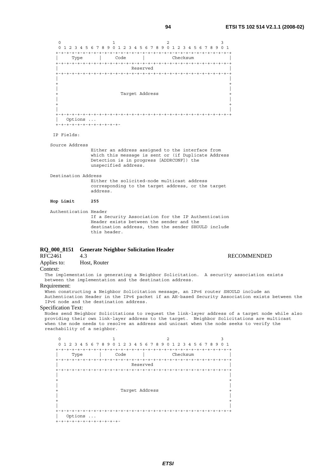0  $1$   $2$   $3$  0 1 2 3 4 5 6 7 8 9 0 1 2 3 4 5 6 7 8 9 0 1 2 3 4 5 6 7 8 9 0 1 +-+-+-+-+-+-+-+-+-+-+-+-+-+-+-+-+-+-+-+-+-+-+-+-+-+-+-+-+-+-+-+-+ | Type | Code | Checksum | +-+-+-+-+-+-+-+-+-+-+-+-+-+-+-+-+-+-+-+-+-+-+-+-+-+-+-+-+-+-+-+-+ | Reserved | +-+-+-+-+-+-+-+-+-+-+-+-+-+-+-+-+-+-+-+-+-+-+-+-+-+-+-+-+-+-+-+-+ | | + + | | Target Address | | + + | | +-+-+-+-+-+-+-+-+-+-+-+-+-+-+-+-+-+-+-+-+-+-+-+-+-+-+-+-+-+-+-+-+ | Options ... +-+-+-+-+-+-+-+-+-+-+-+- IP Fields: Source Address

 Either an address assigned to the interface from which this message is sent or (if Duplicate Address Detection is in progress [ADDRCONF]) the unspecified address.

 Destination Address Either the solicited-node multicast address corresponding to the target address, or the target address.

#### **Hop Limit 255**

Authentication Header

 If a Security Association for the IP Authentication Header exists between the sender and the destination address, then the sender SHOULD include this header.

# **RQ\_000\_8151 Generate Neighbor Solicitation Header**

RFC2461 4.3 RECOMMENDED

| Applies to: |  | Host, Router |
|-------------|--|--------------|
|-------------|--|--------------|

#### Context:

The implementation is generating a Neighbor Solicitation. A security association exists between the implementation and the destination address.

# Requirement:

When constructing a Neighbor Solicitation message, an IPv6 router SHOULD include an Authentication Header in the IPv6 packet if an AH-based Security Association exists between the IPv6 node and the destination address.

#### Specification Text:

Nodes send Neighbor Solicitations to request the link-layer address of a target node while also providing their own link-layer address to the target. Neighbor Solicitations are multicast when the node needs to resolve an address and unicast when the node seeks to verify the reachability of a neighbor.

0  $1$   $2$   $3$  0 1 2 3 4 5 6 7 8 9 0 1 2 3 4 5 6 7 8 9 0 1 2 3 4 5 6 7 8 9 0 1 +-+-+-+-+-+-+-+-+-+-+-+-+-+-+-+-+-+-+-+-+-+-+-+-+-+-+-+-+-+-+-+-+ | Type | Code | Checksum | +-+-+-+-+-+-+-+-+-+-+-+-+-+-+-+-+-+-+-+-+-+-+-+-+-+-+-+-+-+-+-+-+ | Reserved | +-+-+-+-+-+-+-+-+-+-+-+-+-+-+-+-+-+-+-+-+-+-+-+-+-+-+-+-+-+-+-+-+ | | + + | | Target Address | | + + | | +-+-+-+-+-+-+-+-+-+-+-+-+-+-+-+-+-+-+-+-+-+-+-+-+-+-+-+-+-+-+-+-+ | Options ... +-+-+-+-+-+-+-+-+-+-+-+-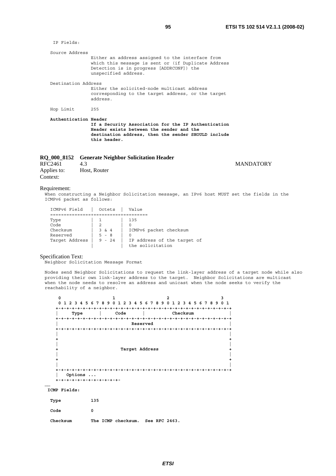IP Fields: Source Address Either an address assigned to the interface from which this message is sent or (if Duplicate Address Detection is in progress [ADDRCONF]) the unspecified address. Destination Address Either the solicited-node multicast address corresponding to the target address, or the target address. Hop Limit 255  **Authentication Header If a Security Association for the IP Authentication Header exists between the sender and the destination address, then the sender SHOULD include this header.**

# **RQ\_000\_8152 Generate Neighbor Solicitation Header**

| RFC2461     | 4.3          |
|-------------|--------------|
| Applies to: | Host, Router |
| Context:    |              |

#### Requirement:

When constructing a Neighbor Solicitation message, an IPv6 host MUST set the fields in the ICMPv6 packet as follows:

| ICMPv6 Field   | Octets   | Value                                           |
|----------------|----------|-------------------------------------------------|
|                |          |                                                 |
| Type           |          | 135                                             |
| Code           |          |                                                 |
| Checksum       | 3 & 4    | ICMPv6 packet checksum                          |
| Reserved       | $5 - 8$  |                                                 |
| Target Address | $9 - 24$ | IP address of the target of<br>the solicitation |

#### Specification Text:

Neighbor Solicitation Message Format

Nodes send Neighbor Solicitations to request the link-layer address of a target node while also providing their own link-layer address to the target. Neighbor Solicitations are multicast when the node needs to resolve an address and unicast when the node seeks to verify the reachability of a neighbor.

| $\mathbf 0$  | 1                  | $\overline{2}$              | 3               |
|--------------|--------------------|-----------------------------|-----------------|
| $\Omega$     | 1 2 3 4 5 6 7 8 9  | 0 1 2 3 4 5 6 7 8 9 0 1 2 3 | 4 5 6 7 8 9 0 1 |
|              |                    |                             |                 |
| Type         | Code               |                             | Checksum        |
|              |                    |                             |                 |
|              |                    | Reserved                    |                 |
|              |                    |                             |                 |
|              |                    |                             |                 |
|              |                    |                             |                 |
|              |                    |                             |                 |
|              |                    | Target Address              |                 |
|              |                    |                             |                 |
|              |                    |                             |                 |
|              |                    |                             |                 |
|              |                    |                             |                 |
| Options      |                    |                             |                 |
|              |                    |                             |                 |
|              |                    |                             |                 |
| ICMP Fields: |                    |                             |                 |
| Type         | 135                |                             |                 |
|              |                    |                             |                 |
| Code         | 0                  |                             |                 |
| Checksum     | The ICMP checksum. | See RFC 2463.               |                 |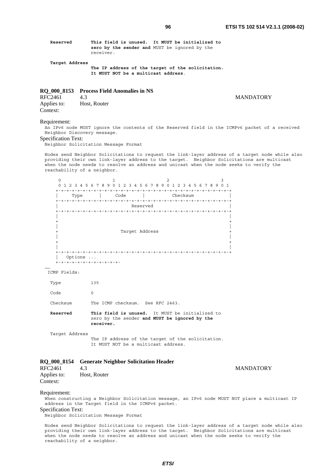| Reserved |           | This field is unused. | It MUST be initialized to                     |
|----------|-----------|-----------------------|-----------------------------------------------|
|          |           |                       | zero by the sender and MUST be ignored by the |
|          | receiver. |                       |                                               |

 **Target Address** 

 **The IP address of the target of the solicitation. It MUST NOT be a multicast address**.

# **RQ\_000\_8153 Process Field Anomalies in NS**

| RFC2461     | 43           |
|-------------|--------------|
| Applies to: | Host, Router |
| Context:    |              |

#### Requirement:

An IPv6 node MUST ignore the contents of the Reserved field in the ICMPv6 packet of a received Neighbor Discovery message.

#### Specification Text:

Neighbor Solicitation Message Format

Nodes send Neighbor Solicitations to request the link-layer address of a target node while also providing their own link-layer address to the target. Neighbor Solicitations are multicast when the node needs to resolve an address and unicast when the node seeks to verify the reachability of a neighbor.



#### ICMP Fields:

| Type           | 135                                                                                                           |
|----------------|---------------------------------------------------------------------------------------------------------------|
| Code           | $\Omega$                                                                                                      |
| Checksum       | The ICMP checksum. See RFC 2463.                                                                              |
| Reserved       | This field is unused. It MUST be initialized to<br>zero by the sender and MUST be ignored by the<br>receiver. |
| Target Address |                                                                                                               |

 The IP address of the target of the solicitation. It MUST NOT be a multicast address.

# **RQ\_000\_8154 Generate Neighbor Solicitation Header**

RFC2461 4.3<br>Applies to: Host. Router Research Applies to: Host. Router Host, Router Context:

Requirement:

When constructing a Neighbor Solicitation message, an IPv6 node MUST NOT place a multicast IP address in the Target field in the ICMPv6 packet.

Specification Text:

Neighbor Solicitation Message Format

Nodes send Neighbor Solicitations to request the link-layer address of a target node while also providing their own link-layer address to the target. Neighbor Solicitations are multicast when the node needs to resolve an address and unicast when the node seeks to verify the reachability of a neighbor.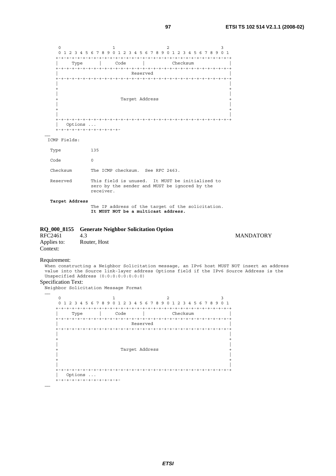

# **RQ\_000\_8155 Generate Neighbor Solicitation Option**  4.3 MANDATORY Applies to: Router, Host

Requirement:

Context:

……

When constructing a Neighbor Solicitation message, an IPv6 host MUST NOT insert an address value into the Source link-layer address Options field if the IPv6 Source Address is the Unspecified Address (0:0:0:0:0:0:0:0)

# Specification Text:

.<br>Neighbor Solicitation Message Format

……  $0$  and  $1$  and  $2$  3 0 1 2 3 4 5 6 7 8 9 0 1 2 3 4 5 6 7 8 9 0 1 2 3 4 5 6 7 8 9 0 1 +-+-+-+-+-+-+-+-+-+-+-+-+-+-+-+-+-+-+-+-+-+-+-+-+-+-+-+-+-+-+-+-+ | Type | Code | Checksum | +-+-+-+-+-+-+-+-+-+-+-+-+-+-+-+-+-+-+-+-+-+-+-+-+-+-+-+-+-+-+-+-+ | Reserved | +-+-+-+-+-+-+-+-+-+-+-+-+-+-+-+-+-+-+-+-+-+-+-+-+-+-+-+-+-+-+-+-+ | | + + | | Target Address | | + + | | +-+-+-+-+-+-+-+-+-+-+-+-+-+-+-+-+-+-+-+-+-+-+-+-+-+-+-+-+-+-+-+-+ | Options ... +-+-+-+-+-+-+-+-+-+-+-+-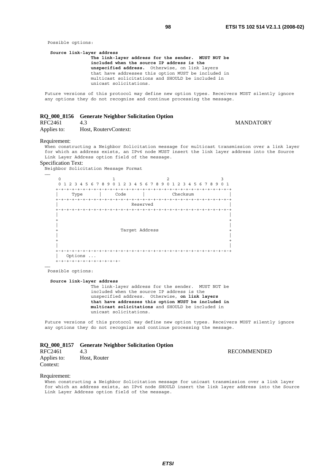Possible options:

```
 Source link-layer address 
            The link-layer address for the sender. MUST NOT be 
            included when the source IP address is the 
            unspecified address. Otherwise, on link layers 
            that have addresses this option MUST be included in 
            multicast solicitations and SHOULD be included in 
            unicast solicitations.
```
Future versions of this protocol may define new option types. Receivers MUST silently ignore any options they do not recognize and continue processing the message.

# **RQ\_000\_8156 Generate Neighbor Solicitation Option**  4.3 MANDATORY

Applies to: Host, RoutervContext:

#### Requirement:

When constructing a Neighbor Solicitation message for multicast transmission over a link layer for which an address exists, an IPv6 node MUST insert the link layer address into the Source Link Layer Address option field of the message.

# Specification Text:

Neighbor Solicitation Message Format



Possible options:

#### **Source link-layer address**

 The link-layer address for the sender. MUST NOT be included when the source IP address is the unspecified address. Otherwise, **on link layers that have addresses this option MUST be included in multicast solicitations** and SHOULD be included in unicast solicitations.

Future versions of this protocol may define new option types. Receivers MUST silently ignore any options they do not recognize and continue processing the message.

# **RQ\_000\_8157 Generate Neighbor Solicitation Option**

| RFC2461                 | 4.3          | RECOMMENDED |
|-------------------------|--------------|-------------|
| Applies to:<br>Context: | Host, Router |             |

#### Requirement:

When constructing a Neighbor Solicitation message for unicast transmission over a link layer for which an address exists, an IPv6 node SHOULD insert the link layer address into the Source Link Layer Address option field of the message.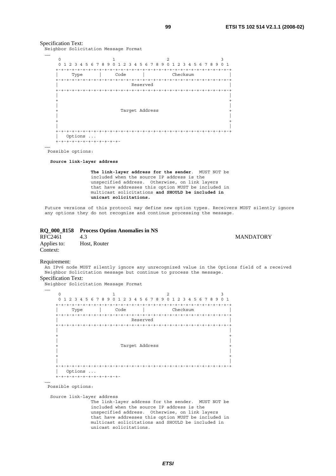#### Specification Text:

Neighbor Solicitation Message Format

| $\Omega$ |                 |        |                |            |      |    |   |      |               |   |   |                |           | $\mathfrak{D}$ |               |                         |          |  |  |             | 3              |
|----------|-----------------|--------|----------------|------------|------|----|---|------|---------------|---|---|----------------|-----------|----------------|---------------|-------------------------|----------|--|--|-------------|----------------|
| $\Omega$ |                 | 3<br>2 | $\overline{4}$ |            | 5678 | -9 | ∩ |      | $\mathcal{P}$ | 3 | 4 |                | 5 6 7 8 9 | <sup>n</sup>   | $\mathcal{L}$ | $\overline{\mathbf{3}}$ |          |  |  | 4 5 6 7 8 9 | 0 <sub>1</sub> |
|          |                 | Type   |                |            |      |    |   | Code |               |   |   |                |           |                |               |                         | Checksum |  |  |             |                |
|          |                 |        |                |            |      |    |   |      |               |   |   | Reserved       |           |                |               |                         |          |  |  |             |                |
|          | $+ - + - + - +$ |        |                |            |      |    |   |      |               |   |   |                |           |                |               |                         |          |  |  |             | +-+-+-+-+-+-   |
|          |                 |        |                |            |      |    |   |      |               |   |   |                |           |                |               |                         |          |  |  |             |                |
|          |                 |        |                |            |      |    |   |      |               |   |   |                |           |                |               |                         |          |  |  |             |                |
|          |                 |        |                |            |      |    |   |      |               |   |   |                |           |                |               |                         |          |  |  |             |                |
|          |                 |        |                |            |      |    |   |      |               |   |   | Target Address |           |                |               |                         |          |  |  |             |                |
|          |                 |        |                |            |      |    |   |      |               |   |   |                |           |                |               |                         |          |  |  |             |                |
|          |                 |        |                |            |      |    |   |      |               |   |   |                |           |                |               |                         |          |  |  |             |                |
|          |                 |        |                |            |      |    |   |      |               |   |   |                |           |                |               |                         |          |  |  |             |                |
|          |                 |        |                |            |      |    |   |      |               |   |   |                |           |                |               |                         |          |  |  |             |                |
|          |                 |        |                |            |      |    |   |      |               |   |   |                |           |                |               |                         |          |  |  |             |                |
|          |                 |        |                |            |      |    |   |      |               |   |   |                |           |                |               |                         |          |  |  |             |                |
|          |                 |        | Options        | $\ddots$ . |      |    |   |      |               |   |   |                |           |                |               |                         |          |  |  |             |                |

Possible options:

……

 **Source link-layer address** 

 **The link-layer address for the sender**. MUST NOT be included when the source IP address is the unspecified address. Otherwise, on link layers that have addresses this option MUST be included in multicast solicitations **and SHOULD be included in unicast solicitations.**

Future versions of this protocol may define new option types. Receivers MUST silently ignore any options they do not recognize and continue processing the message.

|             | RQ 000 8158 Process Option Anomalies in NS |
|-------------|--------------------------------------------|
| RFC2461     | 43.                                        |
| Applies to: | Host, Router                               |
| Context:    |                                            |

#### Requirement:

An IPv6 node MUST silently ignore any unrecognized value in the Options field of a received Neighbor Solicitation message but continue to process the message.

Specification Text:

Neighbor Solicitation Message Format

| $\Omega$                             |                                              | $\overline{a}$                | 3                                                  |
|--------------------------------------|----------------------------------------------|-------------------------------|----------------------------------------------------|
| $\Omega$<br>$\overline{4}$<br>2<br>٦ | 5 6 7 8<br>9<br>∩<br>4<br>$\mathcal{P}$<br>3 | 78<br>6<br>5<br>9<br>$\Omega$ | 5 6 7 8 9<br>0 <sub>1</sub><br>2 <sup>3</sup><br>4 |
|                                      |                                              |                               |                                                    |
| Type                                 | Code                                         |                               | Checksum                                           |
|                                      |                                              |                               |                                                    |
|                                      |                                              | Reserved                      |                                                    |
|                                      |                                              |                               |                                                    |
|                                      |                                              |                               |                                                    |
|                                      |                                              |                               |                                                    |
|                                      |                                              |                               |                                                    |
|                                      |                                              |                               |                                                    |
|                                      |                                              |                               |                                                    |
|                                      |                                              |                               |                                                    |
|                                      |                                              | Target Address                |                                                    |
|                                      |                                              |                               |                                                    |
|                                      |                                              |                               |                                                    |
|                                      |                                              |                               |                                                    |
| $+ - +$                              |                                              |                               |                                                    |
| Options                              | $\cdot$ .                                    |                               |                                                    |

#### Possible options:

……

Source link-layer address

 The link-layer address for the sender. MUST NOT be included when the source IP address is the unspecified address. Otherwise, on link layers that have addresses this option MUST be included in multicast solicitations and SHOULD be included in unicast solicitations.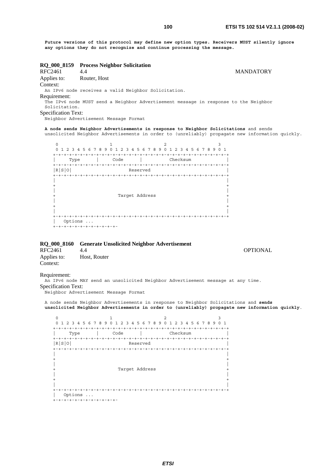**Future versions of this protocol may define new option types. Receivers MUST silently ignore any options they do not recognize and continue processing the message.**

**RQ\_000\_8159 Process Neighbor Solicitation MANDATORY** Applies to: Router, Host Context: An IPv6 node receives a valid Neighbor Solicitation. Requirement: The IPv6 node MUST send a Neighbor Advertisement message in response to the Neighbor Solicitation. Specification Text: Neighbor Advertisement Message Format **A node sends Neighbor Advertisements in response to Neighbor Solicitations** and sends unsolicited Neighbor Advertisements in order to (unreliably) propagate new information quickly. 0  $1$  2 3 0 1 2 3 4 5 6 7 8 9 0 1 2 3 4 5 6 7 8 9 0 1 2 3 4 5 6 7 8 9 0 1 +-+-+-+-+-+-+-+-+-+-+-+-+-+-+-+-+-+-+-+-+-+-+-+-+-+-+-+-+-+-+-+-+ Type | Code | Checksum +-+-+-+-+-+-+-+-+-+-+-+-+-+-+-+-+-+-+-+-+-+-+-+-+-+-+-+-+-+-+-+-+ Reserved +-+-+-+-+-+-+-+-+-+-+-+-+-+-+-+-+-+-+-+-+-+-+-+-+-+-+-+-+-+-+-+-+ | | + + | | Target Address | | + + | | +-+-+-+-+-+-+-+-+-+-+-+-+-+-+-+-+-+-+-+-+-+-+-+-+-+-+-+-+-+-+-+-+ | Options ... +-+-+-+-+-+-+-+-+-+-+-+- **RQ\_000\_8160 Generate Unsolicited Neighbor Advertisement**  RFC2461 4.4 OPTIONAL Applies to: Host, Router Context: Requirement: An IPv6 node MAY send an unsolicited Neighbor Advertisement message at any time. Specification Text: Neighbor Advertisement Message Format A node sends Neighbor Advertisements in response to Neighbor Solicitations and **sends unsolicited Neighbor Advertisements in order to (unreliably) propagate new information quickly**. 0  $1$  2 3 0 1 2 3 4 5 6 7 8 9 0 1 2 3 4 5 6 7 8 9 0 1 2 3 4 5 6 7 8 9 0 1 +-+-+-+-+-+-+-+-+-+-+-+-+-+-+-+-+-+-+-+-+-+-+-+-+-+-+-+-+-+-+-+-+ | Type | Code | Checksum | +-+-+-+-+-+-+-+-+-+-+-+-+-+-+-+-+-+-+-+-+-+-+-+-+-+-+-+-+-+-+-+-+ |R|S|O| Reserved | +-+-+-+-+-+-+-+-+-+-+-+-+-+-+-+-+-+-+-+-+-+-+-+-+-+-+-+-+-+-+-+-+ | | + + | | Target Address | | + + | | +-+-+-+-+-+-+-+-+-+-+-+-+-+-+-+-+-+-+-+-+-+-+-+-+-+-+-+-+-+-+-+-+ | Options ... +-+-+-+-+-+-+-+-+-+-+-+-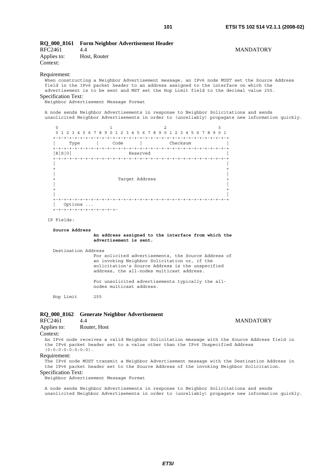|         | RQ_000_8161 Form Neighbor Advertisement Header |                  |
|---------|------------------------------------------------|------------------|
| RFC2461 |                                                | <b>MANDATORY</b> |

| RFC2461     | 4.4          |
|-------------|--------------|
| Applies to: | Host, Router |
| Context:    |              |

### Requirement:

When constructing a Neighbor Advertisement message, an IPv6 node MUST set the Source Address field in the IPv6 packet header to an address assigned to the interface on which the advertisement is to be sent and MST set the Hop Limit field to the decimal value 255. Specification Text:

.<br>Neighbor Advertisement Message Format

A node sends Neighbor Advertisements in response to Neighbor Solicitations and sends unsolicited Neighbor Advertisements in order to (unreliably) propagate new information quickly.



#### IP Fields:

#### **Source Address**

#### **An address assigned to the interface from which the advertisement is sent.**

Destination Address

 For solicited advertisements, the Source Address of an invoking Neighbor Solicitation or, if the solicitation's Source Address is the unspecified address, the all-nodes multicast address.

 For unsolicited advertisements typically the all nodes multicast address.

Hop Limit 255

# **RQ\_000\_8162 Generate Neighbor Advertisement**  RFC2461 4.4 MANDATORY Applies to: Router, Host Context: An IPv6 node receives a valid Neighbor Solicitation message with the Source Address field in

the IPv6 packet header set to a value other than the IPv6 Unspecified Address (0:0:0:0:0:0:0:0).

# Requirement:

The IPv6 node MUST transmit a Neighbor Advertisement message with the Destination Address in the IPv6 packet header set to the Source Address of the invoking Neighbor Solicitation.

#### Specification Text:

Neighbor Advertisement Message Format

A node sends Neighbor Advertisements in response to Neighbor Solicitations and sends unsolicited Neighbor Advertisements in order to (unreliably) propagate new information quickly.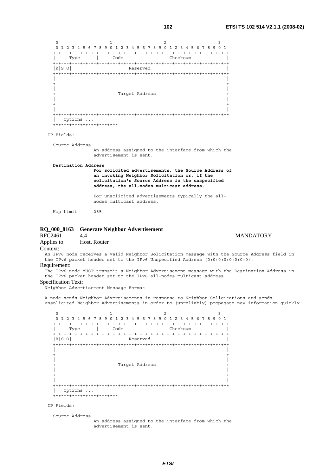|          |                                   |              |                                             | 1 V 4                                                                                                                                                                                                                                                     | <b>EIGI IG IVE JIT VE.I.I (ZUVO</b>                                                                                                                                                          |  |
|----------|-----------------------------------|--------------|---------------------------------------------|-----------------------------------------------------------------------------------------------------------------------------------------------------------------------------------------------------------------------------------------------------------|----------------------------------------------------------------------------------------------------------------------------------------------------------------------------------------------|--|
|          | $\circ$                           |              | 1                                           | 2<br>0 1 2 3 4 5 6 7 8 9 0 1 2 3 4 5 6 7 8 9 0 1 2 3 4 5 6 7 8 9 0 1                                                                                                                                                                                      | 3                                                                                                                                                                                            |  |
|          |                                   |              |                                             | Type   Code   Checksum                                                                                                                                                                                                                                    |                                                                                                                                                                                              |  |
|          | R S 0                             |              | Reserved                                    |                                                                                                                                                                                                                                                           |                                                                                                                                                                                              |  |
|          | $\ddot{}$                         |              | Target Address                              |                                                                                                                                                                                                                                                           |                                                                                                                                                                                              |  |
|          |                                   | Options      |                                             |                                                                                                                                                                                                                                                           |                                                                                                                                                                                              |  |
|          | +-+-+-+-+-+-+-+-+-+-+-+           |              |                                             |                                                                                                                                                                                                                                                           |                                                                                                                                                                                              |  |
|          | IP Fields:                        |              |                                             |                                                                                                                                                                                                                                                           |                                                                                                                                                                                              |  |
|          | Source Address                    |              | advertisement is sent.                      | An address assigned to the interface from which the                                                                                                                                                                                                       |                                                                                                                                                                                              |  |
|          | Destination Address               |              | nodes multicast address.                    | For solicited advertisements, the Source Address of<br>an invoking Neighbor Solicitation or, if the<br>solicitation's Source Address is the unspecified<br>address, the all-nodes multicast address.<br>For unsolicited advertisements typically the all- |                                                                                                                                                                                              |  |
|          | Hop Limit 255                     |              |                                             |                                                                                                                                                                                                                                                           |                                                                                                                                                                                              |  |
| :FC2461  |                                   | 4.4          | 2Q_000_8163 Generate Neighbor Advertisement |                                                                                                                                                                                                                                                           | <b>MANDATORY</b>                                                                                                                                                                             |  |
|          | pplies to:                        | Host, Router |                                             |                                                                                                                                                                                                                                                           |                                                                                                                                                                                              |  |
| `ontext: | equirement:<br>pecification Text: |              | Neighbor Advertisement Message Format       | the IPv6 packet header set to the IPv6 Unspecified Address (0:0:0:0:0:0:0:0).<br>the IPv6 packet header set to the IPv6 all-nodes multicast address.                                                                                                      | An IPv6 node receives a valid Neighbor Solicitation message with the Source Address field in<br>The IPv6 node MUST transmit a Neighbor Advertisement message with the Destination Address in |  |
|          |                                   |              |                                             |                                                                                                                                                                                                                                                           | A node sends Neighbor Advertisements in response to Neighbor Solicitations and sends<br>unsolicited Neighbor Advertisements in order to (unreliably) propagate new information quick.        |  |
|          | 0                                 |              | 1                                           | 2<br>0 1 2 3 4 5 6 7 8 9 0 1 2 3 4 5 6 7 8 9 0 1 2 3 4 5 6 7 8 9 0 1                                                                                                                                                                                      |                                                                                                                                                                                              |  |
|          | Type<br>R[S 0]                    |              | Code<br>Reserved                            | Checksum                                                                                                                                                                                                                                                  |                                                                                                                                                                                              |  |
|          |                                   |              | Target Address                              |                                                                                                                                                                                                                                                           |                                                                                                                                                                                              |  |

Requi<br>The

# Specification Nei

IP Fields:

Source Address

| Options ...

+-+-+-+-+-+-+-+-+-+-+-+-

 An address assigned to the interface from which the advertisement is sent.

 | | +-+-+-+-+-+-+-+-+-+-+-+-+-+-+-+-+-+-+-+-+-+-+-+-+-+-+-+-+-+-+-+-+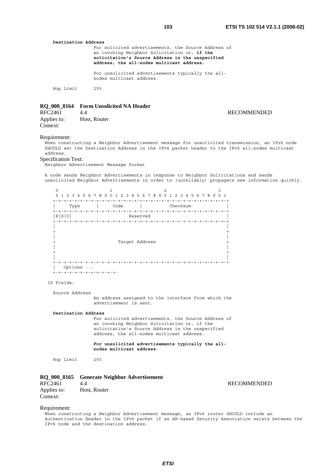| Destination Address |                                                                                                                                                                                                      |
|---------------------|------------------------------------------------------------------------------------------------------------------------------------------------------------------------------------------------------|
|                     | For solicited advertisements, the Source Address of<br>an invoking Neighbor Solicitation or, if the<br>solicitation's Source Address is the unspecified<br>address, the all-nodes multicast address. |
|                     | For unsolicited advertisements typically the all-<br>nodes multicast address.                                                                                                                        |
| Hop Limit           | 255                                                                                                                                                                                                  |

#### **RQ\_000\_8164 Form Unsolicited NA Header**

| RFC2461     | 4.4          |
|-------------|--------------|
| Applies to: | Host, Router |
| Context:    |              |

#### Requirement:

When constructing a Neighbor Advertisement message for unsolicited transmission, an IPv6 node SHOULD set the Destination Address in the IPv6 packet header to the IPv6 all-nodes multicast address.

#### Specification Text:

Neighbor Advertisement Message Format

A node sends Neighbor Advertisements in response to Neighbor Solicitations and sends unsolicited Neighbor Advertisements in order to (unreliably) propagate new information quickly.

| $+$<br>Type       | Code           | Checksum                |  |
|-------------------|----------------|-------------------------|--|
| +-+-+-+-<br>R S 0 |                | $- + - + -$<br>Reserved |  |
|                   | Target Address |                         |  |
| Options           |                |                         |  |

#### IP Fields:

Source Address

 An address assigned to the interface from which the advertisement is sent.

#### **Destination Address**

 For solicited advertisements, the Source Address of an invoking Neighbor Solicitation or, if the solicitation's Source Address is the unspecified address, the all-nodes multicast address.

 **For unsolicited advertisements typically the all nodes multicast address**.

Hop Limit 255

# **RQ\_000\_8165 Generate Neighbor Advertisement**  RFC2461 4.4 RECOMMENDED

Applies to: Host, Router Context:

#### Requirement:

When constructing a Neighbor Advertisement message, an IPv6 router SHOULD include an Authentication Header in the IPv6 packet if an AH-based Security Association exists between the IPv6 node and the destination address.

#### **RECOMMENDED**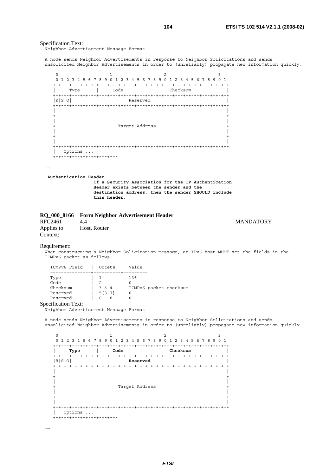# Specification Text:

Neighbor Advertisement Message Format

A node sends Neighbor Advertisements in response to Neighbor Solicitations and sends unsolicited Neighbor Advertisements in order to (unreliably) propagate new information quickly.



#### **Authentication Header**

 **If a Security Association for the IP Authentication Header exists between the sender and the destination address, then the sender SHOULD include this header**.

# **RQ\_000\_8166 Form Neighbor Advertisement Header**

Applies to: Host, Router Context:

# 4.4 MANDATORY

#### Requirement:

……

When constructing a Neighbor Solicitation message, an IPv6 host MUST set the fields in the ICMPv6 packet as follows:

| ICMPv6 Field         | Octets   | Value                  |
|----------------------|----------|------------------------|
|                      |          |                        |
| Type                 |          | 136                    |
| Code                 |          |                        |
| Checksum             | 3 & 4    | ICMPv6 packet checksum |
| Reserved             | $5[3-7]$ |                        |
| Reserved             | $6 - 8$  |                        |
| $\sim$ $\sim$ $\sim$ |          |                        |

#### Specification Text:

Neighbor Advertisement Message Format

A node sends Neighbor Advertisements in response to Neighbor Solicitations and sends unsolicited Neighbor Advertisements in order to (unreliably) propagate new information quickly.

| Type<br>$+$     | Code           | Checksum |  |
|-----------------|----------------|----------|--|
| R S 0           | Reserved       |          |  |
| $+ - + - + - +$ |                |          |  |
|                 |                |          |  |
|                 |                |          |  |
|                 |                |          |  |
|                 | Target Address |          |  |
|                 |                |          |  |
|                 |                |          |  |

……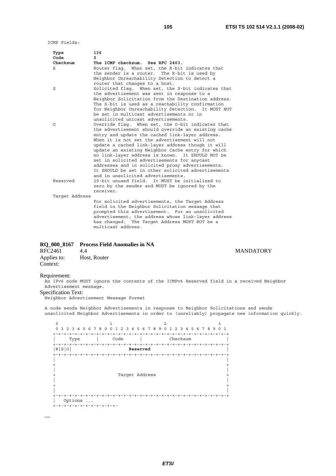ICMP Fields:

| Type<br>Code   | 136<br><sup>n</sup>                                 |
|----------------|-----------------------------------------------------|
| Checksum       | The ICMP checksum. See RFC 2463.                    |
| R              | Router flag. When set, the R-bit indicates that     |
|                | the sender is a router.<br>The R-bit is used by     |
|                | Neighbor Unreachability Detection to detect a       |
|                | router that changes to a host.                      |
| S              | Solicited flag. When set, the S-bit indicates that  |
|                | the advertisement was sent in response to a         |
|                | Neighbor Solicitation from the Destination address. |
|                | The S-bit is used as a reachability confirmation    |
|                | for Neighbor Unreachability Detection. It MUST NOT  |
|                | be set in multicast advertisements or in            |
|                | unsolicited unicast advertisements.                 |
| O              | Override flag. When set, the O-bit indicates that   |
|                | the advertisement should override an existing cache |
|                | entry and update the cached link-layer address.     |
|                | When it is not set the advertisement will not       |
|                | update a cached link-layer address though it will   |
|                | update an existing Neighbor Cache entry for which   |
|                | no link-layer address is known. It SHOULD NOT be    |
|                | set in solicited advertisements for anycast         |
|                | addresses and in solicited proxy advertisements.    |
|                | It SHOULD be set in other solicited advertisements  |
|                | and in unsolicited advertisements.                  |
| Reserved       | 29-bit unused field. It MUST be initialized to      |
|                | zero by the sender and MUST be ignored by the       |
|                | receiver.                                           |
| Target Address |                                                     |
|                | For solicited advertisements, the Target Address    |
|                | field in the Neighbor Solicitation message that     |
|                | prompted this advertisement. For an unsolicited     |
|                | advertisement, the address whose link-layer address |
|                | has changed. The Target Address MUST NOT be a       |
|                | multicast address.                                  |

# **RQ\_000\_8167 Process Field Anomalies in NA**

| RFC2461     | 4.4          |
|-------------|--------------|
| Applies to: | Host, Router |
| Context:    |              |

# Requirement:

……

An IPv6 node MUST ignore the contents of the ICMPv6 Reserved field in a received Neighbor Advertisement message.

# Specification Text:

Neighbor Advertisement Message Format

A node sends Neighbor Advertisements in response to Neighbor Solicitations and sends unsolicited Neighbor Advertisements in order to (unreliably) propagate new information quickly.

0  $1$  2 3 0 1 2 3 4 5 6 7 8 9 0 1 2 3 4 5 6 7 8 9 0 1 2 3 4 5 6 7 8 9 0 1 +-+-+-+-+-+-+-+-+-+-+-+-+-+-+-+-+-+-+-+-+-+-+-+-+-+-+-+-+-+-+-+-+ | Type | Code | Checksum | +-+-+-+-+-+-+-+-+-+-+-+-+-+-+-+-+-+-+-+-+-+-+-+-+-+-+-+-+-+-+-+-+ |R|S|O| **Reserved** | +-+-+-+-+-+-+-+-+-+-+-+-+-+-+-+-+-+-+-+-+-+-+-+-+-+-+-+-+-+-+-+-+ | | + + | | +<br>+<br>+ Target Address +<br>+ Target Address + | | + + | | +-+-+-+-+-+-+-+-+-+-+-+-+-+-+-+-+-+-+-+-+-+-+-+-+-+-+-+-+-+-+-+-+ | Options ... +-+-+-+-+-+-+-+-+-+-+-+-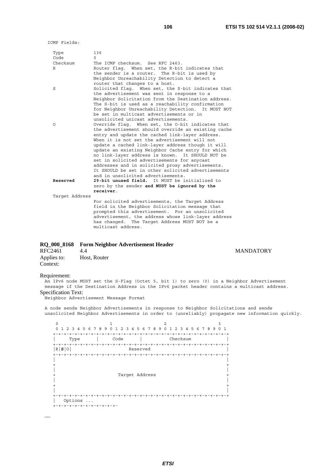ICMP Fields:

| Type           | 136                                                 |
|----------------|-----------------------------------------------------|
| Code           | $\Omega$                                            |
| Checksum       | The ICMP checksum. See RFC 2463.                    |
| R              | Router flaq. When set, the R-bit indicates that     |
|                |                                                     |
|                | the sender is a router. The R-bit is used by        |
|                | Neighbor Unreachability Detection to detect a       |
|                | router that changes to a host.                      |
| S              | Solicited flag. When set, the S-bit indicates that  |
|                | the advertisement was sent in response to a         |
|                | Neighbor Solicitation from the Destination address. |
|                | The S-bit is used as a reachability confirmation    |
|                | for Neighbor Unreachability Detection. It MUST NOT  |
|                | be set in multicast advertisements or in            |
|                | unsolicited unicast advertisements.                 |
| O              | Override flag. When set, the O-bit indicates that   |
|                | the advertisement should override an existing cache |
|                |                                                     |
|                | entry and update the cached link-layer address.     |
|                | When it is not set the advertisement will not       |
|                | update a cached link-layer address though it will   |
|                | update an existing Neighbor Cache entry for which   |
|                | no link-layer address is known. It SHOULD NOT be    |
|                | set in solicited advertisements for anycast         |
|                | addresses and in solicited proxy advertisements.    |
|                | It SHOULD be set in other solicited advertisements  |
|                | and in unsolicited advertisements.                  |
| Reserved       | 29-bit unused field. It MUST be initialized to      |
|                | zero by the sender and MUST be ignored by the       |
|                | receiver.                                           |
| Target Address |                                                     |
|                | For solicited advertisements, the Target Address    |
|                | field in the Neighbor Solicitation message that     |
|                | prompted this advertisement. For an unsolicited     |
|                |                                                     |
|                | advertisement, the address whose link-layer address |
|                | has changed. The Target Address MUST NOT be a       |
|                | multicast address.                                  |

# **RQ\_000\_8168 Form Neighbor Advertisement Header**

Applies to: Host, Router Context:

#### Requirement:

……

An IPv6 node MUST set the S-Flag (Octet 5, bit 1) to zero (0) in a Neighbor Advertisement message if the Destination Address in the IPv6 packet header contains a multicast address. Specification Text:

Neighbor Advertisement Message Format

A node sends Neighbor Advertisements in response to Neighbor Solicitations and sends unsolicited Neighbor Advertisements in order to (unreliably) propagate new information quickly.

0  $1$  2 3 0 1 2 3 4 5 6 7 8 9 0 1 2 3 4 5 6 7 8 9 0 1 2 3 4 5 6 7 8 9 0 1 +-+-+-+-+-+-+-+-+-+-+-+-+-+-+-+-+-+-+-+-+-+-+-+-+-+-+-+-+-+-+-+-+ | Type | Code | Checksum | +-+-+-+-+-+-+-+-+-+-+-+-+-+-+-+-+-+-+-+-+-+-+-+-+-+-+-+-+-+-+-+-+  $Reserved$  +-+-+-+-+-+-+-+-+-+-+-+-+-+-+-+-+-+-+-+-+-+-+-+-+-+-+-+-+-+-+-+-+ | | + + | | + Target Address + | | + + | | +-+-+-+-+-+-+-+-+-+-+-+-+-+-+-+-+-+-+-+-+-+-+-+-+-+-+-+-+-+-+-+-+ | Options ... +-+-+-+-+-+-+-+-+-+-+-+-

*ETSI*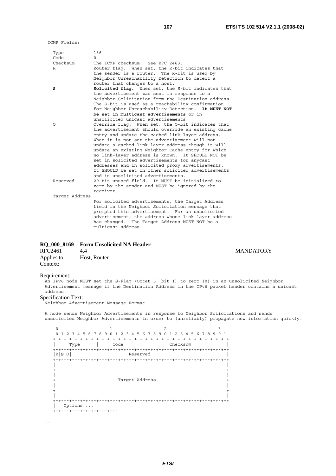ICMP Fields:

| Type<br>Code   | 136<br>$\Omega$                                                                                  |
|----------------|--------------------------------------------------------------------------------------------------|
| Checksum       | The ICMP checksum. See RFC 2463.                                                                 |
| R              | Router flag. When set, the R-bit indicates that                                                  |
|                | the sender is a router. The R-bit is used by                                                     |
|                | Neighbor Unreachability Detection to detect a<br>router that changes to a host.                  |
| s              | Solicited flag. When set, the S-bit indicates that                                               |
|                | the advertisement was sent in response to a                                                      |
|                | Neighbor Solicitation from the Destination address.                                              |
|                | The S-bit is used as a reachability confirmation                                                 |
|                | for Neighbor Unreachability Detection. It MUST NOT                                               |
|                | be set in multicast advertisements or in                                                         |
|                | unsolicited unicast advertisements.                                                              |
| O              | Override flag. When set, the O-bit indicates that                                                |
|                | the advertisement should override an existing cache                                              |
|                | entry and update the cached link-layer address.<br>When it is not set the advertisement will not |
|                | update a cached link-layer address though it will                                                |
|                | update an existing Neighbor Cache entry for which                                                |
|                | no link-layer address is known. It SHOULD NOT be                                                 |
|                | set in solicited advertisements for anycast                                                      |
|                | addresses and in solicited proxy advertisements.                                                 |
|                | It SHOULD be set in other solicited advertisements                                               |
|                | and in unsolicited advertisements.                                                               |
| Reserved       | 29-bit unused field. It MUST be initialized to                                                   |
|                | zero by the sender and MUST be ignored by the<br>receiver.                                       |
| Target Address |                                                                                                  |
|                | For solicited advertisements, the Target Address                                                 |
|                | field in the Neighbor Solicitation message that                                                  |
|                | prompted this advertisement. For an unsolicited                                                  |
|                | advertisement, the address whose link-layer address                                              |
|                | has changed. The Target Address MUST NOT be a                                                    |
|                | multicast address.                                                                               |

# **RQ\_000\_8169 Form Unsolicited NA Header**

| RFC2461     | 4.4          |
|-------------|--------------|
| Applies to: | Host, Router |
| Context:    |              |

#### Requirement:

……

An IPv6 node MUST set the S-Flag (Octet 5, bit 1) to zero (0) in an unsolicited Neighbor Advertisement message if the Destination Address in the IPv6 packet header contains a unicast address.

### Specification Text:

Neighbor Advertisement Message Format

A node sends Neighbor Advertisements in response to Neighbor Solicitations and sends unsolicited Neighbor Advertisements in order to (unreliably) propagate new information quickly.

0  $1$  2 3 0 1 2 3 4 5 6 7 8 9 0 1 2 3 4 5 6 7 8 9 0 1 2 3 4 5 6 7 8 9 0 1 +-+-+-+-+-+-+-+-+-+-+-+-+-+-+-+-+-+-+-+-+-+-+-+-+-+-+-+-+-+-+-+-+ | Type | Code | Checksum | +-+-+-+-+-+-+-+-+-+-+-+-+-+-+-+-+-+-+-+-+-+-+-+-+-+-+-+-+-+-+-+-+  $Reserved$  +-+-+-+-+-+-+-+-+-+-+-+-+-+-+-+-+-+-+-+-+-+-+-+-+-+-+-+-+-+-+-+-+ | | + + | | Target Address | | + + | | +-+-+-+-+-+-+-+-+-+-+-+-+-+-+-+-+-+-+-+-+-+-+-+-+-+-+-+-+-+-+-+-+ | Options ... +-+-+-+-+-+-+-+-+-+-+-+-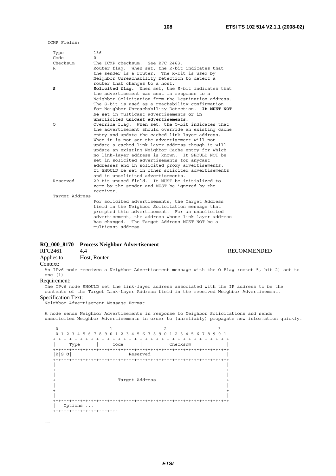**RECOMMENDED** 

ICMP Fields:

| Type<br>Code   | 136<br>$\Omega$                                                                                          |
|----------------|----------------------------------------------------------------------------------------------------------|
| Checksum<br>R  | The ICMP checksum. See RFC 2463.<br>Router flag. When set, the R-bit indicates that                      |
|                | the sender is a router. The R-bit is used by<br>Neighbor Unreachability Detection to detect a            |
| s              | router that changes to a host.<br>Solicited flag. When set, the S-bit indicates that                     |
|                | the advertisement was sent in response to a                                                              |
|                | Neighbor Solicitation from the Destination address.                                                      |
|                | The S-bit is used as a reachability confirmation                                                         |
|                | for Neighbor Unreachability Detection. It MUST NOT                                                       |
|                | be set in multicast advertisements or in                                                                 |
|                | unsolicited unicast advertisements.                                                                      |
| Ω              | Override flag. When set, the O-bit indicates that<br>the advertisement should override an existing cache |
|                | entry and update the cached link-layer address.                                                          |
|                | When it is not set the advertisement will not                                                            |
|                | update a cached link-layer address though it will                                                        |
|                | update an existing Neighbor Cache entry for which                                                        |
|                | no link-layer address is known. It SHOULD NOT be                                                         |
|                | set in solicited advertisements for anycast                                                              |
|                | addresses and in solicited proxy advertisements.                                                         |
|                | It SHOULD be set in other solicited advertisements                                                       |
|                | and in unsolicited advertisements.                                                                       |
| Reserved       | 29-bit unused field. It MUST be initialized to                                                           |
|                | zero by the sender and MUST be ignored by the<br>receiver.                                               |
| Target Address |                                                                                                          |
|                | For solicited advertisements, the Target Address                                                         |
|                | field in the Neighbor Solicitation message that                                                          |
|                | prompted this advertisement. For an unsolicited                                                          |
|                | advertisement, the address whose link-layer address                                                      |
|                | has changed. The Target Address MUST NOT be a                                                            |
|                | multicast address.                                                                                       |

# **RQ\_000\_8170 Process Neighbor Advertisement**

Applies to: Host, Router Context:

An IPv6 node receives a Neighbor Advertisement message with the O-Flag (octet 5, bit 2) set to one (1)

### Requirement:

……

The IPv6 node SHOULD set the link-layer address associated with the IP address to be the contents of the Target Link-Layer Address field in the received Neighbor Advertisement. Specification Text:

Neighbor Advertisement Message Format

A node sends Neighbor Advertisements in response to Neighbor Solicitations and sends unsolicited Neighbor Advertisements in order to (unreliably) propagate new information quickly.

0  $1$  2 3 0 1 2 3 4 5 6 7 8 9 0 1 2 3 4 5 6 7 8 9 0 1 2 3 4 5 6 7 8 9 0 1 +-+-+-+-+-+-+-+-+-+-+-+-+-+-+-+-+-+-+-+-+-+-+-+-+-+-+-+-+-+-+-+-+ | Type | Code | Checksum | +-+-+-+-+-+-+-+-+-+-+-+-+-+-+-+-+-+-+-+-+-+-+-+-+-+-+-+-+-+-+-+-+  $Reserved$  +-+-+-+-+-+-+-+-+-+-+-+-+-+-+-+-+-+-+-+-+-+-+-+-+-+-+-+-+-+-+-+-+ | | + + | | Target Address | | + + | | +-+-+-+-+-+-+-+-+-+-+-+-+-+-+-+-+-+-+-+-+-+-+-+-+-+-+-+-+-+-+-+-+ | Options ... +-+-+-+-+-+-+-+-+-+-+-+-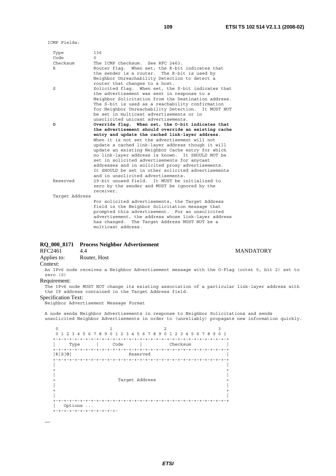ICMP Fields:

| Type<br>Code   | 136                                                 |
|----------------|-----------------------------------------------------|
|                | $\Omega$                                            |
| Checksum       | The ICMP checksum. See RFC 2463.                    |
| R              | Router flag. When set, the R-bit indicates that     |
|                | the sender is a router. The R-bit is used by        |
|                | Neighbor Unreachability Detection to detect a       |
|                | router that changes to a host.                      |
| S              | Solicited flag. When set, the S-bit indicates that  |
|                | the advertisement was sent in response to a         |
|                | Neighbor Solicitation from the Destination address. |
|                | The S-bit is used as a reachability confirmation    |
|                | for Neighbor Unreachability Detection. It MUST NOT  |
|                | be set in multicast advertisements or in            |
|                | unsolicited unicast advertisements.                 |
| o              | Override flag. When set, the O-bit indicates that   |
|                | the advertisement should override an existing cache |
|                | entry and update the cached link-layer address.     |
|                | When it is not set the advertisement will not       |
|                | update a cached link-layer address though it will   |
|                | update an existing Neighbor Cache entry for which   |
|                | no link-layer address is known. It SHOULD NOT be    |
|                | set in solicited advertisements for anycast         |
|                | addresses and in solicited proxy advertisements.    |
|                | It SHOULD be set in other solicited advertisements  |
|                | and in unsolicited advertisements.                  |
| Reserved       | 29-bit unused field. It MUST be initialized to      |
|                | zero by the sender and MUST be ignored by the       |
|                | receiver.                                           |
| Target Address |                                                     |
|                | For solicited advertisements, the Target Address    |
|                | field in the Neighbor Solicitation message that     |
|                | prompted this advertisement. For an unsolicited     |
|                | advertisement, the address whose link-layer address |
|                | has changed. The Target Address MUST NOT be a       |
|                | multicast address.                                  |

# **RQ\_000\_8171 Process Neighbor Advertisement**

Applies to: Router, Host Context:

An IPv6 node receives a Neighbor Advertisement message with the O-Flag (octet 5, bit 2) set to zero (0)

# Requirement:

……

The IPv6 node MUST NOT change its existing association of a particular link-layer address with the IP address contained in the Target Address field.

#### Specification Text:

Neighbor Advertisement Message Format

A node sends Neighbor Advertisements in response to Neighbor Solicitations and sends unsolicited Neighbor Advertisements in order to (unreliably) propagate new information quickly.

 $0$  1 2 3 0 1 2 3 4 5 6 7 8 9 0 1 2 3 4 5 6 7 8 9 0 1 2 3 4 5 6 7 8 9 0 1 +-+-+-+-+-+-+-+-+-+-+-+-+-+-+-+-+-+-+-+-+-+-+-+-+-+-+-+-+-+-+-+-+ | Type | Code | Checksum | +-+-+-+-+-+-+-+-+-+-+-+-+-+-+-+-+-+-+-+-+-+-+-+-+-+-+-+-+-+-+-+-+  $Reserved$  +-+-+-+-+-+-+-+-+-+-+-+-+-+-+-+-+-+-+-+-+-+-+-+-+-+-+-+-+-+-+-+-+ | | + + | | Target Address | | + + | | +-+-+-+-+-+-+-+-+-+-+-+-+-+-+-+-+-+-+-+-+-+-+-+-+-+-+-+-+-+-+-+-+ | Options ... +-+-+-+-+-+-+-+-+-+-+-+-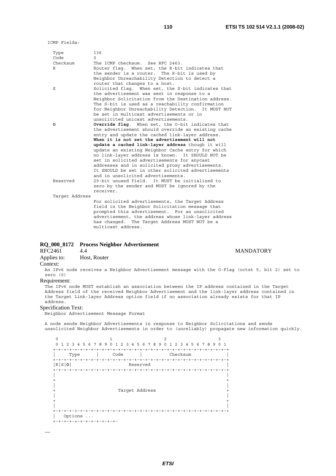ICMP Fields:

| Type<br>Code   | 136<br>$\cap$                                                                                     |
|----------------|---------------------------------------------------------------------------------------------------|
| Checksum       | The ICMP checksum. See RFC 2463.                                                                  |
| R              | Router flag. When set, the R-bit indicates that                                                   |
|                | the sender is a router. The R-bit is used by                                                      |
|                | Neighbor Unreachability Detection to detect a                                                     |
|                | router that changes to a host.                                                                    |
| S              |                                                                                                   |
|                | Solicited flag. When set, the S-bit indicates that<br>the advertisement was sent in response to a |
|                | Neighbor Solicitation from the Destination address.                                               |
|                | The S-bit is used as a reachability confirmation                                                  |
|                | for Neighbor Unreachability Detection. It MUST NOT                                                |
|                | be set in multicast advertisements or in                                                          |
|                | unsolicited unicast advertisements.                                                               |
| o              | <b>Override flag.</b> When set, the O-bit indicates that                                          |
|                | the advertisement should override an existing cache                                               |
|                | entry and update the cached link-layer address.                                                   |
|                | When it is not set the advertisement will not                                                     |
|                | update a cached link-layer address though it will                                                 |
|                | update an existing Neighbor Cache entry for which                                                 |
|                | no link-layer address is known. It SHOULD NOT be                                                  |
|                | set in solicited advertisements for anycast                                                       |
|                |                                                                                                   |
|                | addresses and in solicited proxy advertisements.                                                  |
|                | It SHOULD be set in other solicited advertisements                                                |
|                | and in unsolicited advertisements.                                                                |
| Reserved       | 29-bit unused field. It MUST be initialized to                                                    |
|                | zero by the sender and MUST be ignored by the                                                     |
|                | receiver.                                                                                         |
| Target Address |                                                                                                   |
|                | For solicited advertisements, the Target Address                                                  |
|                | field in the Neighbor Solicitation message that                                                   |
|                | prompted this advertisement. For an unsolicited                                                   |
|                | advertisement, the address whose link-layer address                                               |
|                | has changed. The Target Address MUST NOT be a                                                     |
|                | multicast address.                                                                                |
|                |                                                                                                   |

# **RQ\_000\_8172 Process Neighbor Advertisement**

Applies to: Host, Router

# Context:

An IPv6 node receives a Neighbor Advertisement message with the O-Flag (octet 5, bit 2) set to zero (0)

# Requirement:

The IPv6 node MUST establish an association between the IP address contained in the Target Address field of the received Neighbor Advertisement and the link-layer address contained in the Target Link-layer Address option field if no association already exists for that IP address.

#### Specification Text:

Neighbor Advertisement Message Format

A node sends Neighbor Advertisements in response to Neighbor Solicitations and sends unsolicited Neighbor Advertisements in order to (unreliably) propagate new information quickly.

0  $1$  2 3 0 1 2 3 4 5 6 7 8 9 0 1 2 3 4 5 6 7 8 9 0 1 2 3 4 5 6 7 8 9 0 1 +-+-+-+-+-+-+-+-+-+-+-+-+-+-+-+-+-+-+-+-+-+-+-+-+-+-+-+-+-+-+-+-+ | Type | Code | Checksum | +-+-+-+-+-+-+-+-+-+-+-+-+-+-+-+-+-+-+-+-+-+-+-+-+-+-+-+-+-+-+-+-+ |R|S|**O**| Reserved | +-+-+-+-+-+-+-+-+-+-+-+-+-+-+-+-+-+-+-+-+-+-+-+-+-+-+-+-+-+-+-+-+ | |  $+$  +  $+$  +  $+$  +  $+$  +  $+$  +  $+$  +  $+$  +  $+$  +  $+$  +  $+$  +  $+$  +  $+$  +  $+$  +  $+$  +  $+$  +  $+$  +  $+$  +  $+$  +  $+$  +  $+$  +  $+$  +  $+$  +  $+$  +  $+$  +  $+$  +  $+$  +  $+$  +  $+$  +  $+$  +  $+$  +  $+$  +  $+$  +  $+$  +  $+$  +  $+$  +  $+$  +  $+$  + | | + Target Address + | | + + | | +-+-+-+-+-+-+-+-+-+-+-+-+-+-+-+-+-+-+-+-+-+-+-+-+-+-+-+-+-+-+-+-+ | Options ... +-+-+-+-+-+-+-+-+-+-+-+-

……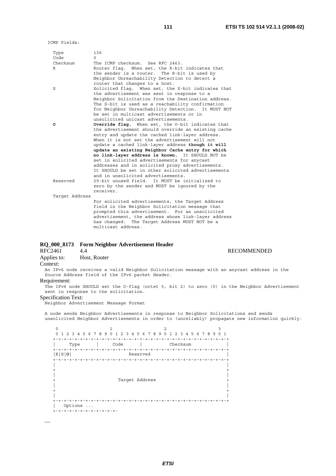| Type<br>Code   | 136<br>$\Omega$                                                                                   |
|----------------|---------------------------------------------------------------------------------------------------|
| Checksum       | The ICMP checksum. See RFC 2463.                                                                  |
| R              | Router flaq. When set, the R-bit indicates that                                                   |
|                | the sender is a router. The R-bit is used by                                                      |
|                |                                                                                                   |
|                | Neighbor Unreachability Detection to detect a                                                     |
|                | router that changes to a host.                                                                    |
| S              | Solicited flag. When set, the S-bit indicates that<br>the advertisement was sent in response to a |
|                | Neighbor Solicitation from the Destination address.                                               |
|                | The S-bit is used as a reachability confirmation                                                  |
|                | for Neighbor Unreachability Detection. It MUST NOT<br>be set in multicast advertisements or in    |
|                | unsolicited unicast advertisements.                                                               |
|                |                                                                                                   |
| ٥              | <b>Override flag.</b> When set, the O-bit indicates that                                          |
|                | the advertisement should override an existing cache                                               |
|                | entry and update the cached link-layer address.                                                   |
|                | When it is not set the advertisement will not                                                     |
|                | update a cached link-layer address though it will                                                 |
|                | update an existing Neighbor Cache entry for which                                                 |
|                | no link-layer address is known. It SHOULD NOT be                                                  |
|                | set in solicited advertisements for anycast                                                       |
|                | addresses and in solicited proxy advertisements.                                                  |
|                | It SHOULD be set in other solicited advertisements                                                |
|                | and in unsolicited advertisements.                                                                |
| Reserved       | 29-bit unused field. It MUST be initialized to                                                    |
|                | zero by the sender and MUST be ignored by the                                                     |
|                | receiver.                                                                                         |
| Target Address |                                                                                                   |
|                | For solicited advertisements, the Target Address                                                  |
|                |                                                                                                   |
|                | field in the Neighbor Solicitation message that                                                   |
|                | prompted this advertisement. For an unsolicited                                                   |
|                | advertisement, the address whose link-layer address                                               |
|                | has changed. The Target Address MUST NOT be a                                                     |
|                | multicast address.                                                                                |

# **RQ\_000\_8173 Form Neighbor Advertisement Header**

**RECOMMENDED** 

Applies to: Host, Router

# Context:

……

An IPv6 node receives a valid Neighbor Solicitation message with an anycast address in the Source Address field of the IPv6 packet Header.

# Requirement:

The IPv6 node SHOULD set the O-flag (octet 5, bit 2) to zero (0) in the Neighbor Advertisement sent in response to the solicitation.

# Specification Text:

Neighbor Advertisement Message Format

A node sends Neighbor Advertisements in response to Neighbor Solicitations and sends unsolicited Neighbor Advertisements in order to (unreliably) propagate new information quickly.

 $0$  1 2 3 0 1 2 3 4 5 6 7 8 9 0 1 2 3 4 5 6 7 8 9 0 1 2 3 4 5 6 7 8 9 0 1 +-+-+-+-+-+-+-+-+-+-+-+-+-+-+-+-+-+-+-+-+-+-+-+-+-+-+-+-+-+-+-+-+ | Type | Code | Checksum | +-+-+-+-+-+-+-+-+-+-+-+-+-+-+-+-+-+-+-+-+-+-+-+-+-+-+-+-+-+-+-+-+  $Reserved$  +-+-+-+-+-+-+-+-+-+-+-+-+-+-+-+-+-+-+-+-+-+-+-+-+-+-+-+-+-+-+-+-+ | | + + | | Target Address | | + + | | +-+-+-+-+-+-+-+-+-+-+-+-+-+-+-+-+-+-+-+-+-+-+-+-+-+-+-+-+-+-+-+-+ | Options ... +-+-+-+-+-+-+-+-+-+-+-+-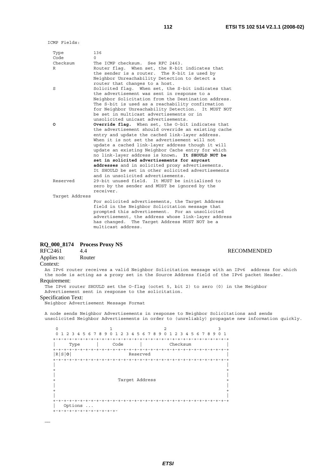**RECOMMENDED** 

ICMP Fields:

| Type<br>Code   | 136<br>0                                                                                                |
|----------------|---------------------------------------------------------------------------------------------------------|
| Checksum       | The ICMP checksum. See RFC 2463.                                                                        |
| R              | Router flag. When set, the R-bit indicates that                                                         |
|                | the sender is a router. The R-bit is used by                                                            |
|                | Neighbor Unreachability Detection to detect a                                                           |
|                | router that changes to a host.                                                                          |
| S              | Solicited flag. When set, the S-bit indicates that                                                      |
|                | the advertisement was sent in response to a                                                             |
|                | Neighbor Solicitation from the Destination address.<br>The S-bit is used as a reachability confirmation |
|                | for Neighbor Unreachability Detection. It MUST NOT                                                      |
|                | be set in multicast advertisements or in                                                                |
|                | unsolicited unicast advertisements.                                                                     |
| o              | <b>Override flag.</b> When set, the O-bit indicates that                                                |
|                | the advertisement should override an existing cache                                                     |
|                | entry and update the cached link-layer address.                                                         |
|                | When it is not set the advertisement will not                                                           |
|                | update a cached link-layer address though it will                                                       |
|                | update an existing Neighbor Cache entry for which                                                       |
|                | no link-layer address is known.<br>It SHOULD NOT be                                                     |
|                | set in solicited advertisements for anycast                                                             |
|                | addresses and in solicited proxy advertisements.                                                        |
|                | It SHOULD be set in other solicited advertisements<br>and in unsolicited advertisements.                |
| Reserved       | 29-bit unused field. It MUST be initialized to                                                          |
|                | zero by the sender and MUST be ignored by the                                                           |
|                | receiver.                                                                                               |
| Target Address |                                                                                                         |
|                | For solicited advertisements, the Target Address                                                        |
|                | field in the Neighbor Solicitation message that                                                         |
|                | prompted this advertisement. For an unsolicited                                                         |
|                | advertisement, the address whose link-layer address                                                     |
|                | has changed. The Target Address MUST NOT be a                                                           |
|                | multicast address.                                                                                      |

# **RQ\_000\_8174 Process Proxy NS**

Applies to: Router Context:

An IPv6 router receives a valid Neighbor Solicitation message with an IPv6 address for which the node is acting as a proxy set in the Source Address field of the IPv6 packet Header. Requirement:

The IPv6 router SHOULD set the O-flag (octet 5, bit 2) to zero (0) in the Neighbor Advertisement sent in response to the solicitation.

#### Specification Text:

……

Neighbor Advertisement Message Format

A node sends Neighbor Advertisements in response to Neighbor Solicitations and sends unsolicited Neighbor Advertisements in order to (unreliably) propagate new information quickly.

 $0$  1 2 3 0 1 2 3 4 5 6 7 8 9 0 1 2 3 4 5 6 7 8 9 0 1 2 3 4 5 6 7 8 9 0 1 +-+-+-+-+-+-+-+-+-+-+-+-+-+-+-+-+-+-+-+-+-+-+-+-+-+-+-+-+-+-+-+-+ | Type | Code | Checksum | +-+-+-+-+-+-+-+-+-+-+-+-+-+-+-+-+-+-+-+-+-+-+-+-+-+-+-+-+-+-+-+-+  $Reserved$  +-+-+-+-+-+-+-+-+-+-+-+-+-+-+-+-+-+-+-+-+-+-+-+-+-+-+-+-+-+-+-+-+ | | + + | | Target Address | | + + | | +-+-+-+-+-+-+-+-+-+-+-+-+-+-+-+-+-+-+-+-+-+-+-+-+-+-+-+-+-+-+-+-+ | Options ... +-+-+-+-+-+-+-+-+-+-+-+-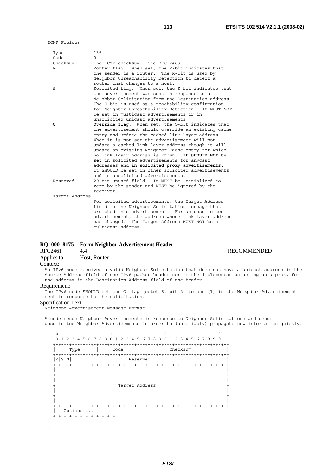| Type<br>Code   | 136<br>$\cap$                                                                                       |
|----------------|-----------------------------------------------------------------------------------------------------|
| Checksum       | The ICMP checksum. See RFC 2463.                                                                    |
| R              | Router flag. When set, the R-bit indicates that                                                     |
|                | the sender is a router. The R-bit is used by                                                        |
|                |                                                                                                     |
|                | Neighbor Unreachability Detection to detect a                                                       |
|                | router that changes to a host.                                                                      |
| S              | Solicited flag. When set, the S-bit indicates that<br>the advertisement was sent in response to a   |
|                | Neighbor Solicitation from the Destination address.                                                 |
|                | The S-bit is used as a reachability confirmation                                                    |
|                | for Neighbor Unreachability Detection. It MUST NOT                                                  |
|                | be set in multicast advertisements or in                                                            |
|                | unsolicited unicast advertisements.                                                                 |
| ٥              | <b>Override flag.</b> When set, the O-bit indicates that                                            |
|                | the advertisement should override an existing cache                                                 |
|                |                                                                                                     |
|                | entry and update the cached link-layer address.                                                     |
|                | When it is not set the advertisement will not                                                       |
|                | update a cached link-layer address though it will                                                   |
|                | update an existing Neighbor Cache entry for which                                                   |
|                | no link-layer address is known. It SHOULD NOT be                                                    |
|                | set in solicited advertisements for anycast                                                         |
|                | addresses and in solicited proxy advertisements.                                                    |
|                | It SHOULD be set in other solicited advertisements                                                  |
|                | and in unsolicited advertisements.                                                                  |
| Reserved       | 29-bit unused field. It MUST be initialized to                                                      |
|                | zero by the sender and MUST be ignored by the                                                       |
|                | receiver.                                                                                           |
| Target Address |                                                                                                     |
|                |                                                                                                     |
|                | For solicited advertisements, the Target Address<br>field in the Neighbor Solicitation message that |
|                | prompted this advertisement. For an unsolicited                                                     |
|                | advertisement, the address whose link-layer address                                                 |
|                | has changed. The Target Address MUST NOT be a                                                       |
|                | multicast address.                                                                                  |

# **RQ\_000\_8175 Form Neighbor Advertisement Header**

# RFC2461 4.4 RECOMMENDED<br>Applies to: Host, Router Host, Router

# Context:

……

An IPv6 node receives a valid Neighbor Solicitation that does not have a unicast address in the Source Address field of the IPv6 packet header nor is the implementation acting as a proxy for the address in the Destination Address field of the header.

# Requirement:

The IPv6 node SHOULD set the O-flag (octet 5, bit 2) to one (1) in the Neighbor Advertisement sent in response to the solicitation.

# Specification Text:

Neighbor Advertisement Message Format

A node sends Neighbor Advertisements in response to Neighbor Solicitations and sends unsolicited Neighbor Advertisements in order to (unreliably) propagate new information quickly.

*ETSI* 

| $\Omega$<br>.5<br>2 3 4<br>$\mathbf{1}$ | 789<br>$2^{\circ}$<br>6<br>3 4<br>$\cap$ | 789<br>56<br>$\Omega$<br>$\mathbf{1}$    | 2 3 4 5 6 7 8 9 0 1 |
|-----------------------------------------|------------------------------------------|------------------------------------------|---------------------|
|                                         |                                          |                                          |                     |
|                                         | Code                                     |                                          | Checksum            |
| Type                                    |                                          |                                          |                     |
| $+ \cdot$                               |                                          |                                          |                     |
| R S 0                                   |                                          | Reserved                                 |                     |
| $+ - + - + - + - + -$                   |                                          | $+ - + - + - + - + - +$<br>$- + - + - +$ | +-+-+-+-+-+-+-+-+   |
|                                         |                                          |                                          |                     |
|                                         |                                          |                                          |                     |
|                                         |                                          |                                          |                     |
|                                         |                                          |                                          |                     |
|                                         |                                          | Target Address                           |                     |
|                                         |                                          |                                          |                     |
|                                         |                                          |                                          |                     |
|                                         |                                          |                                          |                     |
| $^{+}$                                  |                                          |                                          |                     |
|                                         |                                          |                                          |                     |
| Options                                 | $\sim$ $\sim$ $\sim$                     |                                          |                     |
|                                         |                                          |                                          |                     |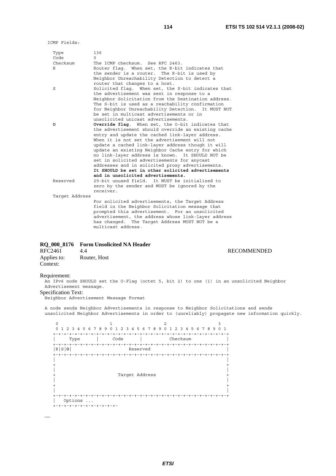| Type<br>Code   | 136<br>$\Omega$                                                                                       |
|----------------|-------------------------------------------------------------------------------------------------------|
| Checksum       | The ICMP checksum. See RFC 2463.                                                                      |
| R              | Router flag. When set, the R-bit indicates that                                                       |
|                | the sender is a router. The R-bit is used by                                                          |
|                | Neighbor Unreachability Detection to detect a                                                         |
|                | router that changes to a host.                                                                        |
| S              | Solicited flag. When set, the S-bit indicates that                                                    |
|                | the advertisement was sent in response to a<br>Neighbor Solicitation from the Destination address.    |
|                | The S-bit is used as a reachability confirmation                                                      |
|                | for Neighbor Unreachability Detection. It MUST NOT                                                    |
|                | be set in multicast advertisements or in                                                              |
|                | unsolicited unicast advertisements.                                                                   |
| o              | Override flag. When set, the O-bit indicates that                                                     |
|                | the advertisement should override an existing cache                                                   |
|                | entry and update the cached link-layer address.                                                       |
|                | When it is not set the advertisement will not                                                         |
|                | update a cached link-layer address though it will                                                     |
|                | update an existing Neighbor Cache entry for which<br>no link-layer address is known. It SHOULD NOT be |
|                | set in solicited advertisements for anycast                                                           |
|                | addresses and in solicited proxy advertisements.                                                      |
|                | It SHOULD be set in other solicited advertisements                                                    |
|                | and in unsolicited advertisements.                                                                    |
| Reserved       | 29-bit unused field. It MUST be initialized to                                                        |
|                | zero by the sender and MUST be ignored by the                                                         |
|                | receiver.                                                                                             |
| Target Address |                                                                                                       |
|                | For solicited advertisements, the Target Address                                                      |
|                | field in the Neighbor Solicitation message that<br>prompted this advertisement. For an unsolicited    |
|                | advertisement, the address whose link-layer address                                                   |
|                | has changed. The Target Address MUST NOT be a                                                         |
|                | multicast address.                                                                                    |

# **RQ\_000\_8176 Form Unsolicited NA Header**

| RFC2461     | 4.4          |
|-------------|--------------|
| Applies to: | Router, Host |
| Context:    |              |

# **RECOMMENDED**

### Requirement:

……

An IPv6 node SHOULD set the O-Flag (octet 5, bit 2) to one (1) in an unsolicited Neighbor Advertisement message.

# Specification Text:

Neighbor Advertisement Message Format

A node sends Neighbor Advertisements in response to Neighbor Solicitations and sends unsolicited Neighbor Advertisements in order to (unreliably) propagate new information quickly.

 $0$  1 2 3 0 1 2 3 4 5 6 7 8 9 0 1 2 3 4 5 6 7 8 9 0 1 2 3 4 5 6 7 8 9 0 1 +-+-+-+-+-+-+-+-+-+-+-+-+-+-+-+-+-+-+-+-+-+-+-+-+-+-+-+-+-+-+-+-+ | Type | Code | Checksum | +-+-+-+-+-+-+-+-+-+-+-+-+-+-+-+-+-+-+-+-+-+-+-+-+-+-+-+-+-+-+-+-+ |R|S|**O**| Reserved | +-+-+-+-+-+-+-+-+-+-+-+-+-+-+-+-+-+-+-+-+-+-+-+-+-+-+-+-+-+-+-+-+ | | + + | | +<br>+<br>+ Target Address +<br>+ Target Address | | + + | | +-+-+-+-+-+-+-+-+-+-+-+-+-+-+-+-+-+-+-+-+-+-+-+-+-+-+-+-+-+-+-+-+ | Options ... +-+-+-+-+-+-+-+-+-+-+-+-

*ETSI*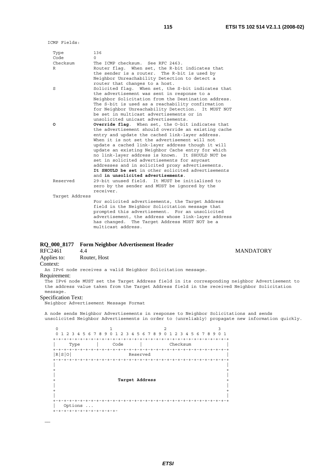| Type<br>Code   | 136<br>$\Omega$                                                                                        |
|----------------|--------------------------------------------------------------------------------------------------------|
| Checksum       | The ICMP checksum. See RFC 2463.                                                                       |
| R              | Router flag. When set, the R-bit indicates that                                                        |
|                | the sender is a router. The R-bit is used by<br>Neighbor Unreachability Detection to detect a          |
|                | router that changes to a host.                                                                         |
| S              | Solicited flag. When set, the S-bit indicates that                                                     |
|                | the advertisement was sent in response to a                                                            |
|                | Neighbor Solicitation from the Destination address.                                                    |
|                | The S-bit is used as a reachability confirmation                                                       |
|                | for Neighbor Unreachability Detection. It MUST NOT<br>be set in multicast advertisements or in         |
|                | unsolicited unicast advertisements.                                                                    |
| o              | <b>Override flag.</b> When set, the O-bit indicates that                                               |
|                | the advertisement should override an existing cache                                                    |
|                | entry and update the cached link-layer address.<br>When it is not set the advertisement will not       |
|                | update a cached link-layer address though it will                                                      |
|                | update an existing Neighbor Cache entry for which                                                      |
|                | no link-layer address is known. It SHOULD NOT be                                                       |
|                | set in solicited advertisements for anycast                                                            |
|                | addresses and in solicited proxy advertisements.<br>It SHOULD be set in other solicited advertisements |
|                | and in unsolicited advertisements.                                                                     |
| Reserved       | 29-bit unused field. It MUST be initialized to                                                         |
|                | zero by the sender and MUST be ignored by the                                                          |
|                | receiver.                                                                                              |
| Target Address |                                                                                                        |
|                | For solicited advertisements, the Target Address<br>field in the Neighbor Solicitation message that    |
|                | prompted this advertisement. For an unsolicited                                                        |
|                | advertisement, the address whose link-layer address                                                    |
|                | has changed. The Target Address MUST NOT be a                                                          |
|                | multicast address.                                                                                     |

# **RQ\_000\_8177 Form Neighbor Advertisement Header**

**MANDATORY** Applies to: Router, Host Context: An IPv6 node receives a valid Neighbor Solicitation message. Requirement: The IPv6 node MUST set the Target Address field in its corresponding neighbor Advertisement to the address value taken from the Target Address field in the received Neighbor Solicitation message.

# Specification Text:

……

Neighbor Advertisement Message Format

A node sends Neighbor Advertisements in response to Neighbor Solicitations and sends unsolicited Neighbor Advertisements in order to (unreliably) propagate new information quickly.

 $0$  1 2 3 0 1 2 3 4 5 6 7 8 9 0 1 2 3 4 5 6 7 8 9 0 1 2 3 4 5 6 7 8 9 0 1 +-+-+-+-+-+-+-+-+-+-+-+-+-+-+-+-+-+-+-+-+-+-+-+-+-+-+-+-+-+-+-+-+ | Type | Code | Checksum | +-+-+-+-+-+-+-+-+-+-+-+-+-+-+-+-+-+-+-+-+-+-+-+-+-+-+-+-+-+-+-+-+ Reserved +-+-+-+-+-+-+-+-+-+-+-+-+-+-+-+-+-+-+-+-+-+-+-+-+-+-+-+-+-+-+-+-+ | | + + | | + **Target Address** + | | + + | | +-+-+-+-+-+-+-+-+-+-+-+-+-+-+-+-+-+-+-+-+-+-+-+-+-+-+-+-+-+-+-+-+ | Options ... +-+-+-+-+-+-+-+-+-+-+-+-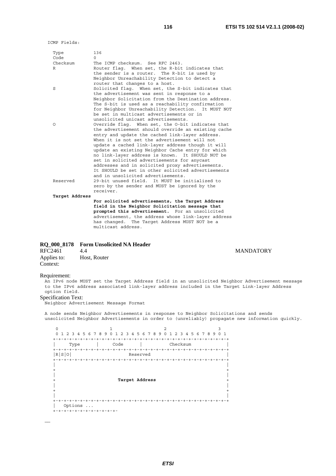ICMP Fields:

| Type<br>Code   | 136<br>$\Omega$                                     |
|----------------|-----------------------------------------------------|
| Checksum       | The ICMP checksum. See RFC 2463.                    |
| R              | Router flag. When set, the R-bit indicates that     |
|                | the sender is a router. The R-bit is used by        |
|                | Neighbor Unreachability Detection to detect a       |
|                | router that changes to a host.                      |
| S              | Solicited flag. When set, the S-bit indicates that  |
|                | the advertisement was sent in response to a         |
|                | Neighbor Solicitation from the Destination address. |
|                | The S-bit is used as a reachability confirmation    |
|                | for Neighbor Unreachability Detection. It MUST NOT  |
|                | be set in multicast advertisements or in            |
|                | unsolicited unicast advertisements.                 |
| Ω              | Override flag. When set, the O-bit indicates that   |
|                | the advertisement should override an existing cache |
|                | entry and update the cached link-layer address.     |
|                | When it is not set the advertisement will not       |
|                | update a cached link-layer address though it will   |
|                | update an existing Neighbor Cache entry for which   |
|                | no link-layer address is known. It SHOULD NOT be    |
|                | set in solicited advertisements for anycast         |
|                | addresses and in solicited proxy advertisements.    |
|                | It SHOULD be set in other solicited advertisements  |
|                | and in unsolicited advertisements.                  |
| Reserved       | 29-bit unused field. It MUST be initialized to      |
|                | zero by the sender and MUST be ignored by the       |
|                | receiver.                                           |
| Target Address |                                                     |
|                | For solicited advertisements, the Target Address    |
|                | field in the Neighbor Solicitation message that     |
|                | prompted this advertisement. For an unsolicited     |
|                | advertisement, the address whose link-layer address |

has changed. The Target Address MUST NOT be a

multicast address.

# **RQ\_000\_8178 Form Unsolicited NA Header**

| RFC2461     | 4.4          |
|-------------|--------------|
| Applies to: | Host, Router |
| Context:    |              |

#### Requirement:

……

An IPv6 node MUST set the Target Address field in an unsolicited Neighbor Advertisement message to the IPv6 address associated link-layer address included in the Target Link-layer Address option field.

#### Specification Text:

Neighbor Advertisement Message Format

A node sends Neighbor Advertisements in response to Neighbor Solicitations and sends unsolicited Neighbor Advertisements in order to (unreliably) propagate new information quickly.

 $0$  1 2 3 0 1 2 3 4 5 6 7 8 9 0 1 2 3 4 5 6 7 8 9 0 1 2 3 4 5 6 7 8 9 0 1 +-+-+-+-+-+-+-+-+-+-+-+-+-+-+-+-+-+-+-+-+-+-+-+-+-+-+-+-+-+-+-+-+ | Type | Code | Checksum | +-+-+-+-+-+-+-+-+-+-+-+-+-+-+-+-+-+-+-+-+-+-+-+-+-+-+-+-+-+-+-+-+ Reserved +-+-+-+-+-+-+-+-+-+-+-+-+-+-+-+-+-+-+-+-+-+-+-+-+-+-+-+-+-+-+-+-+ | | + + | | + **Target Address** + | | + + | | +-+-+-+-+-+-+-+-+-+-+-+-+-+-+-+-+-+-+-+-+-+-+-+-+-+-+-+-+-+-+-+-+ | Options ... +-+-+-+-+-+-+-+-+-+-+-+-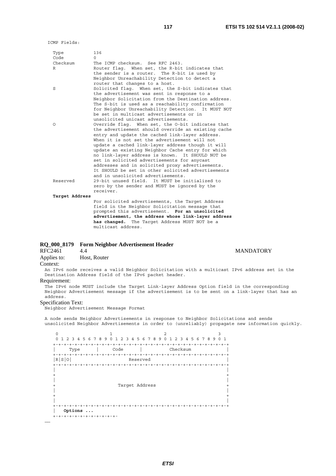ICMP Fields:

| Type           | 136                                                 |
|----------------|-----------------------------------------------------|
| Code           | $\cap$                                              |
| Checksum       | The ICMP checksum. See RFC 2463.                    |
| R              | Router flaq. When set, the R-bit indicates that     |
|                | the sender is a router. The R-bit is used by        |
|                | Neighbor Unreachability Detection to detect a       |
|                | router that changes to a host.                      |
| S              | Solicited flag. When set, the S-bit indicates that  |
|                | the advertisement was sent in response to a         |
|                | Neighbor Solicitation from the Destination address. |
|                | The S-bit is used as a reachability confirmation    |
|                | for Neighbor Unreachability Detection. It MUST NOT  |
|                | be set in multicast advertisements or in            |
|                | unsolicited unicast advertisements.                 |
|                |                                                     |
| Ω              | Override flag. When set, the O-bit indicates that   |
|                | the advertisement should override an existing cache |
|                | entry and update the cached link-layer address.     |
|                | When it is not set the advertisement will not       |
|                | update a cached link-layer address though it will   |
|                | update an existing Neighbor Cache entry for which   |
|                | no link-layer address is known. It SHOULD NOT be    |
|                | set in solicited advertisements for anycast         |
|                | addresses and in solicited proxy advertisements.    |
|                | It SHOULD be set in other solicited advertisements  |
|                | and in unsolicited advertisements.                  |
| Reserved       | 29-bit unused field. It MUST be initialized to      |
|                | zero by the sender and MUST be ignored by the       |
|                | receiver.                                           |
| Target Address |                                                     |
|                | For solicited advertisements, the Target Address    |
|                | field in the Neighbor Solicitation message that     |
|                | prompted this advertisement. For an unsolicited     |
|                | advertisement, the address whose link-layer address |

 **has changed.** The Target Address MUST NOT be a

# **RQ\_000\_8179 Form Neighbor Advertisement Header**

multicast address.

Applies to: Host, Router

# Context:

An IPv6 node receives a valid Neighbor Solicitation with a multicast IPv6 address set in the Destination Address field of the IPv6 packet header.

# Requirement:

The IPv6 node MUST include the Target Link-layer Address Option field in the corresponding Neighbor Advertisement message if the advertisement is to be sent on a link-layer that has an address.

### Specification Text:

Neighbor Advertisement Message Format

A node sends Neighbor Advertisements in response to Neighbor Solicitations and sends unsolicited Neighbor Advertisements in order to (unreliably) propagate new information quickly.

0  $1$  2 3 0 1 2 3 4 5 6 7 8 9 0 1 2 3 4 5 6 7 8 9 0 1 2 3 4 5 6 7 8 9 0 1 +-+-+-+-+-+-+-+-+-+-+-+-+-+-+-+-+-+-+-+-+-+-+-+-+-+-+-+-+-+-+-+-+ | Type | Code | Checksum | +-+-+-+-+-+-+-+-+-+-+-+-+-+-+-+-+-+-+-+-+-+-+-+-+-+-+-+-+-+-+-+-+ |R|S|O| Reserved | +-+-+-+-+-+-+-+-+-+-+-+-+-+-+-+-+-+-+-+-+-+-+-+-+-+-+-+-+-+-+-+-+ | |  $+$  +  $+$  +  $+$  +  $+$  +  $+$  +  $+$  +  $+$  +  $+$  +  $+$  +  $+$  +  $+$  +  $+$  +  $+$  +  $+$  +  $+$  +  $+$  +  $+$  +  $+$  +  $+$  +  $+$  +  $+$  +  $+$  +  $+$  +  $+$  +  $+$  +  $+$  +  $+$  +  $+$  +  $+$  +  $+$  +  $+$  +  $+$  +  $+$  +  $+$  +  $+$  +  $+$  +  $+$  + | | Target Address | | + + | | +-+-+-+-+-+-+-+-+-+-+-+-+-+-+-+-+-+-+-+-+-+-+-+-+-+-+-+-+-+-+-+-+ | **Options ...** +-+-+-+-+-+-+-+-+-+-+-+- ……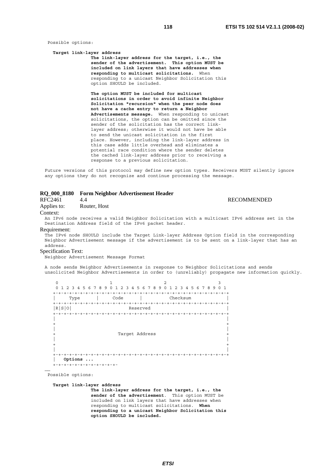Possible options:

#### **Target link-layer address**

 **The link-layer address for the target, i.e., the sender of the advertisement. This option MUST be included on link layers that have addresses when responding to multicast solicitations.** When responding to a unicast Neighbor Solicitation this option SHOULD be included.

 **The option MUST be included for multicast solicitations in order to avoid infinite Neighbor Solicitation "recursion" when the peer node does not have a cache entry to return a Neighbor Advertisements message.** When responding to unicast solicitations, the option can be omitted since the sender of the solicitation has the correct link layer address; otherwise it would not have be able to send the unicast solicitation in the first place. However, including the link-layer address in this case adds little overhead and eliminates a potential race condition where the sender deletes the cached link-layer address prior to receiving a response to a previous solicitation.

Future versions of this protocol may define new option types. Receivers MUST silently ignore any options they do not recognize and continue processing the message.

# **RQ\_000\_8180 Form Neighbor Advertisement Header**

RFC2461 4.4 RECOMMENDED

Applies to: Router, Host

#### Context:

An IPv6 node receives a valid Neighbor Solicitation with a multicast IPv6 address set in the Destination Address field of the IPv6 packet header.

#### Requirement:

The IPv6 node SHOULD include the Target Link-layer Address Option field in the corresponding Neighbor Advertisement message if the advertisement is to be sent on a link-layer that has an address.

# Specification Text:

Neighbor Advertisement Message Format

A node sends Neighbor Advertisements in response to Neighbor Solicitations and sends unsolicited Neighbor Advertisements in order to (unreliably) propagate new information quickly.

| Ω                                              |                                         | 2                                     | 3                                       |
|------------------------------------------------|-----------------------------------------|---------------------------------------|-----------------------------------------|
| $\Omega$<br>2 3<br>$4^{\circ}$<br>$\mathbf{1}$ | -8<br>-9<br>56<br>7<br>3<br>4<br>O<br>2 | 5 6 7 8 9<br><sup>n</sup><br>ı.       | 4 5 6 7 8 9<br>0 <sub>1</sub><br>3<br>2 |
|                                                |                                         |                                       |                                         |
| Type                                           | Code                                    |                                       | Checksum                                |
| $+ - + - + - + - + -$                          | $+$                                     | $- + - +$<br>$- + - +$<br>$- + - + -$ | $- + - + - + - + - + - +$               |
| R S 0                                          |                                         | Reserved                              |                                         |
| $+ - + - + - +$                                |                                         |                                       |                                         |
|                                                |                                         |                                       |                                         |
|                                                |                                         |                                       |                                         |
|                                                |                                         |                                       |                                         |
|                                                |                                         | Target Address                        |                                         |
|                                                |                                         |                                       |                                         |
|                                                |                                         |                                       |                                         |
|                                                |                                         |                                       |                                         |
| ÷                                              |                                         |                                       |                                         |
| Options                                        | $\ddots$                                |                                       |                                         |
| +-+-+-+-+-+-+-+-+-+-+-+                        |                                         |                                       |                                         |

Possible options:

……

#### **Target link-layer address**

 **The link-layer address for the target, i.e., the sender of the advertisement**. This option MUST be included on link layers that have addresses when responding to multicast solicitations. **When responding to a unicast Neighbor Solicitation this option SHOULD be included.**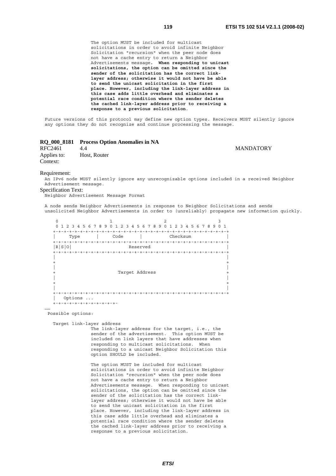The option MUST be included for multicast solicitations in order to avoid infinite Neighbor Solicitation "recursion" when the peer node does not have a cache entry to return a Neighbor Advertisements message**. When responding to unicast solicitations, the option can be omitted since the sender of the solicitation has the correct link layer address; otherwise it would not have be able to send the unicast solicitation in the first place. However, including the link-layer address in this case adds little overhead and eliminates a potential race condition where the sender deletes the cached link-layer address prior to receiving a response to a previous solicitation**.

Future versions of this protocol may define new option types. Receivers MUST silently ignore any options they do not recognize and continue processing the message.

# **RQ\_000\_8181 Process Option Anomalies in NA**

RFC2461 4.4 MANDATORY Applies to: Host, Router Context:

#### Requirement:

An IPv6 node MUST silently ignore any unrecognizable options included in a received Neighbor Advertisement message.

#### Specification Text:

Neighbor Advertisement Message Format

A node sends Neighbor Advertisements in response to Neighbor Solicitations and sends unsolicited Neighbor Advertisements in order to (unreliably) propagate new information quickly.

| Ω<br>1 2 3 4 5 6 7 8<br>$\Omega$ | 9<br>4<br>2<br>3<br>0 | 2<br>5 6 7 8 9<br>$\Omega$<br>п.       | 3<br>4 5 6 7 8 9 0 1<br>$\overline{\mathbf{3}}$<br>$\overline{2}$ |
|----------------------------------|-----------------------|----------------------------------------|-------------------------------------------------------------------|
|                                  |                       |                                        |                                                                   |
| Type                             | Code                  |                                        | Checksum                                                          |
| $+ - + - + - + - + -$            | $+ - +$<br>$+$        | $- + - + -$<br>$- + - + - + - + - + -$ | $- + - + - + - + - + - +$                                         |
| R S 0                            |                       | Reserved                               |                                                                   |
| $+ - + - + - +$                  |                       |                                        |                                                                   |
|                                  |                       |                                        |                                                                   |
|                                  |                       |                                        |                                                                   |
|                                  |                       |                                        |                                                                   |
|                                  |                       | Target Address                         |                                                                   |
|                                  |                       |                                        |                                                                   |
|                                  |                       |                                        |                                                                   |
|                                  |                       |                                        |                                                                   |
| $^+$                             |                       |                                        |                                                                   |
| Options                          | $\ddotsc$             |                                        |                                                                   |
| +-+-+-+-+-+-+-+-+-+-+-+          |                       |                                        |                                                                   |

Possible options:

……

Target link-layer address

 The link-layer address for the target, i.e., the sender of the advertisement. This option MUST be included on link layers that have addresses when responding to multicast solicitations. When responding to a unicast Neighbor Solicitation this option SHOULD be included.

 The option MUST be included for multicast solicitations in order to avoid infinite Neighbor Solicitation "recursion" when the peer node does not have a cache entry to return a Neighbor Advertisements message. When responding to unicast solicitations, the option can be omitted since the sender of the solicitation has the correct link layer address; otherwise it would not have be able to send the unicast solicitation in the first place. However, including the link-layer address in this case adds little overhead and eliminates a potential race condition where the sender deletes the cached link-layer address prior to receiving a response to a previous solicitation.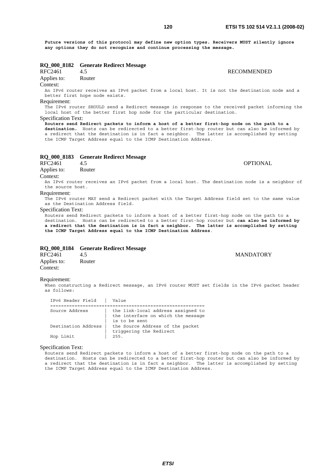**Future versions of this protocol may define new option types. Receivers MUST silently ignore any options they do not recognize and continue processing the message.**

# **RQ\_000\_8182 Generate Redirect Message**

Applies to: Router

# Context:

An IPv6 router receives an IPv6 packet from a local host. It is not the destination node and a better first hope node exists.

# Requirement:

The IPv6 router SHOULD send a Redirect message in response to the received packet informing the local host of the better first hop node for the particular destination. Specification Text:

**Routers send Redirect packets to inform a host of a better first-hop node on the path to a destination.** Hosts can be redirected to a better first-hop router but can also be informed by a redirect that the destination is in fact a neighbor. The latter is accomplished by setting the ICMP Target Address equal to the ICMP Destination Address.

# **RQ\_000\_8183 Generate Redirect Message**

RFC2461 4.5 **OPTIONAL** 

Applies to: Router

# Context:

An IPv6 router receives an IPv6 packet from a local host. The destination node is a neighbor of the source host.

# Requirement:

The IPv6 router MAY send a Redirect packet with the Target Address field set to the same value as the Destination Address field.

#### Specification Text:

Routers send Redirect packets to inform a host of a better first-hop node on the path to a destination. Hosts can be redirected to a better first-hop router but **can also be informed by a redirect that the destination is in fact a neighbor. The latter is accomplished by setting the ICMP Target Address equal to the ICMP Destination Address**.

# **RQ\_000\_8184 Generate Redirect Message**

RFC2461 4.5 MANDATORY Applies to: Router Context:

#### Requirement:

When constructing a Redirect message, an IPv6 router MUST set fields in the IPv6 packet header as follows:

| IPv6 Header Field   | Value                                                                                     |  |  |
|---------------------|-------------------------------------------------------------------------------------------|--|--|
| =================   |                                                                                           |  |  |
| Source Address      | the link-local address assigned to<br>the interface on which the message<br>is to be sent |  |  |
| Destination Address | the Source Address of the packet<br>triggering the Redirect                               |  |  |
| Hop Limit           | 255.                                                                                      |  |  |

# Specification Text:

Routers send Redirect packets to inform a host of a better first-hop node on the path to a destination. Hosts can be redirected to a better first-hop router but can also be informed by a redirect that the destination is in fact a neighbor. The latter is accomplished by setting the ICMP Target Address equal to the ICMP Destination Address.

**RECOMMENDED**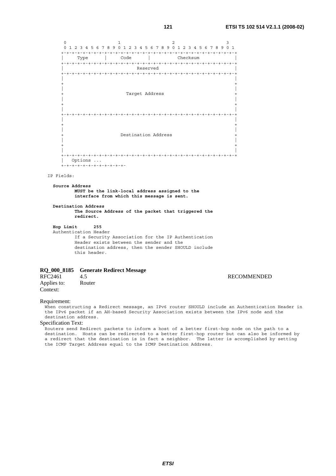0  $1$  2 3 0 1 2 3 4 5 6 7 8 9 0 1 2 3 4 5 6 7 8 9 0 1 2 3 4 5 6 7 8 9 0 1 +-+-+-+-+-+-+-+-+-+-+-+-+-+-+-+-+-+-+-+-+-+-+-+-+-+-+-+-+-+-+-+-+ | Type | Code | Checksum | +-+-+-+-+-+-+-+-+-+-+-+-+-+-+-+-+-+-+-+-+-+-+-+-+-+-+-+-+-+-+-+-+ | Reserved | +-+-+-+-+-+-+-+-+-+-+-+-+-+-+-+-+-+-+-+-+-+-+-+-+-+-+-+-+-+-+-+-+ | | + + | | Target Address | | + + | | +-+-+-+-+-+-+-+-+-+-+-+-+-+-+-+-+-+-+-+-+-+-+-+-+-+-+-+-+-+-+-+-+ | | + + | | Destination Address | | + + | | +-+-+-+-+-+-+-+-+-+-+-+-+-+-+-+-+-+-+-+-+-+-+-+-+-+-+-+-+-+-+-+-+ | Options ... +-+-+-+-+-+-+-+-+-+-+-+-

### IP Fields:

 **Source Address MUST be the link-local address assigned to the interface from which this message is sent.** 

 **Destination Address The Source Address of the packet that triggered the redirect.** 

 **Hop Limit 255**

 Authentication Header If a Security Association for the IP Authentication Header exists between the sender and the destination address, then the sender SHOULD include this header.

# **RQ\_000\_8185 Generate Redirect Message**

RFC2461 4.5<br>Applies to: Router Router Applies to: Context:

### Requirement:

When constructing a Redirect message, an IPv6 router SHOULD include an Authentication Header in the IPv6 packet if an AH-based Security Association exists between the IPv6 node and the destination address.

Specification Text: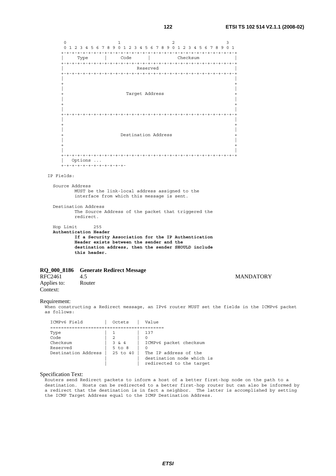0  $1$  2 3 0 1 2 3 4 5 6 7 8 9 0 1 2 3 4 5 6 7 8 9 0 1 2 3 4 5 6 7 8 9 0 1 +-+-+-+-+-+-+-+-+-+-+-+-+-+-+-+-+-+-+-+-+-+-+-+-+-+-+-+-+-+-+-+-+ | Type | Code | Checksum | +-+-+-+-+-+-+-+-+-+-+-+-+-+-+-+-+-+-+-+-+-+-+-+-+-+-+-+-+-+-+-+-+ | Reserved | +-+-+-+-+-+-+-+-+-+-+-+-+-+-+-+-+-+-+-+-+-+-+-+-+-+-+-+-+-+-+-+-+ | | + + | | Target Address | | + + | | +-+-+-+-+-+-+-+-+-+-+-+-+-+-+-+-+-+-+-+-+-+-+-+-+-+-+-+-+-+-+-+-+ | | + + | | Destination Address | | + + | | +-+-+-+-+-+-+-+-+-+-+-+-+-+-+-+-+-+-+-+-+-+-+-+-+-+-+-+-+-+-+-+-+ | Options ... .<br>+-+-+-+-+-+-+-+-+-+-+-+- IP Fields: Source Address MUST be the link-local address assigned to the interface from which this message is sent. Destination Address The Source Address of the packet that triggered the redirect. Hop Limit 255  **Authentication Header If a Security Association for the IP Authentication Header exists between the sender and the destination address, then the sender SHOULD include this header.**

# **RQ\_000\_8186 Generate Redirect Message**

RFC2461 4.5 MANDATORY<br>Applies to: Router Applies to: Context:

# Requirement:

When constructing a Redirect message, an IPv6 router MUST set the fields in the ICMPv6 packet as follows:

| ICMPv6 Field        | Octets     | Value                     |
|---------------------|------------|---------------------------|
|                     |            |                           |
| Type                |            | 137                       |
| Code                |            |                           |
| Checksum            | 3 & 4      | ICMPv6 packet checksum    |
| Reserved            | $5$ to $8$ |                           |
| Destination Address | 25 to 40   | The IP address of the     |
|                     |            | destination node which is |
|                     |            | redirected to the target  |

### Specification Text: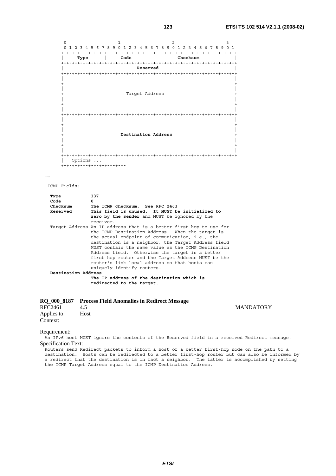0  $1$  2 3 0 1 2 3 4 5 6 7 8 9 0 1 2 3 4 5 6 7 8 9 0 1 2 3 4 5 6 7 8 9 0 1 +-+-+-+-+-+-+-+-+-+-+-+-+-+-+-+-+-+-+-+-+-+-+-+-+-+-+-+-+-+-+-+-+ | **Type | Code | Checksum | +-+-+-+-+-+-+-+-+-+-+-+-+-+-+-+-+-+-+-+-+-+-+-+-+-+-+-+-+-+-+-+-+ | Reserved |** +-+-+-+-+-+-+-+-+-+-+-+-+-+-+-+-+-+-+-+-+-+-+-+-+-+-+-+-+-+-+-+-+ | | + + | | Target Address | | + + | | +-+-+-+-+-+-+-+-+-+-+-+-+-+-+-+-+-+-+-+-+-+-+-+-+-+-+-+-+-+-+-+-+ | | + + | | + **Destination Address** + | | + + | | +-+-+-+-+-+-+-+-+-+-+-+-+-+-+-+-+-+-+-+-+-+-+-+-+-+-+-+-+-+-+-+-+ | Options ... .<br>+-+-+-+-+-+-+-+-+-+-+-+-

……

ICMP Fields:

| Type                | 137                                                                                                                                                                                                                                                                                                                                                                                                                                                                              |
|---------------------|----------------------------------------------------------------------------------------------------------------------------------------------------------------------------------------------------------------------------------------------------------------------------------------------------------------------------------------------------------------------------------------------------------------------------------------------------------------------------------|
| Code                | <sup>0</sup>                                                                                                                                                                                                                                                                                                                                                                                                                                                                     |
| Checksum            | The ICMP checksum. See RFC 2463                                                                                                                                                                                                                                                                                                                                                                                                                                                  |
| Reserved            | This field is unused. It MUST be initialized to                                                                                                                                                                                                                                                                                                                                                                                                                                  |
|                     | zero by the sender and MUST be ignored by the                                                                                                                                                                                                                                                                                                                                                                                                                                    |
|                     | receiver.                                                                                                                                                                                                                                                                                                                                                                                                                                                                        |
|                     | Target Address An IP address that is a better first hop to use for<br>the ICMP Destination Address. When the target is<br>the actual endpoint of communication, i.e., the<br>destination is a neighbor, the Target Address field<br>MUST contain the same value as the ICMP Destination<br>Address field. Otherwise the target is a better<br>first-hop router and the Target Address MUST be the<br>router's link-local address so that hosts can<br>uniquely identify routers. |
| Destination Address |                                                                                                                                                                                                                                                                                                                                                                                                                                                                                  |
|                     | The IP address of the destination which is<br>redirected to the target.                                                                                                                                                                                                                                                                                                                                                                                                          |

# **RQ\_000\_8187 Process Field Anomalies in Redirect Message**

Applies to: Host Context:

**MANDATORY** 

Requirement:

An IPv6 host MUST ignore the contents of the Reserved field in a received Redirect message. Specification Text: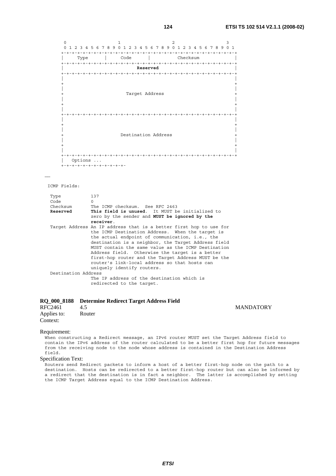0  $1$  2 3 0 1 2 3 4 5 6 7 8 9 0 1 2 3 4 5 6 7 8 9 0 1 2 3 4 5 6 7 8 9 0 1 +-+-+-+-+-+-+-+-+-+-+-+-+-+-+-+-+-+-+-+-+-+-+-+-+-+-+-+-+-+-+-+-+ | Type | Code | Checksum | +-+-+-+-+-+-+-+-+-+-+-+-+-+-+-+-+-+-+-+-+-+-+-+-+-+-+-+-+-+-+-+-+ | **Reserved** | +-+-+-+-+-+-+-+-+-+-+-+-+-+-+-+-+-+-+-+-+-+-+-+-+-+-+-+-+-+-+-+-+ | | + + | | Target Address | | + + | | +-+-+-+-+-+-+-+-+-+-+-+-+-+-+-+-+-+-+-+-+-+-+-+-+-+-+-+-+-+-+-+-+ | | + + | | Destination Address | | + + | | +-+-+-+-+-+-+-+-+-+-+-+-+-+-+-+-+-+-+-+-+-+-+-+-+-+-+-+-+-+-+-+-+ | Options ... +-+-+-+-+-+-+-+-+-+-+-+-

……

ICMP Fields:

| Type                | 137                                                                                                                                                                                                                                                                                                                                                                                                                                                                              |
|---------------------|----------------------------------------------------------------------------------------------------------------------------------------------------------------------------------------------------------------------------------------------------------------------------------------------------------------------------------------------------------------------------------------------------------------------------------------------------------------------------------|
| Code                | $\cap$                                                                                                                                                                                                                                                                                                                                                                                                                                                                           |
| Checksum            | The ICMP checksum. See RFC 2463                                                                                                                                                                                                                                                                                                                                                                                                                                                  |
| Reserved            | This field is unused. It MUST be initialized to                                                                                                                                                                                                                                                                                                                                                                                                                                  |
|                     | zero by the sender and MUST be ignored by the                                                                                                                                                                                                                                                                                                                                                                                                                                    |
|                     | receiver.                                                                                                                                                                                                                                                                                                                                                                                                                                                                        |
|                     | Target Address An IP address that is a better first hop to use for<br>the ICMP Destination Address. When the target is<br>the actual endpoint of communication, i.e., the<br>destination is a neighbor, the Target Address field<br>MUST contain the same value as the ICMP Destination<br>Address field. Otherwise the target is a better<br>first-hop router and the Target Address MUST be the<br>router's link-local address so that hosts can<br>uniquely identify routers. |
| Destination Address |                                                                                                                                                                                                                                                                                                                                                                                                                                                                                  |
|                     | The IP address of the destination which is<br>redirected to the target.                                                                                                                                                                                                                                                                                                                                                                                                          |

# **RQ\_000\_8188 Determine Redirect Target Address Field**

| RFC2461     | 4.5    |  |
|-------------|--------|--|
| Applies to: | Router |  |
| Context:    |        |  |

**MANDATORY** 

#### Requirement:

When constructing a Redirect message, an IPv6 router MUST set the Target Address field to contain the IPv6 address of the router calculated to be a better first hop for future messages from the receiving node to the node whose address is contained in the Destination Address field.

### Specification Text: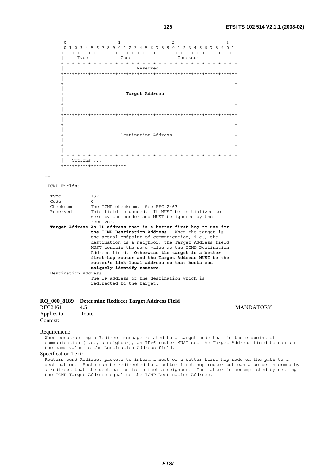0  $1$  2 3 0 1 2 3 4 5 6 7 8 9 0 1 2 3 4 5 6 7 8 9 0 1 2 3 4 5 6 7 8 9 0 1 +-+-+-+-+-+-+-+-+-+-+-+-+-+-+-+-+-+-+-+-+-+-+-+-+-+-+-+-+-+-+-+-+ | Type | Code | Checksum | +-+-+-+-+-+-+-+-+-+-+-+-+-+-+-+-+-+-+-+-+-+-+-+-+-+-+-+-+-+-+-+-+ | Reserved | +-+-+-+-+-+-+-+-+-+-+-+-+-+-+-+-+-+-+-+-+-+-+-+-+-+-+-+-+-+-+-+-+ | | + + | | + **Target Address** + | | + + | | +-+-+-+-+-+-+-+-+-+-+-+-+-+-+-+-+-+-+-+-+-+-+-+-+-+-+-+-+-+-+-+-+ | | + + | | Destination Address | | + + | | +-+-+-+-+-+-+-+-+-+-+-+-+-+-+-+-+-+-+-+-+-+-+-+-+-+-+-+-+-+-+-+-+ | Options ... +-+-+-+-+-+-+-+-+-+-+-+-

……

ICMP Fields:

| Type                | 137                                                                |
|---------------------|--------------------------------------------------------------------|
| Code                | $\Omega$                                                           |
| Checksum            | The ICMP checksum. See RFC 2463                                    |
| Reserved            | This field is unused. It MUST be initialized to                    |
|                     | zero by the sender and MUST be ignored by the                      |
|                     | receiver.                                                          |
|                     | Target Address An IP address that is a better first hop to use for |
|                     | the ICMP Destination Address. When the target is                   |
|                     | the actual endpoint of communication, i.e., the                    |
|                     | destination is a neighbor, the Target Address field                |
|                     | MUST contain the same value as the ICMP Destination                |
|                     | Address field. Otherwise the target is a better                    |
|                     | first-hop router and the Target Address MUST be the                |
|                     | router's link-local address so that hosts can                      |
|                     | uniquely identify routers.                                         |
| Destination Address |                                                                    |
|                     | The IP address of the destination which is                         |
|                     | redirected to the target.                                          |

# **RQ\_000\_8189 Determine Redirect Target Address Field**

| RFC2461     | 4.5    |
|-------------|--------|
| Applies to: | Router |
| Context:    |        |

Requirement:

When constructing a Redirect message related to a target node that is the endpoint of communication (i.e., a neighbor), an IPv6 router MUST set the Target Address field to contain the same value as the Destination Address field.

Specification Text: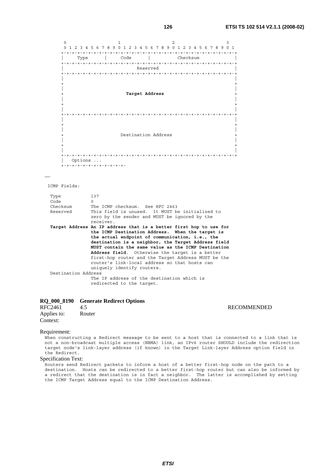0  $1$  2 3 0 1 2 3 4 5 6 7 8 9 0 1 2 3 4 5 6 7 8 9 0 1 2 3 4 5 6 7 8 9 0 1 +-+-+-+-+-+-+-+-+-+-+-+-+-+-+-+-+-+-+-+-+-+-+-+-+-+-+-+-+-+-+-+-+ | Type | Code | Checksum | +-+-+-+-+-+-+-+-+-+-+-+-+-+-+-+-+-+-+-+-+-+-+-+-+-+-+-+-+-+-+-+-+ | Reserved | +-+-+-+-+-+-+-+-+-+-+-+-+-+-+-+-+-+-+-+-+-+-+-+-+-+-+-+-+-+-+-+-+ | | + + | | + **Target Address** + | | + + | | +-+-+-+-+-+-+-+-+-+-+-+-+-+-+-+-+-+-+-+-+-+-+-+-+-+-+-+-+-+-+-+-+ | | + + | | Destination Address | | + + | | +-+-+-+-+-+-+-+-+-+-+-+-+-+-+-+-+-+-+-+-+-+-+-+-+-+-+-+-+-+-+-+-+ | Options ... +-+-+-+-+-+-+-+-+-+-+-+-

……

ICMP Fields:

| Type                | 137                                                                |
|---------------------|--------------------------------------------------------------------|
| Code                | $\Omega$                                                           |
| Checksum            | The ICMP checksum. See RFC 2463                                    |
| Reserved            | This field is unused. It MUST be initialized to                    |
|                     | zero by the sender and MUST be ignored by the                      |
|                     | receiver.                                                          |
|                     | Target Address An IP address that is a better first hop to use for |
|                     | the ICMP Destination Address. When the target is                   |
|                     | the actual endpoint of communication, i.e., the                    |
|                     |                                                                    |
|                     | destination is a neighbor, the Target Address field                |
|                     | MUST contain the same value as the ICMP Destination                |
|                     | <b>Address field.</b> Otherwise the target is a better             |
|                     | first-hop router and the Target Address MUST be the                |
|                     | router's link-local address so that hosts can                      |
|                     | uniquely identify routers.                                         |
| Destination Address |                                                                    |
|                     | The IP address of the destination which is                         |

# **RQ\_000\_8190 Generate Redirect Options**

| RFC2461     | 4.5    |
|-------------|--------|
| Applies to: | Router |
| Context:    |        |

**RECOMMENDED** 

Requirement:

When constructing a Redirect message to be sent to a host that is connected to a link that is not a non-broadcast multiple access (NBMA) link, an IPv6 router SHOULD include the redirection target node's link-layer address (if known) in the Target Link-layer Address option field in the Redirect.

# Specification Text: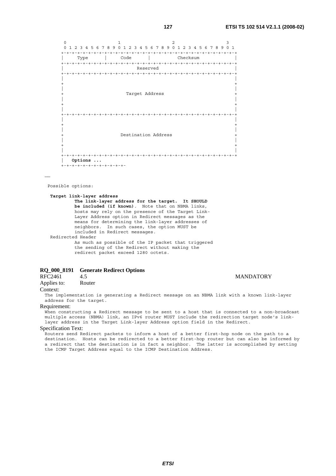0  $1$  2 3 0 1 2 3 4 5 6 7 8 9 0 1 2 3 4 5 6 7 8 9 0 1 2 3 4 5 6 7 8 9 0 1 +-+-+-+-+-+-+-+-+-+-+-+-+-+-+-+-+-+-+-+-+-+-+-+-+-+-+-+-+-+-+-+-+ Type | Code | Checksum +-+-+-+-+-+-+-+-+-+-+-+-+-+-+-+-+-+-+-+-+-+-+-+-+-+-+-+-+-+-+-+-+ | Reserved | +-+-+-+-+-+-+-+-+-+-+-+-+-+-+-+-+-+-+-+-+-+-+-+-+-+-+-+-+-+-+-+-+ | | + + | | Target Address | | + + | | +-+-+-+-+-+-+-+-+-+-+-+-+-+-+-+-+-+-+-+-+-+-+-+-+-+-+-+-+-+-+-+-+ | | + + | | Destination Address | | + + | | +-+-+-+-+-+-+-+-+-+-+-+-+-+-+-+-+-+-+-+-+-+-+-+-+-+-+-+-+-+-+-+-+ **| Options ...** +-+-+-+-+-+-+-+-+-+-+-+-

……

Possible options:

**Target link-layer address** 

```
 The link-layer address for the target. It SHOULD 
         be included (if known). Note that on NBMA links, 
         hosts may rely on the presence of the Target Link- 
         Layer Address option in Redirect messages as the 
         means for determining the link-layer addresses of 
         neighbors. In such cases, the option MUST be 
         included in Redirect messages. 
Redirected Header 
         As much as possible of the IP packet that triggered 
         the sending of the Redirect without making the 
         redirect packet exceed 1280 octets.
```
# **RQ\_000\_8191 Generate Redirect Options**

RFC2461 4.5 MANDATORY<br>Applies to: Router Applies to:

# Context:

The implementation is generating a Redirect message on an NBMA link with a known link-layer address for the target.

### Requirement:

When constructing a Redirect message to be sent to a host that is connected to a non-broadcast multiple access (NBMA) link, an IPv6 router MUST include the redirection target node's linklayer address in the Target Link-layer Address option field in the Redirect.

#### Specification Text: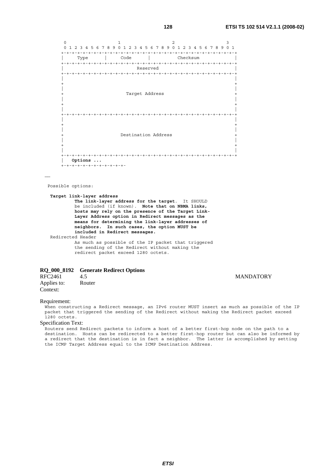0  $1$  2 3 0 1 2 3 4 5 6 7 8 9 0 1 2 3 4 5 6 7 8 9 0 1 2 3 4 5 6 7 8 9 0 1 +-+-+-+-+-+-+-+-+-+-+-+-+-+-+-+-+-+-+-+-+-+-+-+-+-+-+-+-+-+-+-+-+ | Type | Code | Checksum | +-+-+-+-+-+-+-+-+-+-+-+-+-+-+-+-+-+-+-+-+-+-+-+-+-+-+-+-+-+-+-+-+ | Reserved | +-+-+-+-+-+-+-+-+-+-+-+-+-+-+-+-+-+-+-+-+-+-+-+-+-+-+-+-+-+-+-+-+ | | + + | | Target Address | | + + | | +-+-+-+-+-+-+-+-+-+-+-+-+-+-+-+-+-+-+-+-+-+-+-+-+-+-+-+-+-+-+-+-+ | | + + | | Destination Address | | + + | | +-+-+-+-+-+-+-+-+-+-+-+-+-+-+-+-+-+-+-+-+-+-+-+-+-+-+-+-+-+-+-+-+ **| Options ...** +-+-+-+-+-+-+-+-+-+-+-+-

……

Possible options:

**Target link-layer address** 

```
 The link-layer address for the target. It SHOULD 
         be included (if known). Note that on NBMA links, 
         hosts may rely on the presence of the Target Link- 
         Layer Address option in Redirect messages as the 
         means for determining the link-layer addresses of 
         neighbors. In such cases, the option MUST be 
         included in Redirect messages.
Redirected Header 
         As much as possible of the IP packet that triggered
```
 the sending of the Redirect without making the redirect packet exceed 1280 octets.

# **RQ\_000\_8192 Generate Redirect Options**

RFC2461 4.5 MANDATORY<br>Applies to: Router Applies to: Context:

# Requirement:

When constructing a Redirect message, an IPv6 router MUST insert as much as possible of the IP packet that triggered the sending of the Redirect without making the Redirect packet exceed 1280 octets.

Specification Text: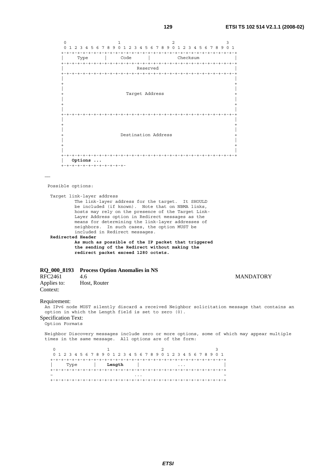0  $1$  2 3 0 1 2 3 4 5 6 7 8 9 0 1 2 3 4 5 6 7 8 9 0 1 2 3 4 5 6 7 8 9 0 1 +-+-+-+-+-+-+-+-+-+-+-+-+-+-+-+-+-+-+-+-+-+-+-+-+-+-+-+-+-+-+-+-+ | Type | Code | Checksum | +-+-+-+-+-+-+-+-+-+-+-+-+-+-+-+-+-+-+-+-+-+-+-+-+-+-+-+-+-+-+-+-+ | Reserved | +-+-+-+-+-+-+-+-+-+-+-+-+-+-+-+-+-+-+-+-+-+-+-+-+-+-+-+-+-+-+-+-+ | | + + | | Target Address | | + + | | +-+-+-+-+-+-+-+-+-+-+-+-+-+-+-+-+-+-+-+-+-+-+-+-+-+-+-+-+-+-+-+-+ | | + + | | Destination Address | | + + | | +-+-+-+-+-+-+-+-+-+-+-+-+-+-+-+-+-+-+-+-+-+-+-+-+-+-+-+-+-+-+-+-+ **| Options ...** +-+-+-+-+-+-+-+-+-+-+-+- …… Possible options: Target link-layer address The link-layer address for the target. It SHOULD be included (if known). Note that on NBMA links, hosts may rely on the presence of the Target Link- Layer Address option in Redirect messages as the means for determining the link-layer addresses of neighbors. In such cases, the option MUST be included in Redirect messages.  **Redirected Header As much as possible of the IP packet that triggered the sending of the Redirect without making the redirect packet exceed 1280 octets. RQ\_000\_8193 Process Option Anomalies in NS**  RFC2461 4.6 MANDATORY<br>Applies to: Host. Router Host, Router Context: Requirement: An IPv6 node MUST silently discard a received Neighbor solicitation message that contains an option in which the Length field is set to zero (0). Specification Text: Option Formats Neighbor Discovery messages include zero or more options, some of which may appear multiple

0  $1$  2 3 0 1 2 3 4 5 6 7 8 9 0 1 2 3 4 5 6 7 8 9 0 1 2 3 4 5 6 7 8 9 0 1 +-+-+-+-+-+-+-+-+-+-+-+-+-+-+-+-+-+-+-+-+-+-+-+-+-+-+-+-+-+-+-+-+ | Type | **Length** | ... | +-+-+-+-+-+-+-+-+-+-+-+-+-+-+-+-+-+-+-+-+-+-+-+-+-+-+-+-+-+-+-+-+ ~ ... ~

+-+-+-+-+-+-+-+-+-+-+-+-+-+-+-+-+-+-+-+-+-+-+-+-+-+-+-+-+-+-+-+-+

times in the same message. All options are of the form: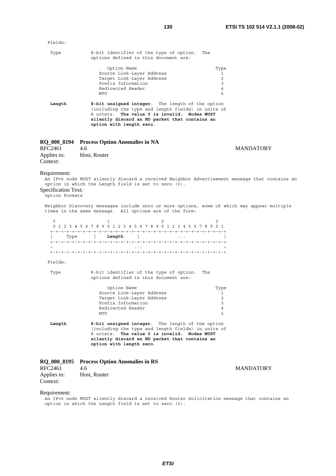| Fields:                                                      |                                                                                                                                                                                                                                         |                  |
|--------------------------------------------------------------|-----------------------------------------------------------------------------------------------------------------------------------------------------------------------------------------------------------------------------------------|------------------|
| Type                                                         | 8-bit identifier of the type of option.<br>The<br>options defined in this document are:                                                                                                                                                 |                  |
|                                                              | Option Name<br>Type<br>Source Link-Layer Address<br>Target Link-Layer Address<br>$\overline{2}$<br>Prefix Information<br>3<br>Redirected Header<br>$\overline{4}$<br>5<br>MTU                                                           | 1                |
| Length                                                       | 8-bit unsigned integer. The length of the option<br>(including the type and length fields) in units of<br>8 octets. The value 0 is invalid. Nodes MUST<br>silently discard an ND packet that contains an<br>option with length zero.    |                  |
| RQ 000 8194                                                  | <b>Process Option Anomalies in NA</b>                                                                                                                                                                                                   |                  |
| RFC2461<br>Applies to:<br>Context:                           | 4.6<br>Host, Router                                                                                                                                                                                                                     | <b>MANDATORY</b> |
| Requirement:<br><b>Specification Text:</b><br>Option Formats | An IPv6 node MUST silently discard a received Neighbor Advertisement message that contains an<br>option in which the Length field is set to zero (0).                                                                                   |                  |
|                                                              | Neighbor Discovery messages include zero or more options, some of which may appear multiple<br>times in the same message. All options are of the form:                                                                                  |                  |
| $\Omega$                                                     | $\mathbf{1}$<br>$\mathbf{2}$<br>3<br>0 1 2 3 4 5 6 7 8 9 0 1 2 3 4 5 6 7 8 9 0 1 2 3 4 5 6 7 8 9 0 1                                                                                                                                    |                  |
|                                                              | Type   <b>Length</b>                                                                                                                                                                                                                    |                  |
|                                                              |                                                                                                                                                                                                                                         |                  |
| Fields:                                                      |                                                                                                                                                                                                                                         |                  |
| Type                                                         | 8-bit identifier of the type of option.<br>The<br>options defined in this document are:                                                                                                                                                 |                  |
|                                                              | Option Name<br>Туре<br>Source Link-Layer Address<br>2<br>Target Link-Layer Address<br>Prefix Information<br>3<br>Redirected Header<br>$\overline{4}$<br>5<br>MTU                                                                        | 1                |
| Length                                                       | 8-bit unsigned integer. The length of the option<br>(including the type and length fields) in units of<br>The value 0 is invalid. Nodes MUST<br>8 octets.<br>silently discard an ND packet that contains an<br>option with length zero. |                  |
| <b>RQ_000_8195</b><br>RFC2461                                | <b>Process Option Anomalies in RS</b><br>4.6                                                                                                                                                                                            | <b>MANDATORY</b> |
| Applies to:<br>Context:                                      | Host, Router                                                                                                                                                                                                                            |                  |
| Requirement:                                                 | An IPv6 node MUST silently discard a received Router Solicitation message that contains an<br>option in which the Length field is set to zero (0).                                                                                      |                  |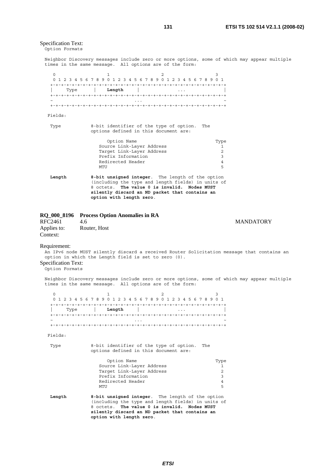# Specification Text:

Option Formats

Neighbor Discovery messages include zero or more options, some of which may appear multiple times in the same message. All options are of the form:

| $\Omega$<br>Type | 1<br>2<br>0 1 2 3 4 5 6 7 8 9 0 1 2 3 4 5 6 7 8 9 0 1 2 3 4 5 6 7 8 9 0 1<br>  Length                                                                                                                                                | 3                                                       |  |  |  |  |  |
|------------------|--------------------------------------------------------------------------------------------------------------------------------------------------------------------------------------------------------------------------------------|---------------------------------------------------------|--|--|--|--|--|
| Fields:          |                                                                                                                                                                                                                                      |                                                         |  |  |  |  |  |
| Type             | 8-bit identifier of the type of option.<br>The<br>options defined in this document are:                                                                                                                                              |                                                         |  |  |  |  |  |
|                  | Option Name<br>Source Link-Layer Address<br>Target Link-Layer Address<br>Prefix Information<br>Redirected Header<br>MTU                                                                                                              | Type<br>1<br>$\mathfrak{D}$<br>3<br>$\overline{4}$<br>5 |  |  |  |  |  |
| Length           | 8-bit unsigned integer. The length of the option<br>(including the type and length fields) in units of<br>8 octets. The value 0 is invalid. Nodes MUST<br>silently discard an ND packet that contains an<br>option with length zero. |                                                         |  |  |  |  |  |

|             | RQ_000_8196 Process Option Anomalies in RA |
|-------------|--------------------------------------------|
| D E C 2 461 |                                            |

| <b>RFC2461</b> | 4.6          |
|----------------|--------------|
| Applies to:    | Router, Host |
| Context:       |              |

# **MANDATORY**

# Requirement:

An IPv6 node MUST silently discard a received Router Solicitation message that contains an option in which the Length field is set to zero (0).

# Specification Text:

.<br>Option Formats

Neighbor Discovery messages include zero or more options, some of which may appear multiple times in the same message. All options are of the form:

|            |      |        | 0 1 2 3 4 5 6 7 8 9 0 1 2 3 4 5 6 7 8 9 0 1 2 3 4 5 6 7 8 9 0 1 |  |
|------------|------|--------|-----------------------------------------------------------------|--|
|            |      |        |                                                                 |  |
|            | Type | Length |                                                                 |  |
|            |      |        |                                                                 |  |
| $\tilde{}$ |      |        | .                                                               |  |
|            |      |        |                                                                 |  |

Fields:

 Type 8-bit identifier of the type of option. The options defined in this document are:

|        | Option Name<br>Type                                                                                                                                                                                                                  |
|--------|--------------------------------------------------------------------------------------------------------------------------------------------------------------------------------------------------------------------------------------|
|        | Source Link-Layer Address                                                                                                                                                                                                            |
|        | Target Link-Layer Address<br>2                                                                                                                                                                                                       |
|        | Prefix Information<br>3                                                                                                                                                                                                              |
|        | Redirected Header<br>$\overline{4}$                                                                                                                                                                                                  |
|        | 5<br>MTU                                                                                                                                                                                                                             |
| Length | 8-bit unsigned integer. The length of the option<br>(including the type and length fields) in units of<br>8 octets. The value 0 is invalid. Nodes MUST<br>silently discard an ND packet that contains an<br>option with length zero. |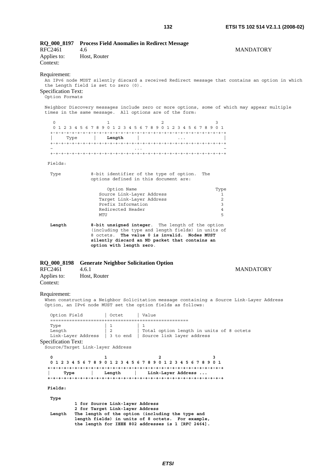| RO 000 8197                                                                                   |                         |                                                                    | <b>Process Field Anomalies in Redirect Message</b>                                                                                                                                                       |                                          |                                                                                                 |
|-----------------------------------------------------------------------------------------------|-------------------------|--------------------------------------------------------------------|----------------------------------------------------------------------------------------------------------------------------------------------------------------------------------------------------------|------------------------------------------|-------------------------------------------------------------------------------------------------|
| <b>RFC2461</b><br>Applies to:<br>Context:                                                     | 4.6<br>Host, Router     |                                                                    |                                                                                                                                                                                                          |                                          | <b>MANDATORY</b>                                                                                |
| Requirement:<br>the Length field is set to zero (0).<br>Specification Text:<br>Option Formats |                         |                                                                    |                                                                                                                                                                                                          |                                          | An IPv6 node MUST silently discard a received Redirect message that contains an option in which |
|                                                                                               |                         |                                                                    | times in the same message. All options are of the form:                                                                                                                                                  |                                          | Neighbor Discovery messages include zero or more options, some of which may appear multiple     |
| $\circ$                                                                                       |                         | 1                                                                  | 2<br>0 1 2 3 4 5 6 7 8 9 0 1 2 3 4 5 6 7 8 9 0 1 2 3 4 5 6 7 8 9 0 1                                                                                                                                     | 3                                        |                                                                                                 |
| Type                                                                                          | <b>Example 1</b> Length |                                                                    |                                                                                                                                                                                                          |                                          |                                                                                                 |
|                                                                                               |                         |                                                                    |                                                                                                                                                                                                          |                                          |                                                                                                 |
|                                                                                               |                         |                                                                    |                                                                                                                                                                                                          |                                          |                                                                                                 |
| Fields:                                                                                       |                         |                                                                    |                                                                                                                                                                                                          |                                          |                                                                                                 |
| Type                                                                                          |                         |                                                                    | 8-bit identifier of the type of option.<br>options defined in this document are:                                                                                                                         | The                                      |                                                                                                 |
|                                                                                               |                         | Option Name                                                        |                                                                                                                                                                                                          | Type                                     |                                                                                                 |
|                                                                                               |                         | Source Link-Layer Address                                          |                                                                                                                                                                                                          | 1                                        |                                                                                                 |
|                                                                                               |                         | Target Link-Layer Address<br>Prefix Information                    |                                                                                                                                                                                                          | 2<br>3                                   |                                                                                                 |
|                                                                                               |                         | Redirected Header                                                  |                                                                                                                                                                                                          | 4                                        |                                                                                                 |
|                                                                                               | MTU                     |                                                                    |                                                                                                                                                                                                          | 5                                        |                                                                                                 |
| Length                                                                                        |                         | option with length zero.                                           | 8-bit unsigned integer. The length of the option<br>(including the type and length fields) in units of<br>8 octets. The value 0 is invalid. Nodes MUST<br>silently discard an ND packet that contains an |                                          |                                                                                                 |
| RQ_000_8198                                                                                   |                         |                                                                    | <b>Generate Neighbor Solicitation Option</b>                                                                                                                                                             |                                          |                                                                                                 |
| RFC2461                                                                                       | 4.6.1                   |                                                                    |                                                                                                                                                                                                          |                                          | <b>MANDATORY</b>                                                                                |
| Applies to:<br>Context:                                                                       | Host, Router            |                                                                    |                                                                                                                                                                                                          |                                          |                                                                                                 |
|                                                                                               |                         |                                                                    |                                                                                                                                                                                                          |                                          |                                                                                                 |
| Requirement:                                                                                  |                         |                                                                    | Option, an IPv6 node MUST set the option fields as follows:                                                                                                                                              |                                          | When constructing a Neighbor Solicitation message containing a Source Link-Layer Address        |
| Option Field                                                                                  |                         | Octet                                                              | Value                                                                                                                                                                                                    |                                          |                                                                                                 |
| Type<br>Length<br>Link-Layer Address                                                          |                         | 1<br>2                                                             | 3 to end   Source link layer address                                                                                                                                                                     | Total option length in units of 8 octets |                                                                                                 |
| Specification Text:<br>Source/Target Link-layer Address                                       |                         |                                                                    |                                                                                                                                                                                                          |                                          |                                                                                                 |
| 0<br>Type                                                                                     |                         | 1<br>Length                                                        | 2<br>0 1 2 3 4 5 6 7 8 9 0 1 2 3 4 5 6 7 8 9 0 1 2 3 4 5 6 7 8 9 0 1<br>  Link-Layer Address                                                                                                             | з                                        |                                                                                                 |
| Fields:                                                                                       |                         |                                                                    |                                                                                                                                                                                                          |                                          |                                                                                                 |
|                                                                                               |                         |                                                                    |                                                                                                                                                                                                          |                                          |                                                                                                 |
| Type<br>Length                                                                                |                         | 1 for Source Link-layer Address<br>2 for Target Link-layer Address | The length of the option (including the type and<br>length fields) in units of 8 octets. For example,<br>the length for IEEE 802 addresses is 1 [RFC 2464].                                              |                                          |                                                                                                 |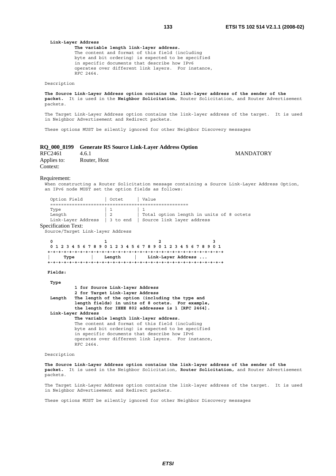#### **Link-Layer Address The variable length link-layer address.** The content and format of this field (including byte and bit ordering) is expected to be specified in specific documents that describe how IPv6 operates over different link layers. For instance,

Description

RFC 2464.

**The Source Link-Layer Address option contains the link-layer address of the sender of the packet.** It is used in the **Neighbor Solicitation**, Router Solicitation, and Router Advertisement packets.

The Target Link-Layer Address option contains the link-layer address of the target. It is used in Neighbor Advertisement and Redirect packets.

These options MUST be silently ignored for other Neighbor Discovery messages

### **RQ\_000\_8199 Generate RS Source Link-Layer Address Option**

| RFC2461     | 4.6.1        | <b>MANDATORY</b> |
|-------------|--------------|------------------|
| Applies to: | Router, Host |                  |
| Context:    |              |                  |

#### Requirement:

When constructing a Router Solicitation message containing a Source Link-Layer Address Option, an IPv6 node MUST set the option fields as follows:

| Option Field       | Octet | Value                                                                         |
|--------------------|-------|-------------------------------------------------------------------------------|
|                    |       |                                                                               |
| Type               |       |                                                                               |
| Length             |       | Total option length in units of 8 octets                                      |
|                    |       | Link-Layer Address $\parallel$ 3 to end $\parallel$ Source link layer address |
| rooifiaation Tarte |       |                                                                               |

# Specification Text:

Source/Target Link-layer Address

| 0 1 2 3 4 5 6 7 8 9 0 1 2 3 4 5 6 7 8 9 0 1 2 3 4 5 6 7 8 9 0 1 |      |  |  |  |  |  |  |          |  |  |  |  |                    |  |  |  |  |
|-----------------------------------------------------------------|------|--|--|--|--|--|--|----------|--|--|--|--|--------------------|--|--|--|--|
|                                                                 |      |  |  |  |  |  |  |          |  |  |  |  |                    |  |  |  |  |
|                                                                 | Type |  |  |  |  |  |  | Lenath I |  |  |  |  | Link-Layer Address |  |  |  |  |
|                                                                 |      |  |  |  |  |  |  |          |  |  |  |  |                    |  |  |  |  |

#### **Fields:**

#### **Type 1 for Source Link-layer Address 2 for Target Link-layer Address Length The length of the option (including the type and length fields) in units of 8 octets. For example, the length for IEEE 802 addresses is 1 [RFC 2464]. Link-Layer Address The variable length link-layer address.** The content and format of this field (including byte and bit ordering) is expected to be specified in specific documents that describe how IPv6 operates over different link layers. For instance, RFC 2464.

#### Description

**The Source Link-Layer Address option contains the link-layer address of the sender of the packet.** It is used in the Neighbor Solicitation, **Router Solicitation,** and Router Advertisement packets.

The Target Link-Layer Address option contains the link-layer address of the target. It is used in Neighbor Advertisement and Redirect packets.

These options MUST be silently ignored for other Neighbor Discovery messages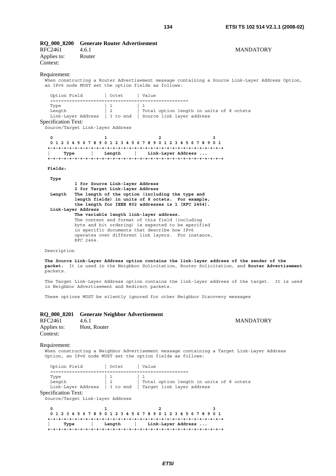| RFC2461<br>Applies to:<br>Context: | RO 000 8200 Generate Router Advertisement<br>4.6.1<br>Router | <b>MANDATORY</b> |  |
|------------------------------------|--------------------------------------------------------------|------------------|--|
|                                    |                                                              |                  |  |

# Requirement:

When constructing a Router Advertisement message containing a Source Link-Layer Address Option, an IPv6 node MUST set the option fields as follows:

Option Field | Octet | Value ====================+===========+================== Type  $\vert 1 \vert 1 \vert 1$ Length  $\vert$  2  $\vert$  Total option length in units of 8 octets Link-Layer Address | 3 to end | Source link layer address Specification Text:

Source/Target Link-layer Address

|      |  |          | 0 1 2 3 4 5 6 7 8 9 0 1 2 3 4 5 6 7 8 9 0 1 2 3 4 5 6 7 8 9 0 1 |  |
|------|--|----------|-----------------------------------------------------------------|--|
|      |  |          |                                                                 |  |
| Type |  | Lenath I | Link-Layer Address                                              |  |
|      |  |          |                                                                 |  |

#### **Fields:**

#### **Type**

|        | 1 for Source Link-layer Address                    |
|--------|----------------------------------------------------|
|        | 2 for Target Link-layer Address                    |
| Length | The length of the option (including the type and   |
|        | length fields) in units of 8 octets. For example,  |
|        | the length for IEEE 802 addresses is 1 [RFC 2464]. |
|        | Link-Layer Address                                 |
|        | The variable length link-layer address.            |
|        | The content and format of this field (including    |
|        | byte and bit ordering) is expected to be specified |
|        | in specific documents that describe how IPv6       |
|        | operates over different link layers. For instance, |
|        | RFC 2464.                                          |

# Description

**The Source Link-Layer Address option contains the link-layer address of the sender of the packet.** It is used in the Neighbor Solicitation, Router Solicitation, and **Router Advertisement** packets.

The Target Link-Layer Address option contains the link-layer address of the target. It is used in Neighbor Advertisement and Redirect packets.

These options MUST be silently ignored for other Neighbor Discovery messages

|                         | RQ 000 8201 Generate Neighbor Advertisement |
|-------------------------|---------------------------------------------|
| RFC2461                 | 4.6.1                                       |
| Applies to:<br>Context: | Host, Router                                |

#### Requirement:

When constructing a Neighbor Advertisement message containing a Target Link-Layer Address Option, an IPv6 node MUST set the option fields as follows:

| Option Field   | Octet | l Value                                                                                                                   |
|----------------|-------|---------------------------------------------------------------------------------------------------------------------------|
| Type<br>Length |       | Total option length in units of 8 octets<br>Link-Layer Address $\parallel$ 3 to end $\parallel$ Target link layer address |

# Specification Text:

Source/Target Link-layer Address

|      |  | 0 1 2 3 4 5 6 7 8 9 0 1 2 3 4 5 6 7 8 9 0 1 2 3 4 5 6 7 8 9 0 1 |  |  |
|------|--|-----------------------------------------------------------------|--|--|
|      |  |                                                                 |  |  |
| Tvpe |  | Length   Link-Layer Address                                     |  |  |
|      |  |                                                                 |  |  |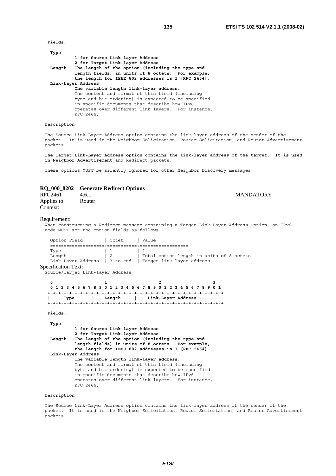**Fields:** 

| 1 for Source Link-layer Address                                 |
|-----------------------------------------------------------------|
| 2 for Target Link-layer Address                                 |
| The length of the option (including the type and                |
| length fields) in units of 8 octets. For example,               |
| the length for IEEE 802 addresses is 1 [RFC 2464].              |
| Link-Layer Address                                              |
| The variable length link-layer address.                         |
| The content and format of this field (including                 |
| byte and bit ordering) is expected to be specified              |
| in specific documents that describe how IPv6                    |
| operates over different link layers. For instance,<br>RFC 2464. |
|                                                                 |

Description

The Source Link-Layer Address option contains the link-layer address of the sender of the packet. It is used in the Neighbor Solicitation, Router Solicitation, and Router Advertisement p<br>packets.

**The Target Link-Layer Address option contains the link-layer address of the target. It is used in Neighbor Advertisement** and Redirect packets.

These options MUST be silently ignored for other Neighbor Discovery messages

# **RQ\_000\_8202 Generate Redirect Options**

| RFC2461                 | 4.6.1  | <b>MANDATORY</b> |
|-------------------------|--------|------------------|
| Applies to:<br>Context: | Router |                  |

# Requirement:

When constructing a Redirect message containing a Target Link-Layer Address Option, an IPv6 node MUST set the option fields as follows:

| Option Field   | Octet | Value                                                                                                                     |
|----------------|-------|---------------------------------------------------------------------------------------------------------------------------|
| Type<br>Length |       | Total option length in units of 8 octets<br>Link-Layer Address $\parallel$ 3 to end $\parallel$ Target link layer address |

Specification Text:

Source/Target Link-layer Address

**0** 1 2 3  **0 1 2 3 4 5 6 7 8 9 0 1 2 3 4 5 6 7 8 9 0 1 2 3 4 5 6 7 8 9 0 1 +-+-+-+-+-+-+-+-+-+-+-+-+-+-+-+-+-+-+-+-+-+-+-+-+-+-+-+-+-+-+-+-+ | Type | Length | Link-Layer Address ... +-+-+-+-+-+-+-+-+-+-+-+-+-+-+-+-+-+-+-+-+-+-+-+-+-+-+-+-+-+-+-+-+** 

#### **Fields:**

 **Type** 

 **1 for Source Link-layer Address 2 for Target Link-layer Address Length The length of the option (including the type and length fields) in units of 8 octets. For example, the length for IEEE 802 addresses is 1 [RFC 2464]. Link-Layer Address The variable length link-layer address.** The content and format of this field (including byte and bit ordering) is expected to be specified in specific documents that describe how IPv6 operates over different link layers. For instance, RFC 2464.

Description

The Source Link-Layer Address option contains the link-layer address of the sender of the packet. It is used in the Neighbor Solicitation, Router Solicitation, and Router Advertisement packets.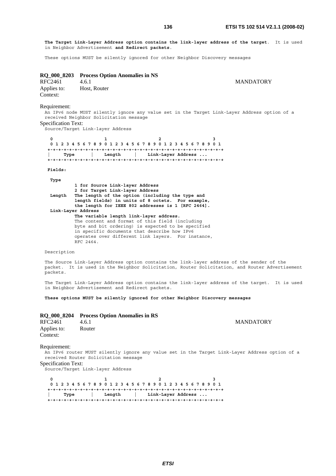**The Target Link-Layer Address option contains the link-layer address of the target**. It is used in Neighbor Advertisement **and Redirect packets**.

These options MUST be silently ignored for other Neighbor Discovery messages

|                  | RQ_000_8203 Process Option Anomalies in NS |
|------------------|--------------------------------------------|
| $\rm D E C 2461$ | 461                                        |

| NI VZTVI    | $+0.1$       |
|-------------|--------------|
| Applies to: | Host, Router |
| Context:    |              |

**MANDATORY** 

#### Requirement:

An IPv6 node MUST silently ignore any value set in the Target Link-Layer Address option of a received Neighbor Solicitation message

Specification Text:

Source/Target Link-layer Address

|      | 0 1 2 3 4 5 6 7 8 9 0 1 2 3 4 5 6 7 8 9 0 1 2 3 4 5 6 7 8 9 0 1 |                    |  |  |
|------|-----------------------------------------------------------------|--------------------|--|--|
|      |                                                                 |                    |  |  |
| Type | Length                                                          | Link-Layer Address |  |  |
|      |                                                                 |                    |  |  |

 **Fields:** 

 **Type** 

 **1 for Source Link-layer Address 2 for Target Link-layer Address Length The length of the option (including the type and length fields) in units of 8 octets. For example, the length for IEEE 802 addresses is 1 [RFC 2464]. Link-Layer Address The variable length link-layer address.** The content and format of this field (including byte and bit ordering) is expected to be specified in specific documents that describe how IPv6 operates over different link layers. For instance, RFC 2464.

### Description

The Source Link-Layer Address option contains the link-layer address of the sender of the packet. It is used in the Neighbor Solicitation, Router Solicitation, and Router Advertisement packets.

The Target Link-Layer Address option contains the link-layer address of the target. It is used in Neighbor Advertisement and Redirect packets.

**These options MUST be silently ignored for other Neighbor Discovery messages**

|         | RQ_000_8204 Process Option Anomalies in RS |                  |
|---------|--------------------------------------------|------------------|
| RFC2461 | 4.6.1                                      | <b>MANDATORY</b> |

| RFC2461     | 4.6.1  |
|-------------|--------|
| Applies to: | Router |
| Context:    |        |

Requirement:

An IPv6 router MUST silently ignore any value set in the Target Link-Layer Address option of a received Router Solicitation message

Specification Text:

Source/Target Link-layer Address

|      |  |          | 0 1 2 3 4 5 6 7 8 9 0 1 2 3 4 5 6 7 8 9 0 1 2 3 4 5 6 7 8 9 0 1 |  |
|------|--|----------|-----------------------------------------------------------------|--|
|      |  |          |                                                                 |  |
| Type |  | Lenath I | Link-Layer Address                                              |  |
|      |  |          |                                                                 |  |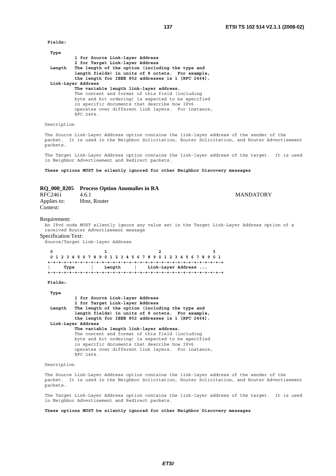**Fields:** 

| 1 for Source Link-layer Address                                 |
|-----------------------------------------------------------------|
| 2 for Target Link-layer Address                                 |
| The length of the option (including the type and                |
| length fields) in units of 8 octets. For example,               |
| the length for IEEE 802 addresses is 1 [RFC 2464].              |
| Link-Layer Address                                              |
| The variable length link-layer address.                         |
| The content and format of this field (including                 |
| byte and bit ordering) is expected to be specified              |
| in specific documents that describe how IPv6                    |
| operates over different link layers. For instance,<br>RFC 2464. |
|                                                                 |

Description

The Source Link-Layer Address option contains the link-layer address of the sender of the packet. It is used in the Neighbor Solicitation, Router Solicitation, and Router Advertisement p<br>packets.

The Target Link-Layer Address option contains the link-layer address of the target. It is used in Neighbor Advertisement and Redirect packets.

**These options MUST be silently ignored for other Neighbor Discovery messages**

# **RQ\_000\_8205 Process Option Anomalies in RA**

| RFC2461                 | 4.6.1        | <b>MANDATORY</b> |
|-------------------------|--------------|------------------|
| Applies to:<br>Context: | Host, Router |                  |

# Requirement:

An IPv6 node MUST silently ignore any value set in the Target Link-Layer Address option of a received Router Advertisement message

Specification Text:

Source/Target Link-layer Address

**0** 1 2 3  **0 1 2 3 4 5 6 7 8 9 0 1 2 3 4 5 6 7 8 9 0 1 2 3 4 5 6 7 8 9 0 1 +-+-+-+-+-+-+-+-+-+-+-+-+-+-+-+-+-+-+-+-+-+-+-+-+-+-+-+-+-+-+-+-+ | Type | Length | Link-Layer Address ... +-+-+-+-+-+-+-+-+-+-+-+-+-+-+-+-+-+-+-+-+-+-+-+-+-+-+-+-+-+-+-+-+** 

#### **Fields:**

 **Type 1 for Source Link-layer Address 2 for Target Link-layer Address Length The length of the option (including the type and length fields) in units of 8 octets. For example, the length for IEEE 802 addresses is 1 [RFC 2464]. Link-Layer Address The variable length link-layer address.** The content and format of this field (including byte and bit ordering) is expected to be specified in specific documents that describe how IPv6 operates over different link layers. For instance, RFC 2464.

### Description

The Source Link-Layer Address option contains the link-layer address of the sender of the packet. It is used in the Neighbor Solicitation, Router Solicitation, and Router Advertisement packets.

The Target Link-Layer Address option contains the link-layer address of the target. It is used in Neighbor Advertisement and Redirect packets.

**These options MUST be silently ignored for other Neighbor Discovery messages**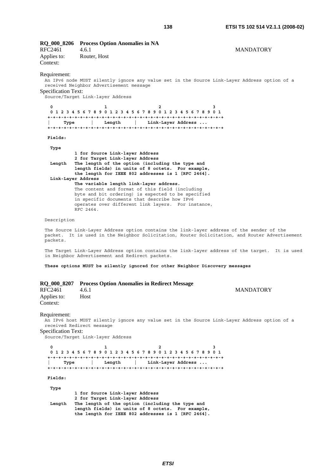| RFC2461<br>Applies to:<br>Context:           | RQ_000_8206 Process Option Anomalies in NA<br>4.6.1<br>Router, Host                                                        |                                                                                                                                                                                                                                                                                                                                                                            | <b>MANDATORY</b>                                                                                |
|----------------------------------------------|----------------------------------------------------------------------------------------------------------------------------|----------------------------------------------------------------------------------------------------------------------------------------------------------------------------------------------------------------------------------------------------------------------------------------------------------------------------------------------------------------------------|-------------------------------------------------------------------------------------------------|
| Requirement:<br>Specification Text:          | received Neighbor Advertisement message<br>Source/Target Link-layer Address                                                |                                                                                                                                                                                                                                                                                                                                                                            | An IPv6 node MUST silently ignore any value set in the Source Link-Layer Address option of a    |
| 0<br>Type                                    | 1<br>Length                                                                                                                | 2<br>0 1 2 3 4 5 6 7 8 9 0 1 2 3 4 5 6 7 8 9 0 1 2 3 4 5 6 7 8 9 0 1<br>Link-Layer Address                                                                                                                                                                                                                                                                                 | з                                                                                               |
| Fields:                                      |                                                                                                                            |                                                                                                                                                                                                                                                                                                                                                                            |                                                                                                 |
| Type<br>Length<br>Link-Layer Address         | 1 for Source Link-layer Address<br>2 for Target Link-layer Address<br>The variable length link-layer address.<br>RFC 2464. | The length of the option (including the type and<br>length fields) in units of 8 octets. For example,<br>the length for IEEE 802 addresses is 1 [RFC 2464].<br>The content and format of this field (including<br>byte and bit ordering) is expected to be specified<br>in specific documents that describe how IPv6<br>operates over different link layers. For instance, |                                                                                                 |
| Description                                  |                                                                                                                            |                                                                                                                                                                                                                                                                                                                                                                            |                                                                                                 |
| packets.                                     |                                                                                                                            | The Source Link-Layer Address option contains the link-layer address of the sender of the                                                                                                                                                                                                                                                                                  | packet. It is used in the Neighbor Solicitation, Router Solicitation, and Router Advertisement  |
|                                              | in Neighbor Advertisement and Redirect packets.                                                                            |                                                                                                                                                                                                                                                                                                                                                                            | The Target Link-Layer Address option contains the link-layer address of the target.  It is used |
|                                              |                                                                                                                            | These options MUST be silently ignored for other Neighbor Discovery messages                                                                                                                                                                                                                                                                                               |                                                                                                 |
| RQ 000 8207<br><b>RFC2461</b><br>Applies to: | 4.6.1<br>Host                                                                                                              | <b>Process Option Anomalies in Redirect Message</b>                                                                                                                                                                                                                                                                                                                        | <b>MANDATORY</b>                                                                                |
| Context:                                     |                                                                                                                            |                                                                                                                                                                                                                                                                                                                                                                            |                                                                                                 |
| Requirement:<br><b>Specification Text:</b>   | received Redirect message<br>Source/Target Link-layer Address                                                              |                                                                                                                                                                                                                                                                                                                                                                            | An IPv6 host MUST silently ignore any value set in the Source Link-Layer Address option of a    |
| 0                                            | 1                                                                                                                          | 0 1 2 3 4 5 6 7 8 9 0 1 2 3 4 5 6 7 8 9 0 1 2 3 4 5 6 7 8 9 0 1                                                                                                                                                                                                                                                                                                            | 3                                                                                               |
| Type                                         | Length                                                                                                                     | Link-Layer Address                                                                                                                                                                                                                                                                                                                                                         |                                                                                                 |
|                                              |                                                                                                                            |                                                                                                                                                                                                                                                                                                                                                                            |                                                                                                 |
| Fields:                                      |                                                                                                                            |                                                                                                                                                                                                                                                                                                                                                                            |                                                                                                 |
| Type<br>Length                               | 1 for Source Link-layer Address<br>2 for Target Link-layer Address                                                         | The length of the option (including the type and<br>length fields) in units of 8 octets. For example,<br>the length for IEEE 802 addresses is 1 [RFC 2464].                                                                                                                                                                                                                |                                                                                                 |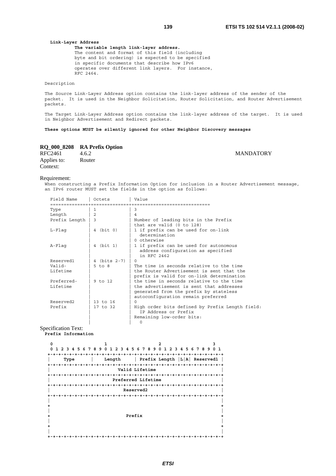#### **Link-Layer Address The variable length link-layer address.** The content and format of this field (including byte and bit ordering) is expected to be specified in specific documents that describe how IPv6 operates over different link layers. For instance, RFC 2464.

Description

The Source Link-Layer Address option contains the link-layer address of the sender of the packet. It is used in the Neighbor Solicitation, Router Solicitation, and Router Advertisement packets.

The Target Link-Layer Address option contains the link-layer address of the target. It is used in Neighbor Advertisement and Redirect packets.

**These options MUST be silently ignored for other Neighbor Discovery messages**

# **RQ\_000\_8208 RA Prefix Option**

| RFC2461     | 4.6.2  |  |  |
|-------------|--------|--|--|
| Applies to: | Router |  |  |
| Context:    |        |  |  |

#### Requirement:

When constructing a Prefix Information Option for inclusion in a Router Advertisement message, an IPv6 router MUST set the fields in the option as follows:

| Field Name             | Octets         | Value                                                                                                                                                                |
|------------------------|----------------|----------------------------------------------------------------------------------------------------------------------------------------------------------------------|
| ==============<br>Type | =============  | -------------------------------<br>3                                                                                                                                 |
| Length                 | $\overline{2}$ | 4                                                                                                                                                                    |
| Prefix Length          | ς              | Number of leading bits in the Prefix<br>that are valid (0 to 128)                                                                                                    |
| $L$ -Flaq              | 4 (bit 0)      | 1 if prefix can be used for on-link<br>determination<br>0 otherwise                                                                                                  |
| A-Flaq                 | 4 (bit 1)      | 1 if prefix can be used for autonomous<br>address confiquration as specified<br>in RFC 2462                                                                          |
| Reserved1              | 4 (bits 2-7)   | $\Omega$                                                                                                                                                             |
| Valid-<br>Lifetime     | $5$ to $8$     | The time in seconds relative to the time<br>the Router Advertisement is sent that the<br>prefix is valid for on-link determination                                   |
| Preferred-<br>Lifetime | 9 to 12        | the time in seconds relative to the time<br>the advertisement is sent that addresses<br>generated from the prefix by stateless<br>autoconfiguration remain preferred |
| Reserved2              | 13 to 16       | $\cap$                                                                                                                                                               |
| Prefix                 | 17 to 32       | High order bits defined by Prefix Length field:<br>IP Address or Prefix<br>Remaining low-order bits:<br>O                                                            |

# Specification Text:

**Prefix Information** 

| 6789<br>0<br>5<br>23<br>4 | $\Omega$<br>2 3 4<br>1. | 5 6 7 8 9<br>$\Omega$<br>1.<br>23<br>-4 | 5 6 7 8 9 0 1 |  |
|---------------------------|-------------------------|-----------------------------------------|---------------|--|
|                           |                         |                                         |               |  |
| Type                      | Length                  | Prefix Length $ L A $ Reservedl         |               |  |
|                           |                         | - + - + - + - + - + - +                 |               |  |
|                           |                         |                                         |               |  |
|                           | Valid Lifetime          |                                         |               |  |
|                           |                         | -+-+-+-+-+-+-+-+                        |               |  |
|                           | Preferred Lifetime      |                                         |               |  |
|                           |                         |                                         |               |  |
|                           | Reserved2               |                                         |               |  |
|                           |                         |                                         |               |  |
|                           |                         |                                         |               |  |
|                           |                         |                                         |               |  |
|                           |                         |                                         |               |  |
|                           |                         |                                         |               |  |
| Prefix                    |                         |                                         |               |  |
|                           |                         |                                         |               |  |
|                           |                         |                                         |               |  |
|                           |                         |                                         |               |  |
|                           |                         |                                         |               |  |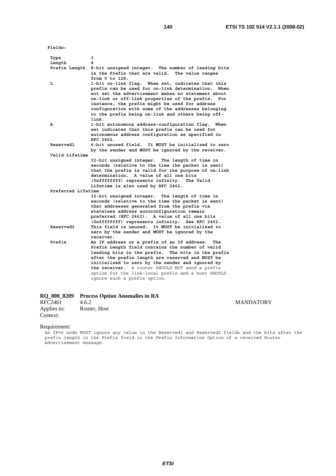**Fields:** 

| Type               | 3                                                                                                                                                                                                                                                                                                                                                                                              |
|--------------------|------------------------------------------------------------------------------------------------------------------------------------------------------------------------------------------------------------------------------------------------------------------------------------------------------------------------------------------------------------------------------------------------|
| Length             | 4                                                                                                                                                                                                                                                                                                                                                                                              |
| Prefix Length      | 8-bit unsigned integer. The number of leading bits<br>in the Prefix that are valid.<br>The value ranges<br>from 0 to 128.                                                                                                                                                                                                                                                                      |
| L                  | 1-bit on-link flag. When set, indicates that this<br>prefix can be used for on-link determination.<br>When<br>not set the advertisement makes no statement about<br>on-link or off-link properties of the prefix.<br>For<br>instance, the prefix might be used for address<br>configuration with some of the addresses belonging<br>to the prefix being on-link and others being off-<br>link. |
| Α                  | 1-bit autonomous address-configuration flag. When<br>set indicates that this prefix can be used for<br>autonomous address confiquration as specified in<br>RFC 2462.                                                                                                                                                                                                                           |
| <b>Reserved1</b>   | 6-bit unused field.<br>It MUST be initialized to zero<br>by the sender and MUST be ignored by the receiver.                                                                                                                                                                                                                                                                                    |
| Valid Lifetime     |                                                                                                                                                                                                                                                                                                                                                                                                |
|                    | 32-bit unsigned integer. The length of time in                                                                                                                                                                                                                                                                                                                                                 |
|                    | seconds (relative to the time the packet is sent)                                                                                                                                                                                                                                                                                                                                              |
|                    | that the prefix is valid for the purpose of on-link                                                                                                                                                                                                                                                                                                                                            |
|                    | determination. A value of all one bits                                                                                                                                                                                                                                                                                                                                                         |
|                    | (Oxfffffffff) represents infinity.<br>The Valid<br>Lifetime is also used by RFC 2462.                                                                                                                                                                                                                                                                                                          |
| Preferred Lifetime |                                                                                                                                                                                                                                                                                                                                                                                                |
|                    | 32-bit unsigned integer. The length of time in                                                                                                                                                                                                                                                                                                                                                 |
|                    | seconds (relative to the time the packet is sent)                                                                                                                                                                                                                                                                                                                                              |
|                    | that addresses generated from the prefix via                                                                                                                                                                                                                                                                                                                                                   |
|                    | stateless address autoconfiguration remain                                                                                                                                                                                                                                                                                                                                                     |
|                    | preferred (RFC 2462). A value of all one bits                                                                                                                                                                                                                                                                                                                                                  |
|                    | (Oxfffffffff) represents infinity. See RFC 2462.                                                                                                                                                                                                                                                                                                                                               |
| <b>Reserved2</b>   | This field is unused.<br>It MUST be initialized to                                                                                                                                                                                                                                                                                                                                             |
|                    | zero by the sender and MUST be ignored by the                                                                                                                                                                                                                                                                                                                                                  |
|                    | receiver.                                                                                                                                                                                                                                                                                                                                                                                      |
| Prefix             | An IP address or a prefix of an IP address.<br>The                                                                                                                                                                                                                                                                                                                                             |
|                    | Prefix Length field contains the number of valid<br>leading bits in the prefix. The bits in the prefix                                                                                                                                                                                                                                                                                         |
|                    | after the prefix length are reserved and MUST be                                                                                                                                                                                                                                                                                                                                               |
|                    | initialized to zero by the sender and ignored by                                                                                                                                                                                                                                                                                                                                               |
|                    | the receiver. A router SHOULD NOT send a prefix                                                                                                                                                                                                                                                                                                                                                |
|                    | option for the link-local prefix and a host SHOULD                                                                                                                                                                                                                                                                                                                                             |
|                    | ignore such a prefix option.                                                                                                                                                                                                                                                                                                                                                                   |
|                    |                                                                                                                                                                                                                                                                                                                                                                                                |

|         | RQ_000_8209 Process Option Anomalies in RA |                  |
|---------|--------------------------------------------|------------------|
| RFC2461 | 4.6.2                                      | <b>MANDATORY</b> |

| $\mathbf{u}$ $\mathbf{v}$ | $T\cdot V\cdot \mathcal{L}$ |
|---------------------------|-----------------------------|
| Applies to:               | Router, Host                |
| Context:                  |                             |

Requirement:

An IPv6 node MUST ignore any value in the Reserved1 and Reserved2 fields and the bits after the prefix length in the Prefix field in the Prefix Information Option of a received Router Advertisement message.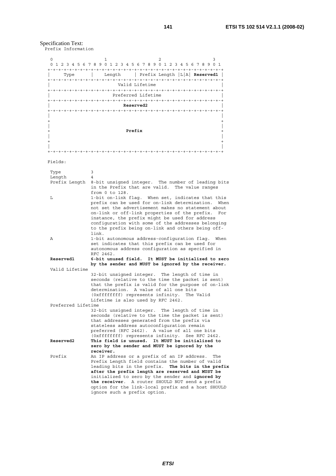Specification Text:

Prefix Information

| 0                                               | 2<br>ı                                                                                                   |  |  |  |
|-------------------------------------------------|----------------------------------------------------------------------------------------------------------|--|--|--|
|                                                 | 0 1 2 3 4 5 6 7 8 9 0 1 2 3 4 5 6 7 8 9 0 1 2 3 4 5 6 7 8 9 0 1                                          |  |  |  |
| Type                                            | Length   Prefix Length  L A  Reserved1                                                                   |  |  |  |
|                                                 |                                                                                                          |  |  |  |
|                                                 | Valid Lifetime                                                                                           |  |  |  |
|                                                 | Preferred Lifetime                                                                                       |  |  |  |
|                                                 |                                                                                                          |  |  |  |
|                                                 | Reserved2                                                                                                |  |  |  |
|                                                 |                                                                                                          |  |  |  |
|                                                 |                                                                                                          |  |  |  |
|                                                 | Prefix                                                                                                   |  |  |  |
|                                                 |                                                                                                          |  |  |  |
|                                                 |                                                                                                          |  |  |  |
|                                                 |                                                                                                          |  |  |  |
|                                                 |                                                                                                          |  |  |  |
| Fields:                                         |                                                                                                          |  |  |  |
| Type                                            | 3                                                                                                        |  |  |  |
| Length                                          | 4                                                                                                        |  |  |  |
| Prefix Length                                   | 8-bit unsigned integer. The number of leading bits                                                       |  |  |  |
|                                                 | in the Prefix that are valid.<br>The value ranges<br>from 0 to 128.                                      |  |  |  |
| L                                               | 1-bit on-link flag. When set, indicates that this                                                        |  |  |  |
|                                                 | prefix can be used for on-link determination.<br>When                                                    |  |  |  |
|                                                 | not set the advertisement makes no statement about                                                       |  |  |  |
|                                                 | on-link or off-link properties of the prefix.<br>For                                                     |  |  |  |
|                                                 | instance, the prefix might be used for address<br>configuration with some of the addresses belonging     |  |  |  |
|                                                 | to the prefix being on-link and others being off-                                                        |  |  |  |
|                                                 | link.                                                                                                    |  |  |  |
| Α                                               | 1-bit autonomous address-configuration flag. When                                                        |  |  |  |
|                                                 | set indicates that this prefix can be used for                                                           |  |  |  |
|                                                 | autonomous address configuration as specified in<br>RFC 2462.                                            |  |  |  |
| Reserved1                                       | 6-bit unused field.<br>It MUST be initialized to zero                                                    |  |  |  |
|                                                 | by the sender and MUST be ignored by the receiver.                                                       |  |  |  |
| Valid Lifetime                                  |                                                                                                          |  |  |  |
|                                                 | 32-bit unsigned integer. The length of time in                                                           |  |  |  |
|                                                 | seconds (relative to the time the packet is sent)<br>that the prefix is valid for the purpose of on-link |  |  |  |
|                                                 | determination. A value of all one bits                                                                   |  |  |  |
|                                                 | (Oxfffffffff) represents infinity.<br>The Valid                                                          |  |  |  |
|                                                 | Lifetime is also used by RFC 2462.                                                                       |  |  |  |
|                                                 | Preferred Lifetime                                                                                       |  |  |  |
|                                                 | 32-bit unsigned integer. The length of time in<br>seconds (relative to the time the packet is sent)      |  |  |  |
|                                                 | that addresses generated from the prefix via                                                             |  |  |  |
|                                                 | stateless address autoconfiguration remain                                                               |  |  |  |
|                                                 | preferred (RFC 2462). A value of all one bits                                                            |  |  |  |
|                                                 | (Oxfffffffff) represents infinity.<br>See RFC 2462.                                                      |  |  |  |
| Reserved2                                       | This field is unused. It MUST be initialized to<br>zero by the sender and MUST be ignored by the         |  |  |  |
|                                                 | receiver.                                                                                                |  |  |  |
| Prefix                                          | An IP address or a prefix of an IP address. The                                                          |  |  |  |
|                                                 | Prefix Length field contains the number of valid                                                         |  |  |  |
|                                                 | leading bits in the prefix. The bits in the prefix                                                       |  |  |  |
|                                                 | after the prefix length are reserved and MUST be<br>initialized to zero by the sender and ignored by     |  |  |  |
| the receiver. A router SHOULD NOT send a prefix |                                                                                                          |  |  |  |
|                                                 | option for the link-local prefix and a host SHOULD                                                       |  |  |  |
|                                                 | ignore such a prefix option.                                                                             |  |  |  |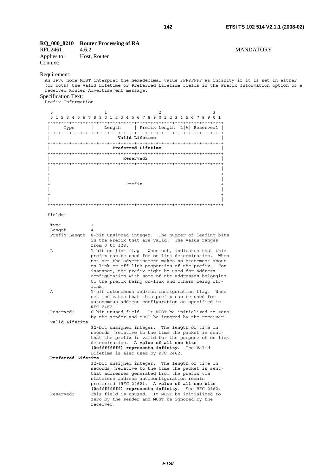# **RQ\_000\_8210 Router Processing of RA**

| RFC2461     | 4.6.2        |
|-------------|--------------|
| Applies to: | Host, Router |
| Context:    |              |

# Requirement:

An IPv6 node MUST interpret the hexadecimal value FFFFFFFF as infinity if it is set in either (or both) the Valid Lifetime or Preferred Lifetime fields in the Prefix Information option of a received Router Advertisement message.

Specification Text: Prefix Information

| U                                |                           | っ                          |                     |  |
|----------------------------------|---------------------------|----------------------------|---------------------|--|
| 4 5 6 7 8 9<br>$\Omega$<br>1 2 3 | $\Omega$<br>2 3<br>4<br>1 | 56789<br>$\Omega$<br>1     | 2 3 4 5 6 7 8 9 0 1 |  |
|                                  |                           |                            |                     |  |
| Type                             | Length                    | Prefix Length $ L A $      | Reserved1           |  |
| $+ - + - + - + - +$              |                           | +-+-+-+-+-+-+-+-+-+-+-+-+- | $+ - + - +$         |  |
|                                  | Valid Lifetime            |                            |                     |  |
|                                  |                           |                            | $-+$                |  |
|                                  | Preferred Lifetime        |                            |                     |  |
|                                  | $-+$                      |                            |                     |  |
|                                  | Reserved2                 |                            |                     |  |
|                                  |                           |                            |                     |  |
|                                  |                           |                            |                     |  |
|                                  |                           |                            |                     |  |
|                                  |                           |                            |                     |  |
|                                  | Prefix                    |                            |                     |  |
|                                  |                           |                            |                     |  |
|                                  |                           |                            |                     |  |
|                                  |                           |                            |                     |  |

+-+-+-+-+-+-+-+-+-+-+-+-+-+-+-+-+-+-+-+-+-+-+-+-+-+-+-+-+-+-+-+-+

# Fields:

| Type               | 3                                                                                                                                                                |
|--------------------|------------------------------------------------------------------------------------------------------------------------------------------------------------------|
| Length             | 4                                                                                                                                                                |
|                    | Prefix Length 8-bit unsigned integer. The number of leading bits<br>in the Prefix that are valid. The value ranges                                               |
|                    | from 0 to 128.                                                                                                                                                   |
| L                  | 1-bit on-link flag. When set, indicates that this<br>prefix can be used for on-link determination.<br>When<br>not set the advertisement makes no statement about |
|                    | on-link or off-link properties of the prefix. For                                                                                                                |
|                    | instance, the prefix might be used for address                                                                                                                   |
|                    | configuration with some of the addresses belonging<br>to the prefix being on-link and others being off-<br>link.                                                 |
| A                  | 1-bit autonomous address-configuration flag. When                                                                                                                |
|                    | set indicates that this prefix can be used for                                                                                                                   |
|                    | autonomous address configuration as specified in                                                                                                                 |
|                    | RFC 2462.                                                                                                                                                        |
| Reserved1          | 6-bit unused field. It MUST be initialized to zero                                                                                                               |
|                    | by the sender and MUST be ignored by the receiver.                                                                                                               |
| Valid Lifetime     |                                                                                                                                                                  |
|                    | 32-bit unsigned integer. The length of time in                                                                                                                   |
|                    | seconds (relative to the time the packet is sent)                                                                                                                |
|                    | that the prefix is valid for the purpose of on-link<br>determination. A value of all one bits                                                                    |
|                    | (Oxfffffffff) represents infinity. The Valid                                                                                                                     |
|                    | Lifetime is also used by RFC 2462.                                                                                                                               |
| Preferred Lifetime |                                                                                                                                                                  |
|                    | 32-bit unsigned integer. The length of time in                                                                                                                   |
|                    | seconds (relative to the time the packet is sent)                                                                                                                |
|                    | that addresses generated from the prefix via                                                                                                                     |
|                    | stateless address autoconfiguration remain                                                                                                                       |
|                    | preferred (RFC 2462). A value of all one bits                                                                                                                    |
|                    | (Oxffffffff) represents infinity. See RFC 2462.                                                                                                                  |
| Reserved2          | This field is unused. It MUST be initialized to                                                                                                                  |
|                    | zero by the sender and MUST be ignored by the                                                                                                                    |
|                    | receiver.                                                                                                                                                        |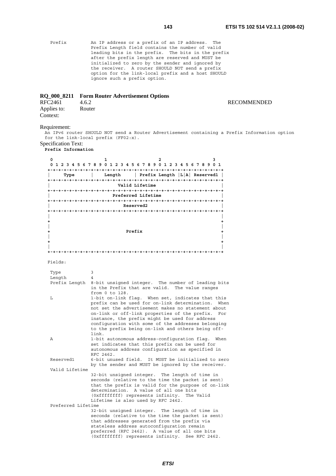Prefix An IP address or a prefix of an IP address. The Prefix Length field contains the number of valid leading bits in the prefix. The bits in the prefix after the prefix length are reserved and MUST be initialized to zero by the sender and ignored by the receiver. A router SHOULD NOT send a prefix option for the link-local prefix and a host SHOULD ignore such a prefix option.

# **RQ\_000\_8211 Form Router Advertisement Options**

| RFC2461     | 4.6.2  | <b>RECOMMENDED</b> |
|-------------|--------|--------------------|
| Applies to: | Router |                    |
| Context:    |        |                    |

# Requirement:

An IPv6 router SHOULD NOT send a Router Advertisement containing a Prefix Information option for the link-local prefix (FF02:x).

# Specification Text:

**Prefix Information** 

| 0                  | 2<br>3<br>1<br>0 1 2 3 4 5 6 7 8 9 0 1 2 3 4 5 6 7 8 9 0 1 2 3 4 5 6 7 8 9 0 1                                                                                                                                                                                                                                                                                                                 |  |
|--------------------|------------------------------------------------------------------------------------------------------------------------------------------------------------------------------------------------------------------------------------------------------------------------------------------------------------------------------------------------------------------------------------------------|--|
| Type               | Length $ $ Prefix Length $ L A $ Reserved1  <br>$\mathbb{R}$                                                                                                                                                                                                                                                                                                                                   |  |
|                    | Valid Lifetime                                                                                                                                                                                                                                                                                                                                                                                 |  |
|                    | Preferred Lifetime                                                                                                                                                                                                                                                                                                                                                                             |  |
|                    |                                                                                                                                                                                                                                                                                                                                                                                                |  |
| <b>Reserved2</b>   |                                                                                                                                                                                                                                                                                                                                                                                                |  |
|                    | Prefix                                                                                                                                                                                                                                                                                                                                                                                         |  |
|                    |                                                                                                                                                                                                                                                                                                                                                                                                |  |
|                    |                                                                                                                                                                                                                                                                                                                                                                                                |  |
| Fields:            |                                                                                                                                                                                                                                                                                                                                                                                                |  |
| Type<br>Length     | 3<br>4                                                                                                                                                                                                                                                                                                                                                                                         |  |
| Prefix Length      | 8-bit unsigned integer. The number of leading bits<br>in the Prefix that are valid. The value ranges<br>from 0 to 128.                                                                                                                                                                                                                                                                         |  |
| L                  | 1-bit on-link flag. When set, indicates that this<br>prefix can be used for on-link determination.<br>When<br>not set the advertisement makes no statement about<br>on-link or off-link properties of the prefix.<br>For<br>instance, the prefix might be used for address<br>configuration with some of the addresses belonging<br>to the prefix being on-link and others being off-<br>link. |  |
| Α                  | 1-bit autonomous address-configuration flag.<br>When<br>set indicates that this prefix can be used for<br>autonomous address configuration as specified in<br>RFC 2462.                                                                                                                                                                                                                        |  |
| Reserved1          | 6-bit unused field. It MUST be initialized to zero<br>by the sender and MUST be ignored by the receiver.                                                                                                                                                                                                                                                                                       |  |
| Valid Lifetime     |                                                                                                                                                                                                                                                                                                                                                                                                |  |
|                    | 32-bit unsigned integer. The length of time in<br>seconds (relative to the time the packet is sent)<br>that the prefix is valid for the purpose of on-link<br>determination. A value of all one bits<br>(Oxfffffffff) represents infinity.<br>The Valid<br>Lifetime is also used by RFC 2462.                                                                                                  |  |
| Preferred Lifetime | 32-bit unsigned integer. The length of time in<br>seconds (relative to the time the packet is sent)<br>that addresses generated from the prefix via<br>stateless address autoconfiguration remain<br>preferred (RFC 2462). A value of all one bits<br>(Oxffffffff) represents infinity. See RFC 2462.                                                                                          |  |

# *ETSI*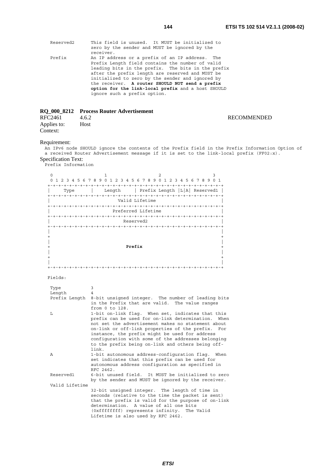| Reserved2 | This field is unused. It MUST be initialized to<br>zero by the sender and MUST be ignored by the<br>receiver.                                                                                                                                                                                                                                                                                              |  |
|-----------|------------------------------------------------------------------------------------------------------------------------------------------------------------------------------------------------------------------------------------------------------------------------------------------------------------------------------------------------------------------------------------------------------------|--|
| Prefix    | An IP address or a prefix of an IP address. The<br>Prefix Length field contains the number of valid<br>leading bits in the prefix. The bits in the prefix<br>after the prefix length are reserved and MUST be<br>initialized to zero by the sender and ignored by<br>the receiver. A router SHOULD NOT send a prefix<br>option for the link-local prefix and a host SHOULD<br>ignore such a prefix option. |  |

# **RQ\_000\_8212 Process Router Advertisement**

| RFC2461                 | 4.6.2 | <b>RECOMMENDED</b> |
|-------------------------|-------|--------------------|
| Applies to:<br>Context: | Host  |                    |

# Requirement:

An IPv6 node SHOULD ignore the contents of the Prefix field in the Prefix Information Option of a received Router Advertisement message if it is set to the link-local prefix (FF02:x). Specification Text:

Prefix Information

| $\Omega$       | 1<br>2<br>3                                                                                          |
|----------------|------------------------------------------------------------------------------------------------------|
|                | 0 1 2 3 4 5 6 7 8 9 0 1 2 3 4 5 6 7 8 9 0 1 2 3 4 5 6 7 8 9 0 1                                      |
|                |                                                                                                      |
| Type           | Length   Prefix Length   L A  Reserved1                                                              |
|                | Valid Lifetime                                                                                       |
|                |                                                                                                      |
|                | Preferred Lifetime                                                                                   |
|                |                                                                                                      |
|                | Reserved2                                                                                            |
|                |                                                                                                      |
|                |                                                                                                      |
|                |                                                                                                      |
|                | Prefix                                                                                               |
|                |                                                                                                      |
|                | $\ddot{}$                                                                                            |
|                |                                                                                                      |
|                |                                                                                                      |
|                |                                                                                                      |
| Fields:        |                                                                                                      |
|                |                                                                                                      |
| Type<br>Length | 3<br>4                                                                                               |
| Prefix Length  | 8-bit unsigned integer. The number of leading bits                                                   |
|                | in the Prefix that are valid. The value ranges                                                       |
|                | from 0 to 128.                                                                                       |
| L              | 1-bit on-link flag. When set, indicates that this                                                    |
|                | prefix can be used for on-link determination.<br>When                                                |
|                | not set the advertisement makes no statement about                                                   |
|                | on-link or off-link properties of the prefix.<br>For                                                 |
|                | instance, the prefix might be used for address<br>configuration with some of the addresses belonging |
|                | to the prefix being on-link and others being off-                                                    |
|                | link.                                                                                                |
| A              | 1-bit autonomous address-confiquration flag. When                                                    |
|                | set indicates that this prefix can be used for                                                       |
|                | autonomous address configuration as specified in                                                     |
|                | RFC 2462.                                                                                            |
| Reserved1      | 6-bit unused field. It MUST be initialized to zero                                                   |
|                | by the sender and MUST be ignored by the receiver.                                                   |
| Valid Lifetime | 32-bit unsigned integer. The length of time in                                                       |
|                | seconds (relative to the time the packet is sent)                                                    |
|                | that the prefix is valid for the purpose of on-link                                                  |
|                | determination. A value of all one bits                                                               |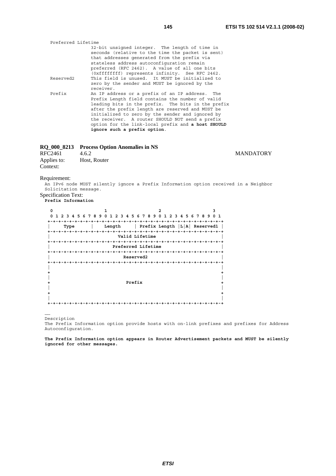| Preferred Lifetime    |                                                    |
|-----------------------|----------------------------------------------------|
|                       | 32-bit unsigned integer. The length of time in     |
|                       | seconds (relative to the time the packet is sent)  |
|                       | that addresses generated from the prefix via       |
|                       | stateless address autoconfiguration remain         |
|                       | preferred (RFC 2462). A value of all one bits      |
|                       | (Oxfffffffff) represents infinity. See RFC 2462.   |
| Reserved <sub>2</sub> | This field is unused. It MUST be initialized to    |
|                       | zero by the sender and MUST be ignored by the      |
|                       | receiver.                                          |
| Prefix                | An IP address or a prefix of an IP address. The    |
|                       | Prefix Length field contains the number of valid   |
|                       | leading bits in the prefix. The bits in the prefix |
|                       | after the prefix length are reserved and MUST be   |
|                       | initialized to zero by the sender and ignored by   |
|                       | the receiver. A router SHOULD NOT send a prefix    |
|                       | option for the link-local prefix and a host SHOULD |
|                       | ignore such a prefix option.                       |

# **RQ\_000\_8213 Process Option Anomalies in NS**

| RFC2461     | 4.6.2        |
|-------------|--------------|
| Applies to: | Host, Router |
| Context:    |              |

**MANDATORY** 

Requirement:

An IPv6 node MUST silently ignore a Prefix Information option received in a Neighbor Solicitation message. Specification Text:

**Prefix Information** 

| 0<br>5.<br>8<br>9<br>67<br>2 | 5<br>6<br>o<br>3<br>4<br>2 | 78<br>9<br>3<br>2<br>4          | 0 1<br>78<br>56<br>9 |
|------------------------------|----------------------------|---------------------------------|----------------------|
|                              |                            |                                 |                      |
| Type                         | Length                     | Prefix Length $ L A $ Reserved1 |                      |
|                              |                            |                                 |                      |
|                              | Valid Lifetime             |                                 |                      |
|                              |                            |                                 |                      |
|                              | Preferred Lifetime         |                                 |                      |
|                              | -------                    |                                 |                      |
|                              | Reserved2                  |                                 |                      |
|                              |                            |                                 |                      |
|                              |                            |                                 |                      |
|                              |                            |                                 |                      |
|                              |                            |                                 |                      |
|                              | Prefix                     |                                 |                      |
|                              |                            |                                 |                      |
|                              |                            |                                 |                      |
|                              |                            |                                 |                      |
|                              |                            |                                 |                      |

…… Description

The Prefix Information option provide hosts with on-link prefixes and prefixes for Address Autoconfiguration.

**The Prefix Information option appears in Router Advertisement packets and MUST be silently ignored for other messages.**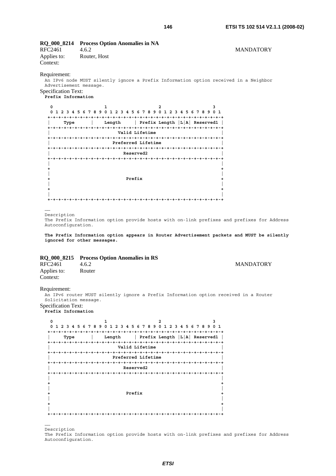# **RQ\_000\_8214 Process Option Anomalies in NA**

RFC2461 4.6.2 MANDATORY Applies to: Router, Host Context:

#### Requirement:

An IPv6 node MUST silently ignore a Prefix Information option received in a Neighbor Advertisement message.

# Specification Text:

**Prefix Information** 

| 0<br>9<br>0<br>8<br>5<br>6<br>2<br>4<br>7 | 0<br>5<br>6<br>2<br>3<br>4 | 2<br>78<br>9<br>0<br>5.<br>4<br>з<br>$\mathbf{z}$ | 78<br>0 1<br>9<br>6 |
|-------------------------------------------|----------------------------|---------------------------------------------------|---------------------|
| Type                                      | Length                     | Prefix Length $ L A $ Reservedl                   |                     |
|                                           | Valid Lifetime             |                                                   |                     |
|                                           | Preferred Lifetime         |                                                   |                     |
|                                           | Reserved2                  |                                                   |                     |
|                                           |                            |                                                   |                     |
|                                           | Prefix                     |                                                   |                     |
|                                           |                            |                                                   |                     |

…… Description

The Prefix Information option provide hosts with on-link prefixes and prefixes for Address Autoconfiguration.

**The Prefix Information option appears in Router Advertisement packets and MUST be silently ignored for other messages.**

# **RQ\_000\_8215 Process Option Anomalies in RS**

| RFC2461     | 4.6.2  |
|-------------|--------|
| Applies to: | Router |
| Context:    |        |

# **MANDATORY**

Requirement:

An IPv6 router MUST silently ignore a Prefix Information option received in a Router Solicitation message.

Specification Text: **Prefix Information** 

> **0** 1 2 3  **0 1 2 3 4 5 6 7 8 9 0 1 2 3 4 5 6 7 8 9 0 1 2 3 4 5 6 7 8 9 0 1 +-+-+-+-+-+-+-+-+-+-+-+-+-+-+-+-+-+-+-+-+-+-+-+-+-+-+-+-+-+-+-+-+ | Type | Length | Prefix Length |L|A| Reserved1 | +-+-+-+-+-+-+-+-+-+-+-+-+-+-+-+-+-+-+-+-+-+-+-+-+-+-+-+-+-+-+-+-+ | Valid Lifetime | +-+-+-+-+-+-+-+-+-+-+-+-+-+-+-+-+-+-+-+-+-+-+-+-+-+-+-+-+-+-+-+-+ | Preferred Lifetime | +-+-+-+-+-+-+-+-+-+-+-+-+-+-+-+-+-+-+-+-+-+-+-+-+-+-+-+-+-+-+-+-+ | Reserved2 | +-+-+-+-+-+-+-+-+-+-+-+-+-+-+-+-+-+-+-+-+-+-+-+-+-+-+-+-+-+-+-+-+ | | +**  $\frac{1}{2}$  +  $\frac{1}{2}$  +  $\frac{1}{2}$  +  $\frac{1}{2}$  +  $\frac{1}{2}$  +  $\frac{1}{2}$  +  $\frac{1}{2}$  +  $\frac{1}{2}$  +  $\frac{1}{2}$  +  $\frac{1}{2}$  +  $\frac{1}{2}$  +  $\frac{1}{2}$  +  $\frac{1}{2}$  +  $\frac{1}{2}$  +  $\frac{1}{2}$  +  $\frac{1}{2}$  +  $\frac{1}{2}$  +  $\frac{1}{2}$  +  **| | + Prefix + | | + + | | +-+-+-+-+-+-+-+-+-+-+-+-+-+-+-+-+-+-+-+-+-+-+-+-+-+-+-+-+-+-+-+-+**

…… Description

The Prefix Information option provide hosts with on-link prefixes and prefixes for Address Autoconfiguration.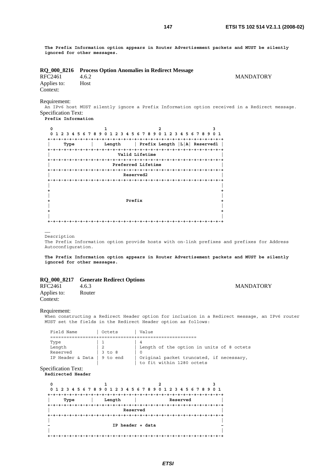**The Prefix Information option appears in Router Advertisement packets and MUST be silently ignored for other messages.**

|  |  |  | RQ_000_8216 Process Option Anomalies in Redirect Message |  |
|--|--|--|----------------------------------------------------------|--|
|--|--|--|----------------------------------------------------------|--|

RFC2461 4.6.2 MANDATORY<br>Applies to: Host Applies to: Context:

Requirement:

An IPv6 host MUST silently ignore a Prefix Information option received in a Redirect message. Specification Text:

**Prefix Information** 

| 0<br>6789<br>2<br>5<br>4 | 789<br>0<br>2.<br>з.<br>5<br>6.<br>4 | 56<br><sup>0</sup><br>1.<br>2<br>з<br>4 | 0 <sub>1</sub><br>789 |
|--------------------------|--------------------------------------|-----------------------------------------|-----------------------|
|                          |                                      |                                         |                       |
| Type                     | Length                               | Prefix Length  L A  Reserved1           |                       |
|                          |                                      | -+-+-+-+                                |                       |
|                          | Valid Lifetime                       |                                         |                       |
|                          |                                      |                                         |                       |
|                          | Preferred Lifetime                   |                                         |                       |
|                          |                                      |                                         |                       |
|                          | Reserved2                            |                                         |                       |
|                          |                                      |                                         |                       |
|                          |                                      |                                         |                       |
|                          |                                      |                                         |                       |
|                          |                                      |                                         |                       |
|                          |                                      |                                         |                       |
|                          | Prefix                               |                                         |                       |
|                          |                                      |                                         |                       |
|                          |                                      |                                         |                       |
|                          |                                      |                                         |                       |
|                          |                                      |                                         |                       |

…… Description

The Prefix Information option provide hosts with on-link prefixes and prefixes for Address Autoconfiguration.

**The Prefix Information option appears in Router Advertisement packets and MUST be silently ignored for other messages.**

# **RQ\_000\_8217 Generate Redirect Options**

| RFC2461                 | 4.6.3  | <b>MANDATORY</b> |
|-------------------------|--------|------------------|
| Applies to:<br>Context: | Router |                  |

# Requirement:

When constructing a Redirect Header option for inclusion in a Redirect message, an IPv6 router MUST set the fields in the Redirect Header option as follows:

| Field Name       | Octets         | Value                                     |
|------------------|----------------|-------------------------------------------|
|                  |                |                                           |
| Type             |                |                                           |
| Length           | 2 <sup>2</sup> | Length of the option in units of 8 octets |
| Reserved         | 3 to 8         |                                           |
| IP Header & Data | 9 to end       | Original packet truncated, if necessary,  |
|                  |                | to fit within 1280 octets                 |

Specification Text:

**Redirected Header** 

| 0    | 0 1 2 3 4 5 6 7 8 9 0 1 2 3 4 5 6 7 8 9 0 1 2 3 4 5 6 7 8 9 0 1 |          |  |
|------|-----------------------------------------------------------------|----------|--|
|      |                                                                 |          |  |
| Type | Length                                                          | Reserved |  |
|      |                                                                 |          |  |
|      | Reserved                                                        |          |  |
|      |                                                                 |          |  |
|      | IP header + data                                                |          |  |
|      |                                                                 |          |  |
|      |                                                                 |          |  |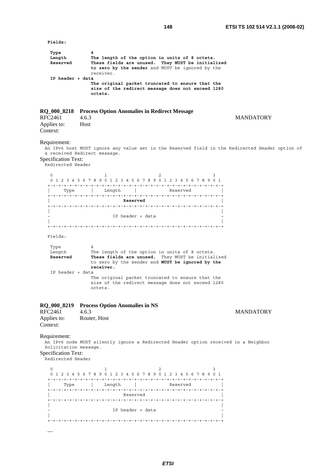| Fields:                                                                                  |                                                                                                                                                                           |          |                  |
|------------------------------------------------------------------------------------------|---------------------------------------------------------------------------------------------------------------------------------------------------------------------------|----------|------------------|
| Type<br>Length<br>Reserved                                                               | 4<br>The length of the option in units of 8 octets.<br>These fields are unused. They MUST be initialized<br>to zero by the sender and MUST be ignored by the<br>receiver. |          |                  |
| IP header + data                                                                         | The original packet truncated to ensure that the<br>size of the redirect message does not exceed 1280<br>octets.                                                          |          |                  |
| RFC2461<br>Applies to:<br>Context:                                                       | RQ_000_8218 Process Option Anomalies in Redirect Message<br>4.6.3<br>Host                                                                                                 |          | <b>MANDATORY</b> |
| Requirement:<br><b>Specification Text:</b><br>Redirected Header                          | An IPv6 host MUST ignore any value set in the Reserved field in the Redirected Header option of<br>a received Redirect message.                                           |          |                  |
| $\mathbf 0$                                                                              | 1<br>0 1 2 3 4 5 6 7 8 9 0 1 2 3 4 5 6 7 8 9 0 1 2 3 4 5 6 7 8 9 0 1<br>Type   Length   Reserved<br>Reserved                                                              | 2<br>3   |                  |
| Fields:                                                                                  | IP header + data                                                                                                                                                          |          |                  |
| Type<br>Length<br>Reserved                                                               | 4<br>The length of the option in units of 8 octets.<br>These fields are unused. They MUST be initialized<br>to zero by the sender and MUST be ignored by the<br>receiver. |          |                  |
| IP header + data                                                                         | The original packet truncated to ensure that the<br>size of the redirect message does not exceed 1280<br>octets.                                                          |          |                  |
| RQ_000_8219<br>RFC2461<br>Applies to:<br>Context:                                        | <b>Process Option Anomalies in NS</b><br>4.6.3<br>Router, Host                                                                                                            |          | <b>MANDATORY</b> |
| Requirement:<br>Solicitation message.<br><b>Specification Text:</b><br>Redirected Header | An IPv6 node MUST silently ignore a Redirected Header option received in a Neighbor                                                                                       |          |                  |
| 0                                                                                        | 1<br>0 1 2 3 4 5 6 7 8 9 0 1 2 3 4 5 6 7 8 9 0 1 2 3 4 5 6 7 8 9 0 1                                                                                                      | 2<br>3   |                  |
| Type                                                                                     | l Length                                                                                                                                                                  | Reserved |                  |
|                                                                                          | Reserved                                                                                                                                                                  |          |                  |
|                                                                                          | IP header + data                                                                                                                                                          |          |                  |
|                                                                                          |                                                                                                                                                                           |          |                  |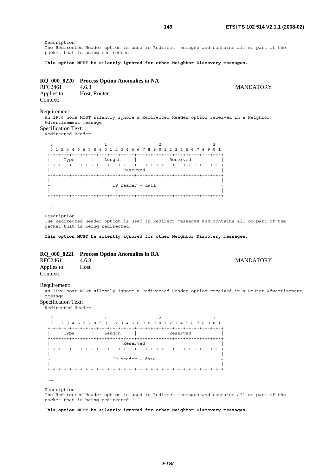Description The Redirected Header option is used in Redirect messages and contains all or part of the packet that is being redirected.

**This option MUST be silently ignored for other Neighbor Discovery messages.**

|         | RQ_000_8220 Process Option Anomalies in NA |
|---------|--------------------------------------------|
| RFC2461 | 4.6.3                                      |

**MANDATORY** 

Applies to: Host, Router Context:

Requirement:

An IPv6 node MUST silently ignore a Redirected Header option received in a Neighbor Advertisement message.

# Specification Text:

.<br>Redirected Header

| 0         | 0 1 2 3 4 5 6 7 8 9 0 1 2 3 4 5 6 7 8 9 0 1 2 3 4 5 6 7 8 9 0 1 |          |  |
|-----------|-----------------------------------------------------------------|----------|--|
|           |                                                                 |          |  |
| Type      | Length                                                          | Reserved |  |
|           | Reserved                                                        |          |  |
|           |                                                                 |          |  |
|           | IP header + data                                                |          |  |
| $+ - + -$ |                                                                 |          |  |

……

Description

The Redirected Header option is used in Redirect messages and contains all or part of the packet that is being redirected.

**This option MUST be silently ignored for other Neighbor Discovery messages.**

# **RQ\_000\_8221 Process Option Anomalies in RA**

| RFC2461                 | 4.6.3 | <b>MANDATORY</b> |
|-------------------------|-------|------------------|
| Applies to:<br>Context: | Host  |                  |

#### Requirement:

An IPv6 host MUST silently ignore a Redirected Header option received in a Router Advertisement message.

Specification Text:

Redirected Header

| O                                                               |                  |          |                    |
|-----------------------------------------------------------------|------------------|----------|--------------------|
| 0 1 2 3 4 5 6 7 8 9 0 1 2 3 4 5 6 7 8 9 0 1 2 3 4 5 6 7 8 9 0 1 |                  |          |                    |
|                                                                 |                  |          | $- + - +$          |
| Type                                                            | Length           | Reserved |                    |
| $+ - + - + - + - + - +$                                         |                  |          | -+-+-+-+-+-+-+-+-+ |
|                                                                 | Reserved         |          |                    |
|                                                                 |                  |          |                    |
|                                                                 |                  |          |                    |
|                                                                 | IP header + data |          |                    |
|                                                                 |                  |          |                    |
|                                                                 |                  |          |                    |

……

Description The Redirected Header option is used in Redirect messages and contains all or part of the packet that is being redirected.

**This option MUST be silently ignored for other Neighbor Discovery messages.**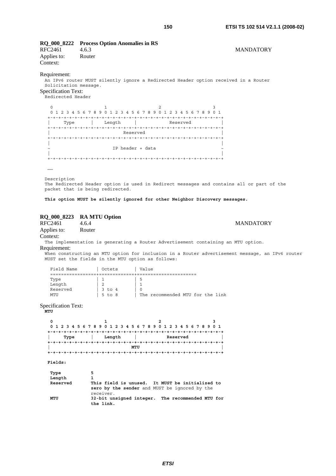# **RQ\_000\_8222 Process Option Anomalies in RS**

RFC2461 4.6.3 MANDATORY Applies to: Router Context:

# Requirement:

An IPv6 router MUST silently ignore a Redirected Header option received in a Router Solicitation message. Specification Text:

.<br>Redirected Header

| 0    | 0 1 2 3 4 5 6 7 8 9 0 1 2 3 4 5 6 7 8 9 0 1 2 3 4 5 6 7 8 9 0 1 |          |  |
|------|-----------------------------------------------------------------|----------|--|
|      |                                                                 |          |  |
| Type | Length                                                          | Reserved |  |
|      |                                                                 |          |  |
|      | Reserved                                                        |          |  |
|      |                                                                 |          |  |
|      |                                                                 |          |  |
|      | IP header + data                                                |          |  |
|      |                                                                 |          |  |
|      |                                                                 |          |  |

……

Description

The Redirected Header option is used in Redirect messages and contains all or part of the packet that is being redirected.

**This option MUST be silently ignored for other Neighbor Discovery messages.**

# **RQ\_000\_8223 RA MTU Option**

RFC2461 4.6.4 MANDATORY Applies to: Router Context:

The implementation is generating a Router Advertisement containing an MTU option.

# Requirement:

When constructing an MTU option for inclusion in a Router advertisement message, an IPv6 router MUST set the fields in the MTU option as follows:

| Field Name | Octets         | Value                            |
|------------|----------------|----------------------------------|
|            |                |                                  |
| Type       |                | د.                               |
| Length     | $\mathfrak{D}$ |                                  |
| Reserved   | 3 to 4         |                                  |
| MTTT       | $5$ to $8$     | The recommended MTU for the link |
|            |                |                                  |

Specification Text:

**MTU** 

| 0       |        | 0 1 2 3 4 5 6 7 8 9 0 1 2 3 4 5 6 7 8 9 0 1 2 3 4 5 6 7 8 9 0 1 |  |
|---------|--------|-----------------------------------------------------------------|--|
| Type    | Length | Reserved                                                        |  |
|         |        | MTU                                                             |  |
| Fields: |        |                                                                 |  |

| Type     |                                                                                                  |
|----------|--------------------------------------------------------------------------------------------------|
| Length   |                                                                                                  |
| Reserved | This field is unused. It MUST be initialized to<br>zero by the sender and MUST be ignored by the |
| MTU      | receiver.<br>32-bit unsigned integer. The recommended MTU for<br>the link.                       |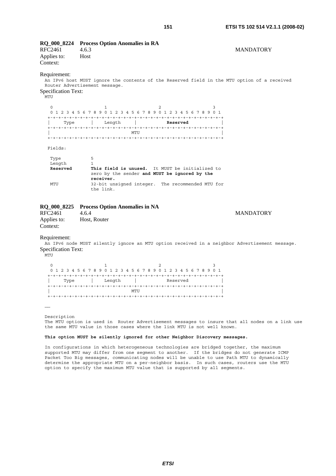| <b>RFC2461</b><br>Applies to:<br>Context:                | RQ_000_8224 Process Option Anomalies in RA<br>4.6.3<br>Host                                                                  | <b>MANDATORY</b> |
|----------------------------------------------------------|------------------------------------------------------------------------------------------------------------------------------|------------------|
| Requirement:<br><b>Specification Text:</b><br>MTU        | An IPv6 host MUST ignore the contents of the Reserved field in the MTU option of a received<br>Router Advertisement message. |                  |
| 0                                                        | 1<br>2<br>3<br>0 1 2 3 4 5 6 7 8 9 0 1 2 3 4 5 6 7 8 9 0 1 2 3 4 5 6 7 8 9 0 1                                               |                  |
| Type<br>Fields:                                          | Length<br>Reserved<br>MTU                                                                                                    |                  |
| Type<br>Length<br>Reserved                               | 5<br>1<br>This field is unused. It MUST be initialized to<br>zero by the sender and MUST be ignored by the<br>receiver.      |                  |
| MTU                                                      | 32-bit unsigned integer. The recommended MTU for<br>the link.                                                                |                  |
| <b>RQ_000_8225</b><br>RFC2461<br>Applies to:<br>Context: | <b>Process Option Anomalies in NA</b><br>4.6.4<br>Host, Router                                                               | <b>MANDATORY</b> |
| Requirement:<br><b>Specification Text:</b><br>MTU        | An IPv6 node MUST silently ignore an MTU option received in a neighbor Advertisement message                                 |                  |
| 0                                                        | 1<br>2<br>3<br>0 1 2 3 4 5 6 7 8 9 0 1 2 3 4 5 6 7 8 9 0 1 2 3 4 5 6 7 8 9 0 1                                               |                  |

| 0 1 2 3 4 5 6 7 8 9 0 1 2 3 4 5 6 7 8 9 0 1 2 3 4 5 6 7 8 9 0 1 |      |  |  |        |  |  |             |  |  |          |  |  |  |  |  |
|-----------------------------------------------------------------|------|--|--|--------|--|--|-------------|--|--|----------|--|--|--|--|--|
|                                                                 |      |  |  |        |  |  |             |  |  |          |  |  |  |  |  |
|                                                                 | Type |  |  | Length |  |  |             |  |  | Reserved |  |  |  |  |  |
|                                                                 |      |  |  |        |  |  |             |  |  |          |  |  |  |  |  |
|                                                                 |      |  |  |        |  |  | <b>MTTT</b> |  |  |          |  |  |  |  |  |
|                                                                 |      |  |  |        |  |  |             |  |  |          |  |  |  |  |  |

……

Description The MTU option is used in Router Advertisement messages to insure that all nodes on a link use the same MTU value in those cases where the link MTU is not well known.

# **This option MUST be silently ignored for other Neighbor Discovery messages.**

In configurations in which heterogeneous technologies are bridged together, the maximum supported MTU may differ from one segment to another. If the bridges do not generate ICMP Packet Too Big messages, communicating nodes will be unable to use Path MTU to dynamically determine the appropriate MTU on a per-neighbor basis. In such cases, routers use the MTU option to specify the maximum MTU value that is supported by all segments.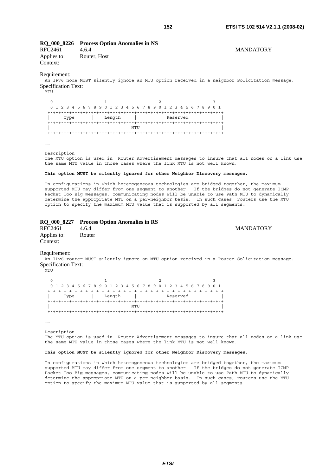# **RQ\_000\_8226 Process Option Anomalies in NS**

RFC2461 4.6.4 MANDATORY Applies to: Router, Host Context:

#### Requirement:

An IPv6 node MUST silently ignore an MTU option received in a neighbor Solicitation message. Specification Text:

.<br>MTU

0  $1$  2 3 0 1 2 3 4 5 6 7 8 9 0 1 2 3 4 5 6 7 8 9 0 1 2 3 4 5 6 7 8 9 0 1 +-+-+-+-+-+-+-+-+-+-+-+-+-+-+-+-+-+-+-+-+-+-+-+-+-+-+-+-+-+-+-+-+ | Type | Length | Reserved | +-+-+-+-+-+-+-+-+-+-+-+-+-+-+-+-+-+-+-+-+-+-+-+-+-+-+-+-+-+-+-+-+ | MTU | MTU | MTU | MTU | MTU | MTU | MTU | MTU | MTU | MTU | MTU | MTU | MTU | MTU | MTU | MTU | MTU | MTU | M +-+-+-+-+-+-+-+-+-+-+-+-+-+-+-+-+-+-+-+-+-+-+-+-+-+-+-+-+-+-+-+-+

……

Description

The MTU option is used in Router Advertisement messages to insure that all nodes on a link use the same MTU value in those cases where the link MTU is not well known.

#### **This option MUST be silently ignored for other Neighbor Discovery messages.**

In configurations in which heterogeneous technologies are bridged together, the maximum supported MTU may differ from one segment to another. If the bridges do not generate ICMP Packet Too Big messages, communicating nodes will be unable to use Path MTU to dynamically determine the appropriate MTU on a per-neighbor basis. In such cases, routers use the MTU option to specify the maximum MTU value that is supported by all segments.

# **RQ\_000\_8227 Process Option Anomalies in RS**  RFC2461 4.6.4 MANDATORY

Applies to: Router Context:

Requirement:

An IPv6 router MUST silently ignore an MTU option received in a Router Solicitation message. Specification Text:

.<br>MTU

| 0 1 2 3 4 5 6 7 8 9 0 1 2 3 4 5 6 7 8 9 0 1 2 3 4 5 6 7 8 9 0 1 |  |      |  |  |  |  |  |        |  |      |  |  |  |  |          |  |  |  |  |
|-----------------------------------------------------------------|--|------|--|--|--|--|--|--------|--|------|--|--|--|--|----------|--|--|--|--|
|                                                                 |  |      |  |  |  |  |  |        |  |      |  |  |  |  |          |  |  |  |  |
|                                                                 |  | Type |  |  |  |  |  | Length |  |      |  |  |  |  | Reserved |  |  |  |  |
|                                                                 |  |      |  |  |  |  |  |        |  |      |  |  |  |  |          |  |  |  |  |
|                                                                 |  |      |  |  |  |  |  |        |  | MTTT |  |  |  |  |          |  |  |  |  |
|                                                                 |  |      |  |  |  |  |  |        |  |      |  |  |  |  |          |  |  |  |  |

……

Description

The MTU option is used in Router Advertisement messages to insure that all nodes on a link use the same MTU value in those cases where the link MTU is not well known.

#### **This option MUST be silently ignored for other Neighbor Discovery messages.**

In configurations in which heterogeneous technologies are bridged together, the maximum supported MTU may differ from one segment to another. If the bridges do not generate ICMP Packet Too Big messages, communicating nodes will be unable to use Path MTU to dynamically determine the appropriate MTU on a per-neighbor basis. In such cases, routers use the MTU option to specify the maximum MTU value that is supported by all segments.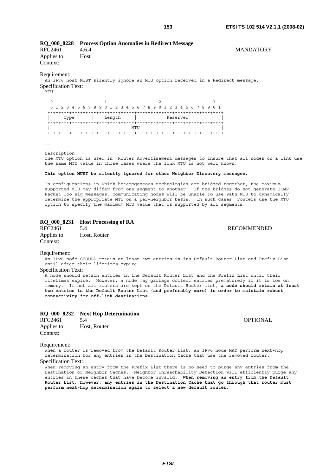The MTU option is used in Router Advertisement messages to insure that all nodes on a link use

# **This option MUST be silently ignored for other Neighbor Discovery messages.** In configurations in which heterogeneous technologies are bridged together, the maximum

the same MTU value in those cases where the link MTU is not well known.

supported MTU may differ from one segment to another. If the bridges do not generate ICMP Packet Too Big messages, communicating nodes will be unable to use Path MTU to dynamically determine the appropriate MTU on a per-neighbor basis. In such cases, routers use the MTU option to specify the maximum MTU value that is supported by all segments.

# **RQ\_000\_8231 Host Processing of RA**

RFC2461 5.4 RECOMMENDED Applies to: Host, Router Context:

Requirement:

An IPv6 node SHOULD retain at least two entries in its Default Router List and Prefix List until after their lifetimes expire.

# Specification Text:

Applies to: Host

Context:

.<br>MTU

……

Description

Requirement:

Specification Text:

A node should retain entries in the Default Router List and the Prefix List until their lifetimes expire. However, a node may garbage collect entries prematurely if it is low on memory. If not all routers are kept on the Default Router list, **a node should retain at least two entries in the Default Router List (and preferably more) in order to maintain robust connectivity for off-link destinations**.

|                         | RQ_000_8232 Next Hop Determination |                 |
|-------------------------|------------------------------------|-----------------|
| RFC2461                 |                                    | <b>OPTIONAL</b> |
| Applies to:<br>Context: | Host, Router                       |                 |

Requirement:

When a router is removed from the Default Router List, an IPv6 node MAY perform next-hop determination for any entries in the Destination Cache that use the removed router.

Specification Text:

When removing an entry from the Prefix List there is no need to purge any entries from the Destination or Neighbor Caches. Neighbor Unreachability Detection will efficiently purge any entries in these caches that have become invalid. **When removing an entry from the Default Router List, however, any entries in the Destination Cache that go through that router must perform next-hop determination again to select a new default router.**

RFC2461 4.6.4 MANDATORY

An IPv6 host MUST silently ignore an MTU option received in a Redirect message.

0  $1$  2 3 0 1 2 3 4 5 6 7 8 9 0 1 2 3 4 5 6 7 8 9 0 1 2 3 4 5 6 7 8 9 0 1 +-+-+-+-+-+-+-+-+-+-+-+-+-+-+-+-+-+-+-+-+-+-+-+-+-+-+-+-+-+-+-+-+  $|\n\begin{array}{c|c|c|c|c|c} \n\hline \n\text{Type} & \text{Length} & \text{Reserved} \n\end{array}$ 

 +-+-+-+-+-+-+-+-+-+-+-+-+-+-+-+-+-+-+-+-+-+-+-+-+-+-+-+-+-+-+-+-+ | MTU | MTU | MTU | MTU | MTU | MTU | MTU | MTU | MTU | MTU | MTU | MTU | MTU | MTU | MTU | MTU | MTU | MTU | M +-+-+-+-+-+-+-+-+-+-+-+-+-+-+-+-+-+-+-+-+-+-+-+-+-+-+-+-+-+-+-+-+

**RQ\_000\_8228 Process Option Anomalies in Redirect Message**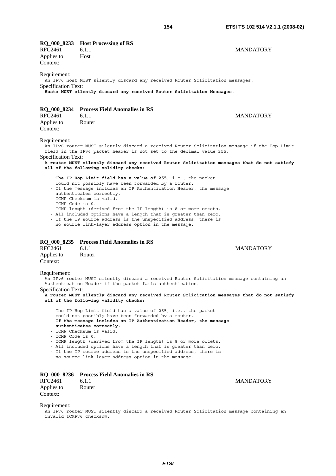| I            |  |
|--------------|--|
| I<br>۰,<br>× |  |

| <b>RFC2461</b><br>Applies to:              | RQ_000_8233 Host Processing of RS<br>6.1.1<br>Host                                                                                                                                                                                                           | MANDATORY                                                                                                                                                                                                                                                            |
|--------------------------------------------|--------------------------------------------------------------------------------------------------------------------------------------------------------------------------------------------------------------------------------------------------------------|----------------------------------------------------------------------------------------------------------------------------------------------------------------------------------------------------------------------------------------------------------------------|
| Context:                                   |                                                                                                                                                                                                                                                              |                                                                                                                                                                                                                                                                      |
| Requirement:                               |                                                                                                                                                                                                                                                              | An IPv6 host MUST silently discard any received Router Solicitation messages.                                                                                                                                                                                        |
| <b>Specification Text:</b>                 |                                                                                                                                                                                                                                                              | Hosts MUST silently discard any received Router Solicitation Messages.                                                                                                                                                                                               |
|                                            | RQ_000_8234 Process Field Anomalies in RS                                                                                                                                                                                                                    |                                                                                                                                                                                                                                                                      |
| <b>RFC2461</b>                             | 6.1.1                                                                                                                                                                                                                                                        | <b>MANDATORY</b>                                                                                                                                                                                                                                                     |
| Applies to:<br>Context:                    | Router                                                                                                                                                                                                                                                       |                                                                                                                                                                                                                                                                      |
| Requirement:<br><b>Specification Text:</b> |                                                                                                                                                                                                                                                              | An IPv6 router MUST silently discard a received Router Solicitation message if the Hop Limit<br>field in the IPv6 packet header is not set to the decimal value 255.<br>A router MUST silently discard any received Router Solicitation messages that do not satisfy |
|                                            | all of the following validity checks:                                                                                                                                                                                                                        |                                                                                                                                                                                                                                                                      |
|                                            | - The IP Hop Limit field has a value of 255, i.e., the packet                                                                                                                                                                                                |                                                                                                                                                                                                                                                                      |
|                                            | could not possibly have been forwarded by a router.<br>authenticates correctly.<br>- ICMP Checksum is valid.                                                                                                                                                 | - If the message includes an IP Authentication Header, the message                                                                                                                                                                                                   |
| - ICMP Code is 0.                          |                                                                                                                                                                                                                                                              |                                                                                                                                                                                                                                                                      |
|                                            | - ICMP length (derived from the IP length) is 8 or more octets.<br>- All included options have a length that is greater than zero.<br>- If the IP source address is the unspecified address, there is<br>no source link-layer address option in the message. |                                                                                                                                                                                                                                                                      |
|                                            | RQ_000_8235 Process Field Anomalies in RS                                                                                                                                                                                                                    |                                                                                                                                                                                                                                                                      |
| <b>RFC2461</b>                             | 6.1.1                                                                                                                                                                                                                                                        | <b>MANDATORY</b>                                                                                                                                                                                                                                                     |
| Applies to:<br>Context:                    | Router                                                                                                                                                                                                                                                       |                                                                                                                                                                                                                                                                      |
| Requirement:                               |                                                                                                                                                                                                                                                              |                                                                                                                                                                                                                                                                      |
|                                            | Authentication Header if the packet fails authentication.                                                                                                                                                                                                    | An IPv6 router MUST silently discard a received Router Solicitation message containing an                                                                                                                                                                            |
| Specification Text:                        | all of the following validity checks:                                                                                                                                                                                                                        | A router MUST silently discard any received Router Solicitation messages that do not satisfy                                                                                                                                                                         |
|                                            | - The IP Hop Limit field has a value of 255, i.e., the packet<br>could not possibly have been forwarded by a router.                                                                                                                                         |                                                                                                                                                                                                                                                                      |
|                                            | authenticates correctly.<br>- ICMP Checksum is valid.                                                                                                                                                                                                        | - If the message includes an IP Authentication Header, the message                                                                                                                                                                                                   |
| - ICMP Code is 0.                          | - ICMP length (derived from the IP length) is 8 or more octets.<br>- All included options have a length that is greater than zero.<br>- If the IP source address is the unspecified address, there is<br>no source link-layer address option in the message. |                                                                                                                                                                                                                                                                      |
|                                            |                                                                                                                                                                                                                                                              |                                                                                                                                                                                                                                                                      |
| RFC2461                                    | RQ_000_8236 Process Field Anomalies in RS<br>6.1.1                                                                                                                                                                                                           | <b>MANDATORY</b>                                                                                                                                                                                                                                                     |
| Applies to:<br>Context:                    | Router                                                                                                                                                                                                                                                       |                                                                                                                                                                                                                                                                      |

# Requirement:

An IPv6 router MUST silently discard a received Router Solicitation message containing an invalid ICMPv6 checksum.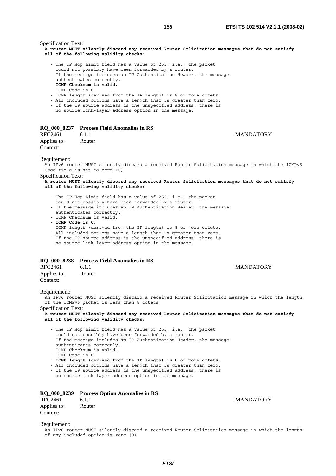Specification Text:

**A router MUST silently discard any received Router Solicitation messages that do not satisfy all of the following validity checks:**

- The IP Hop Limit field has a value of 255, i.e., the packet
- could not possibly have been forwarded by a router.
- If the message includes an IP Authentication Header, the message
- authenticates correctly. - **ICMP Checksum is valid.**
- 
- ICMP Code is 0.
- ICMP length (derived from the IP length) is 8 or more octets.
- All included options have a length that is greater than zero.
- If the IP source address is the unspecified address, there is
- no source link-layer address option in the message.

# **RQ\_000\_8237 Process Field Anomalies in RS**

RFC2461 6.1.1 6.1.1 MANDATORY Applies to: Router Context:

#### Requirement:

An IPv6 router MUST silently discard a received Router Solicitation message in which the ICMPv6 Code field is set to zero (0)

Specification Text:

**A router MUST silently discard any received Router Solicitation messages that do not satisfy all of the following validity checks:**

- The IP Hop Limit field has a value of 255, i.e., the packet
- could not possibly have been forwarded by a router.
- If the message includes an IP Authentication Header, the message authenticates correctly.
- ICMP Checksum is valid.
- **ICMP Code is 0.**
- ICMP length (derived from the IP length) is 8 or more octets.
- All included options have a length that is greater than zero.
- If the IP source address is the unspecified address, there is
- no source link-layer address option in the message.

# **RQ\_000\_8238 Process Field Anomalies in RS**

| RFC2461     | 6.1.1  |
|-------------|--------|
| Applies to: | Router |
| Context:    |        |

#### Requirement:

An IPv6 router MUST silently discard a received Router Solicitation message in which the length of the ICMPv6 packet is less than 8 octets

Specification Text:

**A router MUST silently discard any received Router Solicitation messages that do not satisfy all of the following validity checks:**

- The IP Hop Limit field has a value of 255, i.e., the packet
- could not possibly have been forwarded by a router.

 - If the message includes an IP Authentication Header, the message authenticates correctly.

- ICMP Checksum is valid.
- ICMP Code is 0.
- **ICMP length (derived from the IP length) is 8 or more octets.**
- All included options have a length that is greater than zero.

- If the IP source address is the unspecified address, there is

no source link-layer address option in the message.

|  |  | <b>RQ_000_8239</b> |  |  | <b>Process Option Anomalies in RS</b> |  |  |
|--|--|--------------------|--|--|---------------------------------------|--|--|
|--|--|--------------------|--|--|---------------------------------------|--|--|

| RFC2461     | 6.1.1  | <b>MANDATORY</b> |
|-------------|--------|------------------|
| Applies to: | Router |                  |
| Context:    |        |                  |

#### Requirement:

An IPv6 router MUST silently discard a received Router Solicitation message in which the length of any included option is zero (0)

**MANDATORY**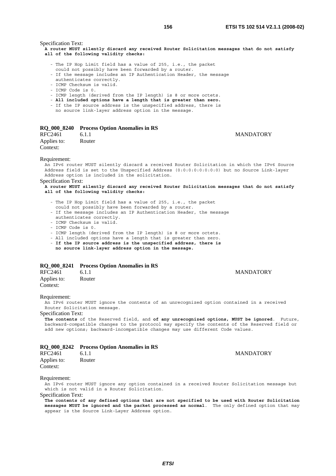Specification Text:

**A router MUST silently discard any received Router Solicitation messages that do not satisfy all of the following validity checks:**

- The IP Hop Limit field has a value of 255, i.e., the packet
- could not possibly have been forwarded by a router.
- If the message includes an IP Authentication Header, the message
- authenticates correctly. - ICMP Checksum is valid.
- 
- ICMP Code is 0.
- ICMP length (derived from the IP length) is 8 or more octets.
- **All included options have a length that is greater than zero.**
- If the IP source address is the unspecified address, there is no source link-layer address option in the message.
- 

# **RQ\_000\_8240 Process Option Anomalies in RS**

RFC2461 6.1.1 6.1.1 MANDATORY Applies to: Router Context:

#### Requirement:

An IPv6 router MUST silently discard a received Router Solicitation in which the IPv6 Source Address field is set to the Unspecified Address (0:0:0:0:0:0:0:0) but no Source Link-layer Address option is included in the solicitation. Specification Text:

**A router MUST silently discard any received Router Solicitation messages that do not satisfy all of the following validity checks:**

- The IP Hop Limit field has a value of 255, i.e., the packet
- could not possibly have been forwarded by a router.
- If the message includes an IP Authentication Header, the message authenticates correctly.
- ICMP Checksum is valid.
- ICMP Code is 0.

- ICMP length (derived from the IP length) is 8 or more octets.

- All included options have a length that is greater than zero.
- **If the IP source address is the unspecified address, there is**
- **no source link-layer address option in the message.**

# **RQ\_000\_8241 Process Option Anomalies in RS**

| RFC2461     | 6.1.1  |
|-------------|--------|
| Applies to: | Router |
| Context:    |        |

#### Requirement:

An IPv6 router MUST ignore the contents of an unrecognized option contained in a received Router Solicitation message.

Specification Text:

**The contents** of the Reserved field, and **of any unrecognized options, MUST be ignored**. Future, backward-compatible changes to the protocol may specify the contents of the Reserved field or add new options; backward-incompatible changes may use different Code values.

#### **RQ\_000\_8242 Process Option Anomalies in RS**

| RFC2461     | 6.1.1  |
|-------------|--------|
| Applies to: | Router |
| Context:    |        |

# Requirement:

An IPv6 router MUST ignore any option contained in a received Router Solicitation message but which is not valid in a Router Solicitation.

Specification Text:

**The contents of any defined options that are not specified to be used with Router Solicitation messages MUST be ignored and the packet processed as normal**. The only defined option that may appear is the Source Link-Layer Address option.

**MANDATORY** 

# **MANDATORY**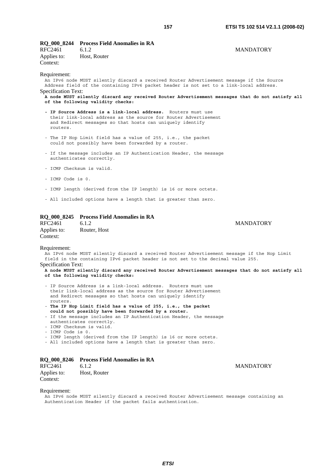**MANDATORY** 

**MANDATORY** 

| RFC2461<br>Applies to: Host, Router<br>Context: | RQ_000_8244 Process Field Anomalies in RA<br>6.1.2                                       | <b>MANDATORY</b> |
|-------------------------------------------------|------------------------------------------------------------------------------------------|------------------|
| Requirement:                                    |                                                                                          |                  |
|                                                 | An IPv6 node MUST silently discard a received Router Advertisement message if the Source |                  |
|                                                 | Address field of the containing IPv6 packet header is not set to a link-local address.   |                  |
| <b>Specification Text:</b>                      |                                                                                          |                  |

**A node MUST silently discard any received Router Advertisement messages that do not satisfy all of the following validity checks:** 

- **IP Source Address is a link-local address.** Routers must use their link-local address as the source for Router Advertisement and Redirect messages so that hosts can uniquely identify routers.
- The IP Hop Limit field has a value of 255, i.e., the packet could not possibly have been forwarded by a router.
- If the message includes an IP Authentication Header, the message authenticates correctly.
- ICMP Checksum is valid.
- ICMP Code is 0.
- ICMP length (derived from the IP length) is 16 or more octets.
- All included options have a length that is greater than zero.

# **RQ\_000\_8245 Process Field Anomalies in RA**

| <b>RFC2461</b> | 6.L. $2$     |
|----------------|--------------|
| Applies to:    | Router, Host |
| Context:       |              |

#### Requirement:

An IPv6 node MUST silently discard a received Router Advertisement message if the Hop Limit field in the containing IPv6 packet header is not set to the decimal value 255.

Specification Text:

**A node MUST silently discard any received Router Advertisement messages that do not satisfy all of the following validity checks:**

- IP Source Address is a link-local address. Routers must use their link-local address as the source for Router Advertisement and Redirect messages so that hosts can uniquely identify routers.
- **The IP Hop Limit field has a value of 255, i.e., the packet could not possibly have been forwarded by a router.**
- If the message includes an IP Authentication Header, the message authenticates correctly.
- ICMP Checksum is valid.
- ICMP Code is 0.
- ICMP length (derived from the IP length) is 16 or more octets.
- All included options have a length that is greater than zero.

# **RQ\_000\_8246 Process Field Anomalies in RA**

| RFC2461     | 6.1.2        |
|-------------|--------------|
| Applies to: | Host, Router |
| Context:    |              |

#### Requirement:

An IPv6 node MUST silently discard a received Router Advertisement message containing an Authentication Header if the packet fails authentication.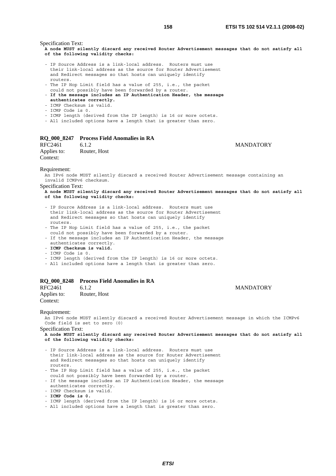Specification Text:

**A node MUST silently discard any received Router Advertisement messages that do not satisfy all of the following validity checks:**

- IP Source Address is a link-local address. Routers must use their link-local address as the source for Router Advertisement and Redirect messages so that hosts can uniquely identify routers.
- The IP Hop Limit field has a value of 255, i.e., the packet could not possibly have been forwarded by a router.
- **If the message includes an IP Authentication Header, the message**
- **authenticates correctly.**
- ICMP Checksum is valid.
- ICMP Code is 0.
- ICMP length (derived from the IP length) is 16 or more octets.
- All included options have a length that is greater than zero.

# **RQ\_000\_8247 Process Field Anomalies in RA**

RFC2461 6.1.2 MANDATORY<br>Applies to: Router, Host Router, Host Context:

#### Requirement:

An IPv6 node MUST silently discard a received Router Advertisement message containing an invalid ICMPv6 checksum.

Specification Text:

**A node MUST silently discard any received Router Advertisement messages that do not satisfy all of the following validity checks:**

- IP Source Address is a link-local address. Routers must use their link-local address as the source for Router Advertisement and Redirect messages so that hosts can uniquely identify routers.
- The IP Hop Limit field has a value of 255, i.e., the packet could not possibly have been forwarded by a router.
- If the message includes an IP Authentication Header, the message authenticates correctly.
- **ICMP Checksum is valid.**
- ICMP Code is 0.
- ICMP length (derived from the IP length) is 16 or more octets.
- All included options have a length that is greater than zero.

# **RQ\_000\_8248 Process Field Anomalies in RA**

| RFC2461     | 6.1.2        |
|-------------|--------------|
| Applies to: | Router, Host |
| Context:    |              |

#### Requirement:

An IPv6 node MUST silently discard a received Router Advertisement message in which the ICMPv6 Code field is set to zero (0)

Specification Text:

**A node MUST silently discard any received Router Advertisement messages that do not satisfy all of the following validity checks:**

- IP Source Address is a link-local address. Routers must use their link-local address as the source for Router Advertisement and Redirect messages so that hosts can uniquely identify routers.
- The IP Hop Limit field has a value of 255, i.e., the packet could not possibly have been forwarded by a router.
- If the message includes an IP Authentication Header, the message authenticates correctly.
- ICMP Checksum is valid.
- **ICMP Code is 0.**
- ICMP length (derived from the IP length) is 16 or more octets.
- All included options have a length that is greater than zero.

**MANDATORY**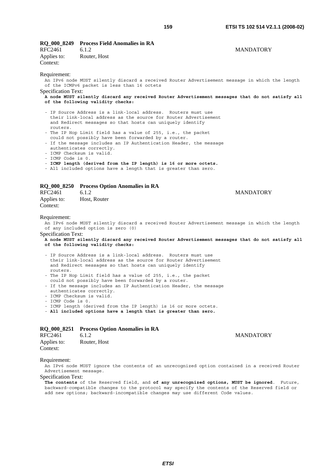**MANDATORY** 

**MANDATORY** 

| RQ_000_8249 Process Field Anomalies in RA |  |
|-------------------------------------------|--|
|-------------------------------------------|--|

| RFC2461     | 6.1.2        |
|-------------|--------------|
| Applies to: | Router, Host |
| Context:    |              |

### Requirement:

An IPv6 node MUST silently discard a received Router Advertisement message in which the length of the ICMPv6 packet is less than 16 octets

Specification Text:

**A node MUST silently discard any received Router Advertisement messages that do not satisfy all of the following validity checks:**

- IP Source Address is a link-local address. Routers must use their link-local address as the source for Router Advertisement and Redirect messages so that hosts can uniquely identify routers.
- The IP Hop Limit field has a value of 255, i.e., the packet could not possibly have been forwarded by a router.
- If the message includes an IP Authentication Header, the message authenticates correctly.
- ICMP Checksum is valid.
- ICMP Code is 0.
- **ICMP length (derived from the IP length) is 16 or more octets.**
- All included options have a length that is greater than zero.

# **RQ\_000\_8250 Process Option Anomalies in RA**

| RFC2461     | 6.1.2        |
|-------------|--------------|
| Applies to: | Host, Router |
| Context:    |              |

Requirement:

An IPv6 node MUST silently discard a received Router Advertisement message in which the length of any included option is zero (0)

# Specification Text:

- **A node MUST silently discard any received Router Advertisement messages that do not satisfy all of the following validity checks:**
- IP Source Address is a link-local address. Routers must use their link-local address as the source for Router Advertisement and Redirect messages so that hosts can uniquely identify routers.
- The IP Hop Limit field has a value of 255, i.e., the packet could not possibly have been forwarded by a router.
- If the message includes an IP Authentication Header, the message authenticates correctly.
- ICMP Checksum is valid.
- ICMP Code is 0.
- ICMP length (derived from the IP length) is 16 or more octets.
- **All included options have a length that is greater than zero.**

# **RQ\_000\_8251 Process Option Anomalies in RA**

| RFC2461     | 6.1.2        |
|-------------|--------------|
| Applies to: | Router, Host |
| Context:    |              |

**MANDATORY** 

#### Requirement:

An IPv6 node MUST ignore the contents of an unrecognized option contained in a received Router Advertisement message.

# Specification Text:

**The contents** of the Reserved field, and **of any unrecognized options, MUST be ignored**. Future, backward-compatible changes to the protocol may specify the contents of the Reserved field or add new options; backward-incompatible changes may use different Code values.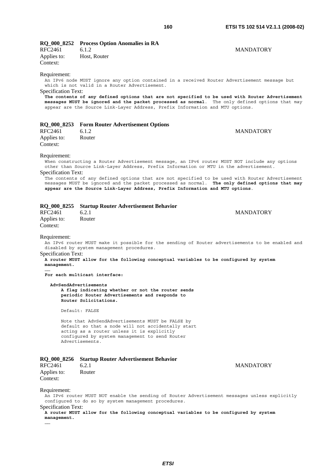|  |  | RQ_000_8252 |  |  | <b>Process Option Anomalies in RA</b> |
|--|--|-------------|--|--|---------------------------------------|
|--|--|-------------|--|--|---------------------------------------|

| RFC2461     | 6.1.2        | <b>MANDATORY</b> |
|-------------|--------------|------------------|
| Applies to: | Host, Router |                  |
| Context:    |              |                  |
| n · ·       |              |                  |

# Requirement:

An IPv6 node MUST ignore any option contained in a received Router Advertisement message but which is not valid in a Router Advertisement.

Specification Text:

**The contents of any defined options that are not specified to be used with Router Advertisement messages MUST be ignored and the packet processed as normal**. The only defined options that may appear are the Source Link-Layer Address, Prefix Information and MTU options.

|  | RQ_000_8253 Form Router Advertisement Options |
|--|-----------------------------------------------|
|--|-----------------------------------------------|

| RFC2461     | 6.1.2  |
|-------------|--------|
| Applies to: | Router |
| Context:    |        |

**MANDATORY** 

Requirement:

When constructing a Router Advertisement message, an IPv6 router MUST NOT include any options other than Source Link-Layer Address, Prefix Information or MTU in the advertisement.

Specification Text:

The contents of any defined options that are not specified to be used with Router Advertisement messages MUST be ignored and the packet processed as normal. **The only defined options that may appear are the Source Link-Layer Address, Prefix Information and MTU options**.

|  |  | RQ_000_8255 Startup Router Advertisement Behavior |  |
|--|--|---------------------------------------------------|--|
|  |  |                                                   |  |

RFC2461 6.2.1 6.2.1 MANDATORY Applies to: Router Context:

Requirement:

**……** 

An IPv6 router MUST make it possible for the sending of Router advertisements to be enabled and disabled by system management procedures.

Specification Text: **A router MUST allow for the following conceptual variables to be configured by system management.** 

**For each multicast interface:** 

 **AdvSendAdvertisements** 

 **A flag indicating whether or not the router sends periodic Router Advertisements and responds to Router Solicitations.**

Default: FALSE

 Note that AdvSendAdvertisements MUST be FALSE by default so that a node will not accidentally start acting as a router unless it is explicitly configured by system management to send Router Advertisements.

|  |  |  |  |  | RQ_000_8256 Startup Router Advertisement Behavior |  |
|--|--|--|--|--|---------------------------------------------------|--|
|--|--|--|--|--|---------------------------------------------------|--|

| RFC2461     | 6.2.1  |
|-------------|--------|
| Applies to: | Router |
| Context:    |        |

**MANDATORY** 

Requirement:

An IPv6 router MUST NOT enable the sending of Router Advertisement messages unless explicitly configured to do so by system management procedures.

Specification Text:

**A router MUST allow for the following conceptual variables to be configured by system management.** 

**……**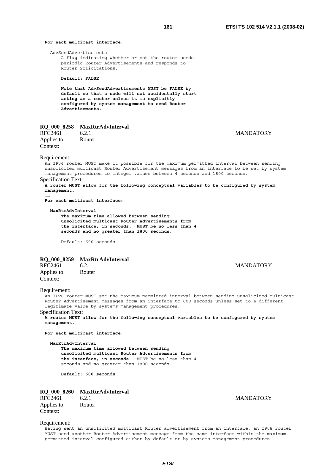# **For each multicast interface:**

AdvSendAdvertisements

 A flag indicating whether or not the router sends periodic Router Advertisements and responds to Router Solicitations.

# **Default: FALSE**

 **Note that AdvSendAdvertisements MUST be FALSE by default so that a node will not accidentally start acting as a router unless it is explicitly configured by system management to send Router Advertisements.**

# **RQ\_000\_8258 MaxRtrAdvInterval**<br>RFC2461 6.2.1

Applies to: Router Context:

## 6.2.1 MANDATORY

Requirement:

**……** 

An IPv6 router MUST make it possible for the maximum permitted interval between sending unsolicited multicast Router Advertisement messages from an interface to be set by system management procedures to integer values between 4 seconds and 1800 seconds. Specification Text:

**A router MUST allow for the following conceptual variables to be configured by system management.** 

**For each multicast interface:** 

#### **MaxRtrAdvInterval**

 **The maximum time allowed between sending unsolicited multicast Router Advertisements from the interface, in seconds. MUST be no less than 4 seconds and no greater than 1800 seconds.**

Default: 600 seconds

# **RQ\_000\_8259 MaxRtrAdvInterval**<br>RFC2461 6.2.1

Applies to: Router Context:

# **MANDATORY**

#### Requirement:

**……** 

An IPv6 router MUST set the maximum permitted interval between sending unsolicited multicast Router Advertisement messages from an interface to 600 seconds unless set to a different legitimate value by systems management procedures.

# Specification Text:

**A router MUST allow for the following conceptual variables to be configured by system management.** 

**For each multicast interface:** 

#### **MaxRtrAdvInterval**

 **The maximum time allowed between sending unsolicited multicast Router Advertisements from the interface, in seconds**. MUST be no less than 4 seconds and no greater than 1800 seconds.

**Default: 600 seconds**

# **RQ\_000\_8260 MaxRtrAdvInterval**

RFC2461 6.2.1 6.2.1 6.2.1 6.2.1 6.2.1 6.2.1 6.2.1 6.2.1 6.2.1 6.2.1 6.2.1 6.2.1 6.2.1 6.2.1 6.2.1 6.2.1 6.2.1 6.2.1 6.2.1 6.2.1 6.2.1 6.2.1 6.2.1 6.2.1 6.2.1 6.2.1 6.2.1 6.2.1 6.2.1 6.2.1 6.2.1 6.2.1 6.2.1 6.2.1 6.2.1 6.2. Applies to: Router Context:

#### Requirement:

Having sent an unsolicited multicast Router advertisement from an interface, an IPv6 router MUST send another Router Advertisement message from the same interface within the maximum permitted interval configured either by default or by systems management procedures.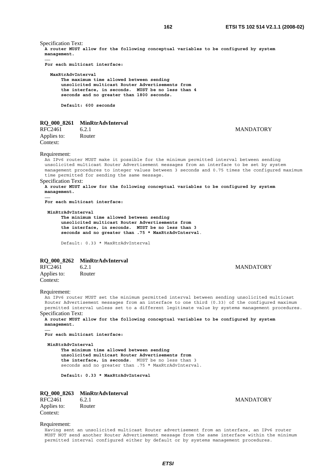Specification Text: **A router MUST allow for the following conceptual variables to be configured by system management. …… For each multicast interface: MaxRtrAdvInterval The maximum time allowed between sending unsolicited multicast Router Advertisements from the interface, in seconds. MUST be no less than 4 seconds and no greater than 1800 seconds. Default: 600 seconds**

**RQ\_000\_8261 MinRtrAdvInterval** 

RFC2461 6.2.1 6.2.1 MANDATORY Applies to: Router Context:

Requirement:

An IPv6 router MUST make it possible for the minimum permitted interval between sending unsolicited multicast Router Advertisement messages from an interface to be set by system management procedures to integer values between 3 seconds and 0.75 times the configured maximum time permitted for sending the same message.

Specification Text:

**A router MUST allow for the following conceptual variables to be configured by system management. ……** 

**For each multicast interface:** 

 **MinRtrAdvInterval** 

 **The minimum time allowed between sending unsolicited multicast Router Advertisements from the interface, in seconds. MUST be no less than 3 seconds and no greater than .75 \* MaxRtrAdvInterval**.

Default: 0.33 \* MaxRtrAdvInterval

# **RQ\_000\_8262 MinRtrAdvInterval**

RFC2461 6.2.1 MANDATORY Applies to: Router Context:

Requirement:

An IPv6 router MUST set the minimum permitted interval between sending unsolicited multicast Router Advertisement messages from an interface to one third (0.33) of the configured maximum permitted interval unless set to a different legitimate value by systems management procedures.

Specification Text:

**A router MUST allow for the following conceptual variables to be configured by system management.** 

**…… For each multicast interface:** 

 **MinRtrAdvInterval** 

 **The minimum time allowed between sending unsolicited multicast Router Advertisements from the interface, in seconds**. MUST be no less than 3 seconds and no greater than .75 \* MaxRtrAdvInterval.

**Default: 0.33 \* MaxRtrAdvInterval**

# **RQ\_000\_8263 MinRtrAdvInterval**

Applies to: Router Context:

RFC2461 6.2.1 6.2.1 MANDATORY

Requirement:

Having sent an unsolicited multicast Router advertisement from an interface, an IPv6 router MUST NOT send another Router Advertisement message from the same interface within the minimum permitted interval configured either by default or by systems management procedures.

*ETSI*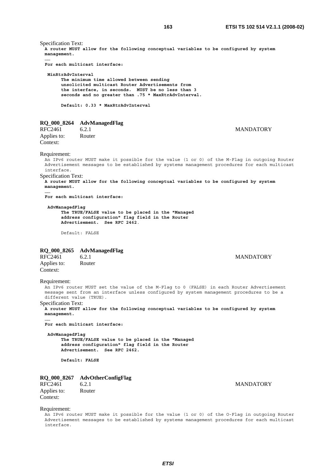Specification Text: **A router MUST allow for the following conceptual variables to be configured by system management. …… For each multicast interface: MinRtrAdvInterval The minimum time allowed between sending unsolicited multicast Router Advertisements from the interface, in seconds. MUST be no less than 3 seconds and no greater than .75 \* MaxRtrAdvInterval. Default: 0.33 \* MaxRtrAdvInterval RQ\_000\_8264 AdvManagedFlag**  RFC2461 6.2.1 6.2.1 MANDATORY Applies to: Router Context: Requirement: An IPv6 router MUST make it possible for the value (1 or 0) of the M-Flag in outgoing Router Advertisement messages to be established by systems management procedures for each multicast interface. Specification Text: **A router MUST allow for the following conceptual variables to be configured by system management. …… For each multicast interface: AdvManagedFlag The TRUE/FALSE value to be placed in the "Managed address configuration" flag field in the Router Advertisement. See RFC 2462**. Default: FALSE **RQ\_000\_8265 AdvManagedFlag**  RFC2461 6.2.1 6.2.1 MANDATORY Applies to: Router Context: Requirement: An IPv6 router MUST set the value of the M-Flag to 0 (FALSE) in each Router Advertisement message sent from an interface unless configured by system management procedures to be a different value (TRUE). Specification Text: **A router MUST allow for the following conceptual variables to be configured by system management. …… For each multicast interface: AdvManagedFlag The TRUE/FALSE value to be placed in the "Managed address configuration" flag field in the Router Advertisement. See RFC 2462. Default: FALSE RQ\_000\_8267 AdvOtherConfigFlag**  RFC2461 6.2.1 6.2.1 MANDATORY Applies to: Router

Context:

Requirement:

An IPv6 router MUST make it possible for the value (1 or 0) of the O-Flag in outgoing Router Advertisement messages to be established by systems management procedures for each multicast interface.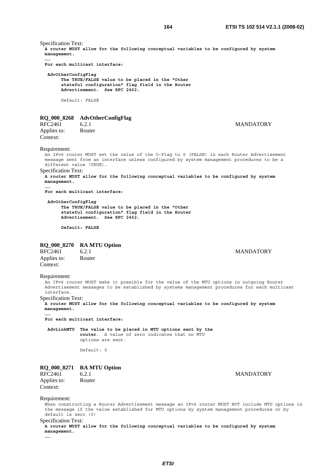Specification Text: **A router MUST allow for the following conceptual variables to be configured by system management. …… For each multicast interface: AdvOtherConfigFlag The TRUE/FALSE value to be placed in the "Other stateful configuration" flag field in the Router Advertisement. See RFC 2462.** Default: FALSE **RQ\_000\_8268 AdvOtherConfigFlag**  6.2.1 MANDATORY Applies to: Router Context: Requirement: An IPv6 router MUST set the value of the O-Flag to 0 (FALSE) in each Router Advertisement message sent from an interface unless configured by system management procedures to be a different value (TRUE). Specification Text: **A router MUST allow for the following conceptual variables to be configured by system management. …… For each multicast interface: AdvOtherConfigFlag The TRUE/FALSE value to be placed in the "Other stateful configuration" flag field in the Router Advertisement. See RFC 2462. Default: FALSE RQ\_000\_8270 RA MTU Option MANDATORY** Applies to: Router Context: Requirement: An IPv6 router MUST make it possible for the value of the MTU options in outgoing Router Advertisement messages to be established by systems management procedures for each multicast interface. Specification Text: **A router MUST allow for the following conceptual variables to be configured by system management. …… For each multicast interface: AdvLinkMTU The value to be placed in MTU options sent by the router**. A value of zero indicates that no MTU options are sent. Default: 0 **RQ\_000\_8271 RA MTU Option**  RFC2461 6.2.1 6.2.1 MANDATORY Applies to: Router Context: Requirement: When constructing a Router Advertisement message an IPv6 router MUST NOT include MTU options in

the message if the value established for MTU options by system management procedures or by default is zero (0)

Specification Text:

**A router MUST allow for the following conceptual variables to be configured by system management.** 

**……**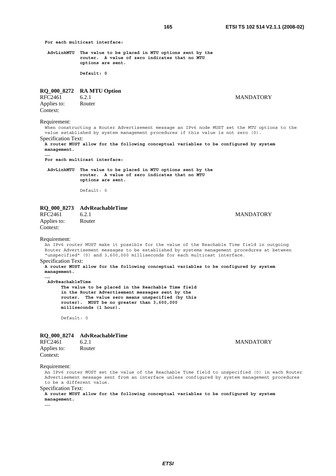**For each multicast interface:** 

 **AdvLinkMTU The value to be placed in MTU options sent by the router. A value of zero indicates that no MTU options are sent.** 

 **Default: 0**

# **RQ\_000\_8272 RA MTU Option**

RFC2461 6.2.1 MANDATORY<br>Applies to: Router Applies to: Context:

Requirement:

When constructing a Router Advertisement message an IPv6 node MUST set the MTU options to the value established by system management procedures if this value is not zero (0).

Specification Text:

**A router MUST allow for the following conceptual variables to be configured by system management. ……** 

**For each multicast interface:** 

 **AdvLinkMTU The value to be placed in MTU options sent by the router. A value of zero indicates that no MTU options are sent.**

Default: 0

# **RQ\_000\_8273 AdvReachableTime**

Applies to: Router Context:

**MANDATORY** 

#### Requirement:

**……** 

An IPv6 router MUST make it possible for the value of the Reachable Time field in outgoing Router Advertisement messages to be established by systems management procedures at between "unspecified" (0) and 3,600,000 milliseconds for each multicast interface. Specification Text:

**A router MUST allow for the following conceptual variables to be configured by system management.** 

 **AdvReachableTime** 

 **The value to be placed in the Reachable Time field in the Router Advertisement messages sent by the router. The value zero means unspecified (by this router). MUST be no greater than 3,600,000 milliseconds (1 hour).**

Default: 0

# **RQ\_000\_8274 AdvReachableTime**

| RFC2461     | 6.2.1  |
|-------------|--------|
| Applies to: | Router |
| Context:    |        |

**MANDATORY** 

#### Requirement:

An IPv6 router MUST set the value of the Reachable Time field to unspecified (0) in each Router Advertisement message sent from an interface unless configured by system management procedures to be a different value.

Specification Text:

**A router MUST allow for the following conceptual variables to be configured by system management.** 

**……**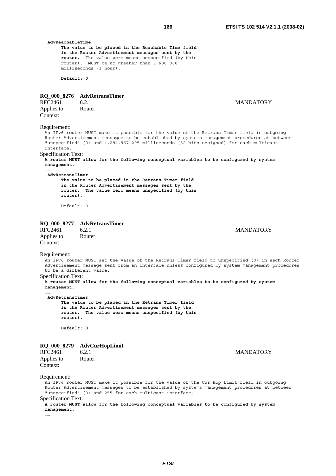**The value to be placed in the Reachable Time field in the Router Advertisement messages sent by the router.** The value zero means unspecified (by this router). MUST be no greater than 3,600,000 milliseconds (1 hour). **Default: 0 RQ\_000\_8276 AdvRetransTimer**  6.2.1 MANDATORY<br>Router Applies to: Context: Requirement:

An IPv6 router MUST make it possible for the value of the Retrans Timer field in outgoing Router Advertisement messages to be established by systems management procedures at between "unspecified" (0) and 4,294,967,295 milliseconds (32 bits unsigned) for each multicast interface.

# Specification Text:

**A router MUST allow for the following conceptual variables to be configured by system management. ……** 

# **AdvRetransTimer**

 **AdvReachableTime** 

 **The value to be placed in the Retrans Timer field in the Router Advertisement messages sent by the router. The value zero means unspecified (by this router)**.

Default: 0

### **RQ\_000\_8277 AdvRetransTimer**

| RFC2461     | 6.2.1  |  |
|-------------|--------|--|
| Applies to: | Router |  |
| Context:    |        |  |

# **MANDATORY**

# Requirement:

**……** 

An IPv6 router MUST set the value of the Retrans Timer field to unspecified (0) in each Router Advertisement message sent from an interface unless configured by system management procedures to be a different value.

# Specification Text:

**A router MUST allow for the following conceptual variables to be configured by system management.** 

 **AdvRetransTimer** 

 **The value to be placed in the Retrans Timer field in the Router Advertisement messages sent by the router. The value zero means unspecified (by this router).** 

 **Default: 0**

#### **RQ\_000\_8279 AdvCurHopLimit**

| RFC2461     | 6.2.1  |
|-------------|--------|
| Applies to: | Router |
| Context:    |        |

Requirement:

An IPv6 router MUST make it possible for the value of the Cur Hop Limit field in outgoing Router Advertisement messages to be established by systems management procedures at between "unspecified" (0) and 255 for each multicast interface. Specification Text:

**A router MUST allow for the following conceptual variables to be configured by system management.** 

**……** 

#### **MANDATORY**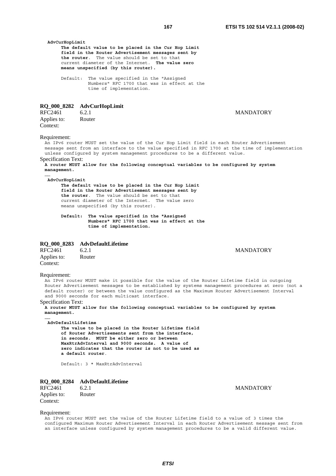**MANDATORY** 

| AdvCurHopLimit                                                                                                                                                                                                                                                                                                                                                                                                                                                                                         | The default value to be placed in the Cur Hop Limit<br>field in the Router Advertisement messages sent by<br>the router. The value should be set to that<br>current diameter of the Internet. The value zero<br>means unspecified (by this router).<br>Default: The value specified in the "Assigned<br>Numbers" RFC 1700 that was in effect at the                   |                                                                                                                                                                                                                                                                                       |
|--------------------------------------------------------------------------------------------------------------------------------------------------------------------------------------------------------------------------------------------------------------------------------------------------------------------------------------------------------------------------------------------------------------------------------------------------------------------------------------------------------|-----------------------------------------------------------------------------------------------------------------------------------------------------------------------------------------------------------------------------------------------------------------------------------------------------------------------------------------------------------------------|---------------------------------------------------------------------------------------------------------------------------------------------------------------------------------------------------------------------------------------------------------------------------------------|
|                                                                                                                                                                                                                                                                                                                                                                                                                                                                                                        | time of implementation.                                                                                                                                                                                                                                                                                                                                               |                                                                                                                                                                                                                                                                                       |
| RFC2461<br>Applies to:<br>Context:                                                                                                                                                                                                                                                                                                                                                                                                                                                                     | RQ_000_8282 AdvCurHopLimit<br>6.2.1<br>Router                                                                                                                                                                                                                                                                                                                         | <b>MANDATORY</b>                                                                                                                                                                                                                                                                      |
| Requirement:<br><b>Specification Text:</b><br>management.                                                                                                                                                                                                                                                                                                                                                                                                                                              | unless configured by system management procedures to be a different value.                                                                                                                                                                                                                                                                                            | An IPv6 router MUST set the value of the Cur Hop Limit field in each Router Advertisement<br>message sent from an interface to the value specified in RFC 1700 at the time of implementation<br>A router MUST allow for the following conceptual variables to be configured by system |
| AdvCurHopLimit<br>Default:                                                                                                                                                                                                                                                                                                                                                                                                                                                                             | The default value to be placed in the Cur Hop Limit<br>field in the Router Advertisement messages sent by<br>the router. The value should be set to that<br>current diameter of the Internet. The value zero<br>means unspecified (by this router).<br>The value specified in the "Assigned<br>Numbers" RFC 1700 that was in effect at the<br>time of implementation. |                                                                                                                                                                                                                                                                                       |
| RFC2461<br>Applies to:<br>Context:                                                                                                                                                                                                                                                                                                                                                                                                                                                                     | RQ_000_8283 AdvDefaultLifetime<br>6.2.1<br>Router                                                                                                                                                                                                                                                                                                                     | <b>MANDATORY</b>                                                                                                                                                                                                                                                                      |
| Requirement:<br>An IPv6 router MUST make it possible for the value of the Router Lifetime field in outgoing<br>Router Advertisement messages to be established by systems management procedures at zero (not a<br>default router) or between the value configured as the Maximum Router Advertisement Interval<br>and 9000 seconds for each multicast interface.<br><b>Specification Text:</b><br>A router MUST allow for the following conceptual variables to be configured by system<br>management. |                                                                                                                                                                                                                                                                                                                                                                       |                                                                                                                                                                                                                                                                                       |
| <br>AdvDefaultLifetime                                                                                                                                                                                                                                                                                                                                                                                                                                                                                 | The value to be placed in the Router Lifetime field<br>of Router Advertisements sent from the interface,<br>in seconds. MUST be either zero or between<br>MaxRtrAdvInterval and 9000 seconds. A value of<br>zero indicates that the router is not to be used as<br>a default router.                                                                                  |                                                                                                                                                                                                                                                                                       |
|                                                                                                                                                                                                                                                                                                                                                                                                                                                                                                        | Default: 3 * MaxRtrAdvInterval                                                                                                                                                                                                                                                                                                                                        |                                                                                                                                                                                                                                                                                       |
|                                                                                                                                                                                                                                                                                                                                                                                                                                                                                                        |                                                                                                                                                                                                                                                                                                                                                                       |                                                                                                                                                                                                                                                                                       |

# **RQ\_000\_8284 AdvDefaultLifetime**

| RFC2461     | 6.2.1  |
|-------------|--------|
| Applies to: | Router |
| Context:    |        |

Requirement:

An IPv6 router MUST set the value of the Router Lifetime field to a value of 3 times the configured Maximum Router Advertisement Interval in each Router Advertisement message sent from an interface unless configured by system management procedures to be a valid different value.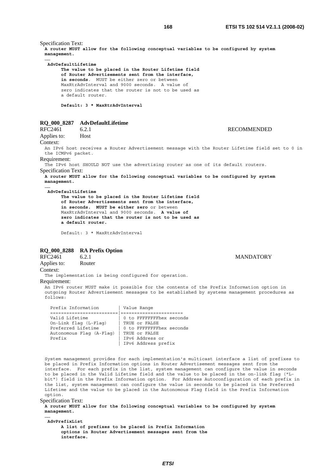Specification Text: **A router MUST allow for the following conceptual variables to be configured by system management. …… AdvDefaultLifetime The value to be placed in the Router Lifetime field of Router Advertisements sent from the interface, in seconds**. MUST be either zero or between MaxRtrAdvInterval and 9000 seconds. A value of zero indicates that the router is not to be used as a default router. **Default: 3 \* MaxRtrAdvInterval RQ\_000\_8287 AdvDefaultLifetime** 

# RFC2461 6.2.1 6.2.1

Applies to: Host

# Context:

**……** 

An IPv6 host receives a Router Advertisement message with the Router Lifetime field set to 0 in the ICMPv6 packet.

#### Requirement:

The IPv6 host SHOULD NOT use the advertising router as one of its default routers. Specification Text:

**A router MUST allow for the following conceptual variables to be configured by system management.** 

#### **AdvDefaultLifetime**

 **The value to be placed in the Router Lifetime field of Router Advertisements sent from the interface, in seconds. MUST be either zero** or between MaxRtrAdvInterval and 9000 seconds. **A value of zero indicates that the router is not to be used as a default router.**

Default: 3 \* MaxRtrAdvInterval

# **RQ\_000\_8288 RA Prefix Option**

RFC2461 6.2.1 6.2.1 MANDATORY Applies to: Router

Context:

The implementation is being configured for operation.

# Requirement:

An IPv6 router MUST make it possible for the contents of the Prefix Information option in outgoing Router Advertisement messages to be established by systems management procedures as  $f \cap 1 \cap ws$ .

| Prefix Information       | Value Range              |
|--------------------------|--------------------------|
|                          |                          |
| Valid Lifetime           | 0 to FFFFFFFFhex seconds |
| On-Link flag (L-Flag)    | TRUE Or FALSE            |
| Preferred Lifetime       | 0 to FFFFFFFFhex seconds |
| Autonomous Flaq (A-Flaq) | TRUE Or FALSE            |
| Prefix                   | IPv6 Address or          |
|                          | IPv6 Address prefix      |

System management provides for each implementation's multicast interface a list of prefixes to be placed in Prefix Information options in Router Advertisement messages sent from the interface. For each prefix in the list, system management can configure the value in seconds to be placed in the Valid Lifetime field and the value to be placed in the on-link flag ("Lbit") field in the Prefix Information option. For Address Autoconfiguration of each prefix in the list, system management can configure the value in seconds to be placed in the Preferred Lifetime and the value to be placed in the Autonomous Flag field in the Prefix Information option.

Specification Text:

**A router MUST allow for the following conceptual variables to be configured by system management. ……** 

 **AdvPrefixList A list of prefixes to be placed in Prefix Information options in Router Advertisement messages sent from the interface.**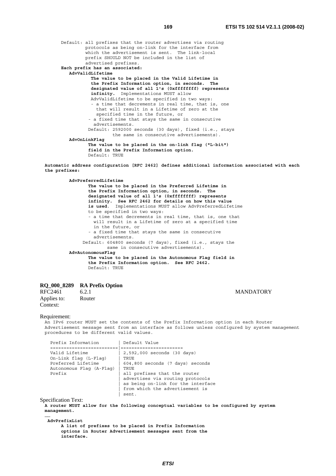Default: all prefixes that the router advertises via routing protocols as being on-link for the interface from which the advertisement is sent. The link-local prefix SHOULD NOT be included in the list of advertised prefixes. **Each prefix has an associated: AdvValidLifetime The value to be placed in the Valid Lifetime in the Prefix Information option, in seconds. The designated value of all 1's (0xffffffff) represents infinity.** Implementations MUST allow AdvValidLifetime to be specified in two ways: - a time that decrements in real time, that is, one that will result in a Lifetime of zero at the specified time in the future, or - a fixed time that stays the same in consecutive advertisements. Default: 2592000 seconds (30 days), fixed (i.e., stays the same in consecutive advertisements). **AdvOnLinkFlag The value to be placed in the on-link flag ("L-bit") field in the Prefix Information option.** Default: TRUE

**Automatic address configuration [RFC 2462] defines additional information associated with each the prefixes:** 

 **AdvPreferredLifetime The value to be placed in the Preferred Lifetime in the Prefix Information option, in seconds. The designated value of all 1's (0xffffffff) represents infinity. See RFC 2462 for details on how this value is used**. Implementations MUST allow AdvPreferredLifetime to be specified in two ways: - a time that decrements in real time, that is, one that will result in a Lifetime of zero at a specified time in the future, or - a fixed time that stays the same in consecutive advertisements. Default: 604800 seconds (7 days), fixed (i.e., stays the same in consecutive advertisements). **AdvAutonomousFlag The value to be placed in the Autonomous Flag field in the Prefix Information option. See RFC 2462.** Default: TRUE

# **RQ\_000\_8289 RA Prefix Option**

RFC2461 6.2.1 6.2.1 MANDATORY Applies to: Router Context:

Requirement:

An IPv6 router MUST set the contents of the Prefix Information option in each Router Advertisement message sent from an interface as follows unless configured by system management procedures to be different valid values.

| Prefix Information         | Default Value                      |
|----------------------------|------------------------------------|
|                            |                                    |
| Valid Lifetime             | 2,592,000 seconds (30 days)        |
| On-Link flag (L-Flag)      | TRUE                               |
| Preferred Lifetime         | 604,800 seconds (7 days) seconds   |
| Autonomous Flag (A-Flag)   | TRUE                               |
| Prefix                     | all prefixes that the router       |
|                            | advertises via routing protocols   |
|                            | as being on-link for the interface |
|                            | from which the advertisement is    |
|                            | sent.                              |
| <b>Specification Text:</b> |                                    |

**A router MUST allow for the following conceptual variables to be configured by system management.** 

**…… AdvPrefixList** 

> **A list of prefixes to be placed in Prefix Information options in Router Advertisement messages sent from the interface.**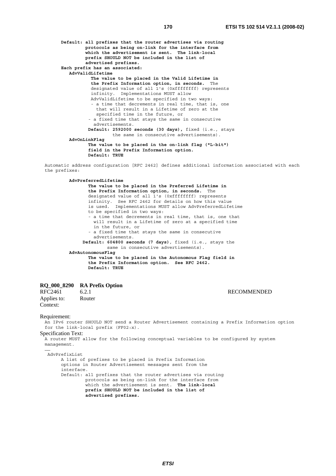**Default: all prefixes that the router advertises via routing protocols as being on-link for the interface from which the advertisement is sent. The link-local prefix SHOULD NOT be included in the list of advertised prefixes. Each prefix has an associated: AdvValidLifetime The value to be placed in the Valid Lifetime in the Prefix Information option, in seconds.** The designated value of all 1's (0xffffffff) represents infinity. Implementations MUST allow AdvValidLifetime to be specified in two ways: - a time that decrements in real time, that is, one that will result in a Lifetime of zero at the specified time in the future, or - a fixed time that stays the same in consecutive advertisements. **Default: 2592000 seconds (30 days),** fixed (i.e., stays the same in consecutive advertisements). **AdvOnLinkFlag The value to be placed in the on-link flag ("L-bit") field in the Prefix Information option. Default: TRUE**

Automatic address configuration [RFC 2462] defines additional information associated with each the prefixes:

 **AdvPreferredLifetime The value to be placed in the Preferred Lifetime in the Prefix Information option, in seconds.** The designated value of all 1's (0xffffffff) represents infinity. See RFC 2462 for details on how this value is used. Implementations MUST allow AdvPreferredLifetime to be specified in two ways: - a time that decrements in real time, that is, one that will result in a Lifetime of zero at a specified time in the future, or - a fixed time that stays the same in consecutive advertisements. **Default: 604800 seconds (7 days)**, fixed (i.e., stays the same in consecutive advertisements). **AdvAutonomousFlag The value to be placed in the Autonomous Flag field in the Prefix Information option. See RFC 2462. Default: TRUE**

# **RQ\_000\_8290 RA Prefix Option**

RFC2461 6.2.1 RECOMMENDED Applies to: Router Context:

Requirement:

An IPv6 router SHOULD NOT send a Router Advertisement containing a Prefix Information option for the link-local prefix (FF02:x).

Specification Text: A router MUST allow for the following conceptual variables to be configured by system management.

…… AdvPrefixList

> A list of prefixes to be placed in Prefix Information options in Router Advertisement messages sent from the interface. Default: all prefixes that the router advertises via routing protocols as being on-link for the interface from which the advertisement is sent. **The link-local prefix SHOULD NOT be included in the list of advertised prefixes.**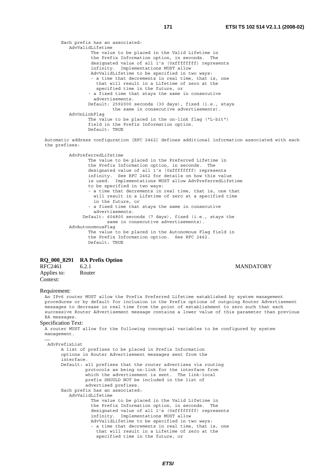Each prefix has an associated: AdvValidLifetime The value to be placed in the Valid Lifetime in the Prefix Information option, in seconds. The designated value of all 1's (0xffffffff) represents infinity. Implementations MUST allow AdvValidLifetime to be specified in two ways: - a time that decrements in real time, that is, one that will result in a Lifetime of zero at the specified time in the future, or - a fixed time that stays the same in consecutive advertisements. Default: 2592000 seconds (30 days), fixed (i.e., stays the same in consecutive advertisements). AdvOnLinkFlag The value to be placed in the on-link flag ("L-bit") field in the Prefix Information option. Default: TRUE

Automatic address configuration [RFC 2462] defines additional information associated with each the prefixes:

 AdvPreferredLifetime The value to be placed in the Preferred Lifetime in the Prefix Information option, in seconds. The designated value of all 1's (0xffffffff) represents infinity. See RFC 2462 for details on how this value is used. Implementations MUST allow AdvPreferredLifetime to be specified in two ways: - a time that decrements in real time, that is, one that will result in a Lifetime of zero at a specified time in the future, or - a fixed time that stays the same in consecutive advertisements. Default: 604800 seconds (7 days), fixed (i.e., stays the same in consecutive advertisements). AdvAutonomousFlag The value to be placed in the Autonomous Flag field in the Prefix Information option. See RFC 2462. Default: TRUE

# **RQ\_000\_8291 RA Prefix Option**

# RFC2461 6.2.1 MANDATORY Applies to: Router Context:

# Requirement:

An IPv6 router MUST allow the Prefix Preferred Lifetime established by system management procedures or by default for inclusion in the Prefix options of outgoing Router Advertisement messages to decrease in real time from the point of establishment to zero such that each successive Router Advertisement message contains a lower value of this parameter than previous RA messages.

# Specification Text:

A router MUST allow for the following conceptual variables to be configured by system management. ……

```
 AdvPrefixList 
     A list of prefixes to be placed in Prefix Information 
     options in Router Advertisement messages sent from the 
     interface. 
     Default: all prefixes that the router advertises via routing 
              protocols as being on-link for the interface from 
               which the advertisement is sent. The link-local 
              prefix SHOULD NOT be included in the list of 
               advertised prefixes. 
     Each prefix has an associated: 
        AdvValidLifetime 
                 The value to be placed in the Valid Lifetime in 
                 the Prefix Information option, in seconds. The 
                 designated value of all 1's (0xffffffff) represents 
                 infinity. Implementations MUST allow 
                 AdvValidLifetime to be specified in two ways: 
                 - a time that decrements in real time, that is, one 
                   that will result in a Lifetime of zero at the 
                   specified time in the future, or
```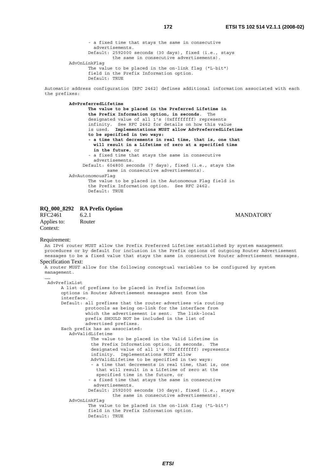- a fixed time that stays the same in consecutive advertisements. Default: 2592000 seconds (30 days), fixed (i.e., stays the same in consecutive advertisements). AdvOnLinkFlag The value to be placed in the on-link flag ("L-bit") field in the Prefix Information option.

Default: TRUE

Automatic address configuration [RFC 2462] defines additional information associated with each the prefixes:

## **AdvPreferredLifetime**

 **The value to be placed in the Preferred Lifetime in the Prefix Information option, in seconds**. The designated value of all 1's (0xffffffff) represents infinity. See RFC 2462 for details on how this value is used. **Implementations MUST allow AdvPreferredLifetime to be specified in two ways: - a time that decrements in real time, that is, one that will result in a Lifetime of zero at a specified time in the future**, or - a fixed time that stays the same in consecutive advertisements. Default: 604800 seconds (7 days), fixed (i.e., stays the same in consecutive advertisements). AdvAutonomousFlag The value to be placed in the Autonomous Flag field in the Prefix Information option. See RFC 2462. Default: TRUE

# **RQ\_000\_8292 RA Prefix Option**

Applies to: Router Context:

RFC2461 6.2.1 6.2.1 MANDATORY

#### Requirement:

An IPv6 router MUST allow the Prefix Preferred Lifetime established by system management procedures or by default for inclusion in the Prefix options of outgoing Router Advertisement messages to be a fixed value that stays the same in consecutive Router advertisement messages. Specification Text: A router MUST allow for the following conceptual variables to be configured by system management. …… AdvPrefixList A list of prefixes to be placed in Prefix Information options in Router Advertisement messages sent from the interface. Default: all prefixes that the router advertises via routing protocols as being on-link for the interface from which the advertisement is sent. The link-local prefix SHOULD NOT be included in the list of advertised prefixes. Each prefix has an associated: AdvValidLifetime The value to be placed in the Valid Lifetime in the Prefix Information option, in seconds. The designated value of all 1's (0xfffffffff) represents infinity. Implementations MUST allow AdvValidLifetime to be specified in two ways:

 - a time that decrements in real time, that is, one that will result in a Lifetime of zero at the specified time in the future, or - a fixed time that stays the same in consecutive

# advertisements.

 Default: 2592000 seconds (30 days), fixed (i.e., stays the same in consecutive advertisements). AdvOnLinkFlag The value to be placed in the on-link flag ("L-bit")

```
 field in the Prefix Information option. 
Default: TRUE
```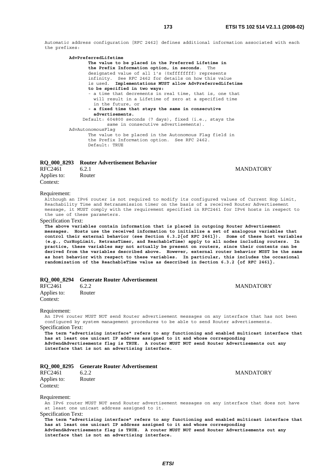Automatic address configuration [RFC 2462] defines additional information associated with each the prefixes:

 **AdvPreferredLifetime The value to be placed in the Preferred Lifetime in the Prefix Information option, in seconds**. The designated value of all 1's (0xffffffff) represents infinity. See RFC 2462 for details on how this value is used. **Implementations MUST allow AdvPreferredLifetime to be specified in two ways:** - a time that decrements in real time, that is, one that will result in a Lifetime of zero at a specified time in the future, or **- a fixed time that stays the same in consecutive advertisements.** Default: 604800 seconds (7 days), fixed (i.e., stays the same in consecutive advertisements). AdvAutonomousFlag The value to be placed in the Autonomous Flag field in the Prefix Information option. See RFC 2462. Default: TRUE

# **RQ\_000\_8293 Router Advertisement Behavior**

| RFC2461     | 6.2.1  | <b>MANDATORY</b> |
|-------------|--------|------------------|
| Applies to: | Router |                  |
| Context:    |        |                  |

# Requirement:

Although an IPv6 router is not required to modify its configured values of Current Hop Limit, Reachability Time and Retransmission timer on the basis of a received Router Advertisement message, it MUST comply with the requirement specified in RFC2461 for IPv6 hosts in respect to the use of these parameters.

# Specification Text:

**The above variables contain information that is placed in outgoing Router Advertisement messages. Hosts use the received information to initialize a set of analogous variables that control their external behavior (see Section 6.3.2{of RFC 2461}). Some of these host variables (e.g., CurHopLimit, RetransTimer, and ReachableTime) apply to all nodes including routers. In practice, these variables may not actually be present on routers, since their contents can be derived from the variables described above. However, external router behavior MUST be the same as host behavior with respect to these variables. In particular, this includes the occasional randomization of the ReachableTime value as described in Section 6.3.2 {of RFC 2461}.** 

|                         | RQ 000 8294 Generate Router Advertisement |                  |
|-------------------------|-------------------------------------------|------------------|
| RFC2461                 | 6.2.2                                     | <b>MANDATORY</b> |
| Applies to:<br>Context: | Router                                    |                  |

#### Requirement:

An IPv6 router MUST NOT send Router advertisement messages on any interface that has not been configured by system management procedures to be able to send Router advertisements. Specification Text:

**The term "advertising interface" refers to any functioning and enabled multicast interface that has at least one unicast IP address assigned to it and whose corresponding AdvSendAdvertisements flag is TRUE. A router MUST NOT send Router Advertisements out any interface that is not an advertising interface.**

## **RQ\_000\_8295 Generate Router Advertisement**

RFC2461 6.2.2 MANDATORY Applies to: Router Context:

#### Requirement:

An IPv6 router MUST NOT send Router advertisement messages on any interface that does not have at least one unicast address assigned to it.

Specification Text:

**The term "advertising interface" refers to any functioning and enabled multicast interface that has at least one unicast IP address assigned to it and whose corresponding AdvSendAdvertisements flag is TRUE. A router MUST NOT send Router Advertisements out any interface that is not an advertising interface.**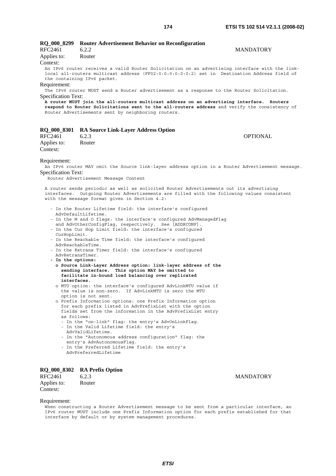| RFC2461<br>Applies to:<br>Context:                                     | RQ_000_8299 Router Advertisement Behavior on Reconfiguration<br>6.2.2<br>Router<br>An IPv6 router receives a valid Router Solicitation on an advertising interface with the link-<br>local all-routers multicast address (FF02:0:0:0:0:0:0:2) set in Destination Address field of                                                                                                                     | <b>MANDATORY</b> |
|------------------------------------------------------------------------|-------------------------------------------------------------------------------------------------------------------------------------------------------------------------------------------------------------------------------------------------------------------------------------------------------------------------------------------------------------------------------------------------------|------------------|
| Requirement:<br>Specification Text:                                    | the containing IPv6 packet.<br>The IPv6 router MUST send a Router advertisement as a response to the Router Solicitation.<br>A router MUST join the all-routers multicast address on an advertising interface. Routers<br>respond to Router Solicitations sent to the all-routers address and verify the consistency of<br>Router Advertisements sent by neighboring routers.                         |                  |
| <b>RQ_000_8301</b>                                                     | <b>RA Source Link-Layer Address Option</b>                                                                                                                                                                                                                                                                                                                                                            |                  |
| RFC2461<br>Applies to:<br>Context:                                     | 6.2.3<br>Router                                                                                                                                                                                                                                                                                                                                                                                       | <b>OPTIONAL</b>  |
| Requirement:<br><b>Specification Text:</b>                             | An IPv6 router MAY omit the Source link-layer address option in a Router Advertisement message.<br>Router Advertisement Message Content                                                                                                                                                                                                                                                               |                  |
|                                                                        | A router sends periodic as well as solicited Router Advertisements out its advertising<br>interfaces. Outgoing Router Advertisements are filled with the following values consistent<br>with the message format given in Section 4.2:                                                                                                                                                                 |                  |
|                                                                        | - In the Router Lifetime field: the interface's configured<br>AdvDefaultLifetime.<br>- In the M and O flags: the interface's configured AdvManagedFlag<br>and AdvOtherConfigFlag, respectively. See [ADDRCONF].                                                                                                                                                                                       |                  |
| CurHopLimit.                                                           | - In the Cur Hop Limit field: the interface's configured<br>- In the Reachable Time field: the interface's configured                                                                                                                                                                                                                                                                                 |                  |
| AdvRetransTimer.                                                       | AdvReachableTime.<br>- In the Retrans Timer field: the interface's configured                                                                                                                                                                                                                                                                                                                         |                  |
| - In the options:<br>interfaces.                                       | o Source Link-Layer Address option: link-layer address of the<br>sending interface. This option MAY be omitted to<br>facilitate in-bound load balancing over replicated                                                                                                                                                                                                                               |                  |
|                                                                        | o MTU option: the interface's configured AdvLinkMTU value if<br>the value is non-zero. If AdvLinkMTU is zero the MTU<br>option is not sent.                                                                                                                                                                                                                                                           |                  |
| as follows:                                                            | o Prefix Information options: one Prefix Information option<br>for each prefix listed in AdvPrefixList with the option<br>fields set from the information in the AdvPrefixList entry<br>- In the "on-link" flag: the entry's AdvOnLinkFlag.<br>- In the Valid Lifetime field: the entry's<br>AdvValidLifetime.<br>- In the "Autonomous address configuration" flag: the<br>entry's AdvAutonomousFlaq. |                  |
| - In the Preferred Lifetime field: the entry's<br>AdvPreferredLifetime |                                                                                                                                                                                                                                                                                                                                                                                                       |                  |

# **RQ\_000\_8302 RA Prefix Option**

6.2.3 MANDATORY<br>Router

Applies to: Context:

# Requirement:

When constructing a Router Advertisement message to be sent from a particular interface, an IPv6 router MUST include one Prefix Information option for each prefix established for that interface by default or by system management procedures.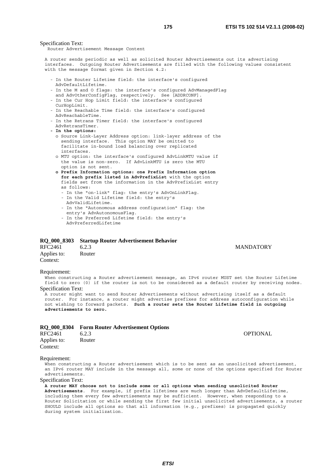#### Specification Text:

Router Advertisement Message Content

A router sends periodic as well as solicited Router Advertisements out its advertising interfaces. Outgoing Router Advertisements are filled with the following values consistent with the message format given in Section 4.2:

- In the Router Lifetime field: the interface's configured AdvDefaultLifetime.
- In the M and O flags: the interface's configured AdvManagedFlag and AdvOtherConfigFlag, respectively. See [ADDRCONF].
- In the Cur Hop Limit field: the interface's configured CurHopLimit.
- In the Reachable Time field: the interface's configured AdvReachableTime.
- In the Retrans Timer field: the interface's configured AdvRetransTimer.
- **In the options:**
	- o Source Link-Layer Address option: link-layer address of the sending interface. This option MAY be omitted to facilitate in-bound load balancing over replicated interfaces.
	- o MTU option: the interface's configured AdvLinkMTU value if the value is non-zero. If AdvLinkMTU is zero the MTU option is not sent.
	- **o Prefix Information options: one Prefix Information option for each prefix listed in AdvPrefixList** with the option fields set from the information in the AdvPrefixList entry as follows:
		- In the "on-link" flag: the entry's AdvOnLinkFlag. - In the Valid Lifetime field: the entry's
		- AdvValidLifetime.
		- In the "Autonomous address configuration" flag: the entry's AdvAutonomousFlag.
		- In the Preferred Lifetime field: the entry's AdvPreferredLifetime

# **RQ\_000\_8303 Startup Router Advertisement Behavior**

| RFC2461     | 6.2.3  |
|-------------|--------|
| Applies to: | Router |
| Context:    |        |

#### **MANDATORY**

#### Requirement:

When constructing a Router advertisement message, an IPv6 router MUST set the Router Lifetime field to zero (0) if the router is not to be considered as a default router by receiving nodes. Specification Text:

A router might want to send Router Advertisements without advertising itself as a default router. For instance, a router might advertise prefixes for address autoconfiguration while not wishing to forward packets. **Such a router sets the Router Lifetime field in outgoing advertisements to zero.**

# **RQ\_000\_8304 Form Router Advertisement Options**

| <b>RFC2461</b> | 6.2.3  | <b>OPTIONAL</b> |
|----------------|--------|-----------------|
| Applies to:    | Router |                 |
| Context:       |        |                 |

#### Requirement:

When constructing a Router advertisement which is to be sent as an unsolicited advertisement, an IPv6 router MAY include in the message all, some or none of the options specified for Router advertisements.

#### Specification Text:

**A router MAY choose not to include some or all options when sending unsolicited Router Advertisements**. For example, if prefix lifetimes are much longer than AdvDefaultLifetime, including them every few advertisements may be sufficient. However, when responding to a Router Solicitation or while sending the first few initial unsolicited advertisements, a router SHOULD include all options so that all information (e.g., prefixes) is propagated quickly during system initialization.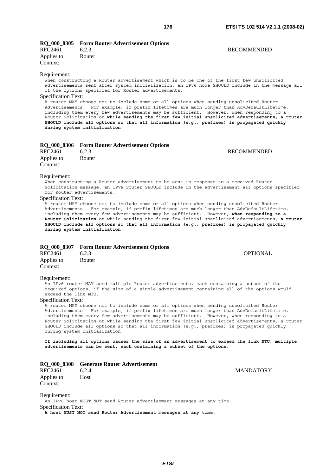**RECOMMENDED** 

# **RQ\_000\_8305 Form Router Advertisement Options**

| RFC2461     | 6.2.3  |
|-------------|--------|
| Applies to: | Router |
| Context:    |        |

### Requirement:

When constructing a Router advertisement which is to be one of the first few unsolicited advertisements sent after system initialization, an IPv6 node SHOULD include in the message all of the options specified for Router advertisements.

## Specification Text:

A router MAY choose not to include some or all options when sending unsolicited Router Advertisements. For example, if prefix lifetimes are much longer than AdvDefaultLifetime, including them every few advertisements may be sufficient. However, when responding to a Router Solicitation or **while sending the first few initial unsolicited advertisements, a router SHOULD include all options so that all information (e.g., prefixes) is propagated quickly during system initialization**.

# **RQ\_000\_8306 Form Router Advertisement Options**

| RFC2461     | 6.2.3  | RECOMMENDED |
|-------------|--------|-------------|
| Applies to: | Router |             |
| Context:    |        |             |

#### Requirement:

When constructing a Router advertisement to be sent in response to a received Router Solicitation message, an IPv6 router SHOULD include in the advertisement all options specified for Router advertisements.

#### Specification Text:

A router MAY choose not to include some or all options when sending unsolicited Router Advertisements. For example, if prefix lifetimes are much longer than AdvDefaultLifetime, including them every few advertisements may be sufficient. However, **when responding to a Router Solicitation** or while sending the first few initial unsolicited advertisements, **a router SHOULD include all options so that all information (e.g., prefixes) is propagated quickly during system initialization**.

# **RQ\_000\_8307 Form Router Advertisement Options**

| <b>RFC2461</b> | 6.2.3  | <b>OPTIONAL</b> |
|----------------|--------|-----------------|
| Applies to:    | Router |                 |
| Context:       |        |                 |

#### Requirement:

An IPv6 router MAY send multiple Router advertisements, each containing a subset of the required options, if the size of a single advertisement containing all of the options would exceed the link MTU.

# Specification Text:

A router MAY choose not to include some or all options when sending unsolicited Router Advertisements. For example, if prefix lifetimes are much longer than AdvDefaultLifetime, including them every few advertisements may be sufficient. However, when responding to a Router Solicitation or while sending the first few initial unsolicited advertisements, a router SHOULD include all options so that all information (e.g., prefixes) is propagated quickly during system initialization.

**If including all options causes the size of an advertisement to exceed the link MTU, multiple advertisements can be sent, each containing a subset of the options**.

#### **RQ\_000\_8308 Generate Router Advertisement**

RFC2461 6.2.4 MANDATORY Applies to: Host Context:

Requirement:

An IPv6 host MUST NOT send Router advertisement messages at any time. Specification Text:

**A host MUST NOT send Router Advertisement messages at any time**.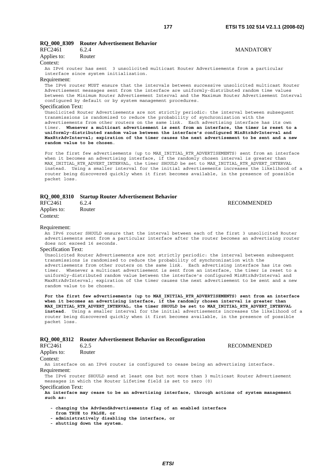# **RQ\_000\_8309 Router Advertisement Behavior**

| RFC2461     | 6.2.4  |  |
|-------------|--------|--|
| Applies to: | Router |  |
| $\alpha$    |        |  |

#### Context:

An IPv6 router has sent 3 unsolicited multicast Router Advertisements from a particular interface since system initialization.

# Requirement:

The IPv6 router MUST ensure that the intervals between successive unsolicited multicast Router Advertisement messages sent from the interface are uniformly-distributed random time values between the Minimum Router Advertisement Interval and the Maximum Router Advertisement Interval configured by default or by system management procedures.

# Specification Text:

Unsolicited Router Advertisements are not strictly periodic: the interval between subsequent transmissions is randomized to reduce the probability of synchronization with the advertisements from other routers on the same link. Each advertising interface has its own timer. **Whenever a multicast advertisement is sent from an interface, the timer is reset to a uniformly-distributed random value between the interface's configured MinRtrAdvInterval and MaxRtrAdvInterval; expiration of the timer causes the next advertisement to be sent and a new random value to be chosen**.

For the first few advertisements (up to MAX INITIAL RTR ADVERTISEMENTS) sent from an interface when it becomes an advertising interface, if the randomly chosen interval is greater than MAX INITIAL RTR ADVERT INTERVAL, the timer SHOULD be set to MAX INITIAL RTR ADVERT INTERVAL instead. Using a smaller interval for the initial advertisements increases the likelihood of a router being discovered quickly when it first becomes available, in the presence of possible packet loss.

# **RQ\_000\_8310 Startup Router Advertisement Behavior**

Applies to: Router Context:

#### RFC2461 6.2.4 RECOMMENDED

#### Requirement:

An IPv6 router SHOULD ensure that the interval between each of the first 3 unsolicited Router advertisements sent from a particular interface after the router becomes an advertising router does not exceed 16 seconds.

# Specification Text:

Unsolicited Router Advertisements are not strictly periodic: the interval between subsequent transmissions is randomized to reduce the probability of synchronization with the advertisements from other routers on the same link. Each advertising interface has its own timer. Whenever a multicast advertisement is sent from an interface, the timer is reset to a uniformly-distributed random value between the interface's configured MinRtrAdvInterval and MaxRtrAdvInterval; expiration of the timer causes the next advertisement to be sent and a new random value to be chosen.

**For the first few advertisements (up to MAX\_INITIAL\_RTR\_ADVERTISEMENTS) sent from an interface when it becomes an advertising interface, if the randomly chosen interval is greater than MAX\_INITIAL\_RTR\_ADVERT\_INTERVAL, the timer SHOULD be set to MAX\_INITIAL\_RTR\_ADVERT\_INTERVAL instead**. Using a smaller interval for the initial advertisements increases the likelihood of a router being discovered quickly when it first becomes available, in the presence of possible packet loss.

#### **RQ\_000\_8312 Router Advertisement Behavior on Reconfiguration**

| RFC2461     | 6.2.5  |
|-------------|--------|
| Applies to: | Router |

#### Context:

An interface on an IPv6 router is configured to cease being an advertising interface. Requirement:

The IPv6 router SHOULD send at least one but not more than 3 multicast Router Advertisement messages in which the Router Lifetime field is set to zero (0)

# Specification Text:

**An interface may cease to be an advertising interface, through actions of system management such as:** 

- **changing the AdvSendAdvertisements flag of an enabled interface**
- **from TRUE to FALSE, or**
- **administratively disabling the interface, or**
- **shutting down the system.**

**RECOMMENDED** 

# **MANDATORY**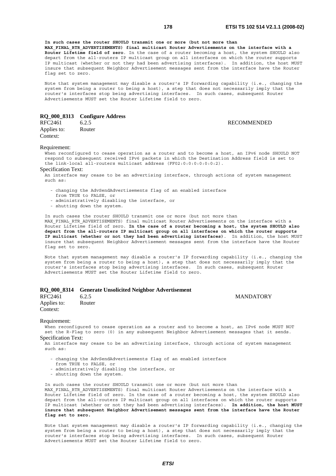**RECOMMENDED** 

**In such cases the router SHOULD transmit one or more (but not more than MAX\_FINAL\_RTR\_ADVERTISEMENTS) final multicast Router Advertisements on the interface with a Router Lifetime field of zero**. In the case of a router becoming a host, the system SHOULD also depart from the all-routers IP multicast group on all interfaces on which the router supports IP multicast (whether or not they had been advertising interfaces). In addition, the host MUST insure that subsequent Neighbor Advertisement messages sent from the interface have the Router flag set to zero.

Note that system management may disable a router's IP forwarding capability (i.e., changing the system from being a router to being a host), a step that does not necessarily imply that the router's interfaces stop being advertising interfaces. In such cases, subsequent Router Advertisements MUST set the Router Lifetime field to zero.

# **RQ\_000\_8313 Configure Address**

Applies to: Router Context:

#### Requirement:

When reconfigured to cease operation as a router and to become a host, an IPv6 node SHOULD NOT respond to subsequent received IPv6 packets in which the Destination Address field is set to the link-local all-routers multicast address (FF02:0:0:0:0:0:0:2).

#### Specification Text:

.<br>An interface may cease to be an advertising interface, through actions of system management  $\sin$ ch ac $\cdot$ 

- changing the AdvSendAdvertisements flag of an enabled interface
- from TRUE to FALSE, or
- administratively disabling the interface, or
- shutting down the system.

In such cases the router SHOULD transmit one or more (but not more than MAX FINAL RTR ADVERTISEMENTS) final multicast Router Advertisements on the interface with a

Router Lifetime field of zero. **In the case of a router becoming a host, the system SHOULD also depart from the all-routers IP multicast group on all interfaces on which the router supports IP multicast (whether or not they had been advertising interfaces)**. In addition, the host MUST insure that subsequent Neighbor Advertisement messages sent from the interface have the Router flag set to zero.

Note that system management may disable a router's IP forwarding capability (i.e., changing the system from being a router to being a host), a step that does not necessarily imply that the router's interfaces stop being advertising interfaces. In such cases, subsequent Router Advertisements MUST set the Router Lifetime field to zero.

# **RQ\_000\_8314 Generate Unsolicited Neighbor Advertisement**

RFC2461 6.2.5 MANDATORY Applies to: Router Context:

# Requirement:

When reconfigured to cease operation as a router and to become a host, an IPv6 node MUST NOT set the R-Flag to zero (0) in any subsequent Neighbor Advertisement messages that it sends.

# Specification Text:

An interface may cease to be an advertising interface, through actions of system management such as:

- changing the AdvSendAdvertisements flag of an enabled interface
- from TRUE to FALSE, or
- administratively disabling the interface, or
- shutting down the system.

In such cases the router SHOULD transmit one or more (but not more than MAX FINAL RTR ADVERTISEMENTS) final multicast Router Advertisements on the interface with a Router Lifetime field of zero. In the case of a router becoming a host, the system SHOULD also depart from the all-routers IP multicast group on all interfaces on which the router supports IP multicast (whether or not they had been advertising interfaces). **In addition, the host MUST insure that subsequent Neighbor Advertisement messages sent from the interface have the Router flag set to zero.**

Note that system management may disable a router's IP forwarding capability (i.e., changing the system from being a router to being a host), a step that does not necessarily imply that the router's interfaces stop being advertising interfaces. In such cases, subsequent Router Advertisements MUST set the Router Lifetime field to zero.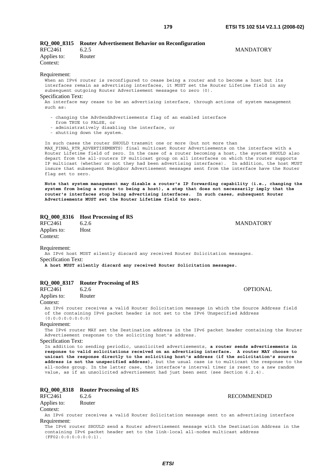|                         | RQ_000_8315 Router Advertisement Behavior on Reconfiguration |                  |
|-------------------------|--------------------------------------------------------------|------------------|
| RFC2461                 | 6.2.5                                                        | <b>MANDATORY</b> |
| Applies to:<br>Context: | Router                                                       |                  |

#### Requirement:

When an IPv6 router is reconfigured to cease being a router and to become a host but its interfaces remain as advertising interfaces, it MUST set the Router Lifetime field in any subsequent outgoing Router Advertisement messages to zero (0).

# Specification Text:

An interface may cease to be an advertising interface, through actions of system management  $\sin$ ch  $\sin$ ch  $\sin$ ch  $\sin$ ch  $\sin$ ch  $\sin$ ch  $\sin$ ch  $\sin$ ch  $\sin$ ch  $\sin$ ch  $\sin$ ch  $\sin$ ch  $\sin$ ch  $\sin$ ch  $\sin$ ch  $\sin$ ch  $\sin$ ch  $\sin$ ch  $\sin$ ch  $\sin$ ch  $\sin$ ch  $\sin$ ch  $\sin$ ch  $\sin$ ch  $\sin$ ch  $\sin$ ch  $\sin$ ch  $\sin$ ch  $\sin$ ch  $\sin$ ch  $\sin$ ch  $\sin$ 

- changing the AdvSendAdvertisements flag of an enabled interface
- from TRUE to FALSE, or
- administratively disabling the interface, or
- shutting down the system.

In such cases the router SHOULD transmit one or more (but not more than MAX FINAL RTR ADVERTISEMENTS) final multicast Router Advertisements on the interface with a Router Lifetime field of zero. In the case of a router becoming a host, the system SHOULD also depart from the all-routers IP multicast group on all interfaces on which the router supports IP multicast (whether or not they had been advertising interfaces). In addition, the host MUST insure that subsequent Neighbor Advertisement messages sent from the interface have the Router flag set to zero.

**Note that system management may disable a router's IP forwarding capability (i.e., changing the system from being a router to being a host), a step that does not necessarily imply that the router's interfaces stop being advertising interfaces. In such cases, subsequent Router Advertisements MUST set the Router Lifetime field to zero.**

# **RQ\_000\_8316 Host Processing of RS**

RFC2461 6.2.6 MANDATORY Applies to: Host Context:

Requirement:

An IPv6 host MUST silently discard any received Router Solicitation messages. Specification Text:

**A host MUST silently discard any received Router Solicitation messages.**

# **RQ\_000\_8317 Router Processing of RS**

RFC2461 6.2.6 **CONTRACTE OPTIONAL** Applies to: Router Context: An IPv6 router receives a valid Router Solicitation message in which the Source Address field of the containing IPv6 packet header is not set to the IPv6 Unspecified Address (0:0:0:0:0:0:0:0)

# Requirement:

The IPv6 router MAY set the Destination address in the IPv6 packet header containing the Router Advertisement response to the soliciting host's address.

#### Specification Text:

In addition to sending periodic, unsolicited advertisements, **a router sends advertisements in response to valid solicitations received on an advertising interface. A router MAY choose to unicast the response directly to the soliciting host's address (if the solicitation's source address is not the unspecified address)**, but the usual case is to multicast the response to the all-nodes group. In the latter case, the interface's interval timer is reset to a new random value, as if an unsolicited advertisement had just been sent (see Section 6.2.4).

# **RQ\_000\_8318 Router Processing of RS**

# Applies to: Router

Context:

An IPv6 router receives a valid Router Solicitation message sent to an advertising interface Requirement:

The IPv6 router SHOULD send a Router advertisement message with the Destination Address in the containing IPv6 packet header set to the link-local all-nodes multicast address (FF02:0:0:0:0:0:0:1).

RFC2461 6.2.6 RECOMMENDED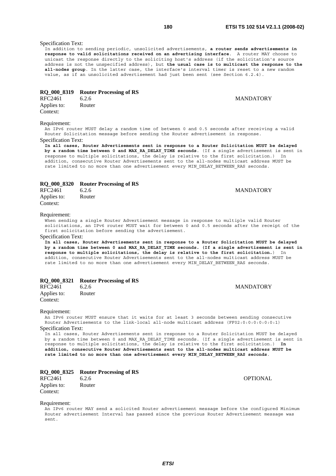# Specification Text:

In addition to sending periodic, unsolicited advertisements, **a router sends advertisements in response to valid solicitations received on an advertising interface**. A router MAY choose to unicast the response directly to the soliciting host's address (if the solicitation's source address is not the unspecified address), but **the usual case is to multicast the response to the all-nodes group**. In the latter case, the interface's interval timer is reset to a new random value, as if an unsolicited advertisement had just been sent (see Section 6.2.4).

# **RQ\_000\_8319 Router Processing of RS**

| RFC2461     | 6.2.6  |
|-------------|--------|
| Applies to: | Router |
| Context:    |        |

#### Requirement:

An IPv6 router MUST delay a random time of between 0 and 0.5 seconds after receiving a valid Router Solicitation message before sending the Router advertisement in response. Specification Text:

**In all cases, Router Advertisements sent in response to a Router Solicitation MUST be delayed by a random time between 0 and MAX\_RA\_DELAY\_TIME seconds**. (If a single advertisement is sent in response to multiple solicitations, the delay is relative to the first solicitation.) In addition, consecutive Router Advertisements sent to the all-nodes multicast address MUST be rate limited to no more than one advertisement every MIN DELAY BETWEEN RAS seconds.

# **RQ\_000\_8320 Router Processing of RS**

| RFC2461     | 6.2.6  |  |
|-------------|--------|--|
| Applies to: | Router |  |
| Cont        |        |  |

Context:

#### Requirement:

When sending a single Router Advertisement message in response to multiple valid Router solicitations, an IPv6 router MUST wait for between 0 and 0.5 seconds after the receipt of the first solicitation before sending the advertisement.

# Specification Text:

**In all cases, Router Advertisements sent in response to a Router Solicitation MUST be delayed**  by a random time between 0 and MAX RA DELAY TIME seconds. (If a single advertisement is sent in **response to multiple solicitations, the delay is relative to the first solicitation.**) In addition, consecutive Router Advertisements sent to the all-nodes multicast address MUST be rate limited to no more than one advertisement every MIN\_DELAY\_BETWEEN\_RAS seconds.

# **RQ\_000\_8321 Router Processing of RS**

| RFC2461     | 6.2.6  | <b>MANDATORY</b> |
|-------------|--------|------------------|
| Applies to: | Router |                  |
| Context:    |        |                  |

# Requirement:

An IPv6 router MUST ensure that it waits for at least 3 seconds between sending consecutive Router Advertisements to the link-local all-node multicast address (FF02:0:0:0:0:0:0:1) Specification Text:

In all cases, Router Advertisements sent in response to a Router Solicitation MUST be delayed by a random time between 0 and MAX RA DELAY TIME seconds. (If a single advertisement is sent in response to multiple solicitations, the delay is relative to the first solicitation.) **In addition, consecutive Router Advertisements sent to the all-nodes multicast address MUST be rate limited to no more than one advertisement every MIN\_DELAY\_BETWEEN\_RAS seconds**.

# **RQ\_000\_8325 Router Processing of RS**

RFC2461 6.2.6 **CONTRACTE OPTIONAL** Applies to: Router Context:

#### Requirement:

An IPv6 router MAY send a solicited Router advertisement message before the configured Minimum Router advertisement Interval has passed since the previous Router Advertisement message was sent.

**MANDATORY** 

**MANDATORY**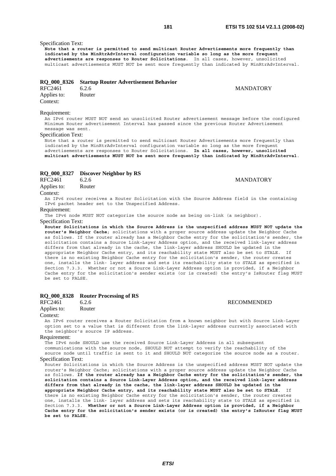# Specification Text:

**Note that a router is permitted to send multicast Router Advertisements more frequently than indicated by the MinRtrAdvInterval configuration variable so long as the more frequent advertisements are responses to Router Solicitations**. In all cases, however, unsolicited multicast advertisements MUST NOT be sent more frequently than indicated by MinRtrAdvInterval.

# **RQ\_000\_8326 Startup Router Advertisement Behavior**

| <b>RFC2461</b> | 6.2.6  |
|----------------|--------|
| Applies to:    | Router |

Context:

#### Requirement:

An IPv6 router MUST NOT send an unsolicited Router advertisement message before the configured Minimum Router advertisement Interval has passed since the previous Router Advertisement message was sent.

# Specification Text:

Note that a router is permitted to send multicast Router Advertisements more frequently than indicated by the MinRtrAdvInterval configuration variable so long as the more frequent advertisements are responses to Router Solicitations. **In all cases, however, unsolicited multicast advertisements MUST NOT be sent more frequently than indicated by MinRtrAdvInterval**.

# **RQ\_000\_8327 Discover Neighbor by RS**

RFC2461 6.2.6 MANDATORY Applies to: Router

#### Context:

An IPv6 router receives a Router Solicitation with the Source Address field in the containing IPv6 packet header set to the Unspecified Address.

#### Requirement:

The IPv6 node MUST NOT categorize the source node as being on-link (a neighbor).

# Specification Text:

**Router Solicitations in which the Source Address is the unspecified address MUST NOT update the router's Neighbor Cache**; solicitations with a proper source address update the Neighbor Cache as follows. If the router already has a Neighbor Cache entry for the solicitation's sender, the solicitation contains a Source Link-Layer Address option, and the received link-layer address differs from that already in the cache, the link-layer address SHOULD be updated in the appropriate Neighbor Cache entry, and its reachability state MUST also be set to STALE. there is no existing Neighbor Cache entry for the solicitation's sender, the router creates one, installs the link- layer address and sets its reachability state to STALE as specified in Section 7.3.3. Whether or not a Source Link-Layer Address option is provided, if a Neighbor Cache entry for the solicitation's sender exists (or is created) the entry's IsRouter flag MUST be set to FALSE.

# **RQ\_000\_8328 Router Processing of RS**

| RFC2461 | 6.2.6 |
|---------|-------|
|         |       |

# Applies to: Router

### Context:

An IPv6 router receives a Router Solicitation from a known neighbor but with Source Link-Layer option set to a value that is different from the link-layer address currently associated with the neighbor's source IP address.

#### Requirement:

The IPv6 node SHOULD use the received Source Link-Layer Address in all subsequent communications with the source node, SHOULD NOT attempt to verify the reachability of the source node until traffic is sent to it and SHOULD NOT categorize the source node as a router. Specification Text:

Router Solicitations in which the Source Address is the unspecified address MUST NOT update the router's Neighbor Cache; solicitations with a proper source address update the Neighbor Cache as follows. **If the router already has a Neighbor Cache entry for the solicitation's sender, the solicitation contains a Source Link-Layer Address option, and the received link-layer address differs from that already in the cache, the link-layer address SHOULD be updated in the appropriate Neighbor Cache entry, and its reachability state MUST also be set to STALE**. If there is no existing Neighbor Cache entry for the solicitation's sender, the router creates one, installs the link- layer address and sets its reachability state to STALE as specified in Section 7.3.3. **Whether or not a Source Link-Layer Address option is provided, if a Neighbor Cache entry for the solicitation's sender exists (or is created) the entry's IsRouter flag MUST be set to FALSE**.

# **MANDATORY**

**RECOMMENDED**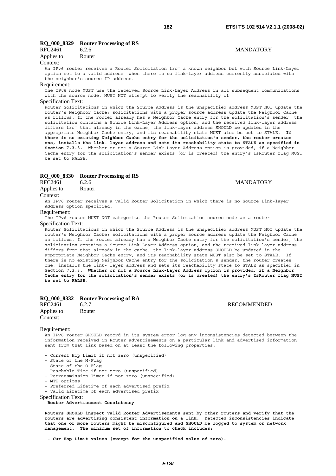#### **RQ\_000\_8329 Router Processing of RS**

| RFC2461     | 6.2.6  |
|-------------|--------|
| Applies to: | Router |

#### Context:

An IPv6 router receives a Router Solicitation from a known neighbor but with Source Link-Layer option set to a valid address when there is no link-layer address currently associated with the neighbor's source IP address.

#### Requirement:

The IPv6 node MUST use the received Source Link-Layer Address in all subsequent communications with the source node, MUST NOT attempt to verify the reachability of

# Specification Text:

Router Solicitations in which the Source Address is the unspecified address MUST NOT update the router's Neighbor Cache; solicitations with a proper source address update the Neighbor Cache as follows. If the router already has a Neighbor Cache entry for the solicitation's sender, the solicitation contains a Source Link-Layer Address option, and the received link-layer address differs from that already in the cache, the link-layer address SHOULD be updated in the appropriate Neighbor Cache entry, and its reachability state MUST also be set to STALE. **If there is no existing Neighbor Cache entry for the solicitation's sender, the router creates one, installs the link- layer address and sets its reachability state to STALE as specified in Section 7.3.3.** Whether or not a Source Link-Layer Address option is provided, if a Neighbor Cache entry for the solicitation's sender exists (or is created) the entry's IsRouter flag MUST be set to FALSE.

### **RQ\_000\_8330 Router Processing of RS**

RFC2461 6.2.6 MANDATORY

Applies to: Router

Context:

An IPv6 router receives a valid Router Solicitation in which there is no Source Link-layer Address option specified.

# Requirement:

The IPv6 router MUST NOT categorize the Router Solicitation source node as a router.

# Specification Text:

Router Solicitations in which the Source Address is the unspecified address MUST NOT update the router's Neighbor Cache; solicitations with a proper source address update the Neighbor Cache as follows. If the router already has a Neighbor Cache entry for the solicitation's sender, the solicitation contains a Source Link-Layer Address option, and the received link-layer address differs from that already in the cache, the link-layer address SHOULD be updated in the appropriate Neighbor Cache entry, and its reachability state MUST also be set to STALE. If there is no existing Neighbor Cache entry for the solicitation's sender, the router creates one, installs the link- layer address and sets its reachability state to STALE as specified in Section 7.3.3. **Whether or not a Source Link-Layer Address option is provided, if a Neighbor Cache entry for the solicitation's sender exists (or is created) the entry's IsRouter flag MUST be set to FALSE**.

#### **RQ\_000\_8332 Router Processing of RA**

| RFC2461     | 6.2.7  |
|-------------|--------|
| Applies to: | Router |
| Context:    |        |

#### **RECOMMENDED**

#### Requirement:

An IPv6 router SHOULD record in its system error log any inconsistencies detected between the information received in Router advertisements on a particular link and advertised information sent from that link based on at least the following properties:

- Current Hop Limit if not zero (unspecified)
- State of the M-Flag
- State of the O-Flag
- Reachable Time if not zero (unspecified)
- Retransmission Timer if not zero (unspecified)
- MTU options
- Preferred Lifetime of each advertised prefix
- Valid Lifetime of each advertised prefix
- Specification Text:

**Router Advertisement Consistency** 

**Routers SHOULD inspect valid Router Advertisements sent by other routers and verify that the routers are advertising consistent information on a link. Detected inconsistencies indicate that one or more routers might be misconfigured and SHOULD be logged to system or network management. The minimum set of information to check includes:** 

 **- Cur Hop Limit values (except for the unspecified value of zero).**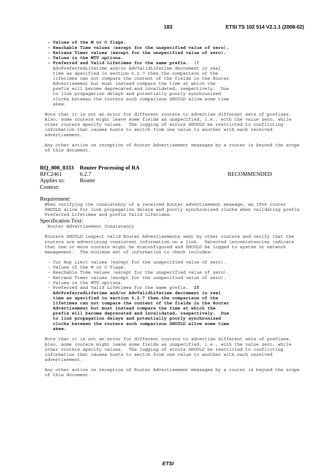**RECOMMENDED** 

 **- Values of the M or O flags.** 

- **Reachable Time values (except for the unspecified value of zero).**
- **Retrans Timer values (except for the unspecified value of zero).**
- **Values in the MTU options.**
- **Preferred and Valid Lifetimes for the same prefix.** If AdvPreferredLifetime and/or AdvValidLifetime decrement in real time as specified in section 6.2.7 then the comparison of the lifetimes can not compare the content of the fields in the Router Advertisement but must instead compare the time at which the prefix will become deprecated and invalidated, respectively. Due to link propagation delays and potentially poorly synchronized clocks between the routers such comparison SHOULD allow some time skew.

Note that it is not an error for different routers to advertise different sets of prefixes. Also, some routers might leave some fields as unspecified, i.e., with the value zero, while other routers specify values. The logging of errors SHOULD be restricted to conflicting information that causes hosts to switch from one value to another with each received advertisement.

Any other action on reception of Router Advertisement messages by a router is beyond the scope of this document.

# **RQ\_000\_8333 Router Processing of RA**

| RFC2461     | 6.2.7  |
|-------------|--------|
| Applies to: | Router |
| Context:    |        |

#### Requirement:

When verifying the consistency of a received Router advertisement message, an IPv6 router SHOULD allow for link propagation delays and poorly synchronized clocks when validating prefix Preferred Lifetimes and prefix Valid Lifetimes.

#### Specification Text:

Router Advertisement Consistency

Routers SHOULD inspect valid Router Advertisements sent by other routers and verify that the routers are advertising consistent information on a link. Detected inconsistencies indicate that one or more routers might be misconfigured and SHOULD be logged to system or network management. The minimum set of information to check includes:

- Cur Hop Limit values (except for the unspecified value of zero).
- Values of the M or O flags.
- Reachable Time values (except for the unspecified value of zero).
- Retrans Timer values (except for the unspecified value of zero).
- Values in the MTU options.
- Preferred and Valid Lifetimes for the same prefix. **If**

 **AdvPreferredLifetime and/or AdvValidLifetime decrement in real time as specified in section 6.2.7 then the comparison of the lifetimes can not compare the content of the fields in the Router Advertisement but must instead compare the time at which the prefix will become deprecated and invalidated, respectively. Due to link propagation delays and potentially poorly synchronized clocks between the routers such comparison SHOULD allow some time skew.**

Note that it is not an error for different routers to advertise different sets of prefixes. Also, some routers might leave some fields as unspecified, i.e., with the value zero, while other routers specify values. The logging of errors SHOULD be restricted to conflicting information that causes hosts to switch from one value to another with each received advertisement.

Any other action on reception of Router Advertisement messages by a router is beyond the scope of this document.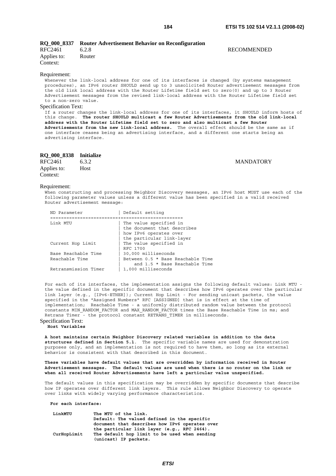**MANDATORY** 

|                         | RQ 000 8337 Router Advertisement Behavior on Reconfiguration |             |
|-------------------------|--------------------------------------------------------------|-------------|
| RFC2461                 | 6.2.8                                                        | RECOMMENDED |
| Applies to:<br>Context: | Router                                                       |             |

#### Requirement:

Whenever the link-local address for one of its interfaces is changed (by systems management procedures), an IPv6 router SHOULD send up to 3 unsolicited Router advertisement messages from the old link local address with the Router Lifetime field set to zero(0) and up to 3 Router Advertisement messages from the revised link-local address with the Router Lifetime field set to a non-zero value.

### Specification Text:

If a router changes the link-local address for one of its interfaces, it SHOULD inform hosts of this change. **The router SHOULD multicast a few Router Advertisements from the old link-local address with the Router Lifetime field set to zero and also multicast a few Router Advertisements from the new link-local address.** The overall effect should be the same as if one interface ceases being an advertising interface, and a different one starts being an advertising interface.

| RQ 000 8338 Initialize |       |
|------------------------|-------|
| RFC2461                | 6.3.2 |
| Applies to:            | Host  |
| Context:               |       |

#### Requirement:

When constructing and processing Neighbor Discovery messages, an IPv6 host MUST use each of the following parameter values unless a different value has been specified in a valid received Router advertisement message:

| ND Parameter         | Default setting                   |
|----------------------|-----------------------------------|
|                      |                                   |
| Link MTU             | The value specified in            |
|                      | the document that describes       |
|                      | how IPv6 operates over            |
|                      | the particular link-layer         |
| Current Hop Limit    | The value specified in            |
|                      | RFC 1700                          |
| Base Reachable Time  | 30,000 milliseconds               |
| Reachable Time       | Between 0.5 * Base Reachable Time |
|                      | and 1.5 * Base Reachable Time     |
| Retransmission Timer | 1,000 milliseconds                |

For each of its interfaces, the implementation assigns the following default values: Link MTU the value defined in the specific document that describes how IPv6 operates over the particular link layer (e.g., [IPv6-ETHER]); Current Hop Limit - For sending unicast packets, the value specified in the "Assigned Numbers" RFC [ASSIGNED] that is in effect at the time of implementation; Reachable Time - a uniformly distributed random value between the protocol constants MIN RANDOM FACTOR and MAX RANDOM FACTOR times the Base Reachable Time in ms; and Retrans Timer - the protocol constant RETRANS\_TIMER in milliseconds.

# Specification Text:

**Host Variables** 

**A host maintains certain Neighbor Discovery related variables in addition to the data structures defined in Section 5.1**. The specific variable names are used for demonstration purposes only, and an implementation is not required to have them, so long as its external behavior is consistent with that described in this document.

**These variables have default values that are overridden by information received in Router Advertisement messages. The default values are used when there is no router on the link or when all received Router Advertisements have left a particular value unspecified.**

The default values in this specification may be overridden by specific documents that describe how IP operates over different link layers. This rule allows Neighbor Discovery to operate over links with widely varying performance characteristics.

*ETSI* 

 **For each interface:** 

| LinkMTU     | The MTU of the link.                           |
|-------------|------------------------------------------------|
|             | Default: The valued defined in the specific    |
|             | document that describes how IPv6 operates over |
|             | the particular link layer (e.g., RFC 2464).    |
| CurHopLimit | The default hop limit to be used when sending  |
|             | (unicast) IP packets.                          |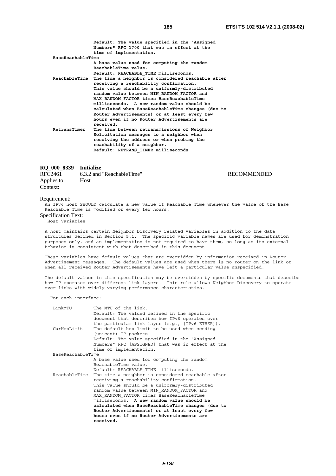RECOMMENDED

 **Default: The value specified in the "Assigned Numbers" RFC 1700 that was in effect at the time of implementation. BaseReachableTime A base value used for computing the random ReachableTime value. Default: REACHABLE\_TIME milliseconds. ReachableTime The time a neighbor is considered reachable after receiving a reachability confirmation. This value should be a uniformly-distributed random value between MIN\_RANDOM\_FACTOR and MAX\_RANDOM\_FACTOR times BaseReachableTime milliseconds. A new random value should be calculated when BaseReachableTime changes (due to Router Advertisements) or at least every few hours even if no Router Advertisements are received. RetransTimer The time between retransmissions of Neighbor Solicitation messages to a neighbor when resolving the address or when probing the reachability of a neighbor. Default: RETRANS\_TIMER milliseconds**

#### **RQ\_000\_8339 Initialize**

| RFC2461     | 6.3.2 and "ReachableTime" |
|-------------|---------------------------|
| Applies to: | <b>Host</b>               |
| Context:    |                           |

#### Requirement:

An IPv6 host SHOULD calculate a new value of Reachable Time whenever the value of the Base Reachable Time is modified or every few hours.

Specification Text:

Host Variables

A host maintains certain Neighbor Discovery related variables in addition to the data structures defined in Section 5.1. The specific variable names are used for demonstration purposes only, and an implementation is not required to have them, so long as its external behavior is consistent with that described in this document.

These variables have default values that are overridden by information received in Router Advertisement messages. The default values are used when there is no router on the link or when all received Router Advertisements have left a particular value unspecified.

The default values in this specification may be overridden by specific documents that describe how IP operates over different link layers. This rule allows Neighbor Discovery to operate over links with widely varying performance characteristics.

For each interface:

| LinkMTU           | The MTU of the link.                              |
|-------------------|---------------------------------------------------|
|                   | Default: The valued defined in the specific       |
|                   | document that describes how IPv6 operates over    |
|                   | the particular link layer (e.g., [IPv6-ETHER]).   |
| CurHopLimit       | The default hop limit to be used when sending     |
|                   | (unicast) IP packets.                             |
|                   | Default: The value specified in the "Assigned     |
|                   | Numbers" RFC [ASSIGNED] that was in effect at the |
|                   | time of implementation.                           |
| BaseReachableTime |                                                   |
|                   | A base value used for computing the random        |
|                   | ReachableTime value.                              |
|                   | Default: REACHABLE TIME milliseconds.             |
| ReachableTime     | The time a neighbor is considered reachable after |
|                   | receiving a reachability confirmation.            |
|                   | This value should be a uniformly-distributed      |
|                   | random value between MIN RANDOM FACTOR and        |
|                   | MAX RANDOM FACTOR times BaseReachableTime         |
|                   | milliseconds. A new random value should be        |
|                   | calculated when BaseReachableTime changes (due to |
|                   | Router Advertisements) or at least every few      |
|                   | hours even if no Router Advertisements are        |
|                   | received.                                         |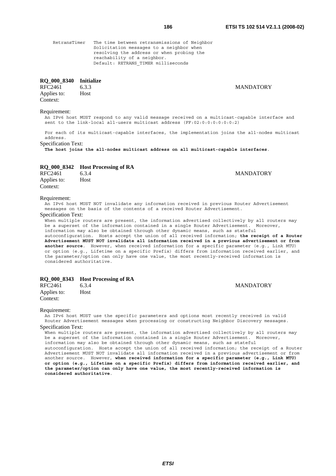*ETSI* 

 RetransTimer The time between retransmissions of Neighbor Solicitation messages to a neighbor when resolving the address or when probing the reachability of a neighbor. Default: RETRANS TIMER milliseconds

# **RQ\_000\_8340 Initialize**

RFC2461 6.3.3 MANDATORY Applies to: Host Context:

# Requirement:

An IPv6 host MUST respond to any valid message received on a multicast-capable interface and sent to the link-local all-users multicast address (FF:02:0:0:0:0:0:0:2)

For each of its multicast-capable interfaces, the implementation joins the all-nodes multicast address.

Specification Text:

**The host joins the all-nodes multicast address on all multicast-capable interfaces**.

# **RQ\_000\_8342 Host Processing of RA**

RFC2461 6.3.4 MANDATORY Applies to: Host Context:

# Requirement:

An IPv6 host MUST NOT invalidate any information received in previous Router Advertisement messages on the basis of the contents of a received Router Advertisement.

Specification Text:

When multiple routers are present, the information advertised collectively by all routers may be a superset of the information contained in a single Router Advertisement. Moreover, information may also be obtained through other dynamic means, such as stateful autoconfiguration. Hosts accept the union of all received information; **the receipt of a Router Advertisement MUST NOT invalidate all information received in a previous advertisement or from another source**. However, when received information for a specific parameter (e.g., Link MTU) or option (e.g., Lifetime on a specific Prefix) differs from information received earlier, and the parameter/option can only have one value, the most recently-received information is considered authoritative.

# **RQ\_000\_8343 Host Processing of RA**

| RFC2461                 | 6.3.4 | <b>MANDATORY</b> |
|-------------------------|-------|------------------|
| Applies to:<br>Context: | Host  |                  |

#### Requirement:

An IPv6 host MUST use the specific parameters and options most recently received in valid Router Advertisement messages when processing or constructing Neighbor Discovery messages. Specification Text:

When multiple routers are present, the information advertised collectively by all routers may be a superset of the information contained in a single Router Advertisement. Moreover, information may also be obtained through other dynamic means, such as stateful autoconfiguration. Hosts accept the union of all received information; the receipt of a Router Advertisement MUST NOT invalidate all information received in a previous advertisement or from another source. However, **when received information for a specific parameter (e.g., Link MTU) or option (e.g., Lifetime on a specific Prefix) differs from information received earlier, and the parameter/option can only have one value, the most recently-received information is considered authoritative**.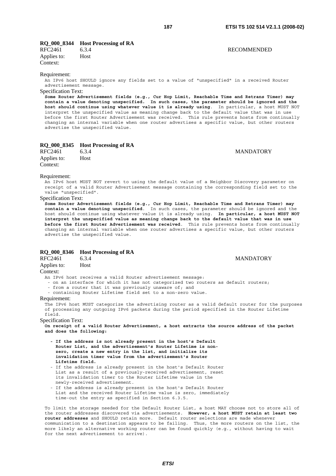# **RQ\_000\_8344 Host Processing of RA**

RFC2461 6.3.4 RECOMMENDED Applies to: Host Context:

#### Requirement:

An IPv6 host SHOULD ignore any fields set to a value of "unspecified" in a received Router advertisement message.

# Specification Text:

**Some Router Advertisement fields (e.g., Cur Hop Limit, Reachable Time and Retrans Timer) may contain a value denoting unspecified. In such cases, the parameter should be ignored and the host should continue using whatever value it is already using**. In particular, a host MUST NOT interpret the unspecified value as meaning change back to the default value that was in use before the first Router Advertisement was received. This rule prevents hosts from continually changing an internal variable when one router advertises a specific value, but other routers advertise the unspecified value.

# **RQ\_000\_8345 Host Processing of RA**

|             |       | . . |
|-------------|-------|-----|
| RFC2461     | 6.3.4 |     |
| Applies to: | Host  |     |
| Context:    |       |     |

**MANDATORY** 

#### Requirement:

An IPv6 host MUST NOT revert to using the default value of a Neighbor Discovery parameter on receipt of a valid Router Advertisement message containing the corresponding field set to the value "unspecified".

#### Specification Text:

**Some Router Advertisement fields (e.g., Cur Hop Limit, Reachable Time and Retrans Timer) may contain a value denoting unspecified**. In such cases, the parameter should be ignored and the host should continue using whatever value it is already using. **In particular, a host MUST NOT interpret the unspecified value as meaning change back to the default value that was in use before the first Router Advertisement was received**. This rule prevents hosts from continually changing an internal variable when one router advertises a specific value, but other routers advertise the unspecified value.

# **RQ\_000\_8346 Host Processing of RA**

RFC2461 6.3.4 MANDATORY Applies to: Host

# Context:

An IPv6 host receives a valid Router advertisement message:

- on an interface for which it has not categorized two routers as default routers;
- from a router that it was previously unaware of; and
- containing Router Lifetime field set to a non-zero value.

#### Requirement:

The IPv6 host MUST categorize the advertising router as a valid default router for the purposes of processing any outgoing IPv6 packets during the period specified in the Router Lifetime field.

# Specification Text:

**On receipt of a valid Router Advertisement, a host extracts the source address of the packet and does the following:** 

- **If the address is not already present in the host's Default Router List, and the advertisement's Router Lifetime is non zero, create a new entry in the list, and initialize its invalidation timer value from the advertisement's Router Lifetime field.**
- If the address is already present in the host's Default Router List as a result of a previously-received advertisement, reset its invalidation timer to the Router Lifetime value in the newly-received advertisement.
- If the address is already present in the host's Default Router List and the received Router Lifetime value is zero, immediately time-out the entry as specified in Section 6.3.5.

To limit the storage needed for the Default Router List, a host MAY choose not to store all of the router addresses discovered via advertisements. **However, a host MUST retain at least two router addresses** and SHOULD retain more. Default router selections are made whenever communication to a destination appears to be failing. Thus, the more routers on the list, the more likely an alternative working router can be found quickly (e.g., without having to wait for the next advertisement to arrive).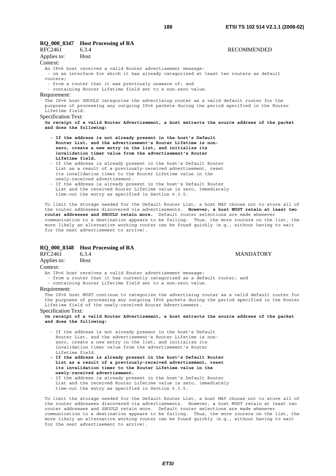|                            | RQ_000_8347 Host Processing of RA                                                                                                  |                                                                                              |
|----------------------------|------------------------------------------------------------------------------------------------------------------------------------|----------------------------------------------------------------------------------------------|
| RFC2461                    | 6.3.4                                                                                                                              | <b>RECOMMENDED</b>                                                                           |
| Applies to:                | Host                                                                                                                               |                                                                                              |
| Context:                   |                                                                                                                                    |                                                                                              |
|                            | An IPv6 host receives a valid Router advertisement message:                                                                        |                                                                                              |
|                            |                                                                                                                                    | - on an interface for which it has already categorized at least two routers as default       |
| routers;                   |                                                                                                                                    |                                                                                              |
|                            | - from a router that it was previously unaware of; and                                                                             |                                                                                              |
|                            | - containing Router Lifetime field set to a non-zero value.                                                                        |                                                                                              |
| Requirement:               |                                                                                                                                    |                                                                                              |
|                            |                                                                                                                                    | The IPv6 host SHOULD categorize the advertising router as a valid default router for the     |
| Lifetime field.            |                                                                                                                                    | purposes of processing any outgoing IPv6 packets during the period specified in the Router   |
| <b>Specification Text:</b> |                                                                                                                                    |                                                                                              |
|                            |                                                                                                                                    | On receipt of a valid Router Advertisement, a host extracts the source address of the packet |
|                            | and does the following:                                                                                                            |                                                                                              |
|                            |                                                                                                                                    |                                                                                              |
|                            | - If the address is not already present in the host's Default                                                                      |                                                                                              |
|                            | Router List, and the advertisement's Router Lifetime is non-                                                                       |                                                                                              |
|                            | zero, create a new entry in the list, and initialize its                                                                           |                                                                                              |
|                            | invalidation timer value from the advertisement's Router                                                                           |                                                                                              |
|                            | Lifetime field.                                                                                                                    |                                                                                              |
|                            | - If the address is already present in the host's Default Router<br>List as a result of a previously-received advertisement, reset |                                                                                              |
|                            | its invalidation timer to the Router Lifetime value in the                                                                         |                                                                                              |
|                            | newly-received advertisement.                                                                                                      |                                                                                              |

 - If the address is already present in the host's Default Router List and the received Router Lifetime value is zero, immediately time-out the entry as specified in Section 6.3.5.

To limit the storage needed for the Default Router List, a host MAY choose not to store all of the router addresses discovered via advertisements. **However, a host MUST retain at least two router addresses and SHOULD retain more.** Default router selections are made whenever communication to a destination appears to be failing. Thus, the more routers on the list, the more likely an alternative working router can be found quickly (e.g., without having to wait for the next advertisement to arrive).

# **RQ\_000\_8348 Host Processing of RA**

RFC2461 6.3.4 MANDATORY Applies to: Host Context:

An IPv6 host receives a valid Router advertisement message:

- from a router that it has currently categorized as a default router; and

- containing Router Lifetime field set to a non-zero value.

#### Requirement:

The IPv6 host MUST continue to categorize the advertising router as a valid default router for the purposes of processing any outgoing IPv6 packets during the period specified in the Router Lifetime field of the newly-received Router Advertisement.

### Specification Text:

**On receipt of a valid Router Advertisement, a host extracts the source address of the packet and does the following:**

- If the address is not already present in the host's Default Router List, and the advertisement's Router Lifetime is non zero, create a new entry in the list, and initialize its invalidation timer value from the advertisement's Router Lifetime field.
- **If the address is already present in the host's Default Router List as a result of a previously-received advertisement, reset its invalidation timer to the Router Lifetime value in the newly-received advertisement.**
- If the address is already present in the host's Default Router List and the received Router Lifetime value is zero, immediately time-out the entry as specified in Section 6.3.5.

To limit the storage needed for the Default Router List, a host MAY choose not to store all of the router addresses discovered via advertisements. However, a host MUST retain at least two router addresses and SHOULD retain more. Default router selections are made whenever communication to a destination appears to be failing. Thus, the more routers on the list, the more likely an alternative working router can be found quickly (e.g., without having to wait for the next advertisement to arrive).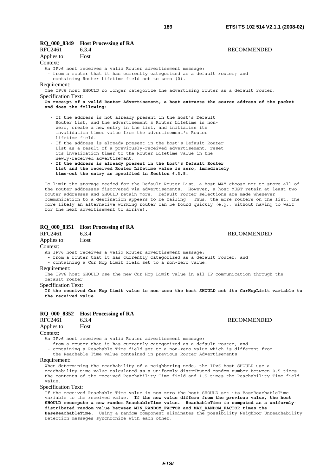**RECOMMENDED** 

|                            | RQ_000_8349 Host Processing of RA                                                                                                                                                                                                                                                                                                                                                                                                                                                                                                                                                                                                                                                       |                    |
|----------------------------|-----------------------------------------------------------------------------------------------------------------------------------------------------------------------------------------------------------------------------------------------------------------------------------------------------------------------------------------------------------------------------------------------------------------------------------------------------------------------------------------------------------------------------------------------------------------------------------------------------------------------------------------------------------------------------------------|--------------------|
| RFC2461                    | 6.3.4                                                                                                                                                                                                                                                                                                                                                                                                                                                                                                                                                                                                                                                                                   | <b>RECOMMENDED</b> |
| Applies to:                | Host                                                                                                                                                                                                                                                                                                                                                                                                                                                                                                                                                                                                                                                                                    |                    |
| Context:                   |                                                                                                                                                                                                                                                                                                                                                                                                                                                                                                                                                                                                                                                                                         |                    |
| Requirement:               | An IPv6 host receives a valid Router advertisement message:<br>- from a router that it has currently categorized as a default router; and<br>- containing Router Lifetime field set to zero (0).<br>The IPv6 host SHOULD no longer categorize the advertising router as a default router.                                                                                                                                                                                                                                                                                                                                                                                               |                    |
| <b>Specification Text:</b> |                                                                                                                                                                                                                                                                                                                                                                                                                                                                                                                                                                                                                                                                                         |                    |
| and does the following:    | On receipt of a valid Router Advertisement, a host extracts the source address of the packet                                                                                                                                                                                                                                                                                                                                                                                                                                                                                                                                                                                            |                    |
| Lifetime field.            | - If the address is not already present in the host's Default<br>Router List, and the advertisement's Router Lifetime is non-<br>zero, create a new entry in the list, and initialize its<br>invalidation timer value from the advertisement's Router<br>- If the address is already present in the host's Default Router<br>List as a result of a previously-received advertisement, reset<br>its invalidation timer to the Router Lifetime value in the<br>newly-received advertisement.<br>- If the address is already present in the host's Default Router<br>List and the received Router Lifetime value is zero, immediately<br>time-out the entry as specified in Section 6.3.5. |                    |
|                            | To limit the storage needed for the Default Router List, a host MAY choose not to store all of                                                                                                                                                                                                                                                                                                                                                                                                                                                                                                                                                                                          |                    |

the router addresses discovered via advertisements. However, a host MUST retain at least two router addresses and SHOULD retain more. Default router selections are made whenever communication to a destination appears to be failing. Thus, the more routers on the list, the more likely an alternative working router can be found quickly (e.g., without having to wait for the next advertisement to arrive).

# **RQ\_000\_8351 Host Processing of RA**

RFC2461 6.3.4 RECOMMENDED Applies to: Host Context:

An IPv6 host receives a valid Router advertisement message:

- from a router that it has currently categorized as a default router; and

- containing a Cur Hop Limit field set to a non-zero value.

#### Requirement:

The IPv6 host SHOULD use the new Cur Hop Limit value in all IP communication through the default router.

Specification Text:

**If the received Cur Hop Limit value is non-zero the host SHOULD set its CurHopLimit variable to the received value.**

# **RQ\_000\_8352 Host Processing of RA**<br>RFC2461 6.3.4

Applies to: Host

# Context:

An IPv6 host receives a valid Router advertisement message:

- from a router that it has currently categorized as a default router; and

 - containing a Reachable Time field set to a non-zero value which is different from the Reachable Time value contained in previous Router Advertisements

#### Requirement:

When determining the reachability of a neighboring node, the IPv6 host SHOULD use a reachability time value calculated as a uniformly distributed random number between 0.5 times the contents of the received Reachability Time field and 1.5 times the Reachability Time field value.

#### Specification Text:

If the received Reachable Time value is non-zero the host SHOULD set its BaseReachableTime variable to the received value. **If the new value differs from the previous value, the host SHOULD recompute a new random ReachableTime value. ReachableTime is computed as a uniformlydistributed random value between MIN\_RANDOM\_FACTOR and MAX\_RANDOM\_FACTOR times the BaseReachableTime**. Using a random component eliminates the possibility Neighbor Unreachability Detection messages synchronize with each other.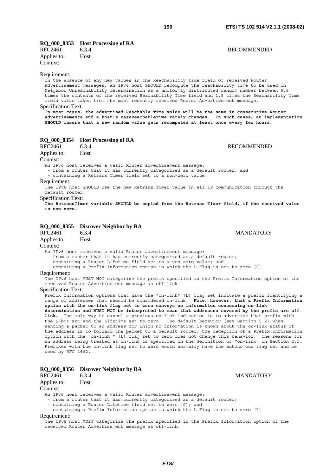**RECOMMENDED** 

**MANDATORY** 

# **RQ\_000\_8353 Host Processing of RA**

| RFC2461     | 6.3.4       |
|-------------|-------------|
| Applies to: | <b>Host</b> |
| Context:    |             |

#### Requirement:

In the absence of any new values in the Reachability Time field of received Router Advertisement messages, an IPv6 host SHOULD recompute the reachability time to be used in Neighbor Unreachability determination as a uniformly distributed random number between 0.5 times the contents of the received Reachability Time field and 1.5 times the Reachability Time field value taken from the most recently received Router Advertisement message.

# Specification Text:

**In most cases, the advertised Reachable Time value will be the same in consecutive Router Advertisements and a host's BaseReachableTime rarely changes. In such cases, an implementation SHOULD insure that a new random value gets recomputed at least once every few hours.**

# **RQ\_000\_8354 Host Processing of RA**

| RFC2461                                    | 6.3.4                                                                                                                      | <b>RECOMMENDED</b>                                                                             |
|--------------------------------------------|----------------------------------------------------------------------------------------------------------------------------|------------------------------------------------------------------------------------------------|
| Applies to:                                | Host                                                                                                                       |                                                                                                |
| Context:                                   |                                                                                                                            |                                                                                                |
|                                            | An IPv6 host receives a valid Router advertisement message:<br>- containing a Retrans Timer field set to a non-zero value. | - from a router that it has currently categorized as a default router; and                     |
| Requirement:<br>default router.            |                                                                                                                            | The IPv6 host SHOULD use the new Retrans Timer value in all IP communication through the       |
| <b>Specification Text:</b><br>is non-zero. |                                                                                                                            | The RetransTimer variable SHOULD be copied from the Retrans Timer field, if the received value |
| RFC2461<br>Applies to:                     | RQ_000_8355 Discover Neighbor by RA<br>6.3.4<br>Host                                                                       | <b>MANDATORY</b>                                                                               |

#### Context:

An IPv6 host receives a valid Router advertisement message:

- from a router that it has currently categorized as a default router;

- containing a Router Lifetime field set to a non-zero value; and

- containing a Prefix Information option in which the L-Flag is set to zero (0)

#### Requirement:

The IPv6 host MUST NOT categorize the prefix specified in the Prefix Information option of the received Router Advertisement message as off-link.

#### Specification Text:

Prefix Information options that have the "on-link" (L) flag set indicate a prefix identifying a range of addresses that should be considered on-link. **Note, however, that a Prefix Information option with the on-link flag set to zero conveys no information concerning on-link determination and MUST NOT be interpreted to mean that addresses covered by the prefix are offlink.** The only way to cancel a previous on-link indication is to advertise that prefix with the L-bit set and the Lifetime set to zero. The default behavior (see Section 5.2) when sending a packet to an address for which no information is known about the on-link status of the address is to forward the packet to a default router; the reception of a Prefix Information option with the "on-link " (L) flag set to zero does not change this behavior. The reasons for an address being treated as on-link is specified in the definition of "on-link" in Section 2.1. Prefixes with the on-link flag set to zero would normally have the autonomous flag set and be used by RFC 2462.

#### **RQ\_000\_8356 Discover Neighbor by RA**

| RFC2461     | 6.3.4 |
|-------------|-------|
| Applies to: | Host  |

#### Context:

An IPv6 host receives a valid Router advertisement message:

- from a router that it has currently categorized as a default router;
- containing a Router Lifetime field set to zero (0); and

- containing a Prefix Information option in which the L-Flag is set to zero (0)

#### Requirement:

The IPv6 host MUST categorize the prefix specified in the Prefix Information option of the received Router Advertisement message as off-link.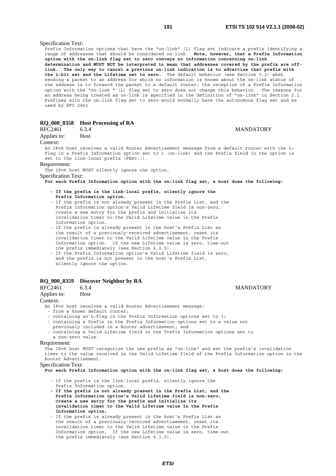**MANDATORY** 

Specification Text:

Prefix Information options that have the "on-link" (L) flag set indicate a prefix identifying a range of addresses that should be considered on-link. **Note, however, that a Prefix Information option with the on-link flag set to zero conveys no information concerning on-link determination and MUST NOT be interpreted to mean that addresses covered by the prefix are offlink. The only way to cancel a previous on-link indication is to advertise that prefix with the L-bit set and the Lifetime set to zero.** The default behavior (see Section 5.2) when sending a packet to an address for which no information is known about the on-link status of the address is to forward the packet to a default router; the reception of a Prefix Information option with the "on-link " (L) flag set to zero does not change this behavior. The reasons for an address being treated as on-link is specified in the definition of "on-link" in Section 2.1. Prefixes with the on-link flag set to zero would normally have the autonomous flag set and be used by RFC 2462

# **RQ\_000\_8358 Host Processing of RA**

| RFC2461     | 6.3.4 | . . |
|-------------|-------|-----|
|             |       |     |
| Applies to: | Host  |     |

#### Context:

An IPv6 host receives a valid Router Advertisement message from a default router with the L-Flag in a Prefix Information option set to 1 (on-link) and the Prefix field in the option is set to the link-local prefix (FE80::).

#### Requirement:

The IPv6 host MUST silently ignore the option.

Specification Text:

**For each Prefix Information option with the on-link flag set, a host does the following:** 

- **If the prefix is the link-local prefix, silently ignore the Prefix Information option.**
- If the prefix is not already present in the Prefix List, and the Prefix Information option's Valid Lifetime field is non-zero, create a new entry for the prefix and initialize its invalidation timer to the Valid Lifetime value in the Prefix Information option.
- If the prefix is already present in the host's Prefix List as the result of a previously-received advertisement, reset its invalidation timer to the Valid Lifetime value in the Prefix Information option. If the new Lifetime value is zero, time-out the prefix immediately (see Section 6.3.5).
- If the Prefix Information option's Valid Lifetime field is zero, and the prefix is not present in the host's Prefix List, silently ignore the option.

#### **RQ\_000\_8359 Discover Neighbor by RA**

| RFC2461                    | <b>MANDATORY</b><br>6.3.4                                                                       |
|----------------------------|-------------------------------------------------------------------------------------------------|
| Applies to:                | Host                                                                                            |
| Context:                   |                                                                                                 |
|                            | An IPv6 host receives a valid Router Advertisement message:                                     |
|                            | - from a known default router;                                                                  |
|                            | - containing an L-Flag in the Prefix Information options set to 1;                              |
|                            | - containing a Prefix in the Prefix Information options set to a value not                      |
|                            | previously included in a Router advertisement; and                                              |
|                            | - containing a Valid Lifetime field in the Prefix Information options set to                    |
| a non-zero value.          |                                                                                                 |
| Requirement:               |                                                                                                 |
|                            | The IPv6 host MUST categorize the new prefix as "on-link" and set the prefix's invalidation     |
|                            | timer to the value received in the Valid Lifetime field of the Prefix Information option in the |
| Router Advertisement.      |                                                                                                 |
| <b>Specification Text:</b> |                                                                                                 |
|                            | For each Prefix Information option with the on-link flag set, a host does the following:        |
|                            |                                                                                                 |
|                            | - If the prefix is the link-local prefix, silently ignore the                                   |
|                            | Prefix Information option.                                                                      |

- **If the prefix is not already present in the Prefix List, and the Prefix Information option's Valid Lifetime field is non-zero, create a new entry for the prefix and initialize its invalidation timer to the Valid Lifetime value in the Prefix Information option.**
- If the prefix is already present in the host's Prefix List as the result of a previously-received advertisement, reset its invalidation timer to the Valid Lifetime value in the Prefix Information option. If the new Lifetime value is zero, time-out the prefix immediately (see Section 6.3.5).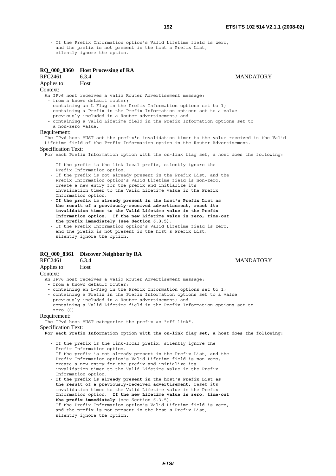- If the Prefix Information option's Valid Lifetime field is zero, and the prefix is not present in the host's Prefix List, silently ignore the option.

# **RQ\_000\_8360 Host Processing of RA**

RFC2461 6.3.4 MANDATORY Applies to: Host

Context:

An IPv6 host receives a valid Router Advertisement message:

- from a known default router;

- containing an L-Flag in the Prefix Information options set to 1;

- containing a Prefix in the Prefix Information options set to a value
- previously included in a Router advertisement; and
- containing a Valid Lifetime field in the Prefix Information options set to a non-zero value.

# Requirement:

The IPv6 host MUST set the prefix's invalidation timer to the value received in the Valid Lifetime field of the Prefix Information option in the Router Advertisement.

#### Specification Text:

For each Prefix Information option with the on-link flag set, a host does the following:

- If the prefix is the link-local prefix, silently ignore the
- Prefix Information option.
- If the prefix is not already present in the Prefix List, and the Prefix Information option's Valid Lifetime field is non-zero, create a new entry for the prefix and initialize its invalidation timer to the Valid Lifetime value in the Prefix Information option.
- **If the prefix is already present in the host's Prefix List as the result of a previously-received advertisement, reset its invalidation timer to the Valid Lifetime value in the Prefix Information option. If the new Lifetime value is zero, time-out the prefix immediately (see Section 6.3.5).**
- If the Prefix Information option's Valid Lifetime field is zero, and the prefix is not present in the host's Prefix List, silently ignore the option.

# **RQ\_000\_8361 Discover Neighbor by RA**

RFC2461 6.3.4 MANDATORY

#### Applies to: Host

Context:

- An IPv6 host receives a valid Router Advertisement message:
- from a known default router;
- containing an L-Flag in the Prefix Information options set to 1;
- containing a Prefix in the Prefix Information options set to a value
- previously included in a Router advertisement; and
- containing a Valid Lifetime field in the Prefix Information options set to zero (0).

# Requirement:

The IPv6 host MUST categorize the prefix as "off-link".

Specification Text:

**For each Prefix Information option with the on-link flag set, a host does the following:** 

- If the prefix is the link-local prefix, silently ignore the
- Prefix Information option.
- If the prefix is not already present in the Prefix List, and the Prefix Information option's Valid Lifetime field is non-zero, create a new entry for the prefix and initialize its invalidation timer to the Valid Lifetime value in the Prefix Information option.
- - **If the prefix is already present in the host's Prefix List as the result of a previously-received advertisement,** reset its invalidation timer to the Valid Lifetime value in the Prefix Information option. **If the new Lifetime value is zero, time-out the prefix immediately** (see Section 6.3.5).
- If the Prefix Information option's Valid Lifetime field is zero, and the prefix is not present in the host's Prefix List, silently ignore the option.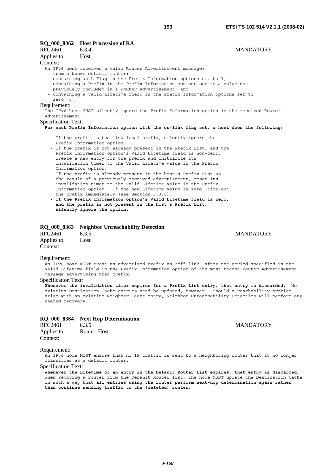## **RQ\_000\_8362 Host Processing of RA**  RFC2461 6.3.4 MANDATORY

| Applies to:                | – Host                                                                                   |
|----------------------------|------------------------------------------------------------------------------------------|
| Context:                   |                                                                                          |
|                            | An IPv6 host receives a valid Router Advertisement message:                              |
|                            | - from a known default router:                                                           |
|                            | - containing an L-Flag in the Prefix Information options set to 1;                       |
|                            | - containing a Prefix in the Prefix Information options set to a value not               |
|                            | previously included in a Router advertisement; and                                       |
|                            | - containing a Valid Lifetime field in the Prefix Information options set to             |
| zero $(0)$ .               |                                                                                          |
| Requirement:               |                                                                                          |
|                            | The IPv6 host MUST silently ignore the Prefix Information option in the received Router  |
| Advertisement.             |                                                                                          |
| <b>Specification Text:</b> |                                                                                          |
|                            | For each Prefix Information option with the on-link flag set, a host does the following: |
|                            |                                                                                          |
|                            | - If the prefix is the link-local prefix, silently ignore the                            |
|                            | Prefix Information option.                                                               |
|                            | - If the prefix is not already present in the Prefix List, and the                       |

#### - If the prefix is not already present in the Prefix List, and the Prefix Information option's Valid Lifetime field is non-zero, create a new entry for the prefix and initialize its invalidation timer to the Valid Lifetime value in the Prefix Information option.

- If the prefix is already present in the host's Prefix List as the result of a previously-received advertisement, reset its invalidation timer to the Valid Lifetime value in the Prefix Information option. If the new Lifetime value is zero, time-out the prefix immediately (see Section 6.3.5).
- **If the Prefix Information option's Valid Lifetime field is zero, and the prefix is not present in the host's Prefix List, silently ignore the option.**

# **RQ\_000\_8363 Neighbor Unreachability Detection**

| RFC2461     | 6.3.5 |
|-------------|-------|
| Applies to: | Host  |
| Context:    |       |

# Requirement:

An IPv6 host MUST treat an advertised prefix as "off-link" after the period specified in the Valid Lifetime field in the Prefix Information option of the most recent Router Advertisement message advertising that prefix.

# Specification Text:

**Whenever the invalidation timer expires for a Prefix List entry, that entry is discarded.** No existing Destination Cache entries need be updated, however. Should a reachability problem arise with an existing Neighbor Cache entry, Neighbor Unreachability Detection will perform any needed recovery.

|         | RQ_000_8364 Next Hop Determination |                  |
|---------|------------------------------------|------------------|
| RFC2461 | 6.3.5                              | <b>MANDATORY</b> |

| <b>RFC2461</b> | 6.3.5        |
|----------------|--------------|
| Applies to:    | Router, Host |
| Context:       |              |

# Requirement:

An IPv6 node MUST ensure that no IP traffic is sent to a neighboring router that it no longer classifies as a default router.

# Specification Text:

**Whenever the Lifetime of an entry in the Default Router List expires, that entry is discarded.** When removing a router from the Default Router list, the node MUST update the Destination Cache in such a way that **all entries using the router perform next-hop determination again rather than continue sending traffic to the (deleted) router.**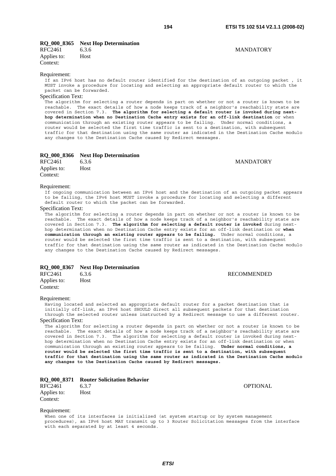# **RQ\_000\_8365 Next Hop Determination**

| RFC2461     | 6.3.6       |
|-------------|-------------|
| Applies to: | <b>Host</b> |
| Context:    |             |

#### Requirement:

If an IPv6 host has no default router identified for the destination of an outgoing packet , it MUST invoke a procedure for locating and selecting an appropriate default router to which the packet can be forwarded.

#### Specification Text:

The algorithm for selecting a router depends in part on whether or not a router is known to be reachable. The exact details of how a node keeps track of a neighbor's reachability state are covered in Section 7.3. **The algorithm for selecting a default router is invoked during nexthop determination when no Destination Cache entry exists for an off-link destination** or when communication through an existing router appears to be failing. Under normal conditions, a router would be selected the first time traffic is sent to a destination, with subsequent traffic for that destination using the same router as indicated in the Destination Cache modulo any changes to the Destination Cache caused by Redirect messages.

|  |  | RQ_000_8366 | <b>Next Hop Determination</b> |
|--|--|-------------|-------------------------------|
|--|--|-------------|-------------------------------|

| RFC2461     | 6.3.6 |  |
|-------------|-------|--|
| Applies to: | Host  |  |
| Context:    |       |  |

#### Requirement:

If ongoing communication between an IPv6 host and the destination of an outgoing packet appears to be failing, the IPv6 host MUST invoke a procedure for locating and selecting a different default router to which the packet can be forwarded.

# Specification Text:

The algorithm for selecting a router depends in part on whether or not a router is known to be reachable. The exact details of how a node keeps track of a neighbor's reachability state are covered in Section 7.3. **The algorithm for selecting a default router is invoked** during nexthop determination when no Destination Cache entry exists for an off-link destination or **when communication through an existing router appears to be failing.** Under normal conditions, a router would be selected the first time traffic is sent to a destination, with subsequent traffic for that destination using the same router as indicated in the Destination Cache modulo any changes to the Destination Cache caused by Redirect messages.

# **RQ\_000\_8367 Next Hop Determination**

| RFC2461     | 6.3.6       |
|-------------|-------------|
| Applies to: | <b>Host</b> |
| Context:    |             |

**RECOMMENDED** 

#### Requirement:

Having located and selected an appropriate default router for a packet destination that is initially off-link, an IPv6 host SHOULD direct all subsequent packets for that destination through the selected router unless instructed by a Redirect message to use a different router. Specification Text:

The algorithm for selecting a router depends in part on whether or not a router is known to be reachable. The exact details of how a node keeps track of a neighbor's reachability state are covered in Section 7.3. The algorithm for selecting a default router is invoked during nexthop determination when no Destination Cache entry exists for an off-link destination or when communication through an existing router appears to be failing. **Under normal conditions, a router would be selected the first time traffic is sent to a destination, with subsequent traffic for that destination using the same router as indicated in the Destination Cache modulo any changes to the Destination Cache caused by Redirect messages.**

| RQ_000_8371 Router Solicitation Behavior |  |  |  |  |
|------------------------------------------|--|--|--|--|
|------------------------------------------|--|--|--|--|

| RFC2461     | 6.3.7 | <b>OPTIONAL</b> |
|-------------|-------|-----------------|
| Applies to: | Host  |                 |
| Context:    |       |                 |

Requirement:

When one of its interfaces is initialized (at system startup or by system management procedures), an IPv6 host MAY transmit up to 3 Router Solicitation messages from the interface with each separated by at least 4 seconds.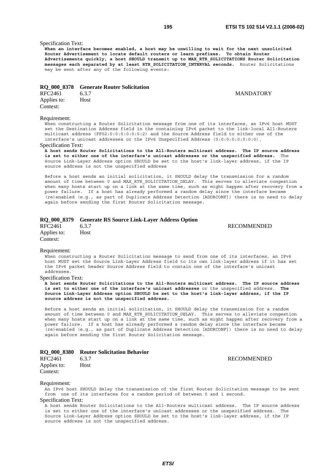**MANDATORY** 

# Specification Text:

**When an interface becomes enabled, a host may be unwilling to wait for the next unsolicited Router Advertisement to locate default routers or learn prefixes. To obtain Router Advertisements quickly, a host SHOULD transmit up to MAX\_RTR\_SOLICITATIONS Router Solicitation messages each separated by at least RTR\_SOLICITATION\_INTERVAL seconds.** Router Solicitations may be sent after any of the following events:

#### **RQ\_000\_8378 Generate Router Solicitation**

| RFC2461     | 6.3.7 |
|-------------|-------|
| Applies to: | Host  |
| Context:    |       |

#### Requirement:

When constructing a Router Solicitation message from one of its interfaces, an IPv6 host MUST set the Destination Address field in the containing IPv6 packet to the link-local All-Routers multicast address (FF02:0:0:0:0:0:0:2) and the Source Address field to either one of the interface's unicast addresses or the IPv6 Unspecified Address (0:0:0:0:0:0:0:0).

#### Specification Text:

**A host sends Router Solicitations to the All-Routers multicast address. The IP source address is set to either one of the interface's unicast addresses or the unspecified address.** The Source Link-Layer Address option SHOULD be set to the host's link-layer address, if the IP source address is not the unspecified address

Before a host sends an initial solicitation, it SHOULD delay the transmission for a random amount of time between 0 and MAX\_RTR\_SOLICITATION\_DELAY. This serves to alleviate congestion when many hosts start up on a link at the same time, such as might happen after recovery from a power failure. If a host has already performed a random delay since the interface became (re)enabled (e.g., as part of Duplicate Address Detection [ADDRCONF]) there is no need to delay again before sending the first Router Solicitation message.

# **RQ\_000\_8379 Generate RS Source Link-Layer Address Option**

| RFC2461     | 6.3.7       |
|-------------|-------------|
| Applies to: | <b>Host</b> |
| Context:    |             |

**RECOMMENDED** 

#### Requirement:

When constructing a Router Solicitation message to send from one of its interfaces, an IPv6 host MUST set the Source Link-Layer Address field to its own link-layer address if it has set the IPv6 packet header Source Address field to contain one of the interface's unicast addresses.

### Specification Text:

**A host sends Router Solicitations to the All-Routers multicast address. The IP source address is set to either one of the interface's unicast addresses** or the unspecified address. **The Source Link-Layer Address option SHOULD be set to the host's link-layer address, if the IP source address is not the unspecified address.**

Before a host sends an initial solicitation, it SHOULD delay the transmission for a random amount of time between 0 and MAX RTR SOLICITATION DELAY. This serves to alleviate congestion when many hosts start up on a link at the same time, such as might happen after recovery from a power failure. If a host has already performed a random delay since the interface became (re)enabled (e.g., as part of Duplicate Address Detection [ADDRCONF]) there is no need to delay again before sending the first Router Solicitation message.

#### **RQ\_000\_8380 Router Solicitation Behavior**

| RFC2461     | 6.3.7 |
|-------------|-------|
| Applies to: | Host  |
| Context:    |       |

**RECOMMENDED** 

#### Requirement:

An IPv6 host SHOULD delay the transmission of the first Router Solicitation message to be sent from one of its interfaces for a random period of between 0 and 1 second. Specification Text:

A host sends Router Solicitations to the All-Routers multicast address. The IP source address is set to either one of the interface's unicast addresses or the unspecified address. The Source Link-Layer Address option SHOULD be set to the host's link-layer address, if the IP source address is not the unspecified address.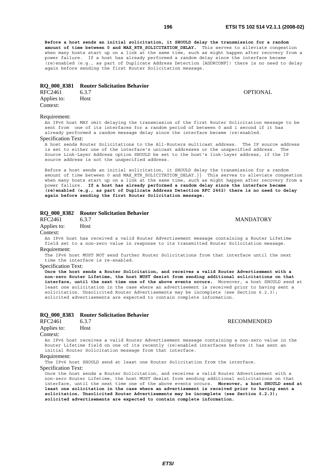**Before a host sends an initial solicitation, it SHOULD delay the transmission for a random**  amount of time between 0 and MAX RTR SOLICITATION DELAY. This serves to alleviate congestion when many hosts start up on a link at the same time, such as might happen after recovery from a power failure. If a host has already performed a random delay since the interface became (re)enabled (e.g., as part of Duplicate Address Detection [ADDRCONF]) there is no need to delay again before sending the first Router Solicitation message.

#### **RQ\_000\_8381 Router Solicitation Behavior**

RFC2461 6.3.7 **CONVERTIGATE:** 6.3.7 Applies to: Host Context:

#### Requirement:

An IPv6 host MAY omit delaying the transmission of the first Router Solicitation message to be sent from one of its interfaces for a random period of between 0 and 1 second if it has already performed a random message delay since the interface became (re)enabled.

#### Specification Text:

A host sends Router Solicitations to the All-Routers multicast address. The IP source address is set to either one of the interface's unicast addresses or the unspecified address. The Source Link-Layer Address option SHOULD be set to the host's link-layer address, if the IP source address is not the unspecified address.

Before a host sends an initial solicitation, it SHOULD delay the transmission for a random amount of time between 0 and MAX\_RTR\_SOLICITATION\_DELAY.}} This serves to alleviate congestion when many hosts start up on a link at the same time, such as might happen after recovery from a power failure. **If a host has already performed a random delay since the interface became (re)enabled (e.g., as part of Duplicate Address Detection RFC 2462) there is no need to delay again before sending the first Router Solicitation message.**

# **RQ\_000\_8382 Router Solicitation Behavior**

Applies to: Host

Context:

An IPv6 host has received a valid Router Advertisement message containing a Router Lifetime field set to a non-zero value in response to its transmitted Router Solicitation message. Requirement:

The IPv6 host MUST NOT send further Router Solicitations from that interface until the next time the interface is re-enabled.

#### Specification Text:

**Once the host sends a Router Solicitation, and receives a valid Router Advertisement with a non-zero Router Lifetime, the host MUST desist from sending additional solicitations on that interface, until the next time one of the above events occurs.** Moreover, a host SHOULD send at least one solicitation in the case where an advertisement is received prior to having sent a solicitation. Unsolicited Router Advertisements may be incomplete (see Section 6.2.3); solicited advertisements are expected to contain complete information.

#### **RQ\_000\_8383 Router Solicitation Behavior**

RFC2461 6.3.7 RECOMMENDED Applies to: Host

#### Context:

An IPv6 host receives a valid Router Advertisement message containing a non-zero value in the Router Lifetime field on one of its recently (re)enabled interfaces before it has sent an initial Router Solicitation message from that interface.

#### Requirement:

The IPv6 host SHOULD send at least one Router Solicitation from the interface.

Specification Text:

Once the host sends a Router Solicitation, and receives a valid Router Advertisement with a non-zero Router Lifetime, the host MUST desist from sending additional solicitations on that interface, until the next time one of the above events occurs. **Moreover, a host SHOULD send at least one solicitation in the case where an advertisement is received prior to having sent a solicitation. Unsolicited Router Advertisements may be incomplete (see Section 6.2.3); solicited advertisements are expected to contain complete information.**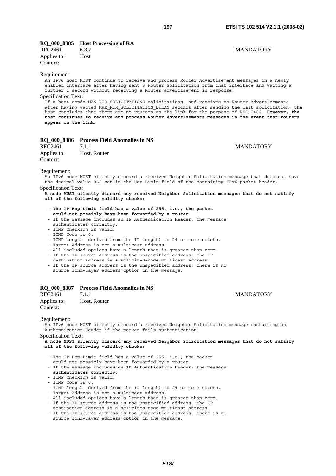**MANDATORY** 

# **RQ\_000\_8385 Host Processing of RA**

| RFC2461     | 6.3.7 |
|-------------|-------|
| Applies to: | Host  |
| Context:    |       |

#### Requirement:

An IPv6 host MUST continue to receive and process Router Advertisement messages on a newly enabled interface after having sent 3 Router Solicitation from that interface and waiting a further 1 second without receiving a Router advertisement in response.

#### Specification Text:

If a host sends MAX\_RTR\_SOLICITATIONS solicitations, and receives no Router Advertisements after having waited MAX\_RTR\_SOLICITATION\_DELAY seconds after sending the last solicitation, the host concludes that there are no routers on the link for the purpose of RFC 2462. **However, the host continues to receive and process Router Advertisements messages in the event that routers appear on the link.**

# **RQ\_000\_8386 Process Field Anomalies in NS**

| RFC2461     | 7.1.1        | <b>MANDATORY</b> |
|-------------|--------------|------------------|
| Applies to: | Host, Router |                  |
| Context:    |              |                  |

#### Requirement:

An IPv6 node MUST silently discard a received Neighbor Solicitation message that does not have the decimal value 255 set in the Hop Limit field of the containing IPv6 packet header. Specification Text:

#### **A node MUST silently discard any received Neighbor Solicitation messages that do not satisfy all of the following validity checks:**

- **The IP Hop Limit field has a value of 255, i.e., the packet could not possibly have been forwarded by a router.**
- If the message includes an IP Authentication Header, the message authenticates correctly.
- ICMP Checksum is valid.
- ICMP Code is 0.
- ICMP length (derived from the IP length) is 24 or more octets.
- Target Address is not a multicast address.
- All included options have a length that is greater than zero.
- If the IP source address is the unspecified address, the IP
- destination address is a solicited-node multicast address.
- If the IP source address is the unspecified address, there is no source link-layer address option in the message.

# **RQ\_000\_8387 Process Field Anomalies in NS**

RFC2461 7.1.1 MANDATORY Applies to: Host, Router Context:

#### Requirement:

An IPv6 node MUST silently discard a received Neighbor Solicitation message containing an Authentication Header if the packet fails authentication.

Specification Text:

**A node MUST silently discard any received Neighbor Solicitation messages that do not satisfy all of the following validity checks:**

- The IP Hop Limit field has a value of 255, i.e., the packet could not possibly have been forwarded by a router.
- **If the message includes an IP Authentication Header, the message authenticates correctly.**
- ICMP Checksum is valid.
- ICMP Code is 0.
- ICMP length (derived from the IP length) is 24 or more octets.
- Target Address is not a multicast address.
- All included options have a length that is greater than zero.
- If the IP source address is the unspecified address, the IP
- destination address is a solicited-node multicast address. - If the IP source address is the unspecified address, there is no
- source link-layer address option in the message.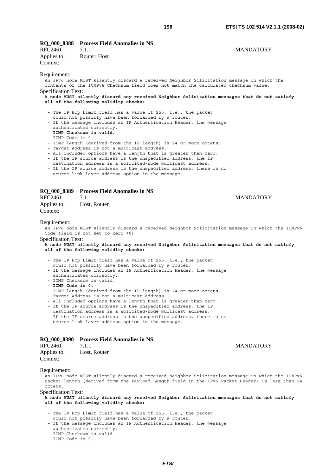| RQ_000_8388 Process Field Anomalies in NS |  |  |  |
|-------------------------------------------|--|--|--|
|-------------------------------------------|--|--|--|

| RFC2461     | 7.1.1        |
|-------------|--------------|
| Applies to: | Router, Host |
| Context:    |              |

## **MANDATORY**

Requirement:

An IPv6 node MUST silently discard a received Neighbor Solicitation message in which the contents of the ICMPv6 Checksum field does not match the calculated checksum value. Specification Text:

**A node MUST silently discard any received Neighbor Solicitation messages that do not satisfy all of the following validity checks:**

- The IP Hop Limit field has a value of 255, i.e., the packet
- could not possibly have been forwarded by a router.
- If the message includes an IP Authentication Header, the message
- authenticates correctly.
- **ICMP Checksum is valid.**
- ICMP Code is 0.

- ICMP length (derived from the IP length) is 24 or more octets.

- Target Address is not a multicast address.
- All included options have a length that is greater than zero.
- If the IP source address is the unspecified address, the IP
- destination address is a solicited-node multicast address. - If the IP source address is the unspecified address, there is no
	- source link-layer address option in the message.

# **RQ\_000\_8389 Process Field Anomalies in NS**

RFC2461 7.1.1 MANDATORY Applies to: Host, Router Context:

#### Requirement:

An IPv6 node MUST silently discard a received Neighbor Solicitation message in which the ICMPv6 Code field is not set to zero (0)

Specification Text:

**A node MUST silently discard any received Neighbor Solicitation messages that do not satisfy all of the following validity checks:**

- The IP Hop Limit field has a value of 255, i.e., the packet
- could not possibly have been forwarded by a router.
- If the message includes an IP Authentication Header, the message authenticates correctly.
- ICMP Checksum is valid.
- **ICMP Code is 0.**

- ICMP length (derived from the IP length) is 24 or more octets.

- Target Address is not a multicast address.

- All included options have a length that is greater than zero.

- If the IP source address is the unspecified address, the IP
- destination address is a solicited-node multicast address.
- If the IP source address is the unspecified address, there is no source link-layer address option in the message.

# **RQ\_000\_8390 Process Field Anomalies in NS**

| RFC2461     | 7.1.1        |  |
|-------------|--------------|--|
| Applies to: | Host, Router |  |

Context:

# Requirement:

An IPv6 node MUST silently discard a received Neighbor Solicitation message in which the ICMPv6 packet length (derived from the Payload Length field in the IPv6 Packet Header) is less than 24 octets.

Specification Text:

**A node MUST silently discard any received Neighbor Solicitation messages that do not satisfy all of the following validity checks:**

- The IP Hop Limit field has a value of 255, i.e., the packet
- could not possibly have been forwarded by a router.
- If the message includes an IP Authentication Header, the message
- authenticates correctly.
- ICMP Checksum is valid.
- ICMP Code is 0.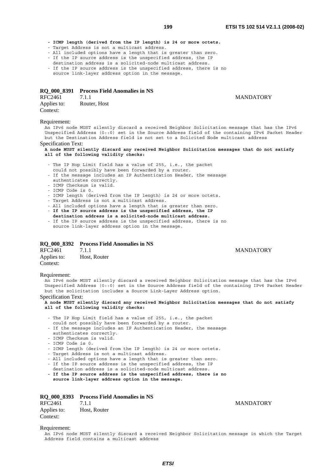**- ICMP length (derived from the IP length) is 24 or more octets.**

- Target Address is not a multicast address.

- All included options have a length that is greater than zero.
- If the IP source address is the unspecified address, the IP
- destination address is a solicited-node multicast address. - If the IP source address is the unspecified address, there is no
- source link-layer address option in the message.

# **RQ\_000\_8391 Process Field Anomalies in NS**

Text 1 MANDATORY Applies to: Router, Host Context:

#### Requirement:

An IPv6 node MUST silently discard a received Neighbor Solicitation message that has the IPv6 Unspecified Address (0::0) set in the Source Address field of the containing IPv6 Packet Header but the Destination Address field is not set to a Solicited Node multicast address

#### Specification Text:

**A node MUST silently discard any received Neighbor Solicitation messages that do not satisfy all of the following validity checks:**

- The IP Hop Limit field has a value of 255, i.e., the packet
- could not possibly have been forwarded by a router.
- If the message includes an IP Authentication Header, the message
- authenticates correctly.
- ICMP Checksum is valid.
- ICMP Code is 0.
- ICMP length (derived from the IP length) is 24 or more octets.
- Target Address is not a multicast address.
- All included options have a length that is greater than zero.
- - **If the IP source address is the unspecified address, the IP destination address is a solicited-node multicast address.**
- If the IP source address is the unspecified address, there is no source link-layer address option in the message.

#### **RQ\_000\_8392 Process Field Anomalies in NS**

| RFC2461     | 7.1.1        |
|-------------|--------------|
| Applies to: | Host, Router |
| Context:    |              |

#### Requirement:

An IPv6 node MUST silently discard a received Neighbor Solicitation message that has the IPv6 Unspecified Address (0::0) set in the Source Address field of the containing IPv6 Packet Header but the solicitation includes a Source Link-Layer Address option.

#### Specification Text:

**A node MUST silently discard any received Neighbor Solicitation messages that do not satisfy all of the following validity checks:**

- The IP Hop Limit field has a value of 255, i.e., the packet could not possibly have been forwarded by a router.
- If the message includes an IP Authentication Header, the message authenticates correctly.
- ICMP Checksum is valid.
- ICMP Code is 0.
- ICMP length (derived from the IP length) is 24 or more octets.
- Target Address is not a multicast address.
- All included options have a length that is greater than zero.
- If the IP source address is the unspecified address, the IP
- destination address is a solicited-node multicast address. **- If the IP source address is the unspecified address, there is no**
- **source link-layer address option in the message.**

# **RQ\_000\_8393 Process Field Anomalies in NS**  RFC2461 7.1.1 MANDATORY Applies to: Host, Router Context:

**MANDATORY** 

#### Requirement:

An IPv6 node MUST silently discard a received Neighbor Solicitation message in which the Target Address field contains a multicast address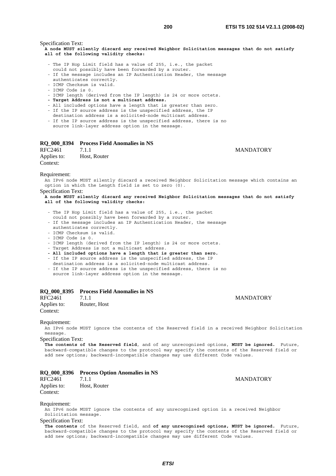Specification Text:

**A node MUST silently discard any received Neighbor Solicitation messages that do not satisfy all of the following validity checks:**

- The IP Hop Limit field has a value of 255, i.e., the packet
- could not possibly have been forwarded by a router.
- If the message includes an IP Authentication Header, the message
- authenticates correctly. - ICMP Checksum is valid.
- ICMP Code is 0.
- 
- ICMP length (derived from the IP length) is 24 or more octets.
- **Target Address is not a multicast address.**
- All included options have a length that is greater than zero.
- If the IP source address is the unspecified address, the IP
- destination address is a solicited-node multicast address. - If the IP source address is the unspecified address, there is no

source link-layer address option in the message.

## **RQ\_000\_8394 Process Field Anomalies in NS**

RFC2461 7.1.1 MANDATORY Applies to: Host, Router Context:

Requirement:

An IPv6 node MUST silently discard a received Neighbor Solicitation message which contains an option in which the Length field is set to zero (0).

Specification Text:

#### **A node MUST silently discard any received Neighbor Solicitation messages that do not satisfy all of the following validity checks:**

- The IP Hop Limit field has a value of 255, i.e., the packet
- could not possibly have been forwarded by a router.
- If the message includes an IP Authentication Header, the message
- authenticates correctly.
- ICMP Checksum is valid.
- ICMP Code is 0.
- ICMP length (derived from the IP length) is 24 or more octets.
- Target Address is not a multicast address.
- **All included options have a length that is greater than zero.**
- If the IP source address is the unspecified address, the IP
- destination address is a solicited-node multicast address. - If the IP source address is the unspecified address, there is no source link-layer address option in the message.

## **RQ\_000\_8395 Process Field Anomalies in NS**

RFC2461 7.1.1 MANDATORY Applies to: Router, Host Context:

#### Requirement:

An IPv6 node MUST ignore the contents of the Reserved field in a received Neighbor Solicitation message.

Specification Text:

**The contents of the Reserved field**, and of any unrecognized options, **MUST be ignored.** Future, backward-compatible changes to the protocol may specify the contents of the Reserved field or add new options; backward-incompatible changes may use different Code values.

#### **RQ\_000\_8396 Process Option Anomalies in NS**

RFC2461 7.1.1 MANDATORY Applies to: Host, Router Context:

#### Requirement:

An IPv6 node MUST ignore the contents of any unrecognized option in a received Neighbor Solicitation message.

## Specification Text:

**The contents** of the Reserved field, and **of any unrecognized options, MUST be ignored.** Future, backward-compatible changes to the protocol may specify the contents of the Reserved field or add new options; backward-incompatible changes may use different Code values.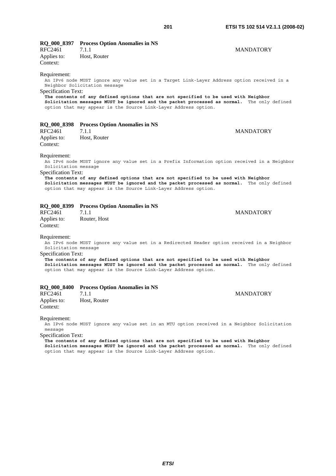| RFC2461<br>Applies to:<br>Context:                                                                                                                                                                                                                                                                                                                                                                                         | RQ_000_8397 Process Option Anomalies in NS<br>7.1.1<br>Host, Router                                                                                                                                                                                                                                                                                                                 | <b>MANDATORY</b> |
|----------------------------------------------------------------------------------------------------------------------------------------------------------------------------------------------------------------------------------------------------------------------------------------------------------------------------------------------------------------------------------------------------------------------------|-------------------------------------------------------------------------------------------------------------------------------------------------------------------------------------------------------------------------------------------------------------------------------------------------------------------------------------------------------------------------------------|------------------|
| Requirement:<br><b>Specification Text:</b>                                                                                                                                                                                                                                                                                                                                                                                 | An IPv6 node MUST ignore any value set in a Target Link-Layer Address option received in a<br>Neighbor Solicitation message<br>The contents of any defined options that are not specified to be used with Neighbor<br>Solicitation messages MUST be ignored and the packet processed as normal. The only defined<br>option that may appear is the Source Link-Layer Address option. |                  |
| RFC2461<br>Applies to:<br>Context:                                                                                                                                                                                                                                                                                                                                                                                         | RQ_000_8398 Process Option Anomalies in NS<br>7.1.1<br>Host, Router                                                                                                                                                                                                                                                                                                                 | <b>MANDATORY</b> |
| Requirement:<br>An IPv6 node MUST ignore any value set in a Prefix Information option received in a Neighbor<br>Solicitation message<br><b>Specification Text:</b><br>The contents of any defined options that are not specified to be used with Neighbor<br>Solicitation messages MUST be ignored and the packet processed as normal. The only defined<br>option that may appear is the Source Link-Layer Address option. |                                                                                                                                                                                                                                                                                                                                                                                     |                  |
| RFC2461<br>Applies to:<br>Context:<br>Requirement:                                                                                                                                                                                                                                                                                                                                                                         | RQ_000_8399 Process Option Anomalies in NS<br>7.1.1<br>Router, Host                                                                                                                                                                                                                                                                                                                 | <b>MANDATORY</b> |
| An IPv6 node MUST ignore any value set in a Redirected Header option received in a Neighbor<br>Solicitation message<br><b>Specification Text:</b><br>The contents of any defined options that are not specified to be used with Neighbor<br>Solicitation messages MUST be ignored and the packet processed as normal. The only defined<br>option that may appear is the Source Link-Layer Address option.                  |                                                                                                                                                                                                                                                                                                                                                                                     |                  |
| RFC2461<br>Applies to:<br>Context:                                                                                                                                                                                                                                                                                                                                                                                         | RQ_000_8400 Process Option Anomalies in NS<br>7.1.1<br>Host, Router                                                                                                                                                                                                                                                                                                                 | <b>MANDATORY</b> |
| Requirement:                                                                                                                                                                                                                                                                                                                                                                                                               | An IPv6 node MUST ignore any value set in an MTU option received in a Neighbor Solicitation                                                                                                                                                                                                                                                                                         |                  |

message

Specification Text:

**The contents of any defined options that are not specified to be used with Neighbor Solicitation messages MUST be ignored and the packet processed as normal.** The only defined option that may appear is the Source Link-Layer Address option.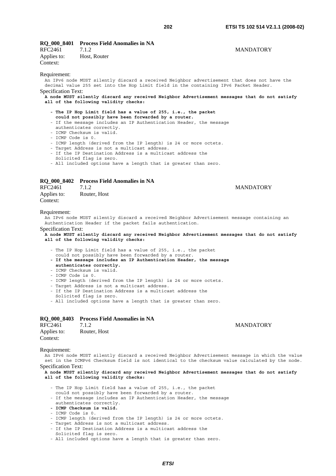# **RQ\_000\_8401 Process Field Anomalies in NA**

RFC2461 7.1.2 MANDATORY Applies to: Host, Router Context:

# Requirement:

An IPv6 node MUST silently discard a received Neighbor advertisement that does not have the decimal value 255 set into the Hop Limit field in the containing IPv6 Packet Header. Specification Text:

**A node MUST silently discard any received Neighbor Advertisement messages that do not satisfy all of the following validity checks:** 

- **The IP Hop Limit field has a value of 255, i.e., the packet could not possibly have been forwarded by a router.**
- If the message includes an IP Authentication Header, the message
- authenticates correctly.
- ICMP Checksum is valid.
- ICMP Code is 0.
- ICMP length (derived from the IP length) is 24 or more octets.
- Target Address is not a multicast address.
- If the IP Destination Address is a multicast address the
- Solicited flag is zero.
- All included options have a length that is greater than zero.

#### **RQ\_000\_8402 Process Field Anomalies in NA**

| RFC2461     | 7.1.2        |
|-------------|--------------|
| Applies to: | Router, Host |
| Context:    |              |

#### **MANDATORY**

#### Requirement:

An IPv6 node MUST silently discard a received Neighbor Advertisement message containing an Authentication Header if the packet fails authentication.

Specification Text:

**A node MUST silently discard any received Neighbor Advertisement messages that do not satisfy all of the following validity checks:**

- The IP Hop Limit field has a value of 255, i.e., the packet
- could not possibly have been forwarded by a router.
- **If the message includes an IP Authentication Header, the message authenticates correctly.**
- ICMP Checksum is valid.
- ICMP Code is 0.
- ICMP length (derived from the IP length) is 24 or more octets.
- Target Address is not a multicast address.
- If the IP Destination Address is a multicast address the
- Solicited flag is zero.
- All included options have a length that is greater than zero.

|                         | RQ 000 8403 Process Field Anomalies in NA |
|-------------------------|-------------------------------------------|
| RFC2461                 | 7.1.2                                     |
| Applies to:<br>Context: | Router, Host                              |

#### **MANDATORY**

Requirement:

An IPv6 node MUST silently discard a received Neighbor Advertisement message in which the value set in the ICMPv6 Checksum field is not identical to the checksum value calculated by the node.

Specification Text:

**A node MUST silently discard any received Neighbor Advertisement messages that do not satisfy all of the following validity checks:**

- The IP Hop Limit field has a value of 255, i.e., the packet
- could not possibly have been forwarded by a router.
- If the message includes an IP Authentication Header, the message authenticates correctly.
- **ICMP Checksum is valid.**
- ICMP Code is 0.
- ICMP length (derived from the IP length) is 24 or more octets.
- Target Address is not a multicast address.
- If the IP Destination Address is a multicast address the
- Solicited flag is zero.
- All included options have a length that is greater than zero.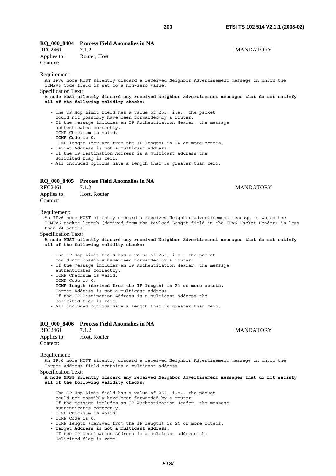# **RQ\_000\_8404 Process Field Anomalies in NA**

|                         | RO 000 8404 Process Field Anomalies in NA |                  |
|-------------------------|-------------------------------------------|------------------|
| RFC2461                 | 7.1.2                                     | <b>MANDATORY</b> |
| Applies to:<br>Context: | Router, Host                              |                  |
| Requirement:            |                                           |                  |

An IPv6 node MUST silently discard a received Neighbor Advertisement message in which the ICMPv6 Code field is set to a non-zero value.

### Specification Text:

#### **A node MUST silently discard any received Neighbor Advertisement messages that do not satisfy all of the following validity checks:**

- The IP Hop Limit field has a value of 255, i.e., the packet
- could not possibly have been forwarded by a router.
- If the message includes an IP Authentication Header, the message authenticates correctly.
- ICMP Checksum is valid.
- **ICMP Code is 0.**
- ICMP length (derived from the IP length) is 24 or more octets.
- Target Address is not a multicast address.
- If the IP Destination Address is a multicast address the
- Solicited flag is zero.
- All included options have a length that is greater than zero.

#### **RQ\_000\_8405 Process Field Anomalies in NA**

| RFC2461     | 7.1.2        |
|-------------|--------------|
| Applies to: | Host, Router |
| Context:    |              |

# **MANDATORY**

#### Requirement:

An IPv6 node MUST silently discard a received Neighbor advertisement message in which the ICMPv6 packet length (derived from the Payload Length field in the IPv6 Packet Header) is less than 24 octets.

#### Specification Text:

**A node MUST silently discard any received Neighbor Advertisement messages that do not satisfy all of the following validity checks:**

- The IP Hop Limit field has a value of 255, i.e., the packet
- could not possibly have been forwarded by a router.
- If the message includes an IP Authentication Header, the message
- authenticates correctly.
- ICMP Checksum is valid.
- ICMP Code is 0.
- **ICMP length (derived from the IP length) is 24 or more octets.**
- Target Address is not a multicast address.
- If the IP Destination Address is a multicast address the
- Solicited flag is zero.
- All included options have a length that is greater than zero.

# **RQ\_000\_8406 Process Field Anomalies in NA**

| RFC2461     | 7.1.2        |
|-------------|--------------|
| Applies to: | Host, Router |
| Context:    |              |

# Requirement:

An IPv6 node MUST silently discard a received Neighbor Advertisement message in which the Target Address field contains a multicast address

Specification Text:

**A node MUST silently discard any received Neighbor Advertisement messages that do not satisfy all of the following validity checks:**

- The IP Hop Limit field has a value of 255, i.e., the packet
- could not possibly have been forwarded by a router.
- If the message includes an IP Authentication Header, the message
- authenticates correctly.
- ICMP Checksum is valid.
- ICMP Code is 0.
- ICMP length (derived from the IP length) is 24 or more octets.
- **Target Address is not a multicast address.**
- If the IP Destination Address is a multicast address the Solicited flag is zero.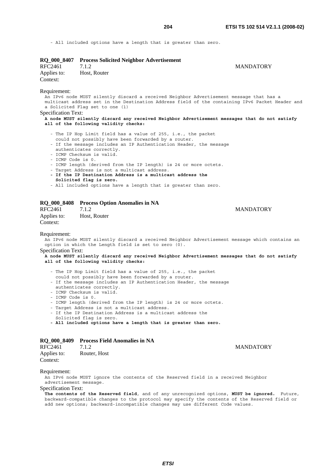**MANDATORY** 

- All included options have a length that is greater than zero.

| RFC2461<br>Applies to:<br>Context:  | RQ_000_8407 Process Solicited Neighbor Advertisement<br>7.1.2<br>Host, Router                                                                                                                                                                                                                                                                                                                                                                                                                                                       | <b>MANDATORY</b>                                                                                                                                                                                 |
|-------------------------------------|-------------------------------------------------------------------------------------------------------------------------------------------------------------------------------------------------------------------------------------------------------------------------------------------------------------------------------------------------------------------------------------------------------------------------------------------------------------------------------------------------------------------------------------|--------------------------------------------------------------------------------------------------------------------------------------------------------------------------------------------------|
| Requirement:<br>Specification Text: | An IPv6 node MUST silently discard a received Neighbor Advertisement message that has a<br>a Solicited Flag set to one (1)<br>all of the following validity checks:                                                                                                                                                                                                                                                                                                                                                                 | multicast address set in the Destination Address field of the containing IPv6 Packet Header and<br>A node MUST silently discard any received Neighbor Advertisement messages that do not satisfy |
| - ICMP Code is 0.                   | - The IP Hop Limit field has a value of 255, i.e., the packet<br>could not possibly have been forwarded by a router.<br>- If the message includes an IP Authentication Header, the message<br>authenticates correctly.<br>- ICMP Checksum is valid.<br>- ICMP length (derived from the IP length) is 24 or more octets.<br>- Target Address is not a multicast address.<br>- If the IP Destination Address is a multicast address the<br>Solicited flag is zero.<br>- All included options have a length that is greater than zero. |                                                                                                                                                                                                  |
| <b>RQ_000_8408</b><br>RFC2461       | <b>Process Option Anomalies in NA</b><br>7.1.2                                                                                                                                                                                                                                                                                                                                                                                                                                                                                      | <b>MANDATORY</b>                                                                                                                                                                                 |

Applies to: Host, Router Context:

# Requirement:

An IPv6 node MUST silently discard a received Neighbor Advertisement message which contains an option in which the Length field is set to zero (0).

Specification Text:

# **A node MUST silently discard any received Neighbor Advertisement messages that do not satisfy all of the following validity checks:**

- The IP Hop Limit field has a value of 255, i.e., the packet
- could not possibly have been forwarded by a router.
- If the message includes an IP Authentication Header, the message authenticates correctly.
- ICMP Checksum is valid.
- ICMP Code is 0.
- ICMP length (derived from the IP length) is 24 or more octets.
- Target Address is not a multicast address.
- If the IP Destination Address is a multicast address the
- Solicited flag is zero.
- **All included options have a length that is greater than zero.**

## **RQ\_000\_8409 Process Field Anomalies in NA**

| RFC2461     | 7.1.2        |
|-------------|--------------|
| Applies to: | Router, Host |
| Context:    |              |

#### Requirement:

An IPv6 node MUST ignore the contents of the Reserved field in a received Neighbor advertisement message.

# Specification Text:

**The contents of the Reserved field**, and of any unrecognized options, **MUST be ignored.** Future, backward-compatible changes to the protocol may specify the contents of the Reserved field or add new options; backward-incompatible changes may use different Code values.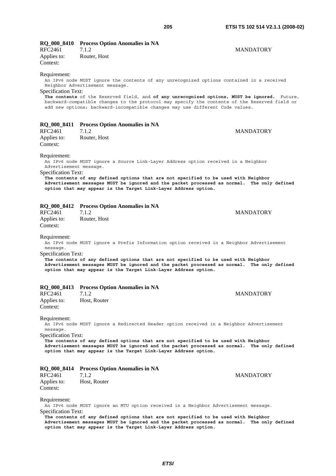|         | RQ_000_8410 Process Option Anomalies in NA |                  |
|---------|--------------------------------------------|------------------|
| RFC2461 |                                            | <b>MANDATORY</b> |

Applies to: Router, Host Context:

#### Requirement:

An IPv6 node MUST ignore the contents of any unrecognized options contained in a received Neighbor Advertisement message.

### Specification Text:

**The contents** of the Reserved field, and **of any unrecognized options, MUST be ignored.** Future, backward-compatible changes to the protocol may specify the contents of the Reserved field or add new options; backward-incompatible changes may use different Code values.

# **RQ\_000\_8411 Process Option Anomalies in NA**

RFC2461 7.1.2 MANDATORY Applies to: Router, Host Context:

#### Requirement:

An IPv6 node MUST ignore a Source Link-Layer Address option received in a Neighbor Advertisement message.

Specification Text:

**The contents of any defined options that are not specified to be used with Neighbor Advertisement messages MUST be ignored and the packet processed as normal. The only defined option that may appear is the Target Link-Layer Address option.**

# **RQ\_000\_8412 Process Option Anomalies in NA**

RFC2461 7.1.2 MANDATORY Applies to: Router, Host Context:

Requirement:

An IPv6 node MUST ignore a Prefix Information option received in a Neighbor Advertisement message.

Specification Text:

**The contents of any defined options that are not specified to be used with Neighbor Advertisement messages MUST be ignored and the packet processed as normal. The only defined option that may appear is the Target Link-Layer Address option.**

### **RQ\_000\_8413 Process Option Anomalies in NA**

RFC2461 7.1.2 MANDATORY Applies to: Host, Router Context:

Requirement:

An IPv6 node MUST ignore a Redirected Header option received in a Neighbor Advertisement message.

Specification Text:

**The contents of any defined options that are not specified to be used with Neighbor Advertisement messages MUST be ignored and the packet processed as normal. The only defined option that may appear is the Target Link-Layer Address option.**

# **RQ\_000\_8414 Process Option Anomalies in NA**

# Applies to: Host, Router Context:

Requirement:

An IPv6 node MUST ignore an MTU option received in a Neighbor Advertisement message. Specification Text:

**The contents of any defined options that are not specified to be used with Neighbor Advertisement messages MUST be ignored and the packet processed as normal. The only defined option that may appear is the Target Link-Layer Address option.**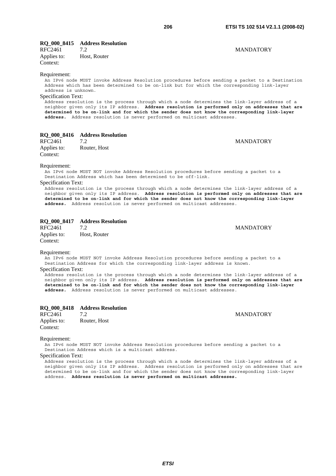# **RQ\_000\_8415 Address Resolution**

Applies to: Host, Router Context:

# Requirement:

An IPv6 node MUST invoke Address Resolution procedures before sending a packet to a Destination Address which has been determined to be on-link but for which the corresponding link-layer address is unknown.

# Specification Text:

Address resolution is the process through which a node determines the link-layer address of a neighbor given only its IP address. **Address resolution is performed only on addresses that are determined to be on-link and for which the sender does not know the corresponding link-layer address.** Address resolution is never performed on multicast addresses.

# **RQ\_000\_8416 Address Resolution**

RFC2461 7.2 MANDATORY Applies to: Router, Host Context:

#### Requirement:

An IPv6 node MUST NOT invoke Address Resolution procedures before sending a packet to a Destination Address which has been determined to be off-link.

#### Specification Text:

Address resolution is the process through which a node determines the link-layer address of a neighbor given only its IP address. **Address resolution is performed only on addresses that are determined to be on-link and for which the sender does not know the corresponding link-layer address.** Address resolution is never performed on multicast addresses.

# **RQ\_000\_8417 Address Resolution**

RFC2461 7.2 MANDATORY Applies to: Host, Router Context:

#### Requirement:

An IPv6 node MUST NOT invoke Address Resolution procedures before sending a packet to a Destination Address for which the corresponding link-layer address is known.

#### Specification Text:

Address resolution is the process through which a node determines the link-layer address of a neighbor given only its IP address. **Address resolution is performed only on addresses that are determined to be on-link and for which the sender does not know the corresponding link-layer address.** Address resolution is never performed on multicast addresses.

# **RQ\_000\_8418 Address Resolution**

RFC2461 7.2 MANDATORY Applies to: Router, Host Context:

#### Requirement:

An IPv6 node MUST NOT invoke Address Resolution procedures before sending a packet to a Destination Address which is a multicast address.

# Specification Text:

Address resolution is the process through which a node determines the link-layer address of a neighbor given only its IP address. Address resolution is performed only on addresses that are determined to be on-link and for which the sender does not know the corresponding link-layer address. **Address resolution is never performed on multicast addresses.**

# RFC2461 7.2 MANDATORY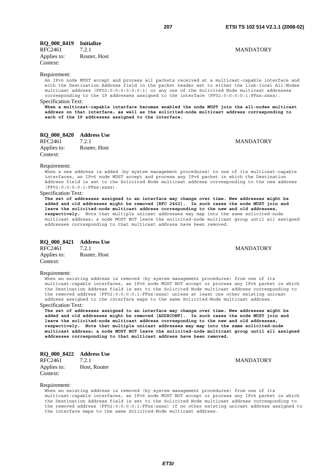**MANDATORY** 

# **RQ\_000\_8419 Initialize**

| RFC2461     | 7.2.1        |
|-------------|--------------|
| Applies to: | Router, Host |
| Context:    |              |

# Requirement:

An IPv6 node MUST accept and process all packets received at a multicast-capable interface and with the Destination Address field in the packet header set to either the link-local All-Nodes multicast address (FF02:0:0:0:0:0:0:1) or any one of the Solicited Node multicast addresses corresponding to the IP addresses assigned to the interface (FF02:0:0:0:0:1:FFxx:xxxx). Specification Text:

**When a multicast-capable interface becomes enabled the node MUST join the all-nodes multicast address on that interface, as well as the solicited-node multicast address corresponding to each of the IP addresses assigned to the interface.**

# **RQ\_000\_8420 Address Use**

RFC2461 7.2.1 MANDATORY Applies to: Router, Host Context:

#### Requirement:

When a new address is added (by system management procedures) to one of its multicast-capable interfaces, an IPv6 node MUST accept and process any IPv6 packet in which the Destination Address field is set to the Solicited Node multicast address corresponding to the new address (FF02:0:0:0:0:1:FFxx:xxxx).

#### Specification Text:

**The set of addresses assigned to an interface may change over time. New addresses might be added and old addresses might be removed [RFC 2462]. In such cases the node MUST join and leave the solicited-node multicast address corresponding to the new and old addresses, respectively.** Note that multiple unicast addresses may map into the same solicited-node multicast address; a node MUST NOT leave the solicited-node multicast group until all assigned addresses corresponding to that multicast address have been removed.

# **RQ\_000\_8421 Address Use**

T.2.1 MANDATORY Applies to: Router, Host Context:

#### Requirement:

When an existing address is removed (by system management procedures) from one of its multicast-capable interfaces, an IPv6 node MUST NOT accept or process any IPv6 packet in which the Destination Address field is set to the Solicited Node multicast address corresponding to the removed address (FF02:0:0:0:0:1:FFxx:xxxx) unless at least one other existing unicast address assigned to the interface maps to the same Solicited-Node multicast address.

## Specification Text:

**The set of addresses assigned to an interface may change over time. New addresses might be added and old addresses might be removed [ADDRCONF]. In such cases the node MUST join and leave the solicited-node multicast address corresponding to the new and old addresses, respectively. Note that multiple unicast addresses may map into the same solicited-node multicast address; a node MUST NOT leave the solicited-node multicast group until all assigned addresses corresponding to that multicast address have been removed.**

| <b>RQ_000_8422</b> | <b>Address Use</b> |
|--------------------|--------------------|
| RFC2461            | 7.2.1              |
| Applies to:        | Host, Router       |
| Context:           |                    |

**MANDATORY** 

#### Requirement:

When an existing address is removed (by system management procedures) from one of its multicast-capable interfaces, an IPv6 node MUST NOT accept or process any IPv6 packet in which the Destination Address field is set to the Solicited Node multicast address corresponding to the removed address (FF02:0:0:0:0:1:FFxx:xxxx) if no other existing unicast address assigned to the interface maps to the same Solicited-Node multicast address.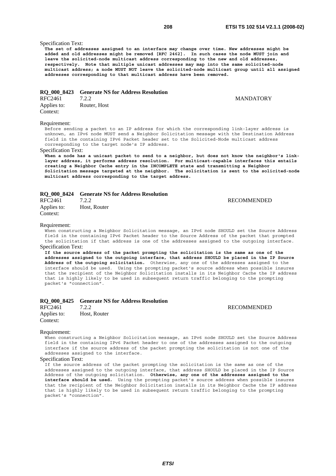# Specification Text:

**The set of addresses assigned to an interface may change over time. New addresses might be added and old addresses might be removed [RFC 2462]. In such cases the node MUST join and leave the solicited-node multicast address corresponding to the new and old addresses, respectively. Note that multiple unicast addresses may map into the same solicited-node multicast address; a node MUST NOT leave the solicited-node multicast group until all assigned addresses corresponding to that multicast address have been removed.**

#### **RQ\_000\_8423 Generate NS for Address Resolution**

| RFC2461     | 7.2.2        |
|-------------|--------------|
| Applies to: | Router, Host |
| Context:    |              |

**MANDATORY** 

### Requirement:

Before sending a packet to an IP address for which the corresponding link-layer address is unknown, an IPv6 node MUST send a Neighbor Solicitation message with the Destination Address field in the containing IPv6 Packet header set to the Solicited-Node multicast address corresponding to the target node's IP address.

#### Specification Text:

**When a node has a unicast packet to send to a neighbor, but does not know the neighbor's linklayer address, it performs address resolution. For multicast-capable interfaces this entails creating a Neighbor Cache entry in the INCOMPLETE state and transmitting a Neighbor Solicitation message targeted at the neighbor. The solicitation is sent to the solicited-node multicast address corresponding to the target address.**

#### **RQ\_000\_8424 Generate NS for Address Resolution**

| RFC2461     | 7.2.2        |
|-------------|--------------|
| Applies to: | Host, Router |
| Context:    |              |

**RECOMMENDED** 

#### Requirement:

When constructing a Neighbor Solicitation message, an IPv6 node SHOULD set the Source Address field in the containing IPv6 Packet header to the Source Address of the packet that prompted the solicitation if that address is one of the addresses assigned to the outgoing interface. Specification Text:

**If the source address of the packet prompting the solicitation is the same as one of the addresses assigned to the outgoing interface, that address SHOULD be placed in the IP Source Address of the outgoing solicitation.** Otherwise, any one of the addresses assigned to the interface should be used. Using the prompting packet's source address when possible insures that the recipient of the Neighbor Solicitation installs in its Neighbor Cache the IP address that is highly likely to be used in subsequent return traffic belonging to the prompting packet's "connection".

#### **RQ\_000\_8425 Generate NS for Address Resolution**

| RFC2461     | 7.2.2        |
|-------------|--------------|
| Applies to: | Host, Router |
| Context:    |              |

**RECOMMENDED** 

#### Requirement:

When constructing a Neighbor Solicitation message, an IPv6 node SHOULD set the Source Address field in the containing IPv6 Packet header to one of the addresses assigned to the outgoing interface if the source address of the packet prompting the solicitation is not one of the addresses assigned to the interface.

# Specification Text:

If the source address of the packet prompting the solicitation is the same as one of the addresses assigned to the outgoing interface, that address SHOULD be placed in the IP Source Address of the outgoing solicitation. **Otherwise, any one of the addresses assigned to the interface should be used.** Using the prompting packet's source address when possible insures that the recipient of the Neighbor Solicitation installs in its Neighbor Cache the IP address that is highly likely to be used in subsequent return traffic belonging to the prompting packet's "connection".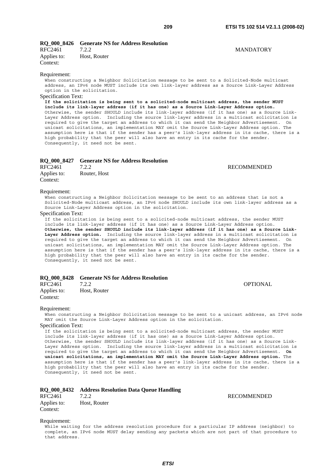# **RQ\_000\_8426 Generate NS for Address Resolution**

| RFC2461     | 7.2.2        |
|-------------|--------------|
| Applies to: | Host, Router |
| Context:    |              |

#### Requirement:

When constructing a Neighbor Solicitation message to be sent to a Solicited-Node multicast address, an IPv6 node MUST include its own link-layer address as a Source Link-Layer Address option in the solicitation.

### Specification Text:

**If the solicitation is being sent to a solicited-node multicast address, the sender MUST include its link-layer address (if it has one) as a Source Link-Layer Address option.** Otherwise, the sender SHOULD include its link-layer address (if it has one) as a Source Link-Layer Address option. Including the source link-layer address in a multicast solicitation is required to give the target an address to which it can send the Neighbor Advertisement. On unicast solicitations, an implementation MAY omit the Source Link-Layer Address option. The assumption here is that if the sender has a peer's link-layer address in its cache, there is a high probability that the peer will also have an entry in its cache for the sender. Consequently, it need not be sent.

|             | RO 000 8427 Generate NS for Address Resolution |                    |
|-------------|------------------------------------------------|--------------------|
| RFC2461     | 7.2.2                                          | <b>RECOMMENDED</b> |
| Applies to: | Router, Host                                   |                    |
| Context:    |                                                |                    |

# Requirement:

When constructing a Neighbor Solicitation message to be sent to an address that is not a Solicited-Node multicast address, an IPv6 node SHOULD include its own link-layer address as a Source Link-Layer Address option in the solicitation.

#### Specification Text:

If the solicitation is being sent to a solicited-node multicast address, the sender MUST include its link-layer address (if it has one) as a Source Link-Layer Address option. **Otherwise, the sender SHOULD include its link-layer address (if it has one) as a Source Link-Layer Address option.** Including the source link-layer address in a multicast solicitation is required to give the target an address to which it can send the Neighbor Advertisement. On unicast solicitations, an implementation MAY omit the Source Link-Layer Address option. The assumption here is that if the sender has a peer's link-layer address in its cache, there is a high probability that the peer will also have an entry in its cache for the sender. Consequently, it need not be sent.

|                         | RO 000 8428 Generate NS for Address Resolution |                 |
|-------------------------|------------------------------------------------|-----------------|
| RFC2461                 | 7.2.2                                          | <b>OPTIONAL</b> |
| Applies to:<br>Context: | Host, Router                                   |                 |

#### Requirement:

When constructing a Neighbor Solicitation message to be sent to a unicast address, an IPv6 node MAY omit the Source Link-Layer Address option in the solicitation.

Specification Text:

If the solicitation is being sent to a solicited-node multicast address, the sender MUST include its link-layer address (if it has one) as a Source Link-Layer Address option. Otherwise, the sender SHOULD include its link-layer address (if it has one) as a Source Link-Layer Address option. Including the source link-layer address in a multicast solicitation is required to give the target an address to which it can send the Neighbor Advertisement. **On unicast solicitations, an implementation MAY omit the Source Link-Layer Address option.** The assumption here is that if the sender has a peer's link-layer address in its cache, there is a high probability that the peer will also have an entry in its cache for the sender. Consequently, it need not be sent.

# **RQ\_000\_8432 Address Resolution Data Queue Handling**

RFC2461 7.2.2 RECOMMENDED Applies to: Host, Router Context:

#### Requirement:

While waiting for the address resolution procedure for a particular IP address (neighbor) to complete, an IPv6 node MUST delay sending any packets which are not part of that procedure to that address.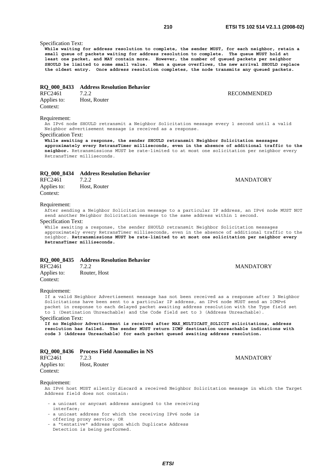# Specification Text:

**While waiting for address resolution to complete, the sender MUST, for each neighbor, retain a small queue of packets waiting for address resolution to complete. The queue MUST hold at least one packet, and MAY contain more. However, the number of queued packets per neighbor SHOULD be limited to some small value. When a queue overflows, the new arrival SHOULD replace the oldest entry. Once address resolution completes, the node transmits any queued packets.**

### **RQ\_000\_8433 Address Resolution Behavior**

| RFC2461     | 7.2.2        |
|-------------|--------------|
| Applies to: | Host, Router |
| Context:    |              |

#### Requirement:

An IPv6 node SHOULD retransmit a Neighbor Solicitation message every 1 second until a valid Neighbor advertisement message is received as a response.

Specification Text:

**While awaiting a response, the sender SHOULD retransmit Neighbor Solicitation messages approximately every RetransTimer milliseconds, even in the absence of additional traffic to the neighbor.** Retransmissions MUST be rate-limited to at most one solicitation per neighbor every RetransTimer milliseconds.

# **RQ\_000\_8434 Address Resolution Behavior**

| RFC2461     | 7.2.2        |
|-------------|--------------|
| Applies to: | Host, Router |
| Context:    |              |

#### Requirement:

After sending a Neighbor Solicitation message to a particular IP address, an IPv6 node MUST NOT send another Neighbor Solicitation message to the same address within 1 second.

### Specification Text:

While awaiting a response, the sender SHOULD retransmit Neighbor Solicitation messages approximately every RetransTimer milliseconds, even in the absence of additional traffic to the neighbor. **Retransmissions MUST be rate-limited to at most one solicitation per neighbor every RetransTimer milliseconds.**

## **RQ\_000\_8435 Address Resolution Behavior**

| RFC2461     | 7.2.2        |
|-------------|--------------|
| Applies to: | Router, Host |

Context:

#### Requirement:

If a valid Neighbor Advertisement message has not been received as a response after 3 Neighbor Solicitations have been sent to a particular IP address, an IPv6 node MUST send an ICMPv6 packet in response to each delayed packet awaiting address resolution with the Type field set to 1 (Destination Unreachable) and the Code field set to 3 (Address Unreachable).

Specification Text:

**If no Neighbor Advertisement is received after MAX\_MULTICAST\_SOLICIT solicitations, address resolution has failed. The sender MUST return ICMP destination unreachable indications with code 3 (Address Unreachable) for each packet queued awaiting address resolution.**

|  | RQ_000_8436 Process Field Anomalies in NS |
|--|-------------------------------------------|
|--|-------------------------------------------|

| RFC2461     | 7.2.3        |
|-------------|--------------|
| Applies to: | Host, Router |
| Context:    |              |

#### Requirement:

An IPv6 host MUST silently discard a received Neighbor Solicitation message in which the Target Address field does not contain:

- a unicast or anycast address assigned to the receiving interface;
- a unicast address for which the receiving IPv6 node is offering proxy service; OR
- a "tentative" address upon which Duplicate Address Detection is being performed.

**RECOMMENDED** 

**MANDATORY** 

**MANDATORY**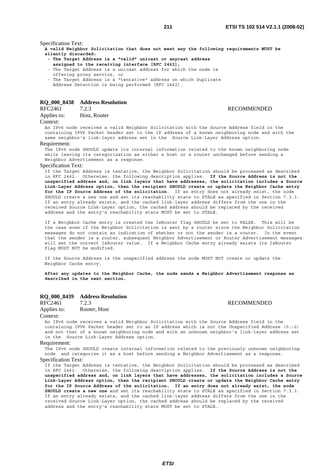Specification Text:

**A valid Neighbor Solicitation that does not meet any the following requirements MUST be silently discarded:** 

- **The Target Address is a "valid" unicast or anycast address assigned to the receiving interface [RFC 2462],**
- The Target Address is a unicast address for which the node is offering proxy service, or
- The Target Address is a "tentative" address on which Duplicate Address Detection is being performed [RFC 2462].

# **RQ\_000\_8438 Address Resolution**

### Applies to: Host, Router

# **RECOMMENDED**

Context:

An IPv6 node receives a valid Neighbor Solicitation with the Source Address field in the containing IPV6 Packet header set to the IP address of a known neighboring node and with the same neighbor's link-layer address set in the Source Link-Layer Address option.

#### Requirement:

The IPv6 node SHOULD update its internal information related to the known neighboring node while leaving its categorization as either a host or a router unchanged before sending a Neighbor Advertisement as a response.

### Specification Text:

If the Target Address is tentative, the Neighbor Solicitation should be processed as described in RFC 2462. Otherwise, the following description applies. **If the Source Address is not the unspecified address and, on link layers that have addresses, the solicitation includes a Source Link-Layer Address option, then the recipient SHOULD create or update the Neighbor Cache entry for the IP Source Address of the solicitation**. If an entry does not already exist, the node SHOULD create a new one and set its reachability state to STALE as specified in Section 7.3.3. If an entry already exists, and the cached link-layer address differs from the one in the received Source Link-Layer option, the cached address should be replaced by the received address and the entry's reachability state MUST be set to STALE.

If a Neighbor Cache entry is created the IsRouter flag SHOULD be set to FALSE. This will be the case even if the Neighbor Solicitation is sent by a router since the Neighbor Solicitation messages do not contain an indication of whether or not the sender is a router. In the event that the sender is a router, subsequent Neighbor Advertisement or Router Advertisement messages will set the correct IsRouter value. If a Neighbor Cache entry already exists its IsRouter flag MUST NOT be modified.

If the Source Address is the unspecified address the node MUST NOT create or update the Neighbor Cache entry.

**After any updates to the Neighbor Cache, the node sends a Neighbor Advertisement response as described in the next section.**

# **RQ\_000\_8439 Address Resolution**

RFC2461 7.2.3 RECOMMENDED

#### Applies to: Router, Host

Context:

An IPv6 node receives a valid Neighbor Solicitation with the Source Address field in the containing IPV6 Packet header set to an IP address which is not the Unspecified Address (0::0) and not that of a known neighboring node and with an unknown neighbor's link-layer address set in the Source Link-Layer Address option.

#### Requirement:

The IPv6 node SHOULD create internal information related to the previously unknown neighboring node and categorize it as a host before sending a Neighbor Advertisement as a response.

Specification Text:

If the Target Address is tentative, the Neighbor Solicitation should be processed as described in RFC 2462. Otherwise, the following description applies. **If the Source Address is not the unspecified address and, on link layers that have addresses, the solicitation includes a Source Link-Layer Address option, then the recipient SHOULD create or update the Neighbor Cache entry for the IP Source Address of the solicitation. If an entry does not already exist, the node SHOULD create a new one** and set its reachability state to STALE as specified in Section 7.3.3. If an entry already exists, and the cached link-layer address differs from the one in the received Source Link-Layer option, the cached address should be replaced by the received address and the entry's reachability state MUST be set to STALE.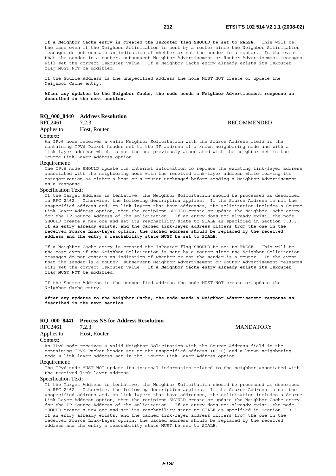**RECOMMENDED** 

**If a Neighbor Cache entry is created the IsRouter flag SHOULD be set to FALSE**. This will be the case even if the Neighbor Solicitation is sent by a router since the Neighbor Solicitation messages do not contain an indication of whether or not the sender is a router. In the event that the sender is a router, subsequent Neighbor Advertisement or Router Advertisement messages will set the correct IsRouter value. If a Neighbor Cache entry already exists its IsRouter flag MUST NOT be modified.

If the Source Address is the unspecified address the node MUST NOT create or update the Neighbor Cache entry.

**After any updates to the Neighbor Cache, the node sends a Neighbor Advertisement response as described in the next section.**

# **RQ\_000\_8440 Address Resolution**

| RFC2461 | 7.2.3 |  |
|---------|-------|--|
|         |       |  |

Applies to: Host, Router

#### Context:

An IPv6 node receives a valid Neighbor Solicitation with the Source Address field in the containing IPV6 Packet header set to the IP address of a known neighboring node and with a link-layer address which is not the one previously associated with the neighbor set in the Source Link-Layer Address option.

#### Requirement:

The IPv6 node SHOULD update its internal information to replace the existing link-layer address associated with the neighboring node with the received link-layer address while leaving its categorization as either a host or a router unchanged before sending a Neighbor Advertisement as a response.

#### Specification Text:

If the Target Address is tentative, the Neighbor Solicitation should be processed as described in RFC 2462. Otherwise, the following description applies. If the Source Address is not the unspecified address and, on link layers that have addresses, the solicitation includes a Source Link-Layer Address option, then the recipient SHOULD create or update the Neighbor Cache entry for the IP Source Address of the solicitation. If an entry does not already exist, the node SHOULD create a new one and set its reachability state to STALE as specified in Section 7.3.3. **If an entry already exists, and the cached link-layer address differs from the one in the received Source Link-Layer option, the cached address should be replaced by the received address and the entry's reachability state MUST be set to STALE.**

If a Neighbor Cache entry is created the IsRouter flag SHOULD be set to FALSE. This will be the case even if the Neighbor Solicitation is sent by a router since the Neighbor Solicitation messages do not contain an indication of whether or not the sender is a router. In the event that the sender is a router, subsequent Neighbor Advertisement or Router Advertisement messages will set the correct IsRouter value. **If a Neighbor Cache entry already exists its IsRouter flag MUST NOT be modified.**

If the Source Address is the unspecified address the node MUST NOT create or update the Neighbor Cache entry.

**After any updates to the Neighbor Cache, the node sends a Neighbor Advertisement response as described in the next section.**

# **RQ\_000\_8441 Process NS for Address Resolution**

RFC2461 7.2.3 MANDATORY Applies to: Host, Router

#### Context:

An IPv6 node receives a valid Neighbor Solicitation with the Source Address field in the containing IPV6 Packet header set to the unspecified address (0::0) and a known neighboring node's link-layer address set in the Source Link-Layer Address option.

#### Requirement:

The IPv6 node MUST NOT update its internal information related to the neighbor associated with the received link-layer address.

#### Specification Text:

If the Target Address is tentative, the Neighbor Solicitation should be processed as described in RFC 2462. Otherwise, the following description applies. If the Source Address is not the unspecified address and, on link layers that have addresses, the solicitation includes a Source Link-Layer Address option, then the recipient SHOULD create or update the Neighbor Cache entry for the IP Source Address of the solicitation. If an entry does not already exist, the node SHOULD create a new one and set its reachability state to STALE as specified in Section 7.3.3. If an entry already exists, and the cached link-layer address differs from the one in the received Source Link-Layer option, the cached address should be replaced by the received address and the entry's reachability state MUST be set to STALE.

# *ETSI*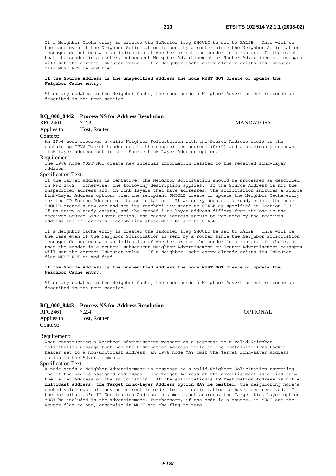If a Neighbor Cache entry is created the IsRouter flag SHOULD be set to FALSE. This will be the case even if the Neighbor Solicitation is sent by a router since the Neighbor Solicitation messages do not contain an indication of whether or not the sender is a router. In the event that the sender is a router, subsequent Neighbor Advertisement or Router Advertisement messages will set the correct IsRouter value. If a Neighbor Cache entry already exists its IsRouter flag MUST NOT be modified.

**If the Source Address is the unspecified address the node MUST NOT create or update the Neighbor Cache entry.**

After any updates to the Neighbor Cache, the node sends a Neighbor Advertisement response as described in the next section.

# **RQ\_000\_8442 Process NS for Address Resolution**

Applies to: Host, Router

#### Context:

An IPv6 node receives a valid Neighbor Solicitation with the Source Address field in the containing IPV6 Packet header set to the unspecified address (0::0) and a previously unknown link-layer address set in the Source Link-Layer Address option.

Requirement:

The IPv6 node MUST NOT create new internal information related to the received link-layer address.

Specification Text:

If the Target Address is tentative, the Neighbor Solicitation should be processed as described in RFC 2462. Otherwise, the following description applies. If the Source Address is not the unspecified address and, on link layers that have addresses, the solicitation includes a Source Link-Layer Address option, then the recipient SHOULD create or update the Neighbor Cache entry for the IP Source Address of the solicitation. If an entry does not already exist, the node SHOULD create a new one and set its reachability state to STALE as specified in Section 7.3.3. If an entry already exists, and the cached link-layer address differs from the one in the received Source Link-Layer option, the cached address should be replaced by the received address and the entry's reachability state MUST be set to STALE.

If a Neighbor Cache entry is created the IsRouter flag SHOULD be set to FALSE. This will be the case even if the Neighbor Solicitation is sent by a router since the Neighbor Solicitation messages do not contain an indication of whether or not the sender is a router. In the event that the sender is a router, subsequent Neighbor Advertisement or Router Advertisement messages will set the correct IsRouter value. If a Neighbor Cache entry already exists its IsRouter flag MUST NOT be modified.

#### **If the Source Address is the unspecified address the node MUST NOT create or update the Neighbor Cache entry.**

After any updates to the Neighbor Cache, the node sends a Neighbor Advertisement response as described in the next section.

#### **RQ\_000\_8443 Process NS for Address Resolution**

| RFC2461     | 7.2.4        | OPTIONAL |
|-------------|--------------|----------|
| Applies to: | Host, Router |          |
| Context:    |              |          |

#### Requirement:

When constructing a Neighbor advertisement message as a response to a valid Neighbor Solicitation message that had the Destination Address field of the containing IPv6 Packet header set to a non-multicast address, an IPv6 node MAY omit the Target Link-Layer Address option in the Advertisement.

#### Specification Text:

A node sends a Neighbor Advertisement in response to a valid Neighbor Solicitation targeting one of the node's assigned addresses. The Target Address of the advertisement is copied from the Target Address of the solicitation. **If the solicitation's IP Destination Address is not a multicast address, the Target Link-Layer Address option MAY be omitted;** the neighboring node's cached value must already be current in order for the solicitation to have been received. If the solicitation's IP Destination Address is a multicast address, the Target Link-Layer option MUST be included in the advertisement. Furthermore, if the node is a router, it MUST set the Router flag to one; otherwise it MUST set the flag to zero.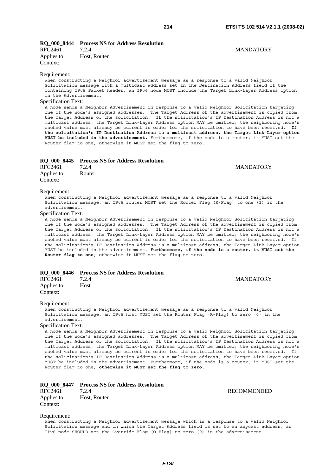#### **RQ\_000\_8444 Process NS for Address Resolution**

| RFC2461     | 7.2.4        |
|-------------|--------------|
| Applies to: | Host, Router |
| Context:    |              |

#### Requirement:

When constructing a Neighbor advertisement message as a response to a valid Neighbor Solicitation message with a multicast address set in the Destination Address field of the containing IPv6 Packet header, an IPv6 node MUST include the Target Link-Layer Address option in the Advertisement.

## Specification Text:

A node sends a Neighbor Advertisement in response to a valid Neighbor Solicitation targeting one of the node's assigned addresses. The Target Address of the advertisement is copied from the Target Address of the solicitation. If the solicitation's IP Destination Address is not a multicast address, the Target Link-Layer Address option MAY be omitted; the neighboring node's cached value must already be current in order for the solicitation to have been received. **If the solicitation's IP Destination Address is a multicast address, the Target Link-Layer option MUST be included in the advertisement.** Furthermore, if the node is a router, it MUST set the Router flag to one; otherwise it MUST set the flag to zero.

|                         | RQ 000 8445 Process NS for Address Resolution |                  |
|-------------------------|-----------------------------------------------|------------------|
| RFC2461                 | 7.2.4                                         | <b>MANDATORY</b> |
| Applies to:<br>Context: | Router                                        |                  |

#### Requirement:

When constructing a Neighbor advertisement message as a response to a valid Neighbor Solicitation message, an IPv6 router MUST set the Router Flag (R-Flag) to one (1) in the advertisement.

#### Specification Text:

A node sends a Neighbor Advertisement in response to a valid Neighbor Solicitation targeting one of the node's assigned addresses. The Target Address of the advertisement is copied from the Target Address of the solicitation. If the solicitation's IP Destination Address is not a multicast address, the Target Link-Layer Address option MAY be omitted; the neighboring node's cached value must already be current in order for the solicitation to have been received. If the solicitation's IP Destination Address is a multicast address, the Target Link-Layer option MUST be included in the advertisement. **Furthermore, if the node is a router, it MUST set the Router flag to one**; otherwise it MUST set the flag to zero.

#### **RQ\_000\_8446 Process NS for Address Resolution**

| RFC2461 7.2.4           |      | <b>MANDATORY</b> |
|-------------------------|------|------------------|
| Applies to:<br>Context: | Host |                  |

#### Requirement:

When constructing a Neighbor advertisement message as a response to a valid Neighbor Solicitation message, an IPv6 host MUST set the Router Flag (R-Flag) to zero (0) in the advertisement.

#### Specification Text:

A node sends a Neighbor Advertisement in response to a valid Neighbor Solicitation targeting one of the node's assigned addresses. The Target Address of the advertisement is copied from the Target Address of the solicitation. If the solicitation's IP Destination Address is not a multicast address, the Target Link-Layer Address option MAY be omitted; the neighboring node's cached value must already be current in order for the solicitation to have been received. If the solicitation's IP Destination Address is a multicast address, the Target Link-Layer option MUST be included in the advertisement. Furthermore, if the node is a router, it MUST set the Router flag to one; **otherwise it MUST set the flag to zero.**

#### **RQ\_000\_8447 Process NS for Address Resolution**

| --- --- --- |              |
|-------------|--------------|
| RFC2461     | 7.2.4        |
| Applies to: | Host, Router |
| Context:    |              |

**RECOMMENDED** 

#### Requirement:

When constructing a Neighbor advertisement message which is a response to a valid Neighbor Solicitation message and in which the Target Address field is set to an anycast address, an IPv6 node SHOULD set the Override Flag (O-Flag) to zero (0) in the advertisement.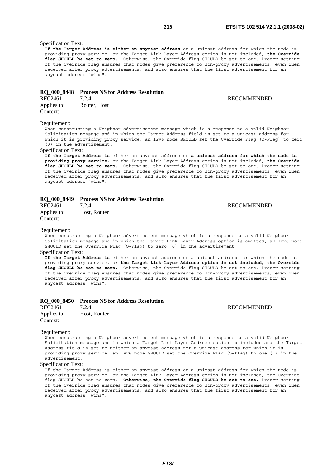# Specification Text:

**If the Target Address is either an anycast address** or a unicast address for which the node is providing proxy service, or the Target Link-Layer Address option is not included, **the Override flag SHOULD be set to zero.** Otherwise, the Override flag SHOULD be set to one. Proper setting of the Override flag ensures that nodes give preference to non-proxy advertisements, even when received after proxy advertisements, and also ensures that the first advertisement for an anycast address "wins".

# **RQ\_000\_8448 Process NS for Address Resolution**

RFC2461 7.2.4 RECOMMENDED Applies to: Router, Host Context:

#### Requirement:

When constructing a Neighbor advertisement message which is a response to a valid Neighbor Solicitation message and in which the Target Address field is set to a unicast address for which it is providing proxy service, an IPv6 node SHOULD set the Override Flag (O-Flag) to zero (0) in the advertisement.

#### Specification Text:

**If the Target Address is** either an anycast address or **a unicast address for which the node is providing proxy service,** or the Target Link-Layer Address option is not included, **the Override flag SHOULD be set to zero.** Otherwise, the Override flag SHOULD be set to one. Proper setting of the Override flag ensures that nodes give preference to non-proxy advertisements, even when received after proxy advertisements, and also ensures that the first advertisement for an anycast address "wins".

|                         | RQ_000_8449 Process NS for Address Resolution |                    |
|-------------------------|-----------------------------------------------|--------------------|
| RFC2461                 | 7.2.4                                         | <b>RECOMMENDED</b> |
| Applies to:<br>Context: | Host, Router                                  |                    |
| Requirement:            |                                               |                    |

When constructing a Neighbor advertisement message which is a response to a valid Neighbor Solicitation message and in which the Target Link-Layer Address option is omitted, an IPv6 node SHOULD set the Override Flag (O-Flag) to zero (0) in the advertisement.

#### Specification Text:

**If the Target Address is** either an anycast address or a unicast address for which the node is providing proxy service, or **the Target Link-Layer Address option is not included, the Override flag SHOULD be set to zero.** Otherwise, the Override flag SHOULD be set to one. Proper setting of the Override flag ensures that nodes give preference to non-proxy advertisements, even when received after proxy advertisements, and also ensures that the first advertisement for an anycast address "wins".

#### **RQ\_000\_8450 Process NS for Address Resolution**

| RFC2461     | 7.2.4        |
|-------------|--------------|
| Applies to: | Host, Router |
| Context:    |              |

**RECOMMENDED** 

#### Requirement:

When constructing a Neighbor advertisement message which is a response to a valid Neighbor Solicitation message and in which a Target Link-Layer Address option is included and the Target Address field is set to neither an anycast address nor a unicast address for which it is providing proxy service, an IPv6 node SHOULD set the Override Flag (O-Flag) to one (1) in the advertisement.

#### Specification Text:

If the Target Address is either an anycast address or a unicast address for which the node is providing proxy service, or the Target Link-Layer Address option is not included, the Override flag SHOULD be set to zero. **Otherwise, the Override flag SHOULD be set to one.** Proper setting of the Override flag ensures that nodes give preference to non-proxy advertisements, even when received after proxy advertisements, and also ensures that the first advertisement for an anycast address "wins".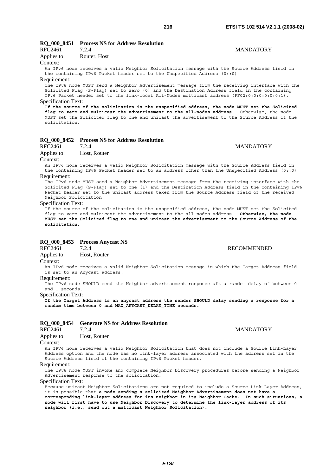#### **RQ\_000\_8451 Process NS for Address Resolution**<br>RFC2461 724 T 2.4 MANDATORY

| RFC2401     | 1.2.4        |  |
|-------------|--------------|--|
| Applies to: | Router, Host |  |
| $\sim$      |              |  |

#### Context:

An IPv6 node receives a valid Neighbor Solicitation message with the Source Address field in the containing IPv6 Packet header set to the Unspecified Address (0::0)

#### Requirement:

The IPv6 node MUST send a Neighbor Advertisement message from the receiving interface with the Solicited Flag (S-Flag) set to zero (0) and the Destination Address field in the containing IPv6 Packet header set to the link-local All-Nodes multicast address (FF02:0:0:0:0:0:0:1). Specification Text:

**If the source of the solicitation is the unspecified address, the node MUST set the Solicited flag to zero and multicast the advertisement to the all-nodes address.** Otherwise, the node MUST set the Solicited flag to one and unicast the advertisement to the Source Address of the solicitation.

# **RQ\_000\_8452 Process NS for Address Resolution**

Applies to: Host, Router

Context:

An IPv6 node receives a valid Neighbor Solicitation message with the Source Address field in the containing IPv6 Packet header set to an address other than the Unspecified Address (0::0)

#### Requirement:

The IPv6 node MUST send a Neighbor Advertisement message from the receiving interface with the Solicited Flag (S-Flag) set to one (1) and the Destination Address field in the containing IPv6 Packet header set to the unicast address taken from the Source Address field of the received Neighbor Solicitation.

#### Specification Text:

If the source of the solicitation is the unspecified address, the node MUST set the Solicited flag to zero and multicast the advertisement to the all-nodes address. **Otherwise, the node MUST set the Solicited flag to one and unicast the advertisement to the Source Address of the solicitation.**

# **RQ\_000\_8453 Process Anycast NS**

RFC2461 7.2.4 RECOMMENDED

Applies to: Host, Router

#### Context:

An IPv6 node receives a valid Neighbor Solicitation message in which the Target Address field is set to an Anycast address.

Requirement:

The IPv6 node SHOULD send the Neighbor advertisement response aft a random delay of between 0 and 1 seconds.

Specification Text:

**If the Target Address is an anycast address the sender SHOULD delay sending a response for a random time between 0 and MAX\_ANYCAST\_DELAY\_TIME seconds.**

#### **RQ\_000\_8454 Generate NS for Address Resolution**

RFC2461 7.2.4 MANDATORY Applies to: Host, Router

#### Context:

An IPV6 node receives a valid Neighbor Solicitation that does not include a Source Link-Layer Address option and the node has no link-layer address associated with the address set in the Source Address field of the containing IPv6 Packet header.

#### Requirement:

The IPv6 node MUST invoke and complete Neighbor Discovery procedures before sending a Neighbor Advertisement response to the solicitation.

#### Specification Text:

Because unicast Neighbor Solicitations are not required to include a Source Link-Layer Address, it is possible that **a node sending a solicited Neighbor Advertisement does not have a corresponding link-layer address for its neighbor in its Neighbor Cache. In such situations, a node will first have to use Neighbor Discovery to determine the link-layer address of its neighbor (i.e., send out a multicast Neighbor Solicitation).**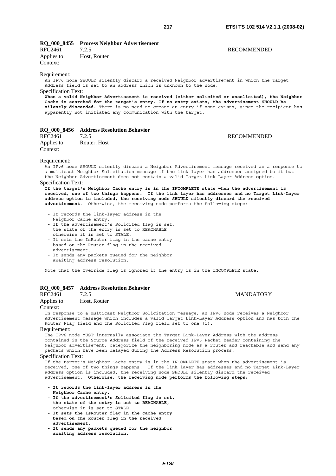### **RQ\_000\_8455 Process Neighbor Advertisement**

| RFC2461     | 7.2.5        |
|-------------|--------------|
| Applies to: | Host, Router |
| Context:    |              |

#### **RECOMMENDED**

#### Requirement:

An IPv6 node SHOULD silently discard a received Neighbor advertisement in which the Target Address field is set to an address which is unknown to the node.

#### Specification Text:

**When a valid Neighbor Advertisement is received (either solicited or unsolicited), the Neighbor Cache is searched for the target's entry. If no entry exists, the advertisement SHOULD be**  silently discarded. There is no need to create an entry if none exists, since the recipient has apparently not initiated any communication with the target.

#### **RQ\_000\_8456 Address Resolution Behavior**

RFC2461 7.2.5 RECOMMENDED Applies to: Router, Host Context:

#### Requirement:

An IPv6 node SHOULD silently discard a Neighbor Advertisement message received as a response to a multicast Neighbor Solicitation message if the link-layer has addresses assigned to it but the Neighbor Advertisement does not contain a valid Target Link-Layer Address option.

#### Specification Text:

**If the target's Neighbor Cache entry is in the INCOMPLETE state when the advertisement is received, one of two things happens. If the link layer has addresses and no Target Link-Layer address option is included, the receiving node SHOULD silently discard the received advertisement**. Otherwise, the receiving node performs the following steps:

- It records the link-layer address in the
- Neighbor Cache entry.
- If the advertisement's Solicited flag is set, the state of the entry is set to REACHABLE, otherwise it is set to STALE.
- It sets the IsRouter flag in the cache entry based on the Router flag in the received advertisement.
- It sends any packets queued for the neighbor awaiting address resolution.

Note that the Override flag is ignored if the entry is in the INCOMPLETE state.

## **RQ\_000\_8457 Address Resolution Behavior**

Applies to: Host, Router

#### Context:

In response to a multicast Neighbor Solicitation message, an IPv6 node receives a Neighbor Advertisement message which includes a valid Target Link-Layer Address option and has both the Router Flag field and the Solicited Flag field set to one (1).

#### Requirement:

The IPv6 node MUST internally associate the Target Link-Layer Address with the address contained in the Source Address field of the received IPv6 Packet header containing the Neighbor advertisement, categorize the neighboring node as a router and reachable and send any packets which have been delayed during the Address Resolution process.

#### Specification Text:

If the target's Neighbor Cache entry is in the INCOMPLETE state when the advertisement is received, one of two things happens. If the link layer has addresses and no Target Link-Layer address option is included, the receiving node SHOULD silently discard the received advertisement. **Otherwise, the receiving node performs the following steps:** 

- **It records the link-layer address in the Neighbor Cache entry.**
- **If the advertisement's Solicited flag is set, the state of the entry is set to REACHABLE,** otherwise it is set to STALE.
- **It sets the IsRouter flag in the cache entry based on the Router flag in the received advertisement.**
- **It sends any packets queued for the neighbor awaiting address resolution.**

*ETSI*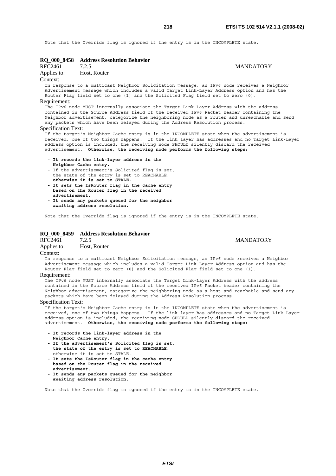Note that the Override flag is ignored if the entry is in the INCOMPLETE state.

| RQ_000_8458                | <b>Address Resolution Behavior</b>                                                                                                                                                                                                                                                                                                                              |                  |
|----------------------------|-----------------------------------------------------------------------------------------------------------------------------------------------------------------------------------------------------------------------------------------------------------------------------------------------------------------------------------------------------------------|------------------|
| RFC2461                    | 7.2.5                                                                                                                                                                                                                                                                                                                                                           | <b>MANDATORY</b> |
| Applies to:                | Host, Router                                                                                                                                                                                                                                                                                                                                                    |                  |
| Context:                   |                                                                                                                                                                                                                                                                                                                                                                 |                  |
|                            | In response to a multicast Neighbor Solicitation message, an IPv6 node receives a Neighbor<br>Advertisement message which includes a valid Target Link-Layer Address option and has the<br>Router Flag field set to one (1) and the Solicited Flag field set to zero (0).                                                                                       |                  |
| Requirement:               |                                                                                                                                                                                                                                                                                                                                                                 |                  |
|                            | The IPv6 node MUST internally associate the Target Link-Layer Address with the address<br>contained in the Source Address field of the received IPv6 Packet header containing the<br>Neighbor advertisement, categorize the neighboring node as a router and unreachable and send<br>any packets which have been delayed during the Address Resolution process. |                  |
| <b>Specification Text:</b> |                                                                                                                                                                                                                                                                                                                                                                 |                  |
|                            | If the target's Neighbor Cache entry is in the INCOMPLETE state when the advertisement is<br>received, one of two things happens. If the link layer has addresses and no Target Link-Layer<br>address option is included, the receiving node SHOULD silently discard the received                                                                               |                  |

advertisement. **Otherwise, the receiving node performs the following steps:** 

- **It records the link-layer address in the Neighbor Cache entry.**
- If the advertisement's Solicited flag is set, the state of the entry is set to REACHABLE, **otherwise it is set to STALE. - It sets the IsRouter flag in the cache entry**
- **based on the Router flag in the received advertisement. - It sends any packets queued for the neighbor**
- **awaiting address resolution.**

Note that the Override flag is ignored if the entry is in the INCOMPLETE state.

#### **RQ\_000\_8459 Address Resolution Behavior**

RFC2461 7.2.5 MANDATORY Applies to: Host, Router Context:

In response to a multicast Neighbor Solicitation message, an IPv6 node receives a Neighbor Advertisement message which includes a valid Target Link-Layer Address option and has the Router Flag field set to zero (0) and the Solicited Flag field set to one (1).

#### Requirement:

The IPv6 node MUST internally associate the Target Link-Layer Address with the address contained in the Source Address field of the received IPv6 Packet header containing the Neighbor advertisement, categorize the neighboring node as a host and reachable and send any packets which have been delayed during the Address Resolution process.

#### Specification Text:

If the target's Neighbor Cache entry is in the INCOMPLETE state when the advertisement is received, one of two things happens. If the link layer has addresses and no Target Link-Layer address option is included, the receiving node SHOULD silently discard the received advertisement. **Otherwise, the receiving node performs the following steps:** 

- **It records the link-layer address in the**
- **Neighbor Cache entry.**
- **If the advertisement's Solicited flag is set, the state of the entry is set to REACHABLE,**  otherwise it is set to STALE.
- **It sets the IsRouter flag in the cache entry based on the Router flag in the received advertisement.**
- **It sends any packets queued for the neighbor awaiting address resolution.**

Note that the Override flag is ignored if the entry is in the INCOMPLETE state.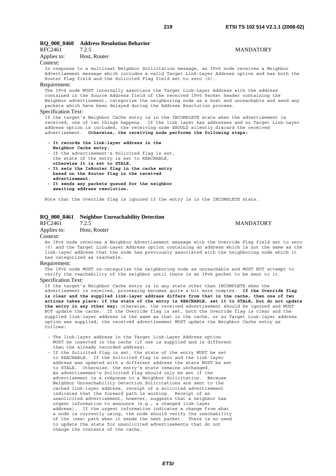#### **RQ\_000\_8460 Address Resolution Behavior**

| <b>NU VVV 040V</b>  | Auditess Resolution Denaviol                                                                                                                                                                                                                                                                                                                                    |                  |
|---------------------|-----------------------------------------------------------------------------------------------------------------------------------------------------------------------------------------------------------------------------------------------------------------------------------------------------------------------------------------------------------------|------------------|
| RFC2461 7.2.5       |                                                                                                                                                                                                                                                                                                                                                                 | <b>MANDATORY</b> |
| Applies to:         | Host, Router                                                                                                                                                                                                                                                                                                                                                    |                  |
| Context:            |                                                                                                                                                                                                                                                                                                                                                                 |                  |
|                     | In response to a multicast Neighbor Solicitation message, an IPv6 node receives a Neighbor<br>Advertisement message which includes a valid Target Link-Layer Address option and has both the<br>Router Flaq field and the Solicited Flaq field set to zero (0).                                                                                                 |                  |
| Requirement:        |                                                                                                                                                                                                                                                                                                                                                                 |                  |
|                     | The IPv6 node MUST internally associate the Target Link-Layer Address with the address<br>contained in the Source Address field of the received IPv6 Packet header containing the<br>Neighbor advertisement, categorize the neighboring node as a host and unreachable and send any<br>packets which have been delayed during the Address Resolution process.   |                  |
| Specification Text: |                                                                                                                                                                                                                                                                                                                                                                 |                  |
|                     | If the target's Neighbor Cache entry is in the INCOMPLETE state when the advertisement is<br>received, one of two things happens. If the link layer has addresses and no Target Link-Layer<br>address option is included, the receiving node SHOULD silently discard the received<br>advertisement. Otherwise, the receiving node performs the following steps: |                  |
|                     | - It records the link-layer address in the                                                                                                                                                                                                                                                                                                                      |                  |
|                     | Neighbor Cache entry.                                                                                                                                                                                                                                                                                                                                           |                  |
|                     | - If the advertisement's Solicited flag is set,                                                                                                                                                                                                                                                                                                                 |                  |
|                     | the state of the entry is set to REACHABLE,                                                                                                                                                                                                                                                                                                                     |                  |
|                     | otherwise it is set to STALE.                                                                                                                                                                                                                                                                                                                                   |                  |

- **It sets the IsRouter flag in the cache entry based on the Router flag in the received advertisement.**
- **It sends any packets queued for the neighbor awaiting address resolution.**

Note that the Override flag is ignored if the entry is in the INCOMPLETE state.

#### **RQ\_000\_8461 Neighbor Unreachability Detection**

#### RFC2461 7.2.5 MANDATORY

#### Applies to: Host, Router

#### Context:

An IPv6 node receives a Neighbor Advertisement message with the Override Flag field set to zero (0) and the Target Link-Layer Address option containing an address which is not the same as the link-layer address that the node has previously associated with the neighboring node which it has categorized as reachable.

#### Requirement:

The IPv6 node MUST re-categorize the neighboring node as unreachable and MUST NOT attempt to verify the reachability of the neighbor until there is an IPv6 packet to be sent to it. Specification Text:

If the target's Neighbor Cache entry is in any state other than INCOMPLETE when the advertisement is received, processing becomes quite a bit more complex. **If the Override flag is clear and the supplied link-layer address differs from that in the cache, then one of two actions takes place: if the state of the entry is REACHABLE, set it to STALE, but do not update the entry in any other way;** otherwise, the received advertisement should be ignored and MUST NOT update the cache. If the Override flag is set, both the Override flag is clear and the supplied link-layer address is the same as that in the cache, or no Target Link-layer address option was supplied, the received advertisement MUST update the Neighbor Cache entry as  $f_0$ llows:

- The link-layer address in the Target Link-Layer Address option MUST be inserted in the cache (if one is supplied and is different than the already recorded address).
- If the Solicited flag is set, the state of the entry MUST be set to REACHABLE. If the Solicited flag is zero and the link-layer address was updated with a different address the state MUST be set to STALE. Otherwise, the entry's state remains unchanged. An advertisement's Solicited flag should only be set if the advertisement is a response to a Neighbor Solicitation. Because Neighbor Unreachability Detection Solicitations are sent to the cached link-layer address, receipt of a solicited advertisement indicates that the forward path is working. Receipt of an unsolicited advertisement, however, suggests that a neighbor has urgent information to announce (e.g., a changed link-layer address). If the urgent information indicates a change from what a node is currently using, the node should verify the reachability of the (new) path when it sends the next packet. There is no need to update the state for unsolicited advertisements that do not change the contents of the cache.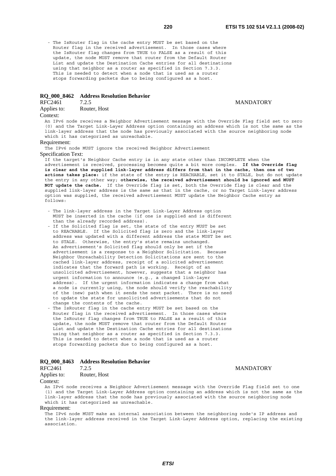- The IsRouter flag in the cache entry MUST be set based on the Router flag in the received advertisement. In those cases where the IsRouter flag changes from TRUE to FALSE as a result of this update, the node MUST remove that router from the Default Router List and update the Destination Cache entries for all destinations using that neighbor as a router as specified in Section 7.3.3. This is needed to detect when a node that is used as a router stops forwarding packets due to being configured as a host.

#### **RQ\_000\_8462 Address Resolution Behavior**

### RFC2461 7.2.5 MANDATORY

Applies to: Router, Host

#### Context:

An IPv6 node receives a Neighbor Advertisement message with the Override Flag field set to zero (0) and the Target Link-Layer Address option containing an address which is not the same as the link-layer address that the node has previously associated with the source neighboring node which it has categorized as unreachable.

#### Requirement:

The IPv6 node MUST ignore the received Neighbor Advertisement

#### Specification Text:

If the target's Neighbor Cache entry is in any state other than INCOMPLETE when the advertisement is received, processing becomes quite a bit more complex. **If the Override flag is clear and the supplied link-layer address differs from that in the cache, then one of two actions takes place:** if the state of the entry is REACHABLE, set it to STALE, but do not update the entry in any other way; **otherwise, the received advertisement should be ignored and MUST NOT update the cache.** If the Override flag is set, both the Override flag is clear and the supplied link-layer address is the same as that in the cache, or no Target Link-layer address option was supplied, the received advertisement MUST update the Neighbor Cache entry as  $f \cap 1 \cap ws$ 

- The link-layer address in the Target Link-Layer Address option MUST be inserted in the cache (if one is supplied and is different than the already recorded address).
- If the Solicited flag is set, the state of the entry MUST be set to REACHABLE. If the Solicited flag is zero and the link-layer address was updated with a different address the state MUST be set to STALE. Otherwise, the entry's state remains unchanged. An advertisement's Solicited flag should only be set if the advertisement is a response to a Neighbor Solicitation. Because Neighbor Unreachability Detection Solicitations are sent to the cached link-layer address, receipt of a solicited advertisement indicates that the forward path is working. Receipt of an unsolicited advertisement, however, suggests that a neighbor has urgent information to announce (e.g., a changed link-layer address). If the urgent information indicates a change from what a node is currently using, the node should verify the reachability of the (new) path when it sends the next packet. There is no need to update the state for unsolicited advertisements that do not change the contents of the cache.
- The IsRouter flag in the cache entry MUST be set based on the Router flag in the received advertisement. In those cases where the IsRouter flag changes from TRUE to FALSE as a result of this update, the node MUST remove that router from the Default Router List and update the Destination Cache entries for all destinations using that neighbor as a router as specified in Section 7.3.3. This is needed to detect when a node that is used as a router stops forwarding packets due to being configured as a host.

#### **RQ\_000\_8463 Address Resolution Behavior**

| RFC2461     | 7.2.5        | <b>MANDATORY</b> |
|-------------|--------------|------------------|
| Applies to: | Router, Host |                  |

#### Context:

An IPv6 node receives a Neighbor Advertisement message with the Override Flag field set to one (1) and the Target Link-Layer Address option containing an address which is not the same as the link-layer address that the node has previously associated with the source neighboring node which it has categorized as unreachable.

#### Requirement:

The IPv6 node MUST make an internal association between the neighboring node's IP address and the link-layer address received in the Target Link-Layer Address option, replacing the existing association.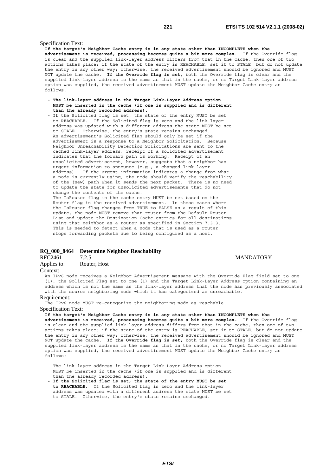#### Specification Text:

**If the target's Neighbor Cache entry is in any state other than INCOMPLETE when the advertisement is received, processing becomes quite a bit more complex**. If the Override flag is clear and the supplied link-layer address differs from that in the cache, then one of two actions takes place: if the state of the entry is REACHABLE, set it to STALE, but do not update the entry in any other way; otherwise, the received advertisement should be ignored and MUST NOT update the cache. **If the Override flag is set**, both the Override flag is clear and the supplied link-layer address is the same as that in the cache, or no Target Link-layer address option was supplied, the received advertisement MUST update the Neighbor Cache entry as follows:

- **The link-layer address in the Target Link-Layer Address option MUST be inserted in the cache (if one is supplied and is different than the already recorded address).**
- If the Solicited flag is set, the state of the entry MUST be set to REACHABLE. If the Solicited flag is zero and the link-layer address was updated with a different address the state MUST be set to STALE. Otherwise, the entry's state remains unchanged. An advertisement's Solicited flag should only be set if the advertisement is a response to a Neighbor Solicitation. Because Neighbor Unreachability Detection Solicitations are sent to the cached link-layer address, receipt of a solicited advertisement indicates that the forward path is working. Receipt of an unsolicited advertisement, however, suggests that a neighbor has urgent information to announce (e.g., a changed link-layer address). If the urgent information indicates a change from what a node is currently using, the node should verify the reachability of the (new) path when it sends the next packet. There is no need to update the state for unsolicited advertisements that do not change the contents of the cache.
- The IsRouter flag in the cache entry MUST be set based on the Router flag in the received advertisement. In those cases where the IsRouter flag changes from TRUE to FALSE as a result of this update, the node MUST remove that router from the Default Router List and update the Destination Cache entries for all destinations using that neighbor as a router as specified in Section 7.3.3. This is needed to detect when a node that is used as a router stops forwarding packets due to being configured as a host.

#### **RQ\_000\_8464 Determine Neighbor Reachability**

RFC2461 7.2.5 MANDATORY

Applies to: Router, Host

#### Context:

An IPv6 node receives a Neighbor Advertisement message with the Override Flag field set to one (1), the Solicited Flag set to one (1) and the Target Link-Layer Address option containing an address which is not the same as the link-layer address that the node has previously associated with the source neighboring node which it has categorized as unreachable.

#### Requirement:

The IPv6 node MUST re-categorize the neighboring node as reachable.

#### Specification Text:

**If the target's Neighbor Cache entry is in any state other than INCOMPLETE when the advertisement is received, processing becomes quite a bit more complex.** If the Override flag is clear and the supplied link-layer address differs from that in the cache, then one of two actions takes place: if the state of the entry is REACHABLE, set it to STALE, but do not update the entry in any other way; otherwise, the received advertisement should be ignored and MUST NOT update the cache. **If the Override flag is set,** both the Override flag is clear and the supplied link-layer address is the same as that in the cache, or no Target Link-layer address option was supplied, the received advertisement MUST update the Neighbor Cache entry as follows:

- The link-layer address in the Target Link-Layer Address option MUST be inserted in the cache (if one is supplied and is different than the already recorded address).
- **If the Solicited flag is set, the state of the entry MUST be set to REACHABLE.** If the Solicited flag is zero and the link-layer address was updated with a different address the state MUST be set to STALE. Otherwise, the entry's state remains unchanged.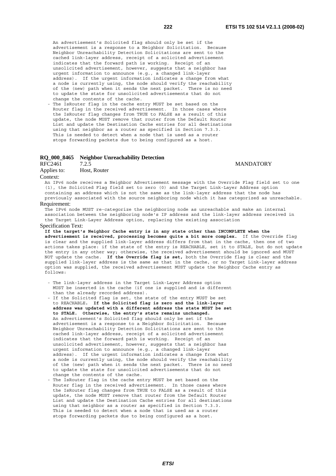An advertisement's Solicited flag should only be set if the advertisement is a response to a Neighbor Solicitation. Because Neighbor Unreachability Detection Solicitations are sent to the cached link-layer address, receipt of a solicited advertisement indicates that the forward path is working. Receipt of an unsolicited advertisement, however, suggests that a neighbor has urgent information to announce (e.g., a changed link-layer address). If the urgent information indicates a change from what a node is currently using, the node should verify the reachability of the (new) path when it sends the next packet. There is no need to update the state for unsolicited advertisements that do not change the contents of the cache.

 - The IsRouter flag in the cache entry MUST be set based on the Router flag in the received advertisement. In those cases where the IsRouter flag changes from TRUE to FALSE as a result of this update, the node MUST remove that router from the Default Router List and update the Destination Cache entries for all destinations using that neighbor as a router as specified in Section 7.3.3. This is needed to detect when a node that is used as a router stops forwarding packets due to being configured as a host.

## **RQ\_000\_8465 Neighbor Unreachability Detection**

RFC2461 7.2.5 MANDATORY<br>Applies to: Host, Router Host, Router

Context:

An IPv6 node receives a Neighbor Advertisement message with the Override Flag field set to one (1), the Solicited Flag field set to zero (0) and the Target Link-Layer Address option containing an address which is not the same as the link-layer address that the node has previously associated with the source neighboring node which it has categorized as unreachable.

#### Requirement:

The IPv6 node MUST re-categorize the neighboring node as unreachable and make an internal association between the neighboring node's IP address and the link-layer address received in the Target Link-Layer Address option, replacing the existing association

#### Specification Text:

**If the target's Neighbor Cache entry is in any state other than INCOMPLETE when the advertisement is received, processing becomes quite a bit more complex.** If the Override flag is clear and the supplied link-layer address differs from that in the cache, then one of two actions takes place: if the state of the entry is REACHABLE, set it to STALE, but do not update the entry in any other way; otherwise, the received advertisement should be ignored and MUST NOT update the cache. **If the Override flag is set,** both the Override flag is clear and the supplied link-layer address is the same as that in the cache, or no Target Link-layer address option was supplied, the received advertisement MUST update the Neighbor Cache entry as follows:

- The link-layer address in the Target Link-Layer Address option MUST be inserted in the cache (if one is supplied and is different than the already recorded address).
- If the Solicited flag is set, the state of the entry MUST be set to REACHABLE**. If the Solicited flag is zero and the link-layer address was updated with a different address the state MUST be set to STALE. Otherwise, the entry's state remains unchanged.** An advertisement's Solicited flag should only be set if the advertisement is a response to a Neighbor Solicitation. Because Neighbor Unreachability Detection Solicitations are sent to the cached link-layer address, receipt of a solicited advertisement indicates that the forward path is working. Receipt of an unsolicited advertisement, however, suggests that a neighbor has urgent information to announce (e.g., a changed link-layer address). If the urgent information indicates a change from what a node is currently using, the node should verify the reachability of the (new) path when it sends the next packet. There is no need to update the state for unsolicited advertisements that do not change the contents of the cache.
- The IsRouter flag in the cache entry MUST be set based on the Router flag in the received advertisement. In those cases where the IsRouter flag changes from TRUE to FALSE as a result of this update, the node MUST remove that router from the Default Router List and update the Destination Cache entries for all destinations using that neighbor as a router as specified in Section 7.3.3. This is needed to detect when a node that is used as a router stops forwarding packets due to being configured as a host.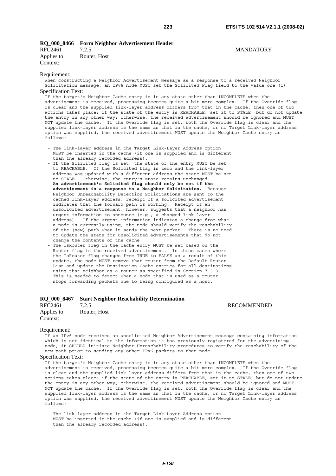#### **RQ\_000\_8466 Form Neighbor Advertisement Header**  RFC2461 7.2.5 MANDATORY

Applies to: Router, Host Context:

#### Requirement:

When constructing a Neighbor Advertisement message as a response to a received Neighbor Solicitation message, an IPv6 node MUST set the Solicited Flag field to the value one (1) Specification Text:

If the target's Neighbor Cache entry is in any state other than INCOMPLETE when the advertisement is received, processing becomes quite a bit more complex. If the Override flag is clear and the supplied link-layer address differs from that in the cache, then one of two actions takes place: if the state of the entry is REACHABLE, set it to STALE, but do not update the entry in any other way; otherwise, the received advertisement should be ignored and MUST NOT update the cache. If the Override flag is set, both the Override flag is clear and the supplied link-layer address is the same as that in the cache, or no Target Link-layer address option was supplied, the received advertisement MUST update the Neighbor Cache entry as follows:

- The link-layer address in the Target Link-Layer Address option MUST be inserted in the cache (if one is supplied and is different than the already recorded address).
- If the Solicited flag is set, the state of the entry MUST be set to REACHABLE. If the Solicited flag is zero and the link-layer address was updated with a different address the state MUST be set to STALE. Otherwise, the entry's state remains unchanged. **An advertisement's Solicited flag should only be set if the advertisement is a response to a Neighbor Solicitation.** Because Neighbor Unreachability Detection Solicitations are sent to the cached link-layer address, receipt of a solicited advertisement indicates that the forward path is working. Receipt of an unsolicited advertisement, however, suggests that a neighbor has urgent information to announce (e.g., a changed link-layer address). If the urgent information indicates a change from what a node is currently using, the node should verify the reachability of the (new) path when it sends the next packet. There is no need to update the state for unsolicited advertisements that do not change the contents of the cache.
- The IsRouter flag in the cache entry MUST be set based on the Router flag in the received advertisement. In those cases where the IsRouter flag changes from TRUE to FALSE as a result of this update, the node MUST remove that router from the Default Router List and update the Destination Cache entries for all destinations using that neighbor as a router as specified in Section 7.3.3. This is needed to detect when a node that is used as a router stops forwarding packets due to being configured as a host.

### **RQ\_000\_8467 Start Neighbor Reachability Determination**

RFC2461 7.2.5 RECOMMENDED Applies to: Router, Host Context:

#### Requirement:

If an IPv6 node receives an unsolicited Neighbor Advertisement message containing information which is not identical to the information it has previously registered for the advertising node, it SHOULD initiate Neighbor Unreachability procedures to verify the reachability of the new path prior to sending any other IPv6 packets to that node.

#### Specification Text:

If the target's Neighbor Cache entry is in any state other than INCOMPLETE when the advertisement is received, processing becomes quite a bit more complex. If the Override flag is clear and the supplied link-layer address differs from that in the cache, then one of two actions takes place: if the state of the entry is REACHABLE, set it to STALE, but do not update the entry in any other way; otherwise, the received advertisement should be ignored and MUST NOT update the cache. If the Override flag is set, both the Override flag is clear and the supplied link-layer address is the same as that in the cache, or no Target Link-layer address option was supplied, the received advertisement MUST update the Neighbor Cache entry as follows:

 - The link-layer address in the Target Link-Layer Address option MUST be inserted in the cache (if one is supplied and is different than the already recorded address).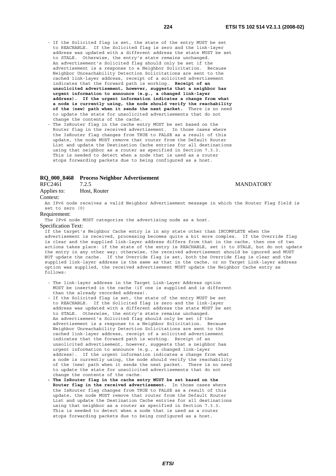- If the Solicited flag is set, the state of the entry MUST be set to REACHABLE. If the Solicited flag is zero and the link-layer address was updated with a different address the state MUST be set to STALE. Otherwise, the entry's state remains unchanged. An advertisement's Solicited flag should only be set if the advertisement is a response to a Neighbor Solicitation. Because Neighbor Unreachability Detection Solicitations are sent to the cached link-layer address, receipt of a solicited advertisement indicates that the forward path is working. **Receipt of an unsolicited advertisement, however, suggests that a neighbor has urgent information to announce (e.g., a changed link-layer address). If the urgent information indicates a change from what a node is currently using, the node should verify the reachability of the (new) path when it sends the next packet.** There is no need to update the state for unsolicited advertisements that do not change the contents of the cache.
- The IsRouter flag in the cache entry MUST be set based on the Router flag in the received advertisement. In those cases where the IsRouter flag changes from TRUE to FALSE as a result of this update, the node MUST remove that router from the Default Router List and update the Destination Cache entries for all destinations using that neighbor as a router as specified in Section 7.3.3. This is needed to detect when a node that is used as a router stops forwarding packets due to being configured as a host.

## **RQ\_000\_8468 Process Neighbor Advertisement**

Applies to: Host, Router

#### Context:

An IPv6 node receives a valid Neighbor Advertisement message in which the Router Flag field is set to zero (0)

#### Requirement:

The IPv6 node MUST categorize the advertising node as a host.

#### Specification Text:

If the target's Neighbor Cache entry is in any state other than INCOMPLETE when the advertisement is received, processing becomes quite a bit more complex. If the Override flag is clear and the supplied link-layer address differs from that in the cache, then one of two actions takes place: if the state of the entry is REACHABLE, set it to STALE, but do not update the entry in any other way; otherwise, the received advertisement should be ignored and MUST NOT update the cache. If the Override flag is set, both the Override flag is clear and the supplied link-layer address is the same as that in the cache, or no Target Link-layer address option was supplied, the received advertisement MUST update the Neighbor Cache entry as follows:

- The link-layer address in the Target Link-Layer Address option MUST be inserted in the cache (if one is supplied and is different than the already recorded address).
- If the Solicited flag is set, the state of the entry MUST be set to REACHABLE. If the Solicited flag is zero and the link-layer address was updated with a different address the state MUST be set to STALE. Otherwise, the entry's state remains unchanged. An advertisement's Solicited flag should only be set if the advertisement is a response to a Neighbor Solicitation. Because Neighbor Unreachability Detection Solicitations are sent to the cached link-layer address, receipt of a solicited advertisement indicates that the forward path is working. Receipt of an unsolicited advertisement, however, suggests that a neighbor has urgent information to announce (e.g., a changed link-layer address). If the urgent information indicates a change from what a node is currently using, the node should verify the reachability of the (new) path when it sends the next packet. There is no need to update the state for unsolicited advertisements that do not change the contents of the cache.
- **The IsRouter flag in the cache entry MUST be set based on the Router flag in the received advertisement.** In those cases where the IsRouter flag changes from TRUE to FALSE as a result of this update, the node MUST remove that router from the Default Router List and update the Destination Cache entries for all destinations using that neighbor as a router as specified in Section 7.3.3. This is needed to detect when a node that is used as a router stops forwarding packets due to being configured as a host.

#### T.2.5 MANDATORY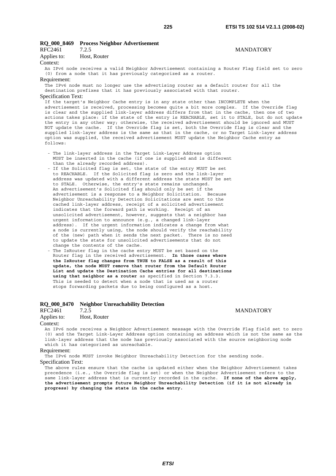#### **RQ\_000\_8469 Process Neighbor Advertisement**  RFC2461 7.2.5 MANDATORY

Applies to: Host, Router

#### Context:

An IPv6 node receives a valid Neighbor Advertisement containing a Router Flag field set to zero (0) from a node that it has previously categorized as a router.

#### Requirement:

The IPv6 node must no longer use the advertising router as a default router for all the destination prefixes that it has previously associated with that router.

#### Specification Text:

If the target's Neighbor Cache entry is in any state other than INCOMPLETE when the advertisement is received, processing becomes quite a bit more complex. If the Override flag is clear and the supplied link-layer address differs from that in the cache, then one of two actions takes place: if the state of the entry is REACHABLE, set it to STALE, but do not update the entry in any other way; otherwise, the received advertisement should be ignored and MUST NOT update the cache. If the Override flag is set, both the Override flag is clear and the supplied link-layer address is the same as that in the cache, or no Target Link-layer address option was supplied, the received advertisement MUST update the Neighbor Cache entry as follows:

- The link-layer address in the Target Link-Layer Address option MUST be inserted in the cache (if one is supplied and is different than the already recorded address).
- If the Solicited flag is set, the state of the entry MUST be set to REACHABLE. If the Solicited flag is zero and the link-layer address was updated with a different address the state MUST be set to STALE. Otherwise, the entry's state remains unchanged. An advertisement's Solicited flag should only be set if the advertisement is a response to a Neighbor Solicitation. Because Neighbor Unreachability Detection Solicitations are sent to the cached link-layer address, receipt of a solicited advertisement indicates that the forward path is working. Receipt of an unsolicited advertisement, however, suggests that a neighbor has urgent information to announce (e.g., a changed link-layer address). If the urgent information indicates a change from what a node is currently using, the node should verify the reachability of the (new) path when it sends the next packet. There is no need to update the state for unsolicited advertisements that do not change the contents of the cache.
- The IsRouter flag in the cache entry MUST be set based on the Router flag in the received advertisement. **In those cases where the IsRouter flag changes from TRUE to FALSE as a result of this update, the node MUST remove that router from the Default Router List and update the Destination Cache entries for all destinations using that neighbor as a router** as specified in Section 7.3.3. This is needed to detect when a node that is used as a router stops forwarding packets due to being configured as a host.

#### **RQ\_000\_8470 Neighbor Unreachability Detection**

### RFC2461 7.2.5 MANDATORY Applies to: Host, Router

#### Context:

An IPv6 node receives a Neighbor Advertisement message with the Override Flag field set to zero (0) and the Target Link-Layer Address option containing an address which is not the same as the link-layer address that the node has previously associated with the source neighboring node which it has categorized as unreachable.

#### Requirement:

The IPv6 node MUST invoke Neighbor Unreachability Detection for the sending node.

#### Specification Text:

The above rules ensure that the cache is updated either when the Neighbor Advertisement takes precedence (i.e., the Override flag is set) or when the Neighbor Advertisement refers to the same link-layer address that is currently recorded in the cache. **If none of the above apply, the advertisement prompts future Neighbor Unreachability Detection (if it is not already in progress) by changing the state in the cache entry.**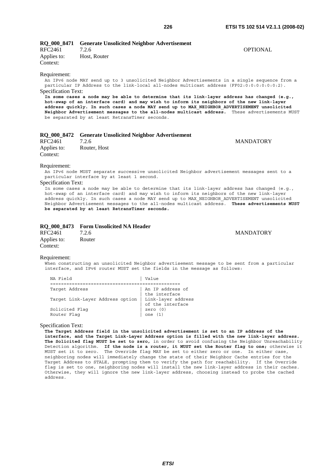| RFC2461                    | 7.2.6        | <b>OPTIONAL</b>                                                                                                                                                                                                                                                                                                                                                                                                                             |
|----------------------------|--------------|---------------------------------------------------------------------------------------------------------------------------------------------------------------------------------------------------------------------------------------------------------------------------------------------------------------------------------------------------------------------------------------------------------------------------------------------|
| Applies to:                | Host, Router |                                                                                                                                                                                                                                                                                                                                                                                                                                             |
| Context:                   |              |                                                                                                                                                                                                                                                                                                                                                                                                                                             |
| Requirement:               |              | An IPv6 node MAY send up to 3 unsolicited Neighbor Advertisements in a single sequence from a<br>particular IP Address to the link-local all-nodes multicast address (FF02:0:0:0:0:0:0:0:2).                                                                                                                                                                                                                                                |
| <b>Specification Text:</b> |              |                                                                                                                                                                                                                                                                                                                                                                                                                                             |
|                            |              | In some cases a node may be able to determine that its link-layer address has changed (e.g.,<br>hot-swap of an interface card) and may wish to inform its neighbors of the new link-layer<br>address quickly. In such cases a node MAY send up to MAX NEIGHBOR ADVERTISEMENT unsolicited<br>Neighbor Advertisement messages to the all-nodes multicast address. These advertisements MUST<br>be separated by at least RetransTimer seconds. |

|                         | RQ_000_8472 Generate Unsolicited Neighbor Advertisement |                  |
|-------------------------|---------------------------------------------------------|------------------|
| RFC2461                 | 7.2.6                                                   | <b>MANDATORY</b> |
| Applies to:<br>Context: | Router, Host                                            |                  |
|                         |                                                         |                  |

#### Requirement:

An IPv6 node MUST separate successive unsolicited Neighbor advertisement messages sent to a particular interface by at least 1 second.

#### Specification Text:

In some cases a node may be able to determine that its link-layer address has changed (e.g., hot-swap of an interface card) and may wish to inform its neighbors of the new link-layer address quickly. In such cases a node MAY send up to MAX NEIGHBOR\_ADVERTISEMENT unsolicited Neighbor Advertisement messages to the all-nodes multicast address. **These advertisements MUST be separated by at least RetransTimer seconds.**

#### **RQ\_000\_8473 Form Unsolicited NA Header**

| RFC2461     | 7.2.6  |
|-------------|--------|
| Applies to: | Router |
| Context:    |        |

#### **MANDATORY**

#### Requirement:

When constructing an unsolicited Neighbor advertisement message to be sent from a particular interface, and IPv6 router MUST set the fields in the message as follows:

| NA Field                         | Value                                  |
|----------------------------------|----------------------------------------|
|                                  |                                        |
| Target Address                   | An IP address of<br>the interface      |
| Target Link-Layer Address option | Link-layer address<br>of the interface |
| Solicited Flag                   | zero $(0)$                             |
| Router Flag                      | one                                    |

**RQ\_000\_8471 Generate Unsolicited Neighbor Advertisement** 

#### Specification Text:

**The Target Address field in the unsolicited advertisement is set to an IP address of the interface, and the Target Link-Layer Address option is filled with the new link-layer address. The Solicited flag MUST be set to zero,** in order to avoid confusing the Neighbor Unreachability Detection algorithm. **If the node is a router, it MUST set the Router flag to one;** otherwise it MUST set it to zero. The Override flag MAY be set to either zero or one. In either case, neighboring nodes will immediately change the state of their Neighbor Cache entries for the Target Address to STALE, prompting them to verify the path for reachability. If the Override flag is set to one, neighboring nodes will install the new link-layer address in their caches. Otherwise, they will ignore the new link-layer address, choosing instead to probe the cached address.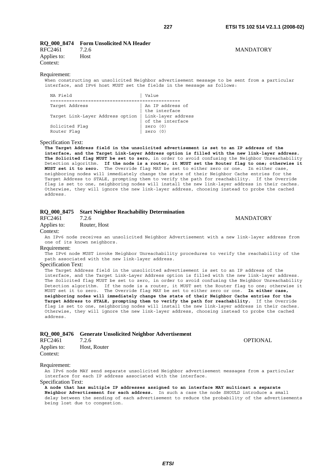### **RQ\_000\_8474 Form Unsolicited NA Header**

RFC2461 7.2.6 MANDATORY Applies to: Host Context:

#### Requirement:

When constructing an unsolicited Neighbor advertisement message to be sent from a particular interface, and IPv6 host MUST set the fields in the message as follows:

| NA Field                         | Value                                  |
|----------------------------------|----------------------------------------|
|                                  |                                        |
| Target Address                   | An IP address of<br>the interface      |
| Target Link-Layer Address option | Link-layer address<br>of the interface |
| Solicited Flag<br>Router Flaq    | zero $(0)$<br>zero $(0)$               |

#### Specification Text:

**The Target Address field in the unsolicited advertisement is set to an IP address of the interface, and the Target Link-Layer Address option is filled with the new link-layer address. The Solicited flag MUST be set to zero,** in order to avoid confusing the Neighbor Unreachability Detection algorithm. **If the node is a router, it MUST set the Router flag to one; otherwise it MUST set it to zero.** The Override flag MAY be set to either zero or one. In either case, neighboring nodes will immediately change the state of their Neighbor Cache entries for the Target Address to STALE, prompting them to verify the path for reachability. If the Override flag is set to one, neighboring nodes will install the new link-layer address in their caches. Otherwise, they will ignore the new link-layer address, choosing instead to probe the cached address.

#### **RQ\_000\_8475 Start Neighbor Reachability Determination**

RFC2461 7.2.6 MANDATORY Applies to: Router, Host

Context:

An IPv6 node receives an unsolicited Neighbor Advertisement with a new link-layer address from one of its known neighbors.

#### Requirement:

The IPv6 node MUST invoke Neighbor Unreachability procedures to verify the reachability of the path associated with the new link-layer address.

#### Specification Text:

The Target Address field in the unsolicited advertisement is set to an IP address of the interface, and the Target Link-Layer Address option is filled with the new link-layer address. The Solicited flag MUST be set to zero, in order to avoid confusing the Neighbor Unreachability Detection algorithm. If the node is a router, it MUST set the Router flag to one; otherwise it MUST set it to zero. The Override flag MAY be set to either zero or one. **In either case, neighboring nodes will immediately change the state of their Neighbor Cache entries for the Target Address to STALE, prompting them to verify the path for reachability.** If the Override flag is set to one, neighboring nodes will install the new link-layer address in their caches. Otherwise, they will ignore the new link-layer address, choosing instead to probe the cached address.

#### **RQ\_000\_8476 Generate Unsolicited Neighbor Advertisement**

| <b>RFC2461</b> | 7.2.6        | <b>OPTIONAL</b> |
|----------------|--------------|-----------------|
| Applies to:    | Host, Router |                 |
| Context:       |              |                 |

#### Requirement:

An IPv6 node MAY send separate unsolicited Neighbor advertisement messages from a particular interface for each IP address associated with the interface.

Specification Text:

**A node that has multiple IP addresses assigned to an interface MAY multicast a separate Neighbor Advertisement for each address.** In such a case the node SHOULD introduce a small delay between the sending of each advertisement to reduce the probability of the advertisements being lost due to congestion.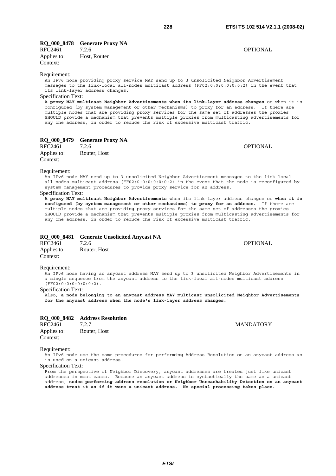### **RQ\_000\_8478 Generate Proxy NA**

| RFC2461     | 7.2.6        | OPTIONAL |
|-------------|--------------|----------|
| Applies to: | Host, Router |          |
| Context:    |              |          |

#### Requirement:

An IPv6 node providing proxy service MAY send up to 3 unsolicited Neighbor Advertisement messages to the link-local all-nodes multicast address (FF02:0:0:0:0:0:0:2) in the event that its link-layer address changes.

### Specification Text:

**A proxy MAY multicast Neighbor Advertisements when its link-layer address changes** or when it is configured (by system management or other mechanisms) to proxy for an address. If there are multiple nodes that are providing proxy services for the same set of addresses the proxies SHOULD provide a mechanism that prevents multiple proxies from multicasting advertisements for any one address, in order to reduce the risk of excessive multicast traffic.

### **RQ\_000\_8479 Generate Proxy NA**

| RFC2461     | 7.2.6        | OPTIONAL |
|-------------|--------------|----------|
| Applies to: | Router, Host |          |
| Context:    |              |          |

#### Requirement:

An IPv6 node MAY send up to 3 unsolicited Neighbor Advertisement messages to the link-local all-nodes multicast address (FF02:0:0:0:0:0:0:2) in the event that the node is reconfigured by system management procedures to provide proxy service for an address.

#### Specification Text:

**A proxy MAY multicast Neighbor Advertisements** when its link-layer address changes or **when it is configured (by system management or other mechanisms) to proxy for an address.** If there are multiple nodes that are providing proxy services for the same set of addresses the proxies SHOULD provide a mechanism that prevents multiple proxies from multicasting advertisements for any one address, in order to reduce the risk of excessive multicast traffic.

### **RQ\_000\_8481 Generate Unsolicited Anycast NA**

| RFC2461     | 7.2.6        | <b>OPTIONAL</b> |
|-------------|--------------|-----------------|
| Applies to: | Router, Host |                 |
| Context:    |              |                 |

#### Requirement:

An IPv6 node having an anycast address MAY send up to 3 unsolicited Neighbor Advertisements in a single sequence from the anycast address to the link-local all-nodes multicast address (FF02:0:0:0:0:0:0:2).

#### Specification Text:

Also, **a node belonging to an anycast address MAY multicast unsolicited Neighbor Advertisements for the anycast address when the node's link-layer address changes.**

### **RQ\_000\_8482 Address Resolution**

| <b>RFC2461</b> | 7.2.7        |
|----------------|--------------|
| Applies to:    | Router, Host |
| Context:       |              |

#### Requirement:

An IPv6 node use the same procedures for performing Address Resolution on an anycast address as is used on a unicast address.

#### Specification Text:

From the perspective of Neighbor Discovery, anycast addresses are treated just like unicast addresses in most cases. Because an anycast address is syntactically the same as a unicast address, **nodes performing address resolution or Neighbor Unreachability Detection on an anycast address treat it as if it were a unicast address. No special processing takes place.**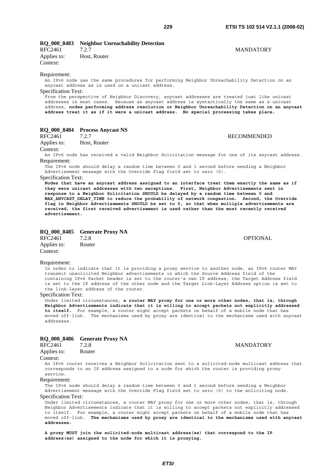## **RQ\_000\_8483 Neighbor Unreachability Detection**

| KFC2401     | 1.2.1        |
|-------------|--------------|
| Applies to: | Host, Router |
| Context:    |              |

#### Requirement:

An IPv6 node use the same procedures for performing Neighbor Unreachability Detection on an anycast address as is used on a unicast address.

Specification Text:

From the perspective of Neighbor Discovery, anycast addresses are treated just like unicast addresses in most cases. Because an anycast address is syntactically the same as a unicast address, **nodes performing address resolution or Neighbor Unreachability Detection on an anycast address treat it as if it were a unicast address. No special processing takes place.**

#### **RQ\_000\_8484 Process Anycast NS**

RFC2461 7.2.7 RECOMMENDED Applies to: Host, Router

#### Context:

An IPv6 node has received a valid Neighbor Solicitation message for one of its anycast address. Requirement:

The IPv6 node should delay a random time between 0 and 1 second before sending a Neighbor Advertisement message with the Override Flag field set to zero (0).

#### Specification Text:

**Nodes that have an anycast address assigned to an interface treat them exactly the same as if they were unicast addresses with two exceptions. First, Neighbor Advertisements sent in response to a Neighbor Solicitation SHOULD be delayed by a random time between 0 and MAX\_ANYCAST\_DELAY\_TIME to reduce the probability of network congestion. Second, the Override flag in Neighbor Advertisements SHOULD be set to 0, so that when multiple advertisements are received, the first received advertisement is used rather than the most recently received advertisement.**

## **RQ\_000\_8485 Generate Proxy NA**<br>RFC2461 7.2.8

RFC2461 7.2.8 OPTIONAL Applies to: Router Context:

#### Requirement:

In order to indicate that it is providing a proxy service to another node, an IPv6 router MAY transmit unsolicited Neighbor advertisements in which the Source Address field of the containing IPv6 Packet header is set to the router's own IP address, the Target Address field is set to the IP address of the other node and the Target Link-Layer Address option is set to the link-layer address of the router.

#### Specification Text:

Under limited circumstances, **a router MAY proxy for one or more other nodes, that is, through Neighbor Advertisements indicate that it is willing to accept packets not explicitly addressed to itself.** For example, a router might accept packets on behalf of a mobile node that has moved off-link. The mechanisms used by proxy are identical to the mechanisms used with anycast addresses.

#### **RQ\_000\_8486 Generate Proxy NA**

| RFC2461     | 7.2.8  |
|-------------|--------|
| Applies to: | Router |

#### Context:

An IPv6 router receives a Neighbor Solicitation sent to a solicited-node multicast address that corresponds to an IP address assigned to a node for which the router is providing proxy service.

#### Requirement:

The IPv6 node should delay a random time between 0 and 1 second before sending a Neighbor Advertisement message with the Override Flag field set to zero (0) to the soliciting node.

#### Specification Text:

Under limited circumstances, a router MAY proxy for one or more other nodes, that is, through Neighbor Advertisements indicate that it is willing to accept packets not explicitly addressed to itself. For example, a router might accept packets on behalf of a mobile node that has moved off-link. **The mechanisms used by proxy are identical to the mechanisms used with anycast addresses.** 

**A proxy MUST join the solicited-node multicast address(es) that correspond to the IP address(es) assigned to the node for which it is proxying.**

#### **MANDATORY**

### T.2.7 MANDATORY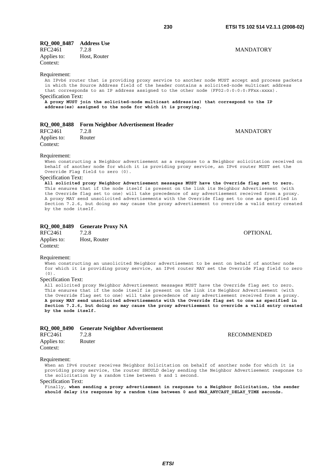#### **RQ\_000\_8487 Address Use**

| RFC2461     | 7.2.8        |
|-------------|--------------|
| Applies to: | Host, Router |
| Context:    |              |

#### Requirement:

An IPvb6 router that is providing proxy service to another node MUST accept and process packets in which the Source Address field of the header contains a solicited-node multicast address that corresponds to an IP address assigned to the other node (FF02:0:0:0:0:FFxx:xxxx).

Specification Text:

**A proxy MUST join the solicited-node multicast address(es) that correspond to the IP address(es) assigned to the node for which it is proxying.**

|             | RQ_000_8488 Form Neighbor Advertisement Header |
|-------------|------------------------------------------------|
| RFC2461     | 7.2.8                                          |
| Applies to: | Router                                         |

Context:

#### Requirement:

When constructing a Neighbor advertisement as a response to a Neighbor solicitation received on behalf of another node for which it is providing proxy service, an IPv6 router MUST set the Override Flag field to zero (0).

### Specification Text:

**All solicited proxy Neighbor Advertisement messages MUST have the Override flag set to zero.** This ensures that if the node itself is present on the link its Neighbor Advertisement (with the Override flag set to one) will take precedence of any advertisement received from a proxy. A proxy MAY send unsolicited advertisements with the Override flag set to one as specified in Section 7.2.6, but doing so may cause the proxy advertisement to override a valid entry created by the node itself.

#### **RQ\_000\_8489 Generate Proxy NA**

| RFC2461     | 7.2.8        | OPTIONAL |
|-------------|--------------|----------|
| Applies to: | Host, Router |          |
| Context:    |              |          |

### Requirement:

When constructing an unsolicited Neighbor advertisement to be sent on behalf of another node for which it is providing proxy service, an IPv6 router MAY set the Override Flag field to zero (0).

#### Specification Text:

All solicited proxy Neighbor Advertisement messages MUST have the Override flag set to zero. This ensures that if the node itself is present on the link its Neighbor Advertisement (with the Override flag set to one) will take precedence of any advertisement received from a proxy. **A proxy MAY send unsolicited advertisements with the Override flag set to one as specified in Section 7.2.6, but doing so may cause the proxy advertisement to override a valid entry created by the node itself.**

|                         | RQ 000 8490 Generate Neighbor Advertisement |                    |
|-------------------------|---------------------------------------------|--------------------|
| RFC2461                 | 7.2.8                                       | <b>RECOMMENDED</b> |
| Applies to:<br>Context: | Router                                      |                    |

#### Requirement:

When an IPv6 router receives Neighbor Solicitation on behalf of another node for which it is providing proxy service, the router SHOULD delay sending the Neighbor Advertisement response to the solicitation by a random time between 0 and 1 second.

### Specification Text:

Finally, **when sending a proxy advertisement in response to a Neighbor Solicitation, the sender should delay its response by a random time between 0 and MAX\_ANYCAST\_DELAY\_TIME seconds.**

**MANDATORY**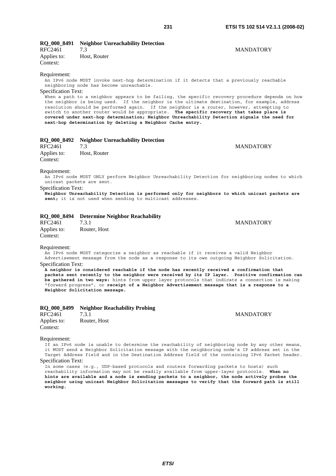**MANDATORY** 

**MANDATORY** 

### **RQ\_000\_8491 Neighbor Unreachability Detection**

RFC2461 7.3 MANDATORY Applies to: Host, Router Context:

#### Requirement:

An IPv6 node MUST invoke next-hop determination if it detects that a previously reachable neighboring node has become unreachable.

Specification Text:

When a path to a neighbor appears to be failing, the specific recovery procedure depends on how the neighbor is being used. If the neighbor is the ultimate destination, for example, address resolution should be performed again. If the neighbor is a router, however, attempting to switch to another router would be appropriate. **The specific recovery that takes place is covered under next-hop determination; Neighbor Unreachability Detection signals the need for next-hop determination by deleting a Neighbor Cache entry.**

|  |  | RQ_000_8492 Neighbor Unreachability Detection |  |
|--|--|-----------------------------------------------|--|
|--|--|-----------------------------------------------|--|

| RFC2461     | 7.3          |  |
|-------------|--------------|--|
| Applies to: | Host, Router |  |
| Context:    |              |  |

#### Requirement:

An IPv6 node MUST ONLY perform Neighbor Unreachability Detection for neighboring nodes to which unicast packets are sent.

#### Specification Text:

**Neighbor Unreachability Detection is performed only for neighbors to which unicast packets are sent;** it is not used when sending to multicast addresses.

#### **RQ\_000\_8494 Determine Neighbor Reachability**

| RFC2461     | 7.3.1        |
|-------------|--------------|
| Applies to: | Router, Host |
| Context:    |              |

#### Requirement:

An IPv6 node MUST categorize a neighbor as reachable if it receives a valid Neighbor Advertisement message from the node as a response to its own outgoing Neighbor Solicitation. Specification Text:

**A neighbor is considered reachable if the node has recently received a confirmation that packets sent recently to the neighbor were received by its IP layer. Positive confirmation can be gathered in two ways:** hints from upper layer protocols that indicate a connection is making "forward progress", or **receipt of a Neighbor Advertisement message that is a response to a Neighbor Solicitation message.**

|                         | RQ 000 8499 Neighbor Reachability Probing |                  |
|-------------------------|-------------------------------------------|------------------|
| RFC2461                 | 7.3.1                                     | <b>MANDATORY</b> |
| Applies to:<br>Context: | Router, Host                              |                  |

#### Requirement:

If an IPv6 node is unable to determine the reachability of neighboring node by any other means, it MUST send a Neighbor Solicitation message with the neighboring node's IP address set in the Target Address field and in the Destination Address field of the containing IPv6 Packet header. Specification Text:

In some cases (e.g., UDP-based protocols and routers forwarding packets to hosts) such reachability information may not be readily available from upper-layer protocols. **When no hints are available and a node is sending packets to a neighbor, the node actively probes the neighbor using unicast Neighbor Solicitation messages to verify that the forward path is still working.**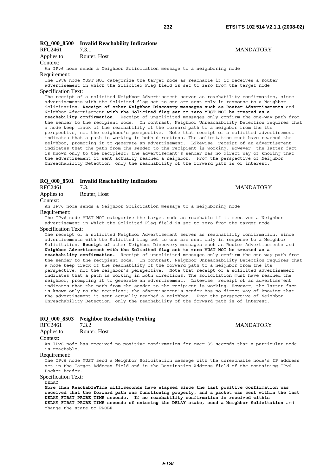### **RQ\_000\_8500 Invalid Reachability Indications**

RFC2461 7.3.1 MANDATORY Applies to: Router, Host

#### Context:

An IPv6 node sends a Neighbor Solicitation message to a neighboring node

#### Requirement:

The IPv6 node MUST NOT categorize the target node as reachable if it receives a Router advertisement in which the Solicited Flag field is set to zero from the target node. Specification Text:

The receipt of a solicited Neighbor Advertisement serves as reachability confirmation, since advertisements with the Solicited flag set to one are sent only in response to a Neighbor Solicitation. **Receipt of other Neighbor Discovery messages such as Router Advertisements** and Neighbor Advertisement **with the Solicited flag set to zero MUST NOT be treated as a reachability confirmation.** Receipt of unsolicited messages only confirm the one-way path from the sender to the recipient node. In contrast, Neighbor Unreachability Detection requires that a node keep track of the reachability of the forward path to a neighbor from the its perspective, not the neighbor's perspective. Note that receipt of a solicited advertisement indicates that a path is working in both directions. The solicitation must have reached the neighbor, prompting it to generate an advertisement. Likewise, receipt of an advertisement indicates that the path from the sender to the recipient is working. However, the latter fact is known only to the recipient; the advertisement's sender has no direct way of knowing that the advertisement it sent actually reached a neighbor. From the perspective of Neighbor Unreachability Detection, only the reachability of the forward path is of interest.

#### **RQ\_000\_8501 Invalid Reachability Indications**

| .           |             |
|-------------|-------------|
| RFC2461     | 7.3.1       |
| Applies to: | Router, Hos |

| pplies to: | Router, Host |  |
|------------|--------------|--|
|            |              |  |

Context:

An IPv6 node sends a Neighbor Solicitation message to a neighboring node Requirement:

The IPv6 node MUST NOT categorize the target node as reachable if it receives a Neighbor advertisement in which the Solicited Flag field is set to zero from the target node.

#### Specification Text:

The receipt of a solicited Neighbor Advertisement serves as reachability confirmation, since advertisements with the Solicited flag set to one are sent only in response to a Neighbor Solicitation. **Receipt of** other Neighbor Discovery messages such as Router Advertisements and **Neighbor Advertisement with the Solicited flag set to zero MUST NOT be treated as a reachability confirmation.** Receipt of unsolicited messages only confirm the one-way path from the sender to the recipient node. In contrast, Neighbor Unreachability Detection requires that a node keep track of the reachability of the forward path to a neighbor from the its perspective, not the neighbor's perspective. Note that receipt of a solicited advertisement indicates that a path is working in both directions. The solicitation must have reached the neighbor, prompting it to generate an advertisement. Likewise, receipt of an advertisement indicates that the path from the sender to the recipient is working. However, the latter fact is known only to the recipient; the advertisement's sender has no direct way of knowing that the advertisement it sent actually reached a neighbor. From the perspective of Neighbor Unreachability Detection, only the reachability of the forward path is of interest.

#### **RQ\_000\_8503 Neighbor Reachability Probing**

| RFC2461     | 7.3.2        |
|-------------|--------------|
| Applies to: | Router, Host |

**MANDATORY** 

Context:

An IPv6 node has received no positive confirmation for over 35 seconds that a particular node is reachable.

Requirement:

The IPv6 node MUST send a Neighbor Solicitation message with the unreachable node's IP address set in the Target Address field and in the Destination Address field of the containing IPv6 Packet header.

Specification Text:

.<br>DELAY

**More than ReachableTime milliseconds have elapsed since the last positive confirmation was received that the forward path was functioning properly, and a packet was sent within the last DELAY\_FIRST\_PROBE\_TIME seconds. If no reachability confirmation is received within DELAY\_FIRST\_PROBE\_TIME seconds of entering the DELAY state, send a Neighbor Solicitation** and change the state to PROBE.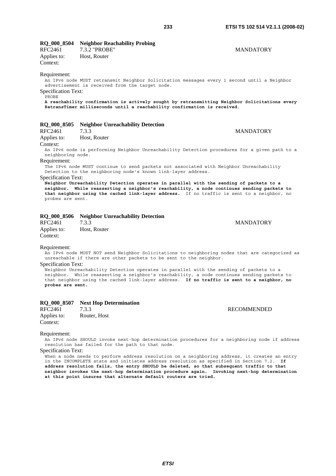#### **RQ\_000\_8504 Neighbor Reachability Probing**

| RFC2461     | 7.3.2 "PROBE" | <b>MANDATORY</b> |
|-------------|---------------|------------------|
| Applies to: | Host, Router  |                  |
| Context:    |               |                  |

#### Requirement:

An IPv6 node MUST retransmit Neighbor Solicitation messages every 1 second until a Neighbor advertisement is received from the target node. Specification Text:

PROBE

**A reachability confirmation is actively sought by retransmitting Neighbor Solicitations every RetransTimer milliseconds until a reachability confirmation is received**.

#### **RQ\_000\_8505 Neighbor Unreachability Detection**

| RFC2461     | 7.3.3        | <b>MANDATORY</b> |
|-------------|--------------|------------------|
| Applies to: | Host, Router |                  |

Context:

An IPv6 node is performing Neighbor Unreachability Detection procedures for a given path to a neighboring node.

Requirement:

The IPv6 node MUST continue to send packets not associated with Neighbor Unreachability Detection to the neighboring node's known link-layer address.

#### Specification Text:

**Neighbor Unreachability Detection operates in parallel with the sending of packets to a neighbor. While reasserting a neighbor's reachability, a node continues sending packets to that neighbor using the cached link-layer address.** If no traffic is sent to a neighbor, no probes are sent.

#### **RQ\_000\_8506 Neighbor Unreachability Detection**

| RFC2461     | 7.3.3        |
|-------------|--------------|
| Applies to: | Host, Router |
| Context:    |              |

#### Requirement:

An IPv6 node MUST NOT send Neighbor Solicitations to neighboring nodes that are categorized as unreachable if there are other packets to be sent to the neighbor.

Specification Text:

Neighbor Unreachability Detection operates in parallel with the sending of packets to a neighbor. While reasserting a neighbor's reachability, a node continues sending packets to that neighbor using the cached link-layer address. **If no traffic is sent to a neighbor, no probes are sent.**

#### **RQ\_000\_8507 Next Hop Determination**

RFC2461 7.3.3 RECOMMENDED Applies to: Router, Host Context:

**MANDATORY** 

#### Requirement:

An IPv6 node SHOULD invoke next-hop determination procedures for a neighboring node if address resolution has failed for the path to that node.

Specification Text:

When a node needs to perform address resolution on a neighboring address, it creates an entry in the INCOMPLETE state and initiates address resolution as specified in Section 7.2. **If address resolution fails, the entry SHOULD be deleted, so that subsequent traffic to that neighbor invokes the next-hop determination procedure again. Invoking next-hop determination at this point insures that alternate default routers are tried.**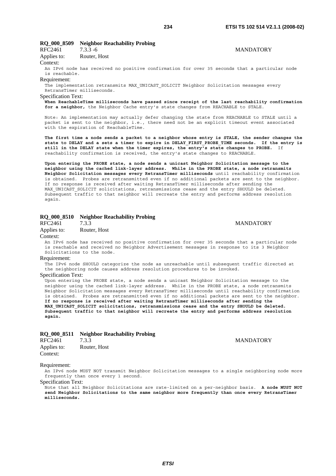### **RQ\_000\_8509 Neighbor Reachability Probing**

| RFC2461     | $7.3.3 - 6$  | <b>MANDATORY</b> |
|-------------|--------------|------------------|
| Applies to: | Router, Host |                  |
| Context:    |              |                  |

An IPv6 node has received no positive confirmation for over 35 seconds that a particular node is reachable.

#### Requirement:

The implementation retransmits MAX UNICAST SOLICIT Neighbor Solicitation messages every RetransTimer milliseconds.

#### Specification Text:

**When ReachableTime milliseconds have passed since receipt of the last reachability confirmation for a neighbor,** the Neighbor Cache entry's state changes from REACHABLE to STALE.

Note: An implementation may actually defer changing the state from REACHABLE to STALE until a packet is sent to the neighbor, i.e., there need not be an explicit timeout event associated with the expiration of ReachableTime.

**The first time a node sends a packet to a neighbor whose entry is STALE, the sender changes the**  state to DELAY and a sets a timer to expire in DELAY FIRST PROBE TIME seconds. If the entry is **still in the DELAY state when the timer expires, the entry's state changes to PROBE.** If reachability confirmation is received, the entry's state changes to REACHABLE.

**Upon entering the PROBE state, a node sends a unicast Neighbor Solicitation message to the neighbor using the cached link-layer address. While in the PROBE state, a node retransmits Neighbor Solicitation messages every RetransTimer milliseconds** until reachability confirmation is obtained. Probes are retransmitted even if no additional packets are sent to the neighbor. If no response is received after waiting RetransTimer milliseconds after sending the MAX UNICAST SOLICIT solicitations, retransmissions cease and the entry SHOULD be deleted. Subsequent traffic to that neighbor will recreate the entry and performs address resolution again.

#### **RQ\_000\_8510 Neighbor Reachability Probing**

RFC2461 7.3.3 MANDATORY

Applies to: Router, Host

Context:

An IPv6 node has received no positive confirmation for over 35 seconds that a particular node is reachable and received no Neighbor Advertisement messages in response to its 3 Neighbor Solicitations to the node.

#### Requirement:

The IPv6 node SHOULD categorize the node as unreachable until subsequent traffic directed at the neighboring node causes address resolution procedures to be invoked.

Specification Text:

Upon entering the PROBE state, a node sends a unicast Neighbor Solicitation message to the neighbor using the cached link-layer address. While in the PROBE state, a node retransmits Neighbor Solicitation messages every RetransTimer milliseconds until reachability confirmation is obtained. Probes are retransmitted even if no additional packets are sent to the neighbor. **If no response is received after waiting RetransTimer milliseconds after sending the MAX\_UNICAST\_SOLICIT solicitations, retransmissions cease and the entry SHOULD be deleted. Subsequent traffic to that neighbor will recreate the entry and performs address resolution again.**

#### **RQ\_000\_8511 Neighbor Reachability Probing**

| <b>KFU2401</b> | 1.5.5        |
|----------------|--------------|
| Applies to:    | Router, Host |
| Context:       |              |

#### Requirement:

An IPv6 node MUST NOT transmit Neighbor Solicitation messages to a single neighboring node more frequently than once every 1 second.

Specification Text:

Note that all Neighbor Solicitations are rate-limited on a per-neighbor basis. **A node MUST NOT send Neighbor Solicitations to the same neighbor more frequently than once every RetransTimer milliseconds.**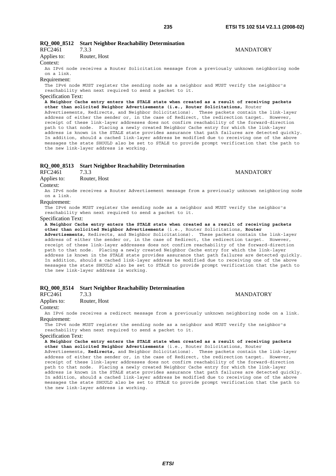**MANDATORY** 

#### **RQ\_000\_8512 Start Neighbor Reachability Determination**  RFC2461 733 MANDATORY

| <b>KFUZ401</b> | د.د. ۱       |
|----------------|--------------|
| Applies to:    | Router, Host |

Context:

An IPv6 node receives a Router Solicitation message from a previously unknown neighboring node on a link.

#### Requirement:

The IPv6 node MUST register the sending node as a neighbor and MUST verify the neighbor's reachability when next required to send a packet to it.

Specification Text:

**A Neighbor Cache entry enters the STALE state when created as a result of receiving packets other than solicited Neighbor Advertisements (i.e., Router Solicitations,** Router Advertisements, Redirects, and Neighbor Solicitations). These packets contain the link-layer address of either the sender or, in the case of Redirect, the redirection target. However, receipt of these link-layer addresses does not confirm reachability of the forward-direction path to that node. Placing a newly created Neighbor Cache entry for which the link-layer address is known in the STALE state provides assurance that path failures are detected quickly. In addition, should a cached link-layer address be modified due to receiving one of the above messages the state SHOULD also be set to STALE to provide prompt verification that the path to the new link-layer address is working.

#### **RQ\_000\_8513 Start Neighbor Reachability Determination**

| RFC2461     | 7.3.3        |
|-------------|--------------|
| Applies to: | Router, Host |
| Context:    |              |
|             |              |

An IPv6 node receives a Router Advertisement message from a previously unknown neighboring node on a link.

#### Requirement:

The IPv6 node MUST register the sending node as a neighbor and MUST verify the neighbor's reachability when next required to send a packet to it.

Specification Text:

**A Neighbor Cache entry enters the STALE state when created as a result of receiving packets other than solicited Neighbor Advertisements** (i.e., Router Solicitations, **Router Advertisements,** Redirects, and Neighbor Solicitations). These packets contain the link-layer address of either the sender or, in the case of Redirect, the redirection target. However, receipt of these link-layer addresses does not confirm reachability of the forward-direction path to that node. Placing a newly created Neighbor Cache entry for which the link-layer

address is known in the STALE state provides assurance that path failures are detected quickly. In addition, should a cached link-layer address be modified due to receiving one of the above messages the state SHOULD also be set to STALE to provide prompt verification that the path to the new link-layer address is working.

## **RQ\_000\_8514 Start Neighbor Reachability Determination**

#### RFC2461 7.3.3 MANDATORY

Applies to: Router, Host

#### Context:

An IPv6 node receives a redirect message from a previously unknown neighboring node on a link. Requirement:

The IPv6 node MUST register the sending node as a neighbor and MUST verify the neighbor's reachability when next required to send a packet to it.

Specification Text:

**A Neighbor Cache entry enters the STALE state when created as a result of receiving packets other than solicited Neighbor Advertisements** (i.e., Router Solicitations, Router Advertisements, **Redirects,** and Neighbor Solicitations). These packets contain the link-layer address of either the sender or, in the case of Redirect, the redirection target. However, receipt of these link-layer addresses does not confirm reachability of the forward-direction path to that node. Placing a newly created Neighbor Cache entry for which the link-layer address is known in the STALE state provides assurance that path failures are detected quickly. In addition, should a cached link-layer address be modified due to receiving one of the above messages the state SHOULD also be set to STALE to provide prompt verification that the path to the new link-layer address is working.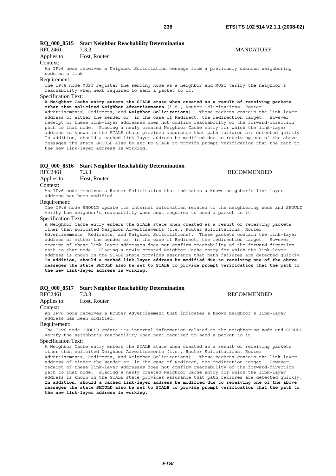#### **RQ\_000\_8515 Start Neighbor Reachability Determination**  RFC2461 7.3.3 MANDATORY

| <b>RFC2461</b> | 1.3.3        |
|----------------|--------------|
| Applies to:    | Host, Router |

Context:

An IPv6 node receives a Neighbor Solicitation message from a previously unknown neighboring node on a link.

#### Requirement:

The IPv6 node MUST register the sending node as a neighbor and MUST verify the neighbor's reachability when next required to send a packet to it.

Specification Text:

**A Neighbor Cache entry enters the STALE state when created as a result of receiving packets other than solicited Neighbor Advertisements** (i.e., Router Solicitations, Router Advertisements, Redirects, and **Neighbor Solicitations**). These packets contain the link-layer address of either the sender or, in the case of Redirect, the redirection target. However, receipt of these link-layer addresses does not confirm reachability of the forward-direction path to that node. Placing a newly created Neighbor Cache entry for which the link-layer address is known in the STALE state provides assurance that path failures are detected quickly. In addition, should a cached link-layer address be modified due to receiving one of the above messages the state SHOULD also be set to STALE to provide prompt verification that the path to the new link-layer address is working.

#### **RQ\_000\_8516 Start Neighbor Reachability Determination**

| RFC2461     | 7.3.3        | <b>RECOMMENDED</b>                                                                   |
|-------------|--------------|--------------------------------------------------------------------------------------|
| Applies to: | Host, Router |                                                                                      |
| Context:    |              |                                                                                      |
|             |              | An IBu6 node receives a Pouter Solicitation that indicates a known neighborts link-1 |

a Router Solicitation that indicates a known neighbor's link-layer address has been modified.

#### Requirement:

The IPv6 node SHOULD update its internal information related to the neighboring node and SHOULD verify the neighbor's reachability when next required to send a packet to it.

#### Specification Text:

A Neighbor Cache entry enters the STALE state when created as a result of receiving packets other than solicited Neighbor Advertisements (i.e., Router Solicitations, Router Advertisements, Redirects, and Neighbor Solicitations). These packets contain the link-layer address of either the sender or, in the case of Redirect, the redirection target. However, receipt of these link-layer addresses does not confirm reachability of the forward-direction path to that node. Placing a newly created Neighbor Cache entry for which the link-layer address is known in the STALE state provides assurance that path failures are detected quickly. **In addition, should a cached link-layer address be modified due to receiving one of the above messages the state SHOULD also be set to STALE to provide prompt verification that the path to the new link-layer address is working.**

## **RQ\_000\_8517 Start Neighbor Reachability Determination**

#### RFC2461 7.3.3 RECOMMENDED

Applies to: Host, Router

#### Context:

An IPv6 node receives a Router Advertisement that indicates a known neighbor's link-layer address has been modified.

#### Requirement:

The IPv6 node SHOULD update its internal information related to the neighboring node and SHOULD verify the neighbor's reachability when next required to send a packet to it.

#### Specification Text:

A Neighbor Cache entry enters the STALE state when created as a result of receiving packets other than solicited Neighbor Advertisements (i.e., Router Solicitations, Router Advertisements, Redirects, and Neighbor Solicitations). These packets contain the link-layer address of either the sender or, in the case of Redirect, the redirection target. However, receipt of these link-layer addresses does not confirm reachability of the forward-direction path to that node. Placing a newly created Neighbor Cache entry for which the link-layer address is known in the STALE state provides assurance that path failures are detected quickly. **In addition, should a cached link-layer address be modified due to receiving one of the above messages the state SHOULD also be set to STALE to provide prompt verification that the path to the new link-layer address is working.**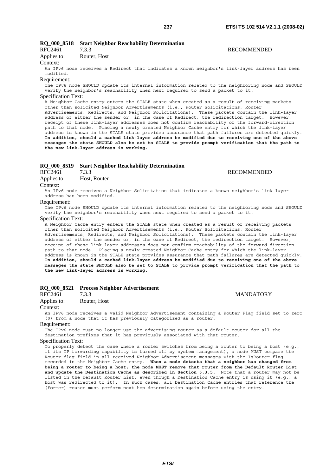**RECOMMENDED** 

**RECOMMENDED** 

**MANDATORY** 

### **RQ\_000\_8518 Start Neighbor Reachability Determination**

| RFC2461     | 7.3.3        |
|-------------|--------------|
| Applies to: | Router, Host |

Context:

An IPv6 node receives a Redirect that indicates a known neighbor's link-layer address has been modified.

#### Requirement:

The IPv6 node SHOULD update its internal information related to the neighboring node and SHOULD verify the neighbor's reachability when next required to send a packet to it.

#### Specification Text:

A Neighbor Cache entry enters the STALE state when created as a result of receiving packets other than solicited Neighbor Advertisements (i.e., Router Solicitations, Router Advertisements, Redirects, and Neighbor Solicitations). These packets contain the link-layer address of either the sender or, in the case of Redirect, the redirection target. However, receipt of these link-layer addresses does not confirm reachability of the forward-direction path to that node. Placing a newly created Neighbor Cache entry for which the link-layer address is known in the STALE state provides assurance that path failures are detected quickly. **In addition, should a cached link-layer address be modified due to receiving one of the above messages the state SHOULD also be set to STALE to provide prompt verification that the path to the new link-layer address is working.**

#### **RQ\_000\_8519 Start Neighbor Reachability Determination**

|          | RFC2461     | 7.3.3                           |  |
|----------|-------------|---------------------------------|--|
|          | Applies to: | Host, Router                    |  |
| Context: |             |                                 |  |
|          |             | An I Pu6 node receives a Neighl |  |

An IPv6 node receives a Neighbor Solicitation that indicates a known neighbor's link-layer address has been modified.

#### Requirement:

The IPv6 node SHOULD update its internal information related to the neighboring node and SHOULD verify the neighbor's reachability when next required to send a packet to it.

#### Specification Text:

A Neighbor Cache entry enters the STALE state when created as a result of receiving packets other than solicited Neighbor Advertisements (i.e., Router Solicitations, Router Advertisements, Redirects, and Neighbor Solicitations). These packets contain the link-layer address of either the sender or, in the case of Redirect, the redirection target. However, receipt of these link-layer addresses does not confirm reachability of the forward-direction path to that node. Placing a newly created Neighbor Cache entry for which the link-layer address is known in the STALE state provides assurance that path failures are detected quickly. **In addition, should a cached link-layer address be modified due to receiving one of the above messages the state SHOULD also be set to STALE to provide prompt verification that the path to the new link-layer address is working.**

## **RQ\_000\_8521 Process Neighbor Advertisement**

Applies to: Router, Host

#### Context:

An IPv6 node receives a valid Neighbor Advertisement containing a Router Flag field set to zero (0) from a node that it has previously categorized as a router.

#### Requirement:

The IPv6 node must no longer use the advertising router as a default router for all the destination prefixes that it has previously associated with that router.

#### Specification Text:

To properly detect the case where a router switches from being a router to being a host  $(e.g.,)$ if its IP forwarding capability is turned off by system management), a node MUST compare the Router flag field in all received Neighbor Advertisement messages with the IsRouter flag recorded in the Neighbor Cache entry. **When a node detects that a neighbor has changed from being a router to being a host, the node MUST remove that router from the Default Router List and update the Destination Cache as described in Section 6.3.5.** Note that a router may not be listed in the Default Router List, even though a Destination Cache entry is using it (e.g., a host was redirected to it). In such cases, all Destination Cache entries that reference the (former) router must perform next-hop determination again before using the entry.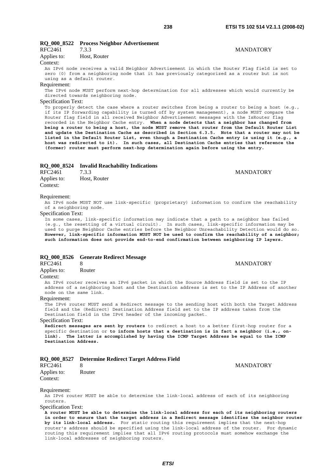### **RQ\_000\_8522 Process Neighbor Advertisement**

| RFC2461       | 7.3.3        | <b>MANDATORY</b> |
|---------------|--------------|------------------|
| Applies to:   | Host, Router |                  |
| $\sim$ $\sim$ |              |                  |

#### Context:

An IPv6 node receives a valid Neighbor Advertisement in which the Router Flag field is set to zero (0) from a neighboring node that it has previously categorized as a router but is not using as a default router.

#### Requirement:

The IPv6 node MUST perform next-hop determination for all addresses which would currently be directed towards neighboring node.

#### Specification Text:

To properly detect the case where a router switches from being a router to being a host (e.g., if its IP forwarding capability is turned off by system management), a node MUST compare the Router flag field in all received Neighbor Advertisement messages with the IsRouter flag recorded in the Neighbor Cache entry. **When a node detects that a neighbor has changed from being a router to being a host, the node MUST remove that router from the Default Router List and update the Destination Cache as described in Section 6.3.5. Note that a router may not be listed in the Default Router List, even though a Destination Cache entry is using it (e.g., a host was redirected to it). In such cases, all Destination Cache entries that reference the (former) router must perform next-hop determination again before using the entry.**

#### **RQ\_000\_8524 Invalid Reachability Indications**

| RFC2461     | 7.3.3        |
|-------------|--------------|
| Applies to: | Host, Router |
| Context:    |              |

#### Requirement:

An IPv6 node MUST NOT use link-specific (proprietary) information to confirm the reachability of a neighboring node.

#### Specification Text:

In some cases, link-specific information may indicate that a path to a neighbor has failed (e.g., the resetting of a virtual circuit). In such cases, link-specific information may be used to purge Neighbor Cache entries before the Neighbor Unreachability Detection would do so. **However, link-specific information MUST NOT be used to confirm the reachability of a neighbor; such information does not provide end-to-end confirmation between neighboring IP layers.**

8 MANDATORY

## **RQ\_000\_8526 Generate Redirect Message**

Applies to: Router

#### Context:

An IPv6 router receives an IPv6 packet in which the Source Address field is set to the IP address of a neighboring host and the Destination address is set to the IP Address of another node on the same link.

#### Requirement:

The IPv6 router MUST send a Redirect message to the sending host with both the Target Address field and the (Redirect) Destination Address field set to the IP address taken from the Destination field in the IPv6 header of the incoming packet.

#### Specification Text:

**Redirect messages are sent by routers** to redirect a host to a better first-hop router for a specific destination or **to inform hosts that a destination is in fact a neighbor (i.e., onlink). The latter is accomplished by having the ICMP Target Address be equal to the ICMP Destination Address.**

|  |  |  | RQ_000_8527 Determine Redirect Target Address Field |  |  |  |  |
|--|--|--|-----------------------------------------------------|--|--|--|--|
|--|--|--|-----------------------------------------------------|--|--|--|--|

| RFC2461     |        |
|-------------|--------|
| Applies to: | Router |
| Context:    |        |

**MANDATORY** 

#### Requirement:

An IPv6 router MUST be able to determine the link-local address of each of its neighboring routers.

#### Specification Text:

**A router MUST be able to determine the link-local address for each of its neighboring routers in order to ensure that the target address in a Redirect message identifies the neighbor router by its link-local address.** For static routing this requirement implies that the next-hop router's address should be specified using the link-local address of the router. For dynamic routing this requirement implies that all IPv6 routing protocols must somehow exchange the link-local addresses of neighboring routers.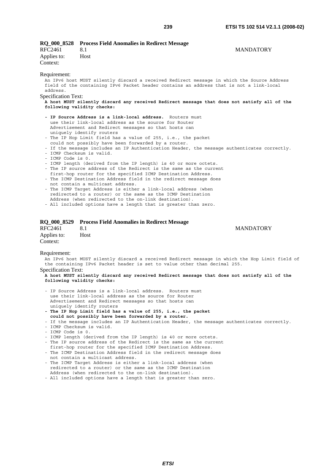| RFC2461<br>Applies to:<br>Context:                                   | RQ_000_8528 Process Field Anomalies in Redirect Message<br>8.1<br>Host                                                                                                                                                                                                                                                                                                                                                                                                                                                                                                                                                                                                                                                                                                                                                                                                                                                                                                                                                                                                                                                                                                                                                                                                                                                                                             | <b>MANDATORY</b> |
|----------------------------------------------------------------------|--------------------------------------------------------------------------------------------------------------------------------------------------------------------------------------------------------------------------------------------------------------------------------------------------------------------------------------------------------------------------------------------------------------------------------------------------------------------------------------------------------------------------------------------------------------------------------------------------------------------------------------------------------------------------------------------------------------------------------------------------------------------------------------------------------------------------------------------------------------------------------------------------------------------------------------------------------------------------------------------------------------------------------------------------------------------------------------------------------------------------------------------------------------------------------------------------------------------------------------------------------------------------------------------------------------------------------------------------------------------|------------------|
| Requirement:<br>address.<br>Specification Text:<br>- ICMP Code is 0. | An IPv6 host MUST silently discard a received Redirect message in which the Source Address<br>field of the containing IPv6 Packet header contains an address that is not a link-local<br>A host MUST silently discard any received Redirect message that does not satisfy all of the<br>following validity checks:<br>- IP Source Address is a link-local address. Routers must<br>use their link-local address as the source for Router<br>Advertisement and Redirect messages so that hosts can<br>uniquely identify routers<br>- The IP Hop Limit field has a value of 255, i.e., the packet<br>could not possibly have been forwarded by a router.<br>- If the message includes an IP Authentication Header, the message authenticates correctly.<br>- ICMP Checksum is valid.<br>- ICMP length (derived from the IP length) is 40 or more octets.<br>- The IP source address of the Redirect is the same as the current<br>first-hop router for the specified ICMP Destination Address.<br>- The ICMP Destination Address field in the redirect message does<br>not contain a multicast address.<br>- The ICMP Target Address is either a link-local address (when<br>redirected to a router) or the same as the ICMP Destination<br>Address (when redirected to the on-link destination).<br>- All included options have a length that is greater than zero. |                  |
|                                                                      |                                                                                                                                                                                                                                                                                                                                                                                                                                                                                                                                                                                                                                                                                                                                                                                                                                                                                                                                                                                                                                                                                                                                                                                                                                                                                                                                                                    |                  |

#### **RQ\_000\_8529 Process Field Anomalies in Redirect Message**

| RFC2461     | 8.1  |
|-------------|------|
| Applies to: | Host |
| Context:    |      |

**MANDATORY** 

#### Requirement:

An IPv6 host MUST silently discard a received Redirect message in which the Hop Limit field of the containing IPv6 Packet header is set to value other than decimal 255. Specification Text:

- IP Source Address is a link-local address. Routers must use their link-local address as the source for Router Advertisement and Redirect messages so that hosts can uniquely identify routers
- **The IP Hop Limit field has a value of 255, i.e., the packet could not possibly have been forwarded by a router.**
- If the message includes an IP Authentication Header, the message authenticates correctly.
- ICMP Checksum is valid.
- ICMP Code is 0.
- ICMP length (derived from the IP length) is 40 or more octets.
- The IP source address of the Redirect is the same as the current
- first-hop router for the specified ICMP Destination Address. - The ICMP Destination Address field in the redirect message does
- not contain a multicast address.
- The ICMP Target Address is either a link-local address (when redirected to a router) or the same as the ICMP Destination Address (when redirected to the on-link destination).
- All included options have a length that is greater than zero.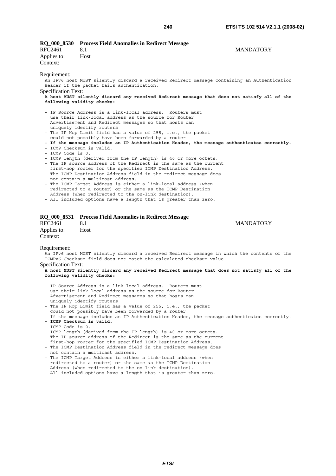| <b>RQ_000_8530</b><br>RFC2461<br>Applies to:<br>Context: | <b>Process Field Anomalies in Redirect Message</b><br>8.1<br>Host                                                                                                                                                                                                                                                                                                                                                                                                                                                                                                                                                                                                                                                                                                                                                                                 | <b>MANDATORY</b> |
|----------------------------------------------------------|---------------------------------------------------------------------------------------------------------------------------------------------------------------------------------------------------------------------------------------------------------------------------------------------------------------------------------------------------------------------------------------------------------------------------------------------------------------------------------------------------------------------------------------------------------------------------------------------------------------------------------------------------------------------------------------------------------------------------------------------------------------------------------------------------------------------------------------------------|------------------|
| Requirement:<br><b>Specification Text:</b>               | An IPv6 host MUST silently discard a received Redirect message containing an Authentication<br>Header if the packet fails authentication.<br>A host MUST silently discard any received Redirect message that does not satisfy all of the<br>following validity checks:                                                                                                                                                                                                                                                                                                                                                                                                                                                                                                                                                                            |                  |
| - ICMP Code is 0.                                        | - IP Source Address is a link-local address. Routers must<br>use their link-local address as the source for Router<br>Advertisement and Redirect messages so that hosts can<br>uniquely identify routers<br>- The IP Hop Limit field has a value of 255, i.e., the packet<br>could not possibly have been forwarded by a router.<br>- If the message includes an IP Authentication Header, the message authenticates correctly.<br>- ICMP Checksum is valid.<br>- ICMP length (derived from the IP length) is 40 or more octets.<br>- The IP source address of the Redirect is the same as the current<br>first-hop router for the specified ICMP Destination Address.<br>- The ICMP Destination Address field in the redirect message does<br>not contain a multicast address.<br>- The ICMP Target Address is either a link-local address (when |                  |

 redirected to a router) or the same as the ICMP Destination Address (when redirected to the on-link destination).

- All included options have a length that is greater than zero.

#### **RQ\_000\_8531 Process Field Anomalies in Redirect Message**

| RFC2461     | 8.1  |
|-------------|------|
| Applies to: | Host |
| Context:    |      |

**MANDATORY** 

#### Requirement:

An IPv6 host MUST silently discard a received Redirect message in which the contents of the ICMPv6 Checksum field does not match the calculated checksum value.

#### Specification Text:

- IP Source Address is a link-local address. Routers must use their link-local address as the source for Router Advertisement and Redirect messages so that hosts can uniquely identify routers
- The IP Hop Limit field has a value of 255, i.e., the packet
- could not possibly have been forwarded by a router.
- If the message includes an IP Authentication Header, the message authenticates correctly.
- **ICMP Checksum is valid.**
- ICMP Code is 0.
- ICMP length (derived from the IP length) is 40 or more octets.
- The IP source address of the Redirect is the same as the current first-hop router for the specified ICMP Destination Address.
- The ICMP Destination Address field in the redirect message does not contain a multicast address.
- The ICMP Target Address is either a link-local address (when redirected to a router) or the same as the ICMP Destination Address (when redirected to the on-link destination).
- All included options have a length that is greater than zero.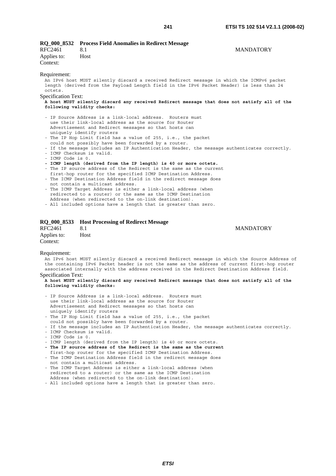**MANDATORY** 

|                            | RQ_000_8532 Process Field Anomalies in Redirect Message                                                                                                                                                  |                  |
|----------------------------|----------------------------------------------------------------------------------------------------------------------------------------------------------------------------------------------------------|------------------|
| RFC2461                    | 8.1                                                                                                                                                                                                      | <b>MANDATORY</b> |
| Applies to:                | Host                                                                                                                                                                                                     |                  |
| Context:                   |                                                                                                                                                                                                          |                  |
| Requirement:               |                                                                                                                                                                                                          |                  |
| octets.                    | An IPv6 host MUST silently discard a received Redirect message in which the ICMPv6 packet<br>length (derived from the Payload Length field in the IPv6 Packet Header) is less than 24                    |                  |
| <b>Specification Text:</b> |                                                                                                                                                                                                          |                  |
|                            | A host MUST silently discard any received Redirect message that does not satisfy all of the                                                                                                              |                  |
|                            | following validity checks:                                                                                                                                                                               |                  |
|                            | - IP Source Address is a link-local address. Routers must<br>use their link-local address as the source for Router<br>Advertisement and Redirect messages so that hosts can<br>uniquely identify routers |                  |
|                            | - The IP Hop Limit field has a value of 255, i.e., the packet                                                                                                                                            |                  |
|                            | could not possibly have been forwarded by a router.                                                                                                                                                      |                  |
|                            | - If the message includes an IP Authentication Header, the message authenticates correctly.                                                                                                              |                  |
| - ICMP Code is 0.          | - ICMP Checksum is valid.                                                                                                                                                                                |                  |
|                            | - ICMP length (derived from the IP length) is 40 or more octets.                                                                                                                                         |                  |
|                            | - The IP source address of the Redirect is the same as the current                                                                                                                                       |                  |
|                            | first-hop router for the specified ICMP Destination Address.                                                                                                                                             |                  |

- The ICMP Destination Address field in the redirect message does not contain a multicast address.
- The ICMP Target Address is either a link-local address (when redirected to a router) or the same as the ICMP Destination Address (when redirected to the on-link destination).
- All included options have a length that is greater than zero.

#### **RQ\_000\_8533 Host Processing of Redirect Message**

| RFC2461     | 8.1  |
|-------------|------|
| Applies to: | Host |
| Context:    |      |

Requirement:

An IPv6 host MUST silently discard a received Redirect message in which the Source Address of the containing IPv6 Packet header is not the same as the address of current first-hop router associated internally with the address received in the Redirect Destination Address field.

### Specification Text:

- IP Source Address is a link-local address. Routers must use their link-local address as the source for Router Advertisement and Redirect messages so that hosts can uniquely identify routers
- The IP Hop Limit field has a value of 255, i.e., the packet
- could not possibly have been forwarded by a router.
- If the message includes an IP Authentication Header, the message authenticates correctly.
- ICMP Checksum is valid.
- ICMP Code is 0.
- ICMP length (derived from the IP length) is 40 or more octets.
- **The IP source address of the Redirect is the same as the current**  first-hop router for the specified ICMP Destination Address.
- The ICMP Destination Address field in the redirect message does not contain a multicast address.
- The ICMP Target Address is either a link-local address (when redirected to a router) or the same as the ICMP Destination Address (when redirected to the on-link destination).
- All included options have a length that is greater than zero.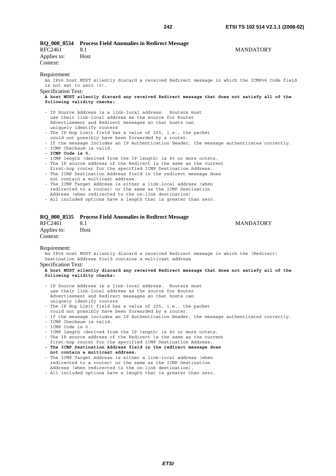| RFC2461<br>Applies to:<br>Context:                                | RQ_000_8534 Process Field Anomalies in Redirect Message<br>8.1<br>Host                                                                                                                                                                                                                                                                                                                                                                                                                                                                                                                                                                                                                                                                                                                                                                                                                                                                                                                                                                       | <b>MANDATORY</b> |
|-------------------------------------------------------------------|----------------------------------------------------------------------------------------------------------------------------------------------------------------------------------------------------------------------------------------------------------------------------------------------------------------------------------------------------------------------------------------------------------------------------------------------------------------------------------------------------------------------------------------------------------------------------------------------------------------------------------------------------------------------------------------------------------------------------------------------------------------------------------------------------------------------------------------------------------------------------------------------------------------------------------------------------------------------------------------------------------------------------------------------|------------------|
| Requirement:<br>is not set to zero $(0)$ .<br>Specification Text: | An IPv6 host MUST silently discard a received Redirect message in which the ICMPv6 Code field<br>A host MUST silently discard any received Redirect message that does not satisfy all of the<br>following validity checks:                                                                                                                                                                                                                                                                                                                                                                                                                                                                                                                                                                                                                                                                                                                                                                                                                   |                  |
| - ICMP Code is 0.                                                 | - IP Source Address is a link-local address. Routers must<br>use their link-local address as the source for Router<br>Advertisement and Redirect messages so that hosts can<br>uniquely identify routers<br>- The IP Hop Limit field has a value of 255, i.e., the packet<br>could not possibly have been forwarded by a router.<br>- If the message includes an IP Authentication Header, the message authenticates correctly.<br>- ICMP Checksum is valid.<br>- ICMP length (derived from the IP length) is 40 or more octets.<br>- The IP source address of the Redirect is the same as the current<br>first-hop router for the specified ICMP Destination Address.<br>- The ICMP Destination Address field in the redirect message does<br>not contain a multicast address.<br>- The ICMP Target Address is either a link-local address (when<br>redirected to a router) or the same as the ICMP Destination<br>Address (when redirected to the on-link destination).<br>- All included options have a length that is greater than zero. |                  |
| <b>RFC2461</b><br>Applies to:<br>Context:                         | RQ_000_8535 Process Field Anomalies in Redirect Message<br>8.1<br>Host                                                                                                                                                                                                                                                                                                                                                                                                                                                                                                                                                                                                                                                                                                                                                                                                                                                                                                                                                                       | <b>MANDATORY</b> |
| Requirement:<br>Specification Text:                               | An IPv6 host MUST silently discard a received Redirect message in which the (Redirect)<br>Destination Address field contains a multicast address<br>A host MUST silently discard any received Redirect message that does not satisfy all of the<br>following validity checks:                                                                                                                                                                                                                                                                                                                                                                                                                                                                                                                                                                                                                                                                                                                                                                |                  |
|                                                                   | - IP Source Address is a link-local address. Routers must<br>use their link-local address as the source for Router<br>Advertisement and Redirect messages so that hosts can<br>uniquely identify routers                                                                                                                                                                                                                                                                                                                                                                                                                                                                                                                                                                                                                                                                                                                                                                                                                                     |                  |

- The IP Hop Limit field has a value of 255, i.e., the packet
- could not possibly have been forwarded by a router.
- If the message includes an IP Authentication Header, the message authenticates correctly.
- ICMP Checksum is valid.
- ICMP Code is 0.
- ICMP length (derived from the IP length) is 40 or more octets.
- The IP source address of the Redirect is the same as the current first-hop router for the specified ICMP Destination Address.
- **The ICMP Destination Address field in the redirect message does not contain a multicast address.**
- The ICMP Target Address is either a link-local address (when redirected to a router) or the same as the ICMP Destination Address (when redirected to the on-link destination).
- All included options have a length that is greater than zero.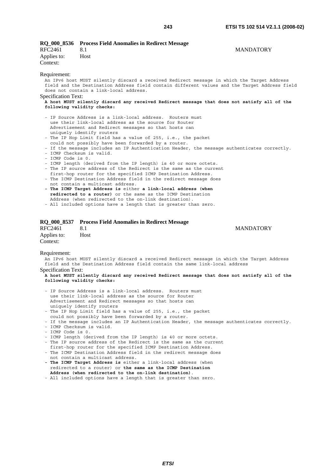|                         | RQ 000 8536 Process Field Anomalies in Redirect Message |                  |
|-------------------------|---------------------------------------------------------|------------------|
| RFC2461                 |                                                         | <b>MANDATORY</b> |
| Applies to:<br>Context: | Host                                                    |                  |

#### Requirement:

Specification Text:

An IPv6 host MUST silently discard a received Redirect message in which the Target Address field and the Destination Address field contain different values and the Target Address field does not contain a link-local address.

#### **A host MUST silently discard any received Redirect message that does not satisfy all of the following validity checks:**

- IP Source Address is a link-local address. Routers must use their link-local address as the source for Router Advertisement and Redirect messages so that hosts can uniquely identify routers
- The IP Hop Limit field has a value of 255, i.e., the packet could not possibly have been forwarded by a router.
- If the message includes an IP Authentication Header, the message authenticates correctly.
- ICMP Checksum is valid.
- ICMP Code is 0.
- ICMP length (derived from the IP length) is 40 or more octets.
- The IP source address of the Redirect is the same as the current
- first-hop router for the specified ICMP Destination Address. - The ICMP Destination Address field in the redirect message does
- not contain a multicast address.
- **The ICMP Target Address is** either **a link-local address (when redirected to a router)** or the same as the ICMP Destination Address (when redirected to the on-link destination).
- All included options have a length that is greater than zero.

#### **RQ\_000\_8537 Process Field Anomalies in Redirect Message**

| RFC2461     | 8.1  |
|-------------|------|
| Applies to: | Host |
| Context:    |      |

**MANDATORY** 

#### Requirement:

An IPv6 host MUST silently discard a received Redirect message in which the Target Address field and the Destination Address field contain the same link-local address Specification Text:

- IP Source Address is a link-local address. Routers must use their link-local address as the source for Router Advertisement and Redirect messages so that hosts can uniquely identify routers
- The IP Hop Limit field has a value of 255, i.e., the packet
- could not possibly have been forwarded by a router.
- If the message includes an IP Authentication Header, the message authenticates correctly. - ICMP Checksum is valid.
- ICMP Code is 0.
- ICMP length (derived from the IP length) is 40 or more octets.
- The IP source address of the Redirect is the same as the current
- first-hop router for the specified ICMP Destination Address.
- The ICMP Destination Address field in the redirect message does not contain a multicast address.
- **The ICMP Target Address is** either a link-local address (when redirected to a router) or **the same as the ICMP Destination Address (when redirected to the on-link destination)**.
- All included options have a length that is greater than zero.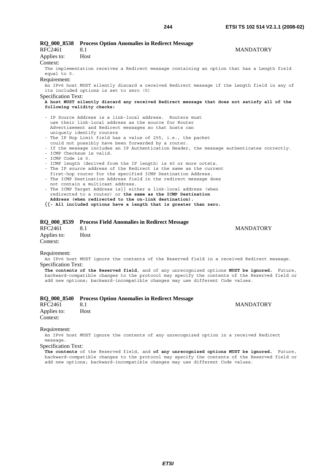| <b>RQ_000_8538</b>                                                                                                                                                                                                                                                                                                                                                                                                                                                                                                                                                                                                                                                                                                                                                                                                                                                                                                                                                                                                                                                          | <b>Process Option Anomalies in Redirect Message</b>                                                                                     |                  |
|-----------------------------------------------------------------------------------------------------------------------------------------------------------------------------------------------------------------------------------------------------------------------------------------------------------------------------------------------------------------------------------------------------------------------------------------------------------------------------------------------------------------------------------------------------------------------------------------------------------------------------------------------------------------------------------------------------------------------------------------------------------------------------------------------------------------------------------------------------------------------------------------------------------------------------------------------------------------------------------------------------------------------------------------------------------------------------|-----------------------------------------------------------------------------------------------------------------------------------------|------------------|
| RFC2461                                                                                                                                                                                                                                                                                                                                                                                                                                                                                                                                                                                                                                                                                                                                                                                                                                                                                                                                                                                                                                                                     | 8.1                                                                                                                                     | <b>MANDATORY</b> |
| Applies to:                                                                                                                                                                                                                                                                                                                                                                                                                                                                                                                                                                                                                                                                                                                                                                                                                                                                                                                                                                                                                                                                 | Host                                                                                                                                    |                  |
| Context:                                                                                                                                                                                                                                                                                                                                                                                                                                                                                                                                                                                                                                                                                                                                                                                                                                                                                                                                                                                                                                                                    |                                                                                                                                         |                  |
| equal to 0.                                                                                                                                                                                                                                                                                                                                                                                                                                                                                                                                                                                                                                                                                                                                                                                                                                                                                                                                                                                                                                                                 | The implementation receives a Redirect message containing an option that has a Length field                                             |                  |
| Requirement:                                                                                                                                                                                                                                                                                                                                                                                                                                                                                                                                                                                                                                                                                                                                                                                                                                                                                                                                                                                                                                                                |                                                                                                                                         |                  |
|                                                                                                                                                                                                                                                                                                                                                                                                                                                                                                                                                                                                                                                                                                                                                                                                                                                                                                                                                                                                                                                                             | An IPv6 host MUST silently discard a received Redirect message if the Length field in any of<br>its included options is set to zero (0) |                  |
| <b>Specification Text:</b>                                                                                                                                                                                                                                                                                                                                                                                                                                                                                                                                                                                                                                                                                                                                                                                                                                                                                                                                                                                                                                                  |                                                                                                                                         |                  |
|                                                                                                                                                                                                                                                                                                                                                                                                                                                                                                                                                                                                                                                                                                                                                                                                                                                                                                                                                                                                                                                                             | A host MUST silently discard any received Redirect message that does not satisfy all of the                                             |                  |
|                                                                                                                                                                                                                                                                                                                                                                                                                                                                                                                                                                                                                                                                                                                                                                                                                                                                                                                                                                                                                                                                             | following validity checks:                                                                                                              |                  |
| - IP Source Address is a link-local address. Routers must<br>use their link-local address as the source for Router<br>Advertisement and Redirect messages so that hosts can<br>uniquely identify routers<br>- The IP Hop Limit field has a value of 255, i.e., the packet<br>could not possibly have been forwarded by a router.<br>- If the message includes an IP Authentication Header, the message authenticates correctly.<br>- ICMP Checksum is valid.<br>- ICMP Code is 0.<br>- ICMP length (derived from the IP length) is 40 or more octets.<br>- The IP source address of the Redirect is the same as the current<br>first-hop router for the specified ICMP Destination Address.<br>- The ICMP Destination Address field in the redirect message does<br>not contain a multicast address.<br>- The ICMP Target Address is}} either a link-local address (when<br>redirected to a router) or the same as the ICMP Destination<br>Address (when redirected to the on-link destination).<br>$\{\{-\}$ All included options have a length that is greater than zero. |                                                                                                                                         |                  |

## **RQ\_000\_8539 Process Field Anomalies in Redirect Message**

8.1 MANDATORY Applies to: Host Context:

Requirement:

An IPv6 host MUST ignore the contents of the Reserved field in a received Redirect message. Specification Text:

**The contents of the Reserved field**, and of any unrecognized options **MUST be ignored.** Future, backward-compatible changes to the protocol may specify the contents of the Reserved field or add new options; backward-incompatible changes may use different Code values.

|                         | RQ 000 8540 Process Option Anomalies in Redirect Message |                  |
|-------------------------|----------------------------------------------------------|------------------|
| RFC2461                 |                                                          | <b>MANDATORY</b> |
| Applies to:<br>Context: | Host                                                     |                  |

#### Requirement:

An IPv6 host MUST ignore the contents of any unrecognized option in a received Redirect message.

Specification Text:

**The contents** of the Reserved field, and **of any unrecognized options MUST be ignored.** Future, backward-compatible changes to the protocol may specify the contents of the Reserved field or add new options; backward-incompatible changes may use different Code values.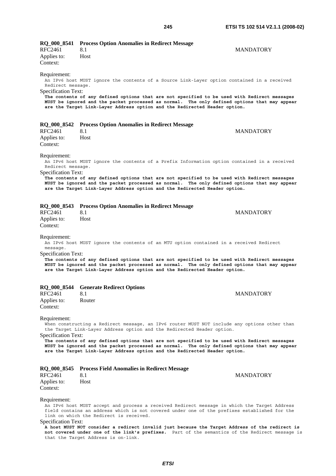| RQ_000_8541                                     | <b>Process Option Anomalies in Redirect Message</b>                                                                                                                                          |                  |
|-------------------------------------------------|----------------------------------------------------------------------------------------------------------------------------------------------------------------------------------------------|------------------|
| RFC2461                                         | 8.1                                                                                                                                                                                          | <b>MANDATORY</b> |
| Applies to:                                     | Host                                                                                                                                                                                         |                  |
| Context:                                        |                                                                                                                                                                                              |                  |
|                                                 |                                                                                                                                                                                              |                  |
| Requirement:                                    | An IPv6 host MUST ignore the contents of a Source Link-Layer option contained in a received                                                                                                  |                  |
| Redirect message.                               |                                                                                                                                                                                              |                  |
| <b>Specification Text:</b>                      |                                                                                                                                                                                              |                  |
|                                                 | The contents of any defined options that are not specified to be used with Redirect messages                                                                                                 |                  |
|                                                 | MUST be ignored and the packet processed as normal. The only defined options that may appear                                                                                                 |                  |
|                                                 | are the Target Link-Layer Address option and the Redirected Header option.                                                                                                                   |                  |
|                                                 |                                                                                                                                                                                              |                  |
| <b>RQ_000_8542</b>                              | <b>Process Option Anomalies in Redirect Message</b>                                                                                                                                          |                  |
| <b>RFC2461</b>                                  | 8.1                                                                                                                                                                                          | <b>MANDATORY</b> |
| Applies to:                                     | Host                                                                                                                                                                                         |                  |
| Context:                                        |                                                                                                                                                                                              |                  |
|                                                 |                                                                                                                                                                                              |                  |
| Requirement:                                    |                                                                                                                                                                                              |                  |
|                                                 | An IPv6 host MUST ignore the contents of a Prefix Information option contained in a received                                                                                                 |                  |
| Redirect message.<br><b>Specification Text:</b> |                                                                                                                                                                                              |                  |
|                                                 | The contents of any defined options that are not specified to be used with Redirect messages                                                                                                 |                  |
|                                                 | MUST be ignored and the packet processed as normal. The only defined options that may appear                                                                                                 |                  |
|                                                 | are the Target Link-Layer Address option and the Redirected Header option.                                                                                                                   |                  |
|                                                 |                                                                                                                                                                                              |                  |
|                                                 |                                                                                                                                                                                              |                  |
| RQ 000 8543<br><b>RFC2461</b>                   | <b>Process Option Anomalies in Redirect Message</b><br>8.1                                                                                                                                   | <b>MANDATORY</b> |
|                                                 |                                                                                                                                                                                              |                  |
| Applies to:                                     | Host                                                                                                                                                                                         |                  |
| Context:                                        |                                                                                                                                                                                              |                  |
| Requirement:                                    |                                                                                                                                                                                              |                  |
|                                                 | An IPv6 host MUST ignore the contents of an MTU option contained in a received Redirect                                                                                                      |                  |
| message.                                        |                                                                                                                                                                                              |                  |
| <b>Specification Text:</b>                      |                                                                                                                                                                                              |                  |
|                                                 | The contents of any defined options that are not specified to be used with Redirect messages                                                                                                 |                  |
|                                                 | MUST be ignored and the packet processed as normal. The only defined options that may appear<br>are the Target Link-Layer Address option and the Redirected Header option.                   |                  |
|                                                 |                                                                                                                                                                                              |                  |
|                                                 |                                                                                                                                                                                              |                  |
|                                                 | RQ_000_8544 Generate Redirect Options                                                                                                                                                        |                  |
| <b>RFC2461</b>                                  | 8.1                                                                                                                                                                                          | <b>MANDATORY</b> |
| Applies to:                                     | Router                                                                                                                                                                                       |                  |
| Context:                                        |                                                                                                                                                                                              |                  |
|                                                 |                                                                                                                                                                                              |                  |
| Requirement:                                    | When constructing a Redirect message, an IPv6 router MUST NOT include any options other than                                                                                                 |                  |
|                                                 | the Target Link-Layer Address option and the Redirected Header option.                                                                                                                       |                  |
| <b>Specification Text:</b>                      |                                                                                                                                                                                              |                  |
|                                                 | The contents of any defined options that are not specified to be used with Redirect messages                                                                                                 |                  |
|                                                 | MUST be ignored and the packet processed as normal. The only defined options that may appear                                                                                                 |                  |
|                                                 | are the Target Link-Layer Address option and the Redirected Header option.                                                                                                                   |                  |
|                                                 |                                                                                                                                                                                              |                  |
|                                                 | RQ_000_8545 Process Field Anomalies in Redirect Message                                                                                                                                      |                  |
| RFC2461                                         | 8.1                                                                                                                                                                                          | <b>MANDATORY</b> |
| Applies to:                                     | Host                                                                                                                                                                                         |                  |
| Context:                                        |                                                                                                                                                                                              |                  |
|                                                 |                                                                                                                                                                                              |                  |
| Requirement:                                    |                                                                                                                                                                                              |                  |
|                                                 | An IPv6 host MUST accept and process a received Redirect message in which the Target Address<br>field contains an address which is not covered under one of the prefixes established for the |                  |
|                                                 | link on which the Redirect is received.                                                                                                                                                      |                  |
| Specification Text:                             |                                                                                                                                                                                              |                  |
|                                                 | A host MUST NOT consider a redirect invalid just because the Target Address of the redirect is                                                                                               |                  |
|                                                 | not covered under one of the link's prefixes. Part of the semantics of the Redirect message is<br>that the Target Address is on-link.                                                        |                  |
|                                                 |                                                                                                                                                                                              |                  |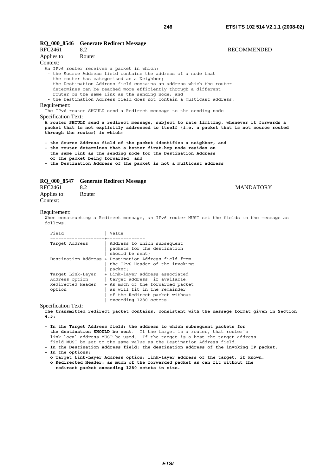#### **RQ\_000\_8546 Generate Redirect Message**

| RFC2461             | 8.2                                                                                        | <b>RECOMMENDED</b> |
|---------------------|--------------------------------------------------------------------------------------------|--------------------|
| Applies to:         | Router                                                                                     |                    |
| Context:            |                                                                                            |                    |
|                     | An IPv6 router receives a packet in which:                                                 |                    |
|                     | - the Source Address field contains the address of a node that                             |                    |
|                     | the router has categorized as a Neighbor;                                                  |                    |
|                     | - the Destination Address field contains an address which the router                       |                    |
|                     | determines can be reached more efficiently through a different                             |                    |
|                     | router on the same link as the sending node; and                                           |                    |
|                     | - the Destination Address field does not contain a multicast address.                      |                    |
| Requirement:        |                                                                                            |                    |
|                     | The IPv6 router SHOULD send a Redirect message to the sending node                         |                    |
| Specification Text: |                                                                                            |                    |
|                     | A router SHOULD send a redirect message, subject to rate limiting, whenever it forwards a  |                    |
|                     | packet that is not explicitly addressed to itself (i.e. a packet that is not source routed |                    |

- **the Source Address field of the packet identifies a neighbor, and**
- **the router determines that a better first-hop node resides on the same link as the sending node for the Destination Address**
- **of the packet being forwarded, and**
- **the Destination Address of the packet is not a multicast address**

#### **RQ\_000\_8547 Generate Redirect Message**

**through the router) in which:** 

| RFC2461     | 8.2    |  |
|-------------|--------|--|
| Applies to: | Router |  |
| Context:    |        |  |

#### **MANDATORY**

#### Requirement:

When constructing a Redirect message, an IPv6 router MUST set the fields in the message as  $f \cap 1 \cap ws$ 

| Field                                                              | Value                                                                                                                                                                                             |
|--------------------------------------------------------------------|---------------------------------------------------------------------------------------------------------------------------------------------------------------------------------------------------|
| Target Address                                                     | Address to which subsequent<br>packets for the destination<br>should be sent;                                                                                                                     |
|                                                                    | Destination Address + Destination Address field from<br>the IPv6 Header of the invoking<br>packet;                                                                                                |
| Target Link-Layer<br>Address option<br>Redirected Header<br>option | + Link-layer address associated<br>target address, if available;<br>+ As much of the forwarded packet<br>as will fit in the remainder<br>of the Redirect packet without<br>exceeding 1280 octets. |

Specification Text:

**The transmitted redirect packet contains, consistent with the message format given in Section 4.5:** 

**- In the Target Address field: the address to which subsequent packets for the destination SHOULD be sent**. If the target is a router, that router's link-local address MUST be used. If the target is a host the target address field MUST be set to the same value as the Destination Address field.

**- In the Destination Address field: the destination address of the invoking IP packet.** 

- **In the options:** 
	- **o Target Link-Layer Address option: link-layer address of the target, if known. o Redirected Header: as much of the forwarded packet as can fit without the redirect packet exceeding 1280 octets in size.**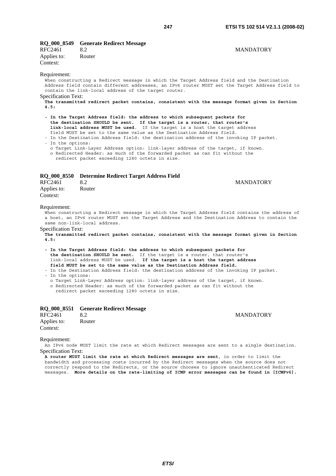|         | RQ_000_8549 Generate Redirect Message |                  |
|---------|---------------------------------------|------------------|
| RFC2461 |                                       | <b>MANDATORY</b> |

| RFC2461     | 8.2    |
|-------------|--------|
| Applies to: | Router |
| Context:    |        |

#### Requirement:

When constructing a Redirect message in which the Target Address field and the Destination Address field contain different addresses, an IPv6 router MUST set the Target Address field to contain the link-local address of the target router.

Specification Text:

**The transmitted redirect packet contains, consistent with the message format given in Section 4.5:** 

- **In the Target Address field: the address to which subsequent packets for the destination SHOULD be sent. If the target is a router, that router's link-local address MUST be used**. If the target is a host the target address field MUST be set to the same value as the Destination Address field.
- In the Destination Address field: the destination address of the invoking IP packet. - In the options:

o Target Link-Layer Address option: link-layer address of the target, if known.

o Redirected Header: as much of the forwarded packet as can fit without the

redirect packet exceeding 1280 octets in size.

#### **RQ\_000\_8550 Determine Redirect Target Address Field**

| RFC2461     | 8.2    |
|-------------|--------|
| Applies to: | Router |
| Context:    |        |

### **MANDATORY**

#### Requirement:

When constructing a Redirect message in which the Target Address field contains the address of a host, an IPv6 router MUST set the Target Address and the Destination Address to contain the same non-link-local address.

Specification Text:

**The transmitted redirect packet contains, consistent with the message format given in Section 4.5:** 

**- In the Target Address field: the address to which subsequent packets for the destination SHOULD be sent.** If the target is a router, that router's link-local address MUST be used. **If the target is a host the target address field MUST be set to the same value as the Destination Address field.** 

- In the Destination Address field: the destination address of the invoking IP packet.

- In the options:

o Target Link-Layer Address option: link-layer address of the target, if known.

o Redirected Header: as much of the forwarded packet as can fit without the

redirect packet exceeding 1280 octets in size.

|                         | RQ 000 8551 Generate Redirect Message |                  |
|-------------------------|---------------------------------------|------------------|
| RFC2461                 | 8.2                                   | <b>MANDATORY</b> |
| Applies to:<br>Context: | Router                                |                  |

Requirement:

An IPv6 node MUST limit the rate at which Redirect messages are sent to a single destination. Specification Text:

**A router MUST limit the rate at which Redirect messages are sent**, in order to limit the bandwidth and processing costs incurred by the Redirect messages when the source does not correctly respond to the Redirects, or the source chooses to ignore unauthenticated Redirect messages. **More details on the rate-limiting of ICMP error messages can be found in [ICMPv6].**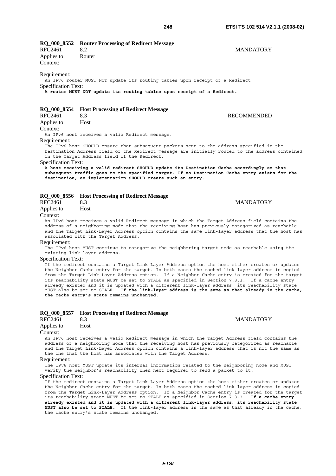**RQ\_000\_8552 Router Processing of Redirect Message**  RFC2461 8.2 MANDATORY

Applies to: Router Context:

Requirement:

An IPv6 router MUST NOT update its routing tables upon receipt of a Redirect Specification Text:

**A router MUST NOT update its routing tables upon receipt of a Redirect.**

#### **RQ\_000\_8554 Host Processing of Redirect Message**

RFC2461 8.3 RECOMMENDED Applies to: Host Context:

An IPv6 host receives a valid Redirect message.

Requirement:

The IPv6 host SHOULD ensure that subsequent packets sent to the address specified in the Destination Address field of the Redirect message are initially routed to the address contained in the Target Address field of the Redirect.

Specification Text:

**A host receiving a valid redirect SHOULD update its Destination Cache accordingly so that subsequent traffic goes to the specified target. If no Destination Cache entry exists for the destination, an implementation SHOULD create such an entry.**

## **RQ\_000\_8556 Host Processing of Redirect Message**

Applies to: Host

Context:

An IPv6 host receives a valid Redirect message in which the Target Address field contains the address of a neighboring node that the receiving host has previously categorized as reachable and the Target Link-Layer Address option contains the same link-layer address that the host has associated with the Target Address.

#### Requirement:

The IPv6 host MUST continue to categorize the neighboring target node as reachable using the existing link-layer address.

Specification Text:

If the redirect contains a Target Link-Layer Address option the host either creates or updates the Neighbor Cache entry for the target. In both cases the cached link-layer address is copied from the Target Link-Layer Address option. If a Neighbor Cache entry is created for the target its reachability state MUST be set to STALE as specified in Section 7.3.3. If a cache entry already existed and it is updated with a different link-layer address, its reachability state MUST also be set to STALE. **If the link-layer address is the same as that already in the cache, the cache entry's state remains unchanged.**

### **RQ\_000\_8557 Host Processing of Redirect Message MANDATORY** Applies to: Host Context: An IPv6 host receives a valid Redirect message in which the Target Address field contains the address of a neighboring node that the receiving host has previously categorized as reachable and the Target Link-Layer Address option contains a link-layer address that is not the same as the one that the host has associated with the Target Address.

Requirement:

The IPv6 host MUST update its internal information related to the neighboring node and MUST verify the neighbor's reachability when next required to send a packet to it.

Specification Text:

If the redirect contains a Target Link-Layer Address option the host either creates or updates the Neighbor Cache entry for the target. In both cases the cached link-layer address is copied from the Target Link-Layer Address option. If a Neighbor Cache entry is created for the target its reachability state MUST be set to STALE as specified in Section 7.3.3. **If a cache entry already existed and it is updated with a different link-layer address, its reachability state MUST also be set to STALE.** If the link-layer address is the same as that already in the cache, the cache entry's state remains unchanged.

Recognized the contract of the contract of the MANDATORY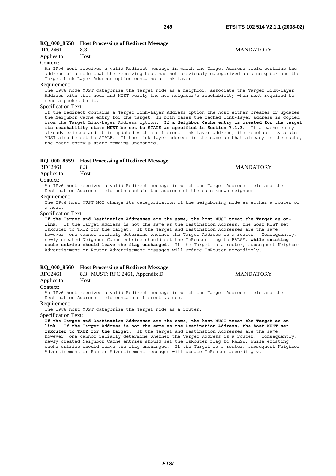### **RQ\_000\_8558 Host Processing of Redirect Message**

| RFC2461     | 8.3  |
|-------------|------|
| Applies to: | Host |

#### Context:

An IPv6 host receives a valid Redirect message in which the Target Address field contains the address of a node that the receiving host has not previously categorized as a neighbor and the Target Link-Layer Address option contains a link-layer

#### Requirement:

The IPv6 node MUST categorize the Target node as a neighbor, associate the Target Link-Layer Address with that node and MUST verify the new neighbor's reachability when next required to send a packet to it.

#### Specification Text:

If the redirect contains a Target Link-Layer Address option the host either creates or updates the Neighbor Cache entry for the target. In both cases the cached link-layer address is copied from the Target Link-Layer Address option. **If a Neighbor Cache entry is created for the target its reachability state MUST be set to STALE as specified in Section 7.3.3.** If a cache entry already existed and it is updated with a different link-layer address, its reachability state MUST also be set to STALE. If the link-layer address is the same as that already in the cache, the cache entry's state remains unchanged.

## **RQ\_000\_8559 Host Processing of Redirect Message**

Recognized the contract of the contract of the MANDATORY

Applies to: Host

Context:

An IPv6 host receives a valid Redirect message in which the Target Address field and the Destination Address field both contain the address of the same known neighbor.

Requirement:

The IPv6 host MUST NOT change its categorization of the neighboring node as either a router or a host.

Specification Text:

**If the Target and Destination Addresses are the same, the host MUST treat the Target as onlink.** If the Target Address is not the same as the Destination Address, the host MUST set IsRouter to TRUE for the target. If the Target and Destination Addresses are the same, however, one cannot reliably determine whether the Target Address is a router. Consequently, newly created Neighbor Cache entries should set the IsRouter flag to FALSE, **while existing cache entries should leave the flag unchanged.** If the Target is a router, subsequent Neighbor Advertisement or Router Advertisement messages will update IsRouter accordingly.

#### **RQ\_000\_8560 Host Processing of Redirect Message**

| RFC2461 | 8.3   MUST; RFC 2461, Appendix D | <b>MANDATORY</b> |
|---------|----------------------------------|------------------|
|         |                                  |                  |

Applies to: Host Context:

An IPv6 host receives a valid Redirect message in which the Target Address field and the Destination Address field contain different values.

#### Requirement:

The IPv6 host MUST categorize the Target node as a router.

Specification Text:

**If the Target and Destination Addresses are the same, the host MUST treat the Target as onlink. If the Target Address is not the same as the Destination Address, the host MUST set IsRouter to TRUE for the target.** If the Target and Destination Addresses are the same, however, one cannot reliably determine whether the Target Address is a router. Consequently, newly created Neighbor Cache entries should set the IsRouter flag to FALSE, while existing cache entries should leave the flag unchanged. If the Target is a router, subsequent Neighbor Advertisement or Router Advertisement messages will update IsRouter accordingly.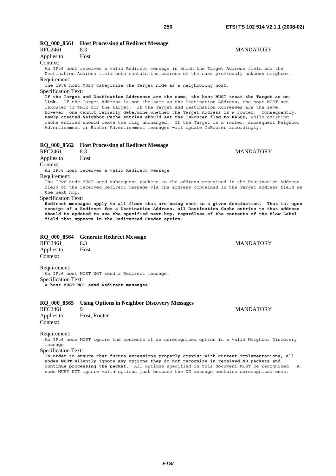RFC2461 8.3 MANDATORY

| Applies to:         | Host                                                                                                                                                                                       |                  |
|---------------------|--------------------------------------------------------------------------------------------------------------------------------------------------------------------------------------------|------------------|
| Context:            |                                                                                                                                                                                            |                  |
|                     | An IPv6 host receives a valid Redirect message in which the Target Address field and the                                                                                                   |                  |
|                     | Destination Address field both contain the address of the same previously unknown neighbor.                                                                                                |                  |
| Requirement:        |                                                                                                                                                                                            |                  |
|                     | The IPv6 host MUST categorize the Target node as a neighboring host.                                                                                                                       |                  |
| Specification Text: |                                                                                                                                                                                            |                  |
|                     | If the Target and Destination Addresses are the same, the host MUST treat the Target as on-                                                                                                |                  |
|                     | link. If the Target Address is not the same as the Destination Address, the host MUST set                                                                                                  |                  |
|                     | IsRouter to TRUE for the target. If the Target and Destination Addresses are the same,                                                                                                     |                  |
|                     | however, one cannot reliably determine whether the Target Address is a router. Consequently,<br>newly created Neighbor Cache entries should set the IsRouter flag to FALSE, while existing |                  |
|                     | cache entries should leave the flag unchanged. If the Target is a router, subsequent Neighbo                                                                                               |                  |
|                     | Advertisement or Router Advertisement messages will update IsRouter accordingly.                                                                                                           |                  |
|                     |                                                                                                                                                                                            |                  |
|                     |                                                                                                                                                                                            |                  |
|                     | RO 000 8562 Host Processing of Redirect Message                                                                                                                                            |                  |
| RFC2461             | 8.3                                                                                                                                                                                        | <b>MANDATORY</b> |

**RQ\_000\_8561 Host Processing of Redirect Message** 

# ter accordingly.

Applies to: Host Context: An IPv6 host receives a valid Redirect message Requirement: The IPv6 node MUST send subsequent packets to the address contained in the Destination Address field of the received Redirect message via the address contained in the Target Address field as the next hop. Specification Text: **Redirect messages apply to all flows that are being sent to a given destination. That is, upon receipt of a Redirect for a Destination Address, all Destination Cache entries to that address should be updated to use the specified next-hop, regardless of the contents of the Flow Label field that appears in the Redirected Header option.**

#### **RQ\_000\_8564 Generate Redirect Message**

RFC2461 8.3 MANDATORY Applies to: Host Context:

Requirement:

An IPv6 host MUST NOT send a Redirect message. Specification Text: **A host MUST NOT send Redirect messages.**

#### **RQ\_000\_8565 Using Options in Neighbor Discovery Messages**

| <b>RFC2461</b> | ч            |
|----------------|--------------|
| Applies to:    | Host, Router |
| Context:       |              |

Requirement:

An IPv6 node MUST ignore the contents of an unrecognized option in a valid Neighbor Discovery message.

Specification Text:

**In order to ensure that future extensions properly coexist with current implementations, all nodes MUST silently ignore any options they do not recognize in received ND packets and continue processing the packet.** All options specified in this document MUST be recognized. A node MUST NOT ignore valid options just because the ND message contains unrecognized ones.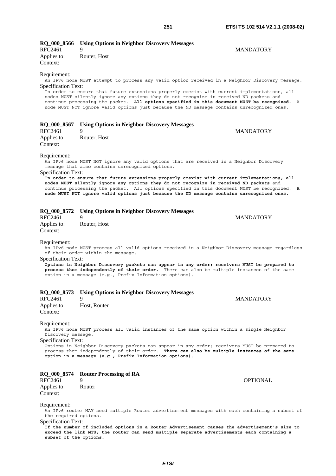| RQ_000_8566                                | <b>Using Options in Neighbor Discovery Messages</b>                                                                                                                                                                                                                                                                                                                                                                                                                                      |
|--------------------------------------------|------------------------------------------------------------------------------------------------------------------------------------------------------------------------------------------------------------------------------------------------------------------------------------------------------------------------------------------------------------------------------------------------------------------------------------------------------------------------------------------|
| <b>RFC2461</b>                             | 9<br>MANDATORY                                                                                                                                                                                                                                                                                                                                                                                                                                                                           |
| Applies to:                                | Router, Host                                                                                                                                                                                                                                                                                                                                                                                                                                                                             |
| Context:                                   |                                                                                                                                                                                                                                                                                                                                                                                                                                                                                          |
| Requirement:<br>Specification Text:        | An IPv6 node MUST attempt to process any valid option received in a Neighbor Discovery message.<br>In order to ensure that future extensions properly coexist with current implementations, all<br>nodes MUST silently ignore any options they do not recognize in received ND packets and<br>continue processing the packet. All options specified in this document MUST be recognized. A<br>node MUST NOT ignore valid options just because the ND message contains unrecognized ones. |
| RQ_000_8567                                | <b>Using Options in Neighbor Discovery Messages</b>                                                                                                                                                                                                                                                                                                                                                                                                                                      |
| <b>RFC2461</b>                             | 9<br><b>MANDATORY</b>                                                                                                                                                                                                                                                                                                                                                                                                                                                                    |
| Applies to:                                | Router, Host                                                                                                                                                                                                                                                                                                                                                                                                                                                                             |
| Context:                                   |                                                                                                                                                                                                                                                                                                                                                                                                                                                                                          |
|                                            |                                                                                                                                                                                                                                                                                                                                                                                                                                                                                          |
| Requirement:<br><b>Specification Text:</b> | An IPv6 node MUST NOT ignore any valid options that are received in a Neighbor Discovery<br>message that also contains unrecognized options.                                                                                                                                                                                                                                                                                                                                             |
|                                            | In order to ensure that future extensions properly coexist with current implementations, all<br>nodes MUST silently ignore any options they do not recognize in received ND packets and<br>continue processing the packet. All options specified in this document MUST be recognized. A<br>node MUST NOT ignore valid options just because the ND message contains unrecognized ones.                                                                                                    |
| RQ_000_8572                                | <b>Using Options in Neighbor Discovery Messages</b>                                                                                                                                                                                                                                                                                                                                                                                                                                      |
| <b>RFC2461</b>                             | <b>MANDATORY</b><br>9                                                                                                                                                                                                                                                                                                                                                                                                                                                                    |
| Applies to:<br>Context:                    | Router, Host                                                                                                                                                                                                                                                                                                                                                                                                                                                                             |
| Requirement:<br><b>Specification Text:</b> | An IPv6 node MUST process all valid options received in a Neighbor Discovery message regardless<br>of their order within the message.                                                                                                                                                                                                                                                                                                                                                    |
|                                            | Options in Neighbor Discovery packets can appear in any order; receivers MUST be prepared to<br>process them independently of their order. There can also be multiple instances of the same<br>option in a message (e.g., Prefix Information options).                                                                                                                                                                                                                                   |
|                                            | RQ_000_8573 Using Options in Neighbor Discovery Messages                                                                                                                                                                                                                                                                                                                                                                                                                                 |
| RFC2461                                    | <b>MANDATORY</b><br>9                                                                                                                                                                                                                                                                                                                                                                                                                                                                    |
| Applies to:<br>Context:                    | Host, Router                                                                                                                                                                                                                                                                                                                                                                                                                                                                             |
| Requirement:<br>Discovery message.         | An IPv6 node MUST process all valid instances of the same option within a single Neighbor                                                                                                                                                                                                                                                                                                                                                                                                |
| <b>Specification Text:</b>                 | Options in Neighbor Discovery packets can appear in any order; receivers MUST be prepared to<br>process them independently of their order. There can also be multiple instances of the same<br>option in a message (e.g., Prefix Information options).                                                                                                                                                                                                                                   |
|                                            |                                                                                                                                                                                                                                                                                                                                                                                                                                                                                          |

**RQ\_000\_8574 Router Processing of RA**  9 OPTIONAL Applies to: Router Context:

Requirement:

An IPv6 router MAY send multiple Router advertisement messages with each containing a subset of the required options.

Specification Text:

**If the number of included options in a Router Advertisement causes the advertisement's size to exceed the link MTU, the router can send multiple separate advertisements each containing a subset of the options.**

*ETSI*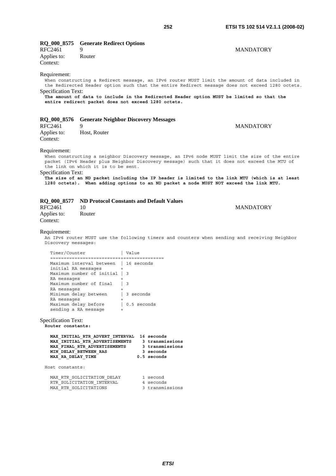| <b>RQ_000_8575</b><br>RFC2461                                                                                                                                                                                                                                                                                                                                                                                                                                            | <b>Generate Redirect Options</b><br>9<br>Router                                         |                                                                                                                                                                                                                                                                                                                                                       | <b>MANDATORY</b> |
|--------------------------------------------------------------------------------------------------------------------------------------------------------------------------------------------------------------------------------------------------------------------------------------------------------------------------------------------------------------------------------------------------------------------------------------------------------------------------|-----------------------------------------------------------------------------------------|-------------------------------------------------------------------------------------------------------------------------------------------------------------------------------------------------------------------------------------------------------------------------------------------------------------------------------------------------------|------------------|
| Applies to:<br>Context:                                                                                                                                                                                                                                                                                                                                                                                                                                                  |                                                                                         |                                                                                                                                                                                                                                                                                                                                                       |                  |
| Requirement:<br>Specification Text:                                                                                                                                                                                                                                                                                                                                                                                                                                      |                                                                                         | When constructing a Redirect message, an IPv6 router MUST limit the amount of data included in<br>the Redirected Header option such that the entire Redirect message does not exceed 1280 octets.<br>The amount of data to include in the Redirected Header option MUST be limited so that the<br>entire redirect packet does not exceed 1280 octets. |                  |
| <b>RQ_000_8576</b>                                                                                                                                                                                                                                                                                                                                                                                                                                                       |                                                                                         | <b>Generate Neighbor Discovery Messages</b>                                                                                                                                                                                                                                                                                                           |                  |
| <b>RFC2461</b>                                                                                                                                                                                                                                                                                                                                                                                                                                                           | 9                                                                                       |                                                                                                                                                                                                                                                                                                                                                       | <b>MANDATORY</b> |
| Applies to:<br>Context:                                                                                                                                                                                                                                                                                                                                                                                                                                                  | Host, Router                                                                            |                                                                                                                                                                                                                                                                                                                                                       |                  |
| Requirement:<br>When constructing a neighbor Discovery message, an IPv6 node MUST limit the size of the entire<br>packet (IPv6 Header plus Neighbor Discovery message) such that it does not exceed the MTU of<br>the link on which it is to be sent.<br>Specification Text:<br>The size of an ND packet including the IP header is limited to the link MTU (which is at least<br>1280 octets). When adding options to an ND packet a node MUST NOT exceed the link MTU. |                                                                                         |                                                                                                                                                                                                                                                                                                                                                       |                  |
| <b>RQ_000_8577</b>                                                                                                                                                                                                                                                                                                                                                                                                                                                       |                                                                                         | <b>ND Protocol Constants and Default Values</b>                                                                                                                                                                                                                                                                                                       |                  |
| <b>RFC2461</b><br>Applies to:                                                                                                                                                                                                                                                                                                                                                                                                                                            | 10<br>Router                                                                            |                                                                                                                                                                                                                                                                                                                                                       | <b>MANDATORY</b> |
| Context:                                                                                                                                                                                                                                                                                                                                                                                                                                                                 |                                                                                         |                                                                                                                                                                                                                                                                                                                                                       |                  |
| Requirement:<br>Discovery messages:                                                                                                                                                                                                                                                                                                                                                                                                                                      |                                                                                         | An IPv6 router MUST use the following timers and counters when sending and receiving Neighbor                                                                                                                                                                                                                                                         |                  |
| Timer/Counter                                                                                                                                                                                                                                                                                                                                                                                                                                                            |                                                                                         | Value                                                                                                                                                                                                                                                                                                                                                 |                  |
|                                                                                                                                                                                                                                                                                                                                                                                                                                                                          | Maximum interval between   16 seconds                                                   |                                                                                                                                                                                                                                                                                                                                                       |                  |
| initial RA messages                                                                                                                                                                                                                                                                                                                                                                                                                                                      | Maximum number of initial   3                                                           |                                                                                                                                                                                                                                                                                                                                                       |                  |
| RA messages                                                                                                                                                                                                                                                                                                                                                                                                                                                              | Maximum number of final                                                                 | $\vert$ 3                                                                                                                                                                                                                                                                                                                                             |                  |
| RA messages                                                                                                                                                                                                                                                                                                                                                                                                                                                              | Minimum delay between                                                                   | 3 seconds                                                                                                                                                                                                                                                                                                                                             |                  |
| RA messages                                                                                                                                                                                                                                                                                                                                                                                                                                                              | Maximum delay before                                                                    | $+$<br>0.5 seconds                                                                                                                                                                                                                                                                                                                                    |                  |
|                                                                                                                                                                                                                                                                                                                                                                                                                                                                          | sending a RA message                                                                    | $+$                                                                                                                                                                                                                                                                                                                                                   |                  |
| <b>Specification Text:</b><br>Router constants:                                                                                                                                                                                                                                                                                                                                                                                                                          |                                                                                         |                                                                                                                                                                                                                                                                                                                                                       |                  |
| MAX RA DELAY TIME                                                                                                                                                                                                                                                                                                                                                                                                                                                        | MAX INITIAL RTR ADVERTISEMENTS<br>MAX FINAL RTR ADVERTISEMENTS<br>MIN DELAY BETWEEN RAS | MAX INITIAL RTR ADVERT INTERVAL 16 seconds<br>3 transmissions<br>3 transmissions<br>3 seconds<br>0.5 seconds                                                                                                                                                                                                                                          |                  |
| Host constants:                                                                                                                                                                                                                                                                                                                                                                                                                                                          |                                                                                         |                                                                                                                                                                                                                                                                                                                                                       |                  |
|                                                                                                                                                                                                                                                                                                                                                                                                                                                                          | MAX RTR SOLICITATION DELAY<br>RTR SOLICITATION INTERVAL<br>MAX RTR SOLICITATIONS        | 1 second<br>4 seconds<br>3 transmissions                                                                                                                                                                                                                                                                                                              |                  |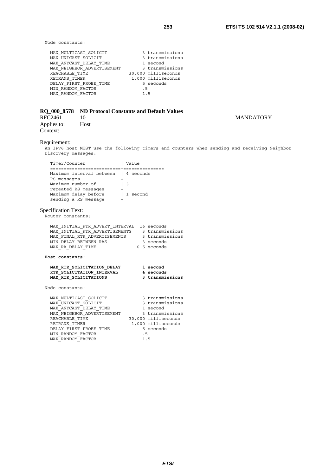Node constants:

| MAX MULTICAST SOLICIT<br>MAX UNICAST SOLICIT | 3 transmissions<br>3 transmissions |
|----------------------------------------------|------------------------------------|
| MAX ANYCAST DELAY TIME                       | 1 second                           |
| MAX NEIGHBOR ADVERTISEMENT                   | 3 transmissions                    |
| REACHABLE TIME                               | 30,000 milliseconds                |
| RETRANS TIMER                                | 1,000 milliseconds                 |
| DELAY FIRST PROBE TIME                       | 5 seconds                          |
| MIN RANDOM FACTOR                            | . 5                                |
| MAX RANDOM FACTOR                            | 15                                 |

|         | RQ_000_8578 ND Protocol Constants and Default Values |                  |
|---------|------------------------------------------------------|------------------|
| RFC2461 |                                                      | <b>MANDATORY</b> |

Applies to: Host Context:

### Requirement:

An IPv6 host MUST use the following timers and counters when sending and receiving Neighbor Discovery messages:

| Timer/Counter            |   | Value     |
|--------------------------|---|-----------|
| -----------------        |   |           |
| Maximum interval between |   | 4 seconds |
| RS messages              |   |           |
| Maximum number of        | 3 |           |
| repeated RS messages     |   |           |
| Maximum delay before     |   | 1 second  |
| sending a RS message     |   |           |
|                          |   |           |
|                          |   |           |

# Specification Text:

Router constants:

| MAX INITIAL RTR ADVERT INTERVAL, 16 seconds |                 |
|---------------------------------------------|-----------------|
| MAX INITIAL RTR ADVERTISEMENTS              | 3 transmissions |
| MAX FINAL RTR ADVERTISEMENTS                | 3 transmissions |
| MIN DELAY BETWEEN RAS                       | 3 seconds       |
| MAX RA DELAY TIME                           | $0.5$ seconds   |

**Host constants:** 

#### **MAX\_RTR\_SOLICITATION\_DELAY 1 second RTR\_SOLICITATION\_INTERVAL 4 seconds MAX\_RTR\_SOLICITATIONS 3 transmissions**

Node constants:

| MAX MULTICAST SOLICIT      | 3 transmissions     |
|----------------------------|---------------------|
| MAX UNICAST SOLICIT        | 3 transmissions     |
| MAX ANYCAST DELAY TIME     | 1 second            |
| MAX NEIGHBOR ADVERTISEMENT | 3 transmissions     |
| REACHABLE TIME             | 30,000 milliseconds |
| RETRANS TIMER              | 1,000 milliseconds  |
| DELAY FIRST PROBE TIME     | 5 seconds           |
| MIN RANDOM FACTOR          | . 5                 |
| MAX RANDOM FACTOR          | 15                  |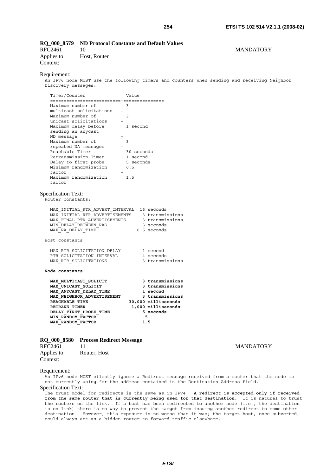# **RQ\_000\_8579 ND Protocol Constants and Default Values**

Applies to: Host, Router Context:

RFC2461 10 MANDATORY

#### Requirement:

An IPv6 node MUST use the following timers and counters when sending and receiving Neighbor Discovery messages:

| Timer/Counter                                                           | Value                  |
|-------------------------------------------------------------------------|------------------------|
| =======================<br>Maximum number of<br>multicast solicitations | 3                      |
| Maximum number of                                                       | 3                      |
| unicast solicitations<br>Maximum delay before                           | 1 second               |
| sending an anycast<br>ND message                                        |                        |
| Maximum number of<br>repeated NA messages                               | 3<br>$\ddot{}$         |
| Reachable Timer<br>Retransmission Timer                                 | 30 seconds<br>1 second |
| Delay to first probe<br>Minimum randomization                           | 5 seconds<br>0.5       |
| factor                                                                  | $^{+}$                 |
| Maximum randomization<br>factor                                         | 1.5                    |
| . .<br>$\sim$<br>-                                                      |                        |

Specification Text:

Router constants:

| MAX INITIAL RTR ADVERT INTERVAL 16 seconds |                 |
|--------------------------------------------|-----------------|
| MAX INITIAL RTR ADVERTISEMENTS             | 3 transmissions |
| MAX FINAL RTR ADVERTISEMENTS               | 3 transmissions |
| MIN DELAY BETWEEN RAS                      | 3 seconds       |
| MAX RA DELAY TIME                          | $0.5$ seconds   |
|                                            |                 |
|                                            |                 |

Host constants:

| MAX RTR SOLICITATION DELAY | 1 second        |
|----------------------------|-----------------|
| RTR SOLICITATION INTERVAL  | 4 seconds       |
| MAX RTR SOLICITATIONS      | 3 transmissions |

**Node constants:** 

| MAX MULTICAST SOLICIT      | 3 transmissions     |
|----------------------------|---------------------|
| MAX UNICAST SOLICIT        | 3 transmissions     |
| MAX ANYCAST DELAY TIME     | 1 second            |
| MAX NEIGHBOR ADVERTISEMENT | 3 transmissions     |
| REACHABLE TIME             | 30,000 milliseconds |
| RETRANS TIMER              | 1,000 milliseconds  |
| DELAY FIRST PROBE TIME     | 5 seconds           |
| MIN RANDOM FACTOR          | . 5                 |
| <b>MAX RANDOM FACTOR</b>   | 1.5                 |

# **RQ\_000\_8580 Process Redirect Message**

| RFC2461     | 11           |
|-------------|--------------|
| Applies to: | Router, Host |
| Context:    |              |

# **MANDATORY**

#### Requirement:

An IPv6 node MUST silently ignore a Redirect message received from a router that the node is not currently using for the address contained in the Destination Address field. Specification Text:

The trust model for redirects is the same as in IPv4. **A redirect is accepted only if received from the same router that is currently being used for that destination.** It is natural to trust the routers on the link. If a host has been redirected to another node (i.e., the destination is on-link) there is no way to prevent the target from issuing another redirect to some other destination. However, this exposure is no worse than it was; the target host, once subverted, could always act as a hidden router to forward traffic elsewhere.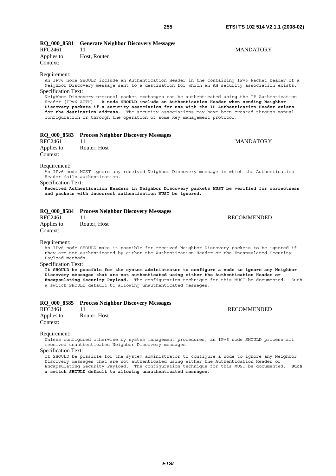# **RQ\_000\_8581 Generate Neighbor Discovery Messages**

| RFC2461                 |              | <b>MANDATORY</b> |
|-------------------------|--------------|------------------|
| Applies to:<br>Context: | Host, Router |                  |
|                         |              |                  |

#### Requirement:

An IPv6 node SHOULD include an Authentication Header in the containing IPv6 Packet header of a Neighbor Discovery message sent to a destination for which an AH security association exists. Specification Text:

Neighbor Discovery protocol packet exchanges can be authenticated using the IP Authentication Header [IPv6-AUTH]. **A node SHOULD include an Authentication Header when sending Neighbor Discovery packets if a security association for use with the IP Authentication Header exists for the destination address.** The security associations may have been created through manual configuration or through the operation of some key management protocol.

|                         | RQ_000_8583 Process Neighbor Discovery Messages |                  |
|-------------------------|-------------------------------------------------|------------------|
| RFC2461                 |                                                 | <b>MANDATORY</b> |
| Applies to:<br>Context: | Router, Host                                    |                  |
| Requirement:            |                                                 |                  |

An IPv6 node MUST ignore any received Neighbor Discovery message in which the Authentication Header fails authentication.

Specification Text:

**Received Authentication Headers in Neighbor Discovery packets MUST be verified for correctness and packets with incorrect authentication MUST be ignored.**

|  |  |  |  | RQ_000_8584 Process Neighbor Discovery Messages |  |
|--|--|--|--|-------------------------------------------------|--|
|--|--|--|--|-------------------------------------------------|--|

RFC2461 11 RECOMMENDED Applies to: Router, Host Context:

Requirement:

An IPv6 node SHOULD make it possible for received Neighbor Discovery packets to be ignored if they are not authenticated by either the Authentication Header or the Encapsulated Security Payload methods.

Specification Text:

**It SHOULD be possible for the system administrator to configure a node to ignore any Neighbor Discovery messages that are not authenticated using either the Authentication Header or Encapsulating Security Payload.** The configuration technique for this MUST be documented. Such a switch SHOULD default to allowing unauthenticated messages.

### **RQ\_000\_8585 Process Neighbor Discovery Messages**

RFC2461 11 RECOMMENDED Applies to: Router, Host Context:

#### Requirement:

Unless configured otherwise by system management procedures, an IPv6 node SHOULD process all received unauthenticated Neighbor Discovery messages.

Specification Text:

It SHOULD be possible for the system administrator to configure a node to ignore any Neighbor Discovery messages that are not authenticated using either the Authentication Header or Encapsulating Security Payload. The configuration technique for this MUST be documented. **Such a switch SHOULD default to allowing unauthenticated messages.**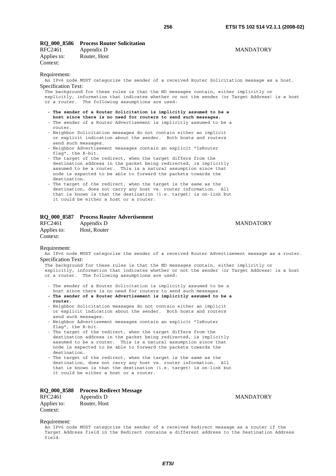|         | RQ_000_8586 Process Router Solicitation |                  |
|---------|-----------------------------------------|------------------|
| RFC2461 | Annendix D                              | <b>MANDATORY</b> |

| RFC2461     | Appendix D   |
|-------------|--------------|
| Applies to: | Router, Host |
| Context:    |              |

#### Requirement:

An IPv6 node MUST categorize the sender of a received Router Solicitation message as a host. Specification Text:

The background for these rules is that the ND messages contain, either implicitly or explicitly, information that indicates whether or not the sender (or Target Address) is a host or a router. The following assumptions are used:

- **The sender of a Router Solicitation is implicitly assumed to be a**
- **host since there is no need for routers to send such messages.** - The sender of a Router Advertisement is implicitly assumed to be a router.
- Neighbor Solicitation messages do not contain either an implicit or explicit indication about the sender. Both hosts and routers send such messages.
- Neighbor Advertisement messages contain an explicit "IsRouter flag", the R-bit.
- The target of the redirect, when the target differs from the destination address in the packet being redirected, is implicitly assumed to be a router. This is a natural assumption since that node is expected to be able to forward the packets towards the destination.
- The target of the redirect, when the target is the same as the destination, does not carry any host vs. router information. All that is known is that the destination (i.e. target) is on-link but it could be either a host or a router.

#### **RQ\_000\_8587 Process Router Advertisement**

| RFC2461     | Appendix D   |
|-------------|--------------|
| Applies to: | Host, Router |
| Context:    |              |

#### Requirement:

An IPv6 node MUST categorize the sender of a received Router Advertisement message as a router. Specification Text:

The background for these rules is that the ND messages contain, either implicitly or explicitly, information that indicates whether or not the sender (or Target Address) is a host or a router. The following assumptions are used:

- The sender of a Router Solicitation is implicitly assumed to be a
- host since there is no need for routers to send such messages. **- The sender of a Router Advertisement is implicitly assumed to be a router.**
- Neighbor Solicitation messages do not contain either an implicit or explicit indication about the sender. Both hosts and routers send such messages.
- Neighbor Advertisement messages contain an explicit "IsRouter flag", the R-bit.
- The target of the redirect, when the target differs from the destination address in the packet being redirected, is implicitly assumed to be a router. This is a natural assumption since that node is expected to be able to forward the packets towards the destination.
- The target of the redirect, when the target is the same as the destination, does not carry any host vs. router information. All that is known is that the destination (i.e. target) is on-link but it could be either a host or a router.

# **RQ\_000\_8588 Process Redirect Message**

RFC2461 Appendix D MANDATORY Applies to: Router, Host Context:

**MANDATORY** 

Requirement:

An IPv6 node MUST categorize the sender of a received Redirect message as a router if the Target Address field in the Redirect contains a different address to the Destination Address field.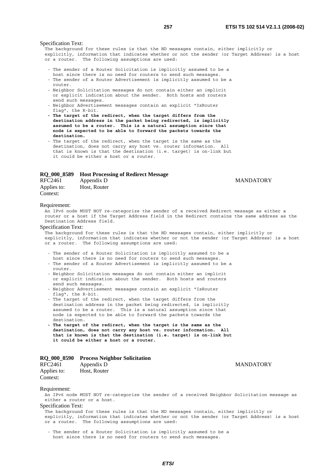#### Specification Text:

The background for these rules is that the ND messages contain, either implicitly or explicitly, information that indicates whether or not the sender (or Target Address) is a host or a router. The following assumptions are used:

- The sender of a Router Solicitation is implicitly assumed to be a host since there is no need for routers to send such messages.
- The sender of a Router Advertisement is implicitly assumed to be a router.
- Neighbor Solicitation messages do not contain either an implicit or explicit indication about the sender. Both hosts and routers send such messages.
- Neighbor Advertisement messages contain an explicit "IsRouter flag", the R-bit.
- **The target of the redirect, when the target differs from the destination address in the packet being redirected, is implicitly assumed to be a router. This is a natural assumption since that node is expected to be able to forward the packets towards the destination.**
- The target of the redirect, when the target is the same as the destination, does not carry any host vs. router information. All that is known is that the destination (i.e. target) is on-link but it could be either a host or a router.

#### **RQ\_000\_8589 Host Processing of Redirect Message**

| RFC2461     | Appendix D   |
|-------------|--------------|
| Applies to: | Host, Router |
| Context:    |              |

#### Requirement:

An IPv6 node MUST NOT re-categorize the sender of a received Redirect message as either a router or a host if the Target Address field in the Redirect contains the same address as the Destination Address field.

### Specification Text:

The background for these rules is that the ND messages contain, either implicitly or explicitly, information that indicates whether or not the sender (or Target Address) is a host or a router. The following assumptions are used:

- The sender of a Router Solicitation is implicitly assumed to be a
- host since there is no need for routers to send such messages. - The sender of a Router Advertisement is implicitly assumed to be a router.
- Neighbor Solicitation messages do not contain either an implicit or explicit indication about the sender. Both hosts and routers send such messages.
- Neighbor Advertisement messages contain an explicit "IsRouter flag", the R-bit.
- The target of the redirect, when the target differs from the destination address in the packet being redirected, is implicitly assumed to be a router. This is a natural assumption since that node is expected to be able to forward the packets towards the destination.
- **The target of the redirect, when the target is the same as the destination, does not carry any host vs. router information. All that is known is that the destination (i.e. target) is on-link but it could be either a host or a router.**

### **RQ\_000\_8590 Process Neighbor Solicitation**

| RFC2461     | Appendix D   |  |
|-------------|--------------|--|
| Applies to: | Host, Router |  |
| Context:    |              |  |

**MANDATORY** 

**MANDATORY** 

#### Requirement:

An IPv6 node MUST NOT re-categorize the sender of a received Neighbor Solicitation message as either a router or a host.

#### Specification Text:

The background for these rules is that the ND messages contain, either implicitly or explicitly, information that indicates whether or not the sender (or Target Address) is a host or a router. The following assumptions are used:

 - The sender of a Router Solicitation is implicitly assumed to be a host since there is no need for routers to send such messages.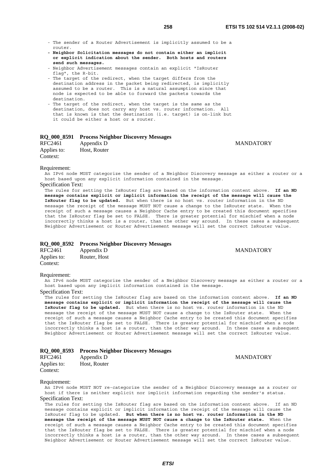**MANDATORY** 

**MANDATORY** 

- The sender of a Router Advertisement is implicitly assumed to be a router.
- **Neighbor Solicitation messages do not contain either an implicit or explicit indication about the sender. Both hosts and routers send such messages.**
- Neighbor Advertisement messages contain an explicit "IsRouter flag", the R-bit.
- The target of the redirect, when the target differs from the destination address in the packet being redirected, is implicitly assumed to be a router. This is a natural assumption since that node is expected to be able to forward the packets towards the destination.
- The target of the redirect, when the target is the same as the destination, does not carry any host vs. router information. All that is known is that the destination (i.e. target) is on-link but it could be either a host or a router.

### **RQ\_000\_8591 Process Neighbor Discovery Messages**

| RFC2461     | Appendix D   |
|-------------|--------------|
| Applies to: | Host, Router |
| Context:    |              |

#### Requirement:

An IPv6 node MUST categorize the sender of a Neighbor Discovery message as either a router or a host based upon any explicit information contained in the message.

# Specification Text:

The rules for setting the IsRouter flag are based on the information content above. **If an ND message contains explicit or implicit information the receipt of the message will cause the IsRouter flag to be updated.** But when there is no host vs. router information in the ND message the receipt of the message MUST NOT cause a change to the IsRouter state. When the receipt of such a message causes a Neighbor Cache entry to be created this document specifies that the IsRouter flag be set to FALSE. There is greater potential for mischief when a node incorrectly thinks a host is a router, than the other way around. In these cases a subsequent Neighbor Advertisement or Router Advertisement message will set the correct IsRouter value.

# **RQ\_000\_8592 Process Neighbor Discovery Messages**

| RFC2461     | Appendix D   |  |
|-------------|--------------|--|
| Applies to: | Router, Host |  |
| Context:    |              |  |

#### Requirement:

An IPv6 node MUST categorize the sender of a Neighbor Discovery message as either a router or a host based upon any implicit information contained in the message.

# Specification Text:

The rules for setting the IsRouter flag are based on the information content above. **If an ND message contains explicit or implicit information the receipt of the message will cause the IsRouter flag to be updated.** But when there is no host vs. router information in the ND message the receipt of the message MUST NOT cause a change to the IsRouter state. When the receipt of such a message causes a Neighbor Cache entry to be created this document specifies that the IsRouter flag be set to FALSE. There is greater potential for mischief when a node incorrectly thinks a host is a router, than the other way around. In these cases a subsequent Neighbor Advertisement or Router Advertisement message will set the correct IsRouter value.

|  |  | RQ_000_8593 Process Neighbor Discovery Messages |  |
|--|--|-------------------------------------------------|--|
|  |  |                                                 |  |

| <b>RFC2461</b> | Appendix D   |
|----------------|--------------|
| Applies to:    | Host, Router |
| Context:       |              |

#### **MANDATORY**

#### Requirement:

An IPv6 node MUST NOT re-categorize the sender of a Neighbor Discovery message as a router or host if there is neither explicit nor implicit information regarding the sender's status. Specification Text:

The rules for setting the IsRouter flag are based on the information content above. If an ND message contains explicit or implicit information the receipt of the message will cause the IsRouter flag to be updated. **But when there is no host vs. router information in the ND message the receipt of the message MUST NOT cause a change to the IsRouter state.** When the receipt of such a message causes a Neighbor Cache entry to be created this document specifies that the IsRouter flag be set to FALSE. There is greater potential for mischief when a node incorrectly thinks a host is a router, than the other way around. In these cases a subsequent Neighbor Advertisement or Router Advertisement message will set the correct IsRouter value.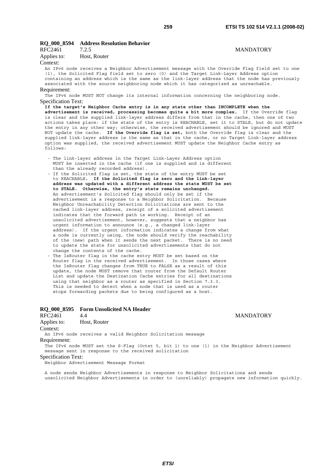# **RQ\_000\_8594 Address Resolution Behavior**

| RFC2461     | 7.2.5        | <b>MANDATORY</b> |
|-------------|--------------|------------------|
| Applies to: | Host, Router |                  |

#### Context:

An IPv6 node receives a Neighbor Advertisement message with the Override Flag field set to one (1), the Solicited Flag field set to zero (0) and the Target Link-Layer Address option containing an address which is the same as the link-layer address that the node has previously associated with the source neighboring node which it has categorized as unreachable.

#### Requirement:

The IPv6 node MUST NOT change its internal information concerning the neighboring node. Specification Text:

**If the target's Neighbor Cache entry is in any state other than INCOMPLETE when the advertisement is received, processing becomes quite a bit more complex.** If the Override flag is clear and the supplied link-layer address differs from that in the cache, then one of two actions takes place: if the state of the entry is REACHABLE, set it to STALE, but do not update the entry in any other way; otherwise, the received advertisement should be ignored and MUST NOT update the cache. **If the Override flag is set,** both the Override flag is clear and the supplied link-layer address is the same as that in the cache, or no Target Link-layer address option was supplied, the received advertisement MUST update the Neighbor Cache entry as follows:

- The link-layer address in the Target Link-Layer Address option MUST be inserted in the cache (if one is supplied and is different than the already recorded address).
- If the Solicited flag is set, the state of the entry MUST be set to REACHABLE**. If the Solicited flag is zero and the link-layer address was updated with a different address the state MUST be set to STALE. Otherwise, the entry's state remains unchanged.** An advertisement's Solicited flag should only be set if the advertisement is a response to a Neighbor Solicitation. Because Neighbor Unreachability Detection Solicitations are sent to the cached link-layer address, receipt of a solicited advertisement indicates that the forward path is working. Receipt of an unsolicited advertisement, however, suggests that a neighbor has urgent information to announce (e.g., a changed link-layer address). If the urgent information indicates a change from what a node is currently using, the node should verify the reachability of the (new) path when it sends the next packet. There is no need to update the state for unsolicited advertisements that do not change the contents of the cache.
- The IsRouter flag in the cache entry MUST be set based on the Router flag in the received advertisement. In those cases where the IsRouter flag changes from TRUE to FALSE as a result of this update, the node MUST remove that router from the Default Router List and update the Destination Cache entries for all destinations using that neighbor as a router as specified in Section 7.3.3. This is needed to detect when a node that is used as a router stops forwarding packets due to being configured as a host.

# **RQ\_000\_8595 Form Unsolicited NA Header**

RFC2461 4.4 MANDATORY

Applies to: Host, Router

Context:

An IPv6 node receives a valid Neighbor Solicitation message

Requirement:

The IPv6 node MUST set the S-Flag (Octet 5, bit 1) to one (1) in the Neighbor Advertisement message sent in response to the received solicitation

#### Specification Text:

Neighbor Advertisement Message Format

A node sends Neighbor Advertisements in response to Neighbor Solicitations and sends unsolicited Neighbor Advertisements in order to (unreliably) propagate new information quickly.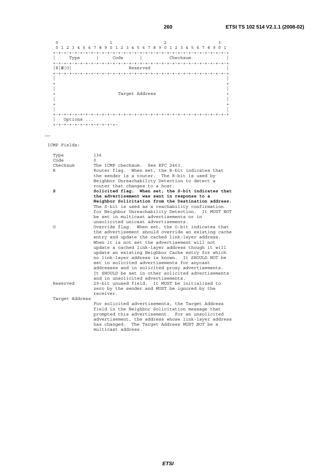| 4 5 6 7 8 9 0<br>$\Omega$<br>2<br>-3<br>1 | -1                      | 2 3 4 5 6 7 8 9 0<br>$\mathbf{1}$ | 2 3 4 5 6 7 8 9 0 1 |
|-------------------------------------------|-------------------------|-----------------------------------|---------------------|
|                                           |                         |                                   |                     |
| Type                                      | Code                    | Checksum                          |                     |
|                                           |                         |                                   | $+ - + - + - +$     |
| R S 0                                     | Reserved                |                                   |                     |
| $+ - + - + - + - + - + -$                 |                         |                                   |                     |
|                                           |                         |                                   |                     |
|                                           |                         |                                   |                     |
|                                           |                         |                                   |                     |
|                                           |                         |                                   |                     |
|                                           | Target Address          |                                   |                     |
|                                           |                         |                                   |                     |
|                                           |                         |                                   |                     |
|                                           |                         |                                   |                     |
|                                           |                         |                                   | -+-+-+-+-+-+-+-+-+  |
| Options                                   |                         |                                   |                     |
|                                           | +-+-+-+-+-+-+-+-+-+-+-+ |                                   |                     |

……

ICMP Fields:

| Type           | 136                                                                                                   |
|----------------|-------------------------------------------------------------------------------------------------------|
| Code           | $\Omega$                                                                                              |
| Checksum       | The ICMP checksum. See RFC 2463.                                                                      |
| R              | Router flag. When set, the R-bit indicates that                                                       |
|                | the sender is a router. The R-bit is used by                                                          |
|                | Neighbor Unreachability Detection to detect a                                                         |
|                | router that changes to a host.                                                                        |
| s              | Solicited flag. When set, the S-bit indicates that                                                    |
|                | the advertisement was sent in response to a                                                           |
|                | Neighbor Solicitation from the Destination address.                                                   |
|                | The S-bit is used as a reachability confirmation                                                      |
|                | for Neighbor Unreachability Detection. It MUST NOT                                                    |
|                | be set in multicast advertisements or in                                                              |
|                | unsolicited unicast advertisements.                                                                   |
| O              | Override flag. When set, the O-bit indicates that                                                     |
|                | the advertisement should override an existing cache                                                   |
|                | entry and update the cached link-layer address.                                                       |
|                | When it is not set the advertisement will not                                                         |
|                | update a cached link-layer address though it will                                                     |
|                | update an existing Neighbor Cache entry for which<br>no link-layer address is known. It SHOULD NOT be |
|                | set in solicited advertisements for anycast                                                           |
|                | addresses and in solicited proxy advertisements.                                                      |
|                | It SHOULD be set in other solicited advertisements                                                    |
|                | and in unsolicited advertisements.                                                                    |
| Reserved       | 29-bit unused field. It MUST be initialized to                                                        |
|                | zero by the sender and MUST be ignored by the                                                         |
|                | receiver.                                                                                             |
| Target Address |                                                                                                       |
|                | For solicited advertisements, the Target Address                                                      |
|                | field in the Neighbor Solicitation message that                                                       |
|                | prompted this advertisement. For an unsolicited                                                       |
|                | advertisement, the address whose link-layer address                                                   |
|                | has changed. The Target Address MUST NOT be a                                                         |
|                | multicast address.                                                                                    |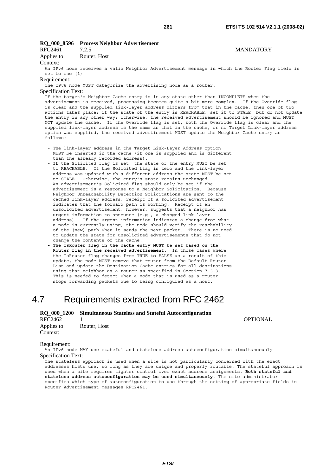# **RQ\_000\_8596 Process Neighbor Advertisement**

| RFC2461     | 7.2.5        | <b>MANDATORY</b> |
|-------------|--------------|------------------|
| Applies to: | Router, Host |                  |

Context:

An IPv6 node receives a valid Neighbor Advertisement message in which the Router Flag field is set to one (1)

#### Requirement:

The IPv6 node MUST categorize the advertising node as a router.

# Specification Text:

If the target's Neighbor Cache entry is in any state other than INCOMPLETE when the advertisement is received, processing becomes quite a bit more complex. If the Override flag is clear and the supplied link-layer address differs from that in the cache, then one of two actions takes place: if the state of the entry is REACHABLE, set it to STALE, but do not update the entry in any other way; otherwise, the received advertisement should be ignored and MUST NOT update the cache. If the Override flag is set, both the Override flag is clear and the supplied link-layer address is the same as that in the cache, or no Target Link-layer address option was supplied, the received advertisement MUST update the Neighbor Cache entry as follows:

- The link-layer address in the Target Link-Layer Address option MUST be inserted in the cache (if one is supplied and is different than the already recorded address).
- If the Solicited flag is set, the state of the entry MUST be set to REACHABLE. If the Solicited flag is zero and the link-layer address was updated with a different address the state MUST be set to STALE. Otherwise, the entry's state remains unchanged. An advertisement's Solicited flag should only be set if the advertisement is a response to a Neighbor Solicitation. Because Neighbor Unreachability Detection Solicitations are sent to the cached link-layer address, receipt of a solicited advertisement indicates that the forward path is working. Receipt of an unsolicited advertisement, however, suggests that a neighbor has urgent information to announce (e.g., a changed link-layer address). If the urgent information indicates a change from what a node is currently using, the node should verify the reachability of the (new) path when it sends the next packet. There is no need to update the state for unsolicited advertisements that do not change the contents of the cache.
- **The IsRouter flag in the cache entry MUST be set based on the Router flag in the received advertisement.** In those cases where the IsRouter flag changes from TRUE to FALSE as a result of this update, the node MUST remove that router from the Default Router List and update the Destination Cache entries for all destinations using that neighbor as a router as specified in Section 7.3.3. This is needed to detect when a node that is used as a router stops forwarding packets due to being configured as a host.

# 4.7 Requirements extracted from RFC 2462

# **RQ\_000\_1200 Simultaneous Stateless and Stateful Autoconfiguration**  RFC2462 1 OPTIONAL Applies to: Router, Host Context:

#### Requirement:

An IPv6 node MAY use stateful and stateless address autoconfiguration simultaneously Specification Text:

The stateless approach is used when a site is not particularly concerned with the exact addresses hosts use, so long as they are unique and properly routable. The stateful approach is used when a site requires tighter control over exact address assignments. **Both stateful and stateless address autoconfiguration may be used simultaneously**. The site administrator specifies which type of autoconfiguration to use through the setting of appropriate fields in Router Advertisement messages RFC2461.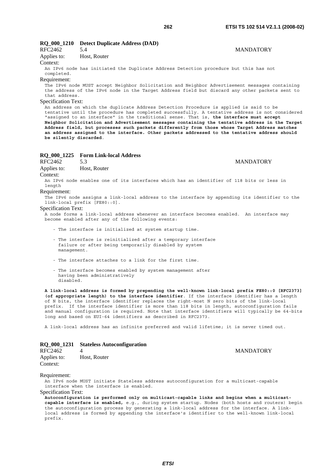# **RQ\_000\_1210 Detect Duplicate Address (DAD)**

| RFC2462           |                                 | <b>MANDATORY</b> |
|-------------------|---------------------------------|------------------|
| $\lambda = 12224$ | $\mathbf{H}_{\text{out}}$ Decay |                  |

# Applies to: Host, Router

Context:

An IPv6 node has initiated the Duplicate Address Detection procedure but this has not completed.

### Requirement:

The IPv6 node MUST accept Neighbor Solicitation and Neighbor Advertisement messages containing the address of the IPv6 node in the Target Address field but discard any other packets sent to that address.

## Specification Text:

An address on which the duplicate Address Detection Procedure is applied is said to be tentative until the procedure has completed successfully. A tentative address is not considered "assigned to an interface" in the traditional sense. That is, **the interface must accept Neighbor Solicitation and Advertisement messages containing the tentative address in the Target Address field, but processes such packets differently from those whose Target Address matches an address assigned to the interface. Other packets addressed to the tentative address should be silently discarded**.

### **RQ\_000\_1225 Form Link-local Address**

RFC2462 5.3 MANDATORY

Applies to: Host, Router

Context:

An IPv6 node enables one of its interfaces which has an identifier of 118 bits or less in length

#### Requirement:

The IPv6 node assigns a link-local address to the interface by appending its identifier to the link-local prefix [FE80::0].

#### Specification Text:

A node forms a link-local address whenever an interface becomes enabled. An interface may become enabled after any of the following events:

- The interface is initialized at system startup time.
- The interface is reinitialized after a temporary interface failure or after being temporarily disabled by system management.
- The interface attaches to a link for the first time.
- The interface becomes enabled by system management after having been administratively disabled.

**A link-local address is formed by prepending the well-known link-local prefix FE80::0 [RFC2373] (of appropriate length) to the interface identifier**. If the interface identifier has a length of N bits, the interface identifier replaces the right-most N zero bits of the link-local prefix. If the interface identifier is more than 118 bits in length, autoconfiguration fails and manual configuration is required. Note that interface identifiers will typically be 64-bits long and based on EUI-64 identifiers as described in RFC2373.

A link-local address has an infinite preferred and valid lifetime; it is never timed out.

# **RQ\_000\_1231 Stateless Autoconfiguration**

| RFC2462     | 4            |
|-------------|--------------|
| Applies to: | Host, Router |
| Context:    |              |

#### Requirement:

An IPv6 node MUST initiate Stateless address autoconfiguration for a multicast-capable interface when the interface is enabled.

Specification Text:

**Autoconfiguration is performed only on multicast-capable links and begins when a multicastcapable interface is enabled,** e.g., during system startup. Nodes (both hosts and routers) begin the autoconfiguration process by generating a link-local address for the interface. A linklocal address is formed by appending the interface's identifier to the well-known link-local prefix.

# **MANDATORY**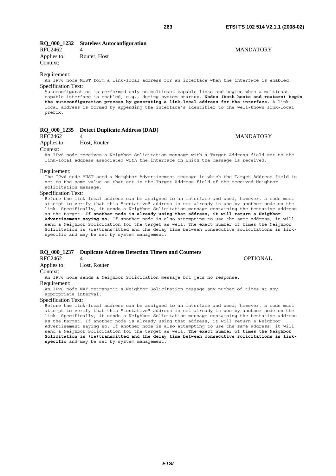# **RQ\_000\_1232 Stateless Autoconfiguration**

Applies to: Router, Host Context:

# RFC2462 4 MANDATORY

Requirement:

An IPv6 node MUST form a link-local address for an interface when the interface is enabled. Specification Text:

Autoconfiguration is performed only on multicast-capable links and begins when a multicastcapable interface is enabled, e.g., during system startup. **Nodes (both hosts and routers) begin the autoconfiguration process by generating a link-local address for the interface.** A linklocal address is formed by appending the interface's identifier to the well-known link-local prefix.

# **RQ\_000\_1235 Detect Duplicate Address (DAD)**

#### RFC2462 4 MANDATORY

Applies to: Host, Router

#### Context:

An IPv6 node receives a Neighbor Solicitation message with a Target Address field set to the link-local address associated with the interface on which the message is received.

#### Requirement:

The IPv6 node MUST send a Neighbor Advertisement message in which the Target Address field is set to the same value as that set in the Target Address field of the received Neighbor solicitation message.

#### Specification Text:

Before the link-local address can be assigned to an interface and used, however, a node must attempt to verify that this "tentative" address is not already in use by another node on the link. Specifically, it sends a Neighbor Solicitation message containing the tentative address as the target. **If another node is already using that address, it will return a Neighbor Advertisement saying so**. If another node is also attempting to use the same address, it will send a Neighbor Solicitation for the target as well. The exact number of times the Neighbor Solicitation is (re)transmitted and the delay time between consecutive solicitations is linkspecific and may be set by system management.

#### **RQ\_000\_1237 Duplicate Address Detection Timers and Counters**

RFC2462 4 OPTIONAL Applies to: Host, Router

Context:

An IPv6 node sends a Neighbor Solicitation message but gets no response.

#### Requirement:

An IPv6 node MAY retransmit a Neighbor Solicitation message any number of times at any appropriate interval.

## Specification Text:

Before the link-local address can be assigned to an interface and used, however, a node must attempt to verify that this "tentative" address is not already in use by another node on the link. Specifically, it sends a Neighbor Solicitation message containing the tentative address as the target. If another node is already using that address, it will return a Neighbor Advertisement saying so. If another node is also attempting to use the same address, it will send a Neighbor Solicitation for the target as well. **The exact number of times the Neighbor Solicitation is (re)transmitted and the delay time between consecutive solicitations is linkspecific** and may be set by system management.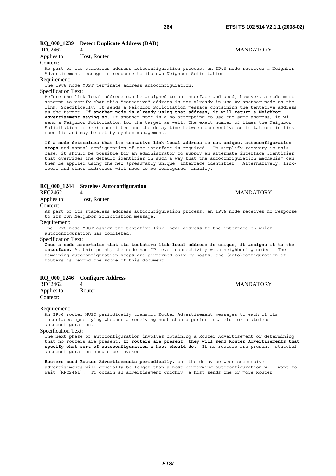# **RQ\_000\_1239 Detect Duplicate Address (DAD)**

# RFC2462 4 MANDATORY

Applies to: Host, Router

#### Context:

As part of its stateless address autoconfiguration process, an IPv6 node receives a Neighbor Advertisement message in response to its own Neighbor Solicitation.

#### Requirement:

The IPv6 node MUST terminate address autoconfiguration.

#### Specification Text:

Before the link-local address can be assigned to an interface and used, however, a node must attempt to verify that this "tentative" address is not already in use by another node on the link. Specifically, it sends a Neighbor Solicitation message containing the tentative address as the target. **If another node is already using that address, it will return a Neighbor Advertisement saying so**. If another node is also attempting to use the same address, it will send a Neighbor Solicitation for the target as well. The exact number of times the Neighbor Solicitation is (re)transmitted and the delay time between consecutive solicitations is linkspecific and may be set by system management.

**If a node determines that its tentative link-local address is not unique, autoconfiguration stops** and manual configuration of the interface is required. To simplify recovery in this case, it should be possible for an administrator to supply an alternate interface identifier that overrides the default identifier in such a way that the autoconfiguration mechanism can then be applied using the new (presumably unique) interface identifier. Alternatively, linklocal and other addresses will need to be configured manually.

# **RQ\_000\_1244 Stateless Autoconfiguration**

Applies to: Host, Router

#### Context:

As part of its stateless address autoconfiguration process, an IPv6 node receives no response to its own Neighbor Solicitation message.

#### Requirement:

The IPv6 node MUST assign the tentative link-local address to the interface on which autoconfiguration has completed.

#### Specification Text:

**Once a node ascertains that its tentative link-local address is unique, it assigns it to the interface.** At this point, the node has IP-level connectivity with neighboring nodes. The remaining autoconfiguration steps are performed only by hosts; the (auto)configuration of routers is beyond the scope of this document.

### **RQ\_000\_1246 Configure Address**

| <b>MANDATORY</b> |
|------------------|
|                  |
|                  |

#### Requirement:

An IPv6 router MUST periodically transmit Router Advertisement messages to each of its interfaces specifying whether a receiving host should perform stateful or stateless autoconfiguration.

### Specification Text:

The next phase of autoconfiguration involves obtaining a Router Advertisement or determining that no routers are present. **If routers are present, they will send Router Advertisements that specify what sort of autoconfiguration a host should do.** If no routers are present, stateful autoconfiguration should be invoked.

**Routers send Router Advertisements periodically,** but the delay between successive advertisements will generally be longer than a host performing autoconfiguration will want to wait [RFC2461]. To obtain an advertisement quickly, a host sends one or more Router

RFC2462 4 MANDATORY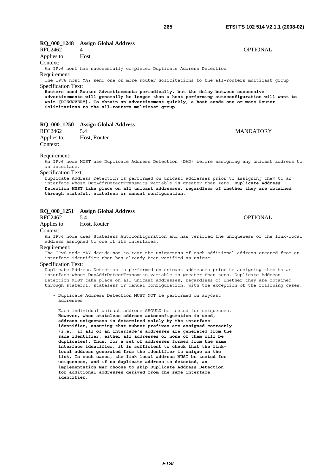# **RQ\_000\_1248 Assign Global Address**  RFC2462 4 OPTIONAL Applies to: Host Context: An IPv6 host has successfully completed Duplicate Address Detection Requirement: The IPv6 host MAY send one or more Router Solicitations to the all-routers multicast group. Specification Text: **Routers send Router Advertisements periodically, but the delay between successive advertisements will generally be longer than a host performing autoconfiguration will want to wait [DISCOVERY]. To obtain an advertisement quickly, a host sends one or more Router Solicitations to the all-routers multicast group**. **RQ\_000\_1250 Assign Global Address**  RFC2462 5.4 MANDATORY Applies to: Host, Router Context: Requirement: An IPv6 node MUST use Duplicate Address Detection (DAD) before assigning any unicast address to an interface. Specification Text: Duplicate Address Detection is performed on unicast addresses prior to assigning them to an

interface whose DupAddrDetectTransmits variable is greater than zero. **Duplicate Address Detection MUST take place on all unicast addresses, regardless of whether they are obtained through stateful, stateless or manual configuration**.

# **RQ\_000\_1251 Assign Global Address**

RFC2462 5.4 OPTIONAL

Applies to: Host, Router

Context:

An IPv6 node uses Stateless Autoconfiguration and has verified the uniqueness of the link-local address assigned to one of its interfaces.

Requirement:

The IPv6 node MAY decide not to test the uniqueness of each additional address created from an interface identifier that has already been verified as unique.

# Specification Text:

Duplicate Address Detection is performed on unicast addresses prior to assigning them to an interface whose DupAddrDetectTransmits variable is greater than zero. Duplicate Address Detection MUST take place on all unicast addresses, regardless of whether they are obtained through stateful, stateless or manual configuration, with the exception of the following cases:

 - Duplicate Address Detection MUST NOT be performed on anycast addresses.

 - Each individual unicast address SHOULD be tested for uniqueness. **However, when stateless address autoconfiguration is used, address uniqueness is determined solely by the interface identifier, assuming that subnet prefixes are assigned correctly (i.e., if all of an interface's addresses are generated from the same identifier, either all addresses or none of them will be duplicates). Thus, for a set of addresses formed from the same interface identifier, it is sufficient to check that the link local address generated from the identifier is unique on the link. In such cases, the link-local address MUST be tested for uniqueness, and if no duplicate address is detected, an implementation MAY choose to skip Duplicate Address Detection for additional addresses derived from the same interface identifier.**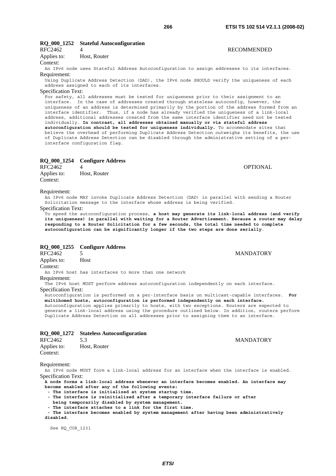# **RQ\_000\_1252 Stateful Autoconfiguration**

Applies to: Host, Router

Context:

An IPv6 node uses Stateful Address Autoconfiguration to assign addresses to its interfaces. Requirement:

Using Duplicate Address Detection (DAD), the IPv6 node SHOULD verify the uniqueness of each address assigned to each of its interfaces.

# Specification Text:

For safety, all addresses must be tested for uniqueness prior to their assignment to an interface. In the case of addresses created through stateless autoconfig, however, the uniqueness of an address is determined primarily by the portion of the address formed from an interface identifier. Thus, if a node has already verified the uniqueness of a link-local address, additional addresses created from the same interface identifier need not be tested individually. **In contrast, all addresses obtained manually or via stateful address autoconfiguration should be tested for uniqueness individually.** To accommodate sites that believe the overhead of performing Duplicate Address Detection outweighs its benefits, the use of Duplicate Address Detection can be disabled through the administrative setting of a perinterface configuration flag.

### **RQ\_000\_1254 Configure Address**

RFC2462 4 OPTIONAL Applies to: Host, Router Context:

#### Requirement:

An IPv6 node MAY invoke Duplicate Address Detection (DAD) in parallel with sending a Router Solicitation message to the interface whose address is being verified.

#### Specification Text:

To speed the autoconfiguration process, **a host may generate its link-local address (and verify its uniqueness) in parallel with waiting for a Router Advertisement. Because a router may delay responding to a Router Solicitation for a few seconds, the total time needed to complete autoconfiguration can be significantly longer if the two steps are done serially**.

# **RQ\_000\_1255 Configure Address**

RFC2462 5 MANDATORY

Applies to: Host

Context:

An IPv6 host has interfaces to more than one network

Requirement:

The IPv6 host MUST perform address autoconfiguration independently on each interface. Specification Text:

Autoconfiguration is performed on a per-interface basis on multicast-capable interfaces. **For multihomed hosts, autoconfiguration is performed independently on each interface.**  Autoconfiguration applies primarily to hosts, with two exceptions. Routers are expected to generate a link-local address using the procedure outlined below. In addition, routers perform Duplicate Address Detection on all addresses prior to assigning them to an interface.

### **RQ\_000\_1272 Stateless Autoconfiguration**

| RFC2462     | 5.3          |
|-------------|--------------|
| Applies to: | Host, Router |
| Context:    |              |

Requirement:

An IPv6 node MUST form a link-local address for an interface when the interface is enabled. Specification Text:

**A node forms a link-local address whenever an interface becomes enabled. An interface may become enabled after any of the following events:** 

- **The interface is initialized at system startup time.**
- **The interface is reinitialized after a temporary interface failure or after**
- **being temporarily disabled by system management.**
- **The interface attaches to a link for the first time.**

The interface becomes enabled by system management after having been administratively **disabled**.

See RQ\_COR\_1231

# RFC2462 4 RECOMMENDED

**MANDATORY**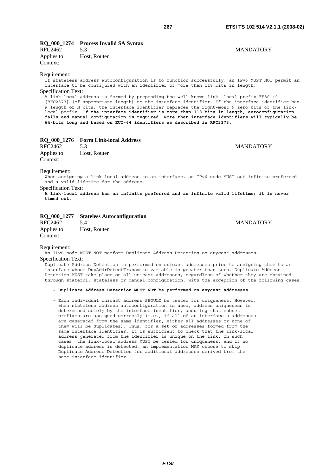# **RQ\_000\_1274 Process Invalid SA Syntax**

RFC2462 5.3 MANDATORY Applies to: Host, Router Context:

#### Requirement:

If stateless address autoconfiguration is to function successfully, an IPv6 MUST NOT permit an interface to be configured with an identifier of more than 118 bits in length. Specification Text:

A link-local address is formed by prepending the well-known link- local prefix FE80::0 [RFC2373] (of appropriate length) to the interface identifier. If the interface identifier has a length of N bits, the interface identifier replaces the right-most N zero bits of the linklocal prefix. **If the interface identifier is more than 118 bits in length, autoconfiguration fails and manual configuration is required. Note that interface identifiers will typically be 64-bits long and based on EUI-64 identifiers as described in RFC2373**.

# **RQ\_000\_1276 Form Link-local Address**

| RFC2462                 |              | <b>MANDATORY</b> |
|-------------------------|--------------|------------------|
| Applies to:<br>Context: | Host, Router |                  |

#### Requirement:

When assigning a link-local address to an interface, an IPv6 node MUST set infinite preferred and a valid lifetime for the address.

#### Specification Text:

**A link-local address has an infinite preferred and an infinite valid lifetime; it is never timed out**.

# **RQ\_000\_1277 Stateless Autoconfiguration**

RFC2462 5.4 MANDATORY Applies to: Host, Router Context:

#### Requirement:

An IPv6 node MUST NOT perform Duplicate Address Detection on anycast addresses. Specification Text:

Duplicate Address Detection is performed on unicast addresses prior to assigning them to an interface whose DupAddrDetectTransmits variable is greater than zero. Duplicate Address Detection MUST take place on all unicast addresses, regardless of whether they are obtained through stateful, stateless or manual configuration, with the exception of the following cases:

#### **- Duplicate Address Detection MUST NOT be performed on anycast addresses.**

 - Each individual unicast address SHOULD be tested for uniqueness. However, when stateless address autoconfiguration is used, address uniqueness is determined solely by the interface identifier, assuming that subnet prefixes are assigned correctly (i.e., if all of an interface's addresses are generated from the same identifier, either all addresses or none of them will be duplicates). Thus, for a set of addresses formed from the same interface identifier, it is sufficient to check that the link-local address generated from the identifier is unique on the link. In such cases, the link-local address MUST be tested for uniqueness, and if no duplicate address is detected, an implementation MAY choose to skip Duplicate Address Detection for additional addresses derived from the same interface identifier.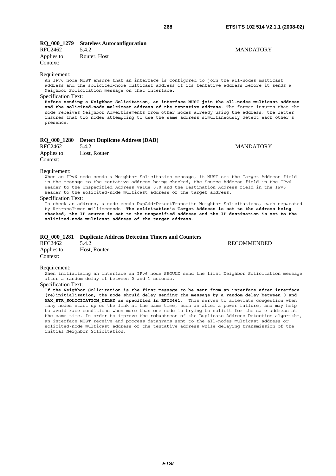# **RQ\_000\_1279 Stateless Autoconfiguration**

RFC2462 5.4.2 MANDATORY Applies to: Router, Host Context:

#### Requirement:

An IPv6 node MUST ensure that an interface is configured to join the all-nodes multicast address and the solicited-node multicast address of its tentative address before it sends a Neighbor Solicitation message on that interface.

#### Specification Text:

**Before sending a Neighbor Solicitation, an interface MUST join the all-nodes multicast address and the solicited-node multicast address of the tentative address**. The former insures that the node receives Neighbor Advertisements from other nodes already using the address; the latter insures that two nodes attempting to use the same address simultaneously detect each other's presence.

# **RQ\_000\_1280 Detect Duplicate Address (DAD)**

| RFC2462     | 5.4.2        | <b>MANDATORY</b> |
|-------------|--------------|------------------|
| Applies to: | Host, Router |                  |
| Context:    |              |                  |

#### Requirement:

When an IPv6 node sends a Neighbor Solicitation message, it MUST set the Target Address field in the message to the tentative address being checked, the Source Address field in the IPv6 Header to the Unspecified Address value 0:0 and the Destination Address field in the IPv6 Header to the solicited-node multicast address of the target address.

### Specification Text:

To check an address, a node sends DupAddrDetectTransmits Neighbor Solicitations, each separated by RetransTimer milliseconds. **The solicitation's Target Address is set to the address being checked, the IP source is set to the unspecified address and the IP destination is set to the solicited-node multicast address of the target address**.

#### **RQ\_000\_1281 Duplicate Address Detection Timers and Counters**

RFC2462 5.4.2 RECOMMENDED Applies to: Host, Router Context:

#### Requirement:

When initializing an interface an IPv6 node SHOULD send the first Neighbor Solicitation message after a random delay of between 0 and 1 seconds.

#### Specification Text:

**If the Neighbor Solicitation is the first message to be sent from an interface after interface (re)initialization, the node should delay sending the message by a random delay between 0 and**  MAX RTR SOLICITATION DELAY as specified in RFC2461. This serves to alleviate congestion when many nodes start up on the link at the same time, such as after a power failure, and may help to avoid race conditions when more than one node is trying to solicit for the same address at the same time. In order to improve the robustness of the Duplicate Address Detection algorithm, an interface MUST receive and process datagrams sent to the all-nodes multicast address or solicited-node multicast address of the tentative address while delaying transmission of the initial Neighbor Solicitation.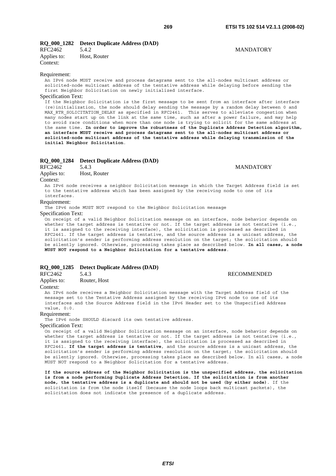# **RQ\_000\_1282 Detect Duplicate Address (DAD)**

| RFC2462     | 5.4.2        |
|-------------|--------------|
| Applies to: | Host, Router |
| Context:    |              |

#### Requirement:

An IPv6 node MUST receive and process datagrams sent to the all-nodes multicast address or solicited-node multicast address of the tentative address while delaying before sending the first Neighbor Solicitation on newly initialized interface.

#### Specification Text:

If the Neighbor Solicitation is the first message to be sent from an interface after interface (re)initialization, the node should delay sending the message by a random delay between 0 and MAX RTR SOLICITATION DELAY as specified in RFC2461. This serves to alleviate congestion when many nodes start up on the link at the same time, such as after a power failure, and may help to avoid race conditions when more than one node is trying to solicit for the same address at the same time. **In order to improve the robustness of the Duplicate Address Detection algorithm, an interface MUST receive and process datagrams sent to the all-nodes multicast address or solicited-node multicast address of the tentative address while delaying transmission of the initial Neighbor Solicitation**.

# **RQ\_000\_1284** Detect Duplicate Address (DAD)<br>RFC2462 5.4.3

| Applies to: |  | Host, Router |
|-------------|--|--------------|
|-------------|--|--------------|

Context:

An IPv6 node receives a neighbor Solicitation message in which the Target Address field is set to the tentative address which has been assigned by the receiving node to one of its interfaces.

#### Requirement:

The IPv6 node MUST NOT respond to the Neighbor Solicitation message

Specification Text:

.<br>On receipt of a valid Neighbor Solicitation message on an interface, node behavior depends on whether the target address is tentative or not. If the target address is not tentative (i.e., it is assigned to the receiving interface), the solicitation is processed as described in RFC2461. If the target address is tentative, and the source address is a unicast address, the solicitation's sender is performing address resolution on the target; the solicitation should be silently ignored. Otherwise, processing takes place as described below. **In all cases, a node MUST NOT respond to a Neighbor Solicitation for a tentative address**.

# **RQ\_000\_1285 Detect Duplicate Address (DAD)**

RFC2462 5.4.3 RECOMMENDED

Applies to: Router, Host

# Context:

An IPv6 node receives a Neighbor Solicitation message with the Target Address field of the message set to the Tentative Address assigned by the receiving IPv6 node to one of its interfaces and the Source Address field in the IPv6 Header set to the Unspecified Address value, 0:0.

#### Requirement:

The IPv6 node SHOULD discard its own tentative address.

#### Specification Text:

On receipt of a valid Neighbor Solicitation message on an interface, node behavior depends on whether the target address is tentative or not. If the target address is not tentative (i.e., it is assigned to the receiving interface), the solicitation is processed as described in RFC2461. **If the target address is tentative**, and the source address is a unicast address, the solicitation's sender is performing address resolution on the target; the solicitation should be silently ignored. Otherwise, processing takes place as described below. In all cases, a node MUST NOT respond to a Neighbor Solicitation for a tentative address.

**If the source address of the Neighbor Solicitation is the unspecified address, the solicitation is from a node performing Duplicate Address Detection. If the solicitation is from another node, the tentative address is a duplicate and should not be used (by either node)**. If the solicitation is from the node itself (because the node loops back multicast packets), the solicitation does not indicate the presence of a duplicate address.

# **MANDATORY**

S.4.3 MANDATORY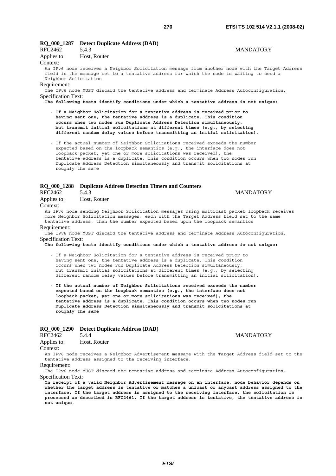# **RQ\_000\_1287 Detect Duplicate Address (DAD)**

| RFC2462                | 5.4.3                                                                                           | <b>MANDATORY</b> |
|------------------------|-------------------------------------------------------------------------------------------------|------------------|
| Applies to:            | Host, Router                                                                                    |                  |
| Context:               |                                                                                                 |                  |
|                        | An IPv6 node receives a Neighbor Solicitation message from another node with the Target Address |                  |
|                        | field in the message set to a tentative address for which the node is waiting to send a         |                  |
| Neighbor Solicitation. |                                                                                                 |                  |
| Requirement:           |                                                                                                 |                  |
|                        | The IPv6 node MUST discard the tentative address and terminate Address Autoconfiguration.       |                  |

Specification Text:

**The following tests identify conditions under which a tentative address is not unique:** 

 **- If a Neighbor Solicitation for a tentative address is received prior to having sent one, the tentative address is a duplicate. This condition occurs when two nodes run Duplicate Address Detection simultaneously, but transmit initial solicitations at different times (e.g., by selecting different random delay values before transmitting an initial solicitation)**.

 - If the actual number of Neighbor Solicitations received exceeds the number expected based on the loopback semantics (e.g., the interface does not loopback packet, yet one or more solicitations was received), the tentative address is a duplicate. This condition occurs when two nodes run Duplicate Address Detection simultaneously and transmit solicitations at roughly the same

# **RQ\_000\_1288 Duplicate Address Detection Timers and Counters**

| RFC2462     | 5.4.3 |
|-------------|-------|
| Applies to: | Host. |

Host, Router

# Context:

An IPv6 node sending Neighbor Solicitation messages using multicast packet loopback receives more Neighbor Solicitation messages, each with the Target Address field set to the same tentative address, than the number expected based upon the loopback semantics

#### Requirement:

The IPv6 node MUST discard the tentative address and terminate Address Autoconfiguration. Specification Text:

- **The following tests identify conditions under which a tentative address is not unique:**
	- If a Neighbor Solicitation for a tentative address is received prior to having sent one, the tentative address is a duplicate. This condition occurs when two nodes run Duplicate Address Detection simultaneously, but transmit initial solicitations at different times (e.g., by selecting different random delay values before transmitting an initial solicitation).
	- **If the actual number of Neighbor Solicitations received exceeds the number expected based on the loopback semantics (e.g., the interface does not loopback packet, yet one or more solicitations was received), the tentative address is a duplicate. This condition occurs when two nodes run Duplicate Address Detection simultaneously and transmit solicitations at roughly the same**

### **RQ\_000\_1290 Detect Duplicate Address (DAD)**

| RFC2462     | 5.4.4        |
|-------------|--------------|
| Applies to: | Host, Router |
| Contriv     |              |

Context:

An IPv6 node receives a Neighbor Advertisement message with the Target Address field set to the tentative address assigned to the receiving interface.

Requirement:

The IPv6 node MUST discard the tentative address and terminate Address Autoconfiguration. Specification Text:

**On receipt of a valid Neighbor Advertisement message on an interface, node behavior depends on whether the target address is tentative or matches a unicast or anycast address assigned to the interface. If the target address is assigned to the receiving interface, the solicitation is processed as described in RFC2461. If the target address is tentative, the tentative address is not unique**.

# **MANDATORY**

**MANDATORY**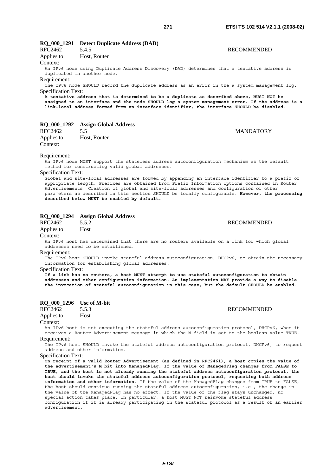| RFC2462                    | 5.4.5                                                                                    |  | <b>RECOMMENDED</b>                                                                              |
|----------------------------|------------------------------------------------------------------------------------------|--|-------------------------------------------------------------------------------------------------|
| Applies to:                | Host, Router                                                                             |  |                                                                                                 |
| Context:                   |                                                                                          |  |                                                                                                 |
|                            | duplicated in another node.                                                              |  | An IPv6 node using Duplicate Address Discovery (DAD) determines that a tentative address is     |
| Requirement:               |                                                                                          |  |                                                                                                 |
|                            |                                                                                          |  | The IPv6 node SHOULD record the duplicate address as an error in the a system management log.   |
| <b>Specification Text:</b> |                                                                                          |  |                                                                                                 |
|                            | A tentative address that is determined to be a duplicate as described above, MUST NOT be |  | assigned to an interface and the node SHOULD log a system management error. If the address is a |
|                            |                                                                                          |  | link-local address formed from an interface identifier, the interface SHOULD be disabled.       |
| RQ_000_1292                | <b>Assign Global Address</b>                                                             |  |                                                                                                 |
| RFC2462                    | 5.5                                                                                      |  | <b>MANDATORY</b>                                                                                |
| Applies to:                | Host, Router                                                                             |  |                                                                                                 |

Requirement:

Context:

An IPv6 node MUST support the stateless address autoconfiguration mechanism as the default method for constructing valid global addresses.

#### Specification Text:

Global and site-local addresses are formed by appending an interface identifier to a prefix of appropriate length. Prefixes are obtained from Prefix Information options contained in Router Advertisements. Creation of global and site-local addresses and configuration of other parameters as described in this section SHOULD be locally configurable. **However, the processing described below MUST be enabled by default.**

# **RQ\_000\_1294 Assign Global Address**

RFC2462 5.5.2 RECOMMENDED Applies to: Host

Context:

An IPv6 host has determined that there are no routers available on a link for which global addresses need to be established.

Requirement:

The IPv6 host SHOULD invoke stateful address autoconfiguration, DHCPv6, to obtain the necessary information for establishing global addresses.

Specification Text:

**If a link has no routers, a host MUST attempt to use stateful autoconfiguration to obtain addresses and other configuration information. An implementation MAY provide a way to disable the invocation of stateful autoconfiguration in this case, but the default SHOULD be enabled**.

### **RQ\_000\_1296 Use of M-bit**

RFC2462 5.5.3 RECOMMENDED Applies to: Host

# Context:

An IPv6 host is not executing the stateful address autoconfiguration protocol, DHCPv6, when it receives a Router Advertisement message in which the M field is set to the boolean value TRUE. Requirement:

The IPv6 host SHOULD invoke the stateful address autoconfiguration protocol, DHCPv6, to request address and other information.

Specification Text:

**On receipt of a valid Router Advertisement (as defined in RFC2461), a host copies the value of the advertisement's M bit into ManagedFlag. If the value of ManagedFlag changes from FALSE to TRUE, and the host is not already running the stateful address autoconfiguration protocol, the host should invoke the stateful address autoconfiguration protocol, requesting both address information and other information**. If the value of the ManagedFlag changes from TRUE to FALSE, the host should continue running the stateful address autoconfiguration, i.e., the change in the value of the ManagedFlag has no effect. If the value of the flag stays unchanged, no special action takes place. In particular, a host MUST NOT reinvoke stateful address configuration if it is already participating in the stateful protocol as a result of an earlier advertisement.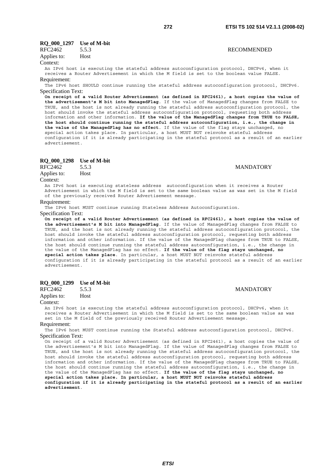**RECOMMENDED** 

# **RQ\_000\_1297 Use of M-bit**

| RFC2462     | 5.5.3 |
|-------------|-------|
| Applies to: | Host  |

#### Context:

An IPv6 host is executing the stateful address autoconfiguration protocol, DHCPv6, when it receives a Router Advertisement in which the M field is set to the boolean value FALSE. Requirement:

The IPv6 host SHOULD continue running the stateful address autoconfiguration protocol, DHCPv6. Specification Text:

**On receipt of a valid Router Advertisement (as defined in RFC2461), a host copies the value of the advertisement's M bit into ManagedFlag**. If the value of ManagedFlag changes from FALSE to TRUE, and the host is not already running the stateful address autoconfiguration protocol, the host should invoke the stateful address autoconfiguration protocol, requesting both address information and other information. **If the value of the ManagedFlag changes from TRUE to FALSE, the host should continue running the stateful address autoconfiguration, i.e., the change in the value of the ManagedFlag has no effect**. If the value of the flag stays unchanged, no special action takes place. In particular, a host MUST NOT reinvoke stateful address configuration if it is already participating in the stateful protocol as a result of an earlier advertisement.

# **RQ\_000\_1298 Use of M-bit**

Applies to: Host

#### Context:

An IPv6 host is executing stateless address autoconfiguration when it receives a Router Advertisement in which the M field is set to the same boolean value as was set in the M field of the previously received Router Advertisement message.

#### Requirement:

The IPv6 host MUST continue running Stateless Address Autoconfiguration.

#### Specification Text:

**On receipt of a valid Router Advertisement (as defined in RFC2461), a host copies the value of the advertisement's M bit into ManagedFlag**. If the value of ManagedFlag changes from FALSE to TRUE, and the host is not already running the stateful address autoconfiguration protocol, the host should invoke the stateful address autoconfiguration protocol, requesting both address information and other information. If the value of the ManagedFlag changes from TRUE to FALSE, the host should continue running the stateful address autoconfiguration, i.e., the change in the value of the ManagedFlag has no effect. **If the value of the flag stays unchanged, no special action takes place**. In particular, a host MUST NOT reinvoke stateful address configuration if it is already participating in the stateful protocol as a result of an earlier advertisement.

#### **RQ\_000\_1299 Use of M-bit**

| RFC2462     | 5.5.3 |
|-------------|-------|
| Applies to: | Host  |

#### Context:

An IPv6 host is executing the stateful address autoconfiguration protocol, DHCPv6, when it receives a Router Advertisement in which the M field is set to the same boolean value as was set in the M field of the previously received Router Advertisement message.

#### Requirement:

The IPv6 host MUST continue running the Stateful address autoconfiguration protocol, DHCPv6. Specification Text:

On receipt of a valid Router Advertisement (as defined in RFC2461), a host copies the value of the advertisement's M bit into ManagedFlag. If the value of ManagedFlag changes from FALSE to TRUE, and the host is not already running the stateful address autoconfiguration protocol, the host should invoke the stateful address autoconfiguration protocol, requesting both address information and other information. If the value of the ManagedFlag changes from TRUE to FALSE, the host should continue running the stateful address autoconfiguration, i.e., the change in the value of the ManagedFlag has no effect. **If the value of the flag stays unchanged, no special action takes place. In particular, a host MUST NOT reinvoke stateful address configuration if it is already participating in the stateful protocol as a result of an earlier advertisement**.

*ETSI* 

# $R_{\rm{F}}$ 5.5.3 MANDATORY

**MANDATORY**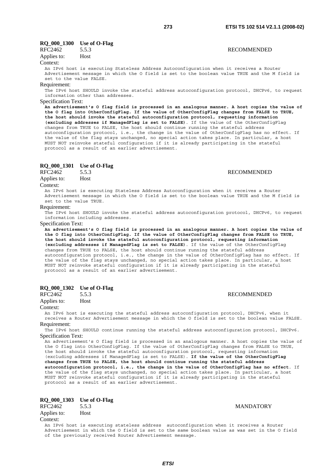# **RQ\_000\_1300 Use of O-Flag**

| RFC2462     |      | <b>RECOMMENDED</b> |
|-------------|------|--------------------|
| Applies to: | Host |                    |

#### Context:

An IPv6 host is executing Stateless Address Autoconfiguration when it receives a Router Advertisement message in which the O field is set to the boolean value TRUE and the M field is set to the value FALSE.

#### Requirement:

The IPv6 host SHOULD invoke the stateful address autoconfiguration protocol, DHCPv6, to request information other than addresses.

# Specification Text:

**An advertisement's O flag field is processed in an analogous manner. A host copies the value of the O flag into OtherConfigFlag. If the value of OtherConfigFlag changes from FALSE to TRUE, the host should invoke the stateful autoconfiguration protocol, requesting information (excluding addresses if ManagedFlag is set to FALSE)**. If the value of the OtherConfigFlag changes from TRUE to FALSE, the host should continue running the stateful address autoconfiguration protocol, i.e., the change in the value of OtherConfigFlag has no effect. If the value of the flag stays unchanged, no special action takes place. In particular, a host MUST NOT reinvoke stateful configuration if it is already participating in the stateful protocol as a result of an earlier advertisement.

# **RQ\_000\_1301 Use of O-Flag**

Applies to: Host

#### Context:

An IPv6 host is executing Stateless Address Autoconfiguration when it receives a Router Advertisement message in which the O field is set to the boolean value TRUE and the M field is set to the value TRUE.

#### Requirement:

The IPv6 host SHOULD invoke the stateful address autoconfiguration protocol, DHCPv6, to request information including addresses.

#### Specification Text:

**An advertisement's O flag field is processed in an analogous manner. A host copies the value of the O flag into OtherConfigFlag. If the value of OtherConfigFlag changes from FALSE to TRUE, the host should invoke the stateful autoconfiguration protocol, requesting information (excluding addresses if ManagedFlag is set to FALSE)**. If the value of the OtherConfigFlag changes from TRUE to FALSE, the host should continue running the stateful address autoconfiguration protocol, i.e., the change in the value of OtherConfigFlag has no effect. If the value of the flag stays unchanged, no special action takes place. In particular, a host MUST NOT reinvoke stateful configuration if it is already participating in the stateful protocol as a result of an earlier advertisement.

# **RQ\_000\_1302 Use of O-Flag**

Applies to: Host

#### Context:

An IPv6 host is executing the stateful address autoconfiguration protocol, DHCPv6, when it receives a Router Advertisement message in which the O field is set to the boolean value FALSE. Requirement:

The IPv6 host SHOULD continue running the stateful address autoconfiguration protocol, DHCPv6. Specification Text:

An advertisement's O flag field is processed in an analogous manner. A host copies the value of the O flag into OtherConfigFlag. If the value of OtherConfigFlag changes from FALSE to TRUE, the host should invoke the stateful autoconfiguration protocol, requesting information (excluding addresses if ManagedFlag is set to FALSE). **If the value of the OtherConfigFlag changes from TRUE to FALSE, the host should continue running the stateful address autoconfiguration protocol, i.e., the change in the value of OtherConfigFlag has no effect**. If the value of the flag stays unchanged, no special action takes place. In particular, a host MUST NOT reinvoke stateful configuration if it is already participating in the stateful protocol as a result of an earlier advertisement.

# **RQ\_000\_1303 Use of O-Flag**

| RFC2462         | 5.5.3 |  |  |   |  | <b>MANDATORY</b> |  |
|-----------------|-------|--|--|---|--|------------------|--|
| Applies to:     | Host  |  |  |   |  |                  |  |
| Context:        |       |  |  |   |  |                  |  |
| -- - -<br>_____ |       |  |  | . |  |                  |  |

An IPv6 host is executing stateless address autoconfiguration when it receives a Router Advertisement in which the O field is set to the same boolean value as was set in the O field of the previously received Router Advertisement message.

#### **RECOMMENDED**

# **RECOMMENDED**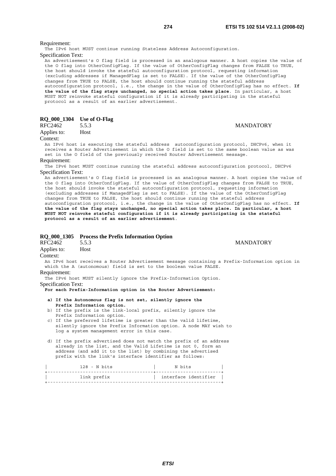Requirement:

The IPv6 host MUST continue running Stateless Address Autoconfiguration.

Specification Text:

An advertisement's O flag field is processed in an analogous manner. A host copies the value of the O flag into OtherConfigFlag. If the value of OtherConfigFlag changes from FALSE to TRUE, the host should invoke the stateful autoconfiguration protocol, requesting information (excluding addresses if ManagedFlag is set to FALSE). If the value of the OtherConfigFlag changes from TRUE to FALSE, the host should continue running the stateful address autoconfiguration protocol, i.e., the change in the value of OtherConfigFlag has no effect. **If the value of the flag stays unchanged, no special action takes place**. In particular, a host MUST NOT reinvoke stateful configuration if it is already participating in the stateful protocol as a result of an earlier advertisement.

| RQ_000_1304 |  |  | Use of O-Flag |
|-------------|--|--|---------------|
|-------------|--|--|---------------|

**RQ** 000 1305 Process the Prefix Information Option

| RFC2462     | 5.5.3 |
|-------------|-------|
| Applies to: | Host  |

## **MANDATORY**

Context:

An IPv6 host is executing the stateful address autoconfiguration protocol, DHCPv6, when it receives a Router Advertisement in which the O field is set to the same boolean value as was set in the O field of the previously received Router Advertisement message.

Requirement:

The IPv6 host MUST continue running the stateful address autoconfiguration protocol, DHCPv6 Specification Text:

An advertisement's O flag field is processed in an analogous manner. A host copies the value of the O flag into OtherConfigFlag. If the value of OtherConfigFlag changes from FALSE to TRUE, the host should invoke the stateful autoconfiguration protocol, requesting information (excluding addresses if ManagedFlag is set to FALSE). If the value of the OtherConfigFlag changes from TRUE to FALSE, the host should continue running the stateful address autoconfiguration protocol, i.e., the change in the value of OtherConfigFlag has no effect. **If the value of the flag stays unchanged, no special action takes place. In particular, a host MUST NOT reinvoke stateful configuration if it is already participating in the stateful protocol as a result of an earlier advertisement**.

|             |                     | $\mathbf{N}$ vv $\mathbf{v}$ 1909 - Frocess the Frenz fillor ination Option                                                                                         |                  |  |
|-------------|---------------------|---------------------------------------------------------------------------------------------------------------------------------------------------------------------|------------------|--|
| RFC2462     |                     | 5.5.3                                                                                                                                                               | <b>MANDATORY</b> |  |
| Applies to: |                     | Host                                                                                                                                                                |                  |  |
| Context:    |                     |                                                                                                                                                                     |                  |  |
|             |                     | An IPv6 host receives a Router Advertisement message containing a Prefix-Information option in<br>which the A (autonomous) field is set to the boolean value FALSE. |                  |  |
|             | Requirement:        |                                                                                                                                                                     |                  |  |
|             |                     | The IPv6 host MUST silently ignore the Prefix-Information Option.                                                                                                   |                  |  |
|             | Specification Text: |                                                                                                                                                                     |                  |  |
|             |                     | For each Prefix-Information option in the Router Advertisement:                                                                                                     |                  |  |
|             |                     | a) If the Autonomous flag is not set, silently ignore the                                                                                                           |                  |  |
|             |                     | Prefix Information option.                                                                                                                                          |                  |  |
|             |                     | b) If the prefix is the link-local prefix, silently ignore the                                                                                                      |                  |  |
|             |                     | Prefix Information option.<br>c) If the preferred lifetime is greater than the valid lifetime,                                                                      |                  |  |
|             |                     | silently ignore the Prefix Information option. A node MAY wish to                                                                                                   |                  |  |
|             |                     | log a system management error in this case.                                                                                                                         |                  |  |
|             |                     |                                                                                                                                                                     |                  |  |
|             |                     | d) If the prefix advertised does not match the prefix of an address                                                                                                 |                  |  |
|             |                     | already in the list, and the Valid Lifetime is not 0, form an<br>address (and add it to the list) by combining the advertised                                       |                  |  |
|             |                     | prefix with the link's interface identifier as follows:                                                                                                             |                  |  |
|             |                     |                                                                                                                                                                     |                  |  |
|             |                     |                                                                                                                                                                     |                  |  |

| interface identifier |<br>| interface identifier | interface identifier | +----------------------------------------------------------------+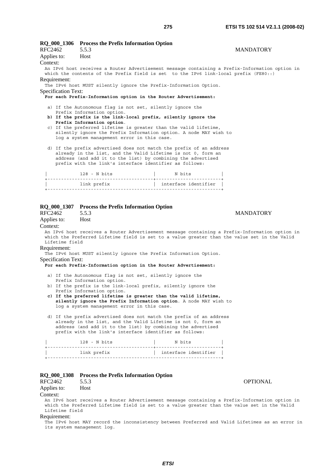|                               | RQ_000_1306 Process the Prefix Information Option                                                                                     |                      |                  |
|-------------------------------|---------------------------------------------------------------------------------------------------------------------------------------|----------------------|------------------|
| <b>RFC2462</b><br>Applies to: | 5.5.3<br>Host                                                                                                                         |                      | <b>MANDATORY</b> |
| Context:                      |                                                                                                                                       |                      |                  |
|                               | An IPv6 host receives a Router Advertisement message containing a Prefix-Information option in                                        |                      |                  |
| Requirement:                  | which the contents of the Prefix field is set to the IPv6 link-local prefix (FE80::)                                                  |                      |                  |
|                               | The IPv6 host MUST silently ignore the Prefix-Information Option.                                                                     |                      |                  |
| Specification Text:           |                                                                                                                                       |                      |                  |
|                               | For each Prefix-Information option in the Router Advertisement:                                                                       |                      |                  |
|                               | a) If the Autonomous flag is not set, silently ignore the                                                                             |                      |                  |
|                               | Prefix Information option.<br>b) If the prefix is the link-local prefix, silently ignore the                                          |                      |                  |
|                               | Prefix Information option.                                                                                                            |                      |                  |
|                               | c) If the preferred lifetime is greater than the valid lifetime,<br>silently ignore the Prefix Information option. A node MAY wish to |                      |                  |
|                               | log a system management error in this case.                                                                                           |                      |                  |
|                               | d) If the prefix advertised does not match the prefix of an address                                                                   |                      |                  |
|                               | already in the list, and the Valid Lifetime is not 0, form an                                                                         |                      |                  |
|                               | address (and add it to the list) by combining the advertised<br>prefix with the link's interface identifier as follows:               |                      |                  |
|                               |                                                                                                                                       |                      |                  |
|                               |                                                                                                                                       |                      |                  |
|                               | link prefix                                                                                                                           | interface identifier |                  |
|                               |                                                                                                                                       |                      |                  |
|                               |                                                                                                                                       |                      |                  |
|                               | RQ_000_1307 Process the Prefix Information Option                                                                                     |                      |                  |
| RFC2462<br>Applies to:        | 5.5.3<br>Host                                                                                                                         |                      | <b>MANDATORY</b> |
| Context:                      |                                                                                                                                       |                      |                  |
|                               | An IPv6 host receives a Router Advertisement message containing a Prefix-Information option in                                        |                      |                  |
| Lifetime field                | which the Preferred Lifetime field is set to a value greater than the value set in the Valid                                          |                      |                  |
| Requirement:                  |                                                                                                                                       |                      |                  |
|                               | The IPv6 host MUST silently ignore the Prefix Information Option.                                                                     |                      |                  |
| <b>Specification Text:</b>    | For each Prefix-Information option in the Router Advertisement:                                                                       |                      |                  |
|                               |                                                                                                                                       |                      |                  |
|                               | a) If the Autonomous flag is not set, silently ignore the<br>Prefix Information option.                                               |                      |                  |
|                               | b) If the prefix is the link-local prefix, silently ignore the                                                                        |                      |                  |
|                               | Prefix Information option.<br>c) If the preferred lifetime is greater than the valid lifetime,                                        |                      |                  |
|                               | silently ignore the Prefix Information option. A node MAY wish to                                                                     |                      |                  |
|                               | log a system management error in this case.                                                                                           |                      |                  |
|                               | d) If the prefix advertised does not match the prefix of an address                                                                   |                      |                  |
|                               | already in the list, and the Valid Lifetime is not 0, form an<br>address (and add it to the list) by combining the advertised         |                      |                  |
|                               | prefix with the link's interface identifier as follows:                                                                               |                      |                  |
|                               | $128 - N \text{ bits}$                                                                                                                | N bits               |                  |
|                               |                                                                                                                                       |                      |                  |
|                               |                                                                                                                                       |                      |                  |
|                               |                                                                                                                                       |                      |                  |
|                               | RQ_000_1308 Process the Prefix Information Option                                                                                     |                      |                  |
| RFC2462                       | 5.5.3                                                                                                                                 |                      | <b>OPTIONAL</b>  |
| Applies to:                   | Host                                                                                                                                  |                      |                  |
| Context:                      |                                                                                                                                       |                      |                  |

An IPv6 host receives a Router Advertisement message containing a Prefix-Information option in which the Preferred Lifetime field is set to a value greater than the value set in the Valid Lifetime field

# Requirement:

The IPv6 host MAY record the inconsistency between Preferred and Valid Lifetimes as an error in its system management log.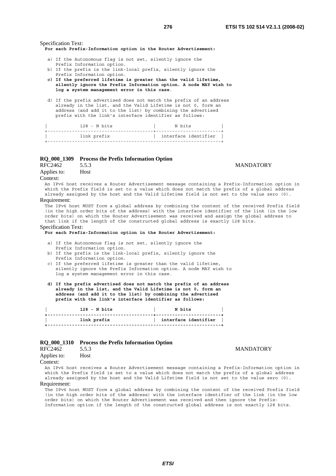Specification Text:

**For each Prefix-Information option in the Router Advertisement:**

- a) If the Autonomous flag is not set, silently ignore the
- Prefix Information option. b) If the prefix is the link-local prefix, silently ignore the Prefix Information option.
- **c) If the preferred lifetime is greater than the valid lifetime, silently ignore the Prefix Information option. A node MAY wish to log a system management error in this case**.
- d) If the prefix advertised does not match the prefix of an address already in the list, and the Valid Lifetime is not 0, form an address (and add it to the list) by combining the advertised prefix with the link's interface identifier as follows:

| 128 - N bits | N bits               |  |
|--------------|----------------------|--|
| link prefix  | interface identifier |  |
|              |                      |  |

# **RQ\_000\_1309 Process the Prefix Information Option**

Applies to: Host

### Context:

An IPv6 host receives a Router Advertisement message containing a Prefix-Information option in which the Prefix field is set to a value which does not match the prefix of a global address already assigned by the host and the Valid Lifetime field is not set to the value zero (0).

#### Requirement:

The IPv6 host MUST form a global address by combining the content of the received Prefix field (in the high order bits of the address) with the interface identifier of the link (in the low order bits) on which the Router Advertisement was received and assign the global address to that link if the length of the constructed global address is exactly 128 bits.

#### Specification Text:

#### **For each Prefix-Information option in the Router Advertisement:**

- a) If the Autonomous flag is not set, silently ignore the
- Prefix Information option.
- b) If the prefix is the link-local prefix, silently ignore the Prefix Information option.
- c) If the preferred lifetime is greater than the valid lifetime, silently ignore the Prefix Information option. A node MAY wish to log a system management error in this case.
- **d) If the prefix advertised does not match the prefix of an address already in the list, and the Valid Lifetime is not 0, form an address (and add it to the list) by combining the advertised prefix with the link's interface identifier as follows:**

| 128 - N bits | N bits               |
|--------------|----------------------|
| link prefix  | interface identifier |

# **RQ\_000\_1310 Process the Prefix Information Option**

| RFC2462     | 5.5.3 |
|-------------|-------|
| Applies to: | Host  |

### **MANDATORY**

**MANDATORY** 

Context:

An IPv6 host receives a Router Advertisement message containing a Prefix-Information option in which the Prefix field is set to a value which does not match the prefix of a global address already assigned by the host and the Valid Lifetime field is not set to the value zero (0).

#### Requirement:

The IPv6 host MUST form a global address by combining the content of the received Prefix field (in the high order bits of the address) with the interface identifier of the link (in the low order bits) on which the Router Advertisement was received and then ignore the Prefix-Information option if the length of the constructed global address is not exactly 128 bits.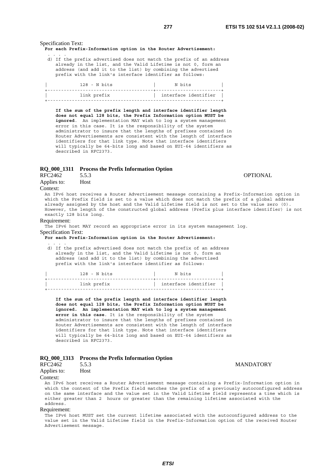# Specification Text:

. . . .

#### **For each Prefix-Information option in the Router Advertisement:**

 d) If the prefix advertised does not match the prefix of an address already in the list, and the Valid Lifetime is not 0, form an address (and add it to the list) by combining the advertised prefix with the link's interface identifier as follows:

| 128 - N bits | N bits               |
|--------------|----------------------|
| link prefix  | interface identifier |

 **If the sum of the prefix length and interface identifier length does not equal 128 bits, the Prefix Information option MUST be ignored**. An implementation MAY wish to log a system management error in this case. It is the responsibility of the system administrator to insure that the lengths of prefixes contained in Router Advertisements are consistent with the length of interface identifiers for that link type. Note that interface identifiers will typically be 64-bits long and based on EUI-64 identifiers as described in RFC2373.

# **RQ\_000\_1311 Process the Prefix Information Option**

RFC2462 5.5.3 OPTIONAL

Applies to: Host

#### Context:

An IPv6 host receives a Router Advertisement message containing a Prefix-Information option in which the Prefix field is set to a value which does not match the prefix of a global address already assigned by the host and the Valid Lifetime field is not set to the value zero (0). However, the length of the constructed global address (Prefix plus interface identifier) is not exactly 128 bits long.

# Requirement:

. . . .

The IPv6 host MAY record an appropriate error in its system management log. Specification Text:

**For each Prefix-Information option in the Router Advertisement:**

 d) If the prefix advertised does not match the prefix of an address already in the list, and the Valid Lifetime is not 0, form an address (and add it to the list) by combining the advertised prefix with the link's interface identifier as follows:

| interface identifier | $128 - N$ bits | N bits                    |
|----------------------|----------------|---------------------------|
| link prefix          |                | _________________________ |
|                      |                |                           |

 **If the sum of the prefix length and interface identifier length does not equal 128 bits, the Prefix Information option MUST be ignored. An implementation MAY wish to log a system management error in this case**. It is the responsibility of the system administrator to insure that the lengths of prefixes contained in Router Advertisements are consistent with the length of interface identifiers for that link type. Note that interface identifiers will typically be 64-bits long and based on EUI-64 identifiers as described in RFC2373.

#### **RQ\_000\_1313 Process the Prefix Information Option**

| RFC2462     | 5.5.3 |
|-------------|-------|
| Applies to: | Host  |

#### Context:

An IPv6 host receives a Router Advertisement message containing a Prefix-Information option in which the content of the Prefix field matches the prefix of a previously autoconfigured address on the same interface and the value set in the Valid Lifetime field represents a time which is either greater than 2 hours or greater than the remaining lifetime associated with the address.

#### Requirement:

The IPv6 host MUST set the current lifetime associated with the autoconfigured address to the value set in the Valid Lifetime field in the Prefix-Information option of the received Router Advertisement message.

# **MANDATORY**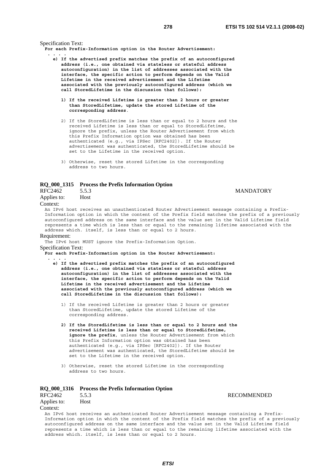**MANDATORY** 

Specification Text:

**For each Prefix-Information option in the Router Advertisement:** 

 **. . . .** 

- **e) If the advertised prefix matches the prefix of an autoconfigured address (i.e., one obtained via stateless or stateful address autoconfiguration) in the list of addresses associated with the interface, the specific action to perform depends on the Valid Lifetime in the received advertisement and the Lifetime associated with the previously autoconfigured address (which we call StoredLifetime in the discussion that follows):** 
	- **1) If the received Lifetime is greater than 2 hours or greater than StoredLifetime, update the stored Lifetime of the corresponding address**.
	- 2) If the StoredLifetime is less than or equal to 2 hours and the received Lifetime is less than or equal to StoredLifetime, ignore the prefix, unless the Router Advertisement from which this Prefix Information option was obtained has been authenticated (e.g., via IPSec [RFC2402]). If the Router advertisement was authenticated, the StoredLifetime should be set to the Lifetime in the received option.
	- 3) Otherwise, reset the stored Lifetime in the corresponding address to two hours.

#### **RQ\_000\_1315 Process the Prefix Information Option**

| RFC2462 | 5.5.3 |
|---------|-------|
|         |       |

Applies to: Host

#### Context:

An IPv6 host receives an unauthenticated Router Advertisement message containing a Prefix-Information option in which the content of the Prefix field matches the prefix of a previously autoconfigured address on the same interface and the value set in the Valid Lifetime field represents a time which is less than or equal to the remaining lifetime associated with the address which. itself, is less than or equal to 2 hours.

#### Requirement:

The IPv6 host MUST ignore the Prefix-Information Option.

Specification Text:

**For each Prefix-Information option in the Router Advertisement: . . . .** 

- **e) If the advertised prefix matches the prefix of an autoconfigured address (i.e., one obtained via stateless or stateful address autoconfiguration) in the list of addresses associated with the interface, the specific action to perform depends on the Valid Lifetime in the received advertisement and the Lifetime associated with the previously autoconfigured address (which we call StoredLifetime in the discussion that follows):**
	- 1) If the received Lifetime is greater than 2 hours or greater than StoredLifetime, update the stored Lifetime of the corresponding address.
	- **2) If the StoredLifetime is less than or equal to 2 hours and the received Lifetime is less than or equal to StoredLifetime, ignore the prefix**, unless the Router Advertisement from which this Prefix Information option was obtained has been authenticated (e.g., via IPSec [RFC2402]). If the Router advertisement was authenticated, the StoredLifetime should be set to the Lifetime in the received option.
	- 3) Otherwise, reset the stored Lifetime in the corresponding address to two hours.

# **RQ\_000\_1316 Process the Prefix Information Option**  RFC2462 5.5.3 RECOMMENDED Applies to: Host Context:

An IPv6 host receives an authenticated Router Advertisement message containing a Prefix-Information option in which the content of the Prefix field matches the prefix of a previously autoconfigured address on the same interface and the value set in the Valid Lifetime field represents a time which is less than or equal to the remaining lifetime associated with the address which. itself, is less than or equal to 2 hours.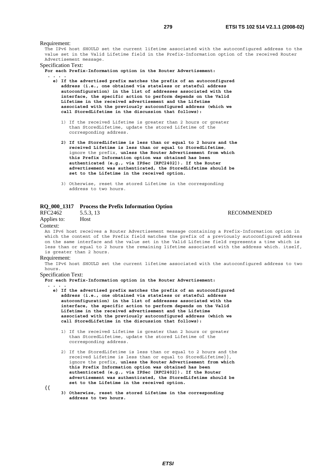Requirement: The IPv6 host SHOULD set the current lifetime associated with the autoconfigured address to the value set in the Valid Lifetime field in the Prefix-Information option of the received Router Advertisement message. Specification Text: **For each Prefix-Information option in the Router Advertisement: . . . . e) If the advertised prefix matches the prefix of an autoconfigured address (i.e., one obtained via stateless or stateful address autoconfiguration) in the list of addresses associated with the interface, the specific action to perform depends on the Valid Lifetime in the received advertisement and the Lifetime associated with the previously autoconfigured address (which we call StoredLifetime in the discussion that follows):** 1) If the received Lifetime is greater than 2 hours or greater than StoredLifetime, update the stored Lifetime of the corresponding address.  **2) If the StoredLifetime is less than or equal to 2 hours and the received Lifetime is less than or equal to StoredLifetime**, ignore the prefix, **unless the Router Advertisement from which this Prefix Information option was obtained has been authenticated (e.g., via IPSec [RFC2402]). If the Router advertisement was authenticated, the StoredLifetime should be set to the Lifetime in the received option.**

 3) Otherwise, reset the stored Lifetime in the corresponding address to two hours.

# **RQ\_000\_1317 Process the Prefix Information Option**

Applies to: Host Context:

**RECOMMENDED** 

# An IPv6 host receives a Router Advertisement message containing a Prefix-Information option in

which the content of the Prefix field matches the prefix of a previously autoconfigured address on the same interface and the value set in the Valid Lifetime field represents a time which is less than or equal to 2 hours the remaining lifetime associated with the address which. itself, is greater than 2 hours.

#### Requirement:

The IPv6 host SHOULD set the current lifetime associated with the autoconfigured address to two hours.

# Specification Text:

**For each Prefix-Information option in the Router Advertisement:** 

- **. . . .**
- **e) If the advertised prefix matches the prefix of an autoconfigured address (i.e., one obtained via stateless or stateful address autoconfiguration) in the list of addresses associated with the interface, the specific action to perform depends on the Valid Lifetime in the received advertisement and the Lifetime associated with the previously autoconfigured address (which we call StoredLifetime in the discussion that follows):**
	- 1) If the received Lifetime is greater than 2 hours or greater than StoredLifetime, update the stored Lifetime of the corresponding address.
	- 2) If the StoredLifetime is less than or equal to 2 hours and the received Lifetime is less than or equal to StoredLifetime}}, ignore the prefix, **unless the Router Advertisement from which this Prefix Information option was obtained has been authenticated (e.g., via IPSec [RFC2402]). If the Router advertisement was authenticated, the StoredLifetime should be set to the Lifetime in the received option.**

**{{** 

 **3) Otherwise, reset the stored Lifetime in the corresponding address to two hours.**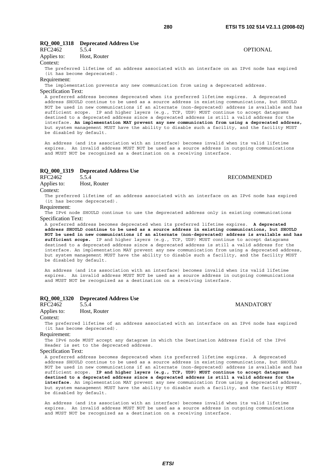## **RQ\_000\_1318 Deprecated Address Use**

| RFC2462 | J.J.4 | <b>OPTIONAL</b> |
|---------|-------|-----------------|
|         |       |                 |

Applies to: Host, Router

#### Context:

The preferred lifetime of an address associated with an interface on an IPv6 node has expired (it has become deprecated).

### Requirement:

The implementation prevents any new communication from using a deprecated address. Specification Text:

A preferred address becomes deprecated when its preferred lifetime expires. A deprecated address SHOULD continue to be used as a source address in existing communications, but SHOULD NOT be used in new communications if an alternate (non-deprecated) address is available and has sufficient scope. IP and higher layers (e.g., TCP, UDP) MUST continue to accept datagrams destined to a deprecated address since a deprecated address is still a valid address for the interface. **An implementation MAY prevent any new communication from using a deprecated address,**  but system management MUST have the ability to disable such a facility, and the facility MUST be disabled by default.

An address (and its association with an interface) becomes invalid when its valid lifetime expires. An invalid address MUST NOT be used as a source address in outgoing communications and MUST NOT be recognized as a destination on a receiving interface.

# **RQ\_000\_1319 Deprecated Address Use**

Applies to: Host, Router

RFC2462 5.5.4 RECOMMENDED

Context:

The preferred lifetime of an address associated with an interface on an IPv6 node has expired (it has become deprecated).

#### Requirement:

The IPv6 node SHOULD continue to use the deprecated address only in existing communications Specification Text:

A preferred address becomes deprecated when its preferred lifetime expires. **A deprecated address SHOULD continue to be used as a source address in existing communications, but SHOULD NOT be used in new communications if an alternate (non-deprecated) address is available and has sufficient scope.** IP and higher layers (e.g., TCP, UDP) MUST continue to accept datagrams destined to a deprecated address since a deprecated address is still a valid address for the interface. An implementation MAY prevent any new communication from using a deprecated address, but system management MUST have the ability to disable such a facility, and the facility MUST be disabled by default.

An address (and its association with an interface) becomes invalid when its valid lifetime expires. An invalid address MUST NOT be used as a source address in outgoing communications and MUST NOT be recognized as a destination on a receiving interface.

### **RQ\_000\_1320 Deprecated Address Use**

RFC2462 5.5.4 MANDATORY

Applies to: Host, Router

Context:

The preferred lifetime of an address associated with an interface on an IPv6 node has expired (it has become deprecated).

#### Requirement:

The IPv6 node MUST accept any datagram in which the Destination Address field of the IPv6 Header is set to the deprecated address.

# Specification Text:

A preferred address becomes deprecated when its preferred lifetime expires. A deprecated address SHOULD continue to be used as a source address in existing communications, but SHOULD NOT be used in new communications if an alternate (non-deprecated) address is available and has sufficient scope. **IP and higher layers (e.g., TCP, UDP) MUST continue to accept datagrams destined to a deprecated address since a deprecated address is still a valid address for the interface**. An implementation MAY prevent any new communication from using a deprecated address, but system management MUST have the ability to disable such a facility, and the facility MUST be disabled by default.

An address (and its association with an interface) becomes invalid when its valid lifetime expires. An invalid address MUST NOT be used as a source address in outgoing communications and MUST NOT be recognized as a destination on a receiving interface.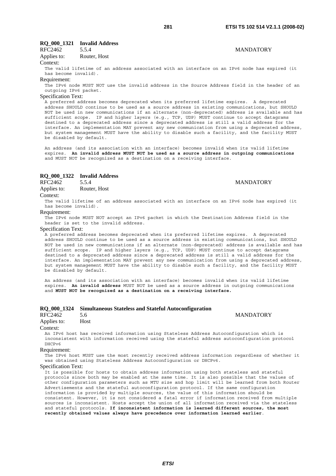# RFC2462 5.5.4 MANDATORY

Applies to: Router, Host

# Context:

The valid lifetime of an address associated with an interface on an IPv6 node has expired (it has become invalid).

### Requirement:

The IPv6 node MUST NOT use the invalid address in the Source Address field in the header of an outgoing IPv6 packet.

### Specification Text:

A preferred address becomes deprecated when its preferred lifetime expires. A deprecated address SHOULD continue to be used as a source address in existing communications, but SHOULD NOT be used in new communications if an alternate (non-deprecated) address is available and has sufficient scope. IP and higher layers (e.g., TCP, UDP) MUST continue to accept datagrams destined to a deprecated address since a deprecated address is still a valid address for the interface. An implementation MAY prevent any new communication from using a deprecated address, but system management MUST have the ability to disable such a facility, and the facility MUST be disabled by default.

An address (and its association with an interface) becomes invalid when its valid lifetime expires. **An invalid address MUST NOT be used as a source address in outgoing communications**  and MUST NOT be recognized as a destination on a receiving interface.

# **RQ\_000\_1322 Invalid Address**

# RFC2462 5.5.4 MANDATORY

Applies to: Router, Host

#### Context:

The valid lifetime of an address associated with an interface on an IPv6 node has expired (it has become invalid).

#### Requirement:

The IPv6 node MUST NOT accept an IPv6 packet in which the Destination Address field in the header is set to the invalid address.

#### Specification Text:

A preferred address becomes deprecated when its preferred lifetime expires. A deprecated address SHOULD continue to be used as a source address in existing communications, but SHOULD NOT be used in new communications if an alternate (non-deprecated) address is available and has sufficient scope. IP and higher layers (e.g., TCP, UDP) MUST continue to accept datagrams destined to a deprecated address since a deprecated address is still a valid address for the interface. An implementation MAY prevent any new communication from using a deprecated address, but system management MUST have the ability to disable such a facility, and the facility MUST be disabled by default.

An address (and its association with an interface) becomes invalid when its valid lifetime expires. **An invalid address** MUST NOT be used as a source address in outgoing communications and **MUST NOT be recognized as a destination on a receiving interface.**

|  | RQ_000_1324 Simultaneous Stateless and Stateful Autoconfiguration |
|--|-------------------------------------------------------------------|
|  |                                                                   |

## RFC2462 5.6 MANDATORY

# Applies to: Host

#### Context:

An IPv6 host has received information using Stateless Address Autoconfiguration which is inconsistent with information received using the stateful address autoconfiguration protocol DHCPv6

# Requirement:

The IPv6 host MUST use the most recently received address information regardless of whether it was obtained using Stateless Address Autoconfiguration or DHCPv6.

#### Specification Text:

It is possible for hosts to obtain address information using both stateless and stateful protocols since both may be enabled at the same time. It is also possible that the values of other configuration parameters such as MTU size and hop limit will be learned from both Router Advertisements and the stateful autoconfiguration protocol. If the same configuration information is provided by multiple sources, the value of this information should be consistent. However, it is not considered a fatal error if information received from multiple sources is inconsistent. Hosts accept the union of all information received via the stateless and stateful protocols. **If inconsistent information is learned different sources, the most recently obtained values always have precedence over information learned earlier**.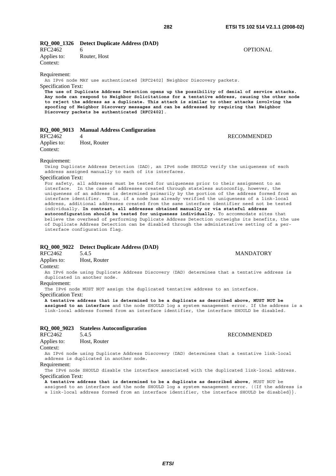# **RQ\_000\_1326 Detect Duplicate Address (DAD)**

Context:

Requirement:

An IPv6 node MAY use authenticated [RFC2402] Neighbor Discovery packets.

# Specification Text:

**The use of Duplicate Address Detection opens up the possibility of denial of service attacks. Any node can respond to Neighbor Solicitations for a tentative address, causing the other node to reject the address as a duplicate. This attack is similar to other attacks involving the spoofing of Neighbor Discovery messages and can be addressed by requiring that Neighbor Discovery packets be authenticated [RFC2402]**.

### **RQ\_000\_9013 Manual Address Configuration**

Applies to: Host, Router Context:

#### Requirement:

Using Duplicate Address Detection (DAD), an IPv6 node SHOULD verify the uniqueness of each address assigned manually to each of its interfaces.

# Specification Text:

For safety, all addresses must be tested for uniqueness prior to their assignment to an interface. In the case of addresses created through stateless autoconfig, however, the uniqueness of an address is determined primarily by the portion of the address formed from an interface identifier. Thus, if a node has already verified the uniqueness of a link-local address, additional addresses created from the same interface identifier need not be tested individually. **In contrast, all addresses obtained manually or via stateful address autoconfiguration should be tested for uniqueness individually.** To accommodate sites that believe the overhead of performing Duplicate Address Detection outweighs its benefits, the use of Duplicate Address Detection can be disabled through the administrative setting of a perinterface configuration flag.

## **RQ\_000\_9022 Detect Duplicate Address (DAD)**

RFC2462 5.4.5 MANDATORY

Applies to: Host, Router

Context:

An IPv6 node using Duplicate Address Discovery (DAD) determines that a tentative address is duplicated in another node.

#### Requirement:

The IPv6 node MUST NOT assign the duplicated tentative address to an interface. Specification Text:

**A tentative address that is determined to be a duplicate as described above, MUST NOT be** 

**assigned to an interface** and the node SHOULD log a system management error. If the address is a link-local address formed from an interface identifier, the interface SHOULD be disabled.

# **RQ\_000\_9023 Stateless Autoconfiguration**

#### RFC2462 5.4.5 RECOMMENDED

Applies to: Host, Router

Context:

An IPv6 node using Duplicate Address Discovery (DAD) determines that a tentative link-local address is duplicated in another node.

Requirement:

The IPv6 node SHOULD disable the interface associated with the duplicated link-local address. Specification Text:

**A tentative address that is determined to be a duplicate as described above**, MUST NOT be assigned to an interface and the node SHOULD log a system management error. ((If the address is a link-local address formed from an interface identifier, the interface SHOULD be disabled}}.

RFC2462 4 RECOMMENDED

RFC2462 6 OPTIONAL Applies to: Router, Host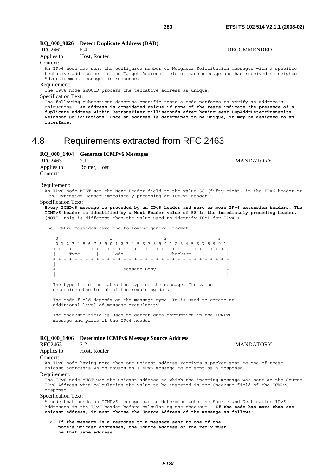**MANDATORY** 

| RFC2462                    | 5.4                                                           | <b>RECOMMENDED</b>                                                                                                                                                                      |
|----------------------------|---------------------------------------------------------------|-----------------------------------------------------------------------------------------------------------------------------------------------------------------------------------------|
| Applies to:                | Host, Router                                                  |                                                                                                                                                                                         |
| Context:                   |                                                               |                                                                                                                                                                                         |
|                            |                                                               | An IPv6 node has sent the configured number of Neighbor Solicitation messages with a specific                                                                                           |
|                            |                                                               | tentative address set in the Target Address field of each message and has received no neighbor                                                                                          |
|                            | Advertisement messages in response.                           |                                                                                                                                                                                         |
| Requirement:               |                                                               |                                                                                                                                                                                         |
|                            | The IPv6 node SHOULD process the tentative address as unique. |                                                                                                                                                                                         |
| <b>Specification Text:</b> |                                                               |                                                                                                                                                                                         |
|                            |                                                               | The following subsections describe specific tests a node performs to verify an address's<br>uniqueness. An address is considered unique if none of the tests indicate the presence of a |
|                            |                                                               | duplicate address within RetransTimer milliseconds after having sent DupAddrDetectTransmits                                                                                             |
|                            |                                                               | Neighbor Solicitations. Once an address is determined to be unique, it may be assigned to an                                                                                            |
| interface.                 |                                                               |                                                                                                                                                                                         |

# 4.8 Requirements extracted from RFC 2463

# **RQ\_000\_1404 Generate ICMPv6 Messages**

**RQ\_000\_9026 Detect Duplicate Address (DAD)** 

| RFC2463     | 2.1          |
|-------------|--------------|
| Applies to: | Router, Host |
| Context:    |              |

#### Requirement:

An IPv6 node MUST set the Next Header field to the value 58 (fifty-eight) in the IPv6 header or IPv6 Extension Header immediately preceding an ICMPv6 header

#### Specification Text:

**Every ICMPv6 message is preceded by an IPv6 header and zero or more IPv6 extension headers. The ICMPv6 header is identified by a Next Header value of 58 in the immediately preceding header.** (NOTE: this is different than the value used to identify ICMP for IPv4.)

The ICMPv6 messages have the following general format:

|      |      | 0 1 2 3 4 5 6 7 8 9 0 1 2 3 4 5 6 7 8 9 0 1 2 3 4 5 6 7 8 9 0 1 |  |
|------|------|-----------------------------------------------------------------|--|
|      |      |                                                                 |  |
| Type | Code | Checksum                                                        |  |
|      |      |                                                                 |  |
|      |      |                                                                 |  |
|      |      | Message Body                                                    |  |
|      |      |                                                                 |  |

 The type field indicates the type of the message. Its value determines the format of the remaining data.

 The code field depends on the message type. It is used to create an additional level of message granularity.

 The checksum field is used to detect data corruption in the ICMPv6 message and parts of the IPv6 header.

#### **RQ\_000\_1406 Determine ICMPv6 Message Source Address**

# RFC2463 2.2 MANDATORY

|  | Applies to: | Host, Router |
|--|-------------|--------------|
|--|-------------|--------------|

### Context:

An IPv6 node having more than one unicast address receives a packet sent to one of these unicast addresses which causes an ICMPv6 message to be sent as a response.

## Requirement:

The IPv6 node MUST use the unicast address to which the incoming message was sent as the Source IPv6 Address when calculating the value to be inserted in the Checksum field of the ICMPv6 response.

#### Specification Text:

A node that sends an ICMPv6 message has to determine both the Source and Destination IPv6 Addresses in the IPv6 header before calculating the checksum. **If the node has more than one unicast address, it must choose the Source Address of the message as follows:** 

 (a) **If the message is a response to a message sent to one of the node's unicast addresses, the Source Address of the reply must be that same address.**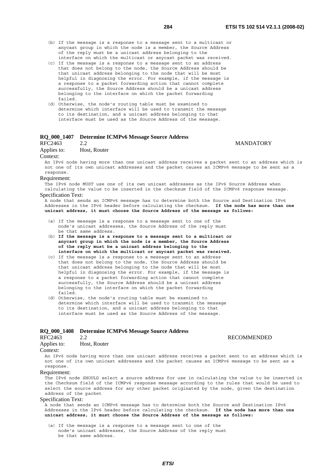- (b) If the message is a response to a message sent to a multicast or anycast group in which the node is a member, the Source Address of the reply must be a unicast address belonging to the
- interface on which the multicast or anycast packet was received. (c) If the message is a response to a message sent to an address that does not belong to the node, the Source Address should be that unicast address belonging to the node that will be most helpful in diagnosing the error. For example, if the message is a response to a packet forwarding action that cannot complete successfully, the Source Address should be a unicast address belonging to the interface on which the packet forwarding failed.
- (d) Otherwise, the node's routing table must be examined to determine which interface will be used to transmit the message to its destination, and a unicast address belonging to that interface must be used as the Source Address of the message.

# **RQ\_000\_1407 Determine ICMPv6 Message Source Address**

RFC2463 2.2 MANDATORY

Applies to: Host, Router

### Context:

An IPv6 node having more than one unicast address receives a packet sent to an address which is not one of its own unicast addresses and the packet causes an ICMPv6 message to be sent as a response.

### Requirement:

The IPv6 node MUST use one of its own unicast addresses as the IPv6 Source Address when calculating the value to be inserted in the checksum field of the ICMPv6 response message.

# Specification Text:

A node that sends an ICMPv6 message has to determine both the Source and Destination IPv6 Addresses in the IPv6 header before calculating the checksum. **If the node has more than one unicast address, it must choose the Source Address of the message as follows:** 

- (a) If the message is a response to a message sent to one of the node's unicast addresses, the Source Address of the reply must be that same address.
- (b) **If the message is a response to a message sent to a multicast or anycast group in which the node is a member, the Source Address of the reply must be a unicast address belonging to the interface on which the multicast or anycast packet was received.**
- (c) If the message is a response to a message sent to an address that does not belong to the node, the Source Address should be that unicast address belonging to the node that will be most helpful in diagnosing the error. For example, if the message is a response to a packet forwarding action that cannot complete successfully, the Source Address should be a unicast address belonging to the interface on which the packet forwarding failed.
- (d) Otherwise, the node's routing table must be examined to determine which interface will be used to transmit the message to its destination, and a unicast address belonging to that interface must be used as the Source Address of the message.

# **RQ\_000\_1408 Determine ICMPv6 Message Source Address**

### 2.2 RECOMMENDED

Applies to: Host, Router

#### Context:

An IPv6 node having more than one unicast address receives a packet sent to an address which is not one of its own unicast addresses and the packet causes an ICMPv6 message to be sent as a response.

#### Requirement:

The IPv6 node SHOULD select a source address for use in calculating the value to be inserted in the Checksum field of the ICMPv6 response message according to the rules that would be used to select the source address for any other packet originated by the node, given the destination address of the packet

#### Specification Text:

A node that sends an ICMPv6 message has to determine both the Source and Destination IPv6 Addresses in the IPv6 header before calculating the checksum. **If the node has more than one unicast address, it must choose the Source Address of the message as follows:** 

 (a) If the message is a response to a message sent to one of the node's unicast addresses, the Source Address of the reply must be that same address.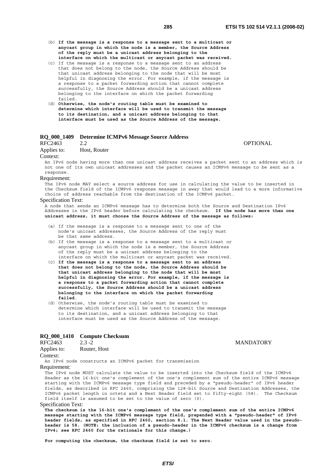- (b) **If the message is a response to a message sent to a multicast or anycast group in which the node is a member, the Source Address of the reply must be a unicast address belonging to the interface on which the multicast or anycast packet was received.**
- (c) If the message is a response to a message sent to an address that does not belong to the node, the Source Address should be that unicast address belonging to the node that will be most helpful in diagnosing the error. For example, if the message is a response to a packet forwarding action that cannot complete successfully, the Source Address should be a unicast address belonging to the interface on which the packet forwarding failed.
- (d) **Otherwise, the node's routing table must be examined to determine which interface will be used to transmit the message to its destination, and a unicast address belonging to that interface must be used as the Source Address of the message.**

# **RQ\_000\_1409 Determine ICMPv6 Message Source Address**

RFC2463 2.2 OPTIONAL

Applies to: Host, Router

Context:

An IPv6 node having more than one unicast address receives a packet sent to an address which is not one of its own unicast addresses and the packet causes an ICMPv6 message to be sent as a response.

#### Requirement:

The IPv6 node MAY select a source address for use in calculating the value to be inserted in the Checksum field of the ICMPv6 response message in away that would lead to a more informative choice of address reachable from the destination of the ICMPv6 packet.

#### Specification Text:

A node that sends an ICMPv6 message has to determine both the Source and Destination IPv6 Addresses in the IPv6 header before calculating the checksum. **If the node has more than one unicast address, it must choose the Source Address of the message as follows:** 

- (a) If the message is a response to a message sent to one of the node's unicast addresses, the Source Address of the reply must be that same address.
- (b) If the message is a response to a message sent to a multicast or anycast group in which the node is a member, the Source Address of the reply must be a unicast address belonging to the interface on which the multicast or anycast packet was received.
- (c) **If the message is a response to a message sent to an address that does not belong to the node, the Source Address should be that unicast address belonging to the node that will be most helpful in diagnosing the error. For example, if the message is a response to a packet forwarding action that cannot complete successfully, the Source Address should be a unicast address belonging to the interface on which the packet forwarding failed**.
- (d) Otherwise, the node's routing table must be examined to determine which interface will be used to transmit the message to its destination, and a unicast address belonging to that interface must be used as the Source Address of the message.

### **RQ\_000\_1410 Compute Checksum**

| RFC2463<br>$2.3 - 2$ |  |
|----------------------|--|

| Applies to: | Router, Host |
|-------------|--------------|
|-------------|--------------|

Context:

An IPv6 node constructs an ICMPv6 packet for transmission

#### Requirement:

The IPv6 node MUST calculate the value to be inserted into the Checksum field of the ICMPv6 Header as the 16-bit one's complement of the one's complement sum of the entire ICMPv6 message starting with the ICMPv6 message type field and preceded by a "pseudo-header" of IPv6 header fields, as described in RFC 2460, comprising the 128-bit Source and Destination Addresses, the ICMPv6 packet length in octets and a Next Header field set to fifty-eight (58). The Checksum field itself is assumed to be set to the value of zero (0).

Specification Text:

**The checksum is the 16-bit one's complement of the one's complement sum of the entire ICMPv6 message starting with the ICMPv6 message type field, prepended with a "pseudo-header" of IPv6 header fields, as specified in RFC 2460, section 8.1. The Next Header value used in the pseudoheader is 58. (NOTE: the inclusion of a pseudo-header in the ICMPv6 checksum is a change from IPv4; see RFC 2460 for the rationale for this change.)** 

**For computing the checksum, the checksum field is set to zero**.

**MANDATORY**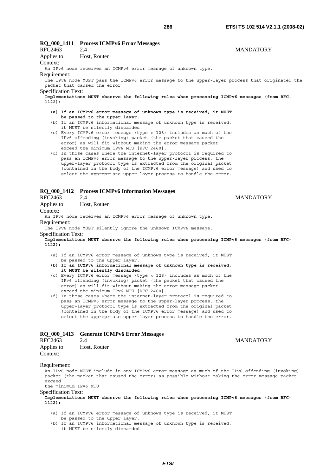# **RQ\_000\_1411 Process ICMPv6 Error Messages**  RFC2463 2.4 MANDATORY Applies to: Host, Router Context: An IPv6 node receives an ICMPv6 error message of unknown type. Requirement: The IPv6 node MUST pass the ICMPv6 error message to the upper-layer process that originated the packet that caused the error Specification Text: **Implementations MUST observe the following rules when processing ICMPv6 messages (from RFC-1122): (a) If an ICMPv6 error message of unknown type is received, it MUST be passed to the upper layer.** (b) If an ICMPv6 informational message of unknown type is received, it MUST be silently discarded. (c) Every ICMPv6 error message (type < 128) includes as much of the IPv6 offending (invoking) packet (the packet that caused the

- error) as will fit without making the error message packet exceed the minimum IPv6 MTU [RFC 2460]. (d) In those cases where the internet-layer protocol is required to
- pass an ICMPv6 error message to the upper-layer process, the upper-layer protocol type is extracted from the original packet (contained in the body of the ICMPv6 error message) and used to select the appropriate upper-layer process to handle the error.

# **RQ\_000\_1412 Process ICMPv6 Information Messages**

Applies to: Host, Router

### Context:

An IPv6 node receives an ICMPv6 error message of unknown type. Requirement:

The IPv6 node MUST silently ignore the unknown ICMPv6 message.

# Specification Text:

**Implementations MUST observe the following rules when processing ICMPv6 messages (from RFC-1122):**

- (a) If an ICMPv6 error message of unknown type is received, it MUST be passed to the upper layer.
- **(b) If an ICMPv6 informational message of unknown type is received, it MUST be silently discarded**.
- (c) Every ICMPv6 error message (type < 128) includes as much of the IPv6 offending (invoking) packet (the packet that caused the error) as will fit without making the error message packet exceed the minimum IPv6 MTU [RFC 2460].
- (d) In those cases where the internet-layer protocol is required to pass an ICMPv6 error message to the upper-layer process, the upper-layer protocol type is extracted from the original packet (contained in the body of the ICMPv6 error message) and used to select the appropriate upper-layer process to handle the error.

# **RQ\_000\_1413 Generate ICMPv6 Error Messages**

| RFC2463     | 2.4          |
|-------------|--------------|
| Applies to: | Host, Router |
| Context:    |              |

# Requirement:

An IPv6 node MUST include in any ICMPv6 error message as much of the IPv6 offending (invoking) packet (the packet that caused the error) as possible without making the error message packet exceed

the minimum IPv6 MTU

# Specification Text:

**Implementations MUST observe the following rules when processing ICMPv6 messages (from RFC-1122):**

- (a) If an ICMPv6 error message of unknown type is received, it MUST
- be passed to the upper layer.
- (b) If an ICMPv6 informational message of unknown type is received, it MUST be silently discarded.

## RFC2463 2.4 MANDATORY

**MANDATORY**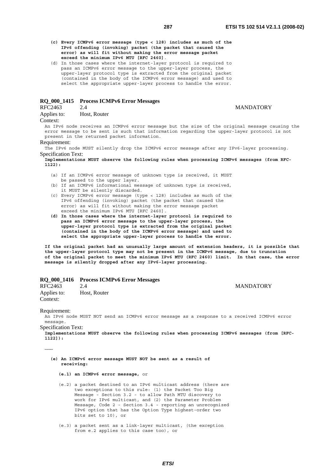- 
- **(c) Every ICMPv6 error message (type < 128) includes as much of the IPv6 offending (invoking) packet (the packet that caused the error) as will fit without making the error message packet exceed the minimum IPv6 MTU [RFC 2460]**.
- (d) In those cases where the internet-layer protocol is required to pass an ICMPv6 error message to the upper-layer process, the upper-layer protocol type is extracted from the original packet (contained in the body of the ICMPv6 error message) and used to select the appropriate upper-layer process to handle the error.

# **RQ\_000\_1415 Process ICMPv6 Error Messages**

Applies to: Host, Router

# 2.4 MANDATORY

### Context:

An IPv6 node receives an ICMPv6 error message but the size of the original message causing the error message to be sent is such that information regarding the upper-layer protocol is not present in the returned packet information.

# Requirement:

The IPv6 node MUST silently drop the ICMPv6 error message after any IPv6-layer processing. Specification Text:

**Implementations MUST observe the following rules when processing ICMPv6 messages (from RFC-1122):**

- (a) If an ICMPv6 error message of unknown type is received, it MUST be passed to the upper layer.
- (b) If an ICMPv6 informational message of unknown type is received, it MUST be silently discarded.
- (c) Every ICMPv6 error message (type < 128) includes as much of the IPv6 offending (invoking) packet (the packet that caused the error) as will fit without making the error message packet exceed the minimum IPv6 MTU [RFC 2460].
- **(d) In those cases where the internet-layer protocol is required to pass an ICMPv6 error message to the upper-layer process, the upper-layer protocol type is extracted from the original packet (contained in the body of the ICMPv6 error message) and used to select the appropriate upper-layer process to handle the error.**

**If the original packet had an unusually large amount of extension headers, it is possible that the upper-layer protocol type may not be present in the ICMPv6 message, due to truncation of the original packet to meet the minimum IPv6 MTU (RFC 2460) limit. In that case, the error message is silently dropped after any IPv6-layer processing.**

# **RQ\_000\_1416 Process ICMPv6 Error Messages**

| RFC2463                 | 2.4          | <b>MANDATORY</b> |
|-------------------------|--------------|------------------|
| Applies to:<br>Context: | Host, Router |                  |
|                         |              |                  |

Requirement:

**………** 

An IPv6 node MUST NOT send an ICMPv6 error message as a response to a received ICMPv6 error message.

Specification Text:

**Implementations MUST observe the following rules when processing ICMPv6 messages (from [RFC-1122]):** 

 **(e) An ICMPv6 error message MUST NOT be sent as a result of receiving:** 

 **(e.1) an ICMPv6 error message,** or

- (e.2) a packet destined to an IPv6 multicast address (there are two exceptions to this rule: (1) the Packet Too Big Message - Section 3.2 - to allow Path MTU discovery to work for IPv6 multicast, and (2) the Parameter Problem Message, Code 2 - Section 3.4 - reporting an unrecognized IPv6 option that has the Option Type highest-order two bits set to 10), or
- (e.3) a packet sent as a link-layer multicast, (the exception from e.2 applies to this case too), or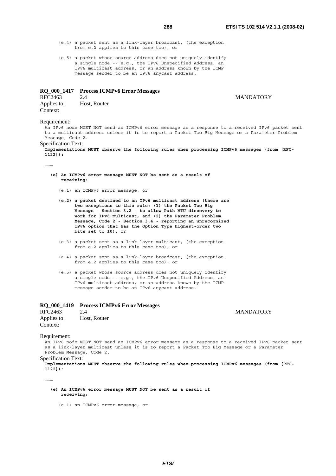- (e.4) a packet sent as a link-layer broadcast, (the exception from e.2 applies to this case too), or
- (e.5) a packet whose source address does not uniquely identify a single node -- e.g., the IPv6 Unspecified Address, an IPv6 multicast address, or an address known by the ICMP message sender to be an IPv6 anycast address.

# **RQ\_000\_1417 Process ICMPv6 Error Messages**

RFC2463 2.4 MANDATORY<br>Applies to: Host, Router Host, Router Context:

Requirement:

**………** 

An IPv6 node MUST NOT send an ICMPv6 error message as a response to a received IPv6 packet sent to a multicast address unless it is to report a Packet Too Big Message or a Parameter Problem Message, Code 2.

#### Specification Text:

**Implementations MUST observe the following rules when processing ICMPv6 messages (from [RFC-1122]):** 

- **(e) An ICMPv6 error message MUST NOT be sent as a result of receiving:**
	- (e.1) an ICMPv6 error message, or
	- **(e.2) a packet destined to an IPv6 multicast address (there are two exceptions to this rule: (1) the Packet Too Big Message - Section 3.2 - to allow Path MTU discovery to work for IPv6 multicast, and (2) the Parameter Problem Message, Code 2 - Section 3.4 - reporting an unrecognized IPv6 option that has the Option Type highest-order two bits set to 10)**, or
	- (e.3) a packet sent as a link-layer multicast, (the exception from e.2 applies to this case too), or
	- (e.4) a packet sent as a link-layer broadcast, (the exception from e.2 applies to this case too), or
	- (e.5) a packet whose source address does not uniquely identify a single node -- e.g., the IPv6 Unspecified Address, an IPv6 multicast address, or an address known by the ICMP message sender to be an IPv6 anycast address.

# **RQ\_000\_1419 Process ICMPv6 Error Messages**

RFC2463 2.4 MANDATORY Applies to: Host, Router Context:

Requirement:

An IPv6 node MUST NOT send an ICMPv6 error message as a response to a received IPv6 packet sent as a link-layer multicast unless it is to report a Packet Too Big Message or a Parameter Problem Message, Code 2.

Specification Text:

**Implementations MUST observe the following rules when processing ICMPv6 messages (from [RFC-1122]):** 

**………** 

 **(e) An ICMPv6 error message MUST NOT be sent as a result of receiving:**

(e.1) an ICMPv6 error message, or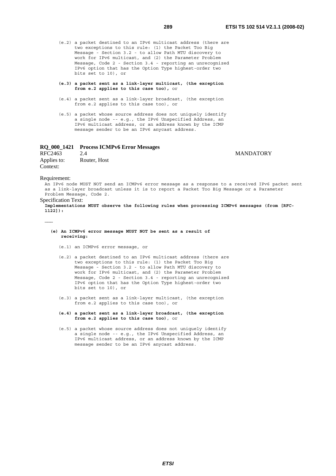- (e.2) a packet destined to an IPv6 multicast address (there are two exceptions to this rule: (1) the Packet Too Big Message - Section 3.2 - to allow Path MTU discovery to work for IPv6 multicast, and (2) the Parameter Problem Message, Code 2 - Section 3.4 - reporting an unrecognized IPv6 option that has the Option Type highest-order two bits set to 10), or
- **(e.3) a packet sent as a link-layer multicast, (the exception from e.2 applies to this case too),** or
- (e.4) a packet sent as a link-layer broadcast, (the exception from e.2 applies to this case too), or
- (e.5) a packet whose source address does not uniquely identify a single node -- e.g., the IPv6 Unspecified Address, an IPv6 multicast address, or an address known by the ICMP message sender to be an IPv6 anycast address.

# **RQ\_000\_1421 Process ICMPv6 Error Messages**

RFC2463 2.4 MANDATORY Applies to: Router, Host Context:

#### Requirement:

**………** 

An IPv6 node MUST NOT send an ICMPv6 error message as a response to a received IPv6 packet sent as a link-layer broadcast unless it is to report a Packet Too Big Message or a Parameter Problem Message, Code 2.

# Specification Text:

**Implementations MUST observe the following rules when processing ICMPv6 messages (from [RFC-1122]):** 

- **(e) An ICMPv6 error message MUST NOT be sent as a result of receiving:**
	- (e.1) an ICMPv6 error message, or
	- (e.2) a packet destined to an IPv6 multicast address (there are two exceptions to this rule: (1) the Packet Too Big Message - Section 3.2 - to allow Path MTU discovery to work for IPv6 multicast, and (2) the Parameter Problem Message, Code 2 - Section 3.4 - reporting an unrecognized IPv6 option that has the Option Type highest-order two bits set to 10), or
	- (e.3) a packet sent as a link-layer multicast, (the exception from e.2 applies to this case too), or
	- **(e.4) a packet sent as a link-layer broadcast, (the exception from e.2 applies to this case too)**, or
- (e.5) a packet whose source address does not uniquely identify a single node -- e.g., the IPv6 Unspecified Address, an IPv6 multicast address, or an address known by the ICMP message sender to be an IPv6 anycast address.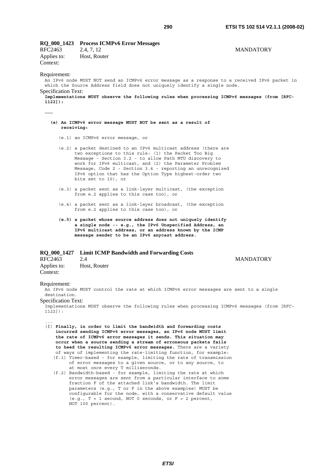# **RQ\_000\_1423 Process ICMPv6 Error Messages**

RFC2463 2.4, 7, 12 MANDATORY Applies to: Host, Router Context:

# Requirement:

**………** 

An IPv6 node MUST NOT send an ICMPv6 error message as a response to a received IPv6 packet in which the Source Address field does not uniquely identify a single node. Specification Text:

**Implementations MUST observe the following rules when processing ICMPv6 messages (from [RFC-1122]):** 

- **(e) An ICMPv6 error message MUST NOT be sent as a result of receiving:**
	- (e.1) an ICMPv6 error message, or
	- (e.2) a packet destined to an IPv6 multicast address (there are two exceptions to this rule: (1) the Packet Too Big Message - Section 3.2 - to allow Path MTU discovery to work for IPv6 multicast, and (2) the Parameter Problem Message, Code 2 - Section 3.4 - reporting an unrecognized IPv6 option that has the Option Type highest-order two bits set to 10), or
	- (e.3) a packet sent as a link-layer multicast, (the exception from e.2 applies to this case too), or
	- (e.4) a packet sent as a link-layer broadcast, (the exception from e.2 applies to this case too), or
	- **(e.5) a packet whose source address does not uniquely identify a single node -- e.g., the IPv6 Unspecified Address, an IPv6 multicast address, or an address known by the ICMP message sender to be an IPv6 anycast address.**

# **RQ\_000\_1427 Limit ICMP Bandwidth and Forwarding Costs**

RFC2463 2.4 MANDATORY Applies to: Host, Router Context:

#### Requirement:

...

An IPv6 node MUST control the rate at which ICMPv6 error messages are sent to a single destination.

Specification Text:

Implementations MUST observe the following rules when processing ICMPv6 messages (from [RFC-1122]):

- (f) **Finally, in order to limit the bandwidth and forwarding costs incurred sending ICMPv6 error messages, an IPv6 node MUST limit the rate of ICMPv6 error messages it sends. This situation may occur when a source sending a stream of erroneous packets fails to heed the resulting ICMPv6 error messages.** There are a variety of ways of implementing the rate-limiting function, for example:
	- (f.1) Timer-based for example, limiting the rate of transmission of error messages to a given source, or to any source, to at most once every T milliseconds.
	- (f.2) Bandwidth-based for example, limiting the rate at which error messages are sent from a particular interface to some fraction F of the attached link's bandwidth. The limit parameters (e.g., T or F in the above examples) MUST be configurable for the node, with a conservative default value (e.g.,  $T = 1$  second, NOT 0 seconds, or  $F = 2$  percent, NOT 100 percent).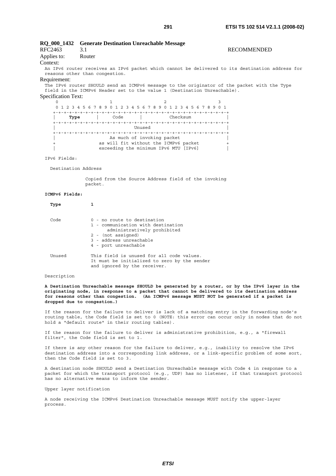# **RQ\_000\_1432 Generate Destination Unreachable Message**  RFC2463 3.1 RECOMMENDED Applies to: Router Context: An IPv6 router receives an IPv6 packet which cannot be delivered to its destination address for reasons other than congestion. Requirement: The IPv6 router SHOULD send an ICMPv6 message to the originator of the packet with the Type field in the ICMPv6 Header set to the value 1 (Destination Unreachable). Specification Text:  $0$  1 2 3 0 1 2 3 4 5 6 7 8 9 0 1 2 3 4 5 6 7 8 9 0 1 2 3 4 5 6 7 8 9 0 1 +-+-+-+-+-+-+-+-+-+-+-+-+-+-+-+-+-+-+-+-+-+-+-+-+-+-+-+-+-+-+-+-+ **| Type |** Code | Checksum | +-+-+-+-+-+-+-+-+-+-+-+-+-+-+-+-+-+-+-+-+-+-+-+-+-+-+-+-+-+-+-+-+ | Unused | +-+-+-+-+-+-+-+-+-+-+-+-+-+-+-+-+-+-+-+-+-+-+-+-+-+-+-+-+-+-+-+-+ As much of invoking packet as will fit without the ICMPv6 packet exceeding the minimum IPv6 MTU [IPv6] IPv6 Fields: Destination Address Copied from the Source Address field of the invoking packet. **ICMPv6 Fields: Type 1**

| Code   | 0 - no route to destination<br>1 - communication with destination<br>administratively prohibited                          |
|--------|---------------------------------------------------------------------------------------------------------------------------|
|        | 2 - (not assigned)<br>3 - address unreachable<br>4 - port unreachable                                                     |
| Unused | This field is unused for all code values.<br>It must be initialized to zero by the sender<br>and ignored by the receiver. |

# Description

**A Destination Unreachable message SHOULD be generated by a router, or by the IPv6 layer in the originating node, in response to a packet that cannot be delivered to its destination address for reasons other than congestion. (An ICMPv6 message MUST NOT be generated if a packet is dropped due to congestion.)**

If the reason for the failure to deliver is lack of a matching entry in the forwarding node's routing table, the Code field is set to 0 (NOTE: this error can occur only in nodes that do not hold a "default route" in their routing tables).

If the reason for the failure to deliver is administrative prohibition, e.g., a "firewall filter", the Code field is set to 1.

If there is any other reason for the failure to deliver, e.g., inability to resolve the IPv6 destination address into a corresponding link address, or a link-specific problem of some sort, then the Code field is set to 3.

A destination node SHOULD send a Destination Unreachable message with Code 4 in response to a packet for which the transport protocol (e.g., UDP) has no listener, if that transport protocol has no alternative means to inform the sender.

Upper layer notification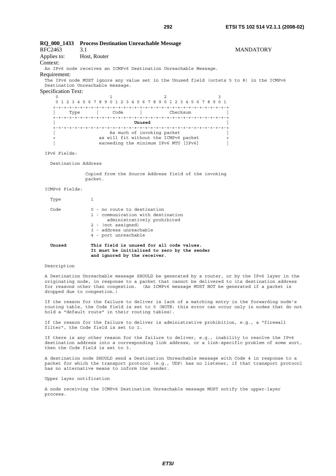| RFC2463<br>Applies to:<br>Context: | RQ_000_1433 Process Destination Unreachable Message<br>3.1<br>Host, Router                                                                                                                                                                                                                                                   | <b>MANDATORY</b> |  |  |  |  |
|------------------------------------|------------------------------------------------------------------------------------------------------------------------------------------------------------------------------------------------------------------------------------------------------------------------------------------------------------------------------|------------------|--|--|--|--|
|                                    | An IPv6 node receives an ICMPv6 Destination Unreachable Message.                                                                                                                                                                                                                                                             |                  |  |  |  |  |
| Requirement:                       |                                                                                                                                                                                                                                                                                                                              |                  |  |  |  |  |
|                                    | The IPv6 node MUST ignore any value set in the Unused field (octets 5 to 8) in the ICMPv6<br>Destination Unreachable message.                                                                                                                                                                                                |                  |  |  |  |  |
| Specification Text:                |                                                                                                                                                                                                                                                                                                                              |                  |  |  |  |  |
| Type                               | 1<br>2<br>3<br>0 1 2 3 4 5 6 7 8 9 0 1 2 3 4 5 6 7 8 9 0 1 2 3 4 5 6 7 8 9 0 1<br>Code l<br>Checksum                                                                                                                                                                                                                         |                  |  |  |  |  |
|                                    | Unused                                                                                                                                                                                                                                                                                                                       |                  |  |  |  |  |
|                                    | As much of invoking packet                                                                                                                                                                                                                                                                                                   |                  |  |  |  |  |
|                                    | as will fit without the ICMPv6 packet<br>$^{+}$                                                                                                                                                                                                                                                                              |                  |  |  |  |  |
|                                    | exceeding the minimum IPv6 MTU [IPv6]                                                                                                                                                                                                                                                                                        |                  |  |  |  |  |
| IPv6 Fields:                       |                                                                                                                                                                                                                                                                                                                              |                  |  |  |  |  |
| Destination Address                |                                                                                                                                                                                                                                                                                                                              |                  |  |  |  |  |
|                                    | Copied from the Source Address field of the invoking<br>packet.                                                                                                                                                                                                                                                              |                  |  |  |  |  |
| ICMPv6 Fields:                     |                                                                                                                                                                                                                                                                                                                              |                  |  |  |  |  |
| Type                               | 1                                                                                                                                                                                                                                                                                                                            |                  |  |  |  |  |
| Code                               | 0 - no route to destination<br>1 - communication with destination<br>administratively prohibited<br>2 - (not assigned)<br>3 - address unreachable<br>4 - port unreachable                                                                                                                                                    |                  |  |  |  |  |
| Unused                             | This field is unused for all code values.<br>It must be initialized to zero by the sender<br>and ignored by the receiver.                                                                                                                                                                                                    |                  |  |  |  |  |
| Description                        |                                                                                                                                                                                                                                                                                                                              |                  |  |  |  |  |
|                                    | A Destination Unreachable message SHOULD be generated by a router, or by the IPv6 layer in the<br>originating node, in response to a packet that cannot be delivered to its destination address<br>for reasons other than congestion. (An ICMPv6 message MUST NOT be generated if a packet is<br>dropped due to congestion.) |                  |  |  |  |  |

If the reason for the failure to deliver is lack of a matching entry in the forwarding node's routing table, the Code field is set to 0 (NOTE: this error can occur only in nodes that do not hold a "default route" in their routing tables).

If the reason for the failure to deliver is administrative prohibition, e.g., a "firewall filter", the Code field is set to 1.

If there is any other reason for the failure to deliver, e.g., inability to resolve the IPv6 destination address into a corresponding link address, or a link-specific problem of some sort, then the Code field is set to 3.

A destination node SHOULD send a Destination Unreachable message with Code 4 in response to a packet for which the transport protocol (e.g., UDP) has no listener, if that transport protocol has no alternative means to inform the sender.

Upper layer notification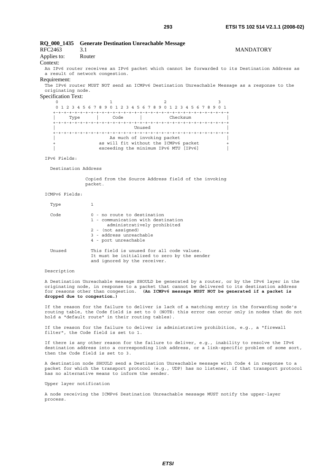# **RQ\_000\_1435 Generate Destination Unreachable Message**  RFC2463 3.1 MANDATORY Applies to: Router Context: An IPv6 router receives an IPv6 packet which cannot be forwarded to its Destination Address as a result of network congestion. Requirement: The IPv6 router MUST NOT send an ICMPv6 Destination Unreachable Message as a response to the originating node. Specification Text:  $0$  1 2 3 0 1 2 3 4 5 6 7 8 9 0 1 2 3 4 5 6 7 8 9 0 1 2 3 4 5 6 7 8 9 0 1 +-+-+-+-+-+-+-+-+-+-+-+-+-+-+-+-+-+-+-+-+-+-+-+-+-+-+-+-+-+-+-+-+ | Type | Code | Checksum | +-+-+-+-+-+-+-+-+-+-+-+-+-+-+-+-+-+-+-+-+-+-+-+-+-+-+-+-+-+-+-+-+ | Unused | +-+-+-+-+-+-+-+-+-+-+-+-+-+-+-+-+-+-+-+-+-+-+-+-+-+-+-+-+-+-+-+-+ As much of invoking packet as will fit without the ICMPv6 packet exceeding the minimum IPv6 MTU [IPv6] IPv6 Fields: Destination Address Copied from the Source Address field of the invoking packet. ICMPv6 Fields: Type 1 Code 0 - no route to destination 1 - communication with destination administratively prohibited 2 - (not assigned)

|        | 3 - address unreachable<br>4 - port unreachable                                                                           |
|--------|---------------------------------------------------------------------------------------------------------------------------|
| Unused | This field is unused for all code values.<br>It must be initialized to zero by the sender<br>and ignored by the receiver. |

#### Description

A Destination Unreachable message SHOULD be generated by a router, or by the IPv6 layer in the originating node, in response to a packet that cannot be delivered to its destination address for reasons other than congestion. **(An ICMPv6 message MUST NOT be generated if a packet is dropped due to congestion.)**

If the reason for the failure to deliver is lack of a matching entry in the forwarding node's routing table, the Code field is set to 0 (NOTE: this error can occur only in nodes that do not hold a "default route" in their routing tables).

If the reason for the failure to deliver is administrative prohibition, e.g., a "firewall filter", the Code field is set to 1.

If there is any other reason for the failure to deliver, e.g., inability to resolve the IPv6 destination address into a corresponding link address, or a link-specific problem of some sort, then the Code field is set to 3.

A destination node SHOULD send a Destination Unreachable message with Code 4 in response to a packet for which the transport protocol (e.g., UDP) has no listener, if that transport protocol has no alternative means to inform the sender.

# Upper layer notification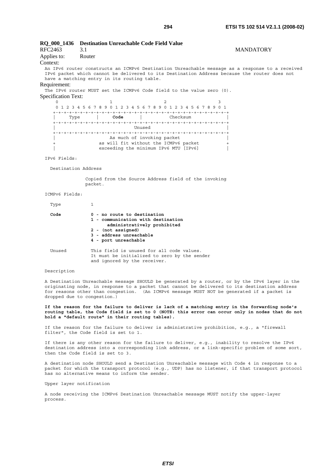# **RQ\_000\_1436 Destination Unreachable Code Field Value**  RFC2463 3.1 MANDATORY Applies to: Router Context: An IPv6 router constructs an ICMPv6 Destination Unreachable message as a response to a received IPv6 packet which cannot be delivered to its Destination Address because the router does not have a matching entry in its routing table. Requirement: The IPv6 router MUST set the ICMPv6 Code field to the value zero (0). Specification Text:  $0$  1 2 3 0 1 2 3 4 5 6 7 8 9 0 1 2 3 4 5 6 7 8 9 0 1 2 3 4 5 6 7 8 9 0 1 +-+-+-+-+-+-+-+-+-+-+-+-+-+-+-+-+-+-+-+-+-+-+-+-+-+-+-+-+-+-+-+-+ | Type **| Code |** Checksum | +-+-+-+-+-+-+-+-+-+-+-+-+-+-+-+-+-+-+-+-+-+-+-+-+-+-+-+-+-+-+-+-+ | Unused | +-+-+-+-+-+-+-+-+-+-+-+-+-+-+-+-+-+-+-+-+-+-+-+-+-+-+-+-+-+-+-+-+ As much of invoking packet as will fit without the ICMPv6 packet exceeding the minimum IPv6 MTU [IPv6] IPv6 Fields: Destination Address Copied from the Source Address field of the invoking packet. ICMPv6 Fields: Type 1  **Code 0 - no route to destination 1 - communication with destination administratively prohibited 2 - (not assigned)**

| 'l'ype |                                                                                                                                                                           |
|--------|---------------------------------------------------------------------------------------------------------------------------------------------------------------------------|
| Code   | 0 - no route to destination<br>1 - communication with destination<br>administratively prohibited<br>2 - (not assigned)<br>3 - address unreachable<br>4 - port unreachable |
| Unused | This field is unused for all code values.<br>It must be initialized to zero by the sender<br>and ignored by the receiver.                                                 |

#### Description

A Destination Unreachable message SHOULD be generated by a router, or by the IPv6 layer in the originating node, in response to a packet that cannot be delivered to its destination address for reasons other than congestion. (An ICMPv6 message MUST NOT be generated if a packet is dropped due to congestion.)

**If the reason for the failure to deliver is lack of a matching entry in the forwarding node's routing table, the Code field is set to 0 (NOTE: this error can occur only in nodes that do not hold a "default route" in their routing tables).**

If the reason for the failure to deliver is administrative prohibition, e.g., a "firewall filter", the Code field is set to 1.

If there is any other reason for the failure to deliver, e.g., inability to resolve the IPv6 destination address into a corresponding link address, or a link-specific problem of some sort, then the Code field is set to 3.

A destination node SHOULD send a Destination Unreachable message with Code 4 in response to a packet for which the transport protocol (e.g., UDP) has no listener, if that transport protocol has no alternative means to inform the sender.

Upper layer notification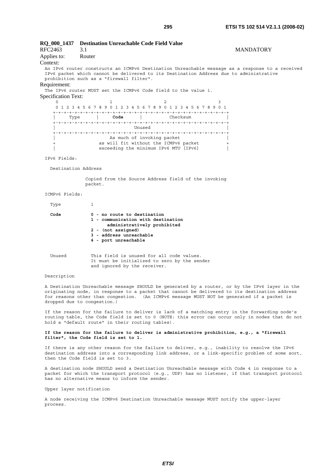| RFC2463<br>Applies to:<br>Context: | RQ_000_1437 Destination Unreachable Code Field Value<br>3.1<br>Router                                                                                                                                                                 | <b>MANDATORY</b> |
|------------------------------------|---------------------------------------------------------------------------------------------------------------------------------------------------------------------------------------------------------------------------------------|------------------|
|                                    | An IPv6 router constructs an ICMPv6 Destination Unreachable message as a response to a received<br>IPv6 packet which cannot be delivered to its Destination Address due to administrative<br>prohibition such as a "firewall filter". |                  |
| Requirement:                       | The IPv6 router MUST set the ICMPv6 Code field to the value 1.                                                                                                                                                                        |                  |
| <b>Specification Text:</b>         |                                                                                                                                                                                                                                       |                  |
| $\Omega$                           | $\overline{2}$<br>1<br>3                                                                                                                                                                                                              |                  |
|                                    | 0 1 2 3 4 5 6 7 8 9 0 1 2 3 4 5 6 7 8 9 0 1 2 3 4 5 6 7 8 9 0 1                                                                                                                                                                       |                  |
|                                    | Type   Code   Checksum                                                                                                                                                                                                                |                  |
|                                    | Unused                                                                                                                                                                                                                                |                  |
|                                    |                                                                                                                                                                                                                                       |                  |
|                                    | As much of invoking packet                                                                                                                                                                                                            |                  |
| $+$                                | as will fit without the ICMPv6 packet<br>$^{+}$<br>exceeding the minimum IPv6 MTU [IPv6]                                                                                                                                              |                  |
|                                    |                                                                                                                                                                                                                                       |                  |
| IPv6 Fields:                       |                                                                                                                                                                                                                                       |                  |
| Destination Address                |                                                                                                                                                                                                                                       |                  |
|                                    | Copied from the Source Address field of the invoking<br>packet.                                                                                                                                                                       |                  |
| ICMPv6 Fields:                     |                                                                                                                                                                                                                                       |                  |
| Type                               | 1                                                                                                                                                                                                                                     |                  |
| Code                               | 0 - no route to destination<br>1 - communication with destination<br>administratively prohibited<br>2 - (not assigned)<br>3 - address unreachable<br>4 - port unreachable                                                             |                  |
| Unused                             | This field is unused for all code values.<br>It must be initialized to zero by the sender<br>and ignored by the receiver.                                                                                                             |                  |
| Description                        |                                                                                                                                                                                                                                       |                  |

A Destination Unreachable message SHOULD be generated by a router, or by the IPv6 layer in the originating node, in response to a packet that cannot be delivered to its destination address for reasons other than congestion. (An ICMPv6 message MUST NOT be generated if a packet is dropped due to congestion.)

If the reason for the failure to deliver is lack of a matching entry in the forwarding node's routing table, the Code field is set to 0 (NOTE: this error can occur only in nodes that do not hold a "default route" in their routing tables).

### **If the reason for the failure to deliver is administrative prohibition, e.g., a "firewall filter", the Code field is set to 1.**

If there is any other reason for the failure to deliver, e.g., inability to resolve the IPv6 destination address into a corresponding link address, or a link-specific problem of some sort, then the Code field is set to 3.

A destination node SHOULD send a Destination Unreachable message with Code 4 in response to a packet for which the transport protocol (e.g., UDP) has no listener, if that transport protocol has no alternative means to inform the sender.

Upper layer notification

A node receiving the ICMPv6 Destination Unreachable message MUST notify the upper-layer process.

*ETSI*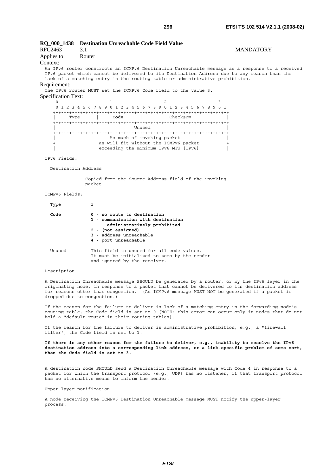# **RQ\_000\_1438 Destination Unreachable Code Field Value**  RFC2463 3.1 MANDATORY Applies to: Router Context: An IPv6 router constructs an ICMPv6 Destination Unreachable message as a response to a received IPv6 packet which cannot be delivered to its Destination Address due to any reason than the lack of a matching entry in the routing table or administrative prohibition. Requirement: The IPv6 router MUST set the ICMPv6 Code field to the value 3. Specification Text:  $0$  1 2 3 0 1 2 3 4 5 6 7 8 9 0 1 2 3 4 5 6 7 8 9 0 1 2 3 4 5 6 7 8 9 0 1 +-+-+-+-+-+-+-+-+-+-+-+-+-+-+-+-+-+-+-+-+-+-+-+-+-+-+-+-+-+-+-+-+ | Type **| Code |** Checksum | +-+-+-+-+-+-+-+-+-+-+-+-+-+-+-+-+-+-+-+-+-+-+-+-+-+-+-+-+-+-+-+-+ | Unused | +-+-+-+-+-+-+-+-+-+-+-+-+-+-+-+-+-+-+-+-+-+-+-+-+-+-+-+-+-+-+-+-+ As much of invoking packet as will fit without the ICMPv6 packet exceeding the minimum IPv6 MTU [IPv6] IPv6 Fields: Destination Address Copied from the Source Address field of the invoking packet.

#### ICMPv6 Fields:

| Type   |                                                                                                                                                                           |
|--------|---------------------------------------------------------------------------------------------------------------------------------------------------------------------------|
| Code   | 0 - no route to destination<br>1 - communication with destination<br>administratively prohibited<br>2 - (not assigned)<br>3 - address unreachable<br>4 - port unreachable |
| Unused | This field is unused for all code values.<br>It must be initialized to zero by the sender<br>and ignored by the receiver.                                                 |

#### Description

A Destination Unreachable message SHOULD be generated by a router, or by the IPv6 layer in the originating node, in response to a packet that cannot be delivered to its destination address for reasons other than congestion. (An ICMPv6 message MUST NOT be generated if a packet is dropped due to congestion.)

If the reason for the failure to deliver is lack of a matching entry in the forwarding node's routing table, the Code field is set to 0 (NOTE: this error can occur only in nodes that do not hold a "default route" in their routing tables).

If the reason for the failure to deliver is administrative prohibition, e.g., a "firewall filter", the Code field is set to 1.

**If there is any other reason for the failure to deliver, e.g., inability to resolve the IPv6 destination address into a corresponding link address, or a link-specific problem of some sort, then the Code field is set to 3.** 

A destination node SHOULD send a Destination Unreachable message with Code 4 in response to a packet for which the transport protocol (e.g., UDP) has no listener, if that transport protocol has no alternative means to inform the sender.

Upper layer notification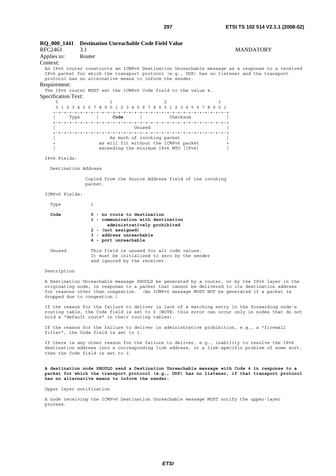# **RQ\_000\_1441 Destination Unreachable Code Field Value**  RFC2463 3.1 MANDATORY Applies to: Router Context: An IPv6 router constructs an ICMPv6 Destination Unreachable message as a response to a received IPv6 packet for which the transport protocol (e.g., UDP) has no listener and the transport protocol has no alternative means to inform the sender. Requirement: The IPv6 router MUST set the ICMPv6 Code field to the value 4. Specification Text:  $0$  1 2 3 0 1 2 3 4 5 6 7 8 9 0 1 2 3 4 5 6 7 8 9 0 1 2 3 4 5 6 7 8 9 0 1 +-+-+-+-+-+-+-+-+-+-+-+-+-+-+-+-+-+-+-+-+-+-+-+-+-+-+-+-+-+-+-+-+ | Type **| Code |** Checksum | +-+-+-+-+-+-+-+-+-+-+-+-+-+-+-+-+-+-+-+-+-+-+-+-+-+-+-+-+-+-+-+-+ | Unused | +-+-+-+-+-+-+-+-+-+-+-+-+-+-+-+-+-+-+-+-+-+-+-+-+-+-+-+-+-+-+-+-+ As much of invoking packet as will fit without the ICMPv6 packet exceeding the minimum IPv6 MTU [IPv6] IPv6 Fields: Destination Address Copied from the Source Address field of the invoking packet. ICMPv6 Fields: Type 1  **Code 0 - no route to destination 1 - communication with destination administratively prohibited 2 - (not assigned)**

| Type   |                                                                                                                                                                           |
|--------|---------------------------------------------------------------------------------------------------------------------------------------------------------------------------|
| Code   | 0 - no route to destination<br>1 - communication with destination<br>administratively prohibited<br>2 - (not assigned)<br>3 - address unreachable<br>4 - port unreachable |
| Unused | This field is unused for all code values.<br>It must be initialized to zero by the sender<br>and ignored by the receiver.                                                 |

#### Description

A Destination Unreachable message SHOULD be generated by a router, or by the IPv6 layer in the originating node, in response to a packet that cannot be delivered to its destination address for reasons other than congestion. (An ICMPv6 message MUST NOT be generated if a packet is dropped due to congestion.)

If the reason for the failure to deliver is lack of a matching entry in the forwarding node's routing table, the Code field is set to 0 (NOTE: this error can occur only in nodes that do not hold a "default route" in their routing tables).

If the reason for the failure to deliver is administrative prohibition, e.g., a "firewall filter", the Code field is set to 1.

If there is any other reason for the failure to deliver, e.g., inability to resolve the IPv6 destination address into a corresponding link address, or a link-specific problem of some sort, then the Code field is set to 3.

**A destination node SHOULD send a Destination Unreachable message with Code 4 in response to a packet for which the transport protocol (e.g., UDP) has no listener, if that transport protocol has no alternative means to inform the sender.**

Upper layer notification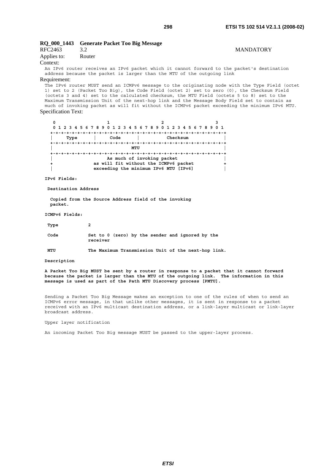# **RQ\_000\_1443 Generate Packet Too Big Message**

|                |        | $\sim$ |                  |
|----------------|--------|--------|------------------|
| <b>RFC2463</b> |        |        | <b>MANDATORY</b> |
| Applies to:    | Router |        |                  |
| Context:       |        |        |                  |

Context:

An IPv6 router receives an IPv6 packet which it cannot forward to the packet's destination address because the packet is larger than the MTU of the outgoing link

## Requirement:

The IPv6 router MUST send an ICMPv6 message to the originating node with the Type Field (octet 1) set to 2 (Packet Too Big), the Code Field (octet 2) set to zero (0), the Checksum Field (octets 3 and 4) set to the calculated checksum, the MTU Field (octets 5 to 8) set to the Maximum Transmission Unit of the next-hop link and the Message Body Field set to contain as much of invoking packet as will fit without the ICMPv6 packet exceeding the minimum IPv6 MTU. Specification Text:

| 0 1 2 3 4 5 6 7 8 9 0 1 2 3 4 5 6 7 8 9 0 1 2 3 4 5 6 7 8 9 0 1 |  |                                       |                            |  |      |  |  |  |  |          |  |  |  |  |
|-----------------------------------------------------------------|--|---------------------------------------|----------------------------|--|------|--|--|--|--|----------|--|--|--|--|
|                                                                 |  |                                       |                            |  |      |  |  |  |  |          |  |  |  |  |
| Type                                                            |  |                                       | Code                       |  |      |  |  |  |  | Checksum |  |  |  |  |
|                                                                 |  |                                       |                            |  |      |  |  |  |  |          |  |  |  |  |
|                                                                 |  |                                       |                            |  | MTTJ |  |  |  |  |          |  |  |  |  |
|                                                                 |  |                                       |                            |  |      |  |  |  |  |          |  |  |  |  |
|                                                                 |  |                                       | As much of invoking packet |  |      |  |  |  |  |          |  |  |  |  |
|                                                                 |  | as will fit without the ICMPv6 packet |                            |  |      |  |  |  |  |          |  |  |  |  |
|                                                                 |  | exceeding the minimum IPv6 MTU [IPv6] |                            |  |      |  |  |  |  |          |  |  |  |  |

**IPv6 Fields:** 

 **Destination Address** 

 **Copied from the Source Address field of the invoking packet.** 

**ICMPv6 Fields:** 

| Type | 2                                                            |
|------|--------------------------------------------------------------|
| Code | Set to 0 (zero) by the sender and ignored by the<br>receiver |

 **MTU The Maximum Transmission Unit of the next-hop link.** 

### **Description**

**A Packet Too Big MUST be sent by a router in response to a packet that it cannot forward because the packet is larger than the MTU of the outgoing link. The information in this message is used as part of the Path MTU Discovery process [PMTU].** 

Sending a Packet Too Big Message makes an exception to one of the rules of when to send an ICMPv6 error message, in that unlike other messages, it is sent in response to a packet received with an IPv6 multicast destination address, or a link-layer multicast or link-layer broadcast address.

Upper layer notification

An incoming Packet Too Big message MUST be passed to the upper-layer process.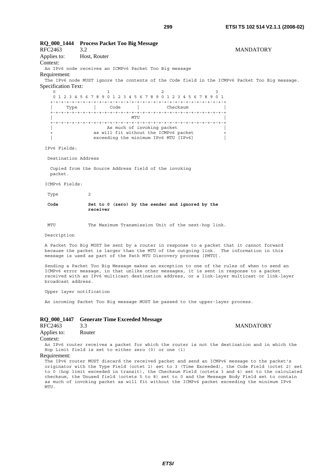**RQ\_000\_1444 Process Packet Too Big Message**  RFC2463 3.2 MANDATORY Applies to: Host, Router Context: An IPv6 node receives an ICMPv6 Packet Too Big message Requirement: The IPv6 node MUST ignore the contents of the Code field in the ICMPv6 Packet Too Big message. Specification Text: 0  $1$  2 3 0 1 2 3 4 5 6 7 8 9 0 1 2 3 4 5 6 7 8 9 0 1 2 3 4 5 6 7 8 9 0 1 +-+-+-+-+-+-+-+-+-+-+-+-+-+-+-+-+-+-+-+-+-+-+-+-+-+-+-+-+-+-+-+-+ | Type | Code | Checksum | +-+-+-+-+-+-+-+-+-+-+-+-+-+-+-+-+-+-+-+-+-+-+-+-+-+-+-+-+-+-+-+-+  $\blacksquare$  +-+-+-+-+-+-+-+-+-+-+-+-+-+-+-+-+-+-+-+-+-+-+-+-+-+-+-+-+-+-+-+-+ As much of invoking packet as will fit without the ICMPv6 packet exceeding the minimum IPv6 MTU [IPv6] IPv6 Fields: Destination Address Copied from the Source Address field of the invoking packet. ICMPv6 Fields: Type 2  **Code Set to 0 (zero) by the sender and ignored by the receiver**  MTU The Maximum Transmission Unit of the next-hop link. Description A Packet Too Big MUST be sent by a router in response to a packet that it cannot forward because the packet is larger than the MTU of the outgoing link. The information in this message is used as part of the Path MTU Discovery process [PMTU]. Sending a Packet Too Big Message makes an exception to one of the rules of when to send an ICMPv6 error message, in that unlike other messages, it is sent in response to a packet received with an IPv6 multicast destination address, or a link-layer multicast or link-layer broadcast address. Upper layer notification An incoming Packet Too Big message MUST be passed to the upper-layer process.

# **RQ\_000\_1447 Generate Time Exceeded Message**

| RFC2463     | 3.3    |
|-------------|--------|
| Applies to: | Router |
|             |        |

# **MANDATORY**

Context:

An IPv6 router receives a packet for which the router is not the destination and in which the Hop Limit field is set to either zero (0) or one (1)

Requirement:

The IPv6 router MUST discard the received packet and send an ICMPv6 message to the packet's originator with the Type Field (octet 1) set to 3 (Time Exceeded), the Code Field (octet 2) set to 0 (hop limit exceeded in transit), the Checksum Field (octets 3 and 4) set to the calculated checksum, the Unused field (octets 5 to 8) set to 0 and the Message Body Field set to contain as much of invoking packet as will fit without the ICMPv6 packet exceeding the minimum IPv6 MTU.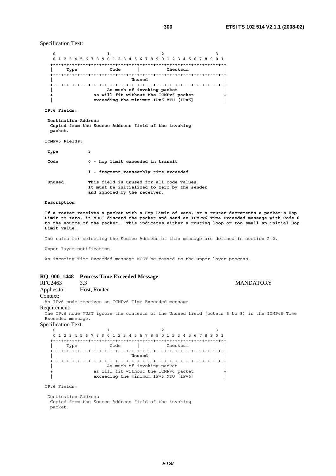Specification Text:

|      |      | 0 1 2 3 4 5 6 7 8 9 0 1 2 3 4 5 6 7 8 9 0 1 2 3 4 5 6 7 8 9 0 1                                              |  |
|------|------|--------------------------------------------------------------------------------------------------------------|--|
| Type | Code | Checksum                                                                                                     |  |
|      |      | Unused                                                                                                       |  |
|      |      | As much of invoking packet<br>as will fit without the ICMPv6 packet<br>exceeding the minimum IPv6 MTU [IPv6] |  |

**IPv6 Fields:** 

 **Destination Address Copied from the Source Address field of the invoking packet.** 

**ICMPv6 Fields:** 

| Type   | 3                                                                                                                         |
|--------|---------------------------------------------------------------------------------------------------------------------------|
| Code   | 0 - hop limit exceeded in transit                                                                                         |
|        | 1 - fragment reassembly time exceeded                                                                                     |
| Unused | This field is unused for all code values.<br>It must be initialized to zero by the sender<br>and ignored by the receiver. |

### **Description**

**If a router receives a packet with a Hop Limit of zero, or a router decrements a packet's Hop**  Limit to zero, it MUST discard the packet and send an ICMPv6 Time Exceeded message with Code 0 **to the source of the packet. This indicates either a routing loop or too small an initial Hop Limit value.**

The rules for selecting the Source Address of this message are defined in section 2.2.

Upper layer notification

An incoming Time Exceeded message MUST be passed to the upper-layer process.

# **RQ\_000\_1448 Process Time Exceeded Message**

| RFC2463                    | 3.3                                                                                           | <b>MANDATORY</b> |
|----------------------------|-----------------------------------------------------------------------------------------------|------------------|
| Applies to:                | Host, Router                                                                                  |                  |
| Context:                   |                                                                                               |                  |
|                            | An IPv6 node receives an ICMPv6 Time Exceeded message                                         |                  |
| Requirement:               |                                                                                               |                  |
|                            | The IPv6 node MUST ignore the contents of the Unused field (octets 5 to 8) in the ICMPv6 Time |                  |
| Exceeded message.          |                                                                                               |                  |
| <b>Specification Text:</b> |                                                                                               |                  |
| $\Omega$                   |                                                                                               |                  |
| 1 2 3 4 5 6 7              | 89012345678901<br>2 3 4 5<br><sup>9</sup><br>67                                               |                  |
| Type                       | Code<br>Checksum                                                                              |                  |
|                            |                                                                                               |                  |
|                            | Unused                                                                                        |                  |
|                            |                                                                                               |                  |
|                            | As much of invoking packet                                                                    |                  |
|                            | as will fit without the ICMPv6 packet                                                         |                  |
|                            | exceeding the minimum IPv6 MTU [IPv6]                                                         |                  |
| IPv6 Fields:               |                                                                                               |                  |

 Destination Address Copied from the Source Address field of the invoking packet.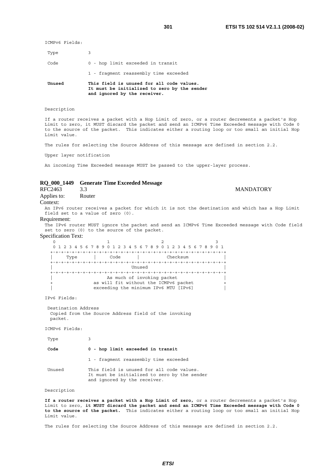ICMPv6 Fields:

| Unused | This field is unused for all code values.<br>It must be initialized to zero by the sender<br>and ignored by the receiver. |
|--------|---------------------------------------------------------------------------------------------------------------------------|
|        | 1 - fragment reassembly time exceeded                                                                                     |
| Code   | 0 - hop limit exceeded in transit                                                                                         |
| Type   | 3                                                                                                                         |

#### Description

If a router receives a packet with a Hop Limit of zero, or a router decrements a packet's Hop Limit to zero, it MUST discard the packet and send an ICMPv6 Time Exceeded message with Code 0 to the source of the packet. This indicates either a routing loop or too small an initial Hop Limit value.

The rules for selecting the Source Address of this message are defined in section 2.2.

Upper layer notification

An incoming Time Exceeded message MUST be passed to the upper-layer process.

# **RQ\_000\_1449 Generate Time Exceeded Message**

**MANDATORY** Applies to: Router Context: An IPv6 router receives a packet for which it is not the destination and which has a Hop Limit field set to a value of zero (0).

#### Requirement:

The IPv6 router MUST ignore the packet and send an ICMPv6 Time Exceeded message with Code field set to zero (0) to the source of the packet.

Specification Text:

0  $1$  2 3 0 1 2 3 4 5 6 7 8 9 0 1 2 3 4 5 6 7 8 9 0 1 2 3 4 5 6 7 8 9 0 1 +-+-+-+-+-+-+-+-+-+-+-+-+-+-+-+-+-+-+-+-+-+-+-+-+-+-+-+-+-+-+-+-+ | Type | Code | Checksum | +-+-+-+-+-+-+-+-+-+-+-+-+-+-+-+-+-+-+-+-+-+-+-+-+-+-+-+-+-+-+-+-+ | Unused | +-+-+-+-+-+-+-+-+-+-+-+-+-+-+-+-+-+-+-+-+-+-+-+-+-+-+-+-+-+-+-+-+ As much of invoking packet as will fit without the ICMPv6 packet exceeding the minimum IPv6 MTU [IPv6]

IPv6 Fields:

 Destination Address Copied from the Source Address field of the invoking packet.

ICMPv6 Fields:

| Type   |                                                                                                                           |
|--------|---------------------------------------------------------------------------------------------------------------------------|
| Code   | 0 - hop limit exceeded in transit                                                                                         |
|        | 1 - fragment reassembly time exceeded                                                                                     |
| Unused | This field is unused for all code values.<br>It must be initialized to zero by the sender<br>and ignored by the receiver. |

#### Description

**If a router receives a packet with a Hop Limit of zero,** or a router decrements a packet's Hop Limit to zero, **it MUST discard the packet and send an ICMPv6 Time Exceeded message with Code 0 to the source of the packet.** This indicates either a routing loop or too small an initial Hop Limit value.

The rules for selecting the Source Address of this message are defined in section 2.2.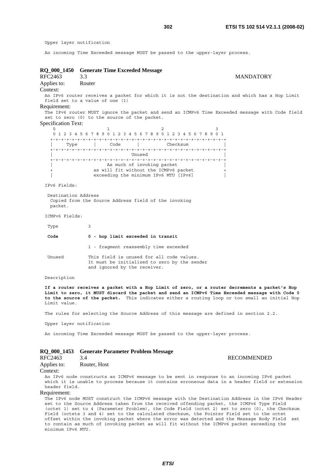Upper layer notification

An incoming Time Exceeded message MUST be passed to the upper-layer process.

**RQ\_000\_1450 Generate Time Exceeded Message**  RFC2463 3.3 MANDATORY Applies to: Router Context: An IPv6 router receives a packet for which it is not the destination and which has a Hop Limit field set to a value of one (1) Requirement: The IPv6 router MUST ignore the packet and send an ICMPv6 Time Exceeded message with Code field set to zero (0) to the source of the packet. Specification Text: 0  $1$  2 3 0 1 2 3 4 5 6 7 8 9 0 1 2 3 4 5 6 7 8 9 0 1 2 3 4 5 6 7 8 9 0 1 +-+-+-+-+-+-+-+-+-+-+-+-+-+-+-+-+-+-+-+-+-+-+-+-+-+-+-+-+-+-+-+-+ | Type | Code | Checksum | +-+-+-+-+-+-+-+-+-+-+-+-+-+-+-+-+-+-+-+-+-+-+-+-+-+-+-+-+-+-+-+-+ | Unused | +-+-+-+-+-+-+-+-+-+-+-+-+-+-+-+-+-+-+-+-+-+-+-+-+-+-+-+-+-+-+-+-+ As much of invoking packet as will fit without the ICMPv6 packet exceeding the minimum IPv6 MTU [IPv6] IPv6 Fields: Destination Address Copied from the Source Address field of the invoking packet. ICMPv6 Fields: Type 3  **Code 0 - hop limit exceeded in transit** 1 - fragment reassembly time exceeded Unused This field is unused for all code values. It must be initialized to zero by the sender and ignored by the receiver. Description **If a router receives a packet with a Hop Limit of zero, or a router decrements a packet's Hop Limit to zero, it MUST discard the packet and send an ICMPv6 Time Exceeded message with Code 0 to the source of the packet.** This indicates either a routing loop or too small an initial Hop Limit value. The rules for selecting the Source Address of this message are defined in section 2.2. Upper layer notification An incoming Time Exceeded message MUST be passed to the upper-layer process. **RQ\_000\_1453 Generate Parameter Problem Message**  RFC2463 3.4 RECOMMENDED

Applies to: Router, Host

Context:

An IPv6 node constructs an ICMPv6 message to be sent in response to an incoming IPv6 packet which it is unable to process because it contains erroneous data in a header field or extension header field.

## Requirement:

The IPv6 node MUST construct the ICMPv6 message with the Destination Address in the IPv6 Header set to the Source Address taken from the received offending packet, the ICMPv6 Type Field (octet 1) set to 4 (Parameter Problem), the Code Field (octet 2) set to zero (0), the Checksum Field (octets 3 and 4) set to the calculated checksum, the Pointer Field set to the octet offset within the invoking packet where the error was detected and the Message Body Field set to contain as much of invoking packet as will fit without the ICMPv6 packet exceeding the minimum IPv6 MTU.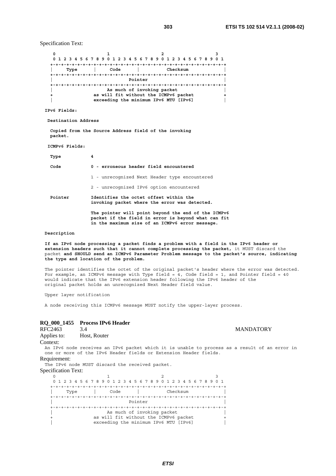Specification Text:

**0 1 2** 3  **0 1 2 3 4 5 6 7 8 9 0 1 2 3 4 5 6 7 8 9 0 1 2 3 4 5 6 7 8 9 0 1 +-+-+-+-+-+-+-+-+-+-+-+-+-+-+-+-+-+-+-+-+-+-+-+-+-+-+-+-+-+-+-+-+ | Type | Code | Checksum | +-+-+-+-+-+-+-+-+-+-+-+-+-+-+-+-+-+-+-+-+-+-+-+-+-+-+-+-+-+-+-+-+ | Pointer | +-+-+-+-+-+-+-+-+-+-+-+-+-+-+-+-+-+-+-+-+-+-+-+-+-+-+-+-+-+-+-+-+ | As much of invoking packet |**  as will fit without the ICMPv6 packet  **| exceeding the minimum IPv6 MTU [IPv6] |** 

**IPv6 Fields:** 

 **Destination Address** 

 **Copied from the Source Address field of the invoking packet.** 

```
 ICMPv6 Fields:
```
 **Type 4** 

| Code    | 0 - erroneous header field encountered                                                                     |
|---------|------------------------------------------------------------------------------------------------------------|
|         | 1 - unrecognized Next Header type encountered                                                              |
|         | 2 - unrecognized IPv6 option encountered                                                                   |
| Pointer | Identifies the octet offset within the<br>invoking packet where the error was detected.                    |
|         | The pointer will point beyond the end of the ICMPv6<br>packet if the field in error is beyond what can fit |

#### **Description**

**If an IPv6 node processing a packet finds a problem with a field in the IPv6 header or extension headers such that it cannot complete processing the packet,** it MUST discard the packet **and SHOULD send an ICMPv6 Parameter Problem message to the packet's source, indicating the type and location of the problem.**

 **in the maximum size of an ICMPv6 error message.** 

The pointer identifies the octet of the original packet's header where the error was detected. For example, an ICMPv6 message with Type field =  $4$ , Code field = 1, and Pointer field =  $40$ would indicate that the IPv6 extension header following the IPv6 header of the original packet holds an unrecognized Next Header field value.

Upper layer notification

A node receiving this ICMPv6 message MUST notify the upper-layer process.

# **RQ\_000\_1455 Process IPv6 Header**

| $\sim$ $\sim$ $\sim$ $\sim$ $\sim$ | Trocess H To Heads                              |                                                                                                                                                                    |                  |  |
|------------------------------------|-------------------------------------------------|--------------------------------------------------------------------------------------------------------------------------------------------------------------------|------------------|--|
| RFC2463                            | 3.4                                             |                                                                                                                                                                    | <b>MANDATORY</b> |  |
| Applies to:                        | Host, Router                                    |                                                                                                                                                                    |                  |  |
| Context:                           |                                                 |                                                                                                                                                                    |                  |  |
|                                    |                                                 | An IPv6 node receives an IPv6 packet which it is unable to process as a result of an error in<br>one or more of the IPv6 Header fields or Extension Header fields. |                  |  |
| Requirement:                       |                                                 |                                                                                                                                                                    |                  |  |
|                                    | The IPv6 node MUST discard the received packet. |                                                                                                                                                                    |                  |  |
| <b>Specification Text:</b>         |                                                 |                                                                                                                                                                    |                  |  |
|                                    |                                                 |                                                                                                                                                                    |                  |  |
|                                    |                                                 | 0 1 2 3 4 5 6 7 8 9 0 1 2 3 4 5 6 7 8 9 0 1 2 3 4 5 6 7 8 9 0 1                                                                                                    |                  |  |
|                                    |                                                 |                                                                                                                                                                    |                  |  |
| Type                               | Code                                            | Checksum                                                                                                                                                           |                  |  |
|                                    |                                                 | Pointer                                                                                                                                                            |                  |  |
|                                    |                                                 |                                                                                                                                                                    |                  |  |
|                                    |                                                 | As much of invoking packet                                                                                                                                         |                  |  |
|                                    |                                                 | as will fit without the ICMPv6 packet                                                                                                                              |                  |  |
|                                    |                                                 | exceeding the minimum IPv6 MTU [IPv6]                                                                                                                              |                  |  |

*ETSI*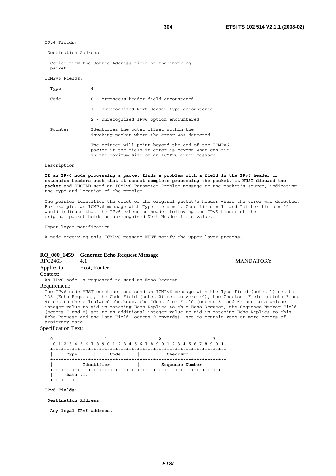**MANDATORY** 

IPv6 Fields:

Destination Address

 Copied from the Source Address field of the invoking packet.

ICMPv6 Fields:

| 4                                                                                                                                                             |
|---------------------------------------------------------------------------------------------------------------------------------------------------------------|
| 0 - erroneous header field encountered                                                                                                                        |
| 1 - unrecognized Next Header type encountered                                                                                                                 |
| 2 - unrecognized IPv6 option encountered                                                                                                                      |
| Identifies the octet offset within the<br>invoking packet where the error was detected.                                                                       |
| The pointer will point beyond the end of the ICMPv6<br>packet if the field in error is beyond what can fit<br>in the maximum size of an ICMPv6 error message. |
|                                                                                                                                                               |

### Description

**If an IPv6 node processing a packet finds a problem with a field in the IPv6 header or extension headers such that it cannot complete processing the packet, it MUST discard the packet** and SHOULD send an ICMPv6 Parameter Problem message to the packet's source, indicating the type and location of the problem.

The pointer identifies the octet of the original packet's header where the error was detected. For example, an ICMPv6 message with Type field =  $4$ , Code field = 1, and Pointer field =  $40$ would indicate that the IPv6 extension header following the IPv6 header of the original packet holds an unrecognized Next Header field value.

Upper layer notification

A node receiving this ICMPv6 message MUST notify the upper-layer process.

# **RQ\_000\_1459 Generate Echo Request Message**

| RFC2463                 |              |
|-------------------------|--------------|
| Applies to:<br>Context: | Host, Router |

An IPv6 node is requested to send an Echo Request Requirement:

The IPv6 node MUST construct and send an ICMPv6 message with the Type Field (octet 1) set to 128 (Echo Request), the Code Field (octet 2) set to zero (0), the Checksum Field (octets 3 and 4) set to the calculated checksum, the Identifier Field (octets 5 and 6) set to a unique integer value to aid in matching Echo Replies to this Echo Request, the Sequence Number Field (octets 7 and 8) set to an additional integer value to aid in matching Echo Replies to this Echo Request and the Data Field (octets 9 onwards) set to contain zero or more octets of arbitrary data.

#### Specification Text:



#### **IPv6 Fields:**

 **Destination Address** 

 **Any legal IPv6 address.**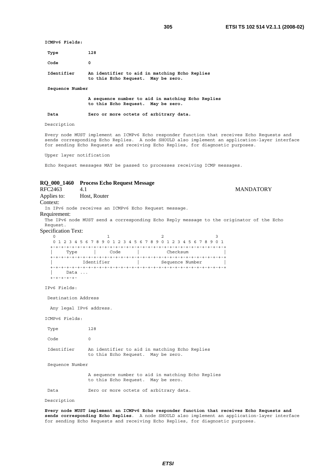**ICMPv6 Fields:** 

| Type       | 128                                                                                 |
|------------|-------------------------------------------------------------------------------------|
| Code       |                                                                                     |
| Identifier | An identifier to aid in matching Echo Replies<br>to this Echo Request. May be zero. |

 **Sequence Number** 

 **A sequence number to aid in matching Echo Replies to this Echo Request. May be zero.** 

 **Data Zero or more octets of arbitrary data.**

Description

Every node MUST implement an ICMPv6 Echo responder function that receives Echo Requests and sends corresponding Echo Replies. A node SHOULD also implement an application-layer interface for sending Echo Requests and receiving Echo Replies, for diagnostic purposes.

Upper layer notification

Echo Request messages MAY be passed to processes receiving ICMP messages.

# **RQ\_000\_1460 Process Echo Request Message**

A.1 MANDATORY Applies to: Host, Router Context: In IPv6 node receives an ICMPv6 Echo Request message. Requirement: The IPv6 node MUST send a corresponding Echo Reply message to the originator of the Echo Request. Specification Text: 0  $1$  2 3 0 1 2 3 4 5 6 7 8 9 0 1 2 3 4 5 6 7 8 9 0 1 2 3 4 5 6 7 8 9 0 1 +-+-+-+-+-+-+-+-+-+-+-+-+-+-+-+-+-+-+-+-+-+-+-+-+-+-+-+-+-+-+-+-+ | Type | Code | Checksum | +-+-+-+-+-+-+-+-+-+-+-+-+-+-+-+-+-+-+-+-+-+-+-+-+-+-+-+-+-+-+-+-+ | Identifier | Sequence Number +-+-+-+-+-+-+-+-+-+-+-+-+-+-+-+-+-+-+-+-+-+-+-+-+-+-+-+-+-+-+-+-+ Data ... .<br>+-+-+-+-+-IPv6 Fields: Destination Address Any legal IPv6 address. ICMPv6 Fields: Type 128 Code 0 Identifier An identifier to aid in matching Echo Replies to this Echo Request. May be zero. Sequence Number A sequence number to aid in matching Echo Replies to this Echo Request. May be zero. Data **Zero or more octets of arbitrary data.** 

Description

**Every node MUST implement an ICMPv6 Echo responder function that receives Echo Requests and sends corresponding Echo Replies**. A node SHOULD also implement an application-layer interface for sending Echo Requests and receiving Echo Replies, for diagnostic purposes.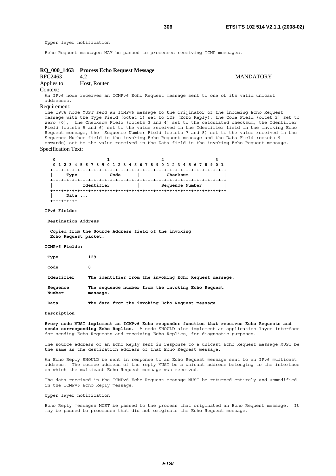Upper layer notification

Echo Request messages MAY be passed to processes receiving ICMP messages.

# **RQ\_000\_1463 Process Echo Request Message**

RFC2463 4.2 MANDATORY

Applies to: Host, Router

Context:

An IPv6 node receives an ICMPv6 Echo Request message sent to one of its valid unicast addresses.

#### Requirement:

The IPv6 node MUST send an ICMPv6 message to the originator of the incoming Echo Request message with the Type Field (octet 1) set to 129 (Echo Reply), the Code Field (octet 2) set to zero (0), the Checksum Field (octets 3 and 4) set to the calculated checksum, the Identifier Field (octets 5 and 6) set to the value received in the Identifier field in the invoking Echo Request message, the Sequence Number Field (octets 7 and 8) set to the value received in the Sequence Number field in the invoking Echo Request message and the Data Field (octets 9 onwards) set to the value received in the Data field in the invoking Echo Request message. Specification Text:

|               |            | 0 1 2 3 4 5 6 7 8 9 0 1 2 3 4 5 6 7 8 9 0 1 2 3 4 5 6 7 8 9 0 1 |  |
|---------------|------------|-----------------------------------------------------------------|--|
|               |            |                                                                 |  |
| Type          | Code       | Checksum                                                        |  |
|               |            | --------------                                                  |  |
|               | Identifier | Sequence Number                                                 |  |
|               |            |                                                                 |  |
| Data $\ldots$ |            |                                                                 |  |
|               |            |                                                                 |  |

**IPv6 Fields:** 

 **Destination Address** 

 **Copied from the Source Address field of the invoking Echo Request packet.** 

#### **ICMPv6 Fields:**

| Type               | 129                                                            |
|--------------------|----------------------------------------------------------------|
| Code               | 0                                                              |
| Identifier         | The identifier from the invoking Echo Request message.         |
| Sequence<br>Number | The sequence number from the invoking Echo Request<br>message. |
| Data               | The data from the invoking Echo Request message.               |

**Description** 

**Every node MUST implement an ICMPv6 Echo responder function that receives Echo Requests and sends corresponding Echo Replies.** A node SHOULD also implement an application-layer interface for sending Echo Requests and receiving Echo Replies, for diagnostic purposes.

The source address of an Echo Reply sent in response to a unicast Echo Request message MUST be the same as the destination address of that Echo Request message.

An Echo Reply SHOULD be sent in response to an Echo Request message sent to an IPv6 multicast address. The source address of the reply MUST be a unicast address belonging to the interface on which the multicast Echo Request message was received.

The data received in the ICMPv6 Echo Request message MUST be returned entirely and unmodified in the ICMPv6 Echo Reply message.

Upper layer notification

Echo Reply messages MUST be passed to the process that originated an Echo Request message. It may be passed to processes that did not originate the Echo Request message.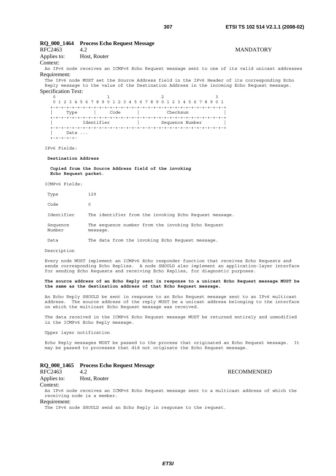# **RQ\_000\_1464 Process Echo Request Message**

| RFC2463                                                                                        |              |  |  |  |  |  | <b>MANDATORY</b> |  |
|------------------------------------------------------------------------------------------------|--------------|--|--|--|--|--|------------------|--|
| Applies to:                                                                                    | Host, Router |  |  |  |  |  |                  |  |
| Context:                                                                                       |              |  |  |  |  |  |                  |  |
| An IPu6 node receives an ICMPu6 Fcho Request message sent to one of its valid unicast addresse |              |  |  |  |  |  |                  |  |

de receives an ICMPv6 Echo Request message sent to one of its valid unicast ad Requirement:

The IPv6 node MUST set the Source Address field in the IPv6 Header of its corresponding Echo Reply message to the value of the Destination Address in the incoming Echo Request message. Specification Text:

```
0 1 2 3
  0 1 2 3 4 5 6 7 8 9 0 1 2 3 4 5 6 7 8 9 0 1 2 3 4 5 6 7 8 9 0 1 
 +-+-+-+-+-+-+-+-+-+-+-+-+-+-+-+-+-+-+-+-+-+-+-+-+-+-+-+-+-+-+-+-+ 
 | Type | Code | Checksum | 
  +-+-+-+-+-+-+-+-+-+-+-+-+-+-+-+-+-+-+-+-+-+-+-+-+-+-+-+-+-+-+-+-+ 
| Identifier | Sequence Number
 +-+-+-+-+-+-+-+-+-+-+-+-+-+-+-+-+-+-+-+-+-+-+-+-+-+-+-+-+-+-+-+-+ 
    Data ...
 +-+-+-+-+-
```
IPv6 Fields:

#### **Destination Address**

 **Copied from the Source Address field of the invoking Echo Request packet**.

ICMPv6 Fields:

| Type               | 129                                                            |
|--------------------|----------------------------------------------------------------|
| Code               | $\Omega$                                                       |
| Identifier         | The identifier from the invoking Echo Request message.         |
| Sequence<br>Number | The sequence number from the invoking Echo Request<br>message. |
| Data               | The data from the invoking Echo Request message.               |

Description

Every node MUST implement an ICMPv6 Echo responder function that receives Echo Requests and sends corresponding Echo Replies. A node SHOULD also implement an application-layer interface for sending Echo Requests and receiving Echo Replies, for diagnostic purposes.

### **The source address of an Echo Reply sent in response to a unicast Echo Request message MUST be the same as the destination address of that Echo Request message.**

An Echo Reply SHOULD be sent in response to an Echo Request message sent to an IPv6 multicast address. The source address of the reply MUST be a unicast address belonging to the interface on which the multicast Echo Request message was received.

The data received in the ICMPv6 Echo Request message MUST be returned entirely and unmodified in the ICMPv6 Echo Reply message.

Upper layer notification

Echo Reply messages MUST be passed to the process that originated an Echo Request message. It may be passed to processes that did not originate the Echo Request message.

# **RQ\_000\_1465 Process Echo Request Message**

# RFC2463 4.2 RECOMMENDED Applies to: Host, Router

Context:

An IPv6 node receives an ICMPv6 Echo Request message sent to a multicast address of which the receiving node is a member.

#### Requirement:

The IPv6 node SHOULD send an Echo Reply in response to the request.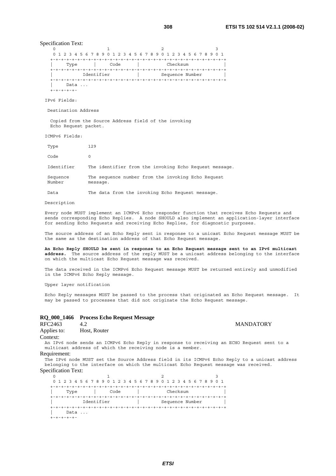Specification Text:

| 0 1 2 3 4 5 6 7 8 9 0 1 2 3 4 5 6 7 8 9 0 1 2 3 4 5 6 7 8 9 0 1 |      |                 |  |
|-----------------------------------------------------------------|------|-----------------|--|
|                                                                 |      |                 |  |
| Type                                                            | Code | Checksum        |  |
|                                                                 |      |                 |  |
| Identifier                                                      |      | Sequence Number |  |
|                                                                 |      |                 |  |
| $Data \ldots$                                                   |      |                 |  |
|                                                                 |      |                 |  |

IPv6 Fields:

Destination Address

 Copied from the Source Address field of the invoking Echo Request packet.

ICMPv6 Fields:

| Type               | 129                                                            |
|--------------------|----------------------------------------------------------------|
| Code               | $\Omega$                                                       |
| Identifier         | The identifier from the invoking Echo Request message.         |
| Sequence<br>Number | The sequence number from the invoking Echo Request<br>message. |

Data The data from the invoking Echo Request message.

Description

Every node MUST implement an ICMPv6 Echo responder function that receives Echo Requests and sends corresponding Echo Replies. A node SHOULD also implement an application-layer interface for sending Echo Requests and receiving Echo Replies, for diagnostic purposes.

The source address of an Echo Reply sent in response to a unicast Echo Request message MUST be the same as the destination address of that Echo Request message.

**An Echo Reply SHOULD be sent in response to an Echo Request message sent to an IPv6 multicast address.** The source address of the reply MUST be a unicast address belonging to the interface on which the multicast Echo Request message was received.

The data received in the ICMPv6 Echo Request message MUST be returned entirely and unmodified in the ICMPv6 Echo Reply message.

Upper layer notification

Echo Reply messages MUST be passed to the process that originated an Echo Request message. It may be passed to processes that did not originate the Echo Request message.

|         | RQ_000_1466 Process Echo Request Message |                  |
|---------|------------------------------------------|------------------|
| RFC2463 |                                          | <b>MANDATORY</b> |

| RFC2463     | 4.2          |
|-------------|--------------|
| Applies to: | Host, Router |

Context:

An IPv6 node sends an ICMPv6 Echo Reply in response to receiving an ECHO Request sent to a multicast address of which the receiving node is a member.

Requirement:

The IPv6 node MUST set the Source Address field in its ICMPv6 Echo Reply to a unicast address belonging to the interface on which the multicast Echo Request message was received. Specification Text:

| 0 1 2 3 4 5 6 7 8 9 0 1 2 3 4 5 6 7 8 9 0 1 2 3 4 5 6 7 8 9 0 1 |      |                 |  |
|-----------------------------------------------------------------|------|-----------------|--|
|                                                                 |      |                 |  |
| Type                                                            | Code | Checksum        |  |
|                                                                 |      |                 |  |
| Identifier                                                      |      | Sequence Number |  |
|                                                                 |      |                 |  |
| $Data \ldots$                                                   |      |                 |  |
|                                                                 |      |                 |  |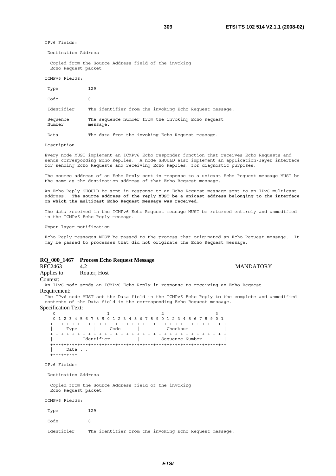**MANDATORY** 

IPv6 Fields:

Destination Address

 Copied from the Source Address field of the invoking Echo Request packet.

ICMPv6 Fields:

| Type               | 129                                                            |
|--------------------|----------------------------------------------------------------|
| Code               | $\Omega$                                                       |
| Identifier         | The identifier from the invoking Echo Request message.         |
| Sequence<br>Number | The sequence number from the invoking Echo Request<br>message. |

Data The data from the invoking Echo Request message.

Description

Every node MUST implement an ICMPv6 Echo responder function that receives Echo Requests and sends corresponding Echo Replies. A node SHOULD also implement an application-layer interface for sending Echo Requests and receiving Echo Replies, for diagnostic purposes.

The source address of an Echo Reply sent in response to a unicast Echo Request message MUST be the same as the destination address of that Echo Request message.

An Echo Reply SHOULD be sent in response to an Echo Request message sent to an IPv6 multicast address. **The source address of the reply MUST be a unicast address belonging to the interface on which the multicast Echo Request message was received**.

The data received in the ICMPv6 Echo Request message MUST be returned entirely and unmodified in the ICMPv6 Echo Reply message.

Upper layer notification

Echo Reply messages MUST be passed to the process that originated an Echo Request message. It may be passed to processes that did not originate the Echo Request message.

# **RQ\_000\_1467 Process Echo Request Message**

| RFC2463     | 4.2          |
|-------------|--------------|
| Applies to: | Router, Host |

Context:

An IPv6 node sends an ICMPv6 Echo Reply in response to receiving an Echo Request Requirement:

The IPv6 node MUST set the Data field in the ICMPv6 Echo Reply to the complete and unmodified contents of the Data field in the corresponding Echo Request message.

Specification Text:

|      |            | 0 1 2 3 4 5 6 7 8 9 0 1 2 3 4 5 6 7 8 9 0 1 2 3 4 5 6 7 8 9 0 1 |  |
|------|------------|-----------------------------------------------------------------|--|
|      |            |                                                                 |  |
| Type | Code       | Checksum                                                        |  |
|      |            |                                                                 |  |
|      | Identifier | Sequence Number                                                 |  |
|      |            |                                                                 |  |
| Data |            |                                                                 |  |
|      |            |                                                                 |  |

IPv6 Fields:

Destination Address

 Copied from the Source Address field of the invoking Echo Request packet.

ICMPv6 Fields:

| Type | 129 |
|------|-----|
| Code | ∩   |

Identifier The identifier from the invoking Echo Request message.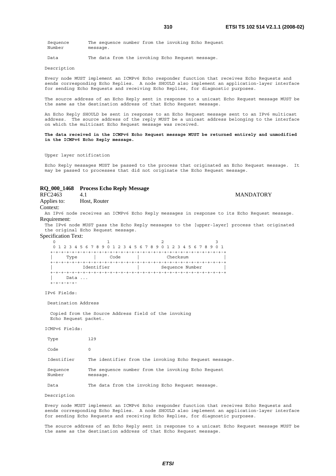Sequence The sequence number from the invoking Echo Request Number message.

Data The data from the invoking Echo Request message.

Description

Every node MUST implement an ICMPv6 Echo responder function that receives Echo Requests and sends corresponding Echo Replies. A node SHOULD also implement an application-layer interface for sending Echo Requests and receiving Echo Replies, for diagnostic purposes.

The source address of an Echo Reply sent in response to a unicast Echo Request message MUST be the same as the destination address of that Echo Request message.

An Echo Reply SHOULD be sent in response to an Echo Request message sent to an IPv6 multicast address. The source address of the reply MUST be a unicast address belonging to the interface on which the multicast Echo Request message was received.

**The data received in the ICMPv6 Echo Request message MUST be returned entirely and unmodified in the ICMPv6 Echo Reply message.** 

Upper layer notification

Echo Reply messages MUST be passed to the process that originated an Echo Request message. It may be passed to processes that did not originate the Echo Request message.

# **RQ\_000\_1468 Process Echo Reply Message**

RFC2463 4.1 MANDATORY Applies to: Host, Router

Context:

An IPv6 node receives an ICMPv6 Echo Reply messages in response to its Echo Request message. Requirement:

The IPv6 node MUST pass the Echo Reply messages to the [upper-layer] process that originated the original Echo Request message.

Specification Text:

0  $1$  2 3 0 1 2 3 4 5 6 7 8 9 0 1 2 3 4 5 6 7 8 9 0 1 2 3 4 5 6 7 8 9 0 1 +-+-+-+-+-+-+-+-+-+-+-+-+-+-+-+-+-+-+-+-+-+-+-+-+-+-+-+-+-+-+-+-+ | Type | Code | Checksum | +-+-+-+-+-+-+-+-+-+-+-+-+-+-+-+-+-+-+-+-+-+-+-+-+-+-+-+-+-+-+-+-+ | Identifier | Sequence Number | +-+-+-+-+-+-+-+-+-+-+-+-+-+-+-+-+-+-+-+-+-+-+-+-+-+-+-+-+-+-+-+-+ Data ... .<br>+-+-+-+-+-

IPv6 Fields:

Destination Address

 Copied from the Source Address field of the invoking Echo Request packet.

ICMPv6 Fields:

| Type               | 129                                                            |
|--------------------|----------------------------------------------------------------|
| Code               | $\Omega$                                                       |
| Identifier         | The identifier from the invoking Echo Request message.         |
| Sequence<br>Number | The sequence number from the invoking Echo Request<br>message. |
| Data               | The data from the invoking Echo Request message.               |

Description

Every node MUST implement an ICMPv6 Echo responder function that receives Echo Requests and sends corresponding Echo Replies. A node SHOULD also implement an application-layer interface for sending Echo Requests and receiving Echo Replies, for diagnostic purposes.

The source address of an Echo Reply sent in response to a unicast Echo Request message MUST be the same as the destination address of that Echo Request message.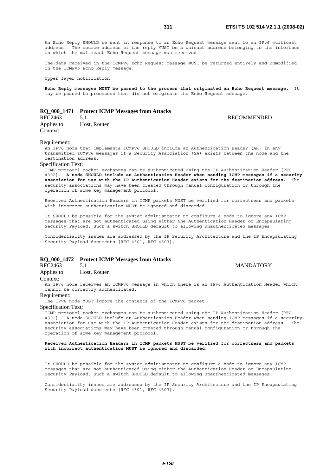An Echo Reply SHOULD be sent in response to an Echo Request message sent to an IPv6 multicast address. The source address of the reply MUST be a unicast address belonging to the interface on which the multicast Echo Request message was received.

The data received in the ICMPv6 Echo Request message MUST be returned entirely and unmodified in the ICMPv6 Echo Reply message.

Upper layer notification

**Echo Reply messages MUST be passed to the process that originated an Echo Request message.** It may be passed to processes that did not originate the Echo Request message.

# **RQ\_000\_1471 Protect ICMP Messages from Attacks**

RFC2463 5.1 RECOMMENDED Applies to: Host, Router Context:

#### Requirement:

An IPv6 node that implements ICMPv6 SHOULD include an Authentication Header (AH) in any transmitted ICMPv6 messages if a Security Association (SA) exists between the node and the destination address.

#### Specification Text:

ICMP protocol packet exchanges can be authenticated using the IP Authentication Header [RFC 4302]. **A node SHOULD include an Authentication Header when sending ICMP messages if a security association for use with the IP Authentication Header exists for the destination address.** The security associations may have been created through manual configuration or through the operation of some key management protocol.

Received Authentication Headers in ICMP packets MUST be verified for correctness and packets with incorrect authentication MUST be ignored and discarded.

It SHOULD be possible for the system administrator to configure a node to ignore any ICMP messages that are not authenticated using either the Authentication Header or Encapsulating Security Payload. Such a switch SHOULD default to allowing unauthenticated messages.

Confidentiality issues are addressed by the IP Security Architecture and the IP Encapsulating Security Payload documents [RFC 4301, RFC 4303].

# **RQ\_000\_1472 Protect ICMP Messages from Attacks**

Applies to: Host, Router

#### Context:

An IPv6 node receives an ICMPv6 message in which there is an IPv6 Authentication Header which cannot be correctly authenticated.

# Requirement:

The IPv6 node MUST ignore the contents of the ICMPv6 packet.

#### Specification Text:

ICMP protocol packet exchanges can be authenticated using the IP Authentication Header [RFC 4302]. A node SHOULD include an Authentication Header when sending ICMP messages if a security association for use with the IP Authentication Header exists for the destination address. The security associations may have been created through manual configuration or through the operation of some key management protocol.

# **Received Authentication Headers in ICMP packets MUST be verified for correctness and packets with incorrect authentication MUST be ignored and discarded.**

It SHOULD be possible for the system administrator to configure a node to ignore any ICMP messages that are not authenticated using either the Authentication Header or Encapsulating Security Payload. Such a switch SHOULD default to allowing unauthenticated messages.

Confidentiality issues are addressed by the IP Security Architecture and the IP Encapsulating Security Payload documents [RFC 4301, RFC 4303].

5.1 MANDATORY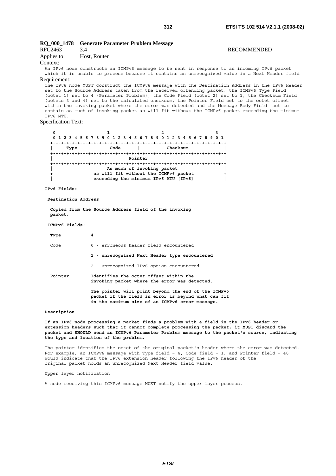# **RQ\_000\_1478 Generate Parameter Problem Message**  RFC2463 3.4 RECOMMENDED Applies to: Host, Router

Context:

An IPv6 node constructs an ICMPv6 message to be sent in response to an incoming IPv6 packet which it is unable to process because it contains an unrecognized value in a Next Header field Requirement:

The IPv6 node MUST construct the ICMPv6 message with the Destination Address in the IPv6 Header set to the Source Address taken from the received offending packet, the ICMPv6 Type Field (octet 1) set to 4 (Parameter Problem), the Code Field (octet 2) set to 1, the Checksum Field (octets 3 and 4) set to the calculated checksum, the Pointer Field set to the octet offset within the invoking packet where the error was detected and the Message Body Field set to contain as much of invoking packet as will fit without the ICMPv6 packet exceeding the minimum IPv6 MTU.

# Specification Text:

|      | 0 1 2 3 4 5 6 7 8 9 0 1 2 3 4 5 6 7 8 9 0 1 2 3 4 5 6 7 8 9 0 1 |          |  |
|------|-----------------------------------------------------------------|----------|--|
|      |                                                                 |          |  |
| Type | Code                                                            | Checksum |  |
|      |                                                                 |          |  |
|      | Pointer                                                         |          |  |
|      |                                                                 |          |  |
|      | As much of invoking packet                                      |          |  |
|      | as will fit without the ICMPv6 packet                           |          |  |
|      | exceeding the minimum IPv6 MTU [IPv6]                           |          |  |

**IPv6 Fields:** 

 **Destination Address** 

 **Copied from the Source Address field of the invoking packet.** 

#### **ICMPv6 Fields:**

| Type    | 4                                                                                                                                                             |
|---------|---------------------------------------------------------------------------------------------------------------------------------------------------------------|
| Code    | 0 - erroneous header field encountered                                                                                                                        |
|         | 1 - unrecognized Next Header type encountered                                                                                                                 |
|         | 2 - unrecognized IPv6 option encountered                                                                                                                      |
| Pointer | Identifies the octet offset within the<br>invoking packet where the error was detected.                                                                       |
|         | The pointer will point beyond the end of the ICMPv6<br>packet if the field in error is beyond what can fit<br>in the maximum size of an ICMPv6 error message. |

### **Description**

**If an IPv6 node processing a packet finds a problem with a field in the IPv6 header or extension headers such that it cannot complete processing the packet, it MUST discard the packet and SHOULD send an ICMPv6 Parameter Problem message to the packet's source, indicating the type and location of the problem.**

The pointer identifies the octet of the original packet's header where the error was detected. For example, an ICMPv6 message with Type field =  $4$ , Code field = 1, and Pointer field =  $40$ would indicate that the IPv6 extension header following the IPv6 header of the original packet holds an unrecognized Next Header field value.

## Upper layer notification

A node receiving this ICMPv6 message MUST notify the upper-layer process.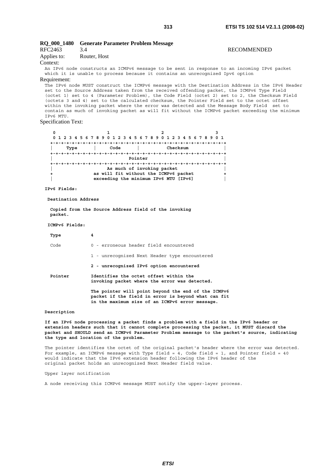| RFC2463<br>Applies to:<br>Context:<br>Requirement:<br>IPv6 MTU.<br><b>Specification Text:</b> | RQ_000_1480 Generate Parameter Problem Message<br>3.4<br>Router, Host<br>An IPv6 node constructs an ICMPv6 message to be sent in response to an incoming IPv6 packet<br>which it is unable to process because it contains an unrecognized Ipv6 option<br>The IPv6 node MUST construct the ICMPv6 message with the Destination Address in the IPv6 Header<br>set to the Source Address taken from the received offending packet, the ICMPv6 Type Field<br>(octet 1) set to 4 (Parameter Problem), the Code Field (octet 2) set to 2, the Checksum Field<br>(octets 3 and 4) set to the calculated checksum, the Pointer Field set to the octet offset<br>within the invoking packet where the error was detected and the Message Body Field set to<br>contain as much of invoking packet as will fit without the ICMPv6 packet exceeding the minimum | <b>RECOMMENDED</b> |
|-----------------------------------------------------------------------------------------------|-----------------------------------------------------------------------------------------------------------------------------------------------------------------------------------------------------------------------------------------------------------------------------------------------------------------------------------------------------------------------------------------------------------------------------------------------------------------------------------------------------------------------------------------------------------------------------------------------------------------------------------------------------------------------------------------------------------------------------------------------------------------------------------------------------------------------------------------------------|--------------------|
| 0                                                                                             | 2<br>1                                                                                                                                                                                                                                                                                                                                                                                                                                                                                                                                                                                                                                                                                                                                                                                                                                              | 3                  |
|                                                                                               | 0 1 2 3 4 5 6 7 8 9 0 1 2 3 4 5 6 7 8 9 0 1 2 3 4 5 6 7 8 9 0 1                                                                                                                                                                                                                                                                                                                                                                                                                                                                                                                                                                                                                                                                                                                                                                                     |                    |
| Type                                                                                          | Code<br>Checksum<br>$\mathbf{1}$                                                                                                                                                                                                                                                                                                                                                                                                                                                                                                                                                                                                                                                                                                                                                                                                                    |                    |
|                                                                                               | Pointer                                                                                                                                                                                                                                                                                                                                                                                                                                                                                                                                                                                                                                                                                                                                                                                                                                             |                    |
| +                                                                                             | As much of invoking packet<br>as will fit without the ICMPv6 packet<br>exceeding the minimum IPv6 MTU [IPv6]                                                                                                                                                                                                                                                                                                                                                                                                                                                                                                                                                                                                                                                                                                                                        | ÷                  |
| IPv6 Fields:                                                                                  |                                                                                                                                                                                                                                                                                                                                                                                                                                                                                                                                                                                                                                                                                                                                                                                                                                                     |                    |
| Destination Address                                                                           |                                                                                                                                                                                                                                                                                                                                                                                                                                                                                                                                                                                                                                                                                                                                                                                                                                                     |                    |
| packet.                                                                                       | Copied from the Source Address field of the invoking                                                                                                                                                                                                                                                                                                                                                                                                                                                                                                                                                                                                                                                                                                                                                                                                |                    |
| ICMPv6 Fields:                                                                                |                                                                                                                                                                                                                                                                                                                                                                                                                                                                                                                                                                                                                                                                                                                                                                                                                                                     |                    |
| Type                                                                                          | 4                                                                                                                                                                                                                                                                                                                                                                                                                                                                                                                                                                                                                                                                                                                                                                                                                                                   |                    |
| Code                                                                                          | 0 - erroneous header field encountered                                                                                                                                                                                                                                                                                                                                                                                                                                                                                                                                                                                                                                                                                                                                                                                                              |                    |
|                                                                                               | 1 - unrecognized Next Header type encountered                                                                                                                                                                                                                                                                                                                                                                                                                                                                                                                                                                                                                                                                                                                                                                                                       |                    |
|                                                                                               | 2 - unrecognized IPv6 option encountered                                                                                                                                                                                                                                                                                                                                                                                                                                                                                                                                                                                                                                                                                                                                                                                                            |                    |
| Pointer                                                                                       | Identifies the octet offset within the<br>invoking packet where the error was detected.                                                                                                                                                                                                                                                                                                                                                                                                                                                                                                                                                                                                                                                                                                                                                             |                    |
|                                                                                               | The pointer will point beyond the end of the ICMPv6<br>packet if the field in error is beyond what can fit<br>in the maximum size of an ICMPv6 error message.                                                                                                                                                                                                                                                                                                                                                                                                                                                                                                                                                                                                                                                                                       |                    |
| Description                                                                                   |                                                                                                                                                                                                                                                                                                                                                                                                                                                                                                                                                                                                                                                                                                                                                                                                                                                     |                    |

**If an IPv6 node processing a packet finds a problem with a field in the IPv6 header or extension headers such that it cannot complete processing the packet, it MUST discard the packet and SHOULD send an ICMPv6 Parameter Problem message to the packet's source, indicating the type and location of the problem.**

The pointer identifies the octet of the original packet's header where the error was detected. For example, an ICMPv6 message with Type field =  $4$ , Code field = 1, and Pointer field =  $40$ would indicate that the IPv6 extension header following the IPv6 header of the original packet holds an unrecognized Next Header field value.

Upper layer notification

A node receiving this ICMPv6 message MUST notify the upper-layer process.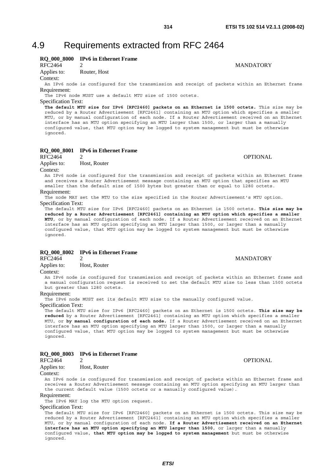# 4.9 Requirements extracted from RFC 2464

# **RQ\_000\_8000 IPv6 in Ethernet Frame**<br>RFC2464 2

Applies to: Router, Host

Context:

An IPv6 node is configured for the transmission and receipt of packets within an Ethernet frame Requirement:

The IPv6 node MUST use a default MTU size of 1500 octets.

Specification Text:

**The default MTU size for IPv6 [RFC2460] packets on an Ethernet is 1500 octets.** This size may be reduced by a Router Advertisement [RFC2461] containing an MTU option which specifies a smaller MTU, or by manual configuration of each node. If a Router Advertisement received on an Ethernet interface has an MTU option specifying an MTU larger than 1500, or larger than a manually configured value, that MTU option may be logged to system management but must be otherwise ignored.

# **RQ\_000\_8001 IPv6 in Ethernet Frame**

RFC2464 2 OPTIONAL Applies to: Host, Router

Context:

An IPv6 node is configured for the transmission and receipt of packets within an Ethernet frame and receives a Router Advertisement message containing an MTU option that specifies an MTU smaller than the default size of 1500 bytes but greater than or equal to 1280 octets.

Requirement:

The node MAY set the MTU to the size specified in the Router Advertisement's MTU option. Specification Text:

The default MTU size for IPv6 [RFC2460] packets on an Ethernet is 1500 octets. **This size may be reduced by a Router Advertisement [RFC2461] containing an MTU option which specifies a smaller MTU**, or by manual configuration of each node. If a Router Advertisement received on an Ethernet interface has an MTU option specifying an MTU larger than 1500, or larger than a manually configured value, that MTU option may be logged to system management but must be otherwise ignored.

# **RQ\_000\_8002 IPv6 in Ethernet Frame**

Applies to: Host, Router

Context:

An IPv6 node is configured for transmission and receipt of packets within an Ethernet frame and a manual configuration request is received to set the default MTU size to less than 1500 octets but greater than 1280 octets.

# Requirement:

The IPv6 node MUST set its default MTU size to the manually configured value.

Specification Text:

The default MTU size for IPv6 [RFC2460] packets on an Ethernet is 1500 octets. **This size may be reduced** by a Router Advertisement [RFC2461] containing an MTU option which specifies a smaller MTU, or **by manual configuration of each node.** If a Router Advertisement received on an Ethernet interface has an MTU option specifying an MTU larger than 1500, or larger than a manually configured value, that MTU option may be logged to system management but must be otherwise ignored.

# **RQ\_000\_8003 IPv6 in Ethernet Frame**

RFC2464 2 OPTIONAL Applies to: Host, Router

Context:

An IPv6 node is configured for transmission and receipt of packets within an Ethernet frame and receives a Router Advertisement message containing an MTU option specifying an MTU larger than the current default value (1500 octets or a manually configured value).

Requirement:

The IPv6 MAY log the MTU option request.

Specification Text:

The default MTU size for IPv6 [RFC2460] packets on an Ethernet is 1500 octets. This size may be reduced by a Router Advertisement [RFC2461] containing an MTU option which specifies a smaller MTU, or by manual configuration of each node. **If a Router Advertisement received on an Ethernet interface has an MTU option specifying an MTU larger than 1500**, or larger than a manually configured value, **that MTU option may be logged to system management** but must be otherwise ignored.

2 MANDATORY

RFC2464 2 MANDATORY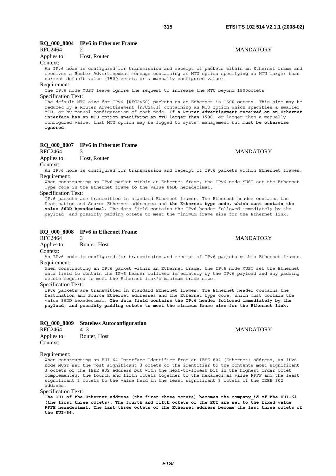**MANDATORY** 

# **RQ\_000\_8004 IPv6 in Ethernet Frame**

| RFC2464     |              |
|-------------|--------------|
| Applies to: | Host, Router |

# Context:

An IPv6 node is configured for transmission and receipt of packets within an Ethernet frame and receives a Router Advertisement message containing an MTU option specifying an MTU larger than current default value (1500 octets or a manually configured value).

# Requirement:

The IPv6 node MUST leave ignore the request to increase the MTU beyond 1500octets Specification Text:

The default MTU size for IPv6 [RFC2460] packets on an Ethernet is 1500 octets. This size may be reduced by a Router Advertisement [RFC2461] containing an MTU option which specifies a smaller MTU, or by manual configuration of each node. **If a Router Advertisement received on an Ethernet interface has an MTU option specifying an MTU larger than 1500**, or larger than a manually configured value, that MTU option may be logged to system management but **must be otherwise ignored**.

# **RQ\_000\_8007 IPv6 in Ethernet Frame**

RFC2464 3 MANDATORY Applies to: Host, Router Context:

An IPv6 node is configured for transmission and receipt of IPv6 packets within Ethernet frames. Requirement:

When constructing an IPv6 packet within an Ethernet frame, the IPv6 node MUST set the Ethernet Type code in the Ethernet frame to the value 86DD hexadecimal.

#### Specification Text:

IPv6 packets are transmitted in standard Ethernet frames. The Ethernet header contains the Destination and Source Ethernet addresses and **the Ethernet type code, which must contain the value 86DD hexadecimal.** The data field contains the IPv6 header followed immediately by the payload, and possibly padding octets to meet the minimum frame size for the Ethernet link.

# **RQ\_000\_8008** IPv6 in Ethernet Frame<br>RFC2464 3

Applies to: Router, Host

#### Context:

An IPv6 node is configured for transmission and receipt of IPv6 packets within Ethernet frames. Requirement:

When constructing an IPv6 packet within an Ethernet frame, the IPv6 node MUST set the Ethernet data field to contain the IPv6 header followed immediately by the IPv6 payload and any padding octets required to meet the Ethernet link's minimum frame size.

### Specification Text:

IPv6 packets are transmitted in standard Ethernet frames. The Ethernet header contains the Destination and Source Ethernet addresses and the Ethernet type code, which must contain the value 86DD hexadecimal. **The data field contains the IPv6 header followed immediately by the payload, and possibly padding octets to meet the minimum frame size for the Ethernet link.**

|             | RQ 000 8009 Stateless Autoconfiguration |                  |
|-------------|-----------------------------------------|------------------|
| RFC2464     | $4 - 3$                                 | <b>MANDATORY</b> |
| Applies to: | Router, Host                            |                  |
| Context:    |                                         |                  |

### Requirement:

When constructing an EUI-64 Interface Identifier from an IEEE 802 (Ethernet) address, an IPv6 node MUST set the most significant 3 octets of the identifier to the contents most significant 3 octets of the IEEE 802 address but with the next-to-lowest bit in the highest order octet complemented, the fourth and fifth octets together to the hexadecimal value FFFF and the least significant 3 octets to the value held in the least significant 3 octets of the IEEE 802 address.

Specification Text:

The OUI of the Ethernet address (the first three octets) becomes the company id of the EUI-64 **(the first three octets). The fourth and fifth octets of the EUI are set to the fixed value FFFE hexadecimal. The last three octets of the Ethernet address become the last three octets of the EUI-64.** 

# 3 MANDATORY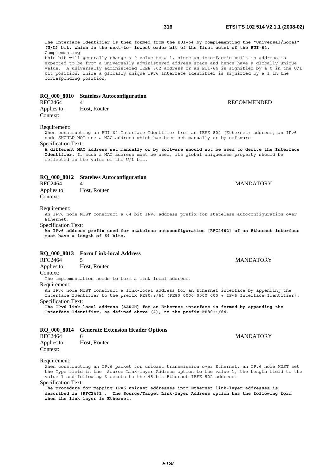**RECOMMENDED** 

**MANDATORY** 

**The Interface Identifier is then formed from the EUI-64 by complementing the "Universal/Local" (U/L) bit, which is the next-to- lowest order bit of the first octet of the EUI-64.** Complementing

this bit will generally change a 0 value to a 1, since an interface's built-in address is expected to be from a universally administered address space and hence have a globally unique value. A universally administered IEEE 802 address or an EUI-64 is signified by a 0 in the U/L bit position, while a globally unique IPv6 Interface Identifier is signified by a 1 in the corresponding position.

# **RQ\_000\_8010 Stateless Autoconfiguration**

| RFC2464     |              |
|-------------|--------------|
| Applies to: | Host, Router |
| Context:    |              |

# Requirement:

When constructing an EUI-64 Interface Identifier from an IEEE 802 (Ethernet) address, an IPv6 node SHOULD NOT use a MAC address which has been set manually or by software.

Specification Text:

**A different MAC address set manually or by software should not be used to derive the Interface Identifier.** If such a MAC address must be used, its global uniqueness property should be reflected in the value of the U/L bit.

# **RQ\_000\_8012 Stateless Autoconfiguration**

| RFC2464     | 4            |
|-------------|--------------|
| Applies to: | Host, Router |
| Context:    |              |

# Requirement:

An IPv6 node MUST construct a 64 bit IPv6 address prefix for stateless autoconfiguration over Ethernet.

Specification Text:

**An IPv6 address prefix used for stateless autoconfiguration [RFC2462] of an Ethernet interface must have a length of 64 bits.**

# **RQ\_000\_8013 Form Link-local Address**

RFC2464 5 MANDATORY Applies to: Host, Router

Context:

The implementation needs to form a link local address.

# Requirement:

An IPv6 node MUST construct a link-local address for an Ethernet interface by appending the Interface Identifier to the prefix FE80::/64 (FE80 0000 0000 000 + IPv6 Interface Identifier). Specification Text:

**The IPv6 link-local address [AARCH] for an Ethernet interface is formed by appending the Interface Identifier, as defined above (4), to the prefix FE80::/64.**

# **RQ\_000\_8014 Generate Extension Header Options**

| RFC2464     | 6            |
|-------------|--------------|
| Applies to: | Host, Router |
| Context:    |              |

**MANDATORY** 

# Requirement:

When constructing an IPv6 packet for unicast transmission over Ethernet, an IPv6 node MUST set the Type field in the Source Link-layer Address option to the value 1, the Length field to the value 1 and following 6 octets to the 48-bit Ethernet IEEE 802 address.

Specification Text:

**The procedure for mapping IPv6 unicast addresses into Ethernet link-layer addresses is described in [RFC2461]. The Source/Target Link-layer Address option has the following form when the link layer is Ethernet.**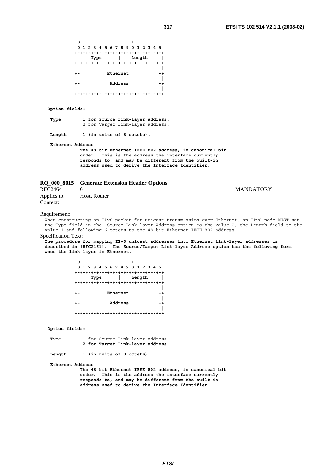| 0 |      |                                 |  |
|---|------|---------------------------------|--|
|   |      | 0 1 2 3 4 5 6 7 8 9 0 1 2 3 4 5 |  |
|   |      |                                 |  |
|   | Type | Length                          |  |
|   |      |                                 |  |
|   |      |                                 |  |
|   |      | Ethernet                        |  |
|   |      |                                 |  |
|   |      | Address                         |  |
|   |      |                                 |  |
|   |      |                                 |  |

# **Option fields:**

| Type |  | 1 for Source Link-layer address. |  |
|------|--|----------------------------------|--|
|      |  | 2 for Target Link-layer address. |  |
|      |  |                                  |  |

Length 1 (in units of 8 octets).

 **Ethernet Address** 

 **The 48 bit Ethernet IEEE 802 address, in canonical bit order. This is the address the interface currently responds to, and may be different from the built-in address used to derive the Interface Identifier.**

|  |  |  | RQ_000_8015 Generate Extension Header Options |  |  |  |
|--|--|--|-----------------------------------------------|--|--|--|
|--|--|--|-----------------------------------------------|--|--|--|

# RFC2464 6 MANDATORY Applies to: Host, Router Context:

### Requirement:

When constructing an IPv6 packet for unicast transmission over Ethernet, an IPv6 node MUST set the Type field in the Source Link-layer Address option to the value 2, the Length field to the value 1 and following 6 octets to the 48-bit Ethernet IEEE 802 address.

#### Specification Text:

**The procedure for mapping IPv6 unicast addresses into Ethernet link-layer addresses is described in [RFC2461]. The Source/Target Link-layer Address option has the following form when the link layer is Ethernet.** 

| 0 |      |          |                                 |
|---|------|----------|---------------------------------|
|   |      |          | 0 1 2 3 4 5 6 7 8 9 0 1 2 3 4 5 |
|   |      |          |                                 |
|   | Type |          | Length                          |
|   |      |          |                                 |
|   |      |          |                                 |
|   |      | Ethernet |                                 |
|   |      |          |                                 |
|   |      | Address  |                                 |
|   |      |          |                                 |
|   |      |          |                                 |

### **Option fields:**

| Type |  | 1 for Source Link-layer address. |  |
|------|--|----------------------------------|--|
|      |  | 2 for Target Link-layer address. |  |

 **Length 1 (in units of 8 octets).** 

 **Ethernet Address** 

 **The 48 bit Ethernet IEEE 802 address, in canonical bit order. This is the address the interface currently responds to, and may be different from the built-in address used to derive the Interface Identifier.**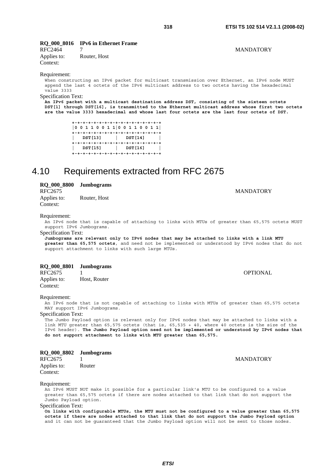# **RQ\_000\_8016 IPv6 in Ethernet Frame**

RFC2464 7 MANDATORY Applies to: Router, Host Context:

Requirement:

When constructing an IPv6 packet for multicast transmission over Ethernet, an IPv6 node MUST append the last 4 octets of the IPv6 multicast address to two octets having the hexadecimal value 3333

Specification Text:

**An IPv6 packet with a multicast destination address DST, consisting of the sixteen octets DST[1] through DST[16], is transmitted to the Ethernet multicast address whose first two octets are the value 3333 hexadecimal and whose last four octets are the last four octets of DST.** 

> **+-+-+-+-+-+-+-+-+-+-+-+-+-+-+-+-+ |0 0 1 1 0 0 1 1|0 0 1 1 0 0 1 1| +-+-+-+-+-+-+-+-+-+-+-+-+-+-+-+-+ | DST[13] | DST[14] | +-+-+-+-+-+-+-+-+-+-+-+-+-+-+-+-+ | DST[15] | DST[16] | +-+-+-+-+-+-+-+-+-+-+-+-+-+-+-+-+**

# 4.10 Requirements extracted from RFC 2675

**RQ\_000\_8800 Jumbograms** 

Context:

Applies to: Router, Host

Requirement:

An IPv6 node that is capable of attaching to links with MTUs of greater than 65,575 octets MUST support IPv6 Jumbograms.

# Specification Text:

**Jumbograms are relevant only to IPv6 nodes that may be attached to links with a link MTU greater than 65,575 octets**, and need not be implemented or understood by IPv6 nodes that do not support attachment to links with such large MTUs.

|  |  | RQ_000_8801 | <b>Jumbograms</b> |
|--|--|-------------|-------------------|
|--|--|-------------|-------------------|

| RFC2675     |              |
|-------------|--------------|
| Applies to: | Host, Router |
| Context:    |              |

# Requirement:

An IPv6 node that is not capable of attaching to links with MTUs of greater than 65,575 octets MAY support IPv6 Jumbograms.

Specification Text:

The Jumbo Payload option is relevant only for IPv6 nodes that may be attached to links with a link MTU greater than 65,575 octets (that is, 65,535 + 40, where 40 octets is the size of the IPv6 header). **The Jumbo Payload option need not be implemented or understood by IPv6 nodes that do not support attachment to links with MTU greater than 65,575.**

| RQ_000_8802 Jumbograms  |        |
|-------------------------|--------|
| RFC2675                 |        |
| Applies to:<br>Context: | Router |

#### Requirement:

An IPv6 MUST NOT make it possible for a particular link's MTU to be configured to a value greater than 65,575 octets if there are nodes attached to that link that do not support the Jumbo Payload option.

Specification Text:

**On links with configurable MTUs, the MTU must not be configured to a value greater than 65,575 octets if there are nodes attached to that link that do not support the Jumbo Payload option** and it can not be guaranteed that the Jumbo Payload option will not be sent to those nodes.

**MANDATORY** 

**OPTIONAL** 

# RFC2675 MANDATORY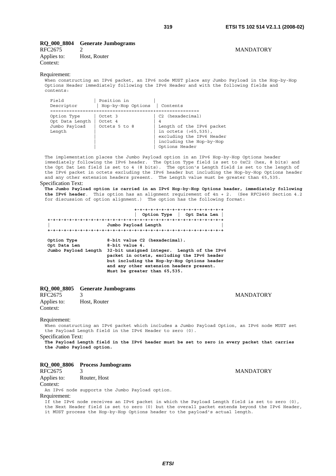# **RQ\_000\_8804 Generate Jumbograms**

# RFC2675 2 MANDATORY Applies to: Host, Router Context:

# Requirement:

When constructing an IPv6 packet, an IPv6 node MUST place any Jumbo Payload in the Hop-by-Hop Options Header immediately following the IPv6 Header and with the following fields and contents:

| Field<br>Descriptor                                       | Position in<br>Hop-by-Hop Options   | Contents                                                                                                                                                                |
|-----------------------------------------------------------|-------------------------------------|-------------------------------------------------------------------------------------------------------------------------------------------------------------------------|
| Option Type<br>Opt Data Length<br>Jumbo Payload<br>Length | Octet 3<br>Octet 4<br>Octets 5 to 8 | C2 (hexadecimal)<br>$\overline{4}$<br>Length of the IPv6 packet<br>in octets $( >65, 535)$ ,<br>excluding the IPv6 Header<br>including the Hop-by-Hop<br>Options Header |

The implementation places the Jumbo Payload option in an IPv6 Hop-by-Hop Options header immediately following the IPv6 header. The Option Type field is set to 0xC2 (hex, 8 bits) and the Opt Dat Len field is set to 4 (8 bits). The option's Length field is set to the length of the IPv6 packet in octets excluding the IPv6 header but including the Hop-by-Hop Options header and any other extension headers present. The Length value must be greater than 65,535.

#### Specification Text:

**The Jumbo Payload option is carried in an IPv6 Hop-by-Hop Options header, immediately following the IPv6 header**. This option has an alignment requirement of 4n + 2. (See RFC2460 Section 4.2 for discussion of option alignment.) The option has the following format:

 **+-+-+-+-+-+-+-+-+-+-+-+-+-+-+-+-+ | Option Type | Opt Data Len | +-+-+-+-+-+-+-+-+-+-+-+-+-+-+-+-+-+-+-+-+-+-+-+-+-+-+-+-+-+-+-+-+ | Jumbo Payload Length | +-+-+-+-+-+-+-+-+-+-+-+-+-+-+-+-+-+-+-+-+-+-+-+-+-+-+-+-+-+-+-+-+ Option Type 8-bit value C2 (hexadecimal).**  Opt Data Len 8-bit value 4.  **Jumbo Payload Length 32-bit unsigned integer. Length of the IPv6 packet in octets, excluding the IPv6 header but including the Hop-by-Hop Options header and any other extension headers present. Must be greater than 65,535.**

# **RQ\_000\_8805 Generate Jumbograms**

RFC2675 3 MANDATORY Applies to: Host, Router Context:

#### Requirement:

When constructing an IPv6 packet which includes a Jumbo Payload Option, an IPv6 node MUST set the Payload Length field in the IPv6 Header to zero (0).

Specification Text:

**The Payload Length field in the IPv6 header must be set to zero in every packet that carries the Jumbo Payload option.**

# **RQ\_000\_8806 Process Jumbograms**

| RFC2675      |                                                 | <b>MANDATORY</b> |
|--------------|-------------------------------------------------|------------------|
| Applies to:  | Router, Host                                    |                  |
| Context:     |                                                 |                  |
|              | An IPv6 node supports the Jumbo Payload option. |                  |
| Requirement: |                                                 |                  |

If the IPv6 node receives an IPv6 packet in which the Payload Length field is set to zero (0), the Next Header field is set to zero (0) but the overall packet extends beyond the IPv6 Header, it MUST process the Hop-by-Hop Options header to the payload's actual length.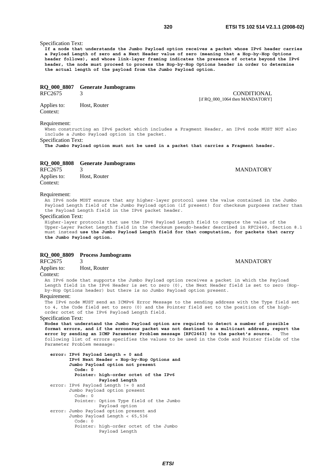# Specification Text:

**If a node that understands the Jumbo Payload option receives a packet whose IPv6 header carries a Payload Length of zero and a Next Header value of zero (meaning that a Hop-by-Hop Options header follows), and whose link-layer framing indicates the presence of octets beyond the IPv6 header, the node must proceed to process the Hop-by-Hop Options header in order to determine the actual length of the payload from the Jumbo Payload option.**

# **RQ\_000\_8807 Generate Jumbograms**

RFC2675 3 CONDITIONAL

Applies to: Host, Router Context:

# Requirement:

When constructing an IPv6 packet which includes a Fragment Header, an IPv6 node MUST NOT also include a Jumbo Payload option in the packet.

Specification Text:

**The Jumbo Payload option must not be used in a packet that carries a Fragment header.**

|  |  |  | RQ_000_8808 Generate Jumbograms |
|--|--|--|---------------------------------|
|--|--|--|---------------------------------|

| RFC2675     | 3            |
|-------------|--------------|
| Applies to: | Host, Router |
| Context:    |              |

# Requirement:

An IPv6 node MUST ensure that any higher-layer protocol uses the value contained in the Jumbo Payload Length field of the Jumbo Payload option (if present) for checksum purposes rather than the Payload Length field in the IPv6 packet header.

# Specification Text:

Higher-layer protocols that use the IPv6 Payload Length field to compute the value of the Upper-Layer Packet Length field in the checksum pseudo-header described in RFC2460, Section 8.1 must instead **use the Jumbo Payload Length field for that computation, for packets that carry the Jumbo Payload option.**

# **RQ\_000\_8809 Process Jumbograms**

RFC2675 3 MANDATORY

Applies to: Host, Router

# Context:

An IPv6 node that supports the Jumbo Payload option receives a packet in which the Payload Length field in the IPv6 Header is set to zero (0), the Next Header field is set to zero (Hopby-Hop Options header) but there is no Jumbo Payload option present.

# Requirement:

The IPv6 node MUST send an ICMPv6 Error Message to the sending address with the Type field set to 4, the Code field set to zero (0) and the Pointer field set to the position of the highorder octet of the IPv6 Payload Length field.

# Specification Text:

**Nodes that understand the Jumbo Payload option are required to detect a number of possible format errors, and if the erroneous packet was not destined to a multicast address, report the error by sending an ICMP Parameter Problem message [RFC2463] to the packet's source**. The following list of errors specifies the values to be used in the Code and Pointer fields of the Parameter Problem message:

```
 error: IPv6 Payload Length = 0 and 
       IPv6 Next Header = Hop-by-Hop Options and 
       Jumbo Payload option not present 
         Code: 0 
         Pointer: high-order octet of the IPv6 
                  Payload Length
error: IPv6 Payload Length != 0 and 
       Jumbo Payload option present 
         Code: 0 
         Pointer: Option Type field of the Jumbo 
                   Payload option 
error: Jumbo Payload option present and 
       Jumbo Payload Length < 65,536 
         Code: 0 
         Pointer: high-order octet of the Jumbo 
                   Payload Length
```
**MANDATORY** 

[if RQ\_000\_1064 then MANDATORY]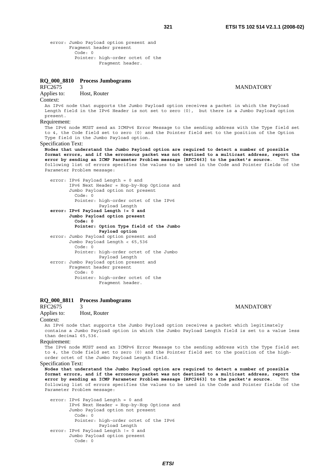error: Jumbo Payload option present and Fragment header present Code: 0 Pointer: high-order octet of the Fragment header.

# **RQ\_000\_8810 Process Jumbograms**

# RFC2675 3 MANDATORY

# Applies to: Host, Router

#### Context:

An IPv6 node that supports the Jumbo Payload option receives a packet in which the Payload Length field in the IPv6 Header is not set to zero (0), but there is a Jumbo Payload option present.

# Requirement:

The IPv6 node MUST send an ICMPv6 Error Message to the sending address with the Type field set to 4, the Code field set to zero (0) and the Pointer field set to the position of the Option Type field in the Jumbo Payload option.

#### Specification Text:

**Nodes that understand the Jumbo Payload option are required to detect a number of possible format errors, and if the erroneous packet was not destined to a multicast address, report the error by sending an ICMP Parameter Problem message [RFC2463] to the packet's source**. The following list of errors specifies the values to be used in the Code and Pointer fields of the Parameter Problem message:

 error: IPv6 Payload Length = 0 and IPv6 Next Header = Hop-by-Hop Options and Jumbo Payload option not present Code: 0 Pointer: high-order octet of the IPv6 Payload Length  **error: IPv6 Payload Length != 0 and Jumbo Payload option present Code: 0 Pointer: Option Type field of the Jumbo Payload option** error: Jumbo Payload option present and Jumbo Payload Length < 65,536 Code: 0 Pointer: high-order octet of the Jumbo Payload Length error: Jumbo Payload option present and Fragment header present Code: 0 Pointer: high-order octet of the Fragment header.

# **RQ\_000\_8811 Process Jumbograms**

# RFC2675 3<br>Applies to: Host, Router Host, Router

#### Context:

An IPv6 node that supports the Jumbo Payload option receives a packet which legitimately contains a Jumbo Payload option in which the Jumbo Payload Length field is set to a value less than decimal 65,536.

#### Requirement:

The IPv6 node MUST send an ICMPv6 Error Message to the sending address with the Type field set to 4, the Code field set to zero (0) and the Pointer field set to the position of the highorder octet of the Jumbo Payload Length field.

#### Specification Text:

**Nodes that understand the Jumbo Payload option are required to detect a number of possible format errors, and if the erroneous packet was not destined to a multicast address, report the error by sending an ICMP Parameter Problem message [RFC2463] to the packet's source**. The following list of errors specifies the values to be used in the Code and Pointer fields of the Parameter Problem message:

 error: IPv6 Payload Length = 0 and IPv6 Next Header = Hop-by-Hop Options and Jumbo Payload option not present Code: 0 Pointer: high-order octet of the IPv6 Payload Length error: IPv6 Payload Length != 0 and Jumbo Payload option present Code: 0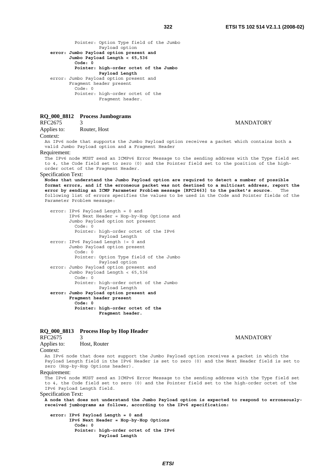Pointer: Option Type field of the Jumbo Payload option  **error: Jumbo Payload option present and Jumbo Payload Length < 65,536 Code: 0 Pointer: high-order octet of the Jumbo Payload Length** error: Jumbo Payload option present and Fragment header present Code: 0 Pointer: high-order octet of the Fragment header.

# **RQ\_000\_8812 Process Jumbograms**

Applies to: Router, Host

#### Context:

An IPv6 node that supports the Jumbo Payload option receives a packet which contains both a valid Jumbo Payload option and a Fragment Header

# Requirement:

The IPv6 node MUST send an ICMPv6 Error Message to the sending address with the Type field set to 4, the Code field set to zero (0) and the Pointer field set to the position of the highorder octet of the Fragment Header.

#### Specification Text:

**Nodes that understand the Jumbo Payload option are required to detect a number of possible format errors, and if the erroneous packet was not destined to a multicast address, report the error by sending an ICMP Parameter Problem message [RFC2463] to the packet's source**. The following list of errors specifies the values to be used in the Code and Pointer fields of the Parameter Problem message:

 error: IPv6 Payload Length = 0 and IPv6 Next Header = Hop-by-Hop Options and Jumbo Payload option not present Code: 0 Pointer: high-order octet of the IPv6 Payload Length error: IPv6 Payload Length != 0 and Jumbo Payload option present Code: 0 Pointer: Option Type field of the Jumbo Payload option error: Jumbo Payload option present and Jumbo Payload Length < 65,536 Code: 0 Pointer: high-order octet of the Jumbo Payload Length  **error: Jumbo Payload option present and Fragment header present Code: 0 Pointer: high-order octet of the Fragment header.**

# **RQ\_000\_8813 Process Hop by Hop Header**

# RFC2675 3 MANDATORY

### Applies to: Host, Router

Context:

An IPv6 node that does not support the Jumbo Payload option receives a packet in which the Payload Length field in the IPv6 Header is set to zero (0) and the Next Header field is set to zero (Hop-by-Hop Options header).

#### Requirement:

The IPv6 node MUST send an ICMPv6 Error Message to the sending address with the Type field set to 4, the Code field set to zero (0) and the Pointer field set to the high-order octet of the IPv6 Payload Length field.

# Specification Text:

**A node that does not understand the Jumbo Payload option is expected to respond to erroneouslyreceived jumbograms as follows, according to the IPv6 specification:** 

 **error: IPv6 Payload Length = 0 and IPv6 Next Header = Hop-by-Hop Options Code: 0 Pointer: high-order octet of the IPv6 Payload Length**

### 3 MANDATORY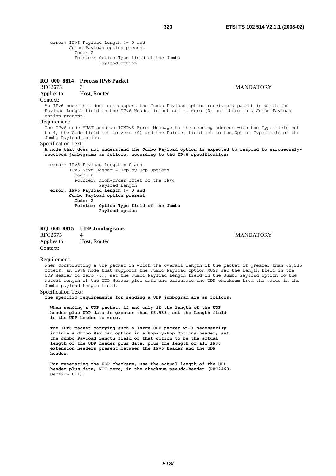```
 error: IPv6 Payload Length != 0 and 
       Jumbo Payload option present 
         Code: 2 
         Pointer: Option Type field of the Jumbo 
                   Payload option
```
# **RQ\_000\_8814 Process IPv6 Packet**

# RFC2675 3 MANDATORY

#### Applies to: Host, Router

Context:

An IPv6 node that does not support the Jumbo Payload option receives a packet in which the Payload Length field in the IPv6 Header is not set to zero (0) but there is a Jumbo Payload option present.

# Requirement:

The IPv6 node MUST send an ICMPv6 Error Message to the sending address with the Type field set to 4, the Code field set to zero (0) and the Pointer field set to the Option Type field of the Jumbo Payload option.

#### Specification Text:

**A node that does not understand the Jumbo Payload option is expected to respond to erroneouslyreceived jumbograms as follows, according to the IPv6 specification:**

 error: IPv6 Payload Length = 0 and IPv6 Next Header = Hop-by-Hop Options Code: 0 Pointer: high-order octet of the IPv6 Payload Length  **error: IPv6 Payload Length != 0 and Jumbo Payload option present Code: 2 Pointer: Option Type field of the Jumbo Payload option**

# **RQ\_000\_8815 UDP Jumbograms**

RFC2675 4 MANDATORY Applies to: Host, Router Context:

#### Requirement:

When constructing a UDP packet in which the overall length of the packet is greater than 65,535 octets, an IPv6 node that supports the Jumbo Payload option MUST set the Length field in the UDP Header to zero (0), set the Jumbo Payload Length field in the Jumbo Payload option to the actual length of the UDP Header plus data and calculate the UDP checksum from the value in the Jumbo payload Length field.

# Specification Text:

**The specific requirements for sending a UDP jumbogram are as follows:** 

 **When sending a UDP packet, if and only if the length of the UDP header plus UDP data is greater than 65,535, set the Length field in the UDP header to zero.** 

 **The IPv6 packet carrying such a large UDP packet will necessarily include a Jumbo Payload option in a Hop-by-Hop Options header; set the Jumbo Payload Length field of that option to be the actual length of the UDP header plus data, plus the length of all IPv6 extension headers present between the IPv6 header and the UDP header.** 

 **For generating the UDP checksum, use the actual length of the UDP header plus data, NOT zero, in the checksum pseudo-header [RFC2460, Section 8.1].**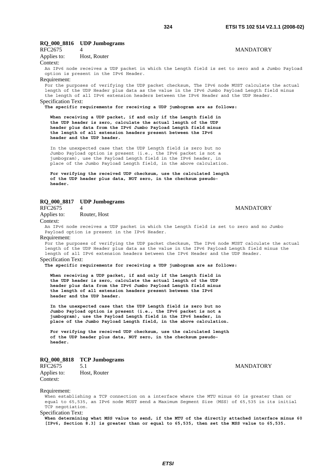# **RQ\_000\_8816 UDP Jumbograms**

# RFC2675 4 MANDATORY

Applies to: Host, Router

# Context:

An IPv6 node receives a UDP packet in which the Length field is set to zero and a Jumbo Payload option is present in the IPv6 Header.

#### Requirement:

For the purposes of verifying the UDP packet checksum, The IPv6 node MUST calculate the actual length of the UDP Header plus data as the value in the IPv6 Jumbo Payload Length field minus the length of all IPv6 extension headers between the IPv6 Header and the UDP Header. Specification Text:

**The specific requirements for receiving a UDP jumbogram are as follows:** 

 **When receiving a UDP packet, if and only if the Length field in the UDP header is zero, calculate the actual length of the UDP header plus data from the IPv6 Jumbo Payload Length field minus the length of all extension headers present between the IPv6 header and the UDP header.**

 In the unexpected case that the UDP Length field is zero but no Jumbo Payload option is present (i.e., the IPv6 packet is not a jumbogram), use the Payload Length field in the IPv6 header, in place of the Jumbo Payload Length field, in the above calculation.

 **For verifying the received UDP checksum, use the calculated length of the UDP header plus data, NOT zero, in the checksum pseudo header.**

# **RQ\_000\_8817 UDP Jumbograms**

Applies to: Router, Host

# A MANDATORY

### Context:

An IPv6 node receives a UDP packet in which the Length field is set to zero and no Jumbo Payload option is present in the IPv6 Header.

#### Requirement:

For the purposes of verifying the UDP packet checksum, The IPv6 node MUST calculate the actual length of the UDP Header plus data as the value in the IPv6 Payload Length field minus the length of all IPv6 extension headers between the IPv6 Header and the UDP Header. Specification Text:

#### **The specific requirements for receiving a UDP jumbogram are as follows:**

 **When receiving a UDP packet, if and only if the Length field in the UDP header is zero, calculate the actual length of the UDP header plus data from the IPv6 Jumbo Payload Length field minus the length of all extension headers present between the IPv6 header and the UDP header.** 

 **In the unexpected case that the UDP Length field is zero but no Jumbo Payload option is present (i.e., the IPv6 packet is not a jumbogram), use the Payload Length field in the IPv6 header, in place of the Jumbo Payload Length field, in the above calculation.** 

 **For verifying the received UDP checksum, use the calculated length of the UDP header plus data, NOT zero, in the checksum pseudo header.**

# **RQ\_000\_8818 TCP Jumbograms**

RFC2675 5.1 MANDATORY Applies to: Host, Router Context:

#### Requirement:

When establishing a TCP connection on a interface where the MTU minus 60 is greater than or equal to 65,535, an IPv6 node MUST send a Maximum Segment Size (MSS) of 65,535 in its initial TCP negotiation.

# Specification Text:

**When determining what MSS value to send, if the MTU of the directly attached interface minus 60 [IPv6, Section 8.3] is greater than or equal to 65,535, then set the MSS value to 65,535.**

*ETSI*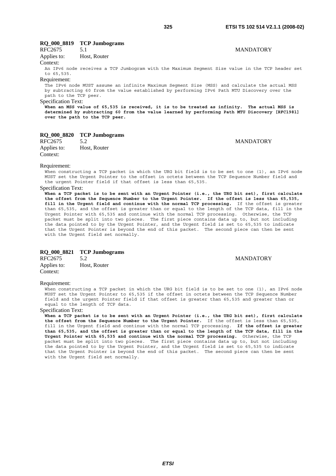**MANDATORY** 

## **RQ\_000\_8819 TCP Jumbograms**

| RFC2675 | 5.1 |  |
|---------|-----|--|
|         |     |  |

Applies to: Host, Router

Context:

An IPv6 node receives a TCP Jumbogram with the Maximum Segment Size value in the TCP header set to 65,535.

### Requirement:

The IPv6 node MUST assume an infinite Maximum Segment Size (MSS) and calculate the actual MSS by subtracting 60 from the value established by performing IPv6 Path MTU Discovery over the path to the TCP peer.

### Specification Text:

**When an MSS value of 65,535 is received, it is to be treated as infinity. The actual MSS is determined by subtracting 60 from the value learned by performing Path MTU Discovery [RFC1981] over the path to the TCP peer.**

### **RQ\_000\_8820 TCP Jumbograms**

RFC2675 5.2 MANDATORY Applies to: Host, Router Context:

### Requirement:

When constructing a TCP packet in which the URG bit field is to be set to one (1), an IPv6 node MUST set the Urgent Pointer to the offset in octets between the TCP Sequence Number field and the urgent Pointer field if that offset is less than 65,535.

### Specification Text:

**When a TCP packet is to be sent with an Urgent Pointer (i.e., the URG bit set), first calculate the offset from the Sequence Number to the Urgent Pointer. If the offset is less than 65,535, fill in the Urgent field and continue with the normal TCP processing.** If the offset is greater than 65,535, and the offset is greater than or equal to the length of the TCP data, fill in the Urgent Pointer with 65,535 and continue with the normal TCP processing. Otherwise, the TCP packet must be split into two pieces. The first piece contains data up to, but not including the data pointed to by the Urgent Pointer, and the Urgent field is set to 65,535 to indicate that the Urgent Pointer is beyond the end of this packet. The second piece can then be sent with the Urgent field set normally.

### **RQ\_000\_8821 TCP Jumbograms**

RFC2675 5.2 MANDATORY Applies to: Host, Router Context:

### Requirement:

When constructing a TCP packet in which the URG bit field is to be set to one (1), an IPv6 node MUST set the Urgent Pointer to 65,535 if the offset in octets between the TCP Sequence Number field and the urgent Pointer field if that offset is greater than 65,535 and greater than or equal to the length of TCP data.

### Specification Text:

**When a TCP packet is to be sent with an Urgent Pointer (i.e., the URG bit set), first calculate the offset from the Sequence Number to the Urgent Pointer.** If the offset is less than 65,535, fill in the Urgent field and continue with the normal TCP processing. **If the offset is greater than 65,535, and the offset is greater than or equal to the length of the TCP data, fill in the Urgent Pointer with 65,535 and continue with the normal TCP processing.** Otherwise, the TCP packet must be split into two pieces. The first piece contains data up to, but not including the data pointed to by the Urgent Pointer, and the Urgent field is set to 65,535 to indicate that the Urgent Pointer is beyond the end of this packet. The second piece can then be sent with the Urgent field set normally.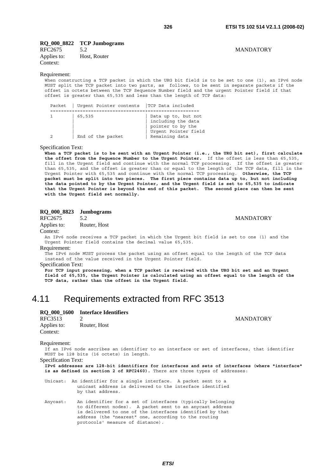**MANDATORY** 

**MANDATORY** 

### **RQ\_000\_8822 TCP Jumbograms**

| RFC2675     | 5.2          |
|-------------|--------------|
| Applies to: | Host, Router |
| Context:    |              |

### Requirement:

When constructing a TCP packet in which the URG bit field is to be set to one (1), an IPv6 node MUST split the TCP packet into two parts, as follows, to be sent in separate packets if the offset in octets between the TCP Sequence Number field and the urgent Pointer field if that offset is greater than 65,535 and less than the length of TCP data:

| TCP Data included<br>  Urgent Pointer contents<br>Packet |                                                                                        |
|----------------------------------------------------------|----------------------------------------------------------------------------------------|
| 65,535<br>Remaining data<br>End of the packet            | Data up to, but not<br>including the data<br>pointer to by the<br>Urgent Pointer field |

Specification Text:

**When a TCP packet is to be sent with an Urgent Pointer (i.e., the URG bit set), first calculate the offset from the Sequence Number to the Urgent Pointer.** If the offset is less than 65,535, fill in the Urgent field and continue with the normal TCP processing. If the offset is greater than 65,535, and the offset is greater than or equal to the length of the TCP data, fill in the Urgent Pointer with 65,535 and continue with the normal TCP processing. **Otherwise, the TCP packet must be split into two pieces. The first piece contains data up to, but not including the data pointed to by the Urgent Pointer, and the Urgent field is set to 65,535 to indicate that the Urgent Pointer is beyond the end of this packet. The second piece can then be sent with the Urgent field set normally.**

### **RQ\_000\_8823 Jumbograms**

RFC2675 5.2 MANDATORY

Applies to: Router, Host

Context:

An IPv6 node receives a TCP packet in which the Urgent bit field is set to one (1) and the Urgent Pointer field contains the decimal value 65,535.

#### Requirement:

The IPv6 node MUST process the packet using an offset equal to the length of the TCP data instead of the value received in the Urgent Pointer field.

Specification Text:

**For TCP input processing, when a TCP packet is received with the URG bit set and an Urgent field of 65,535, the Urgent Pointer is calculated using an offset equal to the length of the TCP data, rather than the offset in the Urgent field.**

## 4.11 Requirements extracted from RFC 3513

### **RQ\_000\_1600 Interface Identifiers**

| RFC3513     | 2            |
|-------------|--------------|
| Applies to: | Router, Host |
| Context:    |              |

#### Requirement:

If an IPv6 node ascribes an identifier to an interface or set of interfaces, that identifier MUST be 128 bits (16 octets) in length.

Specification Text:

**IPv6 addresses are 128-bit identifiers for interfaces and sets of interfaces (where "interface" is as defined in section 2 of RFC2460).** There are three types of addresses:

Unicast: An identifier for a single interface. A packet sent to a unicast address is delivered to the interface identified by that address.

Anycast: An identifier for a set of interfaces (typically belonging to different nodes). A packet sent to an anycast address is delivered to one of the interfaces identified by that address (the "nearest" one, according to the routing protocols' measure of distance).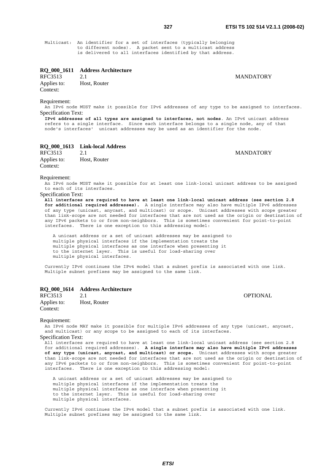Multicast: An identifier for a set of interfaces (typically belonging to different nodes). A packet sent to a multicast address is delivered to all interfaces identified by that address.

### **RQ\_000\_1611 Address Architecture**

RFC3513 2.1 MANDATORY Applies to: Host, Router Context:

**MANDATORY** 

### Requirement:

An IPv6 node MUST make it possible for IPv6 addresses of any type to be assigned to interfaces. Specification Text:

**IPv6 addresses of all types are assigned to interfaces, not nodes**. An IPv6 unicast address refers to a single interface. Since each interface belongs to a single node, any of that node's interfaces' unicast addresses may be used as an identifier for the node.

### **RQ\_000\_1613 Link-local Address**

| RFC3513     | 2.1          |
|-------------|--------------|
| Applies to: | Host, Router |
| Context:    |              |

#### Requirement:

An IPv6 node MUST make it possible for at least one link-local unicast address to be assigned to each of its interfaces.

### Specification Text:

**All interfaces are required to have at least one link-local unicast address (see section 2.8 for additional required addresses).** A single interface may also have multiple IPv6 addresses of any type (unicast, anycast, and multicast) or scope. Unicast addresses with scope greater than link-scope are not needed for interfaces that are not used as the origin or destination of any IPv6 packets to or from non-neighbors. This is sometimes convenient for point-to-point interfaces. There is one exception to this addressing model:

 A unicast address or a set of unicast addresses may be assigned to multiple physical interfaces if the implementation treats the multiple physical interfaces as one interface when presenting it to the internet layer. This is useful for load-sharing over multiple physical interfaces.

Currently IPv6 continues the IPv4 model that a subnet prefix is associated with one link. Multiple subnet prefixes may be assigned to the same link.

# **RQ\_000\_1614 Address Architecture**

RFC3513 2.1 OPTIONAL Applies to: Host, Router Context:

#### Requirement:

An IPv6 node MAY make it possible for multiple IPv6 addresses of any type (unicast, anycast, and multicast) or any scope to be assigned to each of its interfaces.

### Specification Text:

All interfaces are required to have at least one link-local unicast address (see section 2.8 for additional required addresses). **A single interface may also have multiple IPv6 addresses of any type (unicast, anycast, and multicast) or scope.** Unicast addresses with scope greater than link-scope are not needed for interfaces that are not used as the origin or destination of any IPv6 packets to or from non-neighbors. This is sometimes convenient for point-to-point interfaces. There is one exception to this addressing model:

 A unicast address or a set of unicast addresses may be assigned to multiple physical interfaces if the implementation treats the multiple physical interfaces as one interface when presenting it to the internet layer. This is useful for load-sharing over multiple physical interfaces.

Currently IPv6 continues the IPv4 model that a subnet prefix is associated with one link. Multiple subnet prefixes may be assigned to the same link.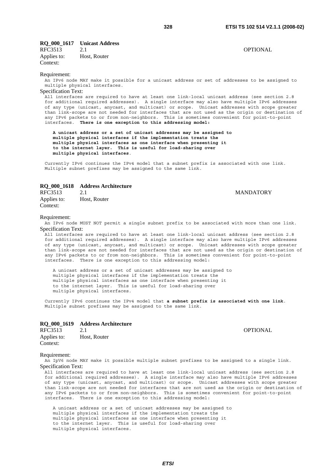## **RQ\_000\_1617 Unicast Address**

RFC3513 2.1 OPTIONAL Applies to: Host, Router Context:

### Requirement:

An IPv6 node MAY make it possible for a unicast address or set of addresses to be assigned to multiple physical interfaces.

### Specification Text:

All interfaces are required to have at least one link-local unicast address (see section 2.8 for additional required addresses). A single interface may also have multiple IPv6 addresses of any type (unicast, anycast, and multicast) or scope. Unicast addresses with scope greater than link-scope are not needed for interfaces that are not used as the origin or destination of any IPv6 packets to or from non-neighbors. This is sometimes convenient for point-to-point interfaces. **There is one exception to this addressing model:** 

 **A unicast address or a set of unicast addresses may be assigned to multiple physical interfaces if the implementation treats the multiple physical interfaces as one interface when presenting it to the internet layer. This is useful for load-sharing over multiple physical interfaces**.

Currently IPv6 continues the IPv4 model that a subnet prefix is associated with one link. Multiple subnet prefixes may be assigned to the same link.

### **RQ\_000\_1618 Address Architecture**

RFC3513 2.1 2.1 MANDATORY Applies to: Host, Router Context:

### Requirement:

An IPv6 node MUST NOT permit a single subnet prefix to be associated with more than one link. Specification Text:

All interfaces are required to have at least one link-local unicast address (see section 2.8 for additional required addresses). A single interface may also have multiple IPv6 addresses of any type (unicast, anycast, and multicast) or scope. Unicast addresses with scope greater than link-scope are not needed for interfaces that are not used as the origin or destination of any IPv6 packets to or from non-neighbors. This is sometimes convenient for point-to-point interfaces. There is one exception to this addressing model:

 A unicast address or a set of unicast addresses may be assigned to multiple physical interfaces if the implementation treats the multiple physical interfaces as one interface when presenting it to the internet layer. This is useful for load-sharing over multiple physical interfaces.

Currently IPv6 continues the IPv4 model that **a subnet prefix is associated with one link**. Multiple subnet prefixes may be assigned to the same link.

### **RQ\_000\_1619 Address Architecture**

| RFC3513     |              | <b>OPTIONAL</b> |
|-------------|--------------|-----------------|
| Applies to: | Host, Router |                 |
| Context:    |              |                 |

### Requirement:

An IpV6 node MAY make it possible multiple subnet prefixes to be assigned to a single link. Specification Text:

All interfaces are required to have at least one link-local unicast address (see section 2.8 for additional required addresses). A single interface may also have multiple IPv6 addresses of any type (unicast, anycast, and multicast) or scope. Unicast addresses with scope greater than link-scope are not needed for interfaces that are not used as the origin or destination of any IPv6 packets to or from non-neighbors. This is sometimes convenient for point-to-point interfaces. There is one exception to this addressing model:

 A unicast address or a set of unicast addresses may be assigned to multiple physical interfaces if the implementation treats the multiple physical interfaces as one interface when presenting it to the internet layer. This is useful for load-sharing over multiple physical interfaces.

*ETSI*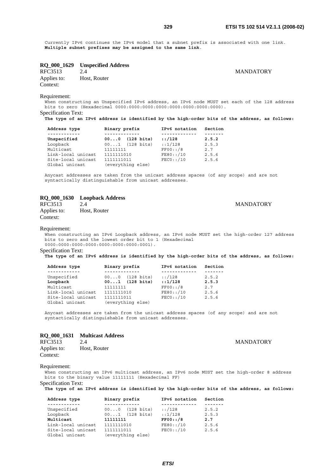Currently IPv6 continues the IPv4 model that a subnet prefix is associated with one link. **Multiple subnet prefixes may be assigned to the same link**.

# **RQ\_000\_1629 Unspecified Address**

Applies to: Host, Router Context:

**MANDATORY** 

Requirement:

When constructing an Unspecified IPv6 address, an IPv6 node MUST set each of the 128 address bits to zero (Hexadecimal 0000:0000:0000:0000:0000:0000:0000:0000). Specification Text:

**The type of an IPv6 address is identified by the high-order bits of the address, as follows:** 

| Address type                         | Binary prefix                   | IPv6 notation | Section |
|--------------------------------------|---------------------------------|---------------|---------|
| ------------<br>Unspecified          | $(128 \text{ bits})$<br>000     | :1/128        | 2.5.2   |
| Loopback                             | $001$ (128 bits)                | :1/128        | 2.5.3   |
| Multicast                            | 11111111                        | FF00::/8      | 2.7     |
| Link-local unicast                   | 1111111010                      | FE80: /10     | 2.5.6   |
| Site-local unicast<br>Global unicast | 1111111011<br>(everything else) | FEC0::/10     | 2.5.6   |

Anycast addresses are taken from the unicast address spaces (of any scope) and are not syntactically distinguishable from unicast addresses.

## **RQ\_000\_1630 Loopback Address**

| RFC3513     | 2.4          |
|-------------|--------------|
| Applies to: | Host, Router |
| Context:    |              |

### Requirement:

When constructing an IPv6 Loopback address, an IPv6 node MUST set the high-order 127 address bits to zero and the lowest order bit to 1 (Hexadecimal 0000:0000:0000:0000:0000:0000:0000:0001).

Specification Text:

**The type of an IPv6 address is identified by the high-order bits of the address, as follows:** 

| Address type                         | Binary prefix                   | IPv6 notation | Section |
|--------------------------------------|---------------------------------|---------------|---------|
| Unspecified                          | $000$ (128 bits)                | :1/128        | 2.5.2   |
| Loopback                             | $001$ (128 bits)                | :1/128        | 2.5.3   |
| Multicast                            | 11111111                        | FF00::/8      | 2.7     |
| Link-local unicast                   | 1111111010                      | FE80: /10     | 2.5.6   |
| Site-local unicast<br>Global unicast | 1111111011<br>(everything else) | $FEC0:$ : /10 | 2.5.6   |

Anycast addresses are taken from the unicast address spaces (of any scope) and are not syntactically distinguishable from unicast addresses.

### **RQ\_000\_1631 Multicast Address**

| RFC3513     | 2.4          |
|-------------|--------------|
| Applies to: | Host, Router |
| Context:    |              |

### Requirement:

When constructing an IPv6 multicast address, an IPv6 node MUST set the high-order 8 address bits to the binary value 11111111 (Hexadecimal FF)

Specification Text:

**The type of an IPv6 address is identified by the high-order bits of the address, as follows:** 

| Address type       | Binary prefix              | IPv6 notation | Section |
|--------------------|----------------------------|---------------|---------|
| ------------       | -----------                |               |         |
| Unspecified        | $000$ $(128 \text{ bits})$ | :1/128        | 2.5.2   |
| Loopback           | $001$ (128 bits)           | :1/128        | 2.5.3   |
| Multicast          | 11111111                   | FF00::/8      | 2.7     |
| Link-local unicast | 1111111010                 | $FE80:$ : /10 | 2.5.6   |
| Site-local unicast | 1111111011                 | $FEC0:$ : /10 | 2.5.6   |
| Global unicast     | (everything else)          |               |         |

**MANDATORY** 

**MANDATORY**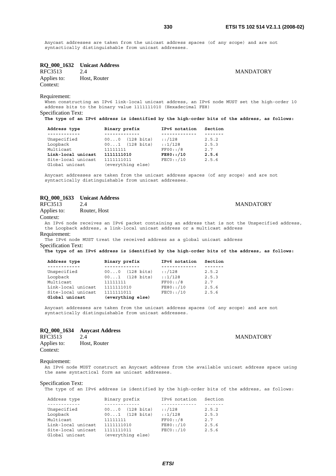**MANDATORY** 

Anycast addresses are taken from the unicast address spaces (of any scope) and are not syntactically distinguishable from unicast addresses.

# **RQ\_000\_1632 Unicast Address**

Applies to: Host, Router Context:

Requirement:

When constructing an IPv6 link-local unicast address, an IPv6 node MUST set the high-order 10 address bits to the binary value 1111111010 (Hexadecimal FE8) Specification Text:

**The type of an IPv6 address is identified by the high-order bits of the address, as follows:** 

| Address type       | Binary prefix                         | IPv6 notation | Section |
|--------------------|---------------------------------------|---------------|---------|
| .                  |                                       |               |         |
| Unspecified        | $(128 \text{ bits})$<br>$00 \ldots 0$ | :1/128        | 2.5.2   |
| Loopback           | $001$ (128 bits)                      | :1/128        | 2.5.3   |
| Multicast          | 11111111                              | FF00::/8      | 2.7     |
| Link-local unicast | 1111111010                            | FES0::/10     | 2.5.6   |
| Site-local unicast | 1111111011                            | FEC0::/10     | 2.5.6   |
| Global unicast     | (everything else)                     |               |         |

Anycast addresses are taken from the unicast address spaces (of any scope) and are not syntactically distinguishable from unicast addresses.

# **RQ\_000\_1633 Unicast Address**

2.4 MANDATORY

Applies to: Router, Host

Context:

An IPv6 node receives an IPv6 packet containing an address that is not the Unspecified address, the Loopback address, a link-local unicast address or a multicast address

### Requirement:

The IPv6 node MUST treat the received address as a global unicast address Specification Text:

**The type of an IPv6 address is identified by the high-order bits of the address, as follows:** 

| Address type       | Binary prefix              | IPv6 notation | Section |
|--------------------|----------------------------|---------------|---------|
| ----------         |                            |               |         |
| Unspecified        | $000$ $(128 \text{ bits})$ | :1/128        | 2.5.2   |
| Loopback           | $001$ (128 bits)           | :1/128        | 2.5.3   |
| Multicast          | 11111111                   | FF00::/8      | 2.7     |
| Link-local unicast | 1111111010                 | FE80: /10     | 2.5.6   |
| Site-local unicast | 1111111011                 | $FECO:$ : /10 | 2.5.6   |
| Global unicast     | (everything else)          |               |         |

Anycast addresses are taken from the unicast address spaces (of any scope) and are not syntactically distinguishable from unicast addresses.

# **RQ\_000\_1634 Anycast Address**

Applies to: Host, Router Context:

## Requirement:

An IPv6 node MUST construct an Anycast address from the available unicast address space using the same syntactical form as unicast addresses.

### Specification Text:

The type of an IPv6 address is identified by the high-order bits of the address, as follows:

| Address type       | Binary prefix              | IPv6 notation | Section |
|--------------------|----------------------------|---------------|---------|
| ----------         |                            |               |         |
| Unspecified        | $000$ $(128 \text{ bits})$ | :128          | 2.5.2   |
| Loopback           | $001$ (128 bits)           | : 1/128       | 2.5.3   |
| Multicast          | 11111111                   | $FF00:$ : /8  | 2.7     |
| Link-local unicast | 1111111010                 | FE80::/10     | 2.5.6   |
| Site-local unicast | 1111111011                 | $FEC0:$ : /10 | 2.5.6   |
| Global unicast     | (everything else)          |               |         |

### 2.4 MANDATORY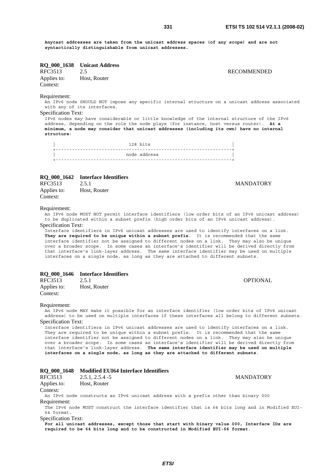**Anycast addresses are taken from the unicast address spaces (of any scope) and are not syntactically distinguishable from unicast addresses.**

# **RQ\_000\_1638 Unicast Address**

Applies to: Host, Router Context:

**RECOMMENDED** 

**MANDATORY** 

OPTIONAL

### Requirement:

An IPv6 node SHOULD NOT impose any specific internal structure on a unicast address associated with any of its interfaces.

### Specification Text:

IPv6 nodes may have considerable or little knowledge of the internal structure of the IPv6 address, depending on the role the node plays (for instance, host versus router). **At a minimum, a node may consider that unicast addresses (including its own) have no internal structure**:

128 bits +-----------------------------------------------------------------+ | node address | +-----------------------------------------------------------------+

### **RQ\_000\_1642 Interface Identifiers**

| RFC3513     | 2.5.1        |
|-------------|--------------|
| Applies to: | Host, Router |
| Context:    |              |

### Requirement:

An IPv6 node MUST NOT permit interface identifiers (low order bits of an IPv6 unicast address) to be duplicated within a subnet prefix (high order bits of an IPv6 unicast address).

### Specification Text:

Interface identifiers in IPv6 unicast addresses are used to identify interfaces on a link. **They are required to be unique within a subnet prefix**. It is recommended that the same interface identifier not be assigned to different nodes on a link. They may also be unique over a broader scope. In some cases an interface's identifier will be derived directly from that interface's link-layer address. The same interface identifier may be used on multiple interfaces on a single node, as long as they are attached to different subnets.

### **RQ\_000\_1646 Interface Identifiers**

| RFC3513     | 2.5.1        |
|-------------|--------------|
| Applies to: | Host, Router |
| Context:    |              |

### Requirement:

An IPv6 node MAY make it possible for an interface identifier (low order bits of IPv6 unicast address) to be used on multiple interfaces if these interfaces all belong to different subnets. Specification Text:

Interface identifiers in IPv6 unicast addresses are used to identify interfaces on a link. They are required to be unique within a subnet prefix. It is recommended that the same interface identifier not be assigned to different nodes on a link. They may also be unique over a broader scope. In some cases an interface's identifier will be derived directly from that interface's link-layer address. **The same interface identifier may be used on multiple interfaces on a single node, as long as they are attached to different subnets**.

|                            | RQ 000 1648 Modified EUI64 Interface Identifiers                                                                                                                            |                  |
|----------------------------|-----------------------------------------------------------------------------------------------------------------------------------------------------------------------------|------------------|
| RFC3513                    | $2.5.1, 2.5.4 - 5$                                                                                                                                                          | <b>MANDATORY</b> |
| Applies to:                | Host, Router                                                                                                                                                                |                  |
| Context:                   |                                                                                                                                                                             |                  |
|                            | An IPv6 node constructs an IPv6 unicast address with a prefix other than binary 000                                                                                         |                  |
| Requirement:               |                                                                                                                                                                             |                  |
|                            | The IPv6 node MUST construct the interface identifier that is 64 bits long and in Modified EUI-                                                                             |                  |
| 64 format.                 |                                                                                                                                                                             |                  |
| <b>Specification Text:</b> |                                                                                                                                                                             |                  |
|                            | For all unicast addresses, except those that start with binary value 000, Interface IDs are<br>required to be 64 bits long and to be constructed in Modified EUI-64 format. |                  |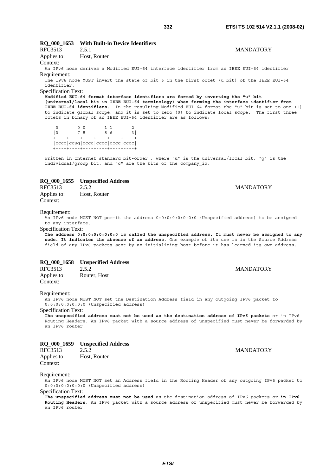# **RQ\_000\_1653 With Built-in Device Identifiers**

| 111 UJJ 19  | <u> 2.J.I</u> |
|-------------|---------------|
| Applies to: | Host, Router  |

Context:

An IPv6 node derives a Modified EUI-64 interface identifier from an IEEE EUI-64 identifier Requirement:

The IPv6 node MUST invert the state of bit 6 in the first octet (u bit) of the IEEE EUI-64 identifier.

Specification Text:

**Modified EUI-64 format interface identifiers are formed by inverting the "u" bit (universal/local bit in IEEE EUI-64 terminology) when forming the interface identifier from IEEE EUI-64 identifiers**. In the resulting Modified EUI-64 format the "u" bit is set to one (1) to indicate global scope, and it is set to zero (0) to indicate local scope. The first three octets in binary of an IEEE EUI-64 identifier are as follows:

0 0 0 1 1 2 |0 7 8 5 6 3| +----+----+----+----+----+----+ |cccc|ccug|cccc|cccc|cccc|cccc| +----+----+----+----+----+----+

written in Internet standard bit-order , where "u" is the universal/local bit, "g" is the individual/group bit, and "c" are the bits of the company\_id.

### **RQ\_000\_1655 Unspecified Address**

RFC3513 2.5.2 MANDATORY Applies to: Host, Router Context:

### Requirement:

An IPv6 node MUST NOT permit the address 0:0:0:0:0:0:0:0 (Unspecified address) to be assigned to any interface.

### Specification Text:

**The address 0:0:0:0:0:0:0:0 is called the unspecified address. It must never be assigned to any node. It indicates the absence of an address**. One example of its use is in the Source Address field of any IPv6 packets sent by an initializing host before it has learned its own address.

### **RQ\_000\_1658 Unspecified Address**

| RFC3513     | 2.5.2        |
|-------------|--------------|
| Applies to: | Router, Host |
| Context:    |              |

### Requirement:

An IPv6 node MUST NOT set the Destination Address field in any outgoing IPv6 packet to 0:0:0:0:0:0:0:0 (Unspecified address)

### Specification Text:

**The unspecified address must not be used as the destination address of IPv6 packets** or in IPv6 Routing Headers. An IPv6 packet with a source address of unspecified must never be forwarded by an IPv6 router.

### **RQ\_000\_1659 Unspecified Address**

| RFC3513     | 2.5.2        |  |
|-------------|--------------|--|
| Applies to: | Host, Router |  |
| Context:    |              |  |

### Requirement:

An IPv6 node MUST NOT set an Address field in the Routing Header of any outgoing IPv6 packet to 0:0:0:0:0:0:0:0 (Unspecified address)

## Specification Text:

**The unspecified address must not be used** as the destination address of IPv6 packets or **in IPv6 Routing Headers**. An IPv6 packet with a source address of unspecified must never be forwarded by an IPv6 router.

**MANDATORY** 

### **MANDATORY**

2.5.1 MANDATORY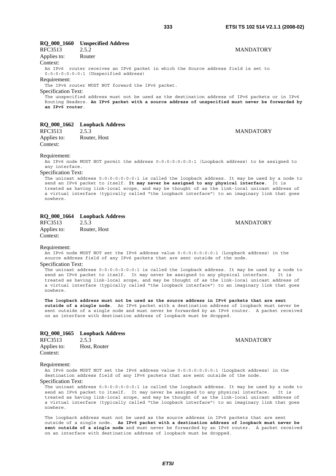## **RQ\_000\_1660 Unspecified Address**

| RFC3513                    | 2.5.2                                   | <b>MANDATORY</b>                                                                                |  |
|----------------------------|-----------------------------------------|-------------------------------------------------------------------------------------------------|--|
| Applies to:                | Router                                  |                                                                                                 |  |
| Context:                   |                                         |                                                                                                 |  |
|                            |                                         | An IPv6 router receives an IPv6 packet in which the Source address field is set to              |  |
|                            | $0:0:0:0:0:0:0:1$ (Unspecified address) |                                                                                                 |  |
| Requirement:               |                                         |                                                                                                 |  |
|                            |                                         | The IPv6 router MUST NOT forward the IPv6 packet.                                               |  |
| <b>Specification Text:</b> |                                         |                                                                                                 |  |
|                            |                                         | The unspecified address must not be used as the destination address of IPv6 packets or in IPv6  |  |
|                            |                                         | Routing Headers. An IPv6 packet with a source address of unspecified must never be forwarded by |  |
| an IPv6 router.            |                                         |                                                                                                 |  |
|                            |                                         |                                                                                                 |  |

### **RQ\_000\_1662 Loopback Address**

RFC3513 2.5.3 MANDATORY Applies to: Router, Host Context:

**MANDATORY** 

### Requirement:

An IPv6 node MUST NOT permit the address 0:0:0:0:0:0:0:1 (Loopback address) to be assigned to any interface.

### Specification Text:

The unicast address 0:0:0:0:0:0:0:1 is called the loopback address. It may be used by a node to send an IPv6 packet to itself. **It may never be assigned to any physical interface**. It is treated as having link-local scope, and may be thought of as the link-local unicast address of a virtual interface (typically called "the loopback interface") to an imaginary link that goes nowhere.

### **RQ\_000\_1664 Loopback Address**

| RFC3513     | 2.5.3        |
|-------------|--------------|
| Applies to: | Router, Host |
| Context:    |              |

### Requirement:

An IPv6 node MUST NOT set the IPv6 address value 0:0:0:0:0:0:0:1 (Loopback address) in the source address field of any IPv6 packets that are sent outside of the node.

### Specification Text:

The unicast address 0:0:0:0:0:0:0:1 is called the loopback address. It may be used by a node to send an IPv6 packet to itself. It may never be assigned to any physical interface. It is treated as having link-local scope, and may be thought of as the link-local unicast address of a virtual interface (typically called "the loopback interface") to an imaginary link that goes nowhere.

**The loopback address must not be used as the source address in IPv6 packets that are sent outside of a single node**. An IPv6 packet with a destination address of loopback must never be sent outside of a single node and must never be forwarded by an IPv6 router. A packet received on an interface with destination address of loopback must be dropped.

### **RQ\_000\_1665 Loopback Address**

| RFC3513     | 2.5.3        |
|-------------|--------------|
| Applies to: | Host, Router |
| Context:    |              |

### **MANDATORY**

### Requirement:

An IPv6 node MUST NOT set the IPv6 address value 0:0:0:0:0:0:0:1 (Loopback address) in the destination address field of any IPv6 packets that are sent outside of the node.

### Specification Text:

The unicast address 0:0:0:0:0:0:0:1 is called the loopback address. It may be used by a node to send an IPv6 packet to itself. It may never be assigned to any physical interface. It is treated as having link-local scope, and may be thought of as the link-local unicast address of a virtual interface (typically called "the loopback interface") to an imaginary link that goes nowhere.

The loopback address must not be used as the source address in IPv6 packets that are sent outside of a single node. **An IPv6 packet with a destination address of loopback must never be sent outside of a single node** and must never be forwarded by an IPv6 router. A packet received on an interface with destination address of loopback must be dropped.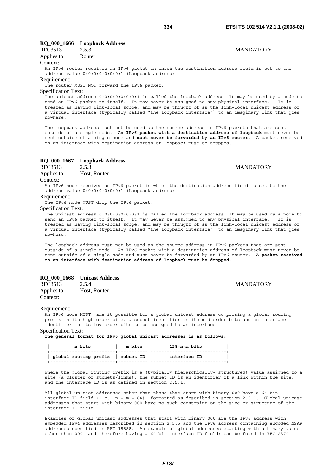### **RQ\_000\_1666 Loopback Address**

| RFC3513     | 2.5.3  |
|-------------|--------|
| Applies to: | Router |

### Context:

An IPv6 router receives an IPv6 packet in which the destination address field is set to the address value 0:0:0:0:0:0:0:1 (Loopback address)

#### Requirement:

The router MUST NOT forward the IPv6 packet.

### Specification Text:

The unicast address 0:0:0:0:0:0:0:1 is called the loopback address. It may be used by a node to send an IPv6 packet to itself. It may never be assigned to any physical interface. It is treated as having link-local scope, and may be thought of as the link-local unicast address of a virtual interface (typically called "the loopback interface") to an imaginary link that goes nowhere.

The loopback address must not be used as the source address in IPv6 packets that are sent outside of a single node. **An IPv6 packet with a destination address of loopback** must never be sent outside of a single node and **must never be forwarded by an IPv6 router**. A packet received on an interface with destination address of loopback must be dropped.

# **RQ\_000\_1667** Loopback Address<br>RFC3513 2.5.3

Applies to: Host, Router

#### Context:

An IPv6 node receives an IPv6 packet in which the destination address field is set to the address value 0:0:0:0:0:0:0:1 (Loopback address)

Requirement:

The IPv6 node MUST drop the IPv6 packet.

### Specification Text:

The unicast address 0:0:0:0:0:0:0:1 is called the loopback address. It may be used by a node to send an IPv6 packet to itself. It may never be assigned to any physical interface. It is treated as having link-local scope, and may be thought of as the link-local unicast address of a virtual interface (typically called "the loopback interface") to an imaginary link that goes nowhere.

The loopback address must not be used as the source address in IPv6 packets that are sent outside of a single node. An IPv6 packet with a destination address of loopback must never be sent outside of a single node and must never be forwarded by an IPv6 router. **A packet received on an interface with destination address of loopback must be dropped.**

### **RQ\_000\_1668 Unicast Address**

| RFC3513     | 2.5.4        |
|-------------|--------------|
| Applies to: | Host, Router |
| Context:    |              |

### **MANDATORY**

#### Requirement:

An IPv6 node MUST make it possible for a global unicast address comprising a global routing prefix in its high-order bits, a subnet identifier in its mid-order bits and an interface identifier in its low-order bits to be assigned to an interface

Specification Text:

**The general format for IPv6 global unicast addresses is as follows:** 

| n bits                            | m bits | 128-n-m bits |  |
|-----------------------------------|--------|--------------|--|
| qlobal routing prefix   subnet ID |        | interface ID |  |

where the global routing prefix is a (typically hierarchically- structured) value assigned to a site (a cluster of subnets/links), the subnet ID is an identifier of a link within the site, and the interface ID is as defined in section 2.5.1.

All global unicast addresses other than those that start with binary 000 have a 64-bit interface ID field (i.e., n + m = 64), formatted as described in section 2.5.1. Global unicast addresses that start with binary 000 have no such constraint on the size or structure of the interface ID field.

Examples of global unicast addresses that start with binary 000 are the IPv6 address with embedded IPv4 addresses described in section 2.5.5 and the IPv6 address containing encoded NSAP addresses specified in RFC 18888. An example of global addresses starting with a binary value other than 000 (and therefore having a 64-bit interface ID field) can be found in RFC 2374.

*ETSI* 

## **MANDATORY**

**MANDATORY**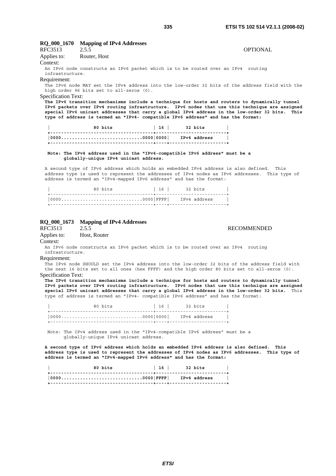| The IPv6 node MAY set the IPv4 address into the low-order 32 bits of the address field with the                                                                                                                                                                                      |  |  |
|--------------------------------------------------------------------------------------------------------------------------------------------------------------------------------------------------------------------------------------------------------------------------------------|--|--|
|                                                                                                                                                                                                                                                                                      |  |  |
| The IPv6 transition mechanisms include a technique for hosts and routers to dynamically tunnel                                                                                                                                                                                       |  |  |
| IPv6 packets over IPv4 routing infrastructure. IPv6 nodes that use this technique are assigned<br>special IPv6 unicast addresses that carry a global IPv4 address in the low-order 32 bits. This<br>type of address is termed an "IPv4- compatible IPv6 address" and has the format: |  |  |
|                                                                                                                                                                                                                                                                                      |  |  |

 **| 80 bits | 16 | 32 bits | +--------------------------------------+--------------------------+ |0000..............................0000|0000| IPv4 address | +--------------------------------------+----+---------------------+** 

### **Note: The IPv4 address used in the "IPv4-compatible IPv6 address" must be a globally-unique IPv4 unicast address.**

A second type of IPv6 address which holds an embedded IPv4 address is also defined. This address type is used to represent the addresses of IPv4 nodes as IPv6 addresses. This type of address is termed an "IPv4-mapped IPv6 address" and has the format:

| 80 bits                     | 16   32 bits |  |
|-----------------------------|--------------|--|
| 00000000 FFFF  IPv4 address |              |  |
|                             |              |  |

### **RQ\_000\_1673 Mapping of IPv4 Addresses**

RFC3513 2.5.5 RECOMMENDED

Applies to: Host, Router Context:

An IPv6 node constructs an IPv6 packet which is to be routed over an IPv4 routing infrastructure.

#### Requirement:

The IPv6 node SHOULD set the IPv4 address into the low-order 32 bits of the address field with the next 16 bits set to all ones (hex FFFF) and the high order 80 bits set to all-zeros (0). Specification Text:

**The IPv6 transition mechanisms include a technique for hosts and routers to dynamically tunnel IPv6 packets over IPv4 routing infrastructure. IPv6 nodes that use this technique are assigned special IPv6 unicast addresses that carry a global IPv4 address in the low-order 32 bits.** This type of address is termed an "IPv4- compatible IPv6 address" and has the format:

 | 80 bits | 16 | 32 bits | +--------------------------------------+--------------------------+ |0000..............................0000|0000| IPv4 address | +--------------------------------------+----+---------------------+

 Note: The IPv4 address used in the "IPv4-compatible IPv6 address" must be a globally-unique IPv4 unicast address.

**A second type of IPv6 address which holds an embedded IPv4 address is also defined. This address type is used to represent the addresses of IPv4 nodes as IPv6 addresses. This type of address is termed an "IPv4-mapped IPv6 address" and has the format:** 

| 80 bits | 16   32 bits |  |
|---------|--------------|--|
|         |              |  |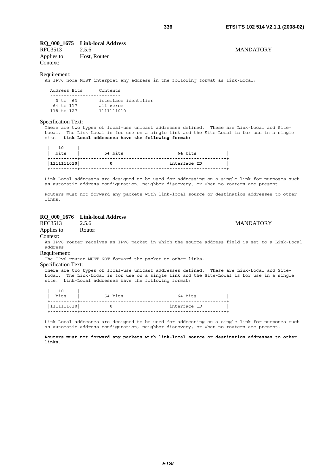### **RQ\_000\_1675 Link-local Address**

RFC3513 2.5.6 MANDATORY Applies to: Host, Router Context:

### Requirement:

An IPv6 node MUST interpret any address in the following format as link-Local:

| Address Bits   | Contents             |
|----------------|----------------------|
|                |                      |
| 0 to 63        | interface identifier |
| 64 to 117      | all zeros            |
| $118$ to $127$ | 1111111010           |

### Specification Text:

.<br>There are two types of local-use unicast addresses defined. These are Link-Local and Site-Local. The Link-Local is for use on a single link and the Site-Local is for use in a single site. **Link-Local addresses have the following format:** 

| 10<br>bits<br>. <b>.</b> | 54 bits | 64 bits      |
|--------------------------|---------|--------------|
| 1111111010               |         | interface ID |

Link-Local addresses are designed to be used for addressing on a single link for purposes such as automatic address configuration, neighbor discovery, or when no routers are present.

Routers must not forward any packets with link-local source or destination addresses to other links.

### **RQ\_000\_1676 Link-local Address**

RFC3513 2.5.6 MANDATORY

Applies to: Router

Context:

An IPv6 router receives an IPv6 packet in which the source address field is set to a Link-Local address

### Requirement:

The IPv6 router MUST NOT forward the packet to other links.

### Specification Text:

.<br>There are two types of local-use unicast addresses defined. These are Link-Local and Site-Local. The Link-Local is for use on a single link and the Site-Local is for use in a single site. Link-Local addresses have the following format:

| bits       | 54 bits | 64 bits      |  |
|------------|---------|--------------|--|
| 1111111010 |         | interface ID |  |

Link-Local addresses are designed to be used for addressing on a single link for purposes such as automatic address configuration, neighbor discovery, or when no routers are present.

### **Routers must not forward any packets with link-local source or destination addresses to other links.**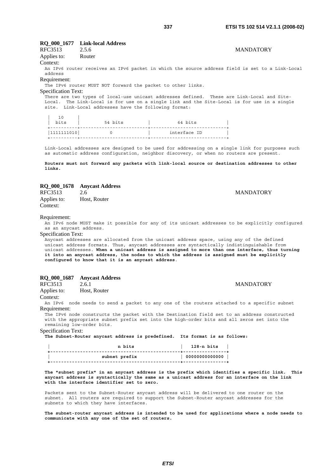### **RQ\_000\_1677 Link-local Address**

RFC3513 2.5.6 MANDATORY

## Applies to: Router

Context:

An IPv6 router receives an IPv6 packet in which the source address field is set to a Link-Local address

### Requirement:

The IPv6 router MUST NOT forward the packet to other links.

Specification Text:

| 10 |

There are two types of local-use unicast addresses defined. These are Link-Local and Site-Local. The Link-Local is for use on a single link and the Site-Local is for use in a single site. Link-Local addresses have the following format:

| . .<br>bits | 54 bits | 64 bits      |
|-------------|---------|--------------|
| 1111111010  |         | interface ID |
|             |         |              |

Link-Local addresses are designed to be used for addressing on a single link for purposes such as automatic address configuration, neighbor discovery, or when no routers are present.

**Routers must not forward any packets with link-local source or destination addresses to other links.**

## **RQ\_000\_1678 Anycast Address**

| RFC3513     | 2.6          |
|-------------|--------------|
| Applies to: | Host, Router |
| Context:    |              |

### Requirement:

An IPv6 node MUST make it possible for any of its unicast addresses to be explicitly configured as an anycast address.

### Specification Text:

Anycast addresses are allocated from the unicast address space, using any of the defined unicast address formats. Thus, anycast addresses are syntactically indistinguishable from unicast addresses. **When a unicast address is assigned to more than one interface, thus turning it into an anycast address, the nodes to which the address is assigned must be explicitly configured to know that it is an anycast address**.

### **RQ\_000\_1687 Anycast Address**

| RFC3513                | 2.6.1 |
|------------------------|-------|
| $\lambda$ 1, $\lambda$ | TT. D |

Applies to: Host, Router

Context:

An IPv6 node needs to send a packet to any one of the routers attached to a specific subnet Requirement:

The IPv6 node constructs the packet with the Destination field set to an address constructed with the appropriate subnet prefix set into the high-order bits and all zeros set into the remaining low-order bits.

### Specification Text:

**The Subnet-Router anycast address is predefined. Its format is as follows:** 

| n bits        | 128-n bits                                             |
|---------------|--------------------------------------------------------|
| subnet prefix | $\begin{array}{ccc} \mid & 00000000000000 \end{array}$ |
|               |                                                        |

**The "subnet prefix" in an anycast address is the prefix which identifies a specific link. This anycast address is syntactically the same as a unicast address for an interface on the link with the interface identifier set to zero.**

Packets sent to the Subnet-Router anycast address will be delivered to one router on the subnet. All routers are required to support the Subnet-Router anycast addresses for the subnets to which they have interfaces.

**The subnet-router anycast address is intended to be used for applications where a node needs to communicate with any one of the set of routers.**

**MANDATORY** 

**MANDATORY**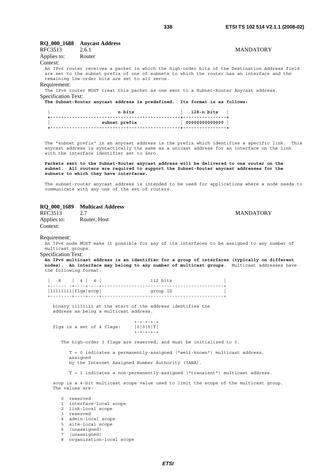### **RQ\_000\_1688 Anycast Address**

| RFC3513 2.6.1 |        | <b>MANDATORY</b> |
|---------------|--------|------------------|
| Applies to:   | Router |                  |

Context: An IPv6 router receives a packet in which the high-order bits of the Destination Address field are set to the subnet prefix of one of subnets to which the router has an interface and the remaining low-order bits are set to all zeros.

Requirement:

The IPv6 router MUST treat this packet as one sent to a Subnet-Router Anycast address. Specification Text:

**The Subnet-Router anycast address is predefined. Its format is as follows:** 

| n bits        | 128-n bits                                             |
|---------------|--------------------------------------------------------|
| subnet prefix | $\begin{array}{ccc} \mid & 00000000000000 \end{array}$ |
|               |                                                        |

The "subnet prefix" in an anycast address is the prefix which identifies a specific link. This anycast address is syntactically the same as a unicast address for an interface on the link with the interface identifier set to zero.

**Packets sent to the Subnet-Router anycast address will be delivered to one router on the subnet. All routers are required to support the Subnet-Router anycast addresses for the subnets to which they have interfaces.**

The subnet-router anycast address is intended to be used for applications where a node needs to communicate with any one of the set of routers.

# **RQ\_000\_1689 Multicast Address**

RFC3513 2.7 MANDATORY<br>Applies to: Router, Host Router, Host Context:

### Requirement:

An IPv6 node MUST make it possible for any of its interfaces to be assigned to any number of multicast groups.

Specification Text:

**An IPv6 multicast address is an identifier for a group of interfaces (typically on different nodes). An interface may belong to any number of multicast groups**. Multicast addresses have the following format:

|                            | 8   4   4 | 112 bits |  |
|----------------------------|-----------|----------|--|
| +------ -+----+----+----   |           |          |  |
| $ 11111111 $ flgs $ scop $ |           | qroup ID |  |
|                            |           |          |  |

 binary 11111111 at the start of the address identifies the address as being a multicast address.

 $+ - + - + - + - +$ flgs is a set of 4 flags:  $|0|0|0|T|$ +-+-+-+-+

The high-order 3 flags are reserved, and must be initialized to 0.

 T = 0 indicates a permanently-assigned ("well-known") multicast address, assigned by the Internet Assigned Number Authority (IANA).

T = 1 indicates a non-permanently-assigned ("transient") multicast address.

 scop is a 4-bit multicast scope value used to limit the scope of the multicast group. The values are:

 0 reserved 1 interface-local scope 2 link-local scope 3 reserved<br>4 admin-log admin-local scope 5 site-local scope 6 (unassigned)<br>7 (unassigned) (unassigned) 8 organization-local scope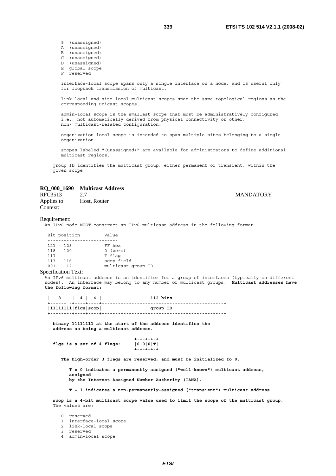9 (unassigned)

- A (unassigned) B (unassigned)
- C (unassigned)
- D (unassigned)
- $E$  global scope
- reserved

 interface-local scope spans only a single interface on a node, and is useful only for loopback transmission of multicast.

 link-local and site-local multicast scopes span the same topological regions as the corresponding unicast scopes.

 admin-local scope is the smallest scope that must be administratively configured, i.e., not automatically derived from physical connectivity or other, non- multicast-related configuration.

 organization-local scope is intended to span multiple sites belonging to a single organization.

 scopes labeled "(unassigned)" are available for administrators to define additional multicast regions.

 group ID identifies the multicast group, either permanent or transient, within the given scope.

### **RQ\_000\_1690 Multicast Address**

Applies to: Host, Router Context:

### RFC3513 2.7 MANDATORY

### Requirement:

An IPv6 node MUST construct an IPv6 multicast address in the following format:

| Bit position | Value              |
|--------------|--------------------|
|              |                    |
| $121 - 128$  | FF hex             |
| $118 - 120$  | $0$ (zero)         |
| 117          | T flag             |
| $113 - 116$  | scop field         |
| $001 - 112$  | multicast group ID |

### Specification Text:

An IPv6 multicast address is an identifier for a group of interfaces (typically on different nodes). An interface may belong to any number of multicast groups. **Multicast addresses have the following format:** 

| 8   4   4                  |  |  | 112 bits |  |
|----------------------------|--|--|----------|--|
| $ 11111111 $ flgs $ scop $ |  |  | group ID |  |
|                            |  |  |          |  |

 **binary 11111111 at the start of the address identifies the address as being a multicast address.** 

flgs is a set of 4 flags:  $|0|0|0|T|$  **+-+-+-+-+** 

 **The high-order 3 flags are reserved, and must be initialized to 0.** 

 **+-+-+-+-+** 

 **T = 0 indicates a permanently-assigned ("well-known") multicast address, assigned** 

 **by the Internet Assigned Number Authority (IANA).** 

 **T = 1 indicates a non-permanently-assigned ("transient") multicast address.** 

 **scop is a 4-bit multicast scope value used to limit the scope of the multicast group**. The values are:

0 reserved

- 1 interface-local scope
- 2 link-local scope
- 3 reserved
- 4 admin-local scope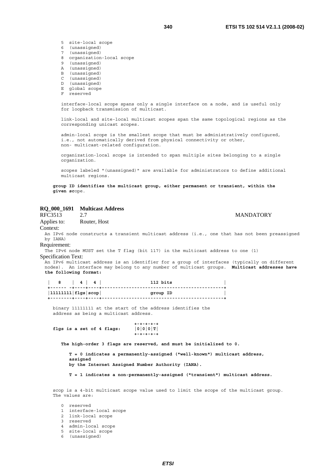- 5 site-local scope
- 6 (unassigned)
- 7 (unassigned)
- 8 organization-local scope
- 9 (unassigned)
- A (unassigned)<br>B (unassigned)
- (unassigned)
- C (unassigned)
- D (unassigned)
- E global scope
- F reserved

 link-local and site-local multicast scopes span the same topological regions as the corresponding unicast scopes.

 admin-local scope is the smallest scope that must be administratively configured, i.e., not automatically derived from physical connectivity or other, non- multicast-related configuration.

 organization-local scope is intended to span multiple sites belonging to a single organization.

 scopes labeled "(unassigned)" are available for administrators to define additional multicast regions.

 **group ID identifies the multicast group, either permanent or transient, within the given sc**ope.

### **RQ\_000\_1691 Multicast Address**

RFC3513 2.7 MANDATORY

Applies to: Router, Host Context:

An IPv6 node constructs a transient multicast address (i.e., one that has not been preassigned by IANA)

### Requirement:

The IPv6 node MUST set the T flag (bit 117) in the multicast address to one (1) Specification Text:

An IPv6 multicast address is an identifier for a group of interfaces (typically on different nodes). An interface may belong to any number of multicast groups. **Multicast addresses have the following format:** 

 **| 8 | 4 | 4 | 112 bits | +------ -+----+----+---------------------------------------------+ |11111111|flgs|scop| group ID | +--------+----+----+---------------------------------------------+**

 binary 11111111 at the start of the address identifies the address as being a multicast address.

 **+-+-+-+-+**  flgs is a set of 4 flags:  $|0|0|0|T|$  **+-+-+-+-+** 

 **The high-order 3 flags are reserved, and must be initialized to 0.** 

 **T = 0 indicates a permanently-assigned ("well-known") multicast address, assigned by the Internet Assigned Number Authority (IANA).** 

 **T = 1 indicates a non-permanently-assigned ("transient") multicast address.**

 scop is a 4-bit multicast scope value used to limit the scope of the multicast group. The values are:

 0 reserved 1 interface-local scope 2 link-local scope 3 reserved 4 admin-local scope 5 site-local scope 6 (unassigned)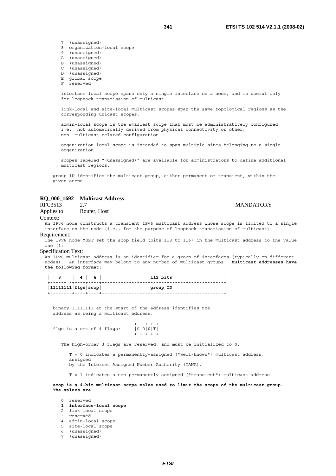- 7 (unassigned)
- 8 organization-local scope
- 9 (unassigned)
- A (unassigned)
- B (unassigned)
- C (unassigned)<br>D (unassigned)
- (unassigned)
- E global scope
- F reserved

 link-local and site-local multicast scopes span the same topological regions as the corresponding unicast scopes.

 admin-local scope is the smallest scope that must be administratively configured, i.e., not automatically derived from physical connectivity or other, non- multicast-related configuration.

 organization-local scope is intended to span multiple sites belonging to a single organization.

 scopes labeled "(unassigned)" are available for administrators to define additional multicast regions.

 group ID identifies the multicast group, either permanent or transient, within the given scope.

### **RQ\_000\_1692 Multicast Address**

| <b>RFC3513</b> | <b>MANDATORY</b> |
|----------------|------------------|
|                |                  |

Applies to: Router, Host

#### Context:

An IPv6 node constructs a transient IPv6 multicast address whose scope is limited to a single interface on the node (i.e., for the purpose of loopback transmission of multicast) Requirement:

The IPv6 node MUST set the scop field (bits 113 to 116) in the multicast address to the value one (1)

### Specification Text:

An IPv6 multicast address is an identifier for a group of interfaces (typically on different nodes). An interface may belong to any number of multicast groups. **Multicast addresses have the following format:** 

 **| 8 | 4 | 4 | 112 bits | +------ -+----+----+---------------------------------------------+ |11111111|flgs|scop| group ID | +--------+----+----+---------------------------------------------+** 

 binary 11111111 at the start of the address identifies the address as being a multicast address.

 $+ - + - + - + - +$ flgs is a set of 4 flags:  $|0|0|0|T|$ +-+-+-+-+

The high-order 3 flags are reserved, and must be initialized to 0.

 T = 0 indicates a permanently-assigned ("well-known") multicast address, assigned by the Internet Assigned Number Authority (IANA).

T = 1 indicates a non-permanently-assigned ("transient") multicast address.

 **scop is a 4-bit multicast scope value used to limit the scope of the multicast group. The values are**:

 0 reserved  **1 interface-local scope** 2 link-local scope 3 reserved 4 admin-local scope 5 site-local scope 6 (unassigned) 7 (unassigned)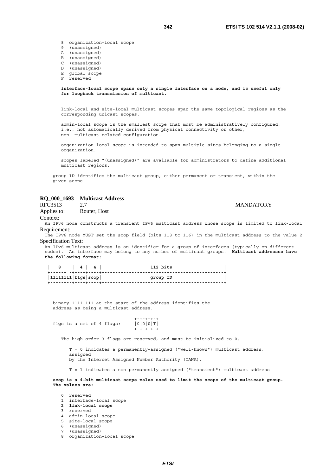- 8 organization-local scope
- 9 (unassigned)
- A (unassigned)
- B (unassigned)
- C (unassigned)
- D (unassigned)
- E global scope
- F reserved

 link-local and site-local multicast scopes span the same topological regions as the corresponding unicast scopes.

 admin-local scope is the smallest scope that must be administratively configured, i.e., not automatically derived from physical connectivity or other, non- multicast-related configuration.

 organization-local scope is intended to span multiple sites belonging to a single organization.

 scopes labeled "(unassigned)" are available for administrators to define additional multicast regions.

 group ID identifies the multicast group, either permanent or transient, within the given scope.

### **RQ\_000\_1693 Multicast Address**

RFC3513 2.7 MANDATORY

Applies to: Router, Host

Context:

An IPv6 node constructs a transient IPv6 multicast address whose scope is limited to link-local Requirement:

The IPv6 node MUST set the scop field (bits 113 to 116) in the multicast address to the value 2 Specification Text:

An IPv6 multicast address is an identifier for a group of interfaces (typically on different nodes). An interface may belong to any number of multicast groups. **Multicast addresses have the following format:** 

|                                   | $\begin{array}{c c c c c c c c c} \hline \text{8} & \text{4} & \text{4} & \text{4} & \text{4} \\ \hline \end{array}$ | 112 bits |
|-----------------------------------|----------------------------------------------------------------------------------------------------------------------|----------|
| $ 11111111 $ flgs $ {\tt scope} $ |                                                                                                                      | group ID |
|                                   |                                                                                                                      |          |

 binary 11111111 at the start of the address identifies the address as being a multicast address.

 +-+-+-+-+ flgs is a set of 4 flags:  $|0|0|0|T|$ +-+-+-+-+

The high-order 3 flags are reserved, and must be initialized to 0.

 T = 0 indicates a permanently-assigned ("well-known") multicast address, assigned

by the Internet Assigned Number Authority (IANA).

T = 1 indicates a non-permanently-assigned ("transient") multicast address.

 **scop is a 4-bit multicast scope value used to limit the scope of the multicast group. The values are:**

### 0 reserved 1 interface-local scope  **2 link-local scope**

- 3 reserved
- 4 admin-local scope
- 5 site-local scope
- 6 (unassigned)
- 7 (unassigned)
- 8 organization-local scope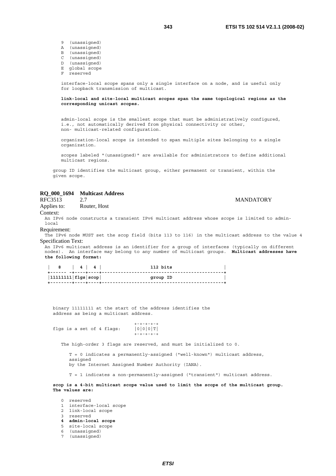- 9 (unassigned)
- A (unassigned)
- B (unassigned)
- C (unassigned)
- D (unassigned)
- E global scope reserved
- 

 **link-local and site-local multicast scopes span the same topological regions as the corresponding unicast scopes.** 

 admin-local scope is the smallest scope that must be administratively configured, i.e., not automatically derived from physical connectivity or other, non- multicast-related configuration.

 organization-local scope is intended to span multiple sites belonging to a single organization.

 scopes labeled "(unassigned)" are available for administrators to define additional multicast regions.

 group ID identifies the multicast group, either permanent or transient, within the given scope.

### **RQ\_000\_1694 Multicast Address**

### RFC3513 2.7 MANDATORY

Applies to: Router, Host

Context:

An IPv6 node constructs a transient IPv6 multicast address whose scope is limited to adminlocal

#### Requirement:

The IPv6 node MUST set the scop field (bits 113 to 116) in the multicast address to the value 4 Specification Text:

An IPv6 multicast address is an identifier for a group of interfaces (typically on different nodes). An interface may belong to any number of multicast groups. **Multicast addresses have the following format:** 

| 8   4   4                         |  | 112 bits |
|-----------------------------------|--|----------|
| $ 11111111 $ flgs $ {\tt scope} $ |  | group ID |
|                                   |  |          |

 binary 11111111 at the start of the address identifies the address as being a multicast address.

 $+ - + - + - + - +$ flgs is a set of 4 flags:  $|0|0|0|T|$ +-+-+-+-+

The high-order 3 flags are reserved, and must be initialized to 0.

 T = 0 indicates a permanently-assigned ("well-known") multicast address, assigned by the Internet Assigned Number Authority (IANA).

T = 1 indicates a non-permanently-assigned ("transient") multicast address.

 **scop is a 4-bit multicast scope value used to limit the scope of the multicast group. The values are:**

 0 reserved 1 interface-local scope 2 link-local scope 3 reserved  **4 admin-local scope** 5 site-local scope 6 (unassigned) 7 (unassigned)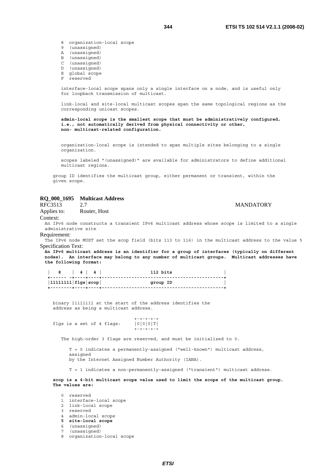8 organization-local scope 9 (unassigned) A (unassigned)

- B (unassigned)
- 
- C (unassigned) D (unassigned)
- E global scope
- F reserved

 interface-local scope spans only a single interface on a node, and is useful only for loopback transmission of multicast.

 link-local and site-local multicast scopes span the same topological regions as the corresponding unicast scopes.

 **admin-local scope is the smallest scope that must be administratively configured, i.e., not automatically derived from physical connectivity or other, non- multicast-related configuration.** 

 organization-local scope is intended to span multiple sites belonging to a single organization.

 scopes labeled "(unassigned)" are available for administrators to define additional multicast regions.

 group ID identifies the multicast group, either permanent or transient, within the given scope.

### **RQ\_000\_1695 Multicast Address**

RFC3513 2.7 MANDATORY

Applies to: Router, Host

Context:

An IPv6 node constructs a transient IPv6 multicast address whose scope is limited to a single administrative site Requirement:

The IPv6 node MUST set the scop field (bits 113 to 116) in the multicast address to the value 5 Specification Text:

**An IPv6 multicast address is an identifier for a group of interfaces (typically on different nodes). An interface may belong to any number of multicast groups. Multicast addresses have the following format:** 

| 8   4   4                  |  |  | 112 bits |  |
|----------------------------|--|--|----------|--|
| $ 11111111 $ flgs $ scop $ |  |  | group ID |  |
|                            |  |  |          |  |

 binary 11111111 at the start of the address identifies the address as being a multicast address.

 +-+-+-+-+ flgs is a set of 4 flags:  $|0|0|0|T|$ +-+-+-+-+

The high-order 3 flags are reserved, and must be initialized to 0.

 T = 0 indicates a permanently-assigned ("well-known") multicast address, assigned

by the Internet Assigned Number Authority (IANA).

T = 1 indicates a non-permanently-assigned ("transient") multicast address.

 **scop is a 4-bit multicast scope value used to limit the scope of the multicast group. The values are:**

### 0 reserved 1 interface-local scope 2 link-local scope 3 reserved 4 admin-local scope  **5 site-local scope** 6 (unassigned) (unassigned)

8 organization-local scope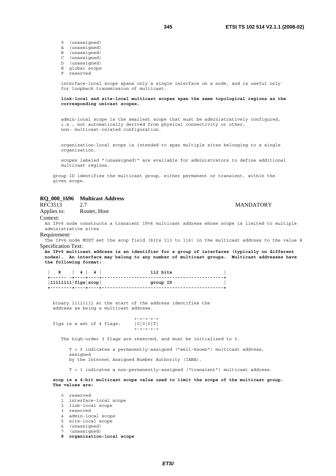9 (unassigned)

- A (unassigned)
- B (unassigned)
- C (unassigned)
- D (unassigned)
- E global scope
- reserved

 interface-local scope spans only a single interface on a node, and is useful only for loopback transmission of multicast.

 **link-local and site-local multicast scopes span the same topological regions as the corresponding unicast scopes.** 

 admin-local scope is the smallest scope that must be administratively configured, i.e., not automatically derived from physical connectivity or other, non- multicast-related configuration.

 organization-local scope is intended to span multiple sites belonging to a single organization.

 scopes labeled "(unassigned)" are available for administrators to define additional multicast regions.

 group ID identifies the multicast group, either permanent or transient, within the given scope.

### **RQ\_000\_1696 Multicast Address**

RFC3513 2.7 MANDATORY

Applies to: Router, Host

Context:

Requirement:

An IPv6 node constructs a transient IPv6 multicast address whose scope is limited to multiple administrative sites

The IPv6 node MUST set the scop field (bits 113 to 116) in the multicast address to the value 8 Specification Text:

**An IPv6 multicast address is an identifier for a group of interfaces (typically on different nodes). An interface may belong to any number of multicast groups. Multicast addresses have the following format:** 

| 8   4   4                  |  |  | 112 bits |  |
|----------------------------|--|--|----------|--|
| $ 11111111 $ flgs $ scop $ |  |  | group ID |  |
|                            |  |  |          |  |

 binary 11111111 at the start of the address identifies the address as being a multicast address.

 +-+-+-+-+ flgs is a set of 4 flags:  $|0|0|0|T|$ +-+-+-+-+

The high-order 3 flags are reserved, and must be initialized to 0.

 T = 0 indicates a permanently-assigned ("well-known") multicast address, assigned

by the Internet Assigned Number Authority (IANA).

T = 1 indicates a non-permanently-assigned ("transient") multicast address.

 **scop is a 4-bit multicast scope value used to limit the scope of the multicast group. The values are:**

### 0 reserved 1 interface-local scope 2 link-local scope 3 reserved

- 4 admin-local scope
- 5 site-local scope
- 6 (unassigned)
- (unassigned)
- **8 organization-local scope**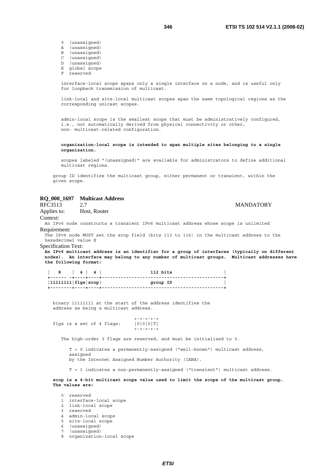- 9 (unassigned)
- A (unassigned)
- B (unassigned) C (unassigned)
- D (unassigned)
- 
- E global scope reserved

 link-local and site-local multicast scopes span the same topological regions as the corresponding unicast scopes.

 admin-local scope is the smallest scope that must be administratively configured, i.e., not automatically derived from physical connectivity or other, non- multicast-related configuration.

 **organization-local scope is intended to span multiple sites belonging to a single organization.**

 scopes labeled "(unassigned)" are available for administrators to define additional multicast regions.

 group ID identifies the multicast group, either permanent or transient, within the given scope.

### **RQ\_000\_1697 Multicast Address**

RFC3513 2.7 MANDATORY Applies to: Host, Router Context: An IPv6 node constructs a transient IPv6 multicast address whose scope is unlimited Requirement: The IPv6 node MUST set the scop field (bits 113 to 116) in the multicast address to the hexadecimal value E Specification Text: **An IPv6 multicast address is an identifier for a group of interfaces (typically on different nodes). An interface may belong to any number of multicast groups. Multicast addresses have the following format: 8** | 4 | 4 | 112 bits **112 bits +------ -+----+----+---------------------------------------------+ |11111111|flgs|scop| group ID | +--------+----+----+---------------------------------------------+**  binary 11111111 at the start of the address identifies the address as being a multicast address. +-+-+-+-+ flgs is a set of 4 flags:  $|0|0|0|T|$ +-+-+-+-+

The high-order 3 flags are reserved, and must be initialized to 0.

 T = 0 indicates a permanently-assigned ("well-known") multicast address, assigned

by the Internet Assigned Number Authority (IANA).

T = 1 indicates a non-permanently-assigned ("transient") multicast address.

 **scop is a 4-bit multicast scope value used to limit the scope of the multicast group. The values are:**

#### 0 reserved 1 interface-local scope

- 2 link-local scope
- 3 reserved
- 4 admin-local scope
- 5 site-local scope
- 6 (unassigned)
- 7 (unassigned)
- 8 organization-local scope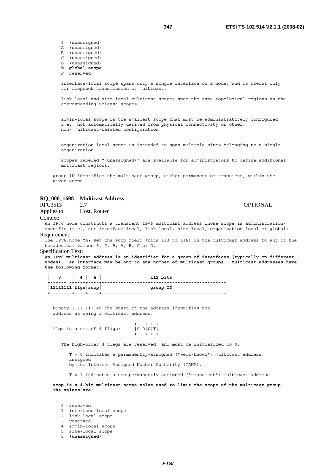9 (unassigned)

- A (unassigned)
- B (unassigned) C (unassigned)
- D (unassigned)
- **E global scope**
- reserved
- 

 interface-local scope spans only a single interface on a node, and is useful only for loopback transmission of multicast.

 link-local and site-local multicast scopes span the same topological regions as the corresponding unicast scopes.

 admin-local scope is the smallest scope that must be administratively configured, i.e., not automatically derived from physical connectivity or other, non- multicast-related configuration.

 organization-local scope is intended to span multiple sites belonging to a single organization.

 scopes labeled "(unassigned)" are available for administrators to define additional multicast regions.

 group ID identifies the multicast group, either permanent or transient, within the given scope.

### **RQ\_000\_1698 Multicast Address**

Applies to: Host, Router

Context:

An IPv6 node constructs a transient IPv6 multicast address whose scope is administrationspecific (i.e., not interface-local, link-local, site-local, organization-local or global) Requirement:

The IPv6 node MAY set the scop field (bits 113 to 116) in the multicast address to any of the hexadecimal values 6, 7, 9, A, B, C or D.

### Specification Text:

**An IPv6 multicast address is an identifier for a group of interfaces (typically on different nodes). An interface may belong to any number of multicast groups. Multicast addresses have the following format:** 

 **| 8 | 4 | 4 | 112 bits | +------ -+----+----+---------------------------------------------+ |11111111|flgs|scop| group ID | +--------+----+----+---------------------------------------------+** 

 binary 11111111 at the start of the address identifies the address as being a multicast address.

 $+ - + - + - + - +$ flgs is a set of 4 flags:  $|0|0|0|T|$ +-+-+-+-+

The high-order 3 flags are reserved, and must be initialized to 0.

 T = 0 indicates a permanently-assigned ("well-known") multicast address, assigned by the Internet Assigned Number Authority (IANA).

T = 1 indicates a non-permanently-assigned ("transient") multicast address.

 **scop is a 4-bit multicast scope value used to limit the scope of the multicast group. The values are:** 

 0 reserved 1 interface-local scope 2 link-local scope 3 reserved 4 admin-local scope 5 site-local scope  **6 (unassigned)**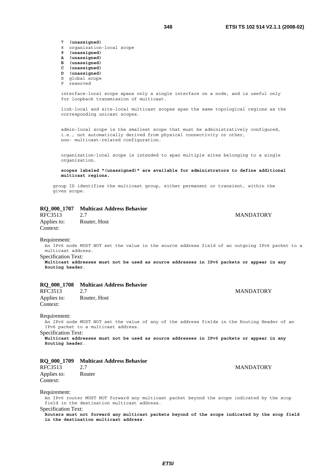**7 (unassigned)**

- 8 organization-local scope<br>9 (unassigned)
- **9 (unassigned)**
- **A (unassigned)**
- **B (unassigned)**
- **C (unassigned)**
- **D (unassigned)** E global scope
- 
- F reserved

 interface-local scope spans only a single interface on a node, and is useful only for loopback transmission of multicast.

 link-local and site-local multicast scopes span the same topological regions as the corresponding unicast scopes.

 admin-local scope is the smallest scope that must be administratively configured, i.e., not automatically derived from physical connectivity or other, non- multicast-related configuration.

 organization-local scope is intended to span multiple sites belonging to a single organization.

 **scopes labeled "(unassigned)" are available for administrators to define additional multicast regions.**

 group ID identifies the multicast group, either permanent or transient, within the given scope.

### **RQ\_000\_1707 Multicast Address Behavior**

RFC3513 2.7 MANDATORY Applies to: Router, Host Context:

#### Requirement:

An IPv6 node MUST NOT set the value in the source address field of an outgoing IPv6 packet to a multicast address.

Specification Text:

**Multicast addresses must not be used as source addresses in IPv6 packets or appear in any Routing header**.

### **RQ\_000\_1708 Multicast Address Behavior**

| RFC3513     | 2.7          |
|-------------|--------------|
| Applies to: | Router, Host |
| Context:    |              |

Requirement:

An IPv6 node MUST NOT set the value of any of the address fields in the Routing Header of an IPv6 packet to a multicast address.

Specification Text: **Multicast addresses must not be used as source addresses in IPv6 packets or appear in any Routing header**.

### **RQ\_000\_1709 Multicast Address Behavior**

| RFC3513     | 2.7    |  |
|-------------|--------|--|
| Applies to: | Router |  |
| Context:    |        |  |

### Requirement:

An IPv6 router MUST NOT forward any multicast packet beyond the scope indicated by the scop field in the destination multicast address. Specification Text:

**Routers must not forward any multicast packets beyond of the scope indicated by the scop field in the destination multicast address**.

**MANDATORY** 

**MANDATORY**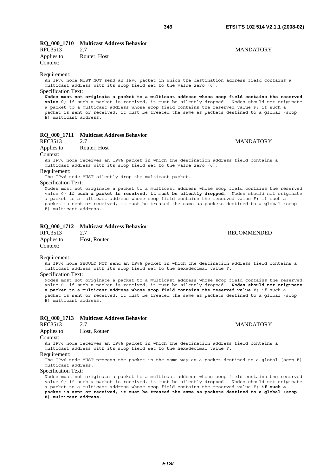### **RQ\_000\_1710 Multicast Address Behavior**

RFC3513 2.7 MANDATORY Applies to: Router, Host Context:

### Requirement:

An IPv6 node MUST NOT send an IPv6 packet in which the destination address field contains a multicast address with its scop field set to the value zero (0).

### Specification Text:

**Nodes must not originate a packet to a multicast address whose scop field contains the reserved value 0;** if such a packet is received, it must be silently dropped. Nodes should not originate a packet to a multicast address whose scop field contains the reserved value F; if such a packet is sent or received, it must be treated the same as packets destined to a global (scop E) multicast address.

### **RQ\_000\_1711 Multicast Address Behavior**

RFC3513 2.7 MANDATORY Applies to: Router, Host

Context:

An IPv6 node receives an IPv6 packet in which the destination address field contains a multicast address with its scop field set to the value zero (0).

Requirement:

The IPv6 node MUST silently drop the multicast packet.

### Specification Text:

Nodes must not originate a packet to a multicast address whose scop field contains the reserved value 0; **if such a packet is received, it must be silently dropped.** Nodes should not originate a packet to a multicast address whose scop field contains the reserved value F; if such a packet is sent or received, it must be treated the same as packets destined to a global (scop E) multicast address.

### **RQ\_000\_1712 Multicast Address Behavior**

| RFC3513     | 2.7          |
|-------------|--------------|
| Applies to: | Host, Router |
| Context:    |              |

### Requirement:

An IPv6 node SHOULD NOT send an IPv6 packet in which the destination address field contains a multicast address with its scop field set to the hexadecimal value F.

### Specification Text:

Nodes must not originate a packet to a multicast address whose scop field contains the reserved value 0; if such a packet is received, it must be silently dropped. **Nodes should not originate a packet to a multicast address whose scop field contains the reserved value F;** if such a packet is sent or received, it must be treated the same as packets destined to a global (scop E) multicast address.

### **RQ\_000\_1713 Multicast Address Behavior**

| RFC3513     | 2.7          |
|-------------|--------------|
| Applies to: | Host, Router |

Context:

An IPv6 node receives an IPv6 packet in which the destination address field contains a multicast address with its scop field set to the hexadecimal value F.

Requirement:

The IPv6 node MUST process the packet in the same way as a packet destined to a global (scop E) multicast address.

#### Specification Text:

Nodes must not originate a packet to a multicast address whose scop field contains the reserved value 0; if such a packet is received, it must be silently dropped. Nodes should not originate a packet to a multicast address whose scop field contains the reserved value F; **if such a packet is sent or received, it must be treated the same as packets destined to a global (scop E) multicast address.**

### **MANDATORY**

## **RECOMMENDED**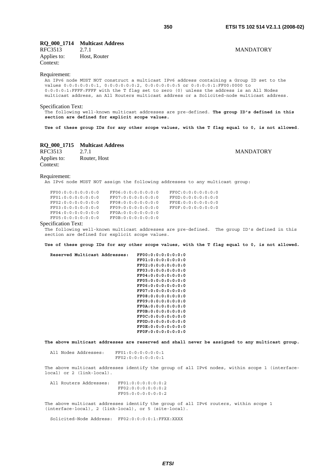# **RQ\_000\_1714** Multicast Address<br>RFC3513 2.7.1

RFC3513 2.7.1 MANDATORY Applies to: Host, Router Context:

### Requirement:

An IPv6 node MUST NOT construct a multicast IPv6 address containing a Group ID set to the values 0:0:0:0:0:0:1, 0:0:0:0:0:0:2, 0:0:0:0:0:0:5 or 0:0:0:0:1:FF00:0000 to 0:0:0:0:1:FFFF:FFFF with the T flag set to zero (0) unless the address is an All Nodes multicast address, an All Routers multicast address or a Solicited-node multicast address.

### Specification Text:

The following well-known multicast addresses are pre-defined. **The group ID's defined in this section are defined for explicit scope values.** 

**Use of these group IDs for any other scope values, with the T flag equal to 0, is not allowed**.

### **RQ\_000\_1715 Multicast Address**

| RFC3513     | 2.7.1        |
|-------------|--------------|
| Applies to: | Router, Host |
| Context:    |              |

**MANDATORY** 

### Requirement:

An IPv6 node MUST NOT assign the following addresses to any multicast group:

| FF00:0:0:0:0:0:0:0:0 | FF06:0:0:0:0:0:0:0:0 | FF0C:0:0:0:0:0:0:0:0 |
|----------------------|----------------------|----------------------|
| FF01:0:0:0:0:0:0:0:0 | FF07:0:0:0:0:0:0:0:0 | FF0D:0:0:0:0:0:0:0:0 |
| FF02:0:0:0:0:0:0:0:0 | FF08:0:0:0:0:0:0:0:0 | FF0E:0:0:0:0:0:0:0:0 |
| FF03:0:0:0:0:0:0:0:0 | FF09:0:0:0:0:0:0:0:0 | FF0F:0:0:0:0:0:0:0:0 |
| FF04:0:0:0:0:0:0:0:0 | FF0A:0:0:0:0:0:0:0:0 |                      |
| FF05:0:0:0:0:0:0:0:0 | FF0B:0:0:0:0:0:0:0:0 |                      |

#### Specification Text:

The following well-known multicast addresses are pre-defined. The group ID's defined in this section are defined for explicit scope values.

**Use of these group IDs for any other scope values, with the T flag equal to 0, is not allowed.** 

 **Reserved Multicast Addresses: FF00:0:0:0:0:0:0:0 FF01:0:0:0:0:0:0:0 FF02:0:0:0:0:0:0:0 FF03:0:0:0:0:0:0:0 FF04:0:0:0:0:0:0:0 FF05:0:0:0:0:0:0:0 FF06:0:0:0:0:0:0:0 FF07:0:0:0:0:0:0:0 FF08:0:0:0:0:0:0:0 FF09:0:0:0:0:0:0:0 FF0A:0:0:0:0:0:0:0 FF0B:0:0:0:0:0:0:0 FF0C:0:0:0:0:0:0:0 FF0D:0:0:0:0:0:0:0 FF0E:0:0:0:0:0:0:0 FF0F:0:0:0:0:0:0:0** 

**The above multicast addresses are reserved and shall never be assigned to any multicast group.**

 All Nodes Addresses: FF01:0:0:0:0:0:0:1 FF02:0:0:0:0:0:0:1

The above multicast addresses identify the group of all IPv6 nodes, within scope 1 (interfacelocal) or 2 (link-local).

 All Routers Addresses: FF01:0:0:0:0:0:0:2 FF02:0:0:0:0:0:0:2 FF05:0:0:0:0:0:0:2

The above multicast addresses identify the group of all IPv6 routers, within scope 1 (interface-local), 2 (link-local), or 5 (site-local).

Solicited-Node Address: FF02:0:0:0:0:1:FFXX:XXXX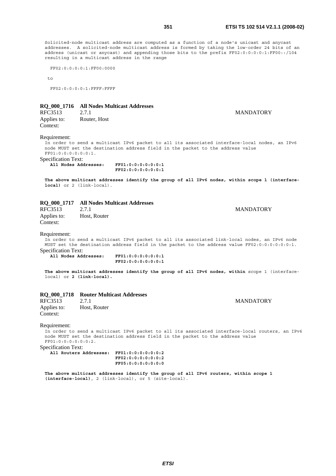**MANDATORY** 

Solicited-node multicast address are computed as a function of a node's unicast and anycast addresses. A solicited-node multicast address is formed by taking the low-order 24 bits of an address (unicast or anycast) and appending those bits to the prefix FF02:0:0:0:0:1:FF00::/104 resulting in a multicast address in the range

FF02:0:0:0:0:1:FF00:0000

 $t_{\Omega}$ 

FF02:0:0:0:0:1:FFFF:FFFF

### **RQ\_000\_1716 All Nodes Multicast Addresses**

| RFC3513     | 2.7.1        |
|-------------|--------------|
| Applies to: | Router, Host |
| Context:    |              |

#### Requirement:

In order to send a multicast IPv6 packet to all its associated interface-local nodes, an IPv6 node MUST set the destination address field in the packet to the address value FF01:0:0:0:0:0:0:1.

Specification Text:

 **All Nodes Addresses: FF01:0:0:0:0:0:0:1 FF02:0:0:0:0:0:0:1** 

**The above multicast addresses identify the group of all IPv6 nodes, within scope 1 (interfacelocal)** or 2 (link-local).

### **RQ\_000\_1717 All Nodes Multicast Addresses**

RFC3513 2.7.1 MANDATORY Applies to: Host, Router Context:

### Requirement:

In order to send a multicast IPv6 packet to all its associated link-local nodes, an IPv6 node MUST set the destination address field in the packet to the address value FF02:0:0:0:0:0:0:1. Specification Text:

 **All Nodes Addresses: FF01:0:0:0:0:0:0:1 FF02:0:0:0:0:0:0:1** 

**The above multicast addresses identify the group of all IPv6 nodes, within** scope 1 (interfacelocal) or **2 (link-local).**

# **RQ\_000\_1718** Router Multicast Addresses<br>RFC3513 2.7.1

RFC3513 2.7.1 MANDATORY Applies to: Host, Router Context:

### Requirement:

In order to send a multicast IPv6 packet to all its associated interface-local routers, an IPv6 node MUST set the destination address field in the packet to the address value FF01:0:0:0:0:0:0:2.

Specification Text:

 **All Routers Addresses: FF01:0:0:0:0:0:0:2 FF02:0:0:0:0:0:0:2 FF05:0:0:0:0:0:0:0** 

**The above multicast addresses identify the group of all IPv6 routers, within scope 1 (interface-local)**, 2 (link-local), or 5 (site-local).

*ETSI*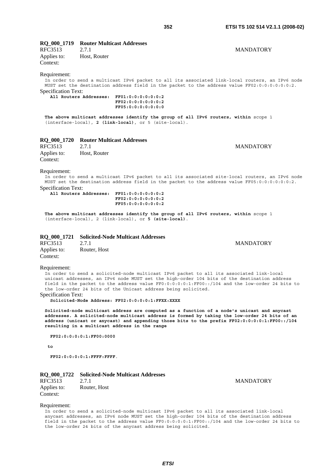### **RQ\_000\_1719 Router Multicast Addresses**

RFC3513 2.7.1 MANDATORY Applies to: Host, Router Context:

### Requirement:

In order to send a multicast IPv6 packet to all its associated link-local routers, an IPv6 node MUST set the destination address field in the packet to the address value FF02:0:0:0:0:0:0:2. Specification Text:

 **All Routers Addresses: FF01:0:0:0:0:0:0:2 FF02:0:0:0:0:0:0:2 FF05:0:0:0:0:0:0:0** 

**The above multicast addresses identify the group of all IPv6 routers, within** scope 1 (interface-local), **2 (link-local)**, or 5 (site-local).

# **RQ\_000\_1720 Router Multicast Addresses**

Applies to: Host, Router Context:

### **MANDATORY**

**MANDATORY** 

### Requirement:

In order to send a multicast IPv6 packet to all its associated site-local routers, an IPv6 node MUST set the destination address field in the packet to the address value FF05:0:0:0:0:0:0:2. Specification Text:

 **All Routers Addresses: FF01:0:0:0:0:0:0:2 FF02:0:0:0:0:0:0:2 FF05:0:0:0:0:0:0:2** 

**The above multicast addresses identify the group of all IPv6 routers, within** scope 1 (interface-local), 2 (link-local), or **5 (site-local)**.

### **RQ\_000\_1721 Solicited-Node Multicast Addresses**

| RFC3513     | 2.7.1        |
|-------------|--------------|
| Applies to: | Router, Host |
| Context:    |              |

### Requirement:

In order to send a solicited-node multicast IPv6 packet to all its associated link-local unicast addresses, an IPv6 node MUST set the high-order 104 bits of the destination address field in the packet to the address value FF0:0:0:0:0:1:FF00::/104 and the low-order 24 bits to the low-order 24 bits of the Unicast address being solicited.

#### Specification Text:

 **Solicited-Node Address: FF02:0:0:0:0:1:FFXX:XXXX** 

**Solicited-node multicast address are computed as a function of a node's unicast and anycast addresses. A solicited-node multicast address is formed by taking the low-order 24 bits of an address (unicast or anycast) and appending those bits to the prefix FF02:0:0:0:0:1:FF00::/104 resulting in a multicast address in the range** 

 **FF02:0:0:0:0:1:FF00:0000** 

 **to** 

 **FF02:0:0:0:0:1:FFFF:FFFF**.

# **RQ\_000\_1722 Solicited-Node Multicast Addresses**

Applies to: Router, Host Context:

**MANDATORY** 

### Requirement:

In order to send a solicited-node multicast IPv6 packet to all its associated link-local anycast addresses, an IPv6 node MUST set the high-order 104 bits of the destination address field in the packet to the address value FF0:0:0:0:0:1:FF00::/104 and the low-order 24 bits to the low-order 24 bits of the anycast address being solicited.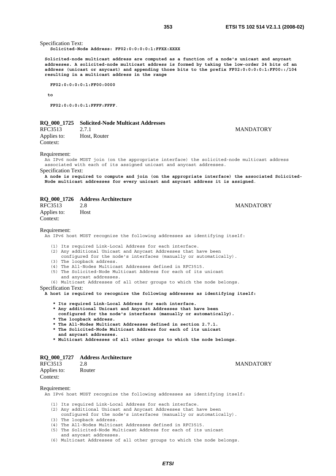Specification Text:

 **Solicited-Node Address: FF02:0:0:0:0:1:FFXX:XXXX** 

**Solicited-node multicast address are computed as a function of a node's unicast and anycast addresses. A solicited-node multicast address is formed by taking the low-order 24 bits of an address (unicast or anycast) and appending those bits to the prefix FF02:0:0:0:0:1:FF00::/104 resulting in a multicast address in the range** 

 **FF02:0:0:0:0:1:FF00:0000** 

 **to** 

 **FF02:0:0:0:0:1:FFFF:FFFF**.

### **RQ\_000\_1725 Solicited-Node Multicast Addresses**

RFC3513 2.7.1 MANDATORY Applies to: Host, Router Context:

Requirement:

An IPv6 node MUST join (on the appropriate interface) the solicited-node multicast address associated with each of its assigned unicast and anycast addresses.

Specification Text:

**A node is required to compute and join (on the appropriate interface) the associated Solicited-Node multicast addresses for every unicast and anycast address it is assigned**.

### **RQ\_000\_1726 Address Architecture**

| RFC3513                 | 2.8  | <b>MANDATORY</b> |
|-------------------------|------|------------------|
| Applies to:<br>Context: | Host |                  |
|                         |      |                  |

Requirement:

An IPv6 host MUST recognize the following addresses as identifying itself:

- (1) Its required Link-Local Address for each interface.
- (2) Any additional Unicast and Anycast Addresses that have been
- configured for the node's interfaces (manually or automatically).
- (3) The loopback address.
- (4) The All-Nodes Multicast Addresses defined in RFC3515.
- (5) The Solicited-Node Multicast Address for each of its unicast
- and anycast addresses.
- (6) Multicast Addresses of all other groups to which the node belongs.

Specification Text:

**A host is required to recognize the following addresses as identifying itself:** 

- **\* Its required Link-Local Address for each interface.**
- **\* Any additional Unicast and Anycast Addresses that have been**
- **configured for the node's interfaces (manually or automatically).**
- **\* The loopback address.**
- **\* The All-Nodes Multicast Addresses defined in section 2.7.1.**
- **\* The Solicited-Node Multicast Address for each of its unicast and anycast addresses.**
- 
- **\* Multicast Addresses of all other groups to which the node belongs**.

### **RQ\_000\_1727 Address Architecture**

| RFC3513     | 2.8    |
|-------------|--------|
| Applies to: | Router |
| Context:    |        |

#### Requirement:

An IPv6 host MUST recognize the following addresses as identifying itself:

- (1) Its required Link-Local Address for each interface.
- (2) Any additional Unicast and Anycast Addresses that have been
- configured for the node's interfaces (manually or automatically).
- (3) The loopback address.
- (4) The All-Nodes Multicast Addresses defined in RFC3515.
- (5) The Solicited-Node Multicast Address for each of its unicast and anycast addresses.

(6) Multicast Addresses of all other groups to which the node belongs.

**MANDATORY**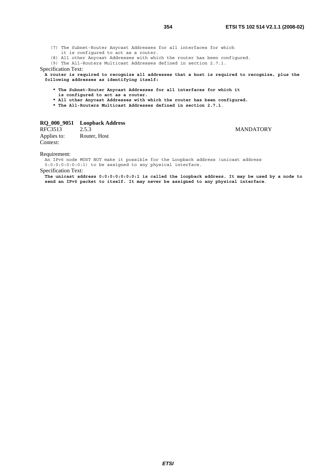(7) The Subnet-Router Anycast Addresses for all interfaces for which

it is configured to act as a router.

(8) All other Anycast Addresses with which the router has been configured.

(9) The All-Routers Multicast Addresses defined in section 2.7.1.

### Specification Text:

**A router is required to recognize all addresses that a host is required to recognize, plus the following addresses as identifying itself:** 

- **\* The Subnet-Router Anycast Addresses for all interfaces for which it**
- **is configured to act as a router.**
- **\* All other Anycast Addresses with which the router has been configured.**
- **\* The All-Routers Multicast Addresses defined in section 2.7.1**.

# **RQ\_000\_9051 Loopback Address**

RFC3513 2.5.3 MANDATORY Applies to: Router, Host Context:

Requirement:

An IPv6 node MUST NOT make it possible for the Loopback address (unicast address

0:0:0:0:0:0:0:1) to be assigned to any physical interface.

Specification Text:

**The unicast address 0:0:0:0:0:0:0:1 is called the loopback address. It may be used by a node to send an IPv6 packet to itself. It may never be assigned to any physical interface**.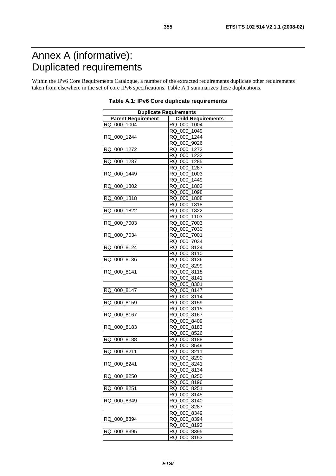# Annex A (informative): Duplicated requirements

Within the IPv6 Core Requirements Catalogue, a number of the extracted requirements duplicate other requirements taken from elsewhere in the set of core IPv6 specifications. Table A.1 summarizes these duplications.

| <b>Duplicate Requirements</b> |                           |  |
|-------------------------------|---------------------------|--|
| <b>Parent Requirement</b>     | <b>Child Requirements</b> |  |
| RQ 000_1004                   | RQ_000_1004               |  |
|                               | RQ_000_1049               |  |
| 000 1244<br>RQ                | RQ_000_1244               |  |
|                               | RQ_000_9026               |  |
| RQ 000_1272                   | RQ_000_1272               |  |
|                               | RQ 000_1232               |  |
| RQ 000 1287                   | RQ_000_1285               |  |
|                               | RQ_000_1287               |  |
| RQ_000_1449                   | RQ 000_1003               |  |
|                               | RQ_000_1449               |  |
| RQ 000 1802                   | RQ_000_1802               |  |
|                               | RQ_000_1098               |  |
| RQ_000_1818                   | RQ_000_1808               |  |
|                               | RQ_000_1818               |  |
| RQ_000_1822                   | RQ_000_1822               |  |
|                               | RQ 000_1103               |  |
| RQ 000_7003                   | RQ_000_7003               |  |
|                               | RQ_000_7030               |  |
| RQ_000_7034                   | RQ_000_7001               |  |
|                               | RQ_000_7034               |  |
| RQ 000 8124                   |                           |  |
|                               | RQ_000_8124               |  |
|                               | RQ_000_8110               |  |
| RQ 000 8136                   | RQ_000_8136               |  |
|                               | RQ_000_8299               |  |
| RQ_000_8141                   | RQ_000_8118               |  |
|                               | RQ_000_8141               |  |
|                               | RQ_000_8301               |  |
| RQ 000 8147                   | RQ_000_8147               |  |
|                               | RQ_000_8114               |  |
| RQ_000_8159                   | RQ_000_8159               |  |
|                               | RQ_000_8115               |  |
| RQ 000 8167                   | RQ 000 8167               |  |
|                               | RQ_000_8409               |  |
| RQ_000_8183                   | RQ_000_8183               |  |
|                               | RQ_000_8526               |  |
| RQ_000_8188                   | RQ_000_8188               |  |
|                               | RQ 000 8549               |  |
| RQ 000 8211                   | RQ_000_8211               |  |
|                               | RQ_000_8290               |  |
| RQ_000_8241                   | RQ_000_8241               |  |
|                               | RQ 000 8134               |  |
| RQ 000 8250                   | RQ 000 8250               |  |
|                               | RQ 000 8196               |  |
| RQ<br>000 8251                | RQ<br>000<br>8251         |  |
|                               | RQ 000<br>8145            |  |
| RQ 000 8349                   | RQ 000 8140               |  |
|                               | RQ<br>000<br>8287         |  |
|                               | RQ 000 8349               |  |
| RQ 000 8394                   | 8394<br>RQ<br>000         |  |
|                               | <b>RQ</b><br>000<br>8193  |  |
| RQ 000 8395                   | RQ 000<br>8395            |  |
|                               | 000<br>8153<br>RQ         |  |

**Table A.1: IPv6 Core duplicate requirements**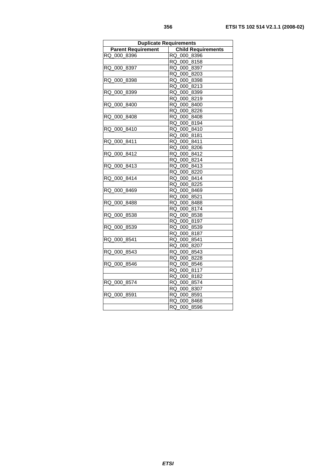| I<br>٠<br>. .<br>٠<br>×<br>٦<br>×<br>۰.<br>۰,<br>×<br>۰, |  |
|----------------------------------------------------------|--|
|                                                          |  |

| <b>Duplicate Requirements</b> |                           |  |
|-------------------------------|---------------------------|--|
| <b>Parent Requirement</b>     | <b>Child Requirements</b> |  |
| RQ_000_8396                   | RQ 000 8396               |  |
|                               | RQ_000_8158               |  |
| RQ 000 8397                   | RQ_000_8397               |  |
|                               | RQ 000 8203               |  |
| RQ 000 8398                   | RQ 000 8398               |  |
|                               | RQ_000_8213               |  |
| RQ_000_8399                   | RQ_000_8399               |  |
|                               | RQ_000_8219               |  |
| RQ_000_8400                   | RQ_000_8400               |  |
|                               | RQ_000_8226               |  |
| RQ_000_8408                   | RQ_000_8408               |  |
|                               | RQ 000 8194               |  |
| RQ 000 8410                   | RQ_000_8410               |  |
|                               | RQ_000_8181               |  |
| RQ 000 8411                   | RQ 000 8411               |  |
|                               | RQ_000_8206               |  |
| RQ 000 8412                   | RQ_000_8412               |  |
|                               | RQ 000 8214               |  |
| RQ_000_8413                   | RQ_000_8413               |  |
|                               | RQ_000_8220               |  |
| RQ 000 8414                   | RQ_000_8414               |  |
|                               | RQ_000_8225               |  |
| RQ 000 8469                   | RQ 000 8469               |  |
|                               | RQ 000 8521               |  |
| RQ 000 8488                   | RQ_000_8488               |  |
|                               | RQ_000_8174               |  |
| RQ_000_8538                   | RQ_000_8538               |  |
|                               | RQ_000_8197               |  |
| RQ_000_8539                   | RQ_000_8539               |  |
|                               | RQ_000_8187               |  |
| RQ 000 8541                   | RQ 000 8541               |  |
|                               | RQ_000_8207               |  |
| RQ 000 8543                   | RQ_000_8543               |  |
|                               | RQ_000_8228               |  |
| RQ_000_8546                   | RQ_000_8546               |  |
|                               | RQ 000 8117               |  |
|                               | RQ_000_8182               |  |
| RQ_000_8574                   | RQ_000_8574               |  |
|                               | RQ_000_8307               |  |
| RQ 000 8591                   | RQ 000 8591               |  |
|                               | RQ 000 8468               |  |
|                               | RQ 000<br>8596            |  |

*ETSI*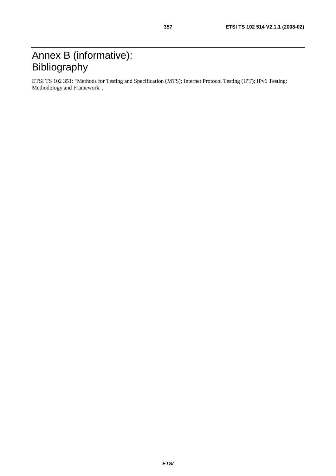# Annex B (informative): Bibliography

ETSI TS 102 351: "Methods for Testing and Specification (MTS); Internet Protocol Testing (IPT); IPv6 Testing: Methodology and Framework".